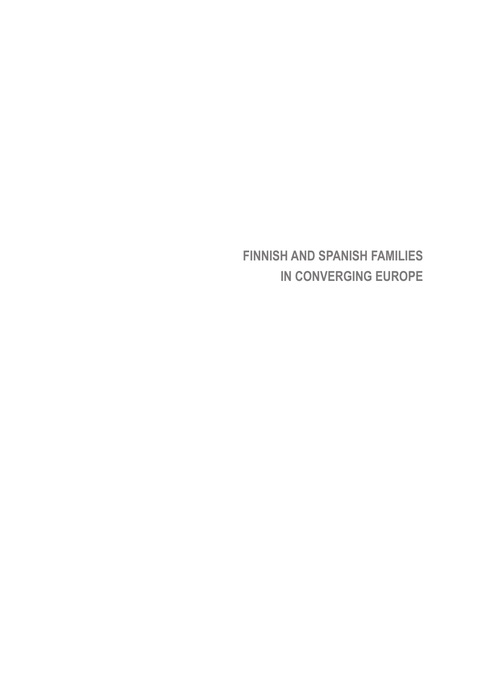**FINNISH AND SPANISH FAMILIES IN CONVERGING EUROPE**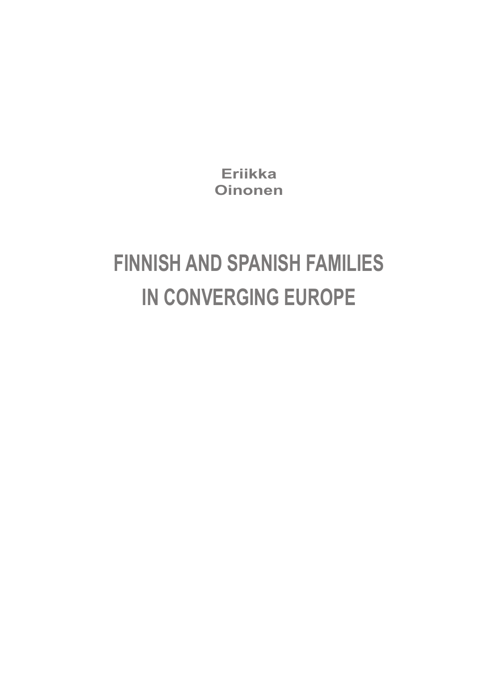**Eriikka Oinonen**

# **FINNISH AND SPANISH FAMILIES IN CONVERGING EUROPE**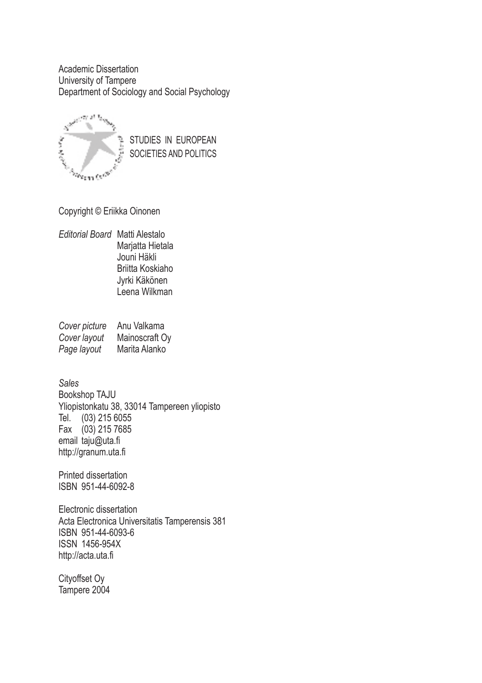Academic Dissertation University of Tampere Department of Sociology and Social Psychology



Copyright © Eriikka Oinonen

*Editorial Board* Matti Alestalo Mariatta Hietala Jouni Häkli Briitta Koskiaho Jyrki Käkönen Leena Wilkman

| Cover picture | Anu Valkama    |
|---------------|----------------|
| Cover layout  | Mainoscraft Oy |
| Page layout   | Marita Alanko  |

*Sales* Bookshop TAJU Yliopistonkatu 38, 33014 Tampereen yliopisto Tel. (03) 215 6055 Fax (03) 215 7685 email taju@uta.fi http://granum.uta.fi

Printed dissertation ISBN 951-44-6092-8

Electronic dissertation Acta Electronica Universitatis Tamperensis 381 ISBN 951-44-6093-6 ISSN 1456-954X http://acta.uta.fi

Cityoffset Oy Tampere 2004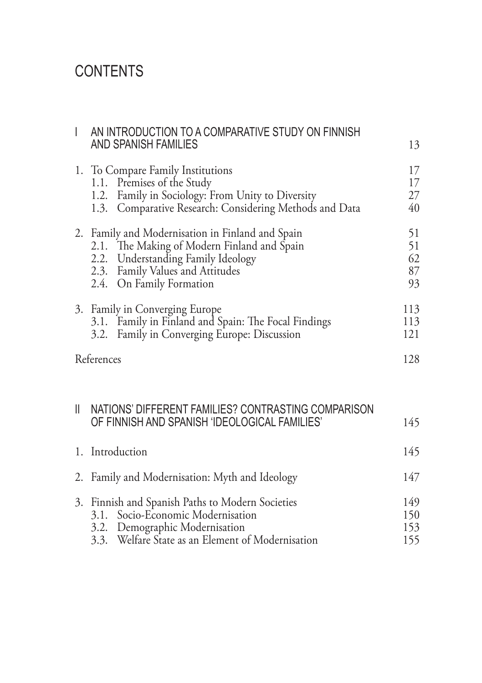### **CONTENTS**

| $\overline{1}$ | AN INTRODUCTION TO A COMPARATIVE STUDY ON FINNISH<br>AND SPANISH FAMILIES                                                                                                                             |                            |
|----------------|-------------------------------------------------------------------------------------------------------------------------------------------------------------------------------------------------------|----------------------------|
|                | 1. To Compare Family Institutions<br>1.1. Premises of the Study<br>1.2. Family in Sociology: From Unity to Diversity<br>1.3. Comparative Research: Considering Methods and Data                       | 17<br>17<br>27<br>40       |
|                | 2. Family and Modernisation in Finland and Spain<br>2.1. The Making of Modern Finland and Spain<br>2.2. Understanding Family Ideology<br>2.3. Family Values and Attitudes<br>2.4. On Family Formation | 51<br>51<br>62<br>87<br>93 |
|                | 3. Family in Converging Europe<br>3.1. Family in Finland and Spain: The Focal Findings<br>3.2. Family in Converging Europe: Discussion                                                                | 113<br>113<br>121          |
|                | References                                                                                                                                                                                            | 128                        |
| $\mathbf{H}$   | NATIONS' DIFFERENT FAMILIES? CONTRASTING COMPARISON<br>OF FINNISH AND SPANISH 'IDEOLOGICAL FAMILIES'                                                                                                  | 145                        |
|                | 1. Introduction                                                                                                                                                                                       |                            |
|                | 2. Family and Modernisation: Myth and Ideology                                                                                                                                                        |                            |
|                | 3. Finnish and Spanish Paths to Modern Societies<br>3.1. Socio-Economic Modernisation<br>3.2. Demographic Modernisation<br>3.3. Welfare State as an Element of Modernisation                          | 149<br>150<br>153<br>155   |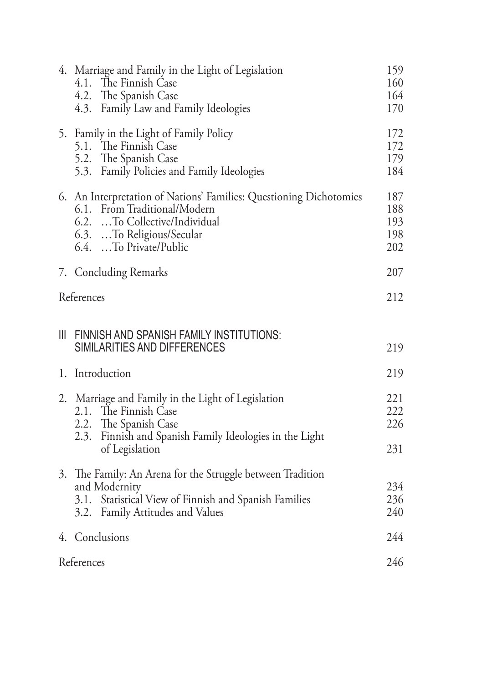|            | 4. Marriage and Family in the Light of Legislation<br>4.1.<br>The Finnish Case<br>4.2. The Spanish Case<br>4.3. Family Law and Family Ideologies                                           | 159<br>160<br>164<br>170        |
|------------|--------------------------------------------------------------------------------------------------------------------------------------------------------------------------------------------|---------------------------------|
|            | 5. Family in the Light of Family Policy<br>5.1. The Finnish Case<br>5.2. The Spanish Case<br>5.3. Family Policies and Family Ideologies                                                    | 172<br>172<br>179<br>184        |
|            | 6. An Interpretation of Nations' Families: Questioning Dichotomies<br>6.1. From Traditional/Modern<br>6.2. To Collective/Individual<br>6.3. To Religious/Secular<br>6.4. To Private/Public | 187<br>188<br>193<br>198<br>202 |
|            | 7. Concluding Remarks                                                                                                                                                                      | 207                             |
| References |                                                                                                                                                                                            | 212                             |
|            | III FINNISH AND SPANISH FAMILY INSTITUTIONS:<br>SIMILARITIES AND DIFFERENCES                                                                                                               | 219                             |
|            | 1. Introduction                                                                                                                                                                            | 219                             |
| 2.         | Marriage and Family in the Light of Legislation<br>2.1. The Finnish Case<br>2.2. The Spanish Case<br>Finnish and Spanish Family Ideologies in the Light<br>2.3.<br>of Legislation          | 221<br>222<br>226<br>231        |
|            | 3. The Family: An Arena for the Struggle between Tradition<br>and Modernity<br>3.1. Statistical View of Finnish and Spanish Families<br>3.2. Family Attitudes and Values                   | 234<br>236<br>240               |
|            | 4. Conclusions                                                                                                                                                                             | 244                             |
|            | References                                                                                                                                                                                 | 246                             |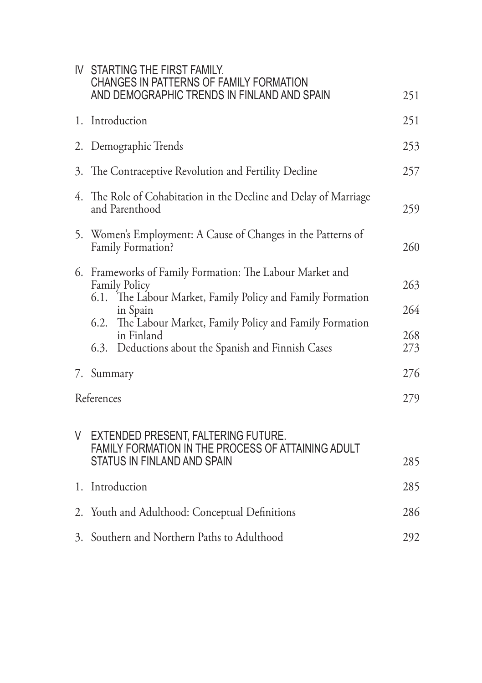| IV STARTING THE FIRST FAMILY.<br>CHANGES IN PATTERNS OF FAMILY FORMATION<br>AND DEMOGRAPHIC TRENDS IN FINLAND AND SPAIN                                                                                                                                                                       | 251                      |
|-----------------------------------------------------------------------------------------------------------------------------------------------------------------------------------------------------------------------------------------------------------------------------------------------|--------------------------|
| 1. Introduction                                                                                                                                                                                                                                                                               |                          |
| 2. Demographic Trends                                                                                                                                                                                                                                                                         |                          |
| 3. The Contraceptive Revolution and Fertility Decline                                                                                                                                                                                                                                         |                          |
| 4. The Role of Cohabitation in the Decline and Delay of Marriage<br>and Parenthood                                                                                                                                                                                                            |                          |
| 5. Women's Employment: A Cause of Changes in the Patterns of<br>Family Formation?                                                                                                                                                                                                             |                          |
| 6. Frameworks of Family Formation: The Labour Market and<br><b>Family Policy</b><br>6.1. The Labour Market, Family Policy and Family Formation<br>in Spain<br>6.2. The Labour Market, Family Policy and Family Formation<br>in Finland<br>6.3. Deductions about the Spanish and Finnish Cases | 263<br>264<br>268<br>273 |
| 7. Summary                                                                                                                                                                                                                                                                                    | 276                      |
| References                                                                                                                                                                                                                                                                                    | 279                      |
| V EXTENDED PRESENT, FALTERING FUTURE.<br>FAMILY FORMATION IN THE PROCESS OF ATTAINING ADULT<br>STATUS IN FINLAND AND SPAIN                                                                                                                                                                    | 285                      |
| 1. Introduction                                                                                                                                                                                                                                                                               | 285                      |
| 2. Youth and Adulthood: Conceptual Definitions                                                                                                                                                                                                                                                | 286                      |
| 3. Southern and Northern Paths to Adulthood                                                                                                                                                                                                                                                   | 292                      |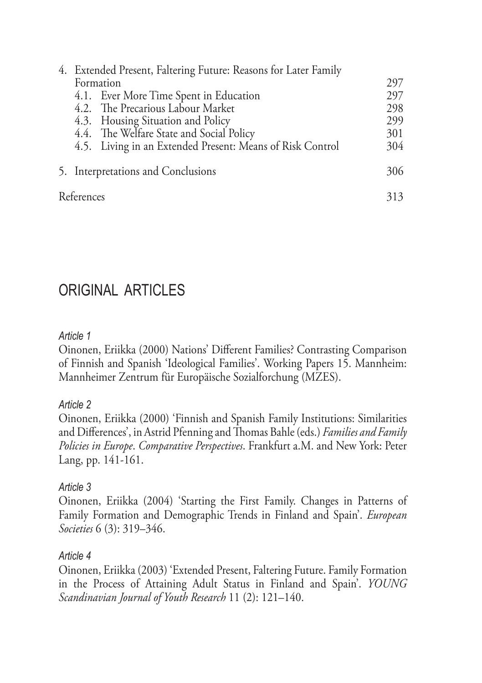|            | 4. Extended Present, Faltering Future: Reasons for Later Family |     |  |
|------------|-----------------------------------------------------------------|-----|--|
| Formation  |                                                                 | 297 |  |
|            | 4.1. Ever More Time Spent in Education                          | 297 |  |
|            | 4.2. The Precarious Labour Market                               | 298 |  |
|            | 4.3. Housing Situation and Policy                               | 299 |  |
|            | 4.4. The Welfare State and Social Policy                        | 301 |  |
|            | 4.5. Living in an Extended Present: Means of Risk Control       | 304 |  |
|            | 5. Interpretations and Conclusions                              | 306 |  |
| References |                                                                 | 313 |  |

### ORIGINAL ARTICLES

#### *Article 1*

Oinonen, Eriikka (2000) Nations' Different Families? Contrasting Comparison of Finnish and Spanish 'Ideological Families'. Working Papers 15. Mannheim: Mannheimer Zentrum für Europäische Sozialforchung (MZES).

#### *Article 2*

Oinonen, Eriikka (2000) 'Finnish and Spanish Family Institutions: Similarities and Differences', in Astrid Pfenning and Thomas Bahle (eds.) *Families and Family Policies in Europe*. *Comparative Perspectives*. Frankfurt a.M. and New York: Peter Lang, pp. 141-161.

#### *Article 3*

Oinonen, Eriikka (2004) 'Starting the First Family. Changes in Patterns of Family Formation and Demographic Trends in Finland and Spain'. *European Societies* 6 (3): 319–346.

#### *Article 4*

Oinonen, Eriikka (2003) 'Extended Present, Faltering Future. Family Formation in the Process of Attaining Adult Status in Finland and Spain'. *YOUNG Scandinavian Journal of Youth Research* 11 (2): 121–140.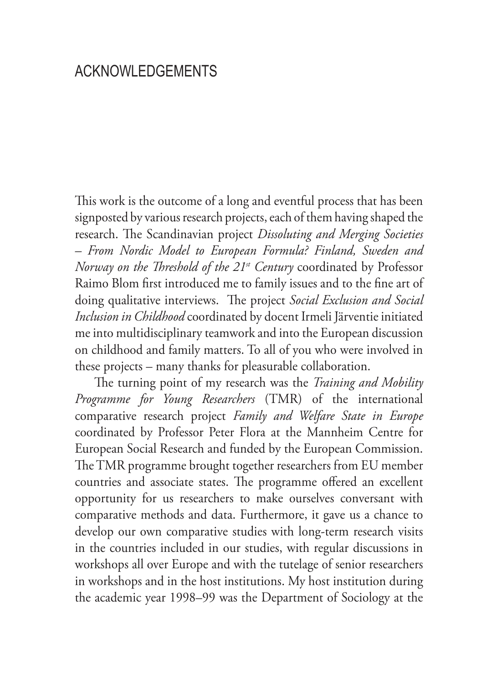### ACKNOWLEDGEMENTS

This work is the outcome of a long and eventful process that has been signposted by various research projects, each of them having shaped the research. The Scandinavian project *Dissoluting and Merging Societies – From Nordic Model to European Formula? Finland, Sweden and Norway on the Threshold of the 21<sup>st</sup> Century* coordinated by Professor Raimo Blom first introduced me to family issues and to the fine art of doing qualitative interviews. The project *Social Exclusion and Social Inclusion in Childhood* coordinated by docent Irmeli Järventie initiated me into multidisciplinary teamwork and into the European discussion on childhood and family matters. To all of you who were involved in these projects – many thanks for pleasurable collaboration.

The turning point of my research was the *Training and Mobility Programme for Young Researchers* (TMR) of the international comparative research project *Family and Welfare State in Europe* coordinated by Professor Peter Flora at the Mannheim Centre for European Social Research and funded by the European Commission. The TMR programme brought together researchers from EU member countries and associate states. The programme offered an excellent opportunity for us researchers to make ourselves conversant with comparative methods and data. Furthermore, it gave us a chance to develop our own comparative studies with long-term research visits in the countries included in our studies, with regular discussions in workshops all over Europe and with the tutelage of senior researchers in workshops and in the host institutions. My host institution during the academic year 1998–99 was the Department of Sociology at the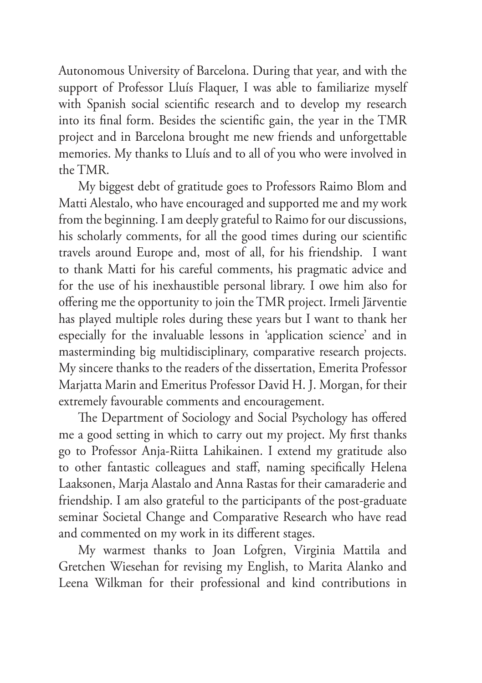Autonomous University of Barcelona. During that year, and with the support of Professor Lluís Flaquer, I was able to familiarize myself with Spanish social scientific research and to develop my research into its final form. Besides the scientific gain, the year in the TMR project and in Barcelona brought me new friends and unforgettable memories. My thanks to Lluís and to all of you who were involved in the TMR.

My biggest debt of gratitude goes to Professors Raimo Blom and Matti Alestalo, who have encouraged and supported me and my work from the beginning. I am deeply grateful to Raimo for our discussions, his scholarly comments, for all the good times during our scientific travels around Europe and, most of all, for his friendship. I want to thank Matti for his careful comments, his pragmatic advice and for the use of his inexhaustible personal library. I owe him also for offering me the opportunity to join the TMR project. Irmeli Järventie has played multiple roles during these years but I want to thank her especially for the invaluable lessons in 'application science' and in masterminding big multidisciplinary, comparative research projects. My sincere thanks to the readers of the dissertation, Emerita Professor Marjatta Marin and Emeritus Professor David H. J. Morgan, for their extremely favourable comments and encouragement.

The Department of Sociology and Social Psychology has offered me a good setting in which to carry out my project. My first thanks go to Professor Anja-Riitta Lahikainen. I extend my gratitude also to other fantastic colleagues and staff, naming specifically Helena Laaksonen, Marja Alastalo and Anna Rastas for their camaraderie and friendship. I am also grateful to the participants of the post-graduate seminar Societal Change and Comparative Research who have read and commented on my work in its different stages.

My warmest thanks to Joan Lofgren, Virginia Mattila and Gretchen Wiesehan for revising my English, to Marita Alanko and Leena Wilkman for their professional and kind contributions in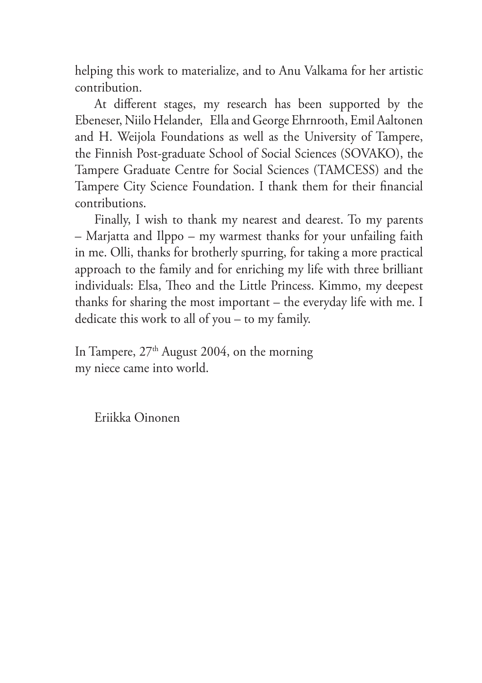helping this work to materialize, and to Anu Valkama for her artistic contribution.

At different stages, my research has been supported by the Ebeneser, Niilo Helander, Ella and George Ehrnrooth, Emil Aaltonen and H. Weijola Foundations as well as the University of Tampere, the Finnish Post-graduate School of Social Sciences (SOVAKO), the Tampere Graduate Centre for Social Sciences (TAMCESS) and the Tampere City Science Foundation. I thank them for their financial contributions.

Finally, I wish to thank my nearest and dearest. To my parents – Marjatta and Ilppo – my warmest thanks for your unfailing faith in me. Olli, thanks for brotherly spurring, for taking a more practical approach to the family and for enriching my life with three brilliant individuals: Elsa, Theo and the Little Princess. Kimmo, my deepest thanks for sharing the most important – the everyday life with me. I dedicate this work to all of you – to my family.

In Tampere,  $27<sup>th</sup>$  August 2004, on the morning my niece came into world.

Eriikka Oinonen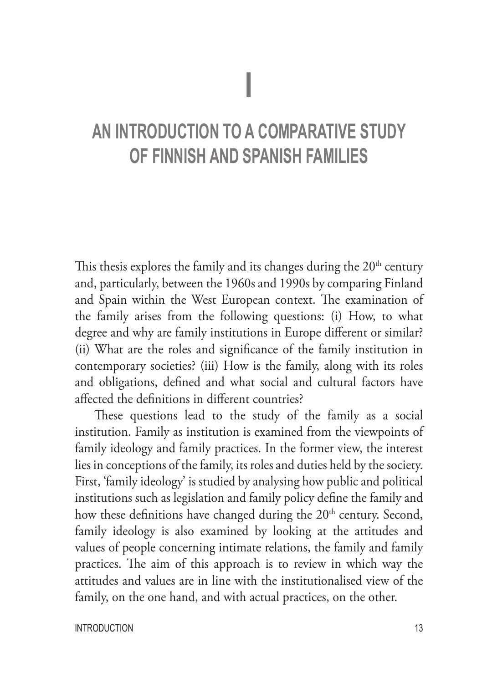**I** 

## <span id="page-12-0"></span>**AN INTRODUCTION TO A COMPARATIVE STUDY OF FINNISH AND SPANISH FAMILIES**

This thesis explores the family and its changes during the  $20<sup>th</sup>$  century and, particularly, between the 1960s and 1990s by comparing Finland and Spain within the West European context. The examination of the family arises from the following questions: (i) How, to what degree and why are family institutions in Europe different or similar? (ii) What are the roles and significance of the family institution in contemporary societies? (iii) How is the family, along with its roles and obligations, defined and what social and cultural factors have affected the definitions in different countries?

These questions lead to the study of the family as a social institution. Family as institution is examined from the viewpoints of family ideology and family practices. In the former view, the interest lies in conceptions of the family, its roles and duties held by the society. First, 'family ideology' is studied by analysing how public and political institutions such as legislation and family policy define the family and how these definitions have changed during the 20<sup>th</sup> century. Second, family ideology is also examined by looking at the attitudes and values of people concerning intimate relations, the family and family practices. The aim of this approach is to review in which way the attitudes and values are in line with the institutionalised view of the family, on the one hand, and with actual practices, on the other.

INTRODUCTION 13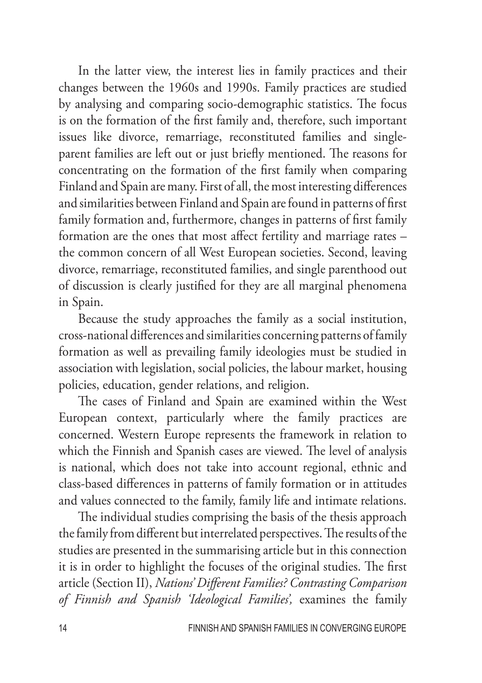In the latter view, the interest lies in family practices and their changes between the 1960s and 1990s. Family practices are studied by analysing and comparing socio-demographic statistics. The focus is on the formation of the first family and, therefore, such important issues like divorce, remarriage, reconstituted families and singleparent families are left out or just briefly mentioned. The reasons for concentrating on the formation of the first family when comparing Finland and Spain are many. First of all, the most interesting differences and similarities between Finland and Spain are found in patterns of first family formation and, furthermore, changes in patterns of first family formation are the ones that most affect fertility and marriage rates the common concern of all West European societies. Second, leaving divorce, remarriage, reconstituted families, and single parenthood out of discussion is clearly justified for they are all marginal phenomena in Spain.

Because the study approaches the family as a social institution, cross-national differences and similarities concerning patterns of family formation as well as prevailing family ideologies must be studied in association with legislation, social policies, the labour market, housing policies, education, gender relations, and religion.

The cases of Finland and Spain are examined within the West European context, particularly where the family practices are concerned. Western Europe represents the framework in relation to which the Finnish and Spanish cases are viewed. The level of analysis is national, which does not take into account regional, ethnic and class-based differences in patterns of family formation or in attitudes and values connected to the family, family life and intimate relations.

The individual studies comprising the basis of the thesis approach the family from different but interrelated perspectives. The results of the studies are presented in the summarising article but in this connection it is in order to highlight the focuses of the original studies. The first article (Section II), *Nations' Different Families? Contrasting Comparison of Finnish and Spanish 'Ideological Families',* examines the family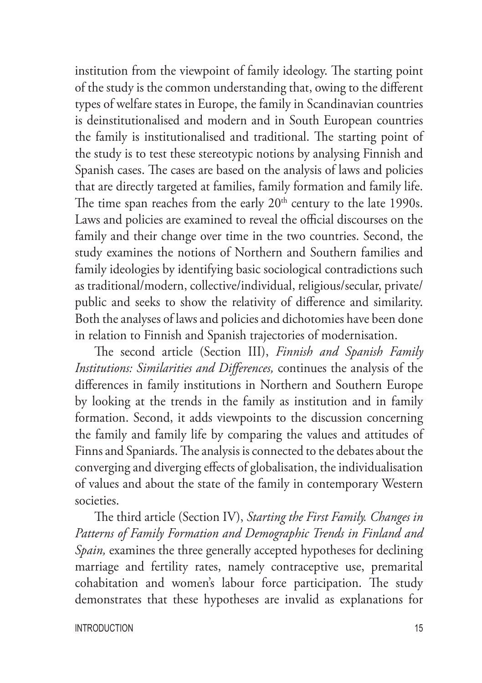institution from the viewpoint of family ideology. The starting point of the study is the common understanding that, owing to the different types of welfare states in Europe, the family in Scandinavian countries is deinstitutionalised and modern and in South European countries the family is institutionalised and traditional. The starting point of the study is to test these stereotypic notions by analysing Finnish and Spanish cases. The cases are based on the analysis of laws and policies that are directly targeted at families, family formation and family life. The time span reaches from the early  $20<sup>th</sup>$  century to the late 1990s. Laws and policies are examined to reveal the official discourses on the family and their change over time in the two countries. Second, the study examines the notions of Northern and Southern families and family ideologies by identifying basic sociological contradictions such as traditional/modern, collective/individual, religious/secular, private/ public and seeks to show the relativity of difference and similarity. Both the analyses of laws and policies and dichotomies have been done in relation to Finnish and Spanish trajectories of modernisation.

The second article (Section III), *Finnish and Spanish Family Institutions: Similarities and Differences, continues the analysis of the* differences in family institutions in Northern and Southern Europe by looking at the trends in the family as institution and in family formation. Second, it adds viewpoints to the discussion concerning the family and family life by comparing the values and attitudes of Finns and Spaniards. The analysis is connected to the debates about the converging and diverging effects of globalisation, the individualisation of values and about the state of the family in contemporary Western societies.

The third article (Section IV), Starting the First Family. Changes in *Patterns of Family Formation and Demographic Trends in Finland and Spain,* examines the three generally accepted hypotheses for declining marriage and fertility rates, namely contraceptive use, premarital cohabitation and women's labour force participation. The study demonstrates that these hypotheses are invalid as explanations for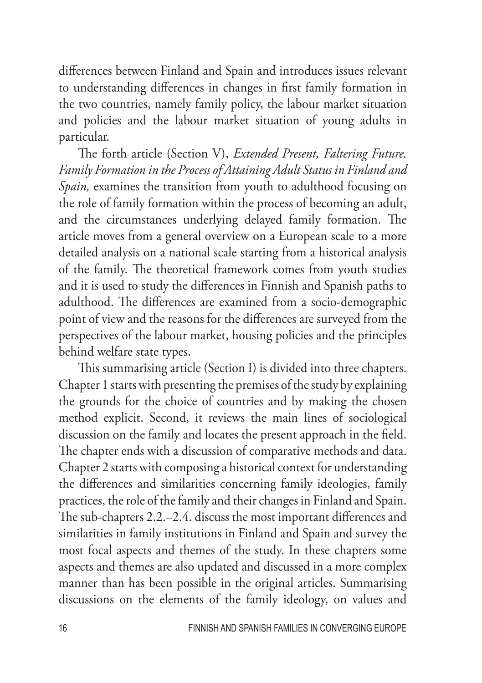differences between Finland and Spain and introduces issues relevant to understanding differences in changes in first family formation in the two countries, namely family policy, the labour market situation and policies and the labour market situation of young adults in particular.

The forth article (Section V), *Extended Present*, *Faltering Future*. *Family Formation in the Process of Attaining Adult Status in Finland and Spain,* examines the transition from youth to adulthood focusing on the role of family formation within the process of becoming an adult, and the circumstances underlying delayed family formation. The article moves from a general overview on a European scale to a more detailed analysis on a national scale starting from a historical analysis of the family. The theoretical framework comes from youth studies and it is used to study the differences in Finnish and Spanish paths to adulthood. The differences are examined from a socio-demographic point of view and the reasons for the differences are surveyed from the perspectives of the labour market, housing policies and the principles behind welfare state types.

This summarising article (Section I) is divided into three chapters. Chapter 1 starts with presenting the premises of the study by explaining the grounds for the choice of countries and by making the chosen method explicit. Second, it reviews the main lines of sociological discussion on the family and locates the present approach in the field. The chapter ends with a discussion of comparative methods and data. Chapter 2 starts with composing a historical context for understanding the differences and similarities concerning family ideologies, family practices, the role of the family and their changes in Finland and Spain. The sub-chapters 2.2.–2.4. discuss the most important differences and similarities in family institutions in Finland and Spain and survey the most focal aspects and themes of the study. In these chapters some aspects and themes are also updated and discussed in a more complex manner than has been possible in the original articles. Summarising discussions on the elements of the family ideology, on values and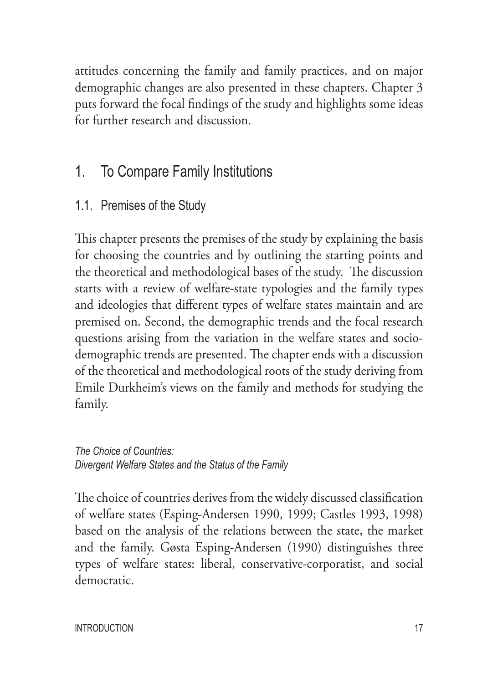<span id="page-16-0"></span>attitudes concerning the family and family practices, and on major demographic changes are also presented in these chapters. Chapter 3 puts forward the focal findings of the study and highlights some ideas for further research and discussion.

### 1. To Compare Family Institutions

1.1. Premises of the Study

This chapter presents the premises of the study by explaining the basis for choosing the countries and by outlining the starting points and the theoretical and methodological bases of the study. The discussion starts with a review of welfare-state typologies and the family types and ideologies that different types of welfare states maintain and are premised on. Second, the demographic trends and the focal research questions arising from the variation in the welfare states and sociodemographic trends are presented. The chapter ends with a discussion of the theoretical and methodological roots of the study deriving from Emile Durkheim's views on the family and methods for studying the family.

*The Choice of Countries: Divergent Welfare States and the Status of the Family*

The choice of countries derives from the widely discussed classification of welfare states (Esping-Andersen 1990, 1999; Castles 1993, 1998) based on the analysis of the relations between the state, the market and the family. Gøsta Esping-Andersen (1990) distinguishes three types of welfare states: liberal, conservative-corporatist, and social democratic.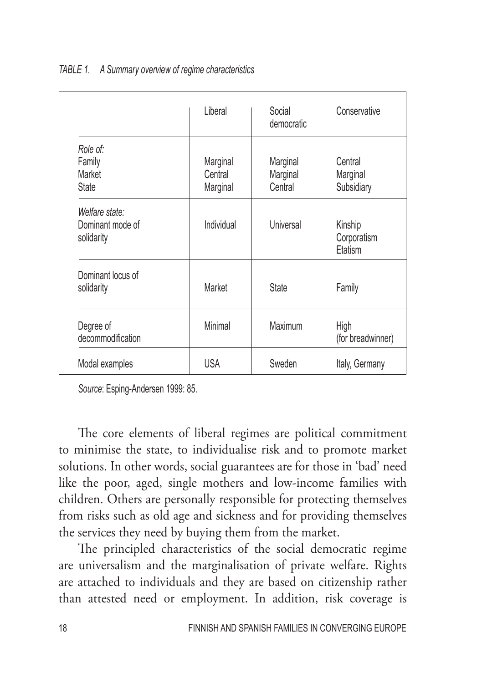|                                                  | Liberal                         | Social<br>democratic            | Conservative                      |
|--------------------------------------------------|---------------------------------|---------------------------------|-----------------------------------|
| Role of:<br>Family<br>Market<br><b>State</b>     | Marginal<br>Central<br>Marginal | Marginal<br>Marginal<br>Central | Central<br>Marginal<br>Subsidiary |
| Welfare state:<br>Dominant mode of<br>solidarity | Individual                      | Universal                       | Kinship<br>Corporatism<br>Etatism |
| Dominant locus of<br>solidarity                  | Market                          | State                           | Family                            |
| Degree of<br>decommodification                   | Minimal                         | Maximum                         | High<br>(for breadwinner)         |
| Modal examples                                   | <b>USA</b>                      | Sweden                          | Italy, Germany                    |

*TABLE 1. A Summary overview of regime characteristics*

*Source*: Esping-Andersen 1999: 85.

The core elements of liberal regimes are political commitment to minimise the state, to individualise risk and to promote market solutions. In other words, social guarantees are for those in 'bad' need like the poor, aged, single mothers and low-income families with children. Others are personally responsible for protecting themselves from risks such as old age and sickness and for providing themselves the services they need by buying them from the market.

The principled characteristics of the social democratic regime are universalism and the marginalisation of private welfare. Rights are attached to individuals and they are based on citizenship rather than attested need or employment. In addition, risk coverage is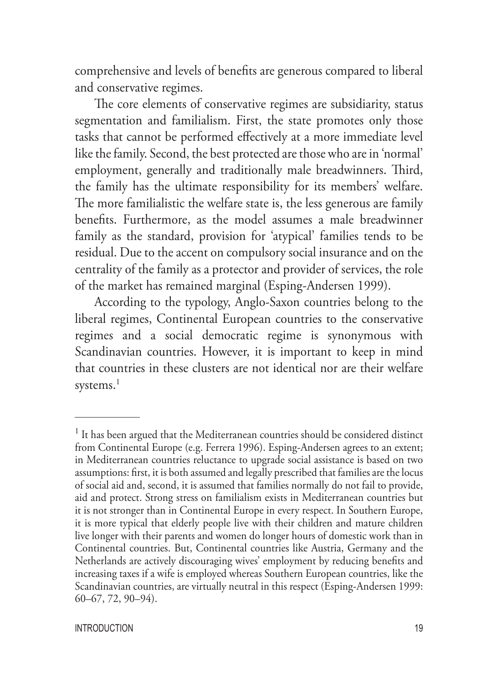comprehensive and levels of benefits are generous compared to liberal and conservative regimes.

The core elements of conservative regimes are subsidiarity, status segmentation and familialism. First, the state promotes only those tasks that cannot be performed effectively at a more immediate level like the family. Second, the best protected are those who are in 'normal' employment, generally and traditionally male breadwinners. Third, the family has the ultimate responsibility for its members' welfare. The more familialistic the welfare state is, the less generous are family benefits. Furthermore, as the model assumes a male breadwinner family as the standard, provision for 'atypical' families tends to be residual. Due to the accent on compulsory social insurance and on the centrality of the family as a protector and provider of services, the role of the market has remained marginal (Esping-Andersen 1999).

According to the typology, Anglo-Saxon countries belong to the liberal regimes, Continental European countries to the conservative regimes and a social democratic regime is synonymous with Scandinavian countries. However, it is important to keep in mind that countries in these clusters are not identical nor are their welfare systems.<sup>1</sup>

<sup>&</sup>lt;sup>1</sup> It has been argued that the Mediterranean countries should be considered distinct from Continental Europe (e.g. Ferrera 1996). Esping-Andersen agrees to an extent; in Mediterranean countries reluctance to upgrade social assistance is based on two assumptions: first, it is both assumed and legally prescribed that families are the locus of social aid and, second, it is assumed that families normally do not fail to provide, aid and protect. Strong stress on familialism exists in Mediterranean countries but it is not stronger than in Continental Europe in every respect. In Southern Europe, it is more typical that elderly people live with their children and mature children live longer with their parents and women do longer hours of domestic work than in Continental countries. But, Continental countries like Austria, Germany and the Netherlands are actively discouraging wives' employment by reducing benefits and increasing taxes if a wife is employed whereas Southern European countries, like the Scandinavian countries, are virtually neutral in this respect (Esping-Andersen 1999: 60–67, 72, 90–94).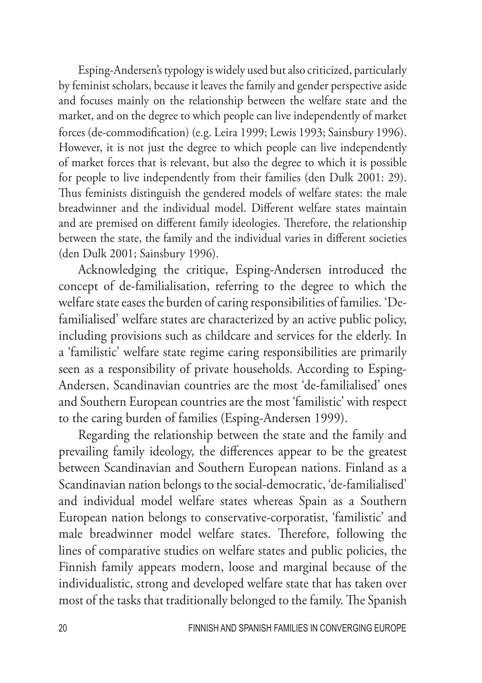Esping-Andersen's typology is widely used but also criticized, particularly by feminist scholars, because it leaves the family and gender perspective aside and focuses mainly on the relationship between the welfare state and the market, and on the degree to which people can live independently of market forces (de-commodification) (e.g. Leira 1999; Lewis 1993; Sainsbury 1996). However, it is not just the degree to which people can live independently of market forces that is relevant, but also the degree to which it is possible for people to live independently from their families (den Dulk 2001: 29). Thus feminists distinguish the gendered models of welfare states: the male breadwinner and the individual model. Different welfare states maintain and are premised on different family ideologies. Therefore, the relationship between the state, the family and the individual varies in different societies (den Dulk 2001; Sainsbury 1996).

Acknowledging the critique, Esping-Andersen introduced the concept of de-familialisation, referring to the degree to which the welfare state eases the burden of caring responsibilities of families. 'Defamilialised' welfare states are characterized by an active public policy, including provisions such as childcare and services for the elderly. In a 'familistic' welfare state regime caring responsibilities are primarily seen as a responsibility of private households. According to Esping-Andersen, Scandinavian countries are the most 'de-familialised' ones and Southern European countries are the most 'familistic' with respect to the caring burden of families (Esping-Andersen 1999).

Regarding the relationship between the state and the family and prevailing family ideology, the differences appear to be the greatest between Scandinavian and Southern European nations. Finland as a Scandinavian nation belongs to the social-democratic, 'de-familialised' and individual model welfare states whereas Spain as a Southern European nation belongs to conservative-corporatist, 'familistic' and male breadwinner model welfare states. Therefore, following the lines of comparative studies on welfare states and public policies, the Finnish family appears modern, loose and marginal because of the individualistic, strong and developed welfare state that has taken over most of the tasks that traditionally belonged to the family. The Spanish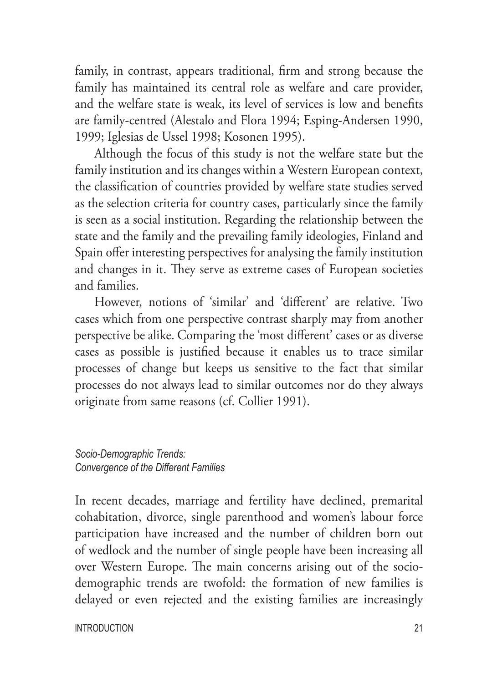family, in contrast, appears traditional, firm and strong because the family has maintained its central role as welfare and care provider, and the welfare state is weak, its level of services is low and benefits are family-centred (Alestalo and Flora 1994; Esping-Andersen 1990, 1999; Iglesias de Ussel 1998; Kosonen 1995).

Although the focus of this study is not the welfare state but the family institution and its changes within a Western European context, the classification of countries provided by welfare state studies served as the selection criteria for country cases, particularly since the family is seen as a social institution. Regarding the relationship between the state and the family and the prevailing family ideologies, Finland and Spain offer interesting perspectives for analysing the family institution and changes in it. They serve as extreme cases of European societies and families.

However, notions of 'similar' and 'different' are relative. Two cases which from one perspective contrast sharply may from another perspective be alike. Comparing the 'most different' cases or as diverse cases as possible is justified because it enables us to trace similar processes of change but keeps us sensitive to the fact that similar processes do not always lead to similar outcomes nor do they always originate from same reasons (cf. Collier 1991).

*Socio-Demographic Trends: Convergence of the Different Families*

In recent decades, marriage and fertility have declined, premarital cohabitation, divorce, single parenthood and women's labour force participation have increased and the number of children born out of wedlock and the number of single people have been increasing all over Western Europe. The main concerns arising out of the sociodemographic trends are twofold: the formation of new families is delayed or even rejected and the existing families are increasingly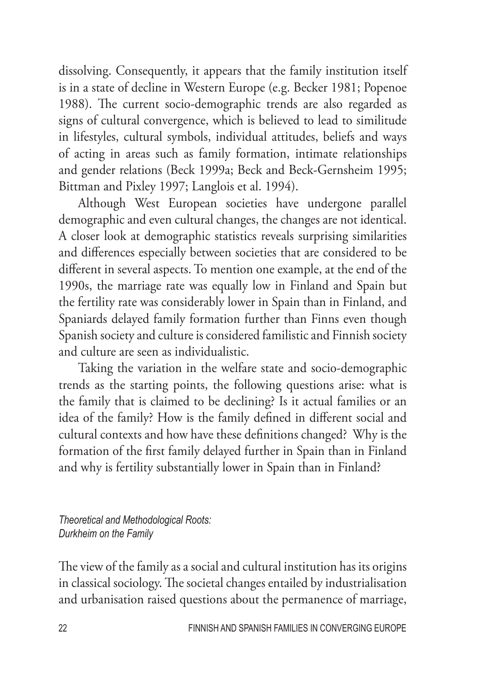dissolving. Consequently, it appears that the family institution itself is in a state of decline in Western Europe (e.g. Becker 1981; Popenoe 1988). The current socio-demographic trends are also regarded as signs of cultural convergence, which is believed to lead to similitude in lifestyles, cultural symbols, individual attitudes, beliefs and ways of acting in areas such as family formation, intimate relationships and gender relations (Beck 1999a; Beck and Beck-Gernsheim 1995; Bittman and Pixley 1997; Langlois et al. 1994).

Although West European societies have undergone parallel demographic and even cultural changes, the changes are not identical. A closer look at demographic statistics reveals surprising similarities and differences especially between societies that are considered to be different in several aspects. To mention one example, at the end of the 1990s, the marriage rate was equally low in Finland and Spain but the fertility rate was considerably lower in Spain than in Finland, and Spaniards delayed family formation further than Finns even though Spanish society and culture is considered familistic and Finnish society and culture are seen as individualistic.

Taking the variation in the welfare state and socio-demographic trends as the starting points, the following questions arise: what is the family that is claimed to be declining? Is it actual families or an idea of the family? How is the family defined in different social and cultural contexts and how have these definitions changed? Why is the formation of the first family delayed further in Spain than in Finland and why is fertility substantially lower in Spain than in Finland?

*Theoretical and Methodological Roots: Durkheim on the Family*

The view of the family as a social and cultural institution has its origins in classical sociology. The societal changes entailed by industrialisation and urbanisation raised questions about the permanence of marriage,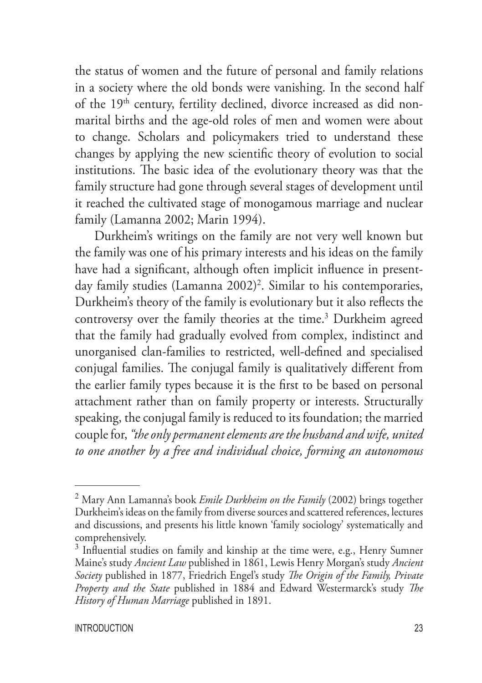the status of women and the future of personal and family relations in a society where the old bonds were vanishing. In the second half of the 19th century, fertility declined, divorce increased as did nonmarital births and the age-old roles of men and women were about to change. Scholars and policymakers tried to understand these changes by applying the new scientific theory of evolution to social institutions. The basic idea of the evolutionary theory was that the family structure had gone through several stages of development until it reached the cultivated stage of monogamous marriage and nuclear family (Lamanna 2002; Marin 1994).

Durkheim's writings on the family are not very well known but the family was one of his primary interests and his ideas on the family have had a significant, although often implicit influence in presentday family studies (Lamanna 2002)<sup>2</sup>. Similar to his contemporaries, Durkheim's theory of the family is evolutionary but it also reflects the controversy over the family theories at the time.<sup>3</sup> Durkheim agreed that the family had gradually evolved from complex, indistinct and unorganised clan-families to restricted, well-defined and specialised conjugal families. The conjugal family is qualitatively different from the earlier family types because it is the first to be based on personal attachment rather than on family property or interests. Structurally speaking, the conjugal family is reduced to its foundation; the married couple for, *"the only permanent elements are the husband and wife, united to one another by a free and individual choice, forming an autonomous* 

<sup>2</sup> Mary Ann Lamanna's book *Emile Durkheim on the Family* (2002) brings together Durkheim's ideas on the family from diverse sources and scattered references, lectures and discussions, and presents his little known 'family sociology' systematically and comprehensively.

<sup>&</sup>lt;sup>3</sup> Influential studies on family and kinship at the time were, e.g., Henry Sumner Maine's study *Ancient Law* published in 1861, Lewis Henry Morgan's study *Ancient Society* published in 1877, Friedrich Engel's study *The Origin of the Family, Private Property and the State* published in 1884 and Edward Westermarck's study The *History of Human Marriage* published in 1891.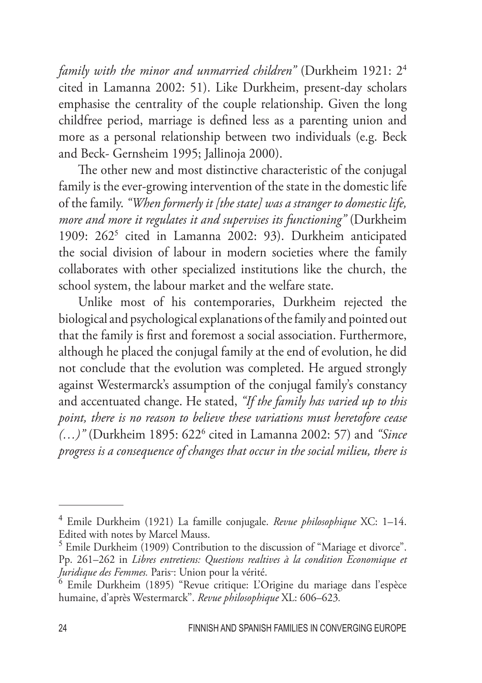*family with the minor and unmarried children"* (Durkheim 1921: 2<sup>4</sup> cited in Lamanna 2002: 51). Like Durkheim, present-day scholars emphasise the centrality of the couple relationship. Given the long childfree period, marriage is defined less as a parenting union and more as a personal relationship between two individuals (e.g. Beck and Beck- Gernsheim 1995; Jallinoja 2000).

The other new and most distinctive characteristic of the conjugal family is the ever-growing intervention of the state in the domestic life of the family. *"When formerly it [the state] was a stranger to domestic life, more and more it regulates it and supervises its functioning"* (Durkheim 1909: 262<sup>5</sup> cited in Lamanna 2002: 93). Durkheim anticipated the social division of labour in modern societies where the family collaborates with other specialized institutions like the church, the school system, the labour market and the welfare state.

Unlike most of his contemporaries, Durkheim rejected the biological and psychological explanations of the family and pointed out that the family is first and foremost a social association. Furthermore, although he placed the conjugal family at the end of evolution, he did not conclude that the evolution was completed. He argued strongly against Westermarck's assumption of the conjugal family's constancy and accentuated change. He stated, *"If the family has varied up to this point, there is no reason to believe these variations must heretofore cease (…)"* (Durkheim 1895: 622<sup>6</sup> cited in Lamanna 2002: 57) and *"Since progress is a consequence of changes that occur in the social milieu, there is* 

<sup>4</sup> Emile Durkheim (1921) La famille conjugale. *Revue philosophique* XC: 1–14. Edited with notes by Marcel Mauss.

<sup>&</sup>lt;sup>5</sup> Emile Durkheim (1909) Contribution to the discussion of "Mariage et divorce". Pp. 261–262 in *Libres entretiens: Questions realtives à la condition Economique et Juridique des Femmes. Paris*: Union pour la vérité.

Emile Durkheim (1895) "Revue critique: L'Origine du mariage dans l'espèce humaine, d'après Westermarck''. *Revue philosophique* XL: 606–623*.*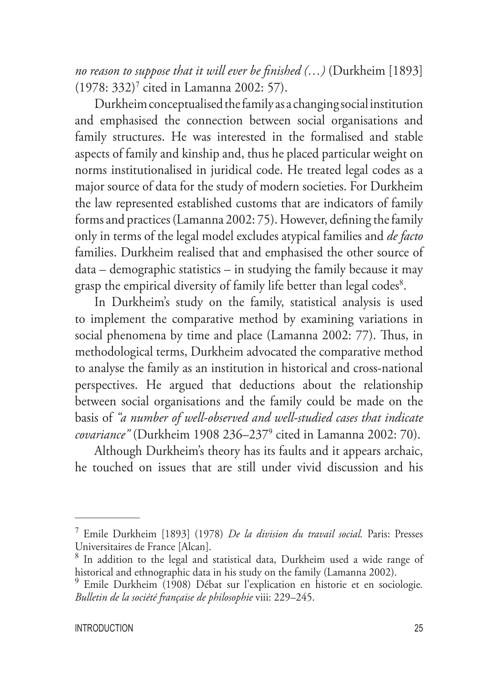*no reason to suppose that it will ever be finished (...)* (Durkheim [1893]  $(1978: 332)^7$  cited in Lamanna 2002: 57).

Durkheim conceptualised the family as a changing social institution and emphasised the connection between social organisations and family structures. He was interested in the formalised and stable aspects of family and kinship and, thus he placed particular weight on norms institutionalised in juridical code. He treated legal codes as a major source of data for the study of modern societies. For Durkheim the law represented established customs that are indicators of family forms and practices (Lamanna 2002: 75). However, defining the family only in terms of the legal model excludes atypical families and *de facto* families. Durkheim realised that and emphasised the other source of data – demographic statistics – in studying the family because it may grasp the empirical diversity of family life better than legal codes<sup>8</sup>.

In Durkheim's study on the family, statistical analysis is used to implement the comparative method by examining variations in social phenomena by time and place (Lamanna 2002: 77). Thus, in methodological terms, Durkheim advocated the comparative method to analyse the family as an institution in historical and cross-national perspectives. He argued that deductions about the relationship between social organisations and the family could be made on the basis of *"a number of well-observed and well-studied cases that indicate covariance"* (Durkheim 1908 236–237<sup>9</sup> cited in Lamanna 2002: 70).

Although Durkheim's theory has its faults and it appears archaic, he touched on issues that are still under vivid discussion and his

<sup>7</sup> Emile Durkheim [1893] (1978) *De la division du travail social.* Paris: Presses Universitaires de France [Alcan].

<sup>&</sup>lt;sup>8</sup> In addition to the legal and statistical data, Durkheim used a wide range of historical and ethnographic data in his study on the family (Lamanna 2002).

<sup>9</sup> Emile Durkheim (1908) Débat sur l'explication en historie et en sociologie*. Bulletin de la société française de philosophie* viii: 229–245.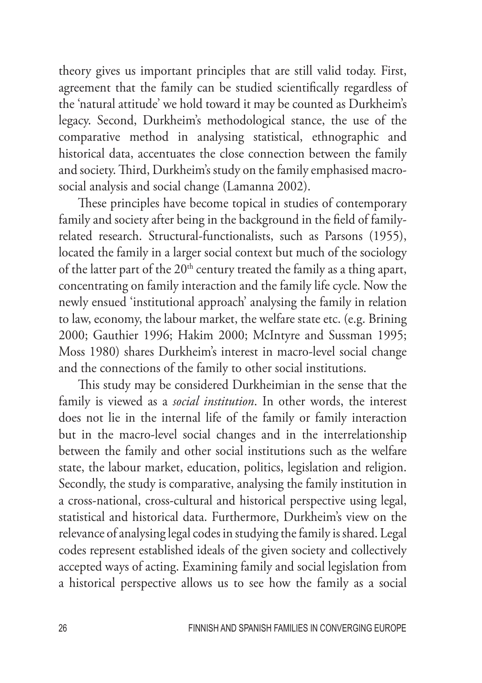theory gives us important principles that are still valid today. First, agreement that the family can be studied scientifically regardless of the 'natural attitude' we hold toward it may be counted as Durkheim's legacy. Second, Durkheim's methodological stance, the use of the comparative method in analysing statistical, ethnographic and historical data, accentuates the close connection between the family and society. Third, Durkheim's study on the family emphasised macrosocial analysis and social change (Lamanna 2002).

These principles have become topical in studies of contemporary family and society after being in the background in the field of familyrelated research. Structural-functionalists, such as Parsons (1955), located the family in a larger social context but much of the sociology of the latter part of the 20<sup>th</sup> century treated the family as a thing apart, concentrating on family interaction and the family life cycle. Now the newly ensued 'institutional approach' analysing the family in relation to law, economy, the labour market, the welfare state etc. (e.g. Brining 2000; Gauthier 1996; Hakim 2000; McIntyre and Sussman 1995; Moss 1980) shares Durkheim's interest in macro-level social change and the connections of the family to other social institutions.

This study may be considered Durkheimian in the sense that the family is viewed as a *social institution*. In other words, the interest does not lie in the internal life of the family or family interaction but in the macro-level social changes and in the interrelationship between the family and other social institutions such as the welfare state, the labour market, education, politics, legislation and religion. Secondly, the study is comparative, analysing the family institution in a cross-national, cross-cultural and historical perspective using legal, statistical and historical data. Furthermore, Durkheim's view on the relevance of analysing legal codes in studying the family is shared. Legal codes represent established ideals of the given society and collectively accepted ways of acting. Examining family and social legislation from a historical perspective allows us to see how the family as a social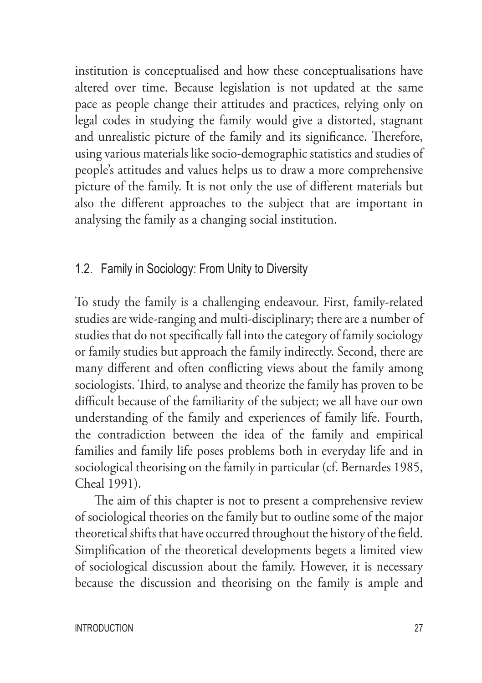<span id="page-26-0"></span>institution is conceptualised and how these conceptualisations have altered over time. Because legislation is not updated at the same pace as people change their attitudes and practices, relying only on legal codes in studying the family would give a distorted, stagnant and unrealistic picture of the family and its significance. Therefore, using various materials like socio-demographic statistics and studies of people's attitudes and values helps us to draw a more comprehensive picture of the family. It is not only the use of different materials but also the different approaches to the subject that are important in analysing the family as a changing social institution.

#### 1.2. Family in Sociology: From Unity to Diversity

To study the family is a challenging endeavour. First, family-related studies are wide-ranging and multi-disciplinary; there are a number of studies that do not specifically fall into the category of family sociology or family studies but approach the family indirectly. Second, there are many different and often conflicting views about the family among sociologists. Third, to analyse and theorize the family has proven to be difficult because of the familiarity of the subject; we all have our own understanding of the family and experiences of family life. Fourth, the contradiction between the idea of the family and empirical families and family life poses problems both in everyday life and in sociological theorising on the family in particular (cf. Bernardes 1985, Cheal 1991).

The aim of this chapter is not to present a comprehensive review of sociological theories on the family but to outline some of the major theoretical shifts that have occurred throughout the history of the field. Simplification of the theoretical developments begets a limited view of sociological discussion about the family. However, it is necessary because the discussion and theorising on the family is ample and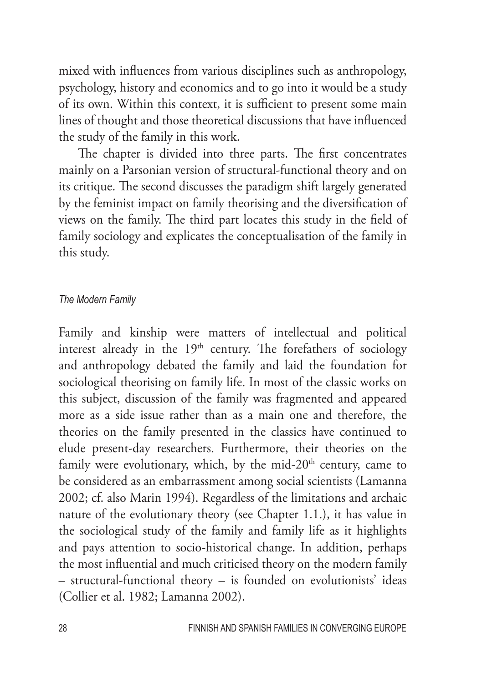mixed with influences from various disciplines such as anthropology, psychology, history and economics and to go into it would be a study of its own. Within this context, it is sufficient to present some main lines of thought and those theoretical discussions that have influenced the study of the family in this work.

The chapter is divided into three parts. The first concentrates mainly on a Parsonian version of structural-functional theory and on its critique. The second discusses the paradigm shift largely generated by the feminist impact on family theorising and the diversification of views on the family. The third part locates this study in the field of family sociology and explicates the conceptualisation of the family in this study.

#### *The Modern Family*

Family and kinship were matters of intellectual and political interest already in the  $19<sup>th</sup>$  century. The forefathers of sociology and anthropology debated the family and laid the foundation for sociological theorising on family life. In most of the classic works on this subject, discussion of the family was fragmented and appeared more as a side issue rather than as a main one and therefore, the theories on the family presented in the classics have continued to elude present-day researchers. Furthermore, their theories on the family were evolutionary, which, by the mid- $20<sup>th</sup>$  century, came to be considered as an embarrassment among social scientists (Lamanna 2002; cf. also Marin 1994). Regardless of the limitations and archaic nature of the evolutionary theory (see Chapter 1.1.), it has value in the sociological study of the family and family life as it highlights and pays attention to socio-historical change. In addition, perhaps the most influential and much criticised theory on the modern family – structural-functional theory – is founded on evolutionists' ideas (Collier et al. 1982; Lamanna 2002).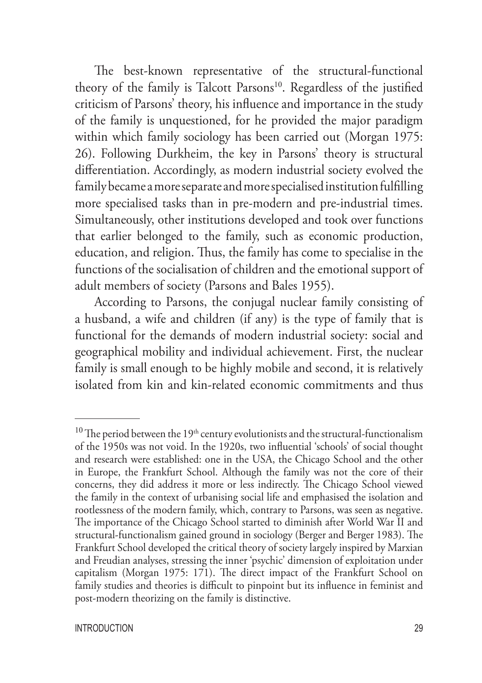The best-known representative of the structural-functional theory of the family is Talcott Parsons<sup>10</sup>. Regardless of the justified criticism of Parsons' theory, his influence and importance in the study of the family is unquestioned, for he provided the major paradigm within which family sociology has been carried out (Morgan 1975: 26). Following Durkheim, the key in Parsons' theory is structural differentiation. Accordingly, as modern industrial society evolved the family became a more separate and more specialised institution fulfilling more specialised tasks than in pre-modern and pre-industrial times. Simultaneously, other institutions developed and took over functions that earlier belonged to the family, such as economic production, education, and religion. Thus, the family has come to specialise in the functions of the socialisation of children and the emotional support of adult members of society (Parsons and Bales 1955).

According to Parsons, the conjugal nuclear family consisting of a husband, a wife and children (if any) is the type of family that is functional for the demands of modern industrial society: social and geographical mobility and individual achievement. First, the nuclear family is small enough to be highly mobile and second, it is relatively isolated from kin and kin-related economic commitments and thus

 $10$  The period between the  $19<sup>th</sup>$  century evolutionists and the structural-functionalism of the 1950s was not void. In the 1920s, two influential 'schools' of social thought and research were established: one in the USA, the Chicago School and the other in Europe, the Frankfurt School. Although the family was not the core of their concerns, they did address it more or less indirectly. The Chicago School viewed the family in the context of urbanising social life and emphasised the isolation and rootlessness of the modern family, which, contrary to Parsons, was seen as negative. The importance of the Chicago School started to diminish after World War II and structural-functionalism gained ground in sociology (Berger and Berger 1983). The Frankfurt School developed the critical theory of society largely inspired by Marxian and Freudian analyses, stressing the inner 'psychic' dimension of exploitation under capitalism (Morgan 1975: 171). The direct impact of the Frankfurt School on family studies and theories is difficult to pinpoint but its influence in feminist and post-modern theorizing on the family is distinctive.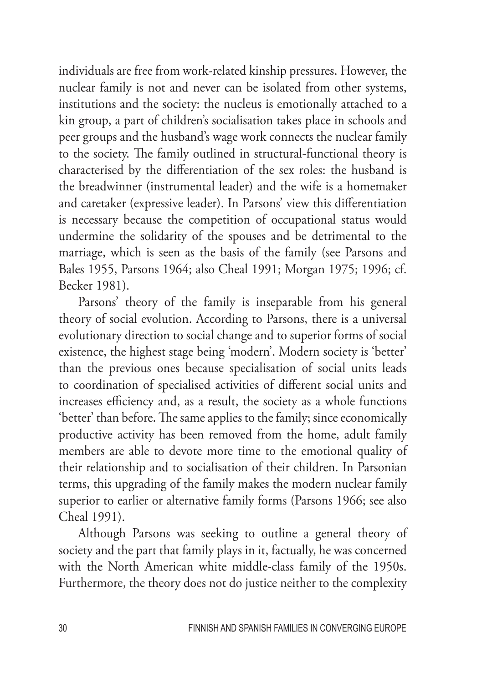individuals are free from work-related kinship pressures. However, the nuclear family is not and never can be isolated from other systems, institutions and the society: the nucleus is emotionally attached to a kin group, a part of children's socialisation takes place in schools and peer groups and the husband's wage work connects the nuclear family to the society. The family outlined in structural-functional theory is characterised by the differentiation of the sex roles: the husband is the breadwinner (instrumental leader) and the wife is a homemaker and caretaker (expressive leader). In Parsons' view this differentiation is necessary because the competition of occupational status would undermine the solidarity of the spouses and be detrimental to the marriage, which is seen as the basis of the family (see Parsons and Bales 1955, Parsons 1964; also Cheal 1991; Morgan 1975; 1996; cf. Becker 1981).

Parsons' theory of the family is inseparable from his general theory of social evolution. According to Parsons, there is a universal evolutionary direction to social change and to superior forms of social existence, the highest stage being 'modern'. Modern society is 'better' than the previous ones because specialisation of social units leads to coordination of specialised activities of different social units and increases efficiency and, as a result, the society as a whole functions 'better' than before. The same applies to the family; since economically productive activity has been removed from the home, adult family members are able to devote more time to the emotional quality of their relationship and to socialisation of their children. In Parsonian terms, this upgrading of the family makes the modern nuclear family superior to earlier or alternative family forms (Parsons 1966; see also Cheal 1991).

Although Parsons was seeking to outline a general theory of society and the part that family plays in it, factually, he was concerned with the North American white middle-class family of the 1950s. Furthermore, the theory does not do justice neither to the complexity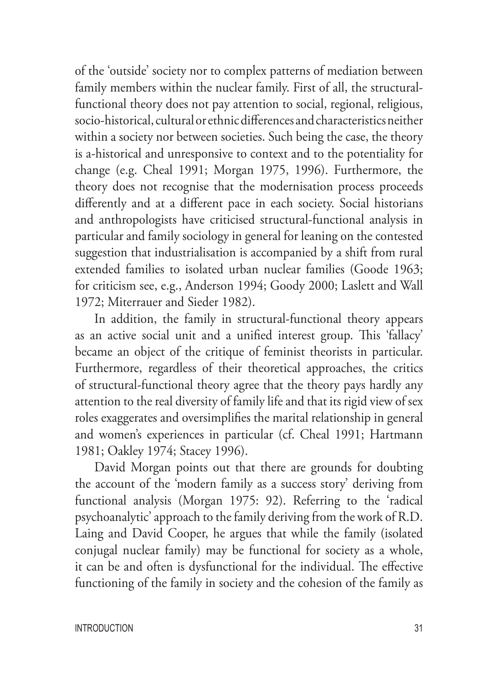of the 'outside' society nor to complex patterns of mediation between family members within the nuclear family. First of all, the structuralfunctional theory does not pay attention to social, regional, religious, socio-historical, cultural or ethnic differences and characteristics neither within a society nor between societies. Such being the case, the theory is a-historical and unresponsive to context and to the potentiality for change (e.g. Cheal 1991; Morgan 1975, 1996). Furthermore, the theory does not recognise that the modernisation process proceeds differently and at a different pace in each society. Social historians and anthropologists have criticised structural-functional analysis in particular and family sociology in general for leaning on the contested suggestion that industrialisation is accompanied by a shift from rural extended families to isolated urban nuclear families (Goode 1963; for criticism see, e.g., Anderson 1994; Goody 2000; Laslett and Wall 1972; Miterrauer and Sieder 1982).

In addition, the family in structural-functional theory appears as an active social unit and a unified interest group. This 'fallacy' became an object of the critique of feminist theorists in particular. Furthermore, regardless of their theoretical approaches, the critics of structural-functional theory agree that the theory pays hardly any attention to the real diversity of family life and that its rigid view of sex roles exaggerates and oversimplifies the marital relationship in general and women's experiences in particular (cf. Cheal 1991; Hartmann 1981; Oakley 1974; Stacey 1996).

David Morgan points out that there are grounds for doubting the account of the 'modern family as a success story' deriving from functional analysis (Morgan 1975: 92). Referring to the 'radical psychoanalytic' approach to the family deriving from the work of R.D. Laing and David Cooper, he argues that while the family (isolated conjugal nuclear family) may be functional for society as a whole, it can be and often is dysfunctional for the individual. The effective functioning of the family in society and the cohesion of the family as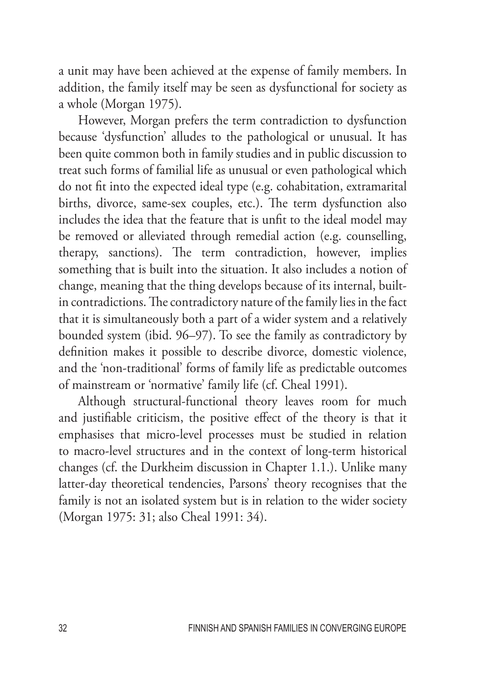a unit may have been achieved at the expense of family members. In addition, the family itself may be seen as dysfunctional for society as a whole (Morgan 1975).

However, Morgan prefers the term contradiction to dysfunction because 'dysfunction' alludes to the pathological or unusual. It has been quite common both in family studies and in public discussion to treat such forms of familial life as unusual or even pathological which do not fit into the expected ideal type (e.g. cohabitation, extramarital births, divorce, same-sex couples, etc.). The term dysfunction also includes the idea that the feature that is unfit to the ideal model may be removed or alleviated through remedial action (e.g. counselling, therapy, sanctions). The term contradiction, however, implies something that is built into the situation. It also includes a notion of change, meaning that the thing develops because of its internal, builtin contradictions. The contradictory nature of the family lies in the fact that it is simultaneously both a part of a wider system and a relatively bounded system (ibid. 96–97). To see the family as contradictory by definition makes it possible to describe divorce, domestic violence, and the 'non-traditional' forms of family life as predictable outcomes of mainstream or 'normative' family life (cf. Cheal 1991).

Although structural-functional theory leaves room for much and justifiable criticism, the positive effect of the theory is that it emphasises that micro-level processes must be studied in relation to macro-level structures and in the context of long-term historical changes (cf. the Durkheim discussion in Chapter 1.1.). Unlike many latter-day theoretical tendencies, Parsons' theory recognises that the family is not an isolated system but is in relation to the wider society (Morgan 1975: 31; also Cheal 1991: 34).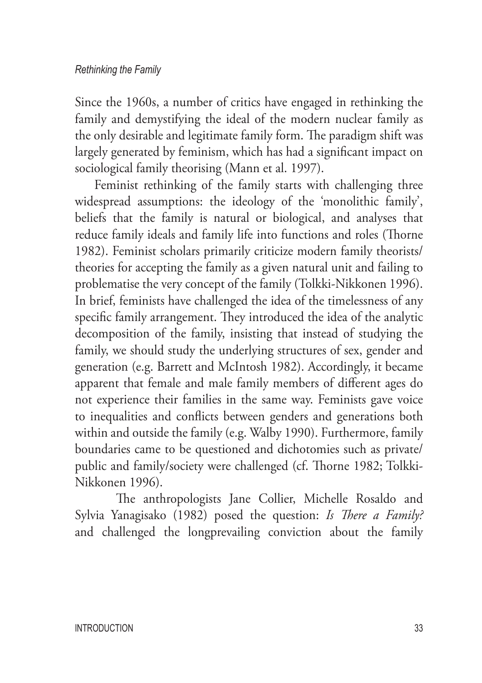Since the 1960s, a number of critics have engaged in rethinking the family and demystifying the ideal of the modern nuclear family as the only desirable and legitimate family form. The paradigm shift was largely generated by feminism, which has had a significant impact on sociological family theorising (Mann et al. 1997).

Feminist rethinking of the family starts with challenging three widespread assumptions: the ideology of the 'monolithic family', beliefs that the family is natural or biological, and analyses that reduce family ideals and family life into functions and roles (Thorne 1982). Feminist scholars primarily criticize modern family theorists/ theories for accepting the family as a given natural unit and failing to problematise the very concept of the family (Tolkki-Nikkonen 1996). In brief, feminists have challenged the idea of the timelessness of any specific family arrangement. They introduced the idea of the analytic decomposition of the family, insisting that instead of studying the family, we should study the underlying structures of sex, gender and generation (e.g. Barrett and McIntosh 1982). Accordingly, it became apparent that female and male family members of different ages do not experience their families in the same way. Feminists gave voice to inequalities and conflicts between genders and generations both within and outside the family (e.g. Walby 1990). Furthermore, family boundaries came to be questioned and dichotomies such as private/ public and family/society were challenged (cf. Thorne 1982; Tolkki-Nikkonen 1996).

The anthropologists Jane Collier, Michelle Rosaldo and Sylvia Yanagisako (1982) posed the question: *Is There a Family?* and challenged the longprevailing conviction about the family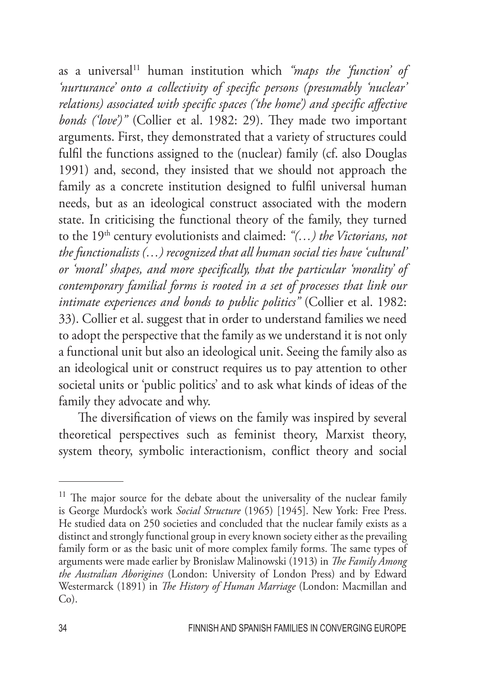as a universal<sup>11</sup> human institution which "maps the 'function' of 'nurturance' onto a collectivity of specific persons (presumably 'nuclear' *relations) associated with specific spaces ('the home') and specific affective bonds ('love')"* (Collier et al. 1982: 29). They made two important arguments. First, they demonstrated that a variety of structures could fulfil the functions assigned to the (nuclear) family (cf. also Douglas 1991) and, second, they insisted that we should not approach the family as a concrete institution designed to fulfil universal human needs, but as an ideological construct associated with the modern state. In criticising the functional theory of the family, they turned to the 19th century evolutionists and claimed: *"(…) the Victorians, not the functionalists (…) recognized that all human social ties have 'cultural'*  or 'moral' shapes, and more specifically, that the particular 'morality' of *contemporary familial forms is rooted in a set of processes that link our intimate experiences and bonds to public politics"* (Collier et al. 1982: 33). Collier et al. suggest that in order to understand families we need to adopt the perspective that the family as we understand it is not only a functional unit but also an ideological unit. Seeing the family also as an ideological unit or construct requires us to pay attention to other societal units or 'public politics' and to ask what kinds of ideas of the family they advocate and why.

The diversification of views on the family was inspired by several theoretical perspectives such as feminist theory, Marxist theory, system theory, symbolic interactionism, conflict theory and social

 $11$  The major source for the debate about the universality of the nuclear family is George Murdock's work *Social Structure* (1965) [1945]. New York: Free Press. He studied data on 250 societies and concluded that the nuclear family exists as a distinct and strongly functional group in every known society either as the prevailing family form or as the basic unit of more complex family forms. The same types of arguments were made earlier by Bronislaw Malinowski (1913) in *The Family Among the Australian Aborigines* (London: University of London Press) and by Edward Westermarck (1891) in *The History of Human Marriage* (London: Macmillan and  $Co$ ).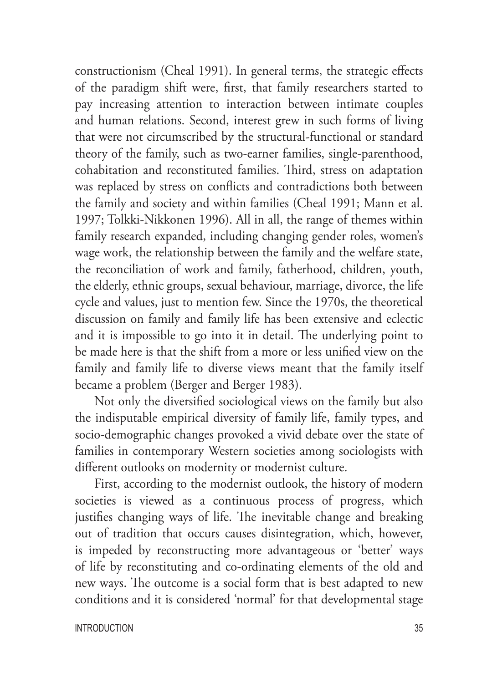constructionism (Cheal 1991). In general terms, the strategic effects of the paradigm shift were, first, that family researchers started to pay increasing attention to interaction between intimate couples and human relations. Second, interest grew in such forms of living that were not circumscribed by the structural-functional or standard theory of the family, such as two-earner families, single-parenthood, cohabitation and reconstituted families. Third, stress on adaptation was replaced by stress on conflicts and contradictions both between the family and society and within families (Cheal 1991; Mann et al. 1997; Tolkki-Nikkonen 1996). All in all, the range of themes within family research expanded, including changing gender roles, women's wage work, the relationship between the family and the welfare state, the reconciliation of work and family, fatherhood, children, youth, the elderly, ethnic groups, sexual behaviour, marriage, divorce, the life cycle and values, just to mention few. Since the 1970s, the theoretical discussion on family and family life has been extensive and eclectic and it is impossible to go into it in detail. The underlying point to be made here is that the shift from a more or less unified view on the family and family life to diverse views meant that the family itself became a problem (Berger and Berger 1983).

Not only the diversified sociological views on the family but also the indisputable empirical diversity of family life, family types, and socio-demographic changes provoked a vivid debate over the state of families in contemporary Western societies among sociologists with different outlooks on modernity or modernist culture.

First, according to the modernist outlook, the history of modern societies is viewed as a continuous process of progress, which justifies changing ways of life. The inevitable change and breaking out of tradition that occurs causes disintegration, which, however, is impeded by reconstructing more advantageous or 'better' ways of life by reconstituting and co-ordinating elements of the old and new ways. The outcome is a social form that is best adapted to new conditions and it is considered 'normal' for that developmental stage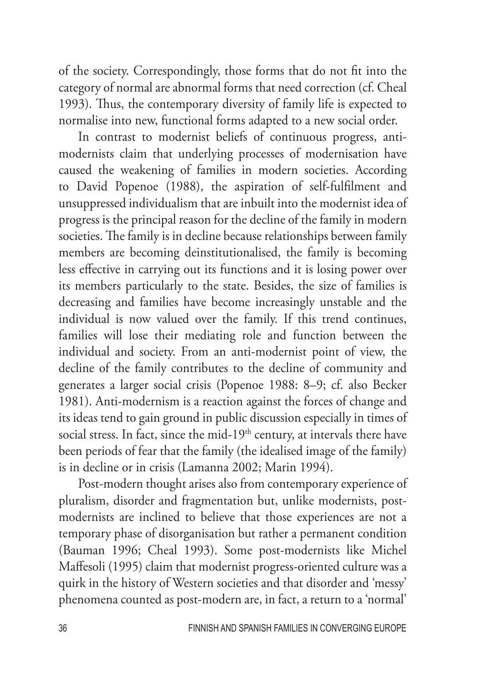of the society. Correspondingly, those forms that do not fit into the category of normal are abnormal forms that need correction (cf. Cheal 1993). Thus, the contemporary diversity of family life is expected to normalise into new, functional forms adapted to a new social order.

In contrast to modernist beliefs of continuous progress, antimodernists claim that underlying processes of modernisation have caused the weakening of families in modern societies. According to David Popenoe (1988), the aspiration of self-fulfilment and unsuppressed individualism that are inbuilt into the modernist idea of progress is the principal reason for the decline of the family in modern societies. The family is in decline because relationships between family members are becoming deinstitutionalised, the family is becoming less effective in carrying out its functions and it is losing power over its members particularly to the state. Besides, the size of families is decreasing and families have become increasingly unstable and the individual is now valued over the family. If this trend continues, families will lose their mediating role and function between the individual and society. From an anti-modernist point of view, the decline of the family contributes to the decline of community and generates a larger social crisis (Popenoe 1988: 8–9; cf. also Becker 1981). Anti-modernism is a reaction against the forces of change and its ideas tend to gain ground in public discussion especially in times of social stress. In fact, since the mid-19<sup>th</sup> century, at intervals there have been periods of fear that the family (the idealised image of the family) is in decline or in crisis (Lamanna 2002; Marin 1994).

Post-modern thought arises also from contemporary experience of pluralism, disorder and fragmentation but, unlike modernists, postmodernists are inclined to believe that those experiences are not a temporary phase of disorganisation but rather a permanent condition (Bauman 1996; Cheal 1993). Some post-modernists like Michel Maffesoli (1995) claim that modernist progress-oriented culture was a quirk in the history of Western societies and that disorder and 'messy' phenomena counted as post-modern are, in fact, a return to a 'normal'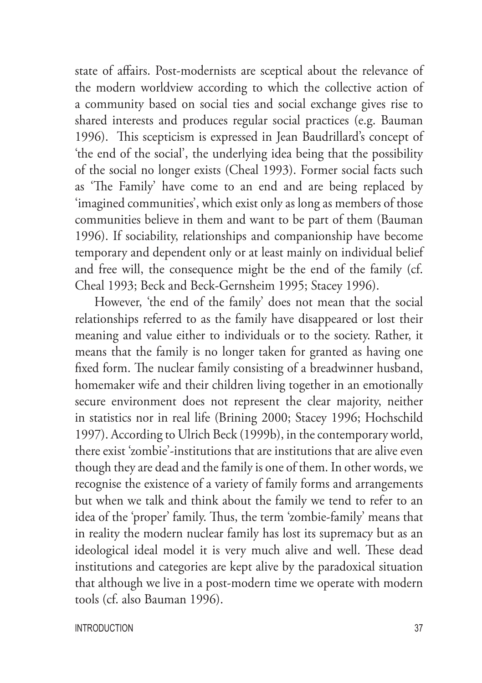state of affairs. Post-modernists are sceptical about the relevance of the modern worldview according to which the collective action of a community based on social ties and social exchange gives rise to shared interests and produces regular social practices (e.g. Bauman 1996). This scepticism is expressed in Jean Baudrillard's concept of 'the end of the social', the underlying idea being that the possibility of the social no longer exists (Cheal 1993). Former social facts such as 'The Family' have come to an end and are being replaced by 'imagined communities', which exist only as long as members of those communities believe in them and want to be part of them (Bauman 1996). If sociability, relationships and companionship have become temporary and dependent only or at least mainly on individual belief and free will, the consequence might be the end of the family (cf. Cheal 1993; Beck and Beck-Gernsheim 1995; Stacey 1996).

However, 'the end of the family' does not mean that the social relationships referred to as the family have disappeared or lost their meaning and value either to individuals or to the society. Rather, it means that the family is no longer taken for granted as having one fixed form. The nuclear family consisting of a breadwinner husband, homemaker wife and their children living together in an emotionally secure environment does not represent the clear majority, neither in statistics nor in real life (Brining 2000; Stacey 1996; Hochschild 1997). According to Ulrich Beck (1999b), in the contemporary world, there exist 'zombie'-institutions that are institutions that are alive even though they are dead and the family is one of them. In other words, we recognise the existence of a variety of family forms and arrangements but when we talk and think about the family we tend to refer to an idea of the 'proper' family. Thus, the term 'zombie-family' means that in reality the modern nuclear family has lost its supremacy but as an ideological ideal model it is very much alive and well. These dead institutions and categories are kept alive by the paradoxical situation that although we live in a post-modern time we operate with modern tools (cf. also Bauman 1996).

INTRODUCTION 37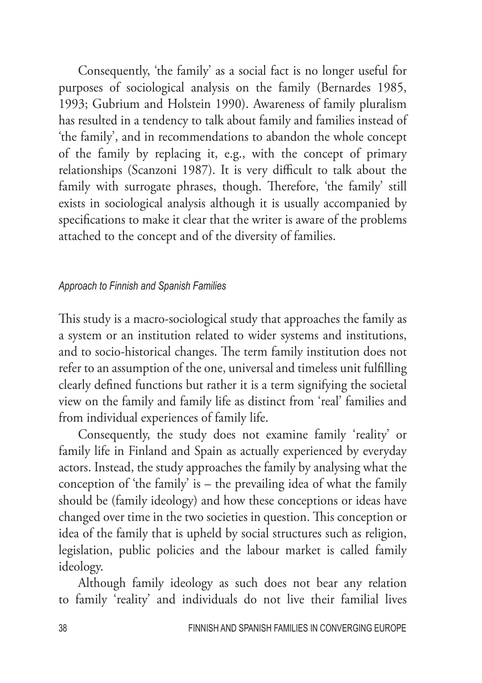Consequently, 'the family' as a social fact is no longer useful for purposes of sociological analysis on the family (Bernardes 1985, 1993; Gubrium and Holstein 1990). Awareness of family pluralism has resulted in a tendency to talk about family and families instead of 'the family', and in recommendations to abandon the whole concept of the family by replacing it, e.g., with the concept of primary relationships (Scanzoni 1987). It is very difficult to talk about the family with surrogate phrases, though. Therefore, 'the family' still exists in sociological analysis although it is usually accompanied by specifications to make it clear that the writer is aware of the problems attached to the concept and of the diversity of families.

## *Approach to Finnish and Spanish Families*

This study is a macro-sociological study that approaches the family as a system or an institution related to wider systems and institutions, and to socio-historical changes. The term family institution does not refer to an assumption of the one, universal and timeless unit fulfilling clearly defined functions but rather it is a term signifying the societal view on the family and family life as distinct from 'real' families and from individual experiences of family life.

Consequently, the study does not examine family 'reality' or family life in Finland and Spain as actually experienced by everyday actors. Instead, the study approaches the family by analysing what the conception of 'the family' is  $-$  the prevailing idea of what the family should be (family ideology) and how these conceptions or ideas have changed over time in the two societies in question. This conception or idea of the family that is upheld by social structures such as religion, legislation, public policies and the labour market is called family ideology.

Although family ideology as such does not bear any relation to family 'reality' and individuals do not live their familial lives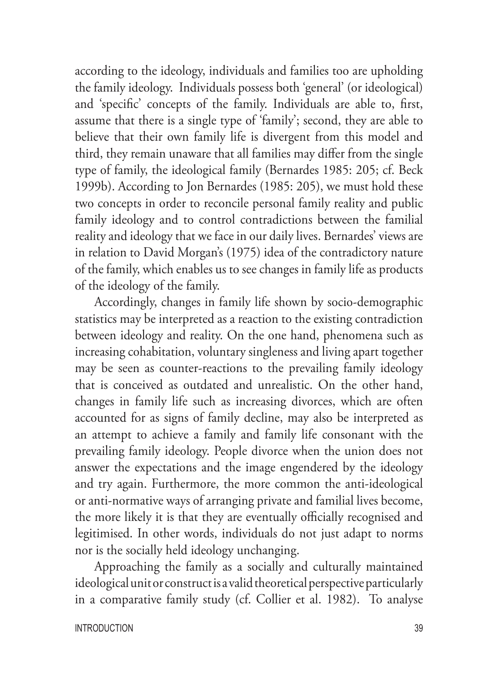according to the ideology, individuals and families too are upholding the family ideology. Individuals possess both 'general' (or ideological) and 'specific' concepts of the family. Individuals are able to, first, assume that there is a single type of 'family'; second, they are able to believe that their own family life is divergent from this model and third, they remain unaware that all families may differ from the single type of family, the ideological family (Bernardes 1985: 205; cf. Beck 1999b). According to Jon Bernardes (1985: 205), we must hold these two concepts in order to reconcile personal family reality and public family ideology and to control contradictions between the familial reality and ideology that we face in our daily lives. Bernardes' views are in relation to David Morgan's (1975) idea of the contradictory nature of the family, which enables us to see changes in family life as products of the ideology of the family.

Accordingly, changes in family life shown by socio-demographic statistics may be interpreted as a reaction to the existing contradiction between ideology and reality. On the one hand, phenomena such as increasing cohabitation, voluntary singleness and living apart together may be seen as counter-reactions to the prevailing family ideology that is conceived as outdated and unrealistic. On the other hand, changes in family life such as increasing divorces, which are often accounted for as signs of family decline, may also be interpreted as an attempt to achieve a family and family life consonant with the prevailing family ideology. People divorce when the union does not answer the expectations and the image engendered by the ideology and try again. Furthermore, the more common the anti-ideological or anti-normative ways of arranging private and familial lives become, the more likely it is that they are eventually officially recognised and legitimised. In other words, individuals do not just adapt to norms nor is the socially held ideology unchanging.

Approaching the family as a socially and culturally maintained ideological unit or construct is a valid theoretical perspective particularly in a comparative family study (cf. Collier et al. 1982). To analyse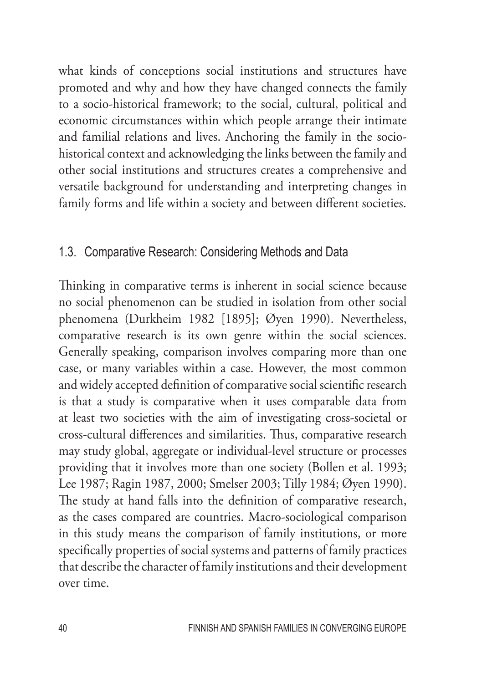what kinds of conceptions social institutions and structures have promoted and why and how they have changed connects the family to a socio-historical framework; to the social, cultural, political and economic circumstances within which people arrange their intimate and familial relations and lives. Anchoring the family in the sociohistorical context and acknowledging the links between the family and other social institutions and structures creates a comprehensive and versatile background for understanding and interpreting changes in family forms and life within a society and between different societies.

# 1.3. Comparative Research: Considering Methods and Data

Thinking in comparative terms is inherent in social science because no social phenomenon can be studied in isolation from other social phenomena (Durkheim 1982 [1895]; Øyen 1990). Nevertheless, comparative research is its own genre within the social sciences. Generally speaking, comparison involves comparing more than one case, or many variables within a case. However, the most common and widely accepted definition of comparative social scientific research is that a study is comparative when it uses comparable data from at least two societies with the aim of investigating cross-societal or cross-cultural differences and similarities. Thus, comparative research may study global, aggregate or individual-level structure or processes providing that it involves more than one society (Bollen et al. 1993; Lee 1987; Ragin 1987, 2000; Smelser 2003; Tilly 1984; Øyen 1990). The study at hand falls into the definition of comparative research, as the cases compared are countries. Macro-sociological comparison in this study means the comparison of family institutions, or more specifically properties of social systems and patterns of family practices that describe the character of family institutions and their development over time.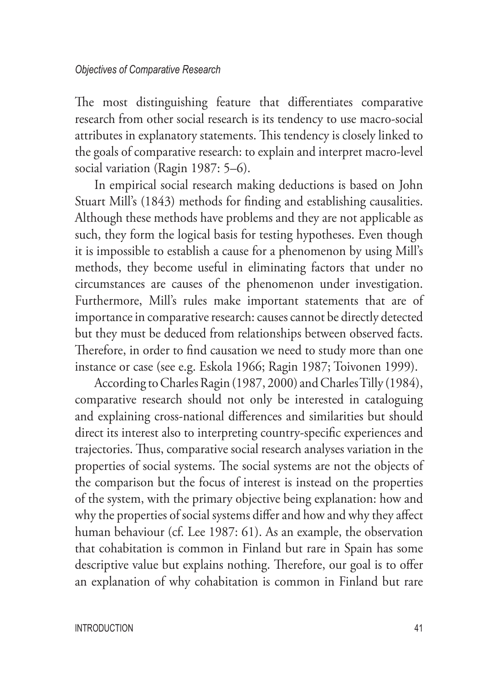The most distinguishing feature that differentiates comparative research from other social research is its tendency to use macro-social attributes in explanatory statements. This tendency is closely linked to the goals of comparative research: to explain and interpret macro-level social variation (Ragin 1987: 5–6).

In empirical social research making deductions is based on John Stuart Mill's (1843) methods for finding and establishing causalities. Although these methods have problems and they are not applicable as such, they form the logical basis for testing hypotheses. Even though it is impossible to establish a cause for a phenomenon by using Mill's methods, they become useful in eliminating factors that under no circumstances are causes of the phenomenon under investigation. Furthermore, Mill's rules make important statements that are of importance in comparative research: causes cannot be directly detected but they must be deduced from relationships between observed facts. Therefore, in order to find causation we need to study more than one instance or case (see e.g. Eskola 1966; Ragin 1987; Toivonen 1999).

According to Charles Ragin (1987, 2000) and Charles Tilly (1984), comparative research should not only be interested in cataloguing and explaining cross-national differences and similarities but should direct its interest also to interpreting country-specific experiences and trajectories. Thus, comparative social research analyses variation in the properties of social systems. The social systems are not the objects of the comparison but the focus of interest is instead on the properties of the system, with the primary objective being explanation: how and why the properties of social systems differ and how and why they affect human behaviour (cf. Lee 1987: 61). As an example, the observation that cohabitation is common in Finland but rare in Spain has some descriptive value but explains nothing. Therefore, our goal is to offer an explanation of why cohabitation is common in Finland but rare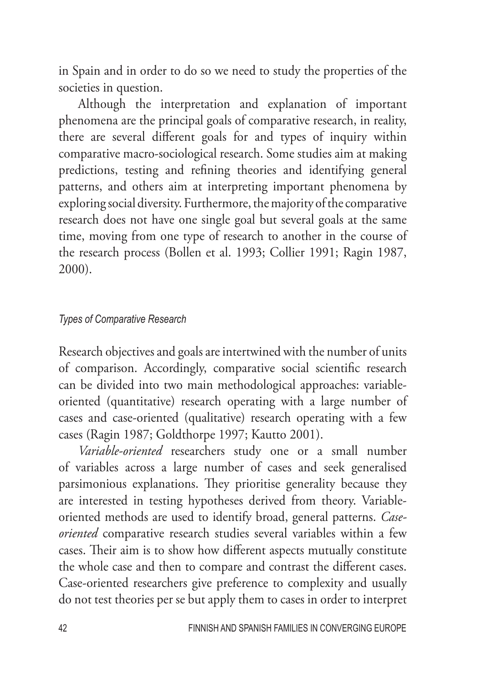in Spain and in order to do so we need to study the properties of the societies in question.

Although the interpretation and explanation of important phenomena are the principal goals of comparative research, in reality, there are several different goals for and types of inquiry within comparative macro-sociological research. Some studies aim at making predictions, testing and refining theories and identifying general patterns, and others aim at interpreting important phenomena by exploring social diversity. Furthermore, the majority of the comparative research does not have one single goal but several goals at the same time, moving from one type of research to another in the course of the research process (Bollen et al. 1993; Collier 1991; Ragin 1987, 2000).

### *Types of Comparative Research*

Research objectives and goals are intertwined with the number of units of comparison. Accordingly, comparative social scientific research can be divided into two main methodological approaches: variableoriented (quantitative) research operating with a large number of cases and case-oriented (qualitative) research operating with a few cases (Ragin 1987; Goldthorpe 1997; Kautto 2001).

*Variable-oriented* researchers study one or a small number of variables across a large number of cases and seek generalised parsimonious explanations. They prioritise generality because they are interested in testing hypotheses derived from theory. Variableoriented methods are used to identify broad, general patterns. *Caseoriented* comparative research studies several variables within a few cases. Their aim is to show how different aspects mutually constitute the whole case and then to compare and contrast the different cases. Case-oriented researchers give preference to complexity and usually do not test theories per se but apply them to cases in order to interpret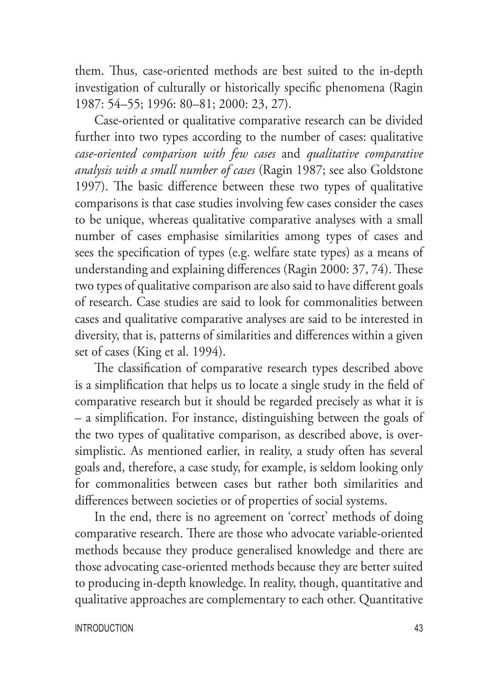them. Thus, case-oriented methods are best suited to the in-depth investigation of culturally or historically specific phenomena (Ragin 1987: 54–55; 1996: 80–81; 2000: 23, 27).

Case-oriented or qualitative comparative research can be divided further into two types according to the number of cases: qualitative *case-oriented comparison with few cases* and *qualitative comparative analysis with a small number of cases* (Ragin 1987; see also Goldstone 1997). The basic difference between these two types of qualitative comparisons is that case studies involving few cases consider the cases to be unique, whereas qualitative comparative analyses with a small number of cases emphasise similarities among types of cases and sees the specification of types (e.g. welfare state types) as a means of understanding and explaining differences (Ragin 2000: 37, 74). These two types of qualitative comparison are also said to have different goals of research. Case studies are said to look for commonalities between cases and qualitative comparative analyses are said to be interested in diversity, that is, patterns of similarities and differences within a given set of cases (King et al. 1994).

The classification of comparative research types described above is a simplification that helps us to locate a single study in the field of comparative research but it should be regarded precisely as what it is – a simplification. For instance, distinguishing between the goals of the two types of qualitative comparison, as described above, is oversimplistic. As mentioned earlier, in reality, a study often has several goals and, therefore, a case study, for example, is seldom looking only for commonalities between cases but rather both similarities and differences between societies or of properties of social systems.

In the end, there is no agreement on 'correct' methods of doing comparative research. There are those who advocate variable-oriented methods because they produce generalised knowledge and there are those advocating case-oriented methods because they are better suited to producing in-depth knowledge. In reality, though, quantitative and qualitative approaches are complementary to each other. Quantitative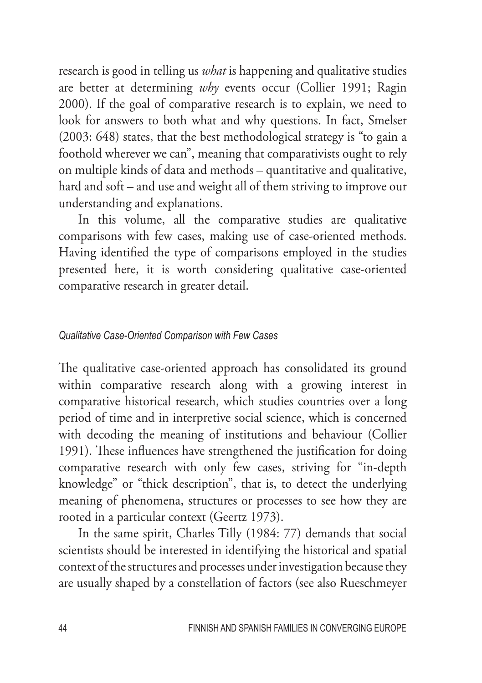research is good in telling us *what* is happening and qualitative studies are better at determining *why* events occur (Collier 1991; Ragin 2000). If the goal of comparative research is to explain, we need to look for answers to both what and why questions. In fact, Smelser (2003: 648) states, that the best methodological strategy is "to gain a foothold wherever we can", meaning that comparativists ought to rely on multiple kinds of data and methods – quantitative and qualitative, hard and soft – and use and weight all of them striving to improve our understanding and explanations.

In this volume, all the comparative studies are qualitative comparisons with few cases, making use of case-oriented methods. Having identified the type of comparisons employed in the studies presented here, it is worth considering qualitative case-oriented comparative research in greater detail.

#### *Qualitative Case-Oriented Comparison with Few Cases*

The qualitative case-oriented approach has consolidated its ground within comparative research along with a growing interest in comparative historical research, which studies countries over a long period of time and in interpretive social science, which is concerned with decoding the meaning of institutions and behaviour (Collier 1991). These influences have strengthened the justification for doing comparative research with only few cases, striving for "in-depth knowledge" or "thick description", that is, to detect the underlying meaning of phenomena, structures or processes to see how they are rooted in a particular context (Geertz 1973).

In the same spirit, Charles Tilly (1984: 77) demands that social scientists should be interested in identifying the historical and spatial context of the structures and processes under investigation because they are usually shaped by a constellation of factors (see also Rueschmeyer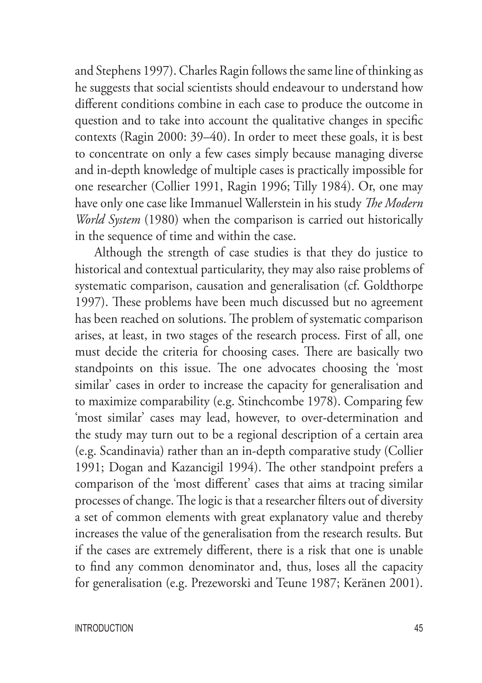and Stephens 1997). Charles Ragin follows the same line of thinking as he suggests that social scientists should endeavour to understand how different conditions combine in each case to produce the outcome in question and to take into account the qualitative changes in specific contexts (Ragin 2000: 39–40). In order to meet these goals, it is best to concentrate on only a few cases simply because managing diverse and in-depth knowledge of multiple cases is practically impossible for one researcher (Collier 1991, Ragin 1996; Tilly 1984). Or, one may have only one case like Immanuel Wallerstein in his study *The Modern World System* (1980) when the comparison is carried out historically in the sequence of time and within the case.

Although the strength of case studies is that they do justice to historical and contextual particularity, they may also raise problems of systematic comparison, causation and generalisation (cf. Goldthorpe 1997). These problems have been much discussed but no agreement has been reached on solutions. The problem of systematic comparison arises, at least, in two stages of the research process. First of all, one must decide the criteria for choosing cases. There are basically two standpoints on this issue. The one advocates choosing the 'most similar' cases in order to increase the capacity for generalisation and to maximize comparability (e.g. Stinchcombe 1978). Comparing few 'most similar' cases may lead, however, to over-determination and the study may turn out to be a regional description of a certain area (e.g. Scandinavia) rather than an in-depth comparative study (Collier 1991; Dogan and Kazancigil 1994). The other standpoint prefers a comparison of the 'most different' cases that aims at tracing similar processes of change. The logic is that a researcher filters out of diversity a set of common elements with great explanatory value and thereby increases the value of the generalisation from the research results. But if the cases are extremely different, there is a risk that one is unable to find any common denominator and, thus, loses all the capacity for generalisation (e.g. Prezeworski and Teune 1987; Keränen 2001).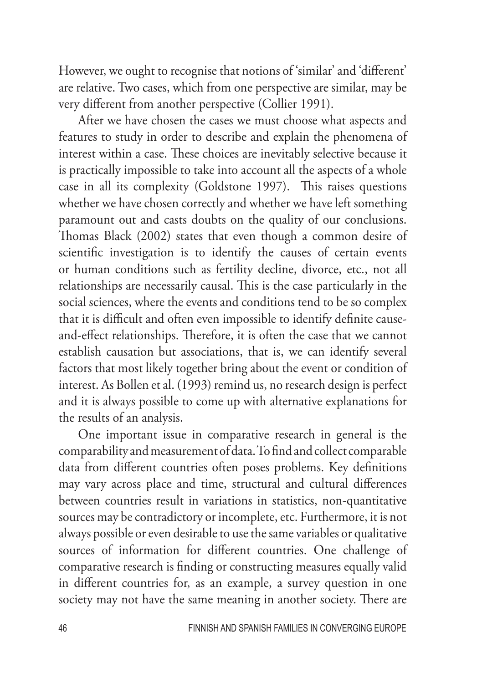However, we ought to recognise that notions of 'similar' and 'different' are relative. Two cases, which from one perspective are similar, may be very different from another perspective (Collier 1991).

After we have chosen the cases we must choose what aspects and features to study in order to describe and explain the phenomena of interest within a case. These choices are inevitably selective because it is practically impossible to take into account all the aspects of a whole case in all its complexity (Goldstone 1997). This raises questions whether we have chosen correctly and whether we have left something paramount out and casts doubts on the quality of our conclusions. Thomas Black (2002) states that even though a common desire of scientific investigation is to identify the causes of certain events or human conditions such as fertility decline, divorce, etc., not all relationships are necessarily causal. This is the case particularly in the social sciences, where the events and conditions tend to be so complex that it is difficult and often even impossible to identify definite causeand-effect relationships. Therefore, it is often the case that we cannot establish causation but associations, that is, we can identify several factors that most likely together bring about the event or condition of interest. As Bollen et al. (1993) remind us, no research design is perfect and it is always possible to come up with alternative explanations for the results of an analysis.

One important issue in comparative research in general is the comparability and measurement of data. To find and collect comparable data from different countries often poses problems. Key definitions may vary across place and time, structural and cultural differences between countries result in variations in statistics, non-quantitative sources may be contradictory or incomplete, etc. Furthermore, it is not always possible or even desirable to use the same variables or qualitative sources of information for different countries. One challenge of comparative research is finding or constructing measures equally valid in different countries for, as an example, a survey question in one society may not have the same meaning in another society. There are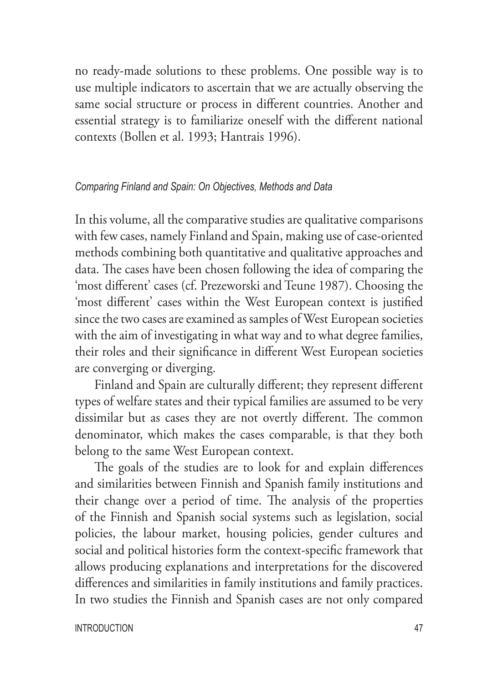no ready-made solutions to these problems. One possible way is to use multiple indicators to ascertain that we are actually observing the same social structure or process in different countries. Another and essential strategy is to familiarize oneself with the different national contexts (Bollen et al. 1993; Hantrais 1996).

#### *Comparing Finland and Spain: On Objectives, Methods and Data*

In this volume, all the comparative studies are qualitative comparisons with few cases, namely Finland and Spain, making use of case-oriented methods combining both quantitative and qualitative approaches and data. The cases have been chosen following the idea of comparing the 'most different' cases (cf. Prezeworski and Teune 1987). Choosing the 'most different' cases within the West European context is justified since the two cases are examined as samples of West European societies with the aim of investigating in what way and to what degree families, their roles and their significance in different West European societies are converging or diverging.

Finland and Spain are culturally different; they represent different types of welfare states and their typical families are assumed to be very dissimilar but as cases they are not overtly different. The common denominator, which makes the cases comparable, is that they both belong to the same West European context.

The goals of the studies are to look for and explain differences and similarities between Finnish and Spanish family institutions and their change over a period of time. The analysis of the properties of the Finnish and Spanish social systems such as legislation, social policies, the labour market, housing policies, gender cultures and social and political histories form the context-specific framework that allows producing explanations and interpretations for the discovered differences and similarities in family institutions and family practices. In two studies the Finnish and Spanish cases are not only compared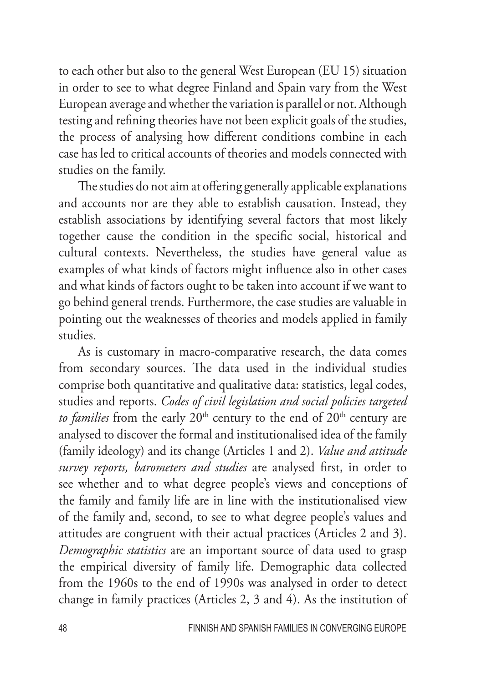to each other but also to the general West European (EU 15) situation in order to see to what degree Finland and Spain vary from the West European average and whether the variation is parallel or not. Although testing and refining theories have not been explicit goals of the studies, the process of analysing how different conditions combine in each case has led to critical accounts of theories and models connected with studies on the family.

The studies do not aim at offering generally applicable explanations and accounts nor are they able to establish causation. Instead, they establish associations by identifying several factors that most likely together cause the condition in the specific social, historical and cultural contexts. Nevertheless, the studies have general value as examples of what kinds of factors might influence also in other cases and what kinds of factors ought to be taken into account if we want to go behind general trends. Furthermore, the case studies are valuable in pointing out the weaknesses of theories and models applied in family studies.

As is customary in macro-comparative research, the data comes from secondary sources. The data used in the individual studies comprise both quantitative and qualitative data: statistics, legal codes, studies and reports. *Codes of civil legislation and social policies targeted to families* from the early  $20<sup>th</sup>$  century to the end of  $20<sup>th</sup>$  century are analysed to discover the formal and institutionalised idea of the family (family ideology) and its change (Articles 1 and 2). *Value and attitude survey reports, barometers and studies* are analysed first, in order to see whether and to what degree people's views and conceptions of the family and family life are in line with the institutionalised view of the family and, second, to see to what degree people's values and attitudes are congruent with their actual practices (Articles 2 and 3). *Demographic statistics* are an important source of data used to grasp the empirical diversity of family life. Demographic data collected from the 1960s to the end of 1990s was analysed in order to detect change in family practices (Articles 2, 3 and 4). As the institution of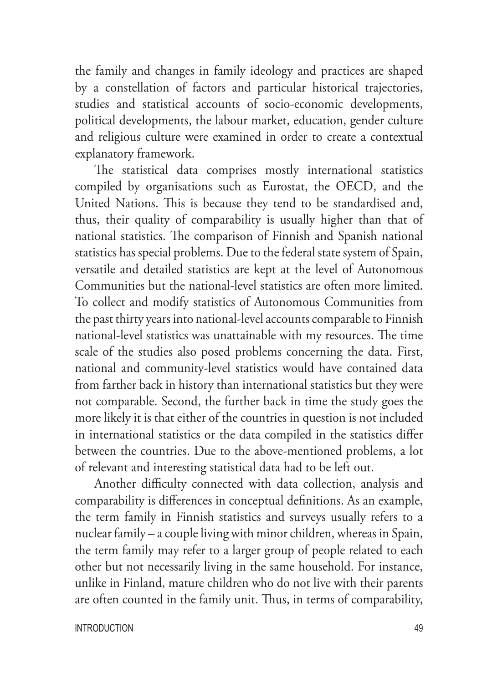the family and changes in family ideology and practices are shaped by a constellation of factors and particular historical trajectories, studies and statistical accounts of socio-economic developments, political developments, the labour market, education, gender culture and religious culture were examined in order to create a contextual explanatory framework.

The statistical data comprises mostly international statistics compiled by organisations such as Eurostat, the OECD, and the United Nations. This is because they tend to be standardised and, thus, their quality of comparability is usually higher than that of national statistics. The comparison of Finnish and Spanish national statistics has special problems. Due to the federal state system of Spain, versatile and detailed statistics are kept at the level of Autonomous Communities but the national-level statistics are often more limited. To collect and modify statistics of Autonomous Communities from the past thirty years into national-level accounts comparable to Finnish national-level statistics was unattainable with my resources. The time scale of the studies also posed problems concerning the data. First, national and community-level statistics would have contained data from farther back in history than international statistics but they were not comparable. Second, the further back in time the study goes the more likely it is that either of the countries in question is not included in international statistics or the data compiled in the statistics differ between the countries. Due to the above-mentioned problems, a lot of relevant and interesting statistical data had to be left out.

Another difficulty connected with data collection, analysis and comparability is differences in conceptual definitions. As an example, the term family in Finnish statistics and surveys usually refers to a nuclear family – a couple living with minor children, whereas in Spain, the term family may refer to a larger group of people related to each other but not necessarily living in the same household. For instance, unlike in Finland, mature children who do not live with their parents are often counted in the family unit. Thus, in terms of comparability,

INTRODUCTION 49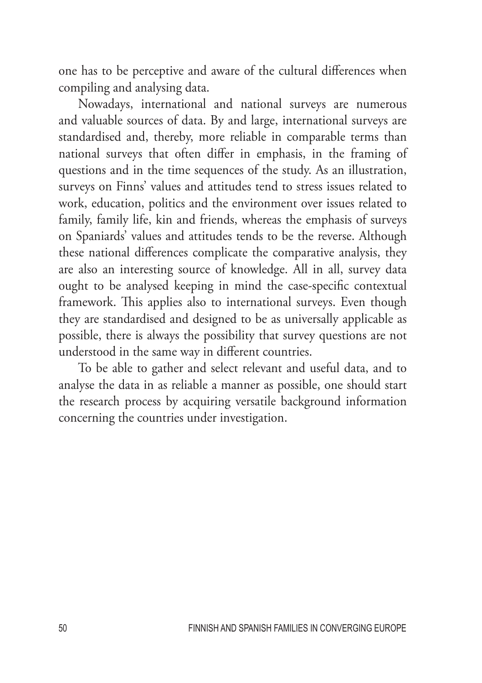one has to be perceptive and aware of the cultural differences when compiling and analysing data.

Nowadays, international and national surveys are numerous and valuable sources of data. By and large, international surveys are standardised and, thereby, more reliable in comparable terms than national surveys that often differ in emphasis, in the framing of questions and in the time sequences of the study. As an illustration, surveys on Finns' values and attitudes tend to stress issues related to work, education, politics and the environment over issues related to family, family life, kin and friends, whereas the emphasis of surveys on Spaniards' values and attitudes tends to be the reverse. Although these national differences complicate the comparative analysis, they are also an interesting source of knowledge. All in all, survey data ought to be analysed keeping in mind the case-specific contextual framework. This applies also to international surveys. Even though they are standardised and designed to be as universally applicable as possible, there is always the possibility that survey questions are not understood in the same way in different countries.

To be able to gather and select relevant and useful data, and to analyse the data in as reliable a manner as possible, one should start the research process by acquiring versatile background information concerning the countries under investigation.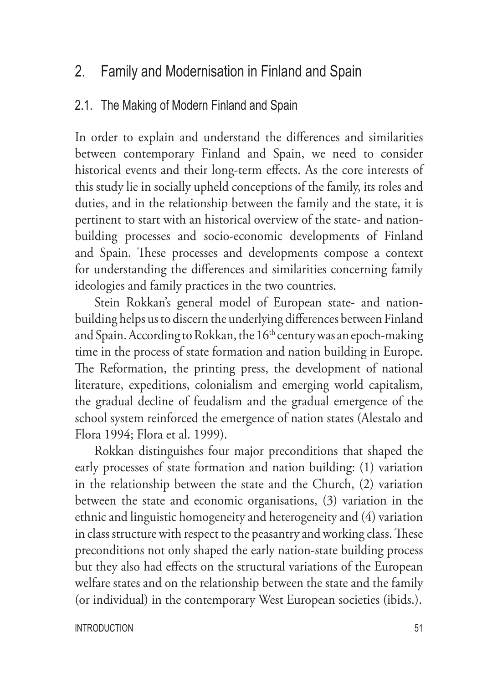# 2. Family and Modernisation in Finland and Spain

# 2.1. The Making of Modern Finland and Spain

In order to explain and understand the differences and similarities between contemporary Finland and Spain, we need to consider historical events and their long-term effects. As the core interests of this study lie in socially upheld conceptions of the family, its roles and duties, and in the relationship between the family and the state, it is pertinent to start with an historical overview of the state- and nationbuilding processes and socio-economic developments of Finland and Spain. These processes and developments compose a context for understanding the differences and similarities concerning family ideologies and family practices in the two countries.

Stein Rokkan's general model of European state- and nationbuilding helps us to discern the underlying differences between Finland and Spain. According to Rokkan, the 16<sup>th</sup> century was an epoch-making time in the process of state formation and nation building in Europe. The Reformation, the printing press, the development of national literature, expeditions, colonialism and emerging world capitalism, the gradual decline of feudalism and the gradual emergence of the school system reinforced the emergence of nation states (Alestalo and Flora 1994; Flora et al. 1999).

Rokkan distinguishes four major preconditions that shaped the early processes of state formation and nation building: (1) variation in the relationship between the state and the Church, (2) variation between the state and economic organisations, (3) variation in the ethnic and linguistic homogeneity and heterogeneity and (4) variation in class structure with respect to the peasantry and working class. These preconditions not only shaped the early nation-state building process but they also had effects on the structural variations of the European welfare states and on the relationship between the state and the family (or individual) in the contemporary West European societies (ibids.).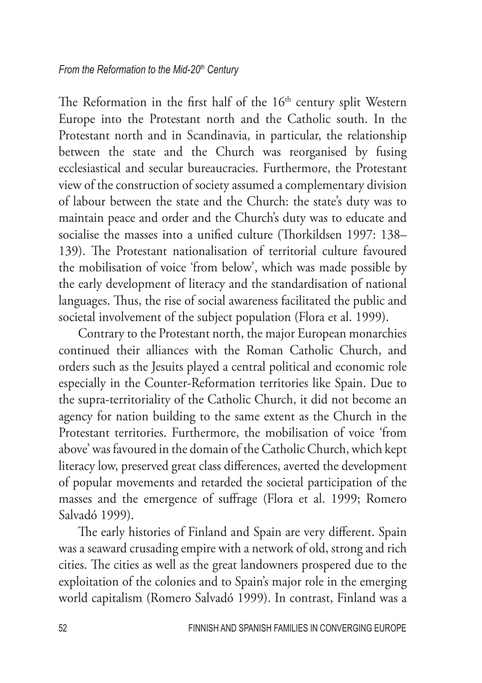The Reformation in the first half of the 16<sup>th</sup> century split Western Europe into the Protestant north and the Catholic south. In the Protestant north and in Scandinavia, in particular, the relationship between the state and the Church was reorganised by fusing ecclesiastical and secular bureaucracies. Furthermore, the Protestant view of the construction of society assumed a complementary division of labour between the state and the Church: the state's duty was to maintain peace and order and the Church's duty was to educate and socialise the masses into a unified culture (Thorkildsen 1997: 138– 139). The Protestant nationalisation of territorial culture favoured the mobilisation of voice 'from below', which was made possible by the early development of literacy and the standardisation of national languages. Thus, the rise of social awareness facilitated the public and societal involvement of the subject population (Flora et al. 1999).

Contrary to the Protestant north, the major European monarchies continued their alliances with the Roman Catholic Church, and orders such as the Jesuits played a central political and economic role especially in the Counter-Reformation territories like Spain. Due to the supra-territoriality of the Catholic Church, it did not become an agency for nation building to the same extent as the Church in the Protestant territories. Furthermore, the mobilisation of voice 'from above' was favoured in the domain of the Catholic Church, which kept literacy low, preserved great class differences, averted the development of popular movements and retarded the societal participation of the masses and the emergence of suffrage (Flora et al. 1999; Romero Salvadó 1999).

The early histories of Finland and Spain are very different. Spain was a seaward crusading empire with a network of old, strong and rich cities. The cities as well as the great landowners prospered due to the exploitation of the colonies and to Spain's major role in the emerging world capitalism (Romero Salvadó 1999). In contrast, Finland was a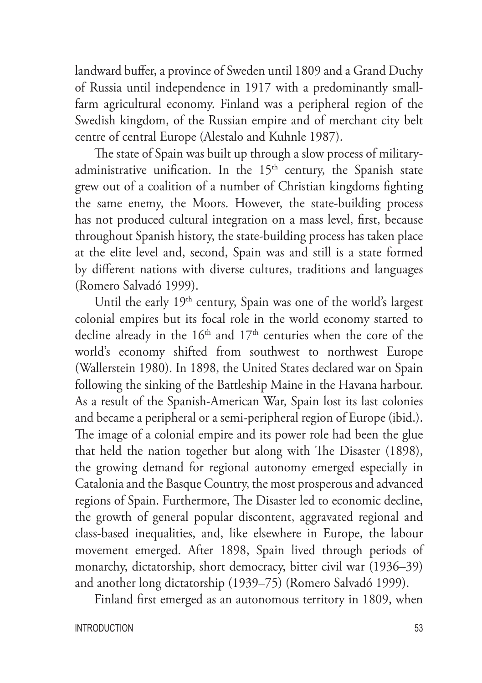landward buffer, a province of Sweden until 1809 and a Grand Duchy of Russia until independence in 1917 with a predominantly smallfarm agricultural economy. Finland was a peripheral region of the Swedish kingdom, of the Russian empire and of merchant city belt centre of central Europe (Alestalo and Kuhnle 1987).

The state of Spain was built up through a slow process of militaryadministrative unification. In the  $15<sup>th</sup>$  century, the Spanish state grew out of a coalition of a number of Christian kingdoms fighting the same enemy, the Moors. However, the state-building process has not produced cultural integration on a mass level, first, because throughout Spanish history, the state-building process has taken place at the elite level and, second, Spain was and still is a state formed by different nations with diverse cultures, traditions and languages (Romero Salvadó 1999).

Until the early 19<sup>th</sup> century, Spain was one of the world's largest colonial empires but its focal role in the world economy started to decline already in the  $16<sup>th</sup>$  and  $17<sup>th</sup>$  centuries when the core of the world's economy shifted from southwest to northwest Europe (Wallerstein 1980). In 1898, the United States declared war on Spain following the sinking of the Battleship Maine in the Havana harbour. As a result of the Spanish-American War, Spain lost its last colonies and became a peripheral or a semi-peripheral region of Europe (ibid.). The image of a colonial empire and its power role had been the glue that held the nation together but along with The Disaster (1898), the growing demand for regional autonomy emerged especially in Catalonia and the Basque Country, the most prosperous and advanced regions of Spain. Furthermore, The Disaster led to economic decline, the growth of general popular discontent, aggravated regional and class-based inequalities, and, like elsewhere in Europe, the labour movement emerged. After 1898, Spain lived through periods of monarchy, dictatorship, short democracy, bitter civil war (1936–39) and another long dictatorship (1939–75) (Romero Salvadó 1999).

Finland first emerged as an autonomous territory in 1809, when

INTRODUCTION 53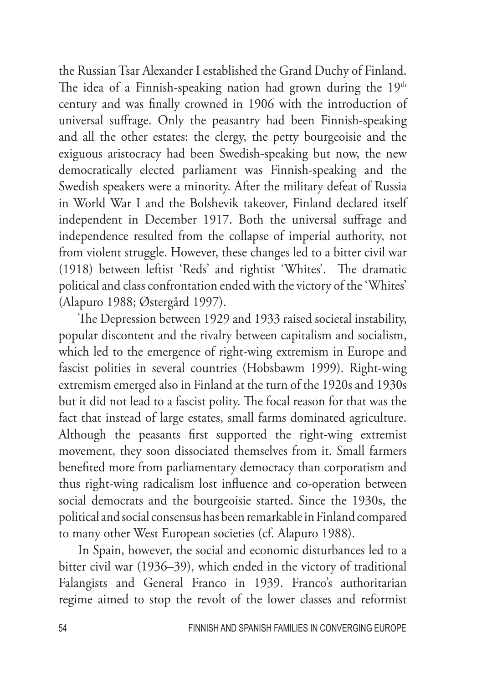the Russian Tsar Alexander I established the Grand Duchy of Finland. The idea of a Finnish-speaking nation had grown during the  $19<sup>th</sup>$ century and was finally crowned in 1906 with the introduction of universal suffrage. Only the peasantry had been Finnish-speaking and all the other estates: the clergy, the petty bourgeoisie and the exiguous aristocracy had been Swedish-speaking but now, the new democratically elected parliament was Finnish-speaking and the Swedish speakers were a minority. After the military defeat of Russia in World War I and the Bolshevik takeover, Finland declared itself independent in December 1917. Both the universal suffrage and independence resulted from the collapse of imperial authority, not from violent struggle. However, these changes led to a bitter civil war (1918) between leftist 'Reds' and rightist 'Whites'. The dramatic political and class confrontation ended with the victory of the 'Whites' (Alapuro 1988; Østergård 1997).

The Depression between 1929 and 1933 raised societal instability, popular discontent and the rivalry between capitalism and socialism, which led to the emergence of right-wing extremism in Europe and fascist polities in several countries (Hobsbawm 1999). Right-wing extremism emerged also in Finland at the turn of the 1920s and 1930s but it did not lead to a fascist polity. The focal reason for that was the fact that instead of large estates, small farms dominated agriculture. Although the peasants first supported the right-wing extremist movement, they soon dissociated themselves from it. Small farmers benefited more from parliamentary democracy than corporatism and thus right-wing radicalism lost influence and co-operation between social democrats and the bourgeoisie started. Since the 1930s, the political and social consensus has been remarkable in Finland compared to many other West European societies (cf. Alapuro 1988).

In Spain, however, the social and economic disturbances led to a bitter civil war (1936–39), which ended in the victory of traditional Falangists and General Franco in 1939. Franco's authoritarian regime aimed to stop the revolt of the lower classes and reformist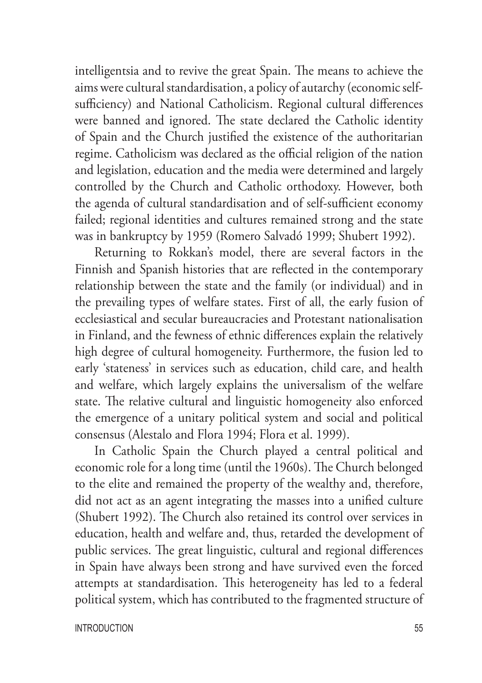intelligentsia and to revive the great Spain. The means to achieve the aims were cultural standardisation, a policy of autarchy (economic selfsufficiency) and National Catholicism. Regional cultural differences were banned and ignored. The state declared the Catholic identity of Spain and the Church justified the existence of the authoritarian regime. Catholicism was declared as the official religion of the nation and legislation, education and the media were determined and largely controlled by the Church and Catholic orthodoxy. However, both the agenda of cultural standardisation and of self-sufficient economy failed; regional identities and cultures remained strong and the state was in bankruptcy by 1959 (Romero Salvadó 1999; Shubert 1992).

Returning to Rokkan's model, there are several factors in the Finnish and Spanish histories that are reflected in the contemporary relationship between the state and the family (or individual) and in the prevailing types of welfare states. First of all, the early fusion of ecclesiastical and secular bureaucracies and Protestant nationalisation in Finland, and the fewness of ethnic differences explain the relatively high degree of cultural homogeneity. Furthermore, the fusion led to early 'stateness' in services such as education, child care, and health and welfare, which largely explains the universalism of the welfare state. The relative cultural and linguistic homogeneity also enforced the emergence of a unitary political system and social and political consensus (Alestalo and Flora 1994; Flora et al. 1999).

In Catholic Spain the Church played a central political and economic role for a long time (until the 1960s). The Church belonged to the elite and remained the property of the wealthy and, therefore, did not act as an agent integrating the masses into a unified culture (Shubert 1992). The Church also retained its control over services in education, health and welfare and, thus, retarded the development of public services. The great linguistic, cultural and regional differences in Spain have always been strong and have survived even the forced attempts at standardisation. This heterogeneity has led to a federal political system, which has contributed to the fragmented structure of

**INTRODUCTION** 55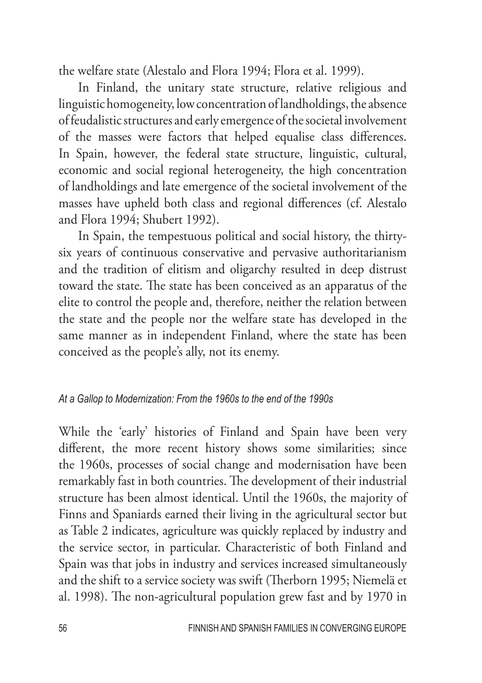the welfare state (Alestalo and Flora 1994; Flora et al. 1999).

In Finland, the unitary state structure, relative religious and linguistic homogeneity, low concentration of landholdings, the absence of feudalistic structures and early emergence of the societal involvement of the masses were factors that helped equalise class differences. In Spain, however, the federal state structure, linguistic, cultural, economic and social regional heterogeneity, the high concentration of landholdings and late emergence of the societal involvement of the masses have upheld both class and regional differences (cf. Alestalo and Flora 1994; Shubert 1992).

In Spain, the tempestuous political and social history, the thirtysix years of continuous conservative and pervasive authoritarianism and the tradition of elitism and oligarchy resulted in deep distrust toward the state. The state has been conceived as an apparatus of the elite to control the people and, therefore, neither the relation between the state and the people nor the welfare state has developed in the same manner as in independent Finland, where the state has been conceived as the people's ally, not its enemy.

# *At a Gallop to Modernization: From the 1960s to the end of the 1990s*

While the 'early' histories of Finland and Spain have been very different, the more recent history shows some similarities; since the 1960s, processes of social change and modernisation have been remarkably fast in both countries. The development of their industrial structure has been almost identical. Until the 1960s, the majority of Finns and Spaniards earned their living in the agricultural sector but as Table 2 indicates, agriculture was quickly replaced by industry and the service sector, in particular. Characteristic of both Finland and Spain was that jobs in industry and services increased simultaneously and the shift to a service society was swift (Therborn 1995; Niemelä et al. 1998). The non-agricultural population grew fast and by 1970 in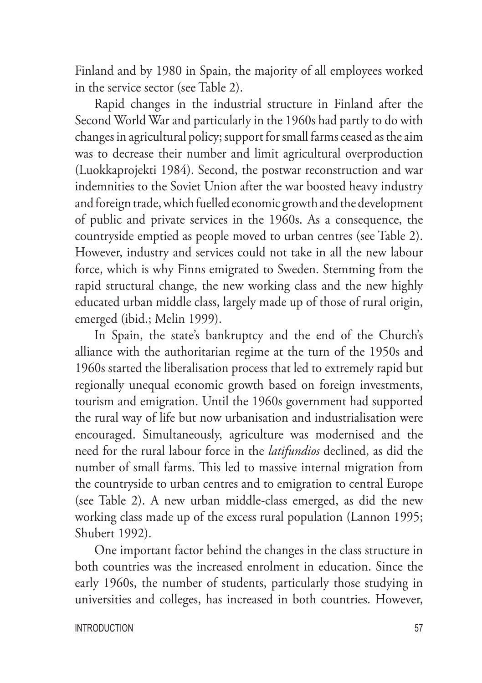Finland and by 1980 in Spain, the majority of all employees worked in the service sector (see Table 2).

Rapid changes in the industrial structure in Finland after the Second World War and particularly in the 1960s had partly to do with changes in agricultural policy; support for small farms ceased as the aim was to decrease their number and limit agricultural overproduction (Luokkaprojekti 1984). Second, the postwar reconstruction and war indemnities to the Soviet Union after the war boosted heavy industry and foreign trade, which fuelled economic growth and the development of public and private services in the 1960s. As a consequence, the countryside emptied as people moved to urban centres (see Table 2). However, industry and services could not take in all the new labour force, which is why Finns emigrated to Sweden. Stemming from the rapid structural change, the new working class and the new highly educated urban middle class, largely made up of those of rural origin, emerged (ibid.; Melin 1999).

In Spain, the state's bankruptcy and the end of the Church's alliance with the authoritarian regime at the turn of the 1950s and 1960s started the liberalisation process that led to extremely rapid but regionally unequal economic growth based on foreign investments, tourism and emigration. Until the 1960s government had supported the rural way of life but now urbanisation and industrialisation were encouraged. Simultaneously, agriculture was modernised and the need for the rural labour force in the *latifundios* declined, as did the number of small farms. This led to massive internal migration from the countryside to urban centres and to emigration to central Europe (see Table 2). A new urban middle-class emerged, as did the new working class made up of the excess rural population (Lannon 1995; Shubert 1992).

One important factor behind the changes in the class structure in both countries was the increased enrolment in education. Since the early 1960s, the number of students, particularly those studying in universities and colleges, has increased in both countries. However,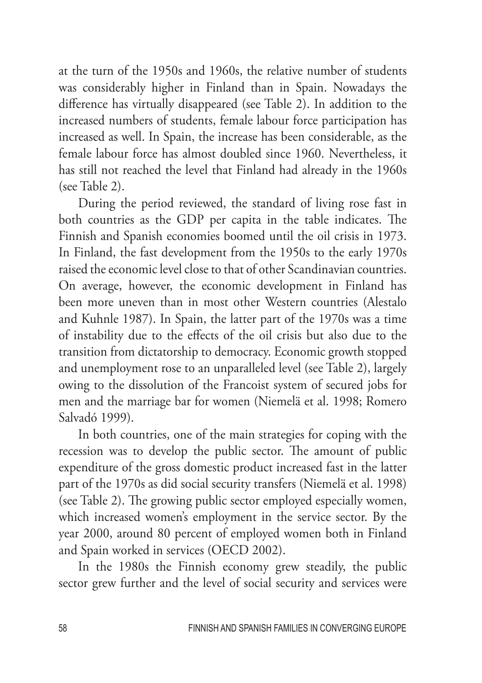at the turn of the 1950s and 1960s, the relative number of students was considerably higher in Finland than in Spain. Nowadays the difference has virtually disappeared (see Table 2). In addition to the increased numbers of students, female labour force participation has increased as well. In Spain, the increase has been considerable, as the female labour force has almost doubled since 1960. Nevertheless, it has still not reached the level that Finland had already in the 1960s (see Table 2).

During the period reviewed, the standard of living rose fast in both countries as the GDP per capita in the table indicates. The Finnish and Spanish economies boomed until the oil crisis in 1973. In Finland, the fast development from the 1950s to the early 1970s raised the economic level close to that of other Scandinavian countries. On average, however, the economic development in Finland has been more uneven than in most other Western countries (Alestalo and Kuhnle 1987). In Spain, the latter part of the 1970s was a time of instability due to the effects of the oil crisis but also due to the transition from dictatorship to democracy. Economic growth stopped and unemployment rose to an unparalleled level (see Table 2), largely owing to the dissolution of the Francoist system of secured jobs for men and the marriage bar for women (Niemelä et al. 1998; Romero Salvadó 1999).

In both countries, one of the main strategies for coping with the recession was to develop the public sector. The amount of public expenditure of the gross domestic product increased fast in the latter part of the 1970s as did social security transfers (Niemelä et al. 1998) (see Table 2). The growing public sector employed especially women, which increased women's employment in the service sector. By the year 2000, around 80 percent of employed women both in Finland and Spain worked in services (OECD 2002).

In the 1980s the Finnish economy grew steadily, the public sector grew further and the level of social security and services were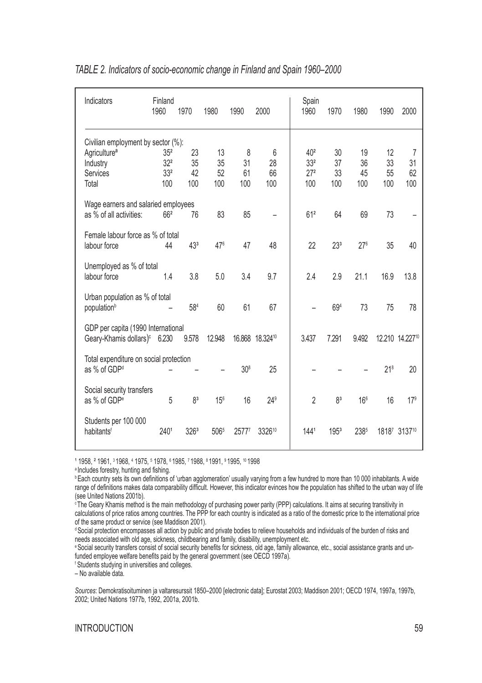| Indicators                                                                                      | Finland<br>1960                                       | 1970                  | 1980                  | 1990                 | 2000                 | Spain<br>1960                                                | 1970                  | 1980                  | 1990                  | 2000                 |
|-------------------------------------------------------------------------------------------------|-------------------------------------------------------|-----------------------|-----------------------|----------------------|----------------------|--------------------------------------------------------------|-----------------------|-----------------------|-----------------------|----------------------|
| Civilian employment by sector (%):<br>Agriculture <sup>a</sup><br>Industry<br>Services<br>Total | 35 <sup>2</sup><br>$32^{2}$<br>33 <sup>2</sup><br>100 | 23<br>35<br>42<br>100 | 13<br>35<br>52<br>100 | 8<br>31<br>61<br>100 | 6<br>28<br>66<br>100 | 40 <sup>2</sup><br>33 <sup>2</sup><br>27 <sup>2</sup><br>100 | 30<br>37<br>33<br>100 | 19<br>36<br>45<br>100 | 12<br>33<br>55<br>100 | 7<br>31<br>62<br>100 |
| Wage earners and salaried employees<br>as % of all activities:                                  | 66 <sup>2</sup>                                       | 76                    | 83                    | 85                   |                      | 61 <sup>2</sup>                                              | 64                    | 69                    | 73                    |                      |
| Female labour force as % of total<br>labour force                                               | 44                                                    | $43^{3}$              | 476                   | 47                   | 48                   | 22                                                           | 23 <sup>3</sup>       | $27^{6}$              | 35                    | 40                   |
| Unemployed as % of total<br>labour force                                                        | 1.4                                                   | 3.8                   | 5.0                   | 3.4                  | 9.7                  | 2.4                                                          | 2.9                   | 21.1                  | 16.9                  | 13.8                 |
| Urban population as % of total<br>population <sup>b</sup>                                       |                                                       | 584                   | 60                    | 61                   | 67                   |                                                              | 694                   | 73                    | 75                    | 78                   |
| GDP per capita (1990 International<br>Geary-Khamis dollars) <sup>c</sup> 6.230                  |                                                       | 9.578                 | 12.948                |                      | 16.868 18.32410      | 3.437                                                        | 7.291                 | 9.492                 |                       | 12.210 14.22710      |
| Total expenditure on social protection<br>as % of GDP <sup>d</sup>                              |                                                       |                       |                       | 30 <sup>8</sup>      | 25                   |                                                              |                       |                       | 21 <sup>8</sup>       | 20                   |
| Social security transfers<br>as % of GDP <sup>e</sup>                                           | 5                                                     | 8 <sup>3</sup>        | $15^{6}$              | 16                   | $24^{9}$             | $\overline{2}$                                               | $R^3$                 | 16 <sup>6</sup>       | 16                    | $17^{9}$             |
| Students per 100 000<br>habitantsf                                                              | 2401                                                  | 326 <sup>3</sup>      | 5065                  | 25777                | 332610               | 1441                                                         | $195^{3}$             | 2385                  |                       | 18187 313710         |

*TABLE 2. Indicators of socio-economic change in Finland and Spain 1960–2000*

<sup>າ</sup> 1958, <del>′</del> 1961, <sup>∢</sup> 1968, <del>'</del> 1975, <sub>ິ</sub> 1978, ' 1985, ′ 1988, ' 1991, ' 1995, ™1998

<sup>a</sup> Includes forestry, hunting and fishing.

**b Each country sets its own definitions of 'urban agglomeration' usually varying from a few hundred to more than 10 000 inhabitants. A wide** range of definitions makes data comparability difficult. However, this indicator evinces how the population has shifted to the urban way of life (see United Nations 2001b).

 $\epsilon$  The Geary Khamis method is the main methodology of purchasing power parity (PPP) calculations. It aims at securing transitivity in calculations of price ratios among countries. The PPP for each country is indicated as a ratio of the domestic price to the international price of the same product or service (see Maddison 2001).

<sup>d</sup> Social protection encompasses all action by public and private bodies to relieve households and individuals of the burden of risks and needs associated with old age, sickness, childbearing and family, disability, unemployment etc.

e Social security transfers consist of social security benefits for sickness, old age, family allowance, etc., social assistance grants and unfunded employee welfare benefits paid by the general government (see OECD 1997a).

f Students studying in universities and colleges.

– No available data.

*Sources*: Demokratisoituminen ja valtaresurssit 1850–2000 [electronic data]; Eurostat 2003; Maddison 2001; OECD 1974, 1997a, 1997b, 2002; United Nations 1977b, 1992, 2001a, 2001b.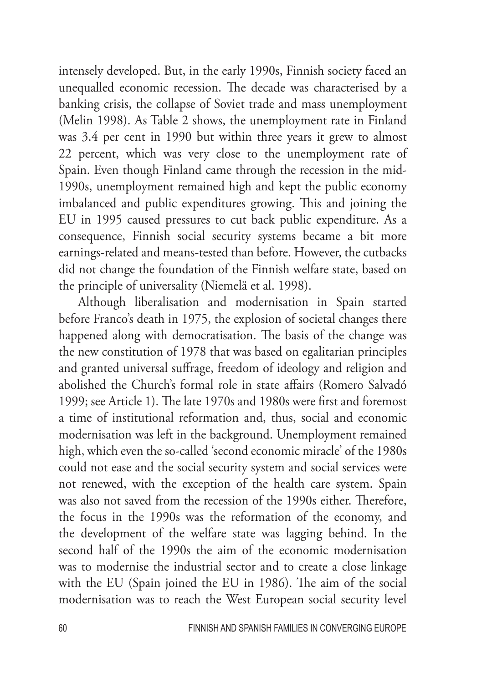intensely developed. But, in the early 1990s, Finnish society faced an unequalled economic recession. The decade was characterised by a banking crisis, the collapse of Soviet trade and mass unemployment (Melin 1998). As Table 2 shows, the unemployment rate in Finland was 3.4 per cent in 1990 but within three years it grew to almost 22 percent, which was very close to the unemployment rate of Spain. Even though Finland came through the recession in the mid-1990s, unemployment remained high and kept the public economy imbalanced and public expenditures growing. This and joining the EU in 1995 caused pressures to cut back public expenditure. As a consequence, Finnish social security systems became a bit more earnings-related and means-tested than before. However, the cutbacks did not change the foundation of the Finnish welfare state, based on the principle of universality (Niemelä et al. 1998).

Although liberalisation and modernisation in Spain started before Franco's death in 1975, the explosion of societal changes there happened along with democratisation. The basis of the change was the new constitution of 1978 that was based on egalitarian principles and granted universal suffrage, freedom of ideology and religion and abolished the Church's formal role in state affairs (Romero Salvadó 1999; see Article 1). The late 1970s and 1980s were first and foremost a time of institutional reformation and, thus, social and economic modernisation was left in the background. Unemployment remained high, which even the so-called 'second economic miracle' of the 1980s could not ease and the social security system and social services were not renewed, with the exception of the health care system. Spain was also not saved from the recession of the 1990s either. Therefore, the focus in the 1990s was the reformation of the economy, and the development of the welfare state was lagging behind. In the second half of the 1990s the aim of the economic modernisation was to modernise the industrial sector and to create a close linkage with the EU (Spain joined the EU in 1986). The aim of the social modernisation was to reach the West European social security level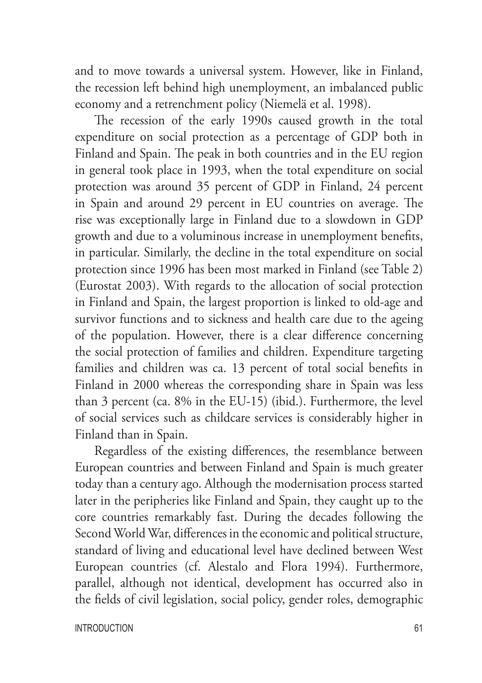and to move towards a universal system. However, like in Finland, the recession left behind high unemployment, an imbalanced public economy and a retrenchment policy (Niemelä et al. 1998).

The recession of the early 1990s caused growth in the total expenditure on social protection as a percentage of GDP both in Finland and Spain. The peak in both countries and in the EU region in general took place in 1993, when the total expenditure on social protection was around 35 percent of GDP in Finland, 24 percent in Spain and around 29 percent in EU countries on average. The rise was exceptionally large in Finland due to a slowdown in GDP growth and due to a voluminous increase in unemployment benefits, in particular. Similarly, the decline in the total expenditure on social protection since 1996 has been most marked in Finland (see Table 2) (Eurostat 2003). With regards to the allocation of social protection in Finland and Spain, the largest proportion is linked to old-age and survivor functions and to sickness and health care due to the ageing of the population. However, there is a clear difference concerning the social protection of families and children. Expenditure targeting families and children was ca. 13 percent of total social benefits in Finland in 2000 whereas the corresponding share in Spain was less than 3 percent (ca. 8% in the EU-15) (ibid.). Furthermore, the level of social services such as childcare services is considerably higher in Finland than in Spain.

Regardless of the existing differences, the resemblance between European countries and between Finland and Spain is much greater today than a century ago. Although the modernisation process started later in the peripheries like Finland and Spain, they caught up to the core countries remarkably fast. During the decades following the Second World War, differences in the economic and political structure, standard of living and educational level have declined between West European countries (cf. Alestalo and Flora 1994). Furthermore, parallel, although not identical, development has occurred also in the fields of civil legislation, social policy, gender roles, demographic

INTRODUCTION 61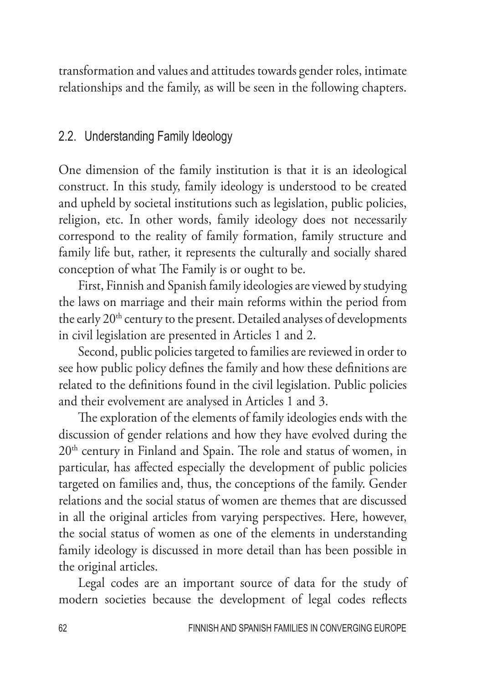transformation and values and attitudes towards gender roles, intimate relationships and the family, as will be seen in the following chapters.

## 2.2. Understanding Family Ideology

One dimension of the family institution is that it is an ideological construct. In this study, family ideology is understood to be created and upheld by societal institutions such as legislation, public policies, religion, etc. In other words, family ideology does not necessarily correspond to the reality of family formation, family structure and family life but, rather, it represents the culturally and socially shared conception of what The Family is or ought to be.

First, Finnish and Spanish family ideologies are viewed by studying the laws on marriage and their main reforms within the period from the early 20<sup>th</sup> century to the present. Detailed analyses of developments in civil legislation are presented in Articles 1 and 2.

Second, public policies targeted to families are reviewed in order to see how public policy defines the family and how these definitions are related to the definitions found in the civil legislation. Public policies and their evolvement are analysed in Articles 1 and 3.

The exploration of the elements of family ideologies ends with the discussion of gender relations and how they have evolved during the 20<sup>th</sup> century in Finland and Spain. The role and status of women, in particular, has affected especially the development of public policies targeted on families and, thus, the conceptions of the family. Gender relations and the social status of women are themes that are discussed in all the original articles from varying perspectives. Here, however, the social status of women as one of the elements in understanding family ideology is discussed in more detail than has been possible in the original articles.

Legal codes are an important source of data for the study of modern societies because the development of legal codes reflects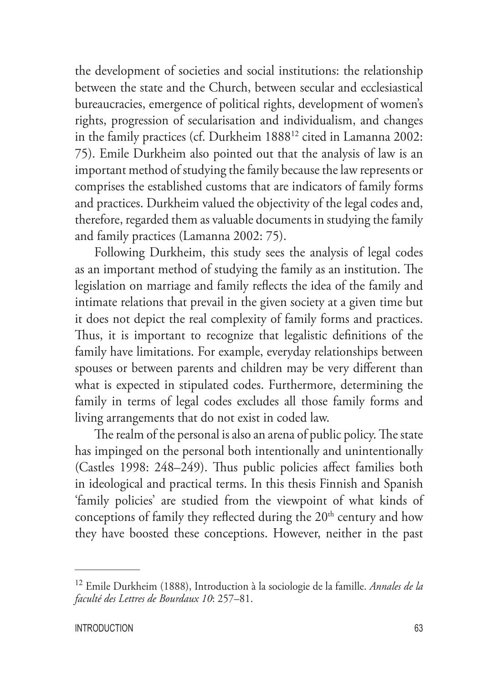the development of societies and social institutions: the relationship between the state and the Church, between secular and ecclesiastical bureaucracies, emergence of political rights, development of women's rights, progression of secularisation and individualism, and changes in the family practices (cf. Durkheim 1888<sup>12</sup> cited in Lamanna 2002: 75). Emile Durkheim also pointed out that the analysis of law is an important method of studying the family because the law represents or comprises the established customs that are indicators of family forms and practices. Durkheim valued the objectivity of the legal codes and, therefore, regarded them as valuable documents in studying the family and family practices (Lamanna 2002: 75).

Following Durkheim, this study sees the analysis of legal codes as an important method of studying the family as an institution. The legislation on marriage and family reflects the idea of the family and intimate relations that prevail in the given society at a given time but it does not depict the real complexity of family forms and practices. Thus, it is important to recognize that legalistic definitions of the family have limitations. For example, everyday relationships between spouses or between parents and children may be very different than what is expected in stipulated codes. Furthermore, determining the family in terms of legal codes excludes all those family forms and living arrangements that do not exist in coded law.

The realm of the personal is also an arena of public policy. The state has impinged on the personal both intentionally and unintentionally (Castles 1998: 248-249). Thus public policies affect families both in ideological and practical terms. In this thesis Finnish and Spanish 'family policies' are studied from the viewpoint of what kinds of conceptions of family they reflected during the  $20<sup>th</sup>$  century and how they have boosted these conceptions. However, neither in the past

<sup>12</sup> Emile Durkheim (1888), Introduction à la sociologie de la famille. *Annales de la faculté des Lettres de Bourdaux 10*: 257–81.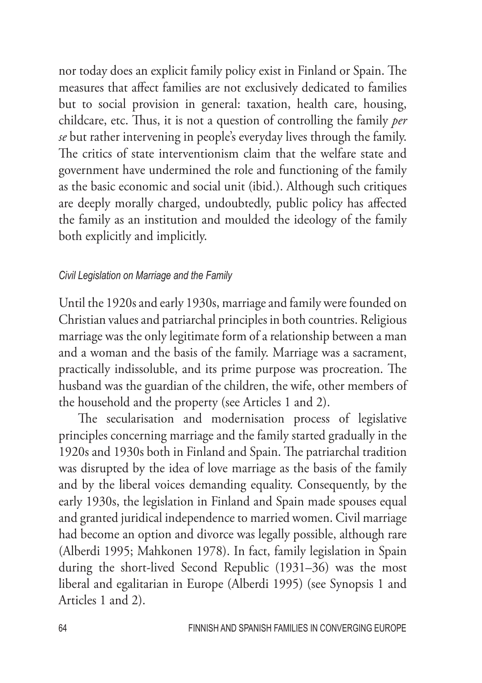nor today does an explicit family policy exist in Finland or Spain. The measures that affect families are not exclusively dedicated to families but to social provision in general: taxation, health care, housing, childcare, etc. Thus, it is not a question of controlling the family *per se* but rather intervening in people's everyday lives through the family. The critics of state interventionism claim that the welfare state and government have undermined the role and functioning of the family as the basic economic and social unit (ibid.). Although such critiques are deeply morally charged, undoubtedly, public policy has affected the family as an institution and moulded the ideology of the family both explicitly and implicitly.

#### *Civil Legislation on Marriage and the Family*

Until the 1920s and early 1930s, marriage and family were founded on Christian values and patriarchal principles in both countries. Religious marriage was the only legitimate form of a relationship between a man and a woman and the basis of the family. Marriage was a sacrament, practically indissoluble, and its prime purpose was procreation. The husband was the guardian of the children, the wife, other members of the household and the property (see Articles 1 and 2).

The secularisation and modernisation process of legislative principles concerning marriage and the family started gradually in the 1920s and 1930s both in Finland and Spain. The patriarchal tradition was disrupted by the idea of love marriage as the basis of the family and by the liberal voices demanding equality. Consequently, by the early 1930s, the legislation in Finland and Spain made spouses equal and granted juridical independence to married women. Civil marriage had become an option and divorce was legally possible, although rare (Alberdi 1995; Mahkonen 1978). In fact, family legislation in Spain during the short-lived Second Republic (1931–36) was the most liberal and egalitarian in Europe (Alberdi 1995) (see Synopsis 1 and Articles 1 and 2).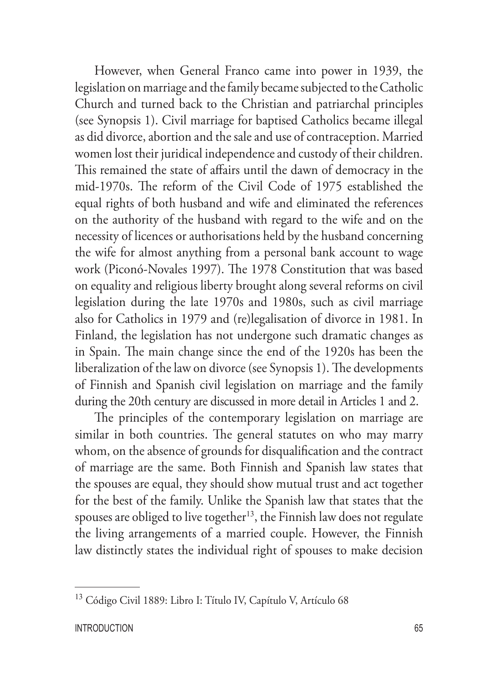However, when General Franco came into power in 1939, the legislation on marriage and the family became subjected to the Catholic Church and turned back to the Christian and patriarchal principles (see Synopsis 1). Civil marriage for baptised Catholics became illegal as did divorce, abortion and the sale and use of contraception. Married women lost their juridical independence and custody of their children. This remained the state of affairs until the dawn of democracy in the mid-1970s. The reform of the Civil Code of 1975 established the equal rights of both husband and wife and eliminated the references on the authority of the husband with regard to the wife and on the necessity of licences or authorisations held by the husband concerning the wife for almost anything from a personal bank account to wage work (Piconó-Novales 1997). The 1978 Constitution that was based on equality and religious liberty brought along several reforms on civil legislation during the late 1970s and 1980s, such as civil marriage also for Catholics in 1979 and (re)legalisation of divorce in 1981. In Finland, the legislation has not undergone such dramatic changes as in Spain. The main change since the end of the 1920s has been the liberalization of the law on divorce (see Synopsis 1). The developments of Finnish and Spanish civil legislation on marriage and the family during the 20th century are discussed in more detail in Articles 1 and 2.

The principles of the contemporary legislation on marriage are similar in both countries. The general statutes on who may marry whom, on the absence of grounds for disqualification and the contract of marriage are the same. Both Finnish and Spanish law states that the spouses are equal, they should show mutual trust and act together for the best of the family. Unlike the Spanish law that states that the spouses are obliged to live together<sup>13</sup>, the Finnish law does not regulate the living arrangements of a married couple. However, the Finnish law distinctly states the individual right of spouses to make decision

<sup>13</sup> Código Civil 1889: Libro I: Título IV, Capítulo V, Artículo 68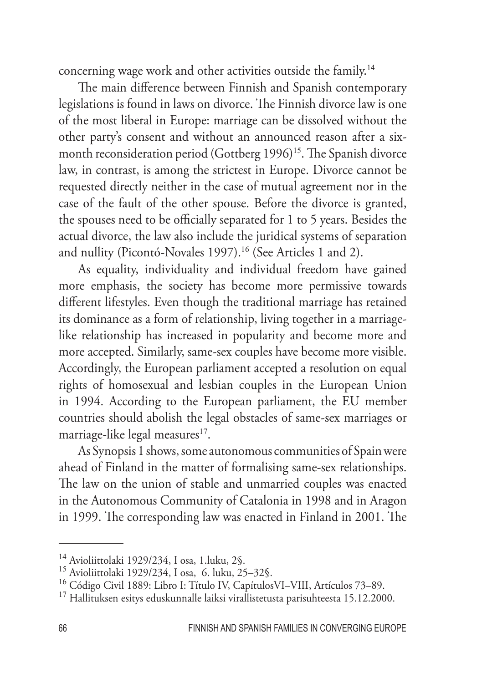concerning wage work and other activities outside the family.<sup>14</sup>

The main difference between Finnish and Spanish contemporary legislations is found in laws on divorce. The Finnish divorce law is one of the most liberal in Europe: marriage can be dissolved without the other party's consent and without an announced reason after a sixmonth reconsideration period (Gottberg 1996)<sup>15</sup>. The Spanish divorce law, in contrast, is among the strictest in Europe. Divorce cannot be requested directly neither in the case of mutual agreement nor in the case of the fault of the other spouse. Before the divorce is granted, the spouses need to be officially separated for 1 to 5 years. Besides the actual divorce, the law also include the juridical systems of separation and nullity (Picontó-Novales 1997).<sup>16</sup> (See Articles 1 and 2).

As equality, individuality and individual freedom have gained more emphasis, the society has become more permissive towards different lifestyles. Even though the traditional marriage has retained its dominance as a form of relationship, living together in a marriagelike relationship has increased in popularity and become more and more accepted. Similarly, same-sex couples have become more visible. Accordingly, the European parliament accepted a resolution on equal rights of homosexual and lesbian couples in the European Union in 1994. According to the European parliament, the EU member countries should abolish the legal obstacles of same-sex marriages or marriage-like legal measures $17$ .

As Synopsis 1 shows, some autonomous communities of Spain were ahead of Finland in the matter of formalising same-sex relationships. The law on the union of stable and unmarried couples was enacted in the Autonomous Community of Catalonia in 1998 and in Aragon in 1999. The corresponding law was enacted in Finland in 2001. The

<sup>14</sup> Avioliittolaki 1929/234, I osa, 1.luku, 2§.

<sup>15</sup> Avioliittolaki 1929/234, I osa, 6. luku, 25–32§.

<sup>16</sup> Código Civil 1889: Libro I: Título IV, CapítulosVI–VIII, Artículos 73–89. <sup>17</sup> Hallituksen esitys eduskunnalle laiksi virallistetusta parisuhteesta 15.12.2000.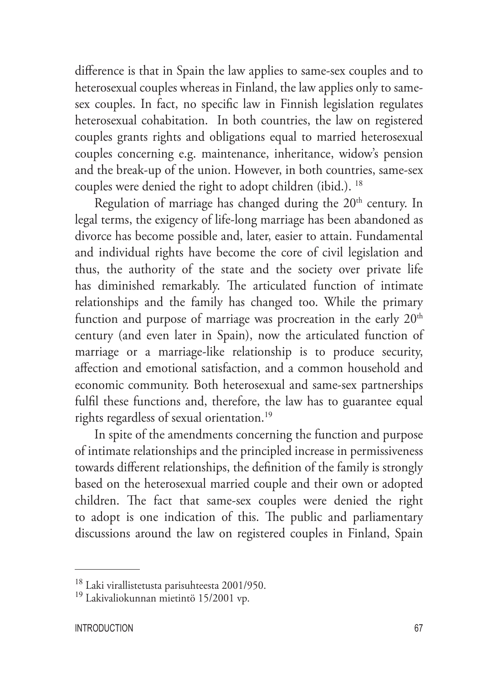difference is that in Spain the law applies to same-sex couples and to heterosexual couples whereas in Finland, the law applies only to samesex couples. In fact, no specific law in Finnish legislation regulates heterosexual cohabitation. In both countries, the law on registered couples grants rights and obligations equal to married heterosexual couples concerning e.g. maintenance, inheritance, widow's pension and the break-up of the union. However, in both countries, same-sex couples were denied the right to adopt children (ibid.). <sup>18</sup>

Regulation of marriage has changed during the  $20<sup>th</sup>$  century. In legal terms, the exigency of life-long marriage has been abandoned as divorce has become possible and, later, easier to attain. Fundamental and individual rights have become the core of civil legislation and thus, the authority of the state and the society over private life has diminished remarkably. The articulated function of intimate relationships and the family has changed too. While the primary function and purpose of marriage was procreation in the early  $20<sup>th</sup>$ century (and even later in Spain), now the articulated function of marriage or a marriage-like relationship is to produce security, affection and emotional satisfaction, and a common household and economic community. Both heterosexual and same-sex partnerships fulfil these functions and, therefore, the law has to guarantee equal rights regardless of sexual orientation.<sup>19</sup>

In spite of the amendments concerning the function and purpose of intimate relationships and the principled increase in permissiveness towards different relationships, the definition of the family is strongly based on the heterosexual married couple and their own or adopted children. The fact that same-sex couples were denied the right to adopt is one indication of this. The public and parliamentary discussions around the law on registered couples in Finland, Spain

<sup>18</sup> Laki virallistetusta parisuhteesta 2001/950. <sup>19</sup> Lakivaliokunnan mietintö 15/2001 vp.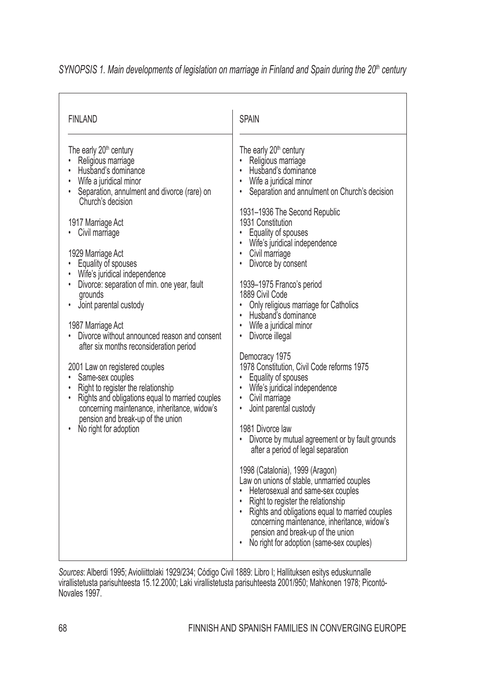| <b>FINLAND</b>                                                                                                                                                                                                                                                                                                                                                                                                                                                                                                                                                                                                                                                                                                                                                           | <b>SPAIN</b>                                                                                                                                                                                                                                                                                                                                                                                                                                                                                                                                                                                                                                                                                                                                                                                                                                                                                                                                                                                                                                                                                                                                           |
|--------------------------------------------------------------------------------------------------------------------------------------------------------------------------------------------------------------------------------------------------------------------------------------------------------------------------------------------------------------------------------------------------------------------------------------------------------------------------------------------------------------------------------------------------------------------------------------------------------------------------------------------------------------------------------------------------------------------------------------------------------------------------|--------------------------------------------------------------------------------------------------------------------------------------------------------------------------------------------------------------------------------------------------------------------------------------------------------------------------------------------------------------------------------------------------------------------------------------------------------------------------------------------------------------------------------------------------------------------------------------------------------------------------------------------------------------------------------------------------------------------------------------------------------------------------------------------------------------------------------------------------------------------------------------------------------------------------------------------------------------------------------------------------------------------------------------------------------------------------------------------------------------------------------------------------------|
| The early 20 <sup>th</sup> century<br>Religious marriage<br>Husband's dominance<br>Wife a juridical minor<br>Separation, annulment and divorce (rare) on<br>Church's decision<br>1917 Marriage Act<br>• Civil marriage<br>1929 Marriage Act<br>• Equality of spouses<br>Wife's juridical independence<br>Divorce: separation of min. one year, fault<br>grounds<br>Joint parental custody<br>1987 Marriage Act<br>• Divorce without announced reason and consent<br>after six months reconsideration period<br>2001 Law on registered couples<br>Same-sex couples<br>Right to register the relationship<br>Rights and obligations equal to married couples<br>concerning maintenance, inheritance, widow's<br>pension and break-up of the union<br>No right for adoption | The early 20 <sup>th</sup> century<br>Religious marriage<br>• Husband's dominance<br>• Wife a juridical minor<br>Separation and annulment on Church's decision<br>1931–1936 The Second Republic<br>1931 Constitution<br>Equality of spouses<br>• Wife's juridical independence<br>• Civil marriage<br>Divorce by consent<br>1939–1975 Franco's period<br>1889 Civil Code<br>• Only religious marriage for Catholics<br>Husband's dominance<br>Wife a juridical minor<br>Divorce illegal<br>Democracy 1975<br>1978 Constitution, Civil Code reforms 1975<br>Equality of spouses<br>$\bullet$<br>Wife's juridical independence<br>• Civil marriage<br>Joint parental custody<br>1981 Divorce law<br>Divorce by mutual agreement or by fault grounds<br>after a period of legal separation<br>1998 (Catalonia), 1999 (Aragon)<br>Law on unions of stable, unmarried couples<br>• Heterosexual and same-sex couples<br>Right to register the relationship<br>$\bullet$<br>Rights and obligations equal to married couples<br>concerning maintenance, inheritance, widow's<br>pension and break-up of the union<br>No right for adoption (same-sex couples) |

*SYNOPSIS 1. Main developments of legislation on marriage in Finland and Spain during the 20<sup>th</sup> century* 

*Sources*: Alberdi 1995; Avioliittolaki 1929/234; Código Civil 1889: Libro I; Hallituksen esitys eduskunnalle virallistetusta parisuhteesta 15.12.2000; Laki virallistetusta parisuhteesta 2001/950; Mahkonen 1978; Picontó-Novales 1997.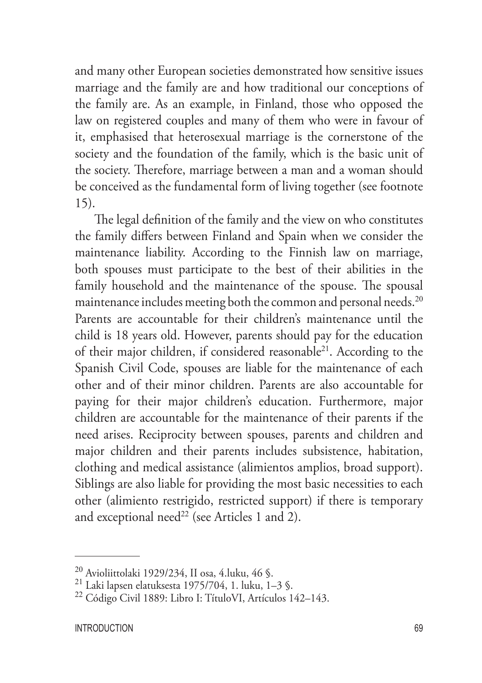and many other European societies demonstrated how sensitive issues marriage and the family are and how traditional our conceptions of the family are. As an example, in Finland, those who opposed the law on registered couples and many of them who were in favour of it, emphasised that heterosexual marriage is the cornerstone of the society and the foundation of the family, which is the basic unit of the society. Therefore, marriage between a man and a woman should be conceived as the fundamental form of living together (see footnote 15).

The legal definition of the family and the view on who constitutes the family differs between Finland and Spain when we consider the maintenance liability. According to the Finnish law on marriage, both spouses must participate to the best of their abilities in the family household and the maintenance of the spouse. The spousal maintenance includes meeting both the common and personal needs.<sup>20</sup> Parents are accountable for their children's maintenance until the child is 18 years old. However, parents should pay for the education of their major children, if considered reasonable<sup>21</sup>. According to the Spanish Civil Code, spouses are liable for the maintenance of each other and of their minor children. Parents are also accountable for paying for their major children's education. Furthermore, major children are accountable for the maintenance of their parents if the need arises. Reciprocity between spouses, parents and children and major children and their parents includes subsistence, habitation, clothing and medical assistance (alimientos amplios, broad support). Siblings are also liable for providing the most basic necessities to each other (alimiento restrigido, restricted support) if there is temporary and exceptional need<sup>22</sup> (see Articles 1 and 2).

<sup>&</sup>lt;sup>20</sup> Avioliittolaki 1929/234, II osa, 4.luku, 46 §.<br><sup>21</sup> Laki lapsen elatuksesta 1975/704, 1. luku, 1–3 §.

<sup>&</sup>lt;sup>22</sup> Código Civil 1889: Libro I: TítuloVI, Artículos 142–143.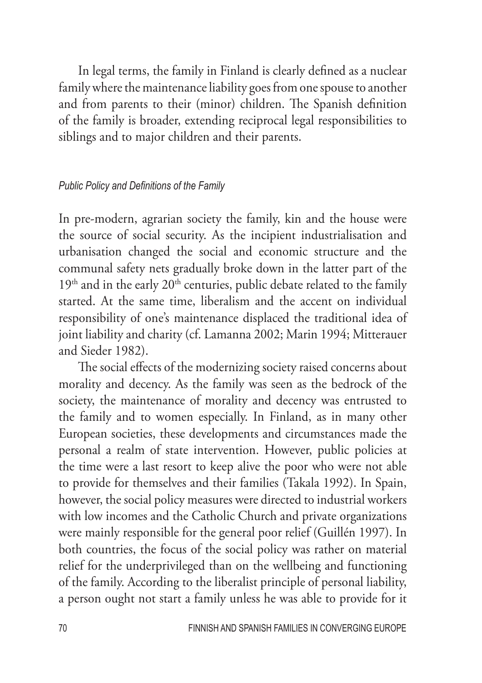In legal terms, the family in Finland is clearly defined as a nuclear family where the maintenance liability goes from one spouse to another and from parents to their (minor) children. The Spanish definition of the family is broader, extending reciprocal legal responsibilities to siblings and to major children and their parents.

#### *Public Policy and Definitions of the Family*

In pre-modern, agrarian society the family, kin and the house were the source of social security. As the incipient industrialisation and urbanisation changed the social and economic structure and the communal safety nets gradually broke down in the latter part of the  $19<sup>th</sup>$  and in the early  $20<sup>th</sup>$  centuries, public debate related to the family started. At the same time, liberalism and the accent on individual responsibility of one's maintenance displaced the traditional idea of joint liability and charity (cf. Lamanna 2002; Marin 1994; Mitterauer and Sieder 1982).

The social effects of the modernizing society raised concerns about morality and decency. As the family was seen as the bedrock of the society, the maintenance of morality and decency was entrusted to the family and to women especially. In Finland, as in many other European societies, these developments and circumstances made the personal a realm of state intervention. However, public policies at the time were a last resort to keep alive the poor who were not able to provide for themselves and their families (Takala 1992). In Spain, however, the social policy measures were directed to industrial workers with low incomes and the Catholic Church and private organizations were mainly responsible for the general poor relief (Guillén 1997). In both countries, the focus of the social policy was rather on material relief for the underprivileged than on the wellbeing and functioning of the family. According to the liberalist principle of personal liability, a person ought not start a family unless he was able to provide for it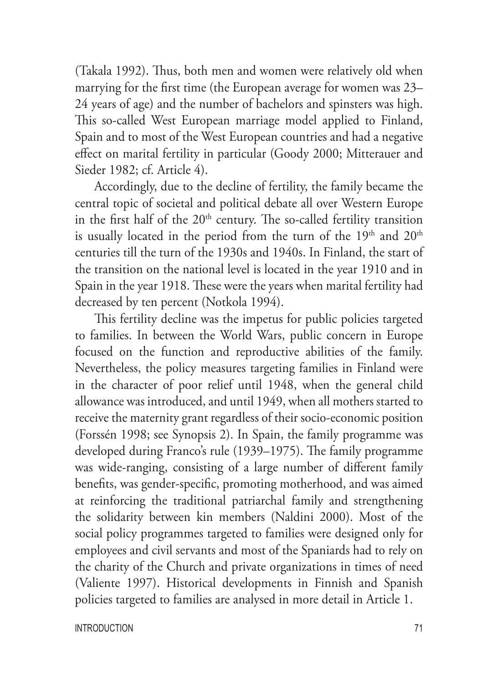(Takala 1992). Thus, both men and women were relatively old when marrying for the first time (the European average for women was 23– 24 years of age) and the number of bachelors and spinsters was high. This so-called West European marriage model applied to Finland, Spain and to most of the West European countries and had a negative effect on marital fertility in particular (Goody 2000; Mitterauer and Sieder 1982; cf. Article 4).

Accordingly, due to the decline of fertility, the family became the central topic of societal and political debate all over Western Europe in the first half of the  $20<sup>th</sup>$  century. The so-called fertility transition is usually located in the period from the turn of the  $19<sup>th</sup>$  and  $20<sup>th</sup>$ centuries till the turn of the 1930s and 1940s. In Finland, the start of the transition on the national level is located in the year 1910 and in Spain in the year 1918. These were the years when marital fertility had decreased by ten percent (Notkola 1994).

This fertility decline was the impetus for public policies targeted to families. In between the World Wars, public concern in Europe focused on the function and reproductive abilities of the family. Nevertheless, the policy measures targeting families in Finland were in the character of poor relief until 1948, when the general child allowance was introduced, and until 1949, when all mothers started to receive the maternity grant regardless of their socio-economic position (Forssén 1998; see Synopsis 2). In Spain, the family programme was developed during Franco's rule (1939–1975). The family programme was wide-ranging, consisting of a large number of different family benefits, was gender-specific, promoting motherhood, and was aimed at reinforcing the traditional patriarchal family and strengthening the solidarity between kin members (Naldini 2000). Most of the social policy programmes targeted to families were designed only for employees and civil servants and most of the Spaniards had to rely on the charity of the Church and private organizations in times of need (Valiente 1997). Historical developments in Finnish and Spanish policies targeted to families are analysed in more detail in Article 1.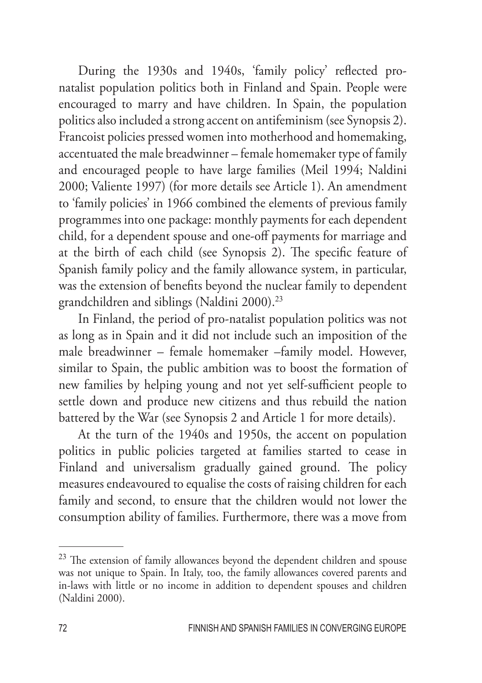During the 1930s and 1940s, 'family policy' reflected pronatalist population politics both in Finland and Spain. People were encouraged to marry and have children. In Spain, the population politics also included a strong accent on antifeminism (see Synopsis 2). Francoist policies pressed women into motherhood and homemaking, accentuated the male breadwinner – female homemaker type of family and encouraged people to have large families (Meil 1994; Naldini 2000; Valiente 1997) (for more details see Article 1). An amendment to 'family policies' in 1966 combined the elements of previous family programmes into one package: monthly payments for each dependent child, for a dependent spouse and one-off payments for marriage and at the birth of each child (see Synopsis 2). The specific feature of Spanish family policy and the family allowance system, in particular, was the extension of benefits beyond the nuclear family to dependent grandchildren and siblings (Naldini 2000).<sup>23</sup>

In Finland, the period of pro-natalist population politics was not as long as in Spain and it did not include such an imposition of the male breadwinner – female homemaker –family model. However, similar to Spain, the public ambition was to boost the formation of new families by helping young and not yet self-sufficient people to settle down and produce new citizens and thus rebuild the nation battered by the War (see Synopsis 2 and Article 1 for more details).

At the turn of the 1940s and 1950s, the accent on population politics in public policies targeted at families started to cease in Finland and universalism gradually gained ground. The policy measures endeavoured to equalise the costs of raising children for each family and second, to ensure that the children would not lower the consumption ability of families. Furthermore, there was a move from

 $23$  The extension of family allowances beyond the dependent children and spouse was not unique to Spain. In Italy, too, the family allowances covered parents and in-laws with little or no income in addition to dependent spouses and children (Naldini 2000).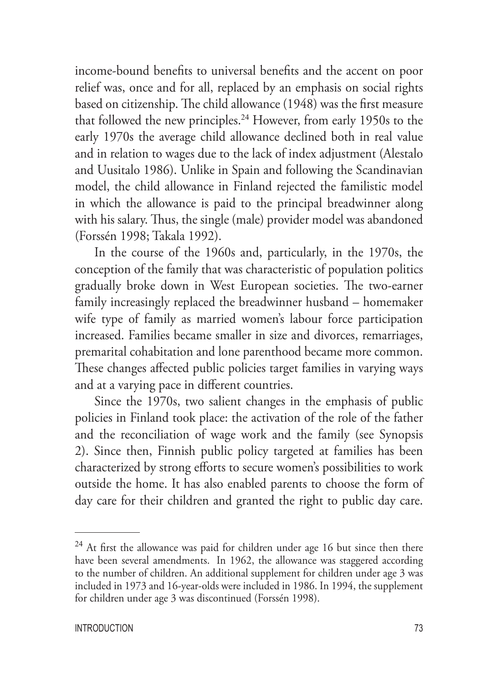income-bound benefits to universal benefits and the accent on poor relief was, once and for all, replaced by an emphasis on social rights based on citizenship. The child allowance (1948) was the first measure that followed the new principles.<sup>24</sup> However, from early 1950s to the early 1970s the average child allowance declined both in real value and in relation to wages due to the lack of index adjustment (Alestalo and Uusitalo 1986). Unlike in Spain and following the Scandinavian model, the child allowance in Finland rejected the familistic model in which the allowance is paid to the principal breadwinner along with his salary. Thus, the single (male) provider model was abandoned (Forssén 1998; Takala 1992).

In the course of the 1960s and, particularly, in the 1970s, the conception of the family that was characteristic of population politics gradually broke down in West European societies. The two-earner family increasingly replaced the breadwinner husband – homemaker wife type of family as married women's labour force participation increased. Families became smaller in size and divorces, remarriages, premarital cohabitation and lone parenthood became more common. These changes affected public policies target families in varying ways and at a varying pace in different countries.

Since the 1970s, two salient changes in the emphasis of public policies in Finland took place: the activation of the role of the father and the reconciliation of wage work and the family (see Synopsis 2). Since then, Finnish public policy targeted at families has been characterized by strong efforts to secure women's possibilities to work outside the home. It has also enabled parents to choose the form of day care for their children and granted the right to public day care.

 $24$  At first the allowance was paid for children under age 16 but since then there have been several amendments. In 1962, the allowance was staggered according to the number of children. An additional supplement for children under age 3 was included in 1973 and 16-year-olds were included in 1986. In 1994, the supplement for children under age 3 was discontinued (Forssén 1998).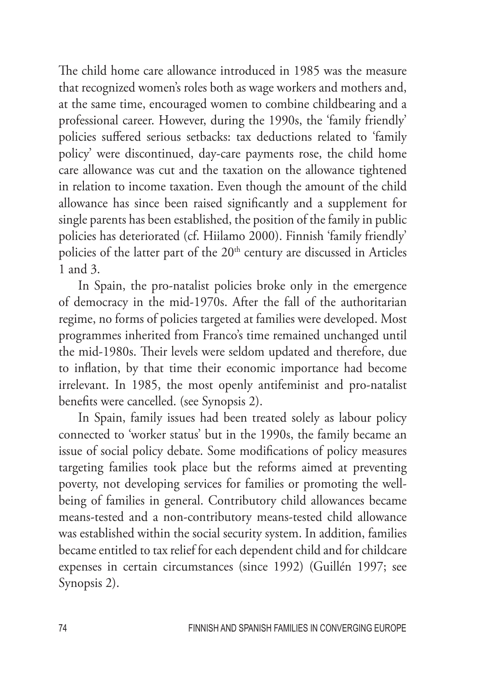The child home care allowance introduced in 1985 was the measure that recognized women's roles both as wage workers and mothers and, at the same time, encouraged women to combine childbearing and a professional career. However, during the 1990s, the 'family friendly' policies suffered serious setbacks: tax deductions related to 'family policy' were discontinued, day-care payments rose, the child home care allowance was cut and the taxation on the allowance tightened in relation to income taxation. Even though the amount of the child allowance has since been raised significantly and a supplement for single parents has been established, the position of the family in public policies has deteriorated (cf. Hiilamo 2000). Finnish 'family friendly' policies of the latter part of the 20<sup>th</sup> century are discussed in Articles 1 and 3.

In Spain, the pro-natalist policies broke only in the emergence of democracy in the mid-1970s. After the fall of the authoritarian regime, no forms of policies targeted at families were developed. Most programmes inherited from Franco's time remained unchanged until the mid-1980s. Their levels were seldom updated and therefore, due to inflation, by that time their economic importance had become irrelevant. In 1985, the most openly antifeminist and pro-natalist benefits were cancelled. (see Synopsis 2).

In Spain, family issues had been treated solely as labour policy connected to 'worker status' but in the 1990s, the family became an issue of social policy debate. Some modifications of policy measures targeting families took place but the reforms aimed at preventing poverty, not developing services for families or promoting the wellbeing of families in general. Contributory child allowances became means-tested and a non-contributory means-tested child allowance was established within the social security system. In addition, families became entitled to tax relief for each dependent child and for childcare expenses in certain circumstances (since 1992) (Guillén 1997; see Synopsis 2).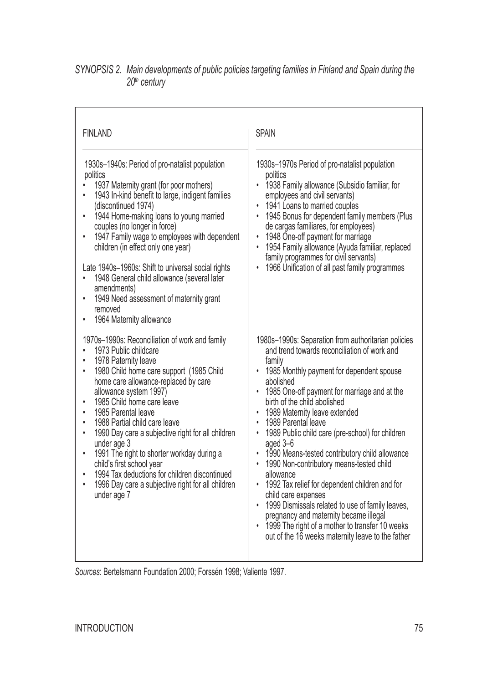## *SYNOPSIS 2. Main developments of public policies targeting families in Finland and Spain during the 20th century*

| <b>FINLAND</b>                                                                                                                                                                                                                                                                                                                                                                                                                                                                                                                                                                                           | <b>SPAIN</b>                                                                                                                                                                                                                                                                                                                                                                                                                                                                                                                                                                                                                                                                                                                                                                                           |
|----------------------------------------------------------------------------------------------------------------------------------------------------------------------------------------------------------------------------------------------------------------------------------------------------------------------------------------------------------------------------------------------------------------------------------------------------------------------------------------------------------------------------------------------------------------------------------------------------------|--------------------------------------------------------------------------------------------------------------------------------------------------------------------------------------------------------------------------------------------------------------------------------------------------------------------------------------------------------------------------------------------------------------------------------------------------------------------------------------------------------------------------------------------------------------------------------------------------------------------------------------------------------------------------------------------------------------------------------------------------------------------------------------------------------|
| 1930s-1940s: Period of pro-natalist population<br>politics<br>1937 Maternity grant (for poor mothers)<br>1943 In-kind benefit to large, indigent families<br>(discontinued 1974)<br>1944 Home-making loans to young married<br>$\bullet$<br>couples (no longer in force)<br>1947 Family wage to employees with dependent<br>$\bullet$<br>children (in effect only one year)<br>Late 1940s-1960s: Shift to universal social rights<br>1948 General child allowance (several later<br>amendments)<br>1949 Need assessment of maternity grant<br>removed<br>1964 Maternity allowance<br>٠                   | 1930s-1970s Period of pro-natalist population<br>politics<br>• 1938 Family allowance (Subsidio familiar, for<br>employees and civil servants)<br>1941 Loans to married couples<br>$\bullet$<br>1945 Bonus for dependent family members (Plus<br>de cargas familiares, for employees)<br>• 1948 One-off payment for marriage<br>• 1954 Family allowance (Ayuda familiar, replaced<br>family programmes for civil servants)<br>1966 Unification of all past family programmes<br>٠                                                                                                                                                                                                                                                                                                                       |
| 1970s-1990s: Reconciliation of work and family<br>1973 Public childcare<br>1978 Paternity leave<br>٠<br>1980 Child home care support (1985 Child<br>home care allowance-replaced by care<br>allowance system 1997)<br>1985 Child home care leave<br>1985 Parental leave<br>1988 Partial child care leave<br>٠<br>1990 Day care a subjective right for all children<br>٠<br>under age 3<br>1991 The right to shorter workday during a<br>$\bullet$<br>child's first school year<br>1994 Tax deductions for children discontinued<br>1996 Day care a subjective right for all children<br>٠<br>under age 7 | 1980s-1990s: Separation from authoritarian policies<br>and trend towards reconciliation of work and<br>family<br>• 1985 Monthly payment for dependent spouse<br>abolished<br>• 1985 One-off payment for marriage and at the<br>birth of the child abolished<br>• 1989 Maternity leave extended<br>1989 Parental leave<br>1989 Public child care (pre-school) for children<br>$\bullet$<br>aged 3-6<br>• 1990 Means-tested contributory child allowance<br>• 1990 Non-contributory means-tested child<br>allowance<br>• 1992 Tax relief for dependent children and for<br>child care expenses<br>• 1999 Dismissals related to use of family leaves,<br>pregnancy and maternity became illegal<br>• 1999 The right of a mother to transfer 10 weeks<br>out of the 16 weeks maternity leave to the father |

*Sources*: Bertelsmann Foundation 2000; Forssén 1998; Valiente 1997.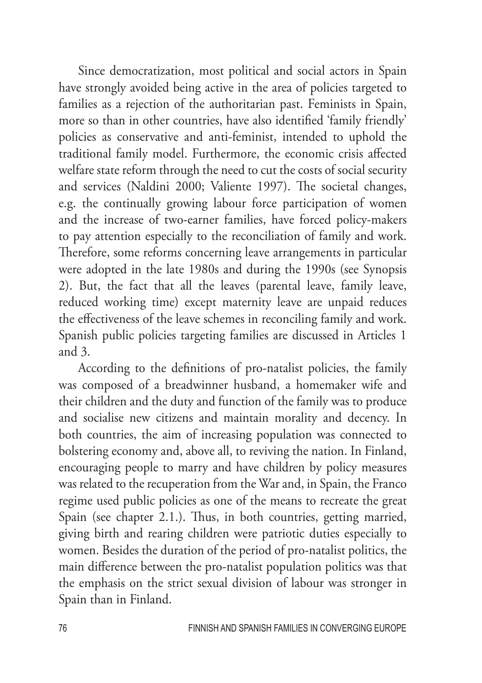Since democratization, most political and social actors in Spain have strongly avoided being active in the area of policies targeted to families as a rejection of the authoritarian past. Feminists in Spain, more so than in other countries, have also identified 'family friendly' policies as conservative and anti-feminist, intended to uphold the traditional family model. Furthermore, the economic crisis affected welfare state reform through the need to cut the costs of social security and services (Naldini 2000; Valiente 1997). The societal changes, e.g. the continually growing labour force participation of women and the increase of two-earner families, have forced policy-makers to pay attention especially to the reconciliation of family and work. Therefore, some reforms concerning leave arrangements in particular were adopted in the late 1980s and during the 1990s (see Synopsis 2). But, the fact that all the leaves (parental leave, family leave, reduced working time) except maternity leave are unpaid reduces the effectiveness of the leave schemes in reconciling family and work. Spanish public policies targeting families are discussed in Articles 1 and 3.

According to the definitions of pro-natalist policies, the family was composed of a breadwinner husband, a homemaker wife and their children and the duty and function of the family was to produce and socialise new citizens and maintain morality and decency. In both countries, the aim of increasing population was connected to bolstering economy and, above all, to reviving the nation. In Finland, encouraging people to marry and have children by policy measures was related to the recuperation from the War and, in Spain, the Franco regime used public policies as one of the means to recreate the great Spain (see chapter 2.1.). Thus, in both countries, getting married, giving birth and rearing children were patriotic duties especially to women. Besides the duration of the period of pro-natalist politics, the main difference between the pro-natalist population politics was that the emphasis on the strict sexual division of labour was stronger in Spain than in Finland.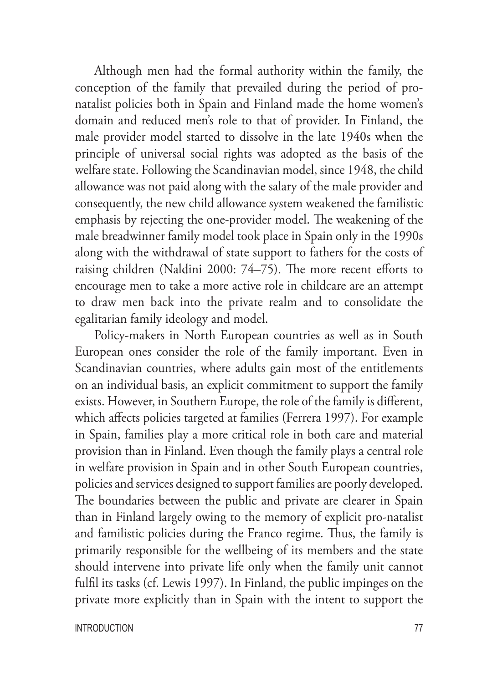Although men had the formal authority within the family, the conception of the family that prevailed during the period of pronatalist policies both in Spain and Finland made the home women's domain and reduced men's role to that of provider. In Finland, the male provider model started to dissolve in the late 1940s when the principle of universal social rights was adopted as the basis of the welfare state. Following the Scandinavian model, since 1948, the child allowance was not paid along with the salary of the male provider and consequently, the new child allowance system weakened the familistic emphasis by rejecting the one-provider model. The weakening of the male breadwinner family model took place in Spain only in the 1990s along with the withdrawal of state support to fathers for the costs of raising children (Naldini 2000: 74–75). The more recent efforts to encourage men to take a more active role in childcare are an attempt to draw men back into the private realm and to consolidate the egalitarian family ideology and model.

Policy-makers in North European countries as well as in South European ones consider the role of the family important. Even in Scandinavian countries, where adults gain most of the entitlements on an individual basis, an explicit commitment to support the family exists. However, in Southern Europe, the role of the family is different, which affects policies targeted at families (Ferrera 1997). For example in Spain, families play a more critical role in both care and material provision than in Finland. Even though the family plays a central role in welfare provision in Spain and in other South European countries, policies and services designed to support families are poorly developed. The boundaries between the public and private are clearer in Spain than in Finland largely owing to the memory of explicit pro-natalist and familistic policies during the Franco regime. Thus, the family is primarily responsible for the wellbeing of its members and the state should intervene into private life only when the family unit cannot fulfil its tasks (cf. Lewis 1997). In Finland, the public impinges on the private more explicitly than in Spain with the intent to support the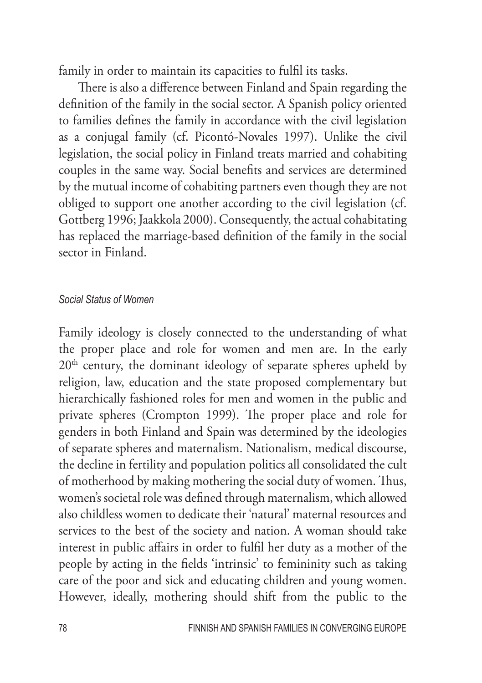family in order to maintain its capacities to fulfil its tasks.

There is also a difference between Finland and Spain regarding the definition of the family in the social sector. A Spanish policy oriented to families defines the family in accordance with the civil legislation as a conjugal family (cf. Picontó-Novales 1997). Unlike the civil legislation, the social policy in Finland treats married and cohabiting couples in the same way. Social benefits and services are determined by the mutual income of cohabiting partners even though they are not obliged to support one another according to the civil legislation (cf. Gottberg 1996; Jaakkola 2000). Consequently, the actual cohabitating has replaced the marriage-based definition of the family in the social sector in Finland.

### *Social Status of Women*

Family ideology is closely connected to the understanding of what the proper place and role for women and men are. In the early  $20<sup>th</sup>$  century, the dominant ideology of separate spheres upheld by religion, law, education and the state proposed complementary but hierarchically fashioned roles for men and women in the public and private spheres (Crompton 1999). The proper place and role for genders in both Finland and Spain was determined by the ideologies of separate spheres and maternalism. Nationalism, medical discourse, the decline in fertility and population politics all consolidated the cult of motherhood by making mothering the social duty of women. Thus, women's societal role was defined through maternalism, which allowed also childless women to dedicate their 'natural' maternal resources and services to the best of the society and nation. A woman should take interest in public affairs in order to fulfil her duty as a mother of the people by acting in the fields 'intrinsic' to femininity such as taking care of the poor and sick and educating children and young women. However, ideally, mothering should shift from the public to the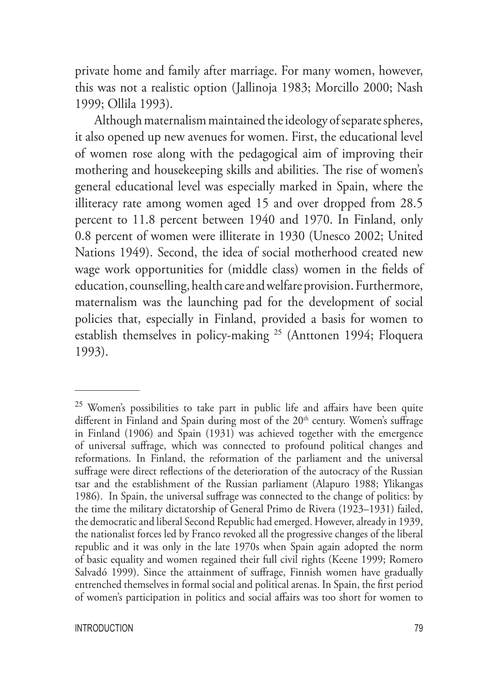private home and family after marriage. For many women, however, this was not a realistic option (Jallinoja 1983; Morcillo 2000; Nash 1999; Ollila 1993).

Although maternalism maintained the ideology of separate spheres, it also opened up new avenues for women. First, the educational level of women rose along with the pedagogical aim of improving their mothering and housekeeping skills and abilities. The rise of women's general educational level was especially marked in Spain, where the illiteracy rate among women aged 15 and over dropped from 28.5 percent to 11.8 percent between 1940 and 1970. In Finland, only 0.8 percent of women were illiterate in 1930 (Unesco 2002; United Nations 1949). Second, the idea of social motherhood created new wage work opportunities for (middle class) women in the fields of education, counselling, health care and welfare provision. Furthermore, maternalism was the launching pad for the development of social policies that, especially in Finland, provided a basis for women to establish themselves in policy-making <sup>25</sup> (Anttonen 1994; Floquera 1993).

 $25$  Women's possibilities to take part in public life and affairs have been quite different in Finland and Spain during most of the 20<sup>th</sup> century. Women's suffrage in Finland (1906) and Spain (1931) was achieved together with the emergence of universal suffrage, which was connected to profound political changes and reformations. In Finland, the reformation of the parliament and the universal suffrage were direct reflections of the deterioration of the autocracy of the Russian tsar and the establishment of the Russian parliament (Alapuro 1988; Ylikangas 1986). In Spain, the universal suffrage was connected to the change of politics: by the time the military dictatorship of General Primo de Rivera (1923–1931) failed, the democratic and liberal Second Republic had emerged. However, already in 1939, the nationalist forces led by Franco revoked all the progressive changes of the liberal republic and it was only in the late 1970s when Spain again adopted the norm of basic equality and women regained their full civil rights (Keene 1999; Romero Salvadó 1999). Since the attainment of suffrage, Finnish women have gradually entrenched themselves in formal social and political arenas. In Spain, the first period of women's participation in politics and social affairs was too short for women to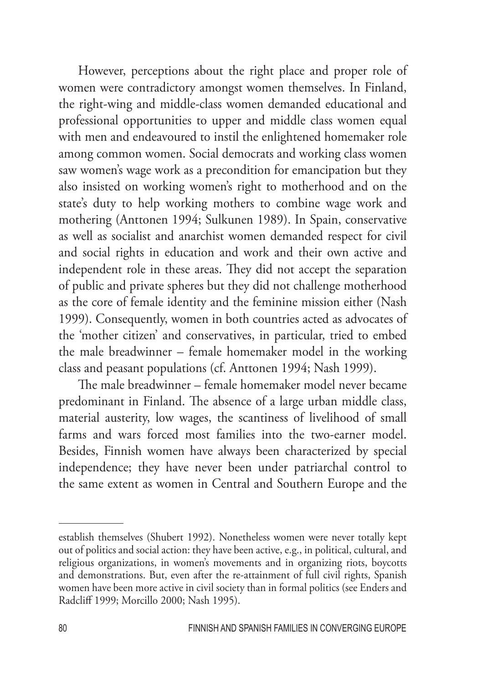However, perceptions about the right place and proper role of women were contradictory amongst women themselves. In Finland, the right-wing and middle-class women demanded educational and professional opportunities to upper and middle class women equal with men and endeavoured to instil the enlightened homemaker role among common women. Social democrats and working class women saw women's wage work as a precondition for emancipation but they also insisted on working women's right to motherhood and on the state's duty to help working mothers to combine wage work and mothering (Anttonen 1994; Sulkunen 1989). In Spain, conservative as well as socialist and anarchist women demanded respect for civil and social rights in education and work and their own active and independent role in these areas. They did not accept the separation of public and private spheres but they did not challenge motherhood as the core of female identity and the feminine mission either (Nash 1999). Consequently, women in both countries acted as advocates of the 'mother citizen' and conservatives, in particular, tried to embed the male breadwinner – female homemaker model in the working class and peasant populations (cf. Anttonen 1994; Nash 1999).

The male breadwinner – female homemaker model never became predominant in Finland. The absence of a large urban middle class, material austerity, low wages, the scantiness of livelihood of small farms and wars forced most families into the two-earner model. Besides, Finnish women have always been characterized by special independence; they have never been under patriarchal control to the same extent as women in Central and Southern Europe and the

establish themselves (Shubert 1992). Nonetheless women were never totally kept out of politics and social action: they have been active, e.g., in political, cultural, and religious organizations, in women's movements and in organizing riots, boycotts and demonstrations. But, even after the re-attainment of full civil rights, Spanish women have been more active in civil society than in formal politics (see Enders and Radcliff 1999; Morcillo 2000; Nash 1995).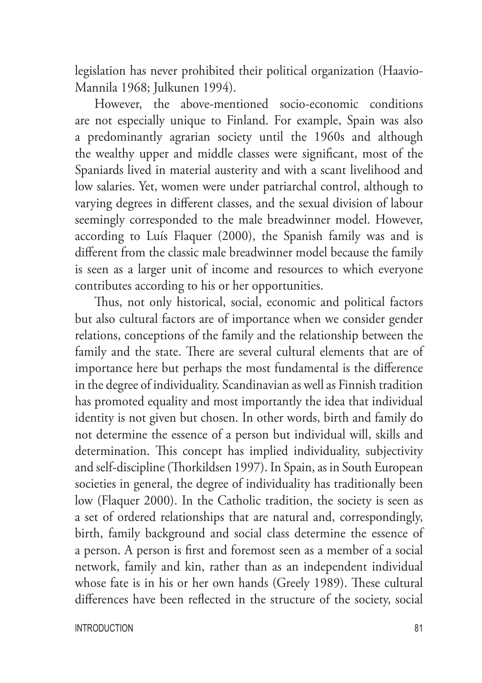legislation has never prohibited their political organization (Haavio-Mannila 1968; Julkunen 1994).

However, the above-mentioned socio-economic conditions are not especially unique to Finland. For example, Spain was also a predominantly agrarian society until the 1960s and although the wealthy upper and middle classes were significant, most of the Spaniards lived in material austerity and with a scant livelihood and low salaries. Yet, women were under patriarchal control, although to varying degrees in different classes, and the sexual division of labour seemingly corresponded to the male breadwinner model. However, according to Luís Flaquer (2000), the Spanish family was and is different from the classic male breadwinner model because the family is seen as a larger unit of income and resources to which everyone contributes according to his or her opportunities.

Thus, not only historical, social, economic and political factors but also cultural factors are of importance when we consider gender relations, conceptions of the family and the relationship between the family and the state. There are several cultural elements that are of importance here but perhaps the most fundamental is the difference in the degree of individuality. Scandinavian as well as Finnish tradition has promoted equality and most importantly the idea that individual identity is not given but chosen. In other words, birth and family do not determine the essence of a person but individual will, skills and determination. This concept has implied individuality, subjectivity and self-discipline (Thorkildsen 1997). In Spain, as in South European societies in general, the degree of individuality has traditionally been low (Flaquer 2000). In the Catholic tradition, the society is seen as a set of ordered relationships that are natural and, correspondingly, birth, family background and social class determine the essence of a person. A person is first and foremost seen as a member of a social network, family and kin, rather than as an independent individual whose fate is in his or her own hands (Greely 1989). These cultural differences have been reflected in the structure of the society, social

INTRODUCTION 81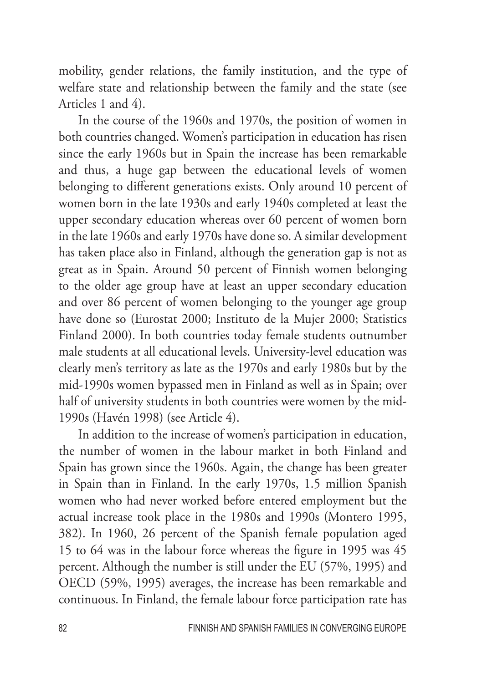mobility, gender relations, the family institution, and the type of welfare state and relationship between the family and the state (see Articles 1 and 4).

In the course of the 1960s and 1970s, the position of women in both countries changed. Women's participation in education has risen since the early 1960s but in Spain the increase has been remarkable and thus, a huge gap between the educational levels of women belonging to different generations exists. Only around 10 percent of women born in the late 1930s and early 1940s completed at least the upper secondary education whereas over 60 percent of women born in the late 1960s and early 1970s have done so. A similar development has taken place also in Finland, although the generation gap is not as great as in Spain. Around 50 percent of Finnish women belonging to the older age group have at least an upper secondary education and over 86 percent of women belonging to the younger age group have done so (Eurostat 2000; Instituto de la Mujer 2000; Statistics Finland 2000). In both countries today female students outnumber male students at all educational levels. University-level education was clearly men's territory as late as the 1970s and early 1980s but by the mid-1990s women bypassed men in Finland as well as in Spain; over half of university students in both countries were women by the mid-1990s (Havén 1998) (see Article 4).

In addition to the increase of women's participation in education, the number of women in the labour market in both Finland and Spain has grown since the 1960s. Again, the change has been greater in Spain than in Finland. In the early 1970s, 1.5 million Spanish women who had never worked before entered employment but the actual increase took place in the 1980s and 1990s (Montero 1995, 382). In 1960, 26 percent of the Spanish female population aged 15 to 64 was in the labour force whereas the figure in 1995 was 45 percent. Although the number is still under the EU (57%, 1995) and OECD (59%, 1995) averages, the increase has been remarkable and continuous. In Finland, the female labour force participation rate has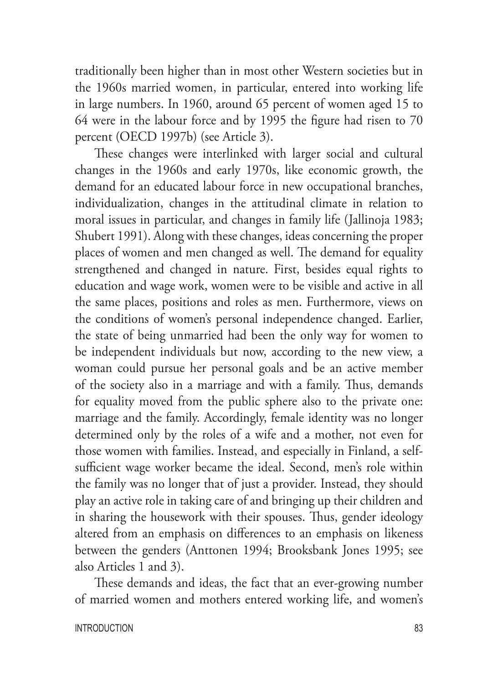traditionally been higher than in most other Western societies but in the 1960s married women, in particular, entered into working life in large numbers. In 1960, around 65 percent of women aged 15 to 64 were in the labour force and by 1995 the figure had risen to  $70$ percent (OECD 1997b) (see Article 3).

These changes were interlinked with larger social and cultural changes in the 1960s and early 1970s, like economic growth, the demand for an educated labour force in new occupational branches, individualization, changes in the attitudinal climate in relation to moral issues in particular, and changes in family life (Jallinoja 1983; Shubert 1991). Along with these changes, ideas concerning the proper places of women and men changed as well. The demand for equality strengthened and changed in nature. First, besides equal rights to education and wage work, women were to be visible and active in all the same places, positions and roles as men. Furthermore, views on the conditions of women's personal independence changed. Earlier, the state of being unmarried had been the only way for women to be independent individuals but now, according to the new view, a woman could pursue her personal goals and be an active member of the society also in a marriage and with a family. Thus, demands for equality moved from the public sphere also to the private one: marriage and the family. Accordingly, female identity was no longer determined only by the roles of a wife and a mother, not even for those women with families. Instead, and especially in Finland, a selfsufficient wage worker became the ideal. Second, men's role within the family was no longer that of just a provider. Instead, they should play an active role in taking care of and bringing up their children and in sharing the housework with their spouses. Thus, gender ideology altered from an emphasis on differences to an emphasis on likeness between the genders (Anttonen 1994; Brooksbank Jones 1995; see also Articles 1 and 3).

These demands and ideas, the fact that an ever-growing number of married women and mothers entered working life, and women's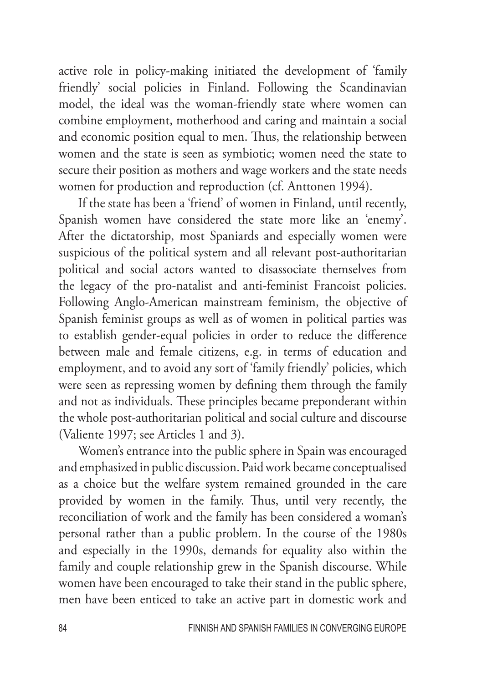active role in policy-making initiated the development of 'family friendly' social policies in Finland. Following the Scandinavian model, the ideal was the woman-friendly state where women can combine employment, motherhood and caring and maintain a social and economic position equal to men. Thus, the relationship between women and the state is seen as symbiotic; women need the state to secure their position as mothers and wage workers and the state needs women for production and reproduction (cf. Anttonen 1994).

If the state has been a 'friend' of women in Finland, until recently, Spanish women have considered the state more like an 'enemy'. After the dictatorship, most Spaniards and especially women were suspicious of the political system and all relevant post-authoritarian political and social actors wanted to disassociate themselves from the legacy of the pro-natalist and anti-feminist Francoist policies. Following Anglo-American mainstream feminism, the objective of Spanish feminist groups as well as of women in political parties was to establish gender-equal policies in order to reduce the difference between male and female citizens, e.g. in terms of education and employment, and to avoid any sort of 'family friendly' policies, which were seen as repressing women by defining them through the family and not as individuals. These principles became preponderant within the whole post-authoritarian political and social culture and discourse (Valiente 1997; see Articles 1 and 3).

Women's entrance into the public sphere in Spain was encouraged and emphasized in public discussion. Paid work became conceptualised as a choice but the welfare system remained grounded in the care provided by women in the family. Thus, until very recently, the reconciliation of work and the family has been considered a woman's personal rather than a public problem. In the course of the 1980s and especially in the 1990s, demands for equality also within the family and couple relationship grew in the Spanish discourse. While women have been encouraged to take their stand in the public sphere, men have been enticed to take an active part in domestic work and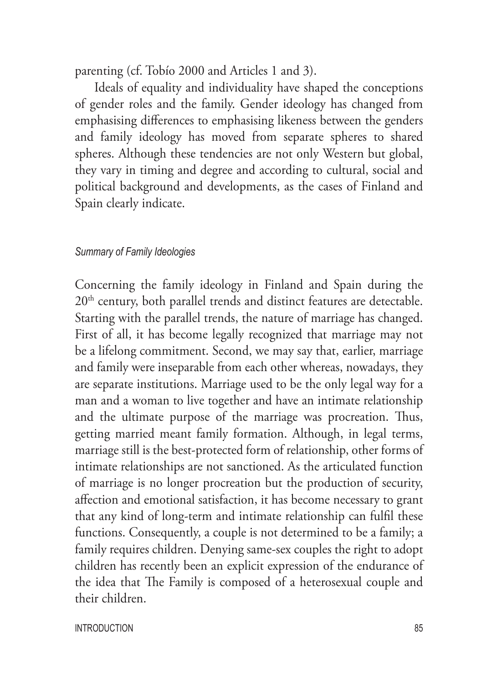parenting (cf. Tobío 2000 and Articles 1 and 3).

Ideals of equality and individuality have shaped the conceptions of gender roles and the family. Gender ideology has changed from emphasising differences to emphasising likeness between the genders and family ideology has moved from separate spheres to shared spheres. Although these tendencies are not only Western but global, they vary in timing and degree and according to cultural, social and political background and developments, as the cases of Finland and Spain clearly indicate.

### *Summary of Family Ideologies*

Concerning the family ideology in Finland and Spain during the 20<sup>th</sup> century, both parallel trends and distinct features are detectable. Starting with the parallel trends, the nature of marriage has changed. First of all, it has become legally recognized that marriage may not be a lifelong commitment. Second, we may say that, earlier, marriage and family were inseparable from each other whereas, nowadays, they are separate institutions. Marriage used to be the only legal way for a man and a woman to live together and have an intimate relationship and the ultimate purpose of the marriage was procreation. Thus, getting married meant family formation. Although, in legal terms, marriage still is the best-protected form of relationship, other forms of intimate relationships are not sanctioned. As the articulated function of marriage is no longer procreation but the production of security, affection and emotional satisfaction, it has become necessary to grant that any kind of long-term and intimate relationship can fulfil these functions. Consequently, a couple is not determined to be a family; a family requires children. Denying same-sex couples the right to adopt children has recently been an explicit expression of the endurance of the idea that The Family is composed of a heterosexual couple and their children.

INTRODUCTION 85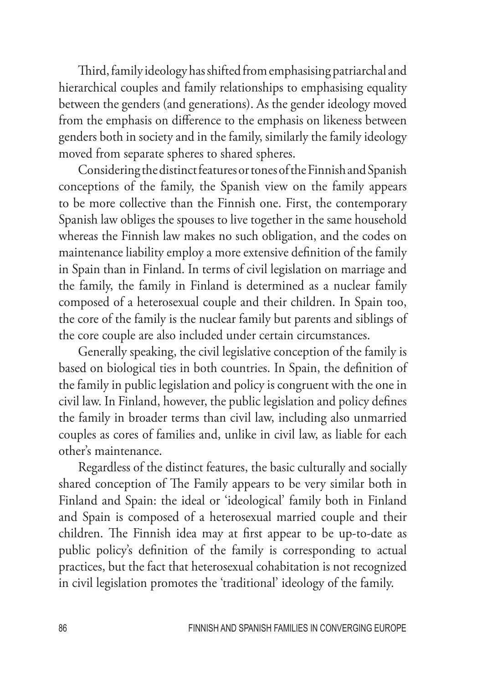Third, family ideology has shifted from emphasising patriarchal and hierarchical couples and family relationships to emphasising equality between the genders (and generations). As the gender ideology moved from the emphasis on difference to the emphasis on likeness between genders both in society and in the family, similarly the family ideology moved from separate spheres to shared spheres.

Considering the distinct features or tones of the Finnish and Spanish conceptions of the family, the Spanish view on the family appears to be more collective than the Finnish one. First, the contemporary Spanish law obliges the spouses to live together in the same household whereas the Finnish law makes no such obligation, and the codes on maintenance liability employ a more extensive definition of the family in Spain than in Finland. In terms of civil legislation on marriage and the family, the family in Finland is determined as a nuclear family composed of a heterosexual couple and their children. In Spain too, the core of the family is the nuclear family but parents and siblings of the core couple are also included under certain circumstances.

Generally speaking, the civil legislative conception of the family is based on biological ties in both countries. In Spain, the definition of the family in public legislation and policy is congruent with the one in civil law. In Finland, however, the public legislation and policy defines the family in broader terms than civil law, including also unmarried couples as cores of families and, unlike in civil law, as liable for each other's maintenance.

Regardless of the distinct features, the basic culturally and socially shared conception of The Family appears to be very similar both in Finland and Spain: the ideal or 'ideological' family both in Finland and Spain is composed of a heterosexual married couple and their children. The Finnish idea may at first appear to be up-to-date as public policy's definition of the family is corresponding to actual practices, but the fact that heterosexual cohabitation is not recognized in civil legislation promotes the 'traditional' ideology of the family.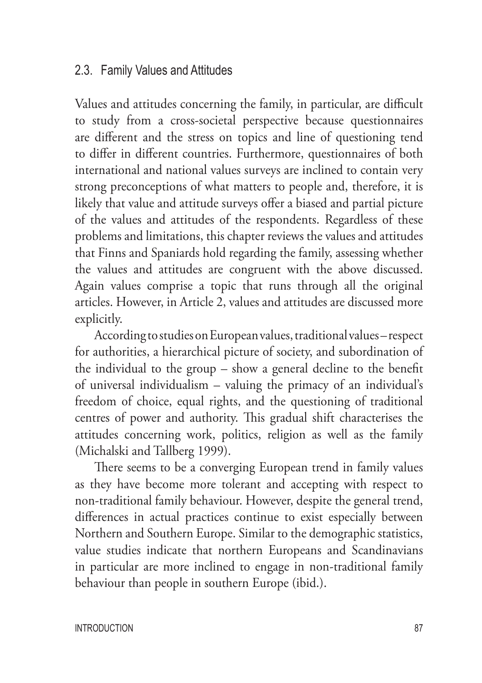# 2.3. Family Values and Attitudes

Values and attitudes concerning the family, in particular, are difficult to study from a cross-societal perspective because questionnaires are different and the stress on topics and line of questioning tend to differ in different countries. Furthermore, questionnaires of both international and national values surveys are inclined to contain very strong preconceptions of what matters to people and, therefore, it is likely that value and attitude surveys offer a biased and partial picture of the values and attitudes of the respondents. Regardless of these problems and limitations, this chapter reviews the values and attitudes that Finns and Spaniards hold regarding the family, assessing whether the values and attitudes are congruent with the above discussed. Again values comprise a topic that runs through all the original articles. However, in Article 2, values and attitudes are discussed more explicitly.

According to studies on European values, traditional values – respect for authorities, a hierarchical picture of society, and subordination of the individual to the group  $-$  show a general decline to the benefit of universal individualism – valuing the primacy of an individual's freedom of choice, equal rights, and the questioning of traditional centres of power and authority. This gradual shift characterises the attitudes concerning work, politics, religion as well as the family (Michalski and Tallberg 1999).

There seems to be a converging European trend in family values as they have become more tolerant and accepting with respect to non-traditional family behaviour. However, despite the general trend, differences in actual practices continue to exist especially between Northern and Southern Europe. Similar to the demographic statistics, value studies indicate that northern Europeans and Scandinavians in particular are more inclined to engage in non-traditional family behaviour than people in southern Europe (ibid.).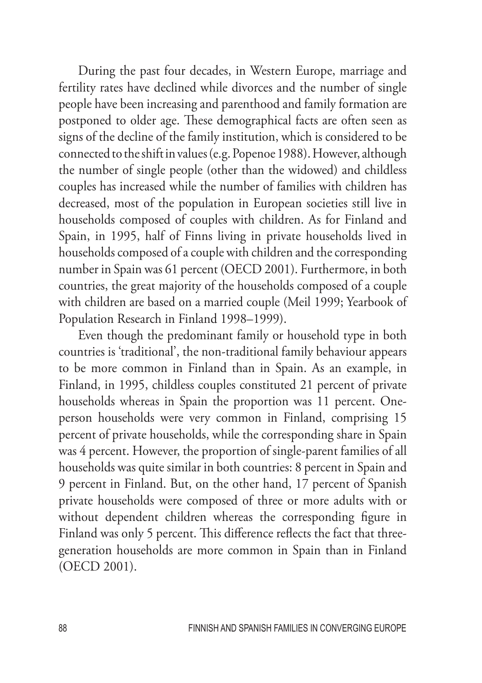During the past four decades, in Western Europe, marriage and fertility rates have declined while divorces and the number of single people have been increasing and parenthood and family formation are postponed to older age. These demographical facts are often seen as signs of the decline of the family institution, which is considered to be connected to the shift in values (e.g. Popenoe 1988). However, although the number of single people (other than the widowed) and childless couples has increased while the number of families with children has decreased, most of the population in European societies still live in households composed of couples with children. As for Finland and Spain, in 1995, half of Finns living in private households lived in households composed of a couple with children and the corresponding number in Spain was 61 percent (OECD 2001). Furthermore, in both countries, the great majority of the households composed of a couple with children are based on a married couple (Meil 1999; Yearbook of Population Research in Finland 1998–1999).

Even though the predominant family or household type in both countries is 'traditional', the non-traditional family behaviour appears to be more common in Finland than in Spain. As an example, in Finland, in 1995, childless couples constituted 21 percent of private households whereas in Spain the proportion was 11 percent. Oneperson households were very common in Finland, comprising 15 percent of private households, while the corresponding share in Spain was 4 percent. However, the proportion of single-parent families of all households was quite similar in both countries: 8 percent in Spain and 9 percent in Finland. But, on the other hand, 17 percent of Spanish private households were composed of three or more adults with or without dependent children whereas the corresponding figure in Finland was only 5 percent. This difference reflects the fact that threegeneration households are more common in Spain than in Finland (OECD 2001).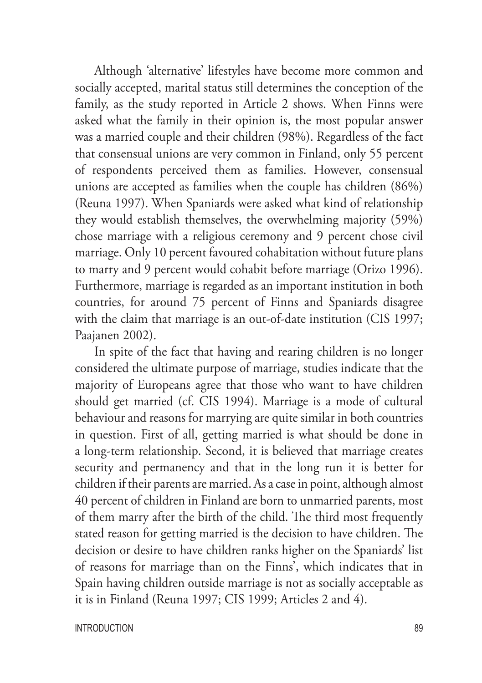Although 'alternative' lifestyles have become more common and socially accepted, marital status still determines the conception of the family, as the study reported in Article 2 shows. When Finns were asked what the family in their opinion is, the most popular answer was a married couple and their children (98%). Regardless of the fact that consensual unions are very common in Finland, only 55 percent of respondents perceived them as families. However, consensual unions are accepted as families when the couple has children (86%) (Reuna 1997). When Spaniards were asked what kind of relationship they would establish themselves, the overwhelming majority (59%) chose marriage with a religious ceremony and 9 percent chose civil marriage. Only 10 percent favoured cohabitation without future plans to marry and 9 percent would cohabit before marriage (Orizo 1996). Furthermore, marriage is regarded as an important institution in both countries, for around 75 percent of Finns and Spaniards disagree with the claim that marriage is an out-of-date institution (CIS 1997; Paajanen 2002).

In spite of the fact that having and rearing children is no longer considered the ultimate purpose of marriage, studies indicate that the majority of Europeans agree that those who want to have children should get married (cf. CIS 1994). Marriage is a mode of cultural behaviour and reasons for marrying are quite similar in both countries in question. First of all, getting married is what should be done in a long-term relationship. Second, it is believed that marriage creates security and permanency and that in the long run it is better for children if their parents are married. As a case in point, although almost 40 percent of children in Finland are born to unmarried parents, most of them marry after the birth of the child. The third most frequently stated reason for getting married is the decision to have children. The decision or desire to have children ranks higher on the Spaniards' list of reasons for marriage than on the Finns', which indicates that in Spain having children outside marriage is not as socially acceptable as it is in Finland (Reuna 1997; CIS 1999; Articles 2 and 4).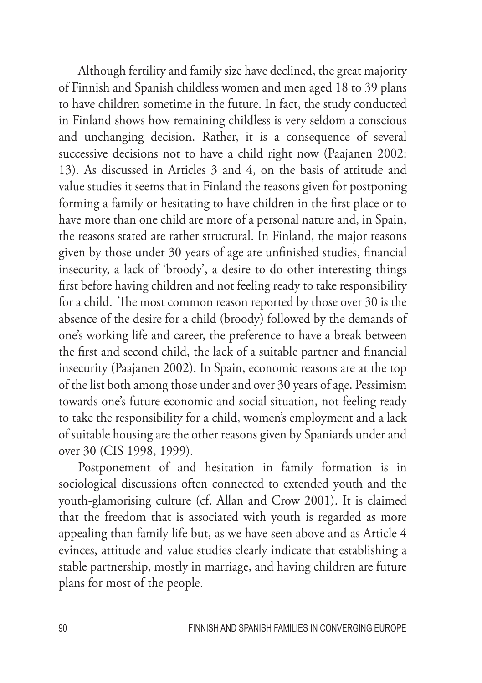Although fertility and family size have declined, the great majority of Finnish and Spanish childless women and men aged 18 to 39 plans to have children sometime in the future. In fact, the study conducted in Finland shows how remaining childless is very seldom a conscious and unchanging decision. Rather, it is a consequence of several successive decisions not to have a child right now (Paajanen 2002: 13). As discussed in Articles 3 and 4, on the basis of attitude and value studies it seems that in Finland the reasons given for postponing forming a family or hesitating to have children in the first place or to have more than one child are more of a personal nature and, in Spain, the reasons stated are rather structural. In Finland, the major reasons given by those under 30 years of age are unfinished studies, financial insecurity, a lack of 'broody', a desire to do other interesting things first before having children and not feeling ready to take responsibility for a child. The most common reason reported by those over 30 is the absence of the desire for a child (broody) followed by the demands of one's working life and career, the preference to have a break between the first and second child, the lack of a suitable partner and financial insecurity (Paajanen 2002). In Spain, economic reasons are at the top of the list both among those under and over 30 years of age. Pessimism towards one's future economic and social situation, not feeling ready to take the responsibility for a child, women's employment and a lack of suitable housing are the other reasons given by Spaniards under and over 30 (CIS 1998, 1999).

Postponement of and hesitation in family formation is in sociological discussions often connected to extended youth and the youth-glamorising culture (cf. Allan and Crow 2001). It is claimed that the freedom that is associated with youth is regarded as more appealing than family life but, as we have seen above and as Article 4 evinces, attitude and value studies clearly indicate that establishing a stable partnership, mostly in marriage, and having children are future plans for most of the people.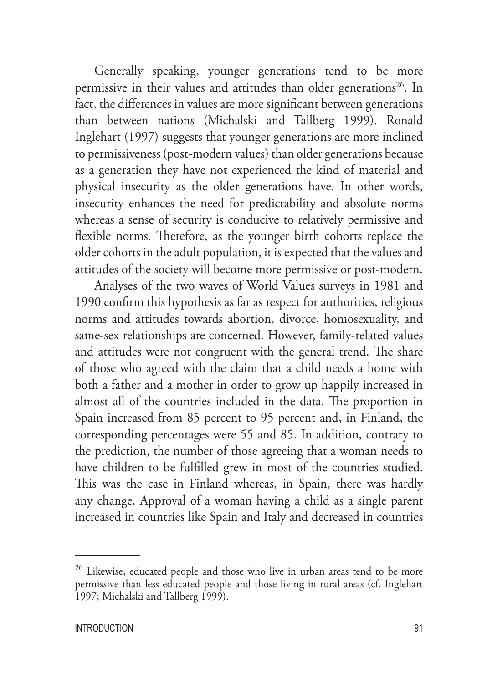Generally speaking, younger generations tend to be more permissive in their values and attitudes than older generations<sup>26</sup>. In fact, the differences in values are more significant between generations than between nations (Michalski and Tallberg 1999). Ronald Inglehart (1997) suggests that younger generations are more inclined to permissiveness (post-modern values) than older generations because as a generation they have not experienced the kind of material and physical insecurity as the older generations have. In other words, insecurity enhances the need for predictability and absolute norms whereas a sense of security is conducive to relatively permissive and flexible norms. Therefore, as the younger birth cohorts replace the older cohorts in the adult population, it is expected that the values and attitudes of the society will become more permissive or post-modern.

Analyses of the two waves of World Values surveys in 1981 and 1990 confirm this hypothesis as far as respect for authorities, religious norms and attitudes towards abortion, divorce, homosexuality, and same-sex relationships are concerned. However, family-related values and attitudes were not congruent with the general trend. The share of those who agreed with the claim that a child needs a home with both a father and a mother in order to grow up happily increased in almost all of the countries included in the data. The proportion in Spain increased from 85 percent to 95 percent and, in Finland, the corresponding percentages were 55 and 85. In addition, contrary to the prediction, the number of those agreeing that a woman needs to have children to be fulfilled grew in most of the countries studied. This was the case in Finland whereas, in Spain, there was hardly any change. Approval of a woman having a child as a single parent increased in countries like Spain and Italy and decreased in countries

<sup>26</sup> Likewise, educated people and those who live in urban areas tend to be more permissive than less educated people and those living in rural areas (cf. Inglehart 1997; Michalski and Tallberg 1999).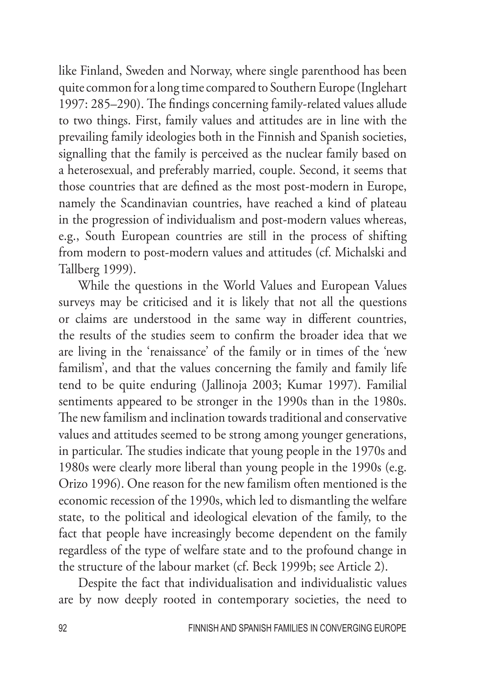like Finland, Sweden and Norway, where single parenthood has been quite common for a long time compared to Southern Europe (Inglehart 1997: 285–290). The findings concerning family-related values allude to two things. First, family values and attitudes are in line with the prevailing family ideologies both in the Finnish and Spanish societies, signalling that the family is perceived as the nuclear family based on a heterosexual, and preferably married, couple. Second, it seems that those countries that are defined as the most post-modern in Europe, namely the Scandinavian countries, have reached a kind of plateau in the progression of individualism and post-modern values whereas, e.g., South European countries are still in the process of shifting from modern to post-modern values and attitudes (cf. Michalski and Tallberg 1999).

While the questions in the World Values and European Values surveys may be criticised and it is likely that not all the questions or claims are understood in the same way in different countries, the results of the studies seem to confirm the broader idea that we are living in the 'renaissance' of the family or in times of the 'new familism', and that the values concerning the family and family life tend to be quite enduring (Jallinoja 2003; Kumar 1997). Familial sentiments appeared to be stronger in the 1990s than in the 1980s. The new familism and inclination towards traditional and conservative values and attitudes seemed to be strong among younger generations, in particular. The studies indicate that young people in the 1970s and 1980s were clearly more liberal than young people in the 1990s (e.g. Orizo 1996). One reason for the new familism often mentioned is the economic recession of the 1990s, which led to dismantling the welfare state, to the political and ideological elevation of the family, to the fact that people have increasingly become dependent on the family regardless of the type of welfare state and to the profound change in the structure of the labour market (cf. Beck 1999b; see Article 2).

Despite the fact that individualisation and individualistic values are by now deeply rooted in contemporary societies, the need to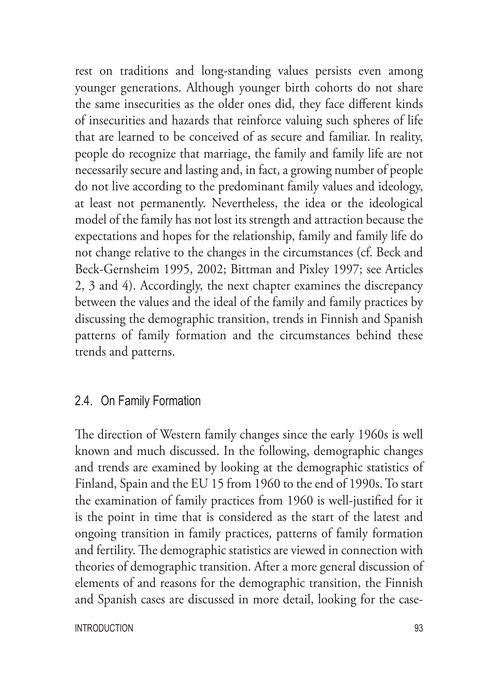rest on traditions and long-standing values persists even among younger generations. Although younger birth cohorts do not share the same insecurities as the older ones did, they face different kinds of insecurities and hazards that reinforce valuing such spheres of life that are learned to be conceived of as secure and familiar. In reality, people do recognize that marriage, the family and family life are not necessarily secure and lasting and, in fact, a growing number of people do not live according to the predominant family values and ideology, at least not permanently. Nevertheless, the idea or the ideological model of the family has not lost its strength and attraction because the expectations and hopes for the relationship, family and family life do not change relative to the changes in the circumstances (cf. Beck and Beck-Gernsheim 1995, 2002; Bittman and Pixley 1997; see Articles 2, 3 and 4). Accordingly, the next chapter examines the discrepancy between the values and the ideal of the family and family practices by discussing the demographic transition, trends in Finnish and Spanish patterns of family formation and the circumstances behind these trends and patterns.

# 2.4. On Family Formation

The direction of Western family changes since the early 1960s is well known and much discussed. In the following, demographic changes and trends are examined by looking at the demographic statistics of Finland, Spain and the EU 15 from 1960 to the end of 1990s. To start the examination of family practices from 1960 is well-justified for it is the point in time that is considered as the start of the latest and ongoing transition in family practices, patterns of family formation and fertility. The demographic statistics are viewed in connection with theories of demographic transition. After a more general discussion of elements of and reasons for the demographic transition, the Finnish and Spanish cases are discussed in more detail, looking for the case-

### INTRODUCTION 93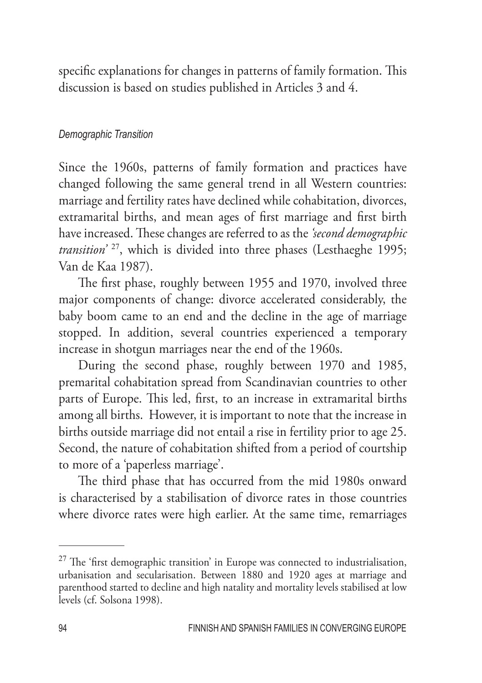specific explanations for changes in patterns of family formation. This discussion is based on studies published in Articles 3 and 4.

### *Demographic Transition*

Since the 1960s, patterns of family formation and practices have changed following the same general trend in all Western countries: marriage and fertility rates have declined while cohabitation, divorces, extramarital births, and mean ages of first marriage and first birth have increased. These changes are referred to as the *'second demographic transition'* <sup>27</sup>, which is divided into three phases (Lesthaeghe 1995; Van de Kaa 1987).

The first phase, roughly between 1955 and 1970, involved three major components of change: divorce accelerated considerably, the baby boom came to an end and the decline in the age of marriage stopped. In addition, several countries experienced a temporary increase in shotgun marriages near the end of the 1960s.

During the second phase, roughly between 1970 and 1985, premarital cohabitation spread from Scandinavian countries to other parts of Europe. This led, first, to an increase in extramarital births among all births. However, it is important to note that the increase in births outside marriage did not entail a rise in fertility prior to age 25. Second, the nature of cohabitation shifted from a period of courtship to more of a 'paperless marriage'.

The third phase that has occurred from the mid 1980s onward is characterised by a stabilisation of divorce rates in those countries where divorce rates were high earlier. At the same time, remarriages

 $27$  The 'first demographic transition' in Europe was connected to industrialisation, urbanisation and secularisation. Between 1880 and 1920 ages at marriage and parenthood started to decline and high natality and mortality levels stabilised at low levels (cf. Solsona 1998).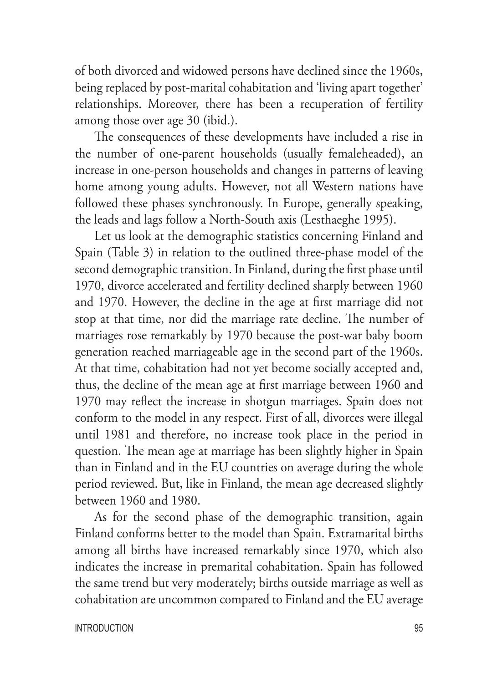of both divorced and widowed persons have declined since the 1960s, being replaced by post-marital cohabitation and 'living apart together' relationships. Moreover, there has been a recuperation of fertility among those over age 30 (ibid.).

The consequences of these developments have included a rise in the number of one-parent households (usually femaleheaded), an increase in one-person households and changes in patterns of leaving home among young adults. However, not all Western nations have followed these phases synchronously. In Europe, generally speaking, the leads and lags follow a North-South axis (Lesthaeghe 1995).

Let us look at the demographic statistics concerning Finland and Spain (Table 3) in relation to the outlined three-phase model of the second demographic transition. In Finland, during the first phase until 1970, divorce accelerated and fertility declined sharply between 1960 and 1970. However, the decline in the age at first marriage did not stop at that time, nor did the marriage rate decline. The number of marriages rose remarkably by 1970 because the post-war baby boom generation reached marriageable age in the second part of the 1960s. At that time, cohabitation had not yet become socially accepted and, thus, the decline of the mean age at first marriage between 1960 and 1970 may reflect the increase in shotgun marriages. Spain does not conform to the model in any respect. First of all, divorces were illegal until 1981 and therefore, no increase took place in the period in question. The mean age at marriage has been slightly higher in Spain than in Finland and in the EU countries on average during the whole period reviewed. But, like in Finland, the mean age decreased slightly between 1960 and 1980.

As for the second phase of the demographic transition, again Finland conforms better to the model than Spain. Extramarital births among all births have increased remarkably since 1970, which also indicates the increase in premarital cohabitation. Spain has followed the same trend but very moderately; births outside marriage as well as cohabitation are uncommon compared to Finland and the EU average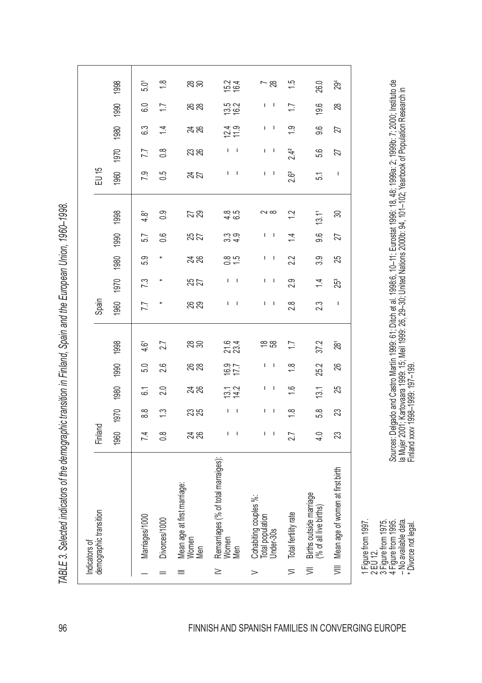| demographic transition<br>Indicators of                          | Finland       |                   |                  |                  |                  | Spain                          |           |      |               |                   | EU 15             |                              |                    |                  |
|------------------------------------------------------------------|---------------|-------------------|------------------|------------------|------------------|--------------------------------|-----------|------|---------------|-------------------|-------------------|------------------------------|--------------------|------------------|
|                                                                  | 1960          | 1970              | 1980             | 1990             | 1998             | 1960                           | 1970      | 1980 | 1990          | 1998              | 1960              | 1970                         | 1980               | 1990             |
| Marriages/1000                                                   | 74            | 83                | 5                | S.O              | 4.6 <sup>1</sup> | 7.7                            | 7.3       | 5.9  | 5.7           | $4.8^{\circ}$     | 7.9               | $\overline{17}$              | 63                 | G.O              |
| Divorces/1000                                                    | $\frac{8}{1}$ | $\ddot{ }$        | 2.0              | 2.6              | 2.7              |                                |           |      | $\frac{6}{2}$ | 0.9               | 0.5               | $\frac{8}{1}$                | $\ddot{4}$         | $\overline{1}$   |
| Mean age at first marriage:<br>Women<br>Men<br>$\equiv$          | 24<br>26      | ಔ<br>ಚ            | 21<br>26         | <u>ଛ</u>         | ಇ ಇ              | ಜಿ ಜ                           | <b>25</b> | 24   | 25            | 27                | 21<br>21          | ಔ ಜ                          | 24<br>26           | <u>ಇ ಇ</u>       |
| Remarriages (% of total marraiges):<br>Women<br>Men<br>$\geq$    | $1 - 1$       | I<br>$\mathbf{I}$ | $13.1$<br>$14.2$ | 15.9             | 21.6<br>23.4     | L<br>$\mathbf{I}$              |           |      | 3<br>34<br>34 | დ. ro<br>co       | $\mathbf{I}$<br>I | I<br>$\mathbf{I}$            | $\frac{124}{11.9}$ | $13.5$<br>$16.2$ |
| Cohabiting couples %:<br>Total population<br>Jnder-30s<br>$\geq$ | $1 - 1$       | I.<br>I           | L<br>ı           | Ï<br>$\mathbf I$ | కొ ఉ             | I.<br>$\overline{\phantom{a}}$ | ı         | I    | Ï             | $\sim$            | L<br>I            | $\mathbf{I}$<br>$\mathbf{I}$ | I.<br>$\mathbf{I}$ | ı<br>ı           |
| Total fertility rate<br>⋝                                        | 27            | $\frac{8}{10}$    | $\frac{6}{1}$    | $\frac{8}{1}$    | $\overline{11}$  | 2.8                            | 2.9       | 2.2  | 14            | $\ddot{c}$        | 2.6 <sup>2</sup>  | $2.4^{2}$                    | $\ddot{ }$         | $\overline{1}$   |
| Births outside marriage<br>(% of all live births)<br>₹           | 40            | 5.8               | 13.1             | 25.2             | 37.2             | 23                             | 14        | 3.9  | 9.6           | 13.1 <sup>1</sup> | 51                | 5.6                          | 9.6                | 19.6             |
| Mean age of women at first birth<br>言                            | ಔ             | ಔ                 | 25               | 88               | Š2               | I                              | 253       | 25   | 27            | 30                | I                 | 27                           | 12                 | 28               |

\* Divorce not legal.

*Sources*: Delgado and Castro Martín 1999: 61; Ditch et al. 1998:6, 10–11; Eurostat 1996: 18, 48; 1999a: 2; 1999b: 7; 2000; Instituto de la Mujer 2001; Kartovaara 1999: 15; Meil 1999: 26, 29–30; United Nations 2000b: 94, 101–102; Yearbook of Population Research in Finland xxxv 1998–1999: 197–199.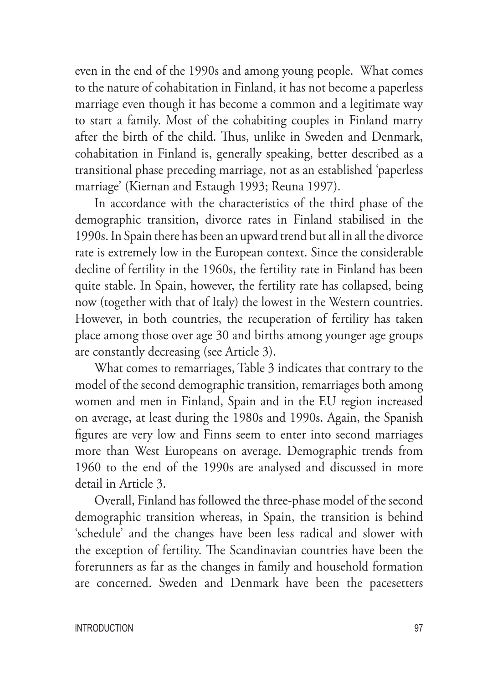even in the end of the 1990s and among young people. What comes to the nature of cohabitation in Finland, it has not become a paperless marriage even though it has become a common and a legitimate way to start a family. Most of the cohabiting couples in Finland marry after the birth of the child. Thus, unlike in Sweden and Denmark, cohabitation in Finland is, generally speaking, better described as a transitional phase preceding marriage, not as an established 'paperless marriage' (Kiernan and Estaugh 1993; Reuna 1997).

In accordance with the characteristics of the third phase of the demographic transition, divorce rates in Finland stabilised in the 1990s. In Spain there has been an upward trend but all in all the divorce rate is extremely low in the European context. Since the considerable decline of fertility in the 1960s, the fertility rate in Finland has been quite stable. In Spain, however, the fertility rate has collapsed, being now (together with that of Italy) the lowest in the Western countries. However, in both countries, the recuperation of fertility has taken place among those over age 30 and births among younger age groups are constantly decreasing (see Article 3).

What comes to remarriages, Table 3 indicates that contrary to the model of the second demographic transition, remarriages both among women and men in Finland, Spain and in the EU region increased on average, at least during the 1980s and 1990s. Again, the Spanish figures are very low and Finns seem to enter into second marriages more than West Europeans on average. Demographic trends from 1960 to the end of the 1990s are analysed and discussed in more detail in Article 3.

Overall, Finland has followed the three-phase model of the second demographic transition whereas, in Spain, the transition is behind 'schedule' and the changes have been less radical and slower with the exception of fertility. The Scandinavian countries have been the forerunners as far as the changes in family and household formation are concerned. Sweden and Denmark have been the pacesetters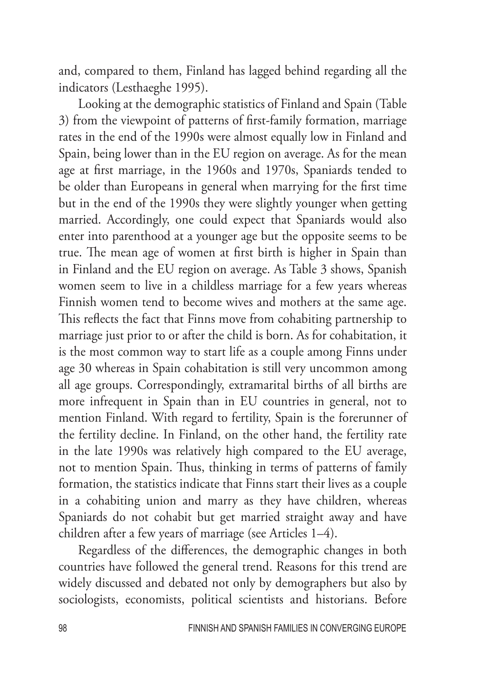and, compared to them, Finland has lagged behind regarding all the indicators (Lesthaeghe 1995).

Looking at the demographic statistics of Finland and Spain (Table 3) from the viewpoint of patterns of first-family formation, marriage rates in the end of the 1990s were almost equally low in Finland and Spain, being lower than in the EU region on average. As for the mean age at first marriage, in the 1960s and 1970s, Spaniards tended to be older than Europeans in general when marrying for the first time but in the end of the 1990s they were slightly younger when getting married. Accordingly, one could expect that Spaniards would also enter into parenthood at a younger age but the opposite seems to be true. The mean age of women at first birth is higher in Spain than in Finland and the EU region on average. As Table 3 shows, Spanish women seem to live in a childless marriage for a few years whereas Finnish women tend to become wives and mothers at the same age. This reflects the fact that Finns move from cohabiting partnership to marriage just prior to or after the child is born. As for cohabitation, it is the most common way to start life as a couple among Finns under age 30 whereas in Spain cohabitation is still very uncommon among all age groups. Correspondingly, extramarital births of all births are more infrequent in Spain than in EU countries in general, not to mention Finland. With regard to fertility, Spain is the forerunner of the fertility decline. In Finland, on the other hand, the fertility rate in the late 1990s was relatively high compared to the EU average, not to mention Spain. Thus, thinking in terms of patterns of family formation, the statistics indicate that Finns start their lives as a couple in a cohabiting union and marry as they have children, whereas Spaniards do not cohabit but get married straight away and have children after a few years of marriage (see Articles 1–4).

Regardless of the differences, the demographic changes in both countries have followed the general trend. Reasons for this trend are widely discussed and debated not only by demographers but also by sociologists, economists, political scientists and historians. Before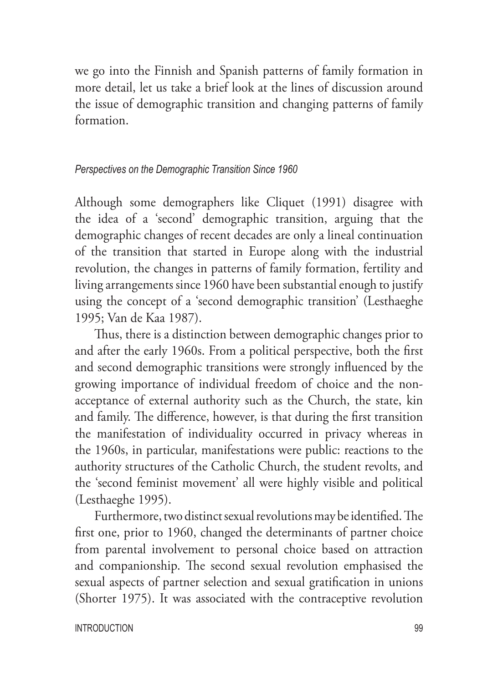we go into the Finnish and Spanish patterns of family formation in more detail, let us take a brief look at the lines of discussion around the issue of demographic transition and changing patterns of family formation.

### *Perspectives on the Demographic Transition Since 1960*

Although some demographers like Cliquet (1991) disagree with the idea of a 'second' demographic transition, arguing that the demographic changes of recent decades are only a lineal continuation of the transition that started in Europe along with the industrial revolution, the changes in patterns of family formation, fertility and living arrangements since 1960 have been substantial enough to justify using the concept of a 'second demographic transition' (Lesthaeghe 1995; Van de Kaa 1987).

Thus, there is a distinction between demographic changes prior to and after the early 1960s. From a political perspective, both the first and second demographic transitions were strongly influenced by the growing importance of individual freedom of choice and the nonacceptance of external authority such as the Church, the state, kin and family. The difference, however, is that during the first transition the manifestation of individuality occurred in privacy whereas in the 1960s, in particular, manifestations were public: reactions to the authority structures of the Catholic Church, the student revolts, and the 'second feminist movement' all were highly visible and political (Lesthaeghe 1995).

Furthermore, two distinct sexual revolutions may be identified. The first one, prior to 1960, changed the determinants of partner choice from parental involvement to personal choice based on attraction and companionship. The second sexual revolution emphasised the sexual aspects of partner selection and sexual gratification in unions (Shorter 1975). It was associated with the contraceptive revolution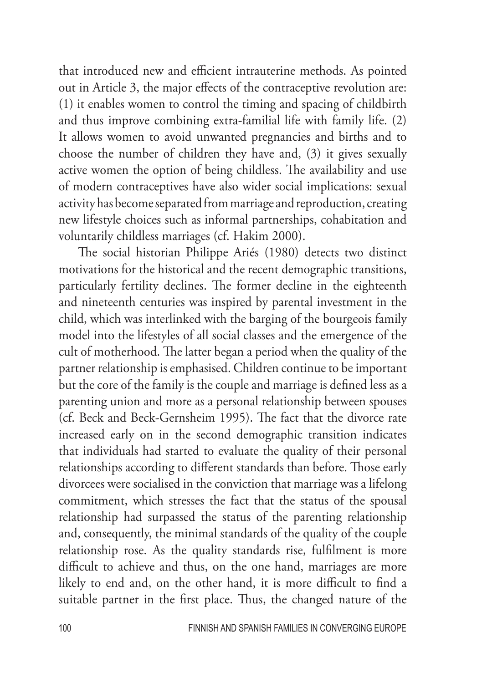that introduced new and efficient intrauterine methods. As pointed out in Article 3, the major effects of the contraceptive revolution are: (1) it enables women to control the timing and spacing of childbirth and thus improve combining extra-familial life with family life. (2) It allows women to avoid unwanted pregnancies and births and to choose the number of children they have and, (3) it gives sexually active women the option of being childless. The availability and use of modern contraceptives have also wider social implications: sexual activity has become separated from marriage and reproduction, creating new lifestyle choices such as informal partnerships, cohabitation and voluntarily childless marriages (cf. Hakim 2000).

The social historian Philippe Ariés (1980) detects two distinct motivations for the historical and the recent demographic transitions, particularly fertility declines. The former decline in the eighteenth and nineteenth centuries was inspired by parental investment in the child, which was interlinked with the barging of the bourgeois family model into the lifestyles of all social classes and the emergence of the cult of motherhood. The latter began a period when the quality of the partner relationship is emphasised. Children continue to be important but the core of the family is the couple and marriage is defined less as a parenting union and more as a personal relationship between spouses (cf. Beck and Beck-Gernsheim 1995). The fact that the divorce rate increased early on in the second demographic transition indicates that individuals had started to evaluate the quality of their personal relationships according to different standards than before. Those early divorcees were socialised in the conviction that marriage was a lifelong commitment, which stresses the fact that the status of the spousal relationship had surpassed the status of the parenting relationship and, consequently, the minimal standards of the quality of the couple relationship rose. As the quality standards rise, fulfilment is more difficult to achieve and thus, on the one hand, marriages are more likely to end and, on the other hand, it is more difficult to find a suitable partner in the first place. Thus, the changed nature of the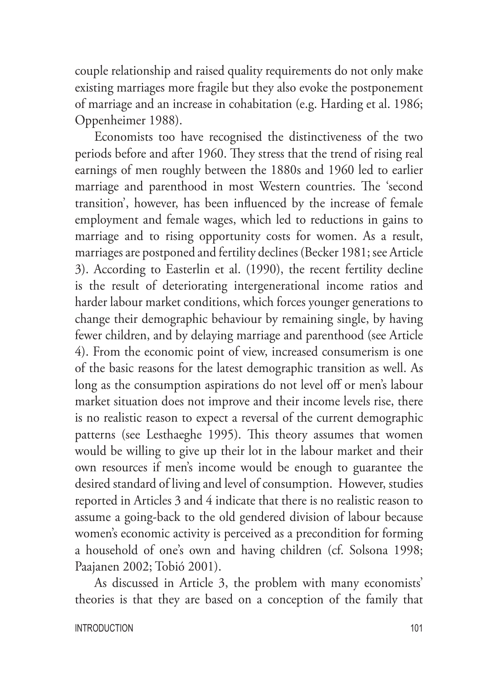couple relationship and raised quality requirements do not only make existing marriages more fragile but they also evoke the postponement of marriage and an increase in cohabitation (e.g. Harding et al. 1986; Oppenheimer 1988).

Economists too have recognised the distinctiveness of the two periods before and after 1960. They stress that the trend of rising real earnings of men roughly between the 1880s and 1960 led to earlier marriage and parenthood in most Western countries. The 'second transition', however, has been influenced by the increase of female employment and female wages, which led to reductions in gains to marriage and to rising opportunity costs for women. As a result, marriages are postponed and fertility declines (Becker 1981; see Article 3). According to Easterlin et al. (1990), the recent fertility decline is the result of deteriorating intergenerational income ratios and harder labour market conditions, which forces younger generations to change their demographic behaviour by remaining single, by having fewer children, and by delaying marriage and parenthood (see Article 4). From the economic point of view, increased consumerism is one of the basic reasons for the latest demographic transition as well. As long as the consumption aspirations do not level off or men's labour market situation does not improve and their income levels rise, there is no realistic reason to expect a reversal of the current demographic patterns (see Lesthaeghe 1995). This theory assumes that women would be willing to give up their lot in the labour market and their own resources if men's income would be enough to guarantee the desired standard of living and level of consumption. However, studies reported in Articles 3 and 4 indicate that there is no realistic reason to assume a going-back to the old gendered division of labour because women's economic activity is perceived as a precondition for forming a household of one's own and having children (cf. Solsona 1998; Paajanen 2002; Tobió 2001).

As discussed in Article 3, the problem with many economists' theories is that they are based on a conception of the family that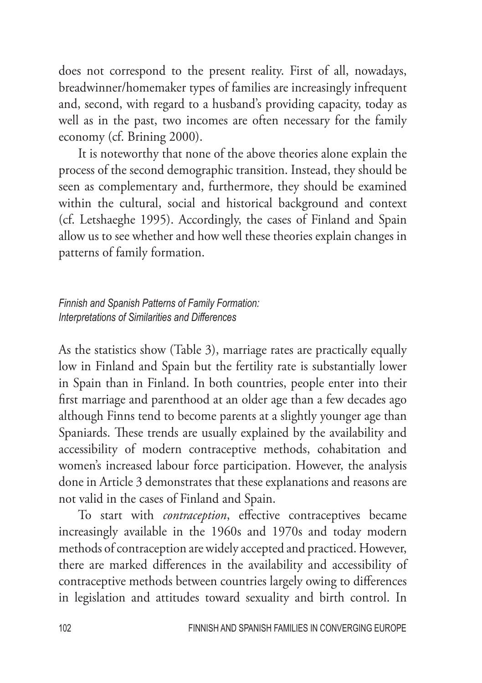does not correspond to the present reality. First of all, nowadays, breadwinner/homemaker types of families are increasingly infrequent and, second, with regard to a husband's providing capacity, today as well as in the past, two incomes are often necessary for the family economy (cf. Brining 2000).

It is noteworthy that none of the above theories alone explain the process of the second demographic transition. Instead, they should be seen as complementary and, furthermore, they should be examined within the cultural, social and historical background and context (cf. Letshaeghe 1995). Accordingly, the cases of Finland and Spain allow us to see whether and how well these theories explain changes in patterns of family formation.

*Finnish and Spanish Patterns of Family Formation: Interpretations of Similarities and Differences* 

As the statistics show (Table 3), marriage rates are practically equally low in Finland and Spain but the fertility rate is substantially lower in Spain than in Finland. In both countries, people enter into their first marriage and parenthood at an older age than a few decades ago although Finns tend to become parents at a slightly younger age than Spaniards. These trends are usually explained by the availability and accessibility of modern contraceptive methods, cohabitation and women's increased labour force participation. However, the analysis done in Article 3 demonstrates that these explanations and reasons are not valid in the cases of Finland and Spain.

To start with *contraception*, effective contraceptives became increasingly available in the 1960s and 1970s and today modern methods of contraception are widely accepted and practiced. However, there are marked differences in the availability and accessibility of contraceptive methods between countries largely owing to differences in legislation and attitudes toward sexuality and birth control. In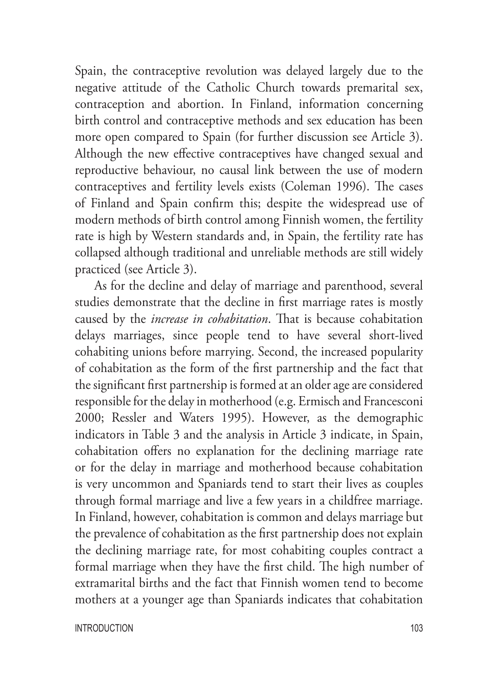Spain, the contraceptive revolution was delayed largely due to the negative attitude of the Catholic Church towards premarital sex, contraception and abortion. In Finland, information concerning birth control and contraceptive methods and sex education has been more open compared to Spain (for further discussion see Article 3). Although the new effective contraceptives have changed sexual and reproductive behaviour, no causal link between the use of modern contraceptives and fertility levels exists (Coleman 1996). The cases of Finland and Spain confirm this; despite the widespread use of modern methods of birth control among Finnish women, the fertility rate is high by Western standards and, in Spain, the fertility rate has collapsed although traditional and unreliable methods are still widely practiced (see Article 3).

As for the decline and delay of marriage and parenthood, several studies demonstrate that the decline in first marriage rates is mostly caused by the *increase in cohabitation*. That is because cohabitation delays marriages, since people tend to have several short-lived cohabiting unions before marrying. Second, the increased popularity of cohabitation as the form of the first partnership and the fact that the significant first partnership is formed at an older age are considered responsible for the delay in motherhood (e.g. Ermisch and Francesconi 2000; Ressler and Waters 1995). However, as the demographic indicators in Table 3 and the analysis in Article 3 indicate, in Spain, cohabitation offers no explanation for the declining marriage rate or for the delay in marriage and motherhood because cohabitation is very uncommon and Spaniards tend to start their lives as couples through formal marriage and live a few years in a childfree marriage. In Finland, however, cohabitation is common and delays marriage but the prevalence of cohabitation as the first partnership does not explain the declining marriage rate, for most cohabiting couples contract a formal marriage when they have the first child. The high number of extramarital births and the fact that Finnish women tend to become mothers at a younger age than Spaniards indicates that cohabitation

INTRODUCTION 103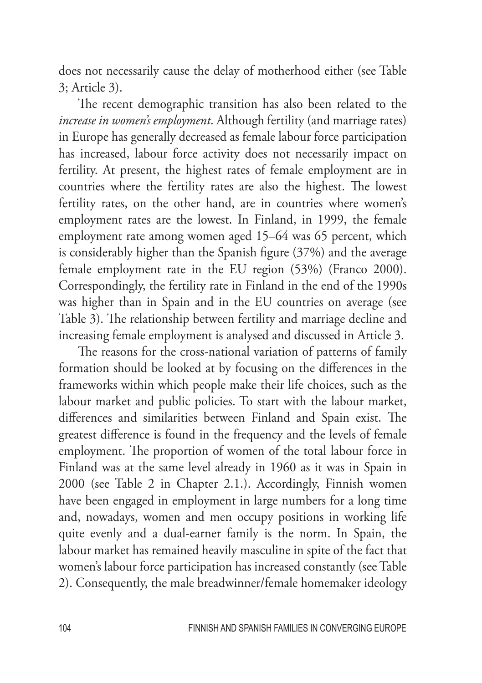does not necessarily cause the delay of motherhood either (see Table 3; Article 3).

The recent demographic transition has also been related to the *increase in women's employment*. Although fertility (and marriage rates) in Europe has generally decreased as female labour force participation has increased, labour force activity does not necessarily impact on fertility. At present, the highest rates of female employment are in countries where the fertility rates are also the highest. The lowest fertility rates, on the other hand, are in countries where women's employment rates are the lowest. In Finland, in 1999, the female employment rate among women aged 15–64 was 65 percent, which is considerably higher than the Spanish figure  $(37%)$  and the average female employment rate in the EU region (53%) (Franco 2000). Correspondingly, the fertility rate in Finland in the end of the 1990s was higher than in Spain and in the EU countries on average (see Table 3). The relationship between fertility and marriage decline and increasing female employment is analysed and discussed in Article 3.

The reasons for the cross-national variation of patterns of family formation should be looked at by focusing on the differences in the frameworks within which people make their life choices, such as the labour market and public policies. To start with the labour market, differences and similarities between Finland and Spain exist. The greatest difference is found in the frequency and the levels of female employment. The proportion of women of the total labour force in Finland was at the same level already in 1960 as it was in Spain in 2000 (see Table 2 in Chapter 2.1.). Accordingly, Finnish women have been engaged in employment in large numbers for a long time and, nowadays, women and men occupy positions in working life quite evenly and a dual-earner family is the norm. In Spain, the labour market has remained heavily masculine in spite of the fact that women's labour force participation has increased constantly (see Table 2). Consequently, the male breadwinner/female homemaker ideology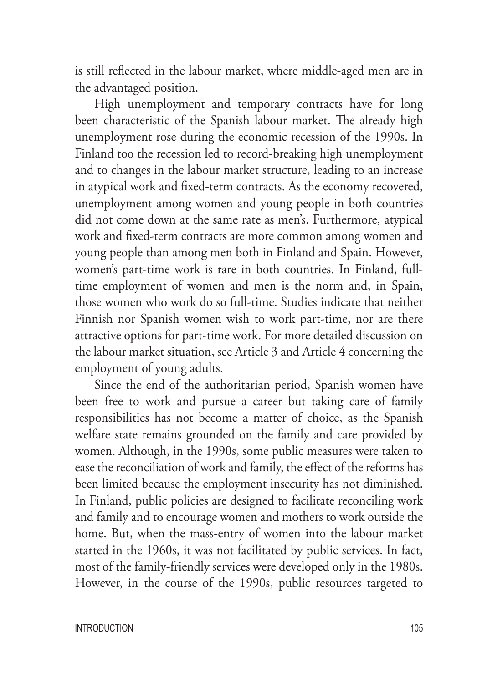is still reflected in the labour market, where middle-aged men are in the advantaged position.

High unemployment and temporary contracts have for long been characteristic of the Spanish labour market. The already high unemployment rose during the economic recession of the 1990s. In Finland too the recession led to record-breaking high unemployment and to changes in the labour market structure, leading to an increase in atypical work and fixed-term contracts. As the economy recovered, unemployment among women and young people in both countries did not come down at the same rate as men's. Furthermore, atypical work and fixed-term contracts are more common among women and young people than among men both in Finland and Spain. However, women's part-time work is rare in both countries. In Finland, fulltime employment of women and men is the norm and, in Spain, those women who work do so full-time. Studies indicate that neither Finnish nor Spanish women wish to work part-time, nor are there attractive options for part-time work. For more detailed discussion on the labour market situation, see Article 3 and Article 4 concerning the employment of young adults.

Since the end of the authoritarian period, Spanish women have been free to work and pursue a career but taking care of family responsibilities has not become a matter of choice, as the Spanish welfare state remains grounded on the family and care provided by women. Although, in the 1990s, some public measures were taken to ease the reconciliation of work and family, the effect of the reforms has been limited because the employment insecurity has not diminished. In Finland, public policies are designed to facilitate reconciling work and family and to encourage women and mothers to work outside the home. But, when the mass-entry of women into the labour market started in the 1960s, it was not facilitated by public services. In fact, most of the family-friendly services were developed only in the 1980s. However, in the course of the 1990s, public resources targeted to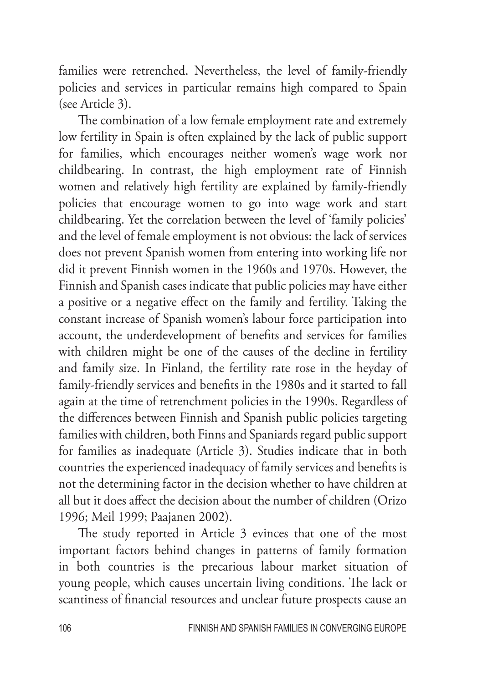families were retrenched. Nevertheless, the level of family-friendly policies and services in particular remains high compared to Spain (see Article 3).

The combination of a low female employment rate and extremely low fertility in Spain is often explained by the lack of public support for families, which encourages neither women's wage work nor childbearing. In contrast, the high employment rate of Finnish women and relatively high fertility are explained by family-friendly policies that encourage women to go into wage work and start childbearing. Yet the correlation between the level of 'family policies' and the level of female employment is not obvious: the lack of services does not prevent Spanish women from entering into working life nor did it prevent Finnish women in the 1960s and 1970s. However, the Finnish and Spanish cases indicate that public policies may have either a positive or a negative effect on the family and fertility. Taking the constant increase of Spanish women's labour force participation into account, the underdevelopment of benefits and services for families with children might be one of the causes of the decline in fertility and family size. In Finland, the fertility rate rose in the heyday of family-friendly services and benefits in the 1980s and it started to fall again at the time of retrenchment policies in the 1990s. Regardless of the differences between Finnish and Spanish public policies targeting families with children, both Finns and Spaniards regard public support for families as inadequate (Article 3). Studies indicate that in both countries the experienced inadequacy of family services and benefits is not the determining factor in the decision whether to have children at all but it does affect the decision about the number of children (Orizo 1996; Meil 1999; Paajanen 2002).

The study reported in Article 3 evinces that one of the most important factors behind changes in patterns of family formation in both countries is the precarious labour market situation of young people, which causes uncertain living conditions. The lack or scantiness of financial resources and unclear future prospects cause an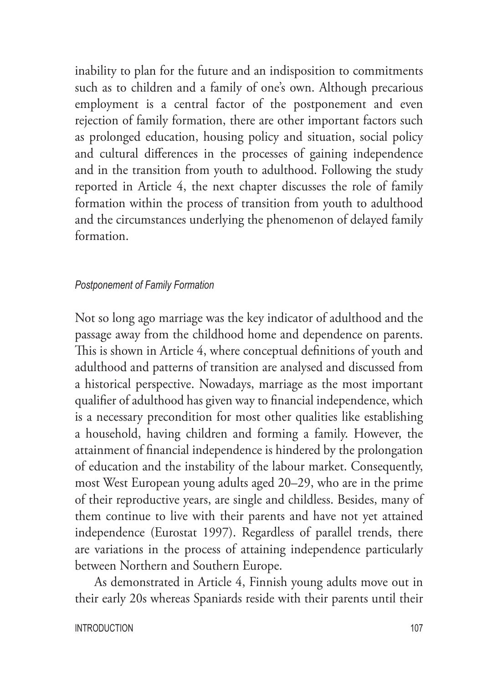inability to plan for the future and an indisposition to commitments such as to children and a family of one's own. Although precarious employment is a central factor of the postponement and even rejection of family formation, there are other important factors such as prolonged education, housing policy and situation, social policy and cultural differences in the processes of gaining independence and in the transition from youth to adulthood. Following the study reported in Article 4, the next chapter discusses the role of family formation within the process of transition from youth to adulthood and the circumstances underlying the phenomenon of delayed family formation.

## *Postponement of Family Formation*

Not so long ago marriage was the key indicator of adulthood and the passage away from the childhood home and dependence on parents. This is shown in Article 4, where conceptual definitions of youth and adulthood and patterns of transition are analysed and discussed from a historical perspective. Nowadays, marriage as the most important qualifier of adulthood has given way to financial independence, which is a necessary precondition for most other qualities like establishing a household, having children and forming a family. However, the attainment of financial independence is hindered by the prolongation of education and the instability of the labour market. Consequently, most West European young adults aged 20–29, who are in the prime of their reproductive years, are single and childless. Besides, many of them continue to live with their parents and have not yet attained independence (Eurostat 1997). Regardless of parallel trends, there are variations in the process of attaining independence particularly between Northern and Southern Europe.

As demonstrated in Article 4, Finnish young adults move out in their early 20s whereas Spaniards reside with their parents until their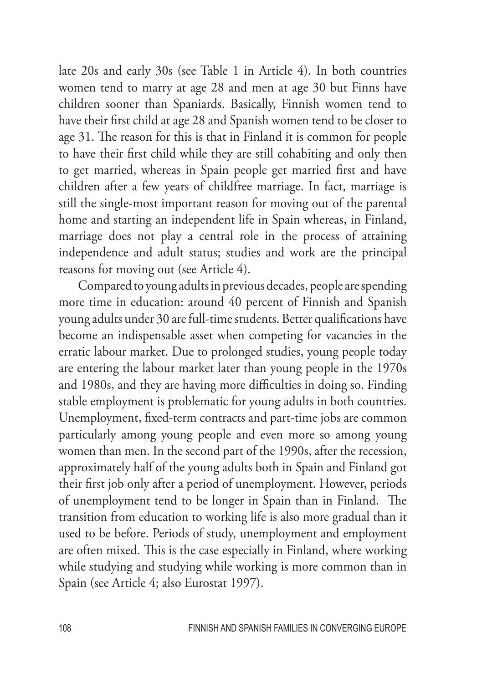late 20s and early 30s (see Table 1 in Article 4). In both countries women tend to marry at age 28 and men at age 30 but Finns have children sooner than Spaniards. Basically, Finnish women tend to have their first child at age 28 and Spanish women tend to be closer to age 31. The reason for this is that in Finland it is common for people to have their first child while they are still cohabiting and only then to get married, whereas in Spain people get married first and have children after a few years of childfree marriage. In fact, marriage is still the single-most important reason for moving out of the parental home and starting an independent life in Spain whereas, in Finland, marriage does not play a central role in the process of attaining independence and adult status; studies and work are the principal reasons for moving out (see Article 4).

Compared to young adults in previous decades, people are spending more time in education: around 40 percent of Finnish and Spanish young adults under 30 are full-time students. Better qualifications have become an indispensable asset when competing for vacancies in the erratic labour market. Due to prolonged studies, young people today are entering the labour market later than young people in the 1970s and 1980s, and they are having more difficulties in doing so. Finding stable employment is problematic for young adults in both countries. Unemployment, fixed-term contracts and part-time jobs are common particularly among young people and even more so among young women than men. In the second part of the 1990s, after the recession, approximately half of the young adults both in Spain and Finland got their first job only after a period of unemployment. However, periods of unemployment tend to be longer in Spain than in Finland. The transition from education to working life is also more gradual than it used to be before. Periods of study, unemployment and employment are often mixed. This is the case especially in Finland, where working while studying and studying while working is more common than in Spain (see Article 4; also Eurostat 1997).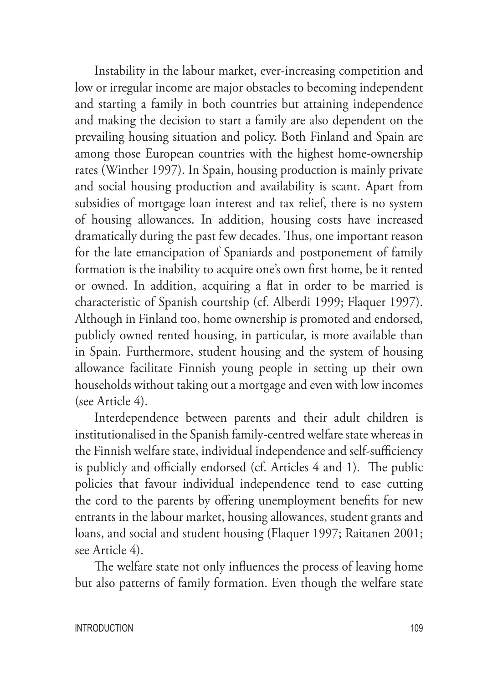Instability in the labour market, ever-increasing competition and low or irregular income are major obstacles to becoming independent and starting a family in both countries but attaining independence and making the decision to start a family are also dependent on the prevailing housing situation and policy. Both Finland and Spain are among those European countries with the highest home-ownership rates (Winther 1997). In Spain, housing production is mainly private and social housing production and availability is scant. Apart from subsidies of mortgage loan interest and tax relief, there is no system of housing allowances. In addition, housing costs have increased dramatically during the past few decades. Thus, one important reason for the late emancipation of Spaniards and postponement of family formation is the inability to acquire one's own first home, be it rented or owned. In addition, acquiring a flat in order to be married is characteristic of Spanish courtship (cf. Alberdi 1999; Flaquer 1997). Although in Finland too, home ownership is promoted and endorsed, publicly owned rented housing, in particular, is more available than in Spain. Furthermore, student housing and the system of housing allowance facilitate Finnish young people in setting up their own households without taking out a mortgage and even with low incomes (see Article 4).

Interdependence between parents and their adult children is institutionalised in the Spanish family-centred welfare state whereas in the Finnish welfare state, individual independence and self-sufficiency is publicly and officially endorsed (cf. Articles 4 and 1). The public policies that favour individual independence tend to ease cutting the cord to the parents by offering unemployment benefits for new entrants in the labour market, housing allowances, student grants and loans, and social and student housing (Flaquer 1997; Raitanen 2001; see Article 4).

The welfare state not only influences the process of leaving home but also patterns of family formation. Even though the welfare state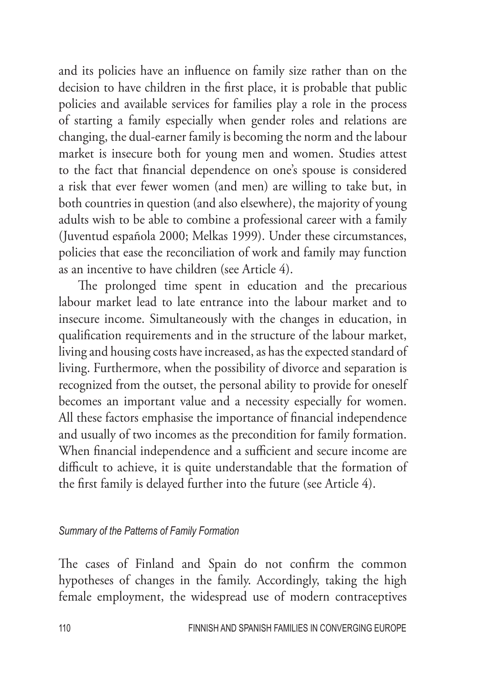and its policies have an influence on family size rather than on the decision to have children in the first place, it is probable that public policies and available services for families play a role in the process of starting a family especially when gender roles and relations are changing, the dual-earner family is becoming the norm and the labour market is insecure both for young men and women. Studies attest to the fact that financial dependence on one's spouse is considered a risk that ever fewer women (and men) are willing to take but, in both countries in question (and also elsewhere), the majority of young adults wish to be able to combine a professional career with a family (Juventud española 2000; Melkas 1999). Under these circumstances, policies that ease the reconciliation of work and family may function as an incentive to have children (see Article 4).

The prolonged time spent in education and the precarious labour market lead to late entrance into the labour market and to insecure income. Simultaneously with the changes in education, in qualification requirements and in the structure of the labour market, living and housing costs have increased, as has the expected standard of living. Furthermore, when the possibility of divorce and separation is recognized from the outset, the personal ability to provide for oneself becomes an important value and a necessity especially for women. All these factors emphasise the importance of financial independence and usually of two incomes as the precondition for family formation. When financial independence and a sufficient and secure income are difficult to achieve, it is quite understandable that the formation of the first family is delayed further into the future (see Article 4).

#### *Summary of the Patterns of Family Formation*

The cases of Finland and Spain do not confirm the common hypotheses of changes in the family. Accordingly, taking the high female employment, the widespread use of modern contraceptives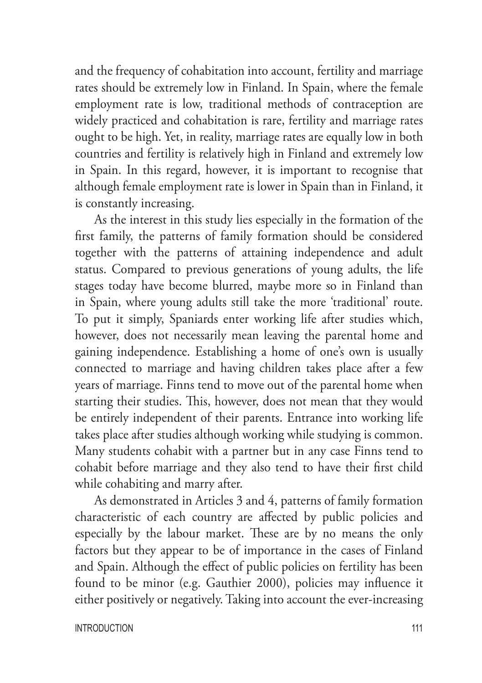and the frequency of cohabitation into account, fertility and marriage rates should be extremely low in Finland. In Spain, where the female employment rate is low, traditional methods of contraception are widely practiced and cohabitation is rare, fertility and marriage rates ought to be high. Yet, in reality, marriage rates are equally low in both countries and fertility is relatively high in Finland and extremely low in Spain. In this regard, however, it is important to recognise that although female employment rate is lower in Spain than in Finland, it is constantly increasing.

As the interest in this study lies especially in the formation of the first family, the patterns of family formation should be considered together with the patterns of attaining independence and adult status. Compared to previous generations of young adults, the life stages today have become blurred, maybe more so in Finland than in Spain, where young adults still take the more 'traditional' route. To put it simply, Spaniards enter working life after studies which, however, does not necessarily mean leaving the parental home and gaining independence. Establishing a home of one's own is usually connected to marriage and having children takes place after a few years of marriage. Finns tend to move out of the parental home when starting their studies. This, however, does not mean that they would be entirely independent of their parents. Entrance into working life takes place after studies although working while studying is common. Many students cohabit with a partner but in any case Finns tend to cohabit before marriage and they also tend to have their first child while cohabiting and marry after.

As demonstrated in Articles 3 and 4, patterns of family formation characteristic of each country are affected by public policies and especially by the labour market. These are by no means the only factors but they appear to be of importance in the cases of Finland and Spain. Although the effect of public policies on fertility has been found to be minor (e.g. Gauthier 2000), policies may influence it either positively or negatively. Taking into account the ever-increasing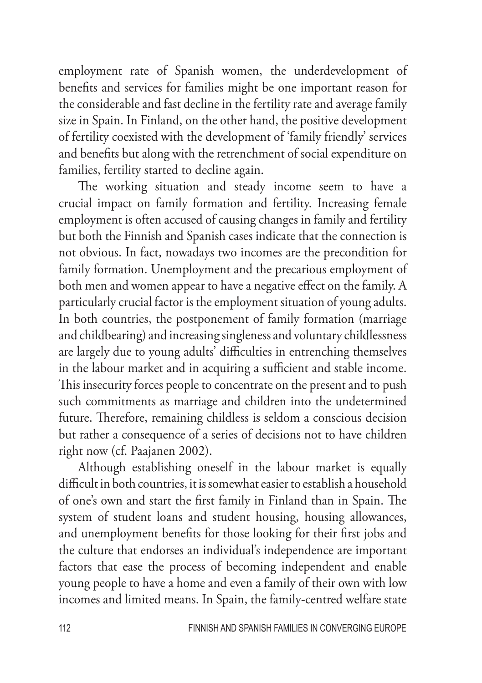employment rate of Spanish women, the underdevelopment of benefits and services for families might be one important reason for the considerable and fast decline in the fertility rate and average family size in Spain. In Finland, on the other hand, the positive development of fertility coexisted with the development of 'family friendly' services and benefits but along with the retrenchment of social expenditure on families, fertility started to decline again.

The working situation and steady income seem to have a crucial impact on family formation and fertility. Increasing female employment is often accused of causing changes in family and fertility but both the Finnish and Spanish cases indicate that the connection is not obvious. In fact, nowadays two incomes are the precondition for family formation. Unemployment and the precarious employment of both men and women appear to have a negative effect on the family. A particularly crucial factor is the employment situation of young adults. In both countries, the postponement of family formation (marriage and childbearing) and increasing singleness and voluntary childlessness are largely due to young adults' difficulties in entrenching themselves in the labour market and in acquiring a sufficient and stable income. This insecurity forces people to concentrate on the present and to push such commitments as marriage and children into the undetermined future. Therefore, remaining childless is seldom a conscious decision but rather a consequence of a series of decisions not to have children right now (cf. Paajanen 2002).

Although establishing oneself in the labour market is equally difficult in both countries, it is somewhat easier to establish a household of one's own and start the first family in Finland than in Spain. The system of student loans and student housing, housing allowances, and unemployment benefits for those looking for their first jobs and the culture that endorses an individual's independence are important factors that ease the process of becoming independent and enable young people to have a home and even a family of their own with low incomes and limited means. In Spain, the family-centred welfare state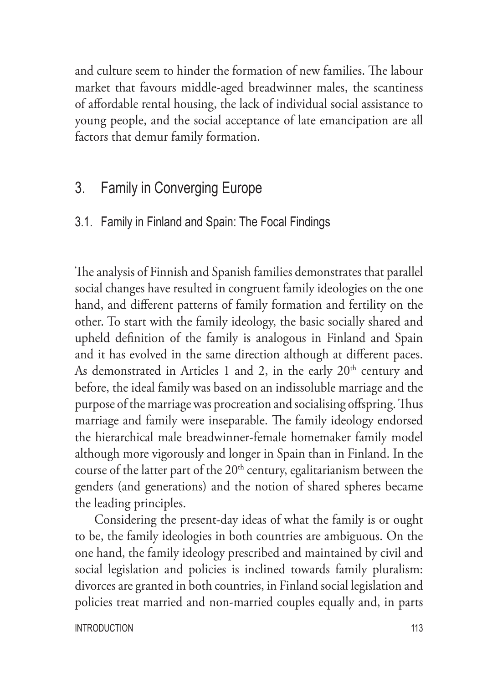and culture seem to hinder the formation of new families. The labour market that favours middle-aged breadwinner males, the scantiness of affordable rental housing, the lack of individual social assistance to young people, and the social acceptance of late emancipation are all factors that demur family formation.

# 3. Family in Converging Europe

### 3.1. Family in Finland and Spain: The Focal Findings

The analysis of Finnish and Spanish families demonstrates that parallel social changes have resulted in congruent family ideologies on the one hand, and different patterns of family formation and fertility on the other. To start with the family ideology, the basic socially shared and upheld definition of the family is analogous in Finland and Spain and it has evolved in the same direction although at different paces. As demonstrated in Articles 1 and 2, in the early  $20<sup>th</sup>$  century and before, the ideal family was based on an indissoluble marriage and the purpose of the marriage was procreation and socialising offspring. Thus marriage and family were inseparable. The family ideology endorsed the hierarchical male breadwinner-female homemaker family model although more vigorously and longer in Spain than in Finland. In the course of the latter part of the 20<sup>th</sup> century, egalitarianism between the genders (and generations) and the notion of shared spheres became the leading principles.

Considering the present-day ideas of what the family is or ought to be, the family ideologies in both countries are ambiguous. On the one hand, the family ideology prescribed and maintained by civil and social legislation and policies is inclined towards family pluralism: divorces are granted in both countries, in Finland social legislation and policies treat married and non-married couples equally and, in parts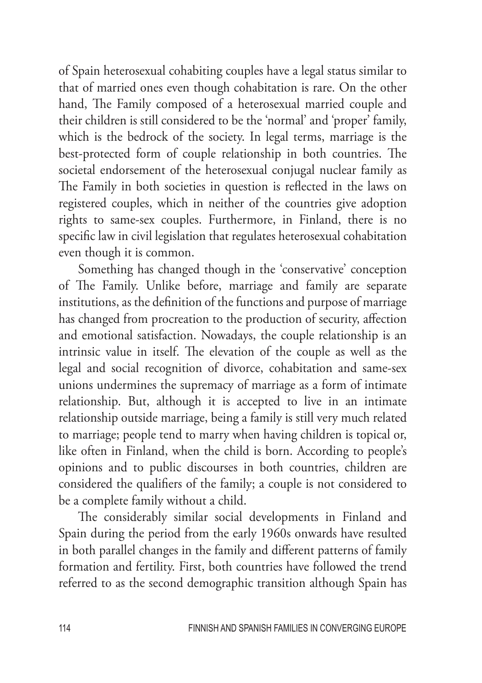of Spain heterosexual cohabiting couples have a legal status similar to that of married ones even though cohabitation is rare. On the other hand, The Family composed of a heterosexual married couple and their children is still considered to be the 'normal' and 'proper' family, which is the bedrock of the society. In legal terms, marriage is the best-protected form of couple relationship in both countries. The societal endorsement of the heterosexual conjugal nuclear family as The Family in both societies in question is reflected in the laws on registered couples, which in neither of the countries give adoption rights to same-sex couples. Furthermore, in Finland, there is no specific law in civil legislation that regulates heterosexual cohabitation even though it is common.

Something has changed though in the 'conservative' conception of The Family. Unlike before, marriage and family are separate institutions, as the definition of the functions and purpose of marriage has changed from procreation to the production of security, affection and emotional satisfaction. Nowadays, the couple relationship is an intrinsic value in itself. The elevation of the couple as well as the legal and social recognition of divorce, cohabitation and same-sex unions undermines the supremacy of marriage as a form of intimate relationship. But, although it is accepted to live in an intimate relationship outside marriage, being a family is still very much related to marriage; people tend to marry when having children is topical or, like often in Finland, when the child is born. According to people's opinions and to public discourses in both countries, children are considered the qualifiers of the family; a couple is not considered to be a complete family without a child.

The considerably similar social developments in Finland and Spain during the period from the early 1960s onwards have resulted in both parallel changes in the family and different patterns of family formation and fertility. First, both countries have followed the trend referred to as the second demographic transition although Spain has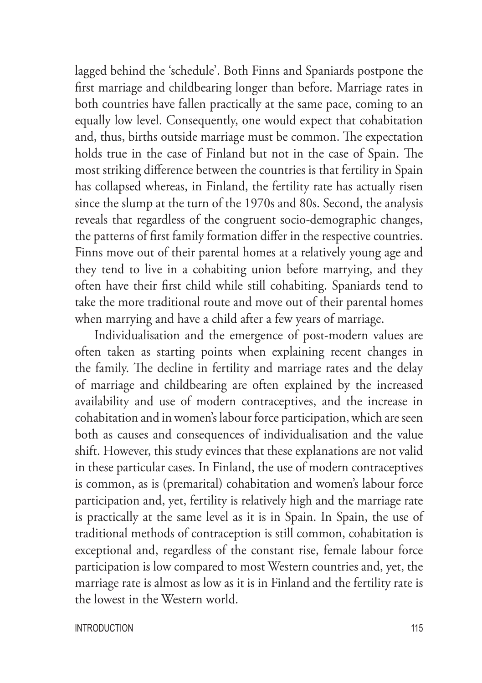lagged behind the 'schedule'. Both Finns and Spaniards postpone the first marriage and childbearing longer than before. Marriage rates in both countries have fallen practically at the same pace, coming to an equally low level. Consequently, one would expect that cohabitation and, thus, births outside marriage must be common. The expectation holds true in the case of Finland but not in the case of Spain. The most striking difference between the countries is that fertility in Spain has collapsed whereas, in Finland, the fertility rate has actually risen since the slump at the turn of the 1970s and 80s. Second, the analysis reveals that regardless of the congruent socio-demographic changes, the patterns of first family formation differ in the respective countries. Finns move out of their parental homes at a relatively young age and they tend to live in a cohabiting union before marrying, and they often have their first child while still cohabiting. Spaniards tend to take the more traditional route and move out of their parental homes when marrying and have a child after a few years of marriage.

Individualisation and the emergence of post-modern values are often taken as starting points when explaining recent changes in the family. The decline in fertility and marriage rates and the delay of marriage and childbearing are often explained by the increased availability and use of modern contraceptives, and the increase in cohabitation and in women's labour force participation, which are seen both as causes and consequences of individualisation and the value shift. However, this study evinces that these explanations are not valid in these particular cases. In Finland, the use of modern contraceptives is common, as is (premarital) cohabitation and women's labour force participation and, yet, fertility is relatively high and the marriage rate is practically at the same level as it is in Spain. In Spain, the use of traditional methods of contraception is still common, cohabitation is exceptional and, regardless of the constant rise, female labour force participation is low compared to most Western countries and, yet, the marriage rate is almost as low as it is in Finland and the fertility rate is the lowest in the Western world.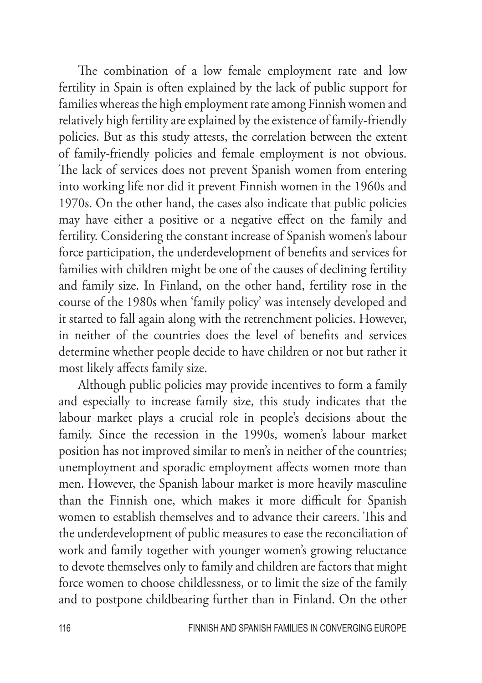The combination of a low female employment rate and low fertility in Spain is often explained by the lack of public support for families whereas the high employment rate among Finnish women and relatively high fertility are explained by the existence of family-friendly policies. But as this study attests, the correlation between the extent of family-friendly policies and female employment is not obvious. The lack of services does not prevent Spanish women from entering into working life nor did it prevent Finnish women in the 1960s and 1970s. On the other hand, the cases also indicate that public policies may have either a positive or a negative effect on the family and fertility. Considering the constant increase of Spanish women's labour force participation, the underdevelopment of benefits and services for families with children might be one of the causes of declining fertility and family size. In Finland, on the other hand, fertility rose in the course of the 1980s when 'family policy' was intensely developed and it started to fall again along with the retrenchment policies. However, in neither of the countries does the level of benefits and services determine whether people decide to have children or not but rather it most likely affects family size.

Although public policies may provide incentives to form a family and especially to increase family size, this study indicates that the labour market plays a crucial role in people's decisions about the family. Since the recession in the 1990s, women's labour market position has not improved similar to men's in neither of the countries; unemployment and sporadic employment affects women more than men. However, the Spanish labour market is more heavily masculine than the Finnish one, which makes it more difficult for Spanish women to establish themselves and to advance their careers. This and the underdevelopment of public measures to ease the reconciliation of work and family together with younger women's growing reluctance to devote themselves only to family and children are factors that might force women to choose childlessness, or to limit the size of the family and to postpone childbearing further than in Finland. On the other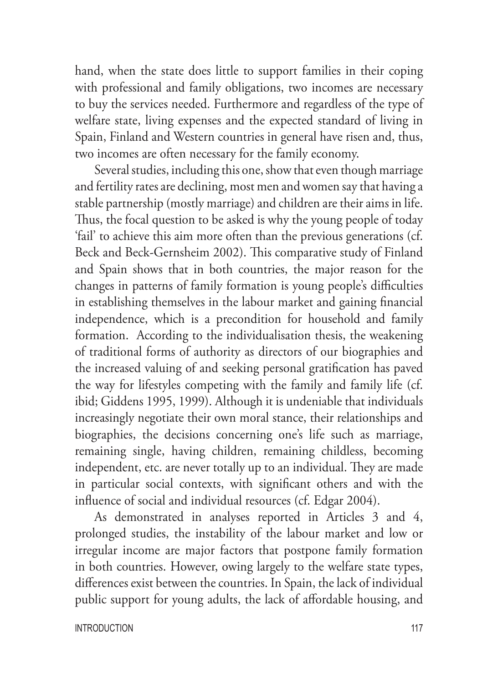hand, when the state does little to support families in their coping with professional and family obligations, two incomes are necessary to buy the services needed. Furthermore and regardless of the type of welfare state, living expenses and the expected standard of living in Spain, Finland and Western countries in general have risen and, thus, two incomes are often necessary for the family economy.

Several studies, including this one, show that even though marriage and fertility rates are declining, most men and women say that having a stable partnership (mostly marriage) and children are their aims in life. Thus, the focal question to be asked is why the young people of today 'fail' to achieve this aim more often than the previous generations (cf. Beck and Beck-Gernsheim 2002). This comparative study of Finland and Spain shows that in both countries, the major reason for the changes in patterns of family formation is young people's difficulties in establishing themselves in the labour market and gaining financial independence, which is a precondition for household and family formation. According to the individualisation thesis, the weakening of traditional forms of authority as directors of our biographies and the increased valuing of and seeking personal gratification has paved the way for lifestyles competing with the family and family life (cf. ibid; Giddens 1995, 1999). Although it is undeniable that individuals increasingly negotiate their own moral stance, their relationships and biographies, the decisions concerning one's life such as marriage, remaining single, having children, remaining childless, becoming independent, etc. are never totally up to an individual. They are made in particular social contexts, with significant others and with the influence of social and individual resources (cf. Edgar 2004).

As demonstrated in analyses reported in Articles 3 and 4, prolonged studies, the instability of the labour market and low or irregular income are major factors that postpone family formation in both countries. However, owing largely to the welfare state types, differences exist between the countries. In Spain, the lack of individual public support for young adults, the lack of affordable housing, and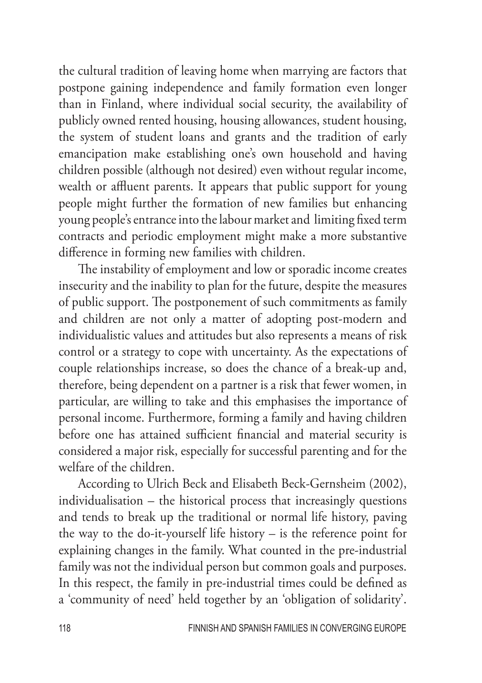the cultural tradition of leaving home when marrying are factors that postpone gaining independence and family formation even longer than in Finland, where individual social security, the availability of publicly owned rented housing, housing allowances, student housing, the system of student loans and grants and the tradition of early emancipation make establishing one's own household and having children possible (although not desired) even without regular income, wealth or affluent parents. It appears that public support for young people might further the formation of new families but enhancing young people's entrance into the labour market and limiting fixed term contracts and periodic employment might make a more substantive difference in forming new families with children.

The instability of employment and low or sporadic income creates insecurity and the inability to plan for the future, despite the measures of public support. The postponement of such commitments as family and children are not only a matter of adopting post-modern and individualistic values and attitudes but also represents a means of risk control or a strategy to cope with uncertainty. As the expectations of couple relationships increase, so does the chance of a break-up and, therefore, being dependent on a partner is a risk that fewer women, in particular, are willing to take and this emphasises the importance of personal income. Furthermore, forming a family and having children before one has attained sufficient financial and material security is considered a major risk, especially for successful parenting and for the welfare of the children.

According to Ulrich Beck and Elisabeth Beck-Gernsheim (2002), individualisation – the historical process that increasingly questions and tends to break up the traditional or normal life history, paving the way to the do-it-yourself life history – is the reference point for explaining changes in the family. What counted in the pre-industrial family was not the individual person but common goals and purposes. In this respect, the family in pre-industrial times could be defined as a 'community of need' held together by an 'obligation of solidarity'.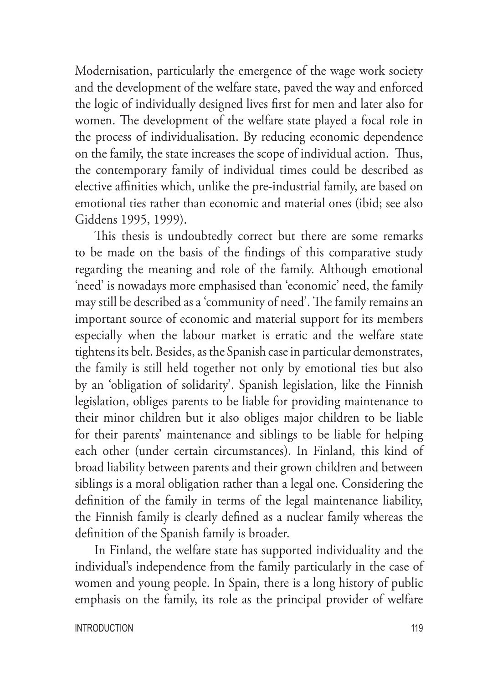Modernisation, particularly the emergence of the wage work society and the development of the welfare state, paved the way and enforced the logic of individually designed lives first for men and later also for women. The development of the welfare state played a focal role in the process of individualisation. By reducing economic dependence on the family, the state increases the scope of individual action. Thus, the contemporary family of individual times could be described as elective affinities which, unlike the pre-industrial family, are based on emotional ties rather than economic and material ones (ibid; see also Giddens 1995, 1999).

This thesis is undoubtedly correct but there are some remarks to be made on the basis of the findings of this comparative study regarding the meaning and role of the family. Although emotional 'need' is nowadays more emphasised than 'economic' need, the family may still be described as a 'community of need'. The family remains an important source of economic and material support for its members especially when the labour market is erratic and the welfare state tightens its belt. Besides, as the Spanish case in particular demonstrates, the family is still held together not only by emotional ties but also by an 'obligation of solidarity'. Spanish legislation, like the Finnish legislation, obliges parents to be liable for providing maintenance to their minor children but it also obliges major children to be liable for their parents' maintenance and siblings to be liable for helping each other (under certain circumstances). In Finland, this kind of broad liability between parents and their grown children and between siblings is a moral obligation rather than a legal one. Considering the definition of the family in terms of the legal maintenance liability, the Finnish family is clearly defined as a nuclear family whereas the definition of the Spanish family is broader.

In Finland, the welfare state has supported individuality and the individual's independence from the family particularly in the case of women and young people. In Spain, there is a long history of public emphasis on the family, its role as the principal provider of welfare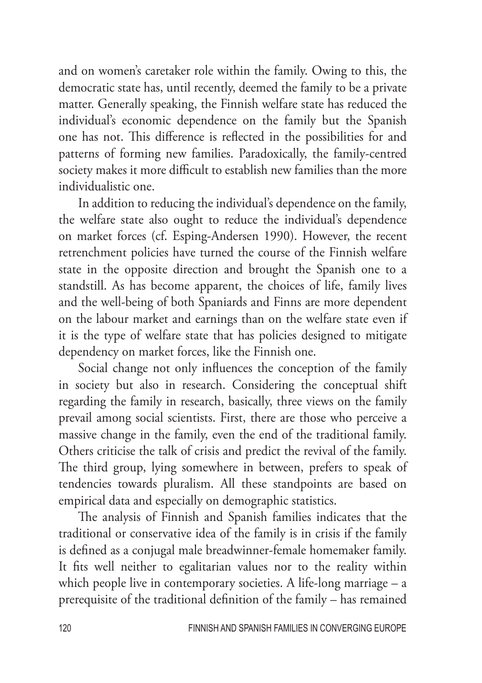and on women's caretaker role within the family. Owing to this, the democratic state has, until recently, deemed the family to be a private matter. Generally speaking, the Finnish welfare state has reduced the individual's economic dependence on the family but the Spanish one has not. This difference is reflected in the possibilities for and patterns of forming new families. Paradoxically, the family-centred society makes it more difficult to establish new families than the more individualistic one.

In addition to reducing the individual's dependence on the family, the welfare state also ought to reduce the individual's dependence on market forces (cf. Esping-Andersen 1990). However, the recent retrenchment policies have turned the course of the Finnish welfare state in the opposite direction and brought the Spanish one to a standstill. As has become apparent, the choices of life, family lives and the well-being of both Spaniards and Finns are more dependent on the labour market and earnings than on the welfare state even if it is the type of welfare state that has policies designed to mitigate dependency on market forces, like the Finnish one.

Social change not only influences the conception of the family in society but also in research. Considering the conceptual shift regarding the family in research, basically, three views on the family prevail among social scientists. First, there are those who perceive a massive change in the family, even the end of the traditional family. Others criticise the talk of crisis and predict the revival of the family. The third group, lying somewhere in between, prefers to speak of tendencies towards pluralism. All these standpoints are based on empirical data and especially on demographic statistics.

The analysis of Finnish and Spanish families indicates that the traditional or conservative idea of the family is in crisis if the family is defined as a conjugal male breadwinner-female homemaker family. It fits well neither to egalitarian values nor to the reality within which people live in contemporary societies. A life-long marriage – a prerequisite of the traditional definition of the family – has remained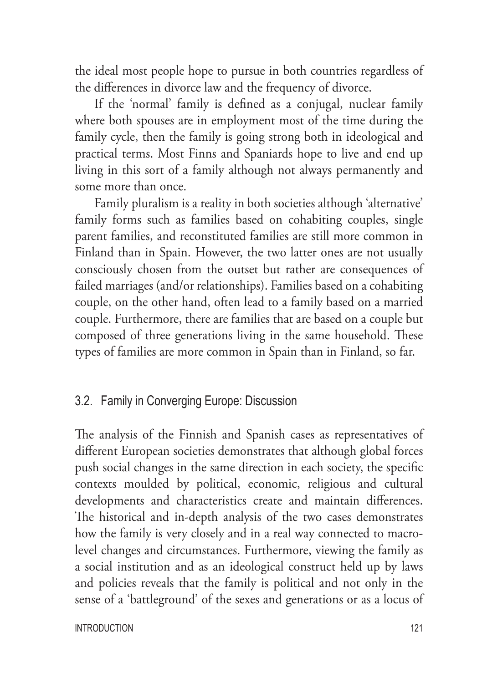the ideal most people hope to pursue in both countries regardless of the differences in divorce law and the frequency of divorce.

If the 'normal' family is defined as a conjugal, nuclear family where both spouses are in employment most of the time during the family cycle, then the family is going strong both in ideological and practical terms. Most Finns and Spaniards hope to live and end up living in this sort of a family although not always permanently and some more than once.

Family pluralism is a reality in both societies although 'alternative' family forms such as families based on cohabiting couples, single parent families, and reconstituted families are still more common in Finland than in Spain. However, the two latter ones are not usually consciously chosen from the outset but rather are consequences of failed marriages (and/or relationships). Families based on a cohabiting couple, on the other hand, often lead to a family based on a married couple. Furthermore, there are families that are based on a couple but composed of three generations living in the same household. These types of families are more common in Spain than in Finland, so far.

## 3.2. Family in Converging Europe: Discussion

The analysis of the Finnish and Spanish cases as representatives of different European societies demonstrates that although global forces push social changes in the same direction in each society, the specific contexts moulded by political, economic, religious and cultural developments and characteristics create and maintain differences. The historical and in-depth analysis of the two cases demonstrates how the family is very closely and in a real way connected to macrolevel changes and circumstances. Furthermore, viewing the family as a social institution and as an ideological construct held up by laws and policies reveals that the family is political and not only in the sense of a 'battleground' of the sexes and generations or as a locus of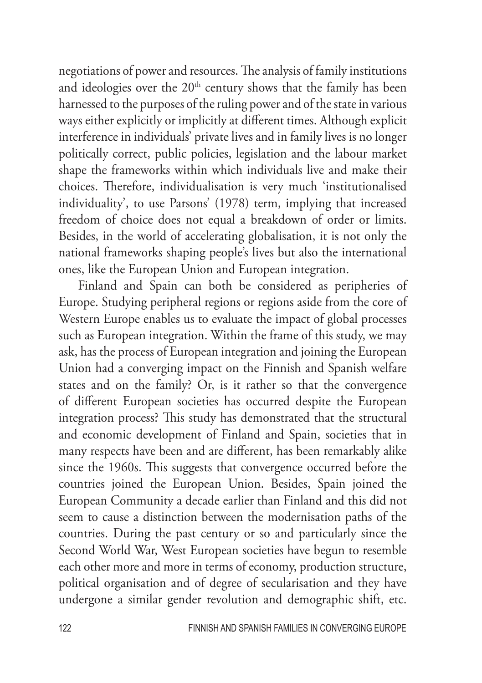negotiations of power and resources. The analysis of family institutions and ideologies over the 20<sup>th</sup> century shows that the family has been harnessed to the purposes of the ruling power and of the state in various ways either explicitly or implicitly at different times. Although explicit interference in individuals' private lives and in family lives is no longer politically correct, public policies, legislation and the labour market shape the frameworks within which individuals live and make their choices. Therefore, individualisation is very much 'institutionalised individuality', to use Parsons' (1978) term, implying that increased freedom of choice does not equal a breakdown of order or limits. Besides, in the world of accelerating globalisation, it is not only the national frameworks shaping people's lives but also the international ones, like the European Union and European integration.

Finland and Spain can both be considered as peripheries of Europe. Studying peripheral regions or regions aside from the core of Western Europe enables us to evaluate the impact of global processes such as European integration. Within the frame of this study, we may ask, has the process of European integration and joining the European Union had a converging impact on the Finnish and Spanish welfare states and on the family? Or, is it rather so that the convergence of different European societies has occurred despite the European integration process? This study has demonstrated that the structural and economic development of Finland and Spain, societies that in many respects have been and are different, has been remarkably alike since the 1960s. This suggests that convergence occurred before the countries joined the European Union. Besides, Spain joined the European Community a decade earlier than Finland and this did not seem to cause a distinction between the modernisation paths of the countries. During the past century or so and particularly since the Second World War, West European societies have begun to resemble each other more and more in terms of economy, production structure, political organisation and of degree of secularisation and they have undergone a similar gender revolution and demographic shift, etc.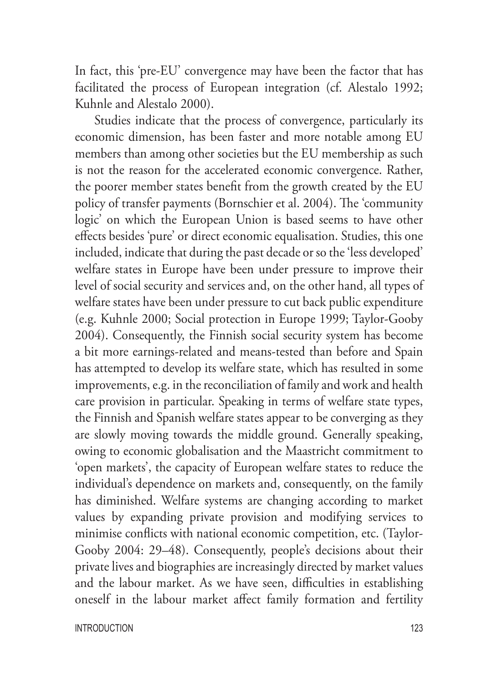In fact, this 'pre-EU' convergence may have been the factor that has facilitated the process of European integration (cf. Alestalo 1992; Kuhnle and Alestalo 2000).

Studies indicate that the process of convergence, particularly its economic dimension, has been faster and more notable among EU members than among other societies but the EU membership as such is not the reason for the accelerated economic convergence. Rather, the poorer member states benefit from the growth created by the EU policy of transfer payments (Bornschier et al. 2004). The 'community logic' on which the European Union is based seems to have other effects besides 'pure' or direct economic equalisation. Studies, this one included, indicate that during the past decade or so the 'less developed' welfare states in Europe have been under pressure to improve their level of social security and services and, on the other hand, all types of welfare states have been under pressure to cut back public expenditure (e.g. Kuhnle 2000; Social protection in Europe 1999; Taylor-Gooby 2004). Consequently, the Finnish social security system has become a bit more earnings-related and means-tested than before and Spain has attempted to develop its welfare state, which has resulted in some improvements, e.g. in the reconciliation of family and work and health care provision in particular. Speaking in terms of welfare state types, the Finnish and Spanish welfare states appear to be converging as they are slowly moving towards the middle ground. Generally speaking, owing to economic globalisation and the Maastricht commitment to 'open markets', the capacity of European welfare states to reduce the individual's dependence on markets and, consequently, on the family has diminished. Welfare systems are changing according to market values by expanding private provision and modifying services to minimise conflicts with national economic competition, etc. (Taylor-Gooby 2004: 29–48). Consequently, people's decisions about their private lives and biographies are increasingly directed by market values and the labour market. As we have seen, difficulties in establishing oneself in the labour market affect family formation and fertility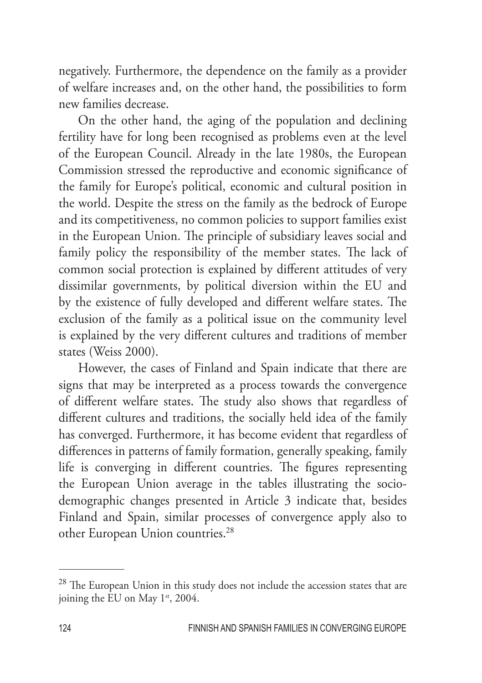negatively. Furthermore, the dependence on the family as a provider of welfare increases and, on the other hand, the possibilities to form new families decrease.

On the other hand, the aging of the population and declining fertility have for long been recognised as problems even at the level of the European Council. Already in the late 1980s, the European Commission stressed the reproductive and economic significance of the family for Europe's political, economic and cultural position in the world. Despite the stress on the family as the bedrock of Europe and its competitiveness, no common policies to support families exist in the European Union. The principle of subsidiary leaves social and family policy the responsibility of the member states. The lack of common social protection is explained by different attitudes of very dissimilar governments, by political diversion within the EU and by the existence of fully developed and different welfare states. The exclusion of the family as a political issue on the community level is explained by the very different cultures and traditions of member states (Weiss 2000).

However, the cases of Finland and Spain indicate that there are signs that may be interpreted as a process towards the convergence of different welfare states. The study also shows that regardless of different cultures and traditions, the socially held idea of the family has converged. Furthermore, it has become evident that regardless of differences in patterns of family formation, generally speaking, family life is converging in different countries. The figures representing the European Union average in the tables illustrating the sociodemographic changes presented in Article 3 indicate that, besides Finland and Spain, similar processes of convergence apply also to other European Union countries.<sup>28</sup>

 $28$  The European Union in this study does not include the accession states that are joining the  $\rm \tilde{E}U$  on May 1<sup>st</sup>, 2004.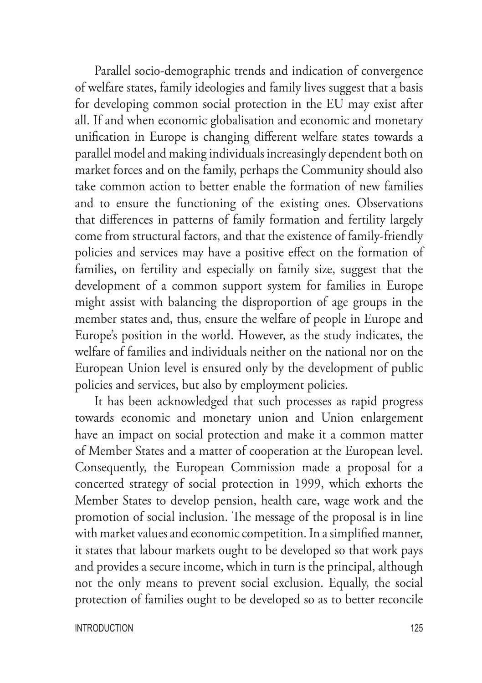Parallel socio-demographic trends and indication of convergence of welfare states, family ideologies and family lives suggest that a basis for developing common social protection in the EU may exist after all. If and when economic globalisation and economic and monetary unification in Europe is changing different welfare states towards a parallel model and making individuals increasingly dependent both on market forces and on the family, perhaps the Community should also take common action to better enable the formation of new families and to ensure the functioning of the existing ones. Observations that differences in patterns of family formation and fertility largely come from structural factors, and that the existence of family-friendly policies and services may have a positive effect on the formation of families, on fertility and especially on family size, suggest that the development of a common support system for families in Europe might assist with balancing the disproportion of age groups in the member states and, thus, ensure the welfare of people in Europe and Europe's position in the world. However, as the study indicates, the welfare of families and individuals neither on the national nor on the European Union level is ensured only by the development of public policies and services, but also by employment policies.

It has been acknowledged that such processes as rapid progress towards economic and monetary union and Union enlargement have an impact on social protection and make it a common matter of Member States and a matter of cooperation at the European level. Consequently, the European Commission made a proposal for a concerted strategy of social protection in 1999, which exhorts the Member States to develop pension, health care, wage work and the promotion of social inclusion. The message of the proposal is in line with market values and economic competition. In a simplified manner, it states that labour markets ought to be developed so that work pays and provides a secure income, which in turn is the principal, although not the only means to prevent social exclusion. Equally, the social protection of families ought to be developed so as to better reconcile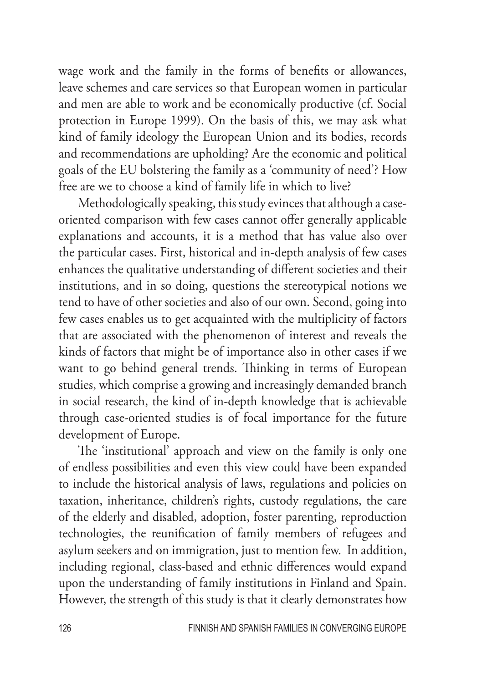wage work and the family in the forms of benefits or allowances, leave schemes and care services so that European women in particular and men are able to work and be economically productive (cf. Social protection in Europe 1999). On the basis of this, we may ask what kind of family ideology the European Union and its bodies, records and recommendations are upholding? Are the economic and political goals of the EU bolstering the family as a 'community of need'? How free are we to choose a kind of family life in which to live?

Methodologically speaking, this study evinces that although a caseoriented comparison with few cases cannot offer generally applicable explanations and accounts, it is a method that has value also over the particular cases. First, historical and in-depth analysis of few cases enhances the qualitative understanding of different societies and their institutions, and in so doing, questions the stereotypical notions we tend to have of other societies and also of our own. Second, going into few cases enables us to get acquainted with the multiplicity of factors that are associated with the phenomenon of interest and reveals the kinds of factors that might be of importance also in other cases if we want to go behind general trends. Thinking in terms of European studies, which comprise a growing and increasingly demanded branch in social research, the kind of in-depth knowledge that is achievable through case-oriented studies is of focal importance for the future development of Europe.

The 'institutional' approach and view on the family is only one of endless possibilities and even this view could have been expanded to include the historical analysis of laws, regulations and policies on taxation, inheritance, children's rights, custody regulations, the care of the elderly and disabled, adoption, foster parenting, reproduction technologies, the reunification of family members of refugees and asylum seekers and on immigration, just to mention few. In addition, including regional, class-based and ethnic differences would expand upon the understanding of family institutions in Finland and Spain. However, the strength of this study is that it clearly demonstrates how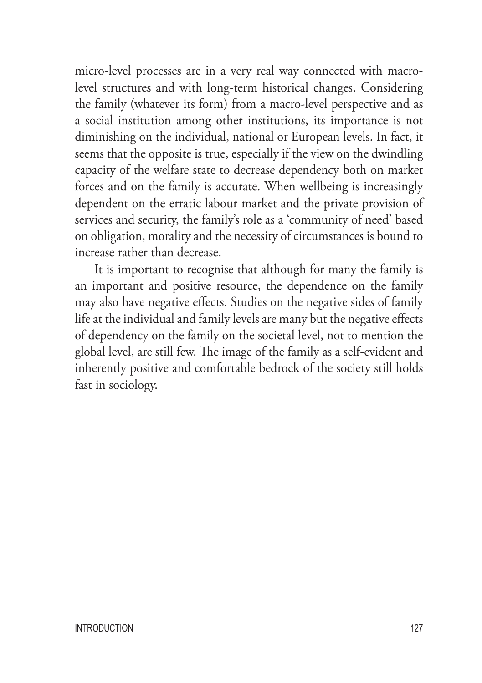micro-level processes are in a very real way connected with macrolevel structures and with long-term historical changes. Considering the family (whatever its form) from a macro-level perspective and as a social institution among other institutions, its importance is not diminishing on the individual, national or European levels. In fact, it seems that the opposite is true, especially if the view on the dwindling capacity of the welfare state to decrease dependency both on market forces and on the family is accurate. When wellbeing is increasingly dependent on the erratic labour market and the private provision of services and security, the family's role as a 'community of need' based on obligation, morality and the necessity of circumstances is bound to increase rather than decrease.

It is important to recognise that although for many the family is an important and positive resource, the dependence on the family may also have negative effects. Studies on the negative sides of family life at the individual and family levels are many but the negative effects of dependency on the family on the societal level, not to mention the global level, are still few. The image of the family as a self-evident and inherently positive and comfortable bedrock of the society still holds fast in sociology.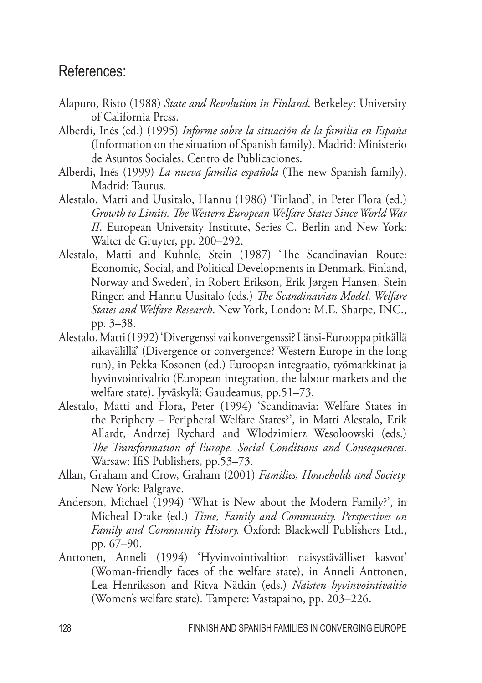## References:

- Alapuro, Risto (1988) *State and Revolution in Finland*. Berkeley: University of California Press.
- Alberdi, Inés (ed.) (1995) *Informe sobre la situación de la familia en España* (Information on the situation of Spanish family). Madrid: Ministerio de Asuntos Sociales, Centro de Publicaciones.
- Alberdi, Inés (1999) *La nueva familia española* (The new Spanish family). Madrid: Taurus.
- Alestalo, Matti and Uusitalo, Hannu (1986) 'Finland', in Peter Flora (ed.) *Growth to Limits. The Western European Welfare States Since World War II*. European University Institute, Series C. Berlin and New York: Walter de Gruyter, pp. 200–292.
- Alestalo, Matti and Kuhnle, Stein (1987) 'The Scandinavian Route: Economic, Social, and Political Developments in Denmark, Finland, Norway and Sweden', in Robert Erikson, Erik Jørgen Hansen, Stein Ringen and Hannu Uusitalo (eds.) *The Scandinavian Model. Welfare States and Welfare Research*. New York, London: M.E. Sharpe, INC., pp. 3–38.
- Alestalo, Matti (1992) 'Divergenssi vai konvergenssi? Länsi-Eurooppa pitkällä aikavälillä' (Divergence or convergence? Western Europe in the long run), in Pekka Kosonen (ed.) Euroopan integraatio, työmarkkinat ja hyvinvointivaltio (European integration, the labour markets and the welfare state). Jyväskylä: Gaudeamus, pp.51–73.
- Alestalo, Matti and Flora, Peter (1994) 'Scandinavia: Welfare States in the Periphery – Peripheral Welfare States?', in Matti Alestalo, Erik Allardt, Andrzej Rychard and Wlodzimierz Wesoloowski (eds.) *Th e Transformation of Europe*. *Social Conditions and Consequences*. Warsaw: IfiS Publishers, pp.53-73.
- Allan, Graham and Crow, Graham (2001) *Families, Households and Society.*  New York: Palgrave.
- Anderson, Michael (1994) 'What is New about the Modern Family?', in Micheal Drake (ed.) *Time, Family and Community. Perspectives on Family and Community History.* Oxford: Blackwell Publishers Ltd., pp. 67–90.
- Anttonen, Anneli (1994) 'Hyvinvointivaltion naisystävälliset kasvot' (Woman-friendly faces of the welfare state), in Anneli Anttonen, Lea Henriksson and Ritva Nätkin (eds.) *Naisten hyvinvointivaltio*  (Women's welfare state)*.* Tampere: Vastapaino, pp. 203–226.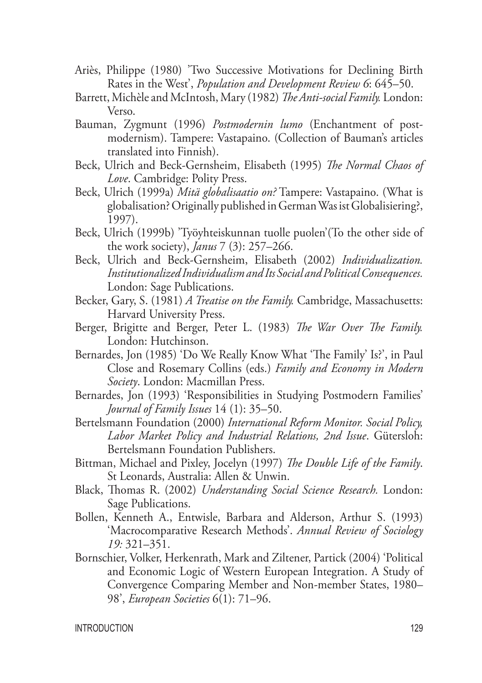- Ariès, Philippe (1980) 'Two Successive Motivations for Declining Birth Rates in the West', *Population and Development Review 6*: 645–50.
- Barrett, Michèle and McIntosh, Mary (1982) *The Anti-social Family*. London: Verso.
- Bauman, Zygmunt (1996) *Postmodernin lumo* (Enchantment of postmodernism). Tampere: Vastapaino. (Collection of Bauman's articles translated into Finnish).
- Beck, Ulrich and Beck-Gernsheim, Elisabeth (1995) *The Normal Chaos of Love*. Cambridge: Polity Press.
- Beck, Ulrich (1999a) *Mitä globalisaatio on?* Tampere: Vastapaino. (What is globalisation? Originally published in German Was ist Globalisiering?, 1997).
- Beck, Ulrich (1999b) 'Työyhteiskunnan tuolle puolen'(To the other side of the work society), *Janus* 7 (3): 257–266.
- Beck, Ulrich and Beck-Gernsheim, Elisabeth (2002) *Individualization. Institutionalized Individualism and Its Social and Political Consequences.*  London: Sage Publications.
- Becker, Gary, S. (1981) *A Treatise on the Family.* Cambridge, Massachusetts: Harvard University Press.
- Berger, Brigitte and Berger, Peter L. (1983) *The War Over The Family*. London: Hutchinson.
- Bernardes, Jon (1985) 'Do We Really Know What 'The Family' Is?', in Paul Close and Rosemary Collins (eds.) *Family and Economy in Modern Society*. London: Macmillan Press.
- Bernardes, Jon (1993) 'Responsibilities in Studying Postmodern Families' *Journal of Family Issues* 14 (1): 35–50.
- Bertelsmann Foundation (2000) *International Reform Monitor. Social Policy, Labor Market Policy and Industrial Relations, 2nd Issue*. Gütersloh: Bertelsmann Foundation Publishers.
- Bittman, Michael and Pixley, Jocelyn (1997) *The Double Life of the Family*. St Leonards, Australia: Allen & Unwin.
- Black, Th omas R. (2002) *Understanding Social Science Research.* London: Sage Publications.
- Bollen, Kenneth A., Entwisle, Barbara and Alderson, Arthur S. (1993) 'Macrocomparative Research Methods'. *Annual Review of Sociology 19:* 321–351.
- Bornschier, Volker, Herkenrath, Mark and Ziltener, Partick (2004) 'Political and Economic Logic of Western European Integration. A Study of Convergence Comparing Member and Non-member States, 1980– 98', *European Societies* 6(1): 71–96.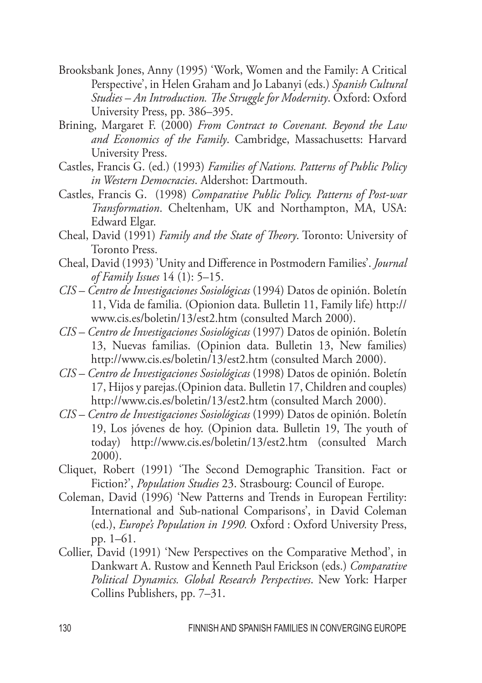- Brooksbank Jones, Anny (1995) 'Work, Women and the Family: A Critical Perspective', in Helen Graham and Jo Labanyi (eds.) *Spanish Cultural Studies – An Introduction. The Struggle for Modernity.* Oxford: Oxford University Press, pp. 386–395.
- Brining, Margaret F. (2000) *From Contract to Covenant. Beyond the Law and Economics of the Family*. Cambridge, Massachusetts: Harvard University Press.
- Castles, Francis G. (ed.) (1993) *Families of Nations. Patterns of Public Policy in Western Democracies*. Aldershot: Dartmouth.
- Castles, Francis G. (1998) *Comparative Public Policy. Patterns of Post-war Transformation*. Cheltenham, UK and Northampton, MA, USA: Edward Elgar.
- Cheal, David (1991) *Family and the State of Theory*. Toronto: University of Toronto Press.
- Cheal, David (1993) 'Unity and Difference in Postmodern Families'. *Journal of Family Issues* 14 (1): 5–15.
- *CIS Centro de Investigaciones Sosiológicas* (1994) Datos de opinión. Boletín 11, Vida de familia. (Opionion data. Bulletin 11, Family life) http:// www.cis.es/boletin/13/est2.htm (consulted March 2000).
- *CIS Centro de Investigaciones Sosiológicas* (1997) Datos de opinión. Boletín 13, Nuevas familias. (Opinion data. Bulletin 13, New families) http://www.cis.es/boletin/13/est2.htm (consulted March 2000).
- *CIS Centro de Investigaciones Sosiológicas* (1998) Datos de opinión. Boletín 17, Hijos y parejas.(Opinion data. Bulletin 17, Children and couples) http://www.cis.es/boletin/13/est2.htm (consulted March 2000).
- *CIS Centro de Investigaciones Sosiológicas* (1999) Datos de opinión. Boletín 19, Los jóvenes de hoy. (Opinion data. Bulletin 19, The youth of today) http://www.cis.es/boletin/13/est2.htm (consulted March 2000).
- Cliquet, Robert (1991) 'The Second Demographic Transition. Fact or Fiction?', *Population Studies* 23. Strasbourg: Council of Europe.
- Coleman, David (1996) 'New Patterns and Trends in European Fertility: International and Sub-national Comparisons', in David Coleman (ed.), *Europe's Population in 1990.* Oxford : Oxford University Press, pp. 1–61.
- Collier, David (1991) 'New Perspectives on the Comparative Method', in Dankwart A. Rustow and Kenneth Paul Erickson (eds.) *Comparative Political Dynamics. Global Research Perspectives*. New York: Harper Collins Publishers, pp. 7–31.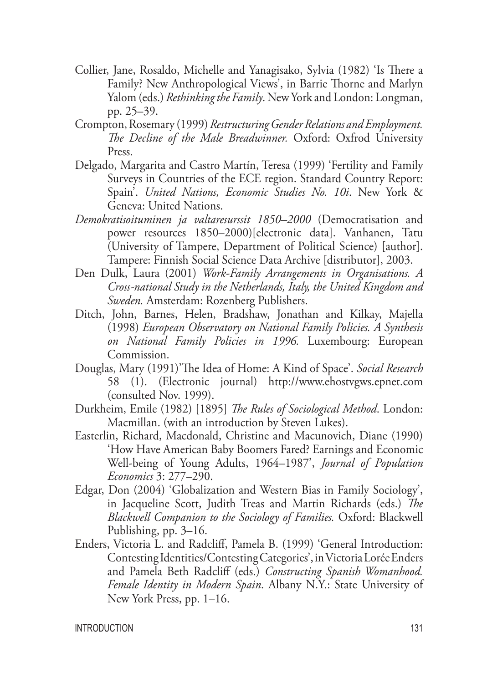- Collier, Jane, Rosaldo, Michelle and Yanagisako, Sylvia (1982) 'Is There a Family? New Anthropological Views', in Barrie Thorne and Marlyn Yalom (eds.) *Rethinking the Family*. New York and London: Longman, pp. 25–39.
- Crompton, Rosemary (1999) *Restructuring Gender Relations and Employment. The Decline of the Male Breadwinner.* Oxford: Oxfrod University Press.
- Delgado, Margarita and Castro Martín, Teresa (1999) 'Fertility and Family Surveys in Countries of the ECE region. Standard Country Report: Spain'. *United Nations, Economic Studies No. 10i*. New York & Geneva: United Nations.
- *Demokratisoituminen ja valtaresurssit 1850–2000* (Democratisation and power resources 1850–2000)[electronic data]. Vanhanen, Tatu (University of Tampere, Department of Political Science) [author]. Tampere: Finnish Social Science Data Archive [distributor], 2003.
- Den Dulk, Laura (2001) *Work-Family Arrangements in Organisations. A Cross-national Study in the Netherlands, Italy, the United Kingdom and Sweden.* Amsterdam: Rozenberg Publishers.
- Ditch, John, Barnes, Helen, Bradshaw, Jonathan and Kilkay, Majella (1998) *European Observatory on National Family Policies. A Synthesis on National Family Policies in 1996.* Luxembourg: European Commission.
- Douglas, Mary (1991)'The Idea of Home: A Kind of Space'. *Social Research* 58 (1). (Electronic journal) http://www.ehostvgws.epnet.com (consulted Nov. 1999).
- Durkheim, Emile (1982) [1895] *The Rules of Sociological Method*. London: Macmillan. (with an introduction by Steven Lukes).
- Easterlin, Richard, Macdonald, Christine and Macunovich, Diane (1990) 'How Have American Baby Boomers Fared? Earnings and Economic Well-being of Young Adults, 1964–1987', *Journal of Population Economics* 3: 277–290.
- Edgar, Don (2004) 'Globalization and Western Bias in Family Sociology', in Jacqueline Scott, Judith Treas and Martin Richards (eds.) The *Blackwell Companion to the Sociology of Families.* Oxford: Blackwell Publishing, pp. 3–16.
- Enders, Victoria L. and Radcliff, Pamela B. (1999) 'General Introduction: Contesting Identities/Contesting Categories', in Victoria Lorée Enders and Pamela Beth Radcliff (eds.) *Constructing Spanish Womanhood. Female Identity in Modern Spain*. Albany N.Y.: State University of New York Press, pp. 1–16.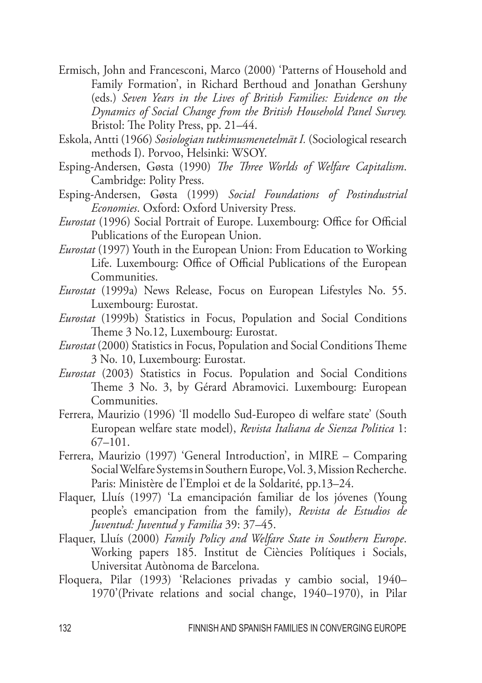- Ermisch, John and Francesconi, Marco (2000) 'Patterns of Household and Family Formation', in Richard Berthoud and Jonathan Gershuny (eds.) *Seven Years in the Lives of British Families: Evidence on the Dynamics of Social Change from the British Household Panel Survey.* Bristol: The Polity Press, pp. 21–44.
- Eskola, Antti (1966) *Sosiologian tutkimusmenetelmät I.* (Sociological research methods I). Porvoo, Helsinki: WSOY.
- Esping-Andersen, Gøsta (1990) *The Three Worlds of Welfare Capitalism*. Cambridge: Polity Press.
- Esping-Andersen, Gøsta (1999) *Social Foundations of Postindustrial Economies*. Oxford: Oxford University Press.
- *Eurostat* (1996) Social Portrait of Europe. Luxembourg: Office for Official Publications of the European Union.
- *Eurostat* (1997) Youth in the European Union: From Education to Working Life. Luxembourg: Office of Official Publications of the European Communities.
- *Eurostat* (1999a) News Release, Focus on European Lifestyles No. 55. Luxembourg: Eurostat.
- *Eurostat* (1999b) Statistics in Focus, Population and Social Conditions Theme 3 No.12, Luxembourg: Eurostat.
- *Eurostat* (2000) Statistics in Focus, Population and Social Conditions Theme 3 No. 10, Luxembourg: Eurostat.
- *Eurostat* (2003) Statistics in Focus. Population and Social Conditions Theme 3 No. 3, by Gérard Abramovici. Luxembourg: European Communities.
- Ferrera, Maurizio (1996) 'Il modello Sud-Europeo di welfare state' (South European welfare state model), *Revista Italiana de Sienza Politica* 1: 67–101.
- Ferrera, Maurizio (1997) 'General Introduction', in MIRE Comparing Social Welfare Systems in Southern Europe, Vol. 3, Mission Recherche. Paris: Ministère de l'Emploi et de la Soldarité, pp.13–24.
- Flaquer, Lluís (1997) 'La emancipación familiar de los jóvenes (Young people's emancipation from the family), *Revista de Estudios de Juventud: Juventud y Familia* 39: 37–45.
- Flaquer, Lluís (2000) *Family Policy and Welfare State in Southern Europe*. Working papers 185. Institut de Ciències Polítiques i Socials, Universitat Autònoma de Barcelona.
- Floquera, Pilar (1993) 'Relaciones privadas y cambio social, 1940– 1970'(Private relations and social change, 1940–1970), in Pilar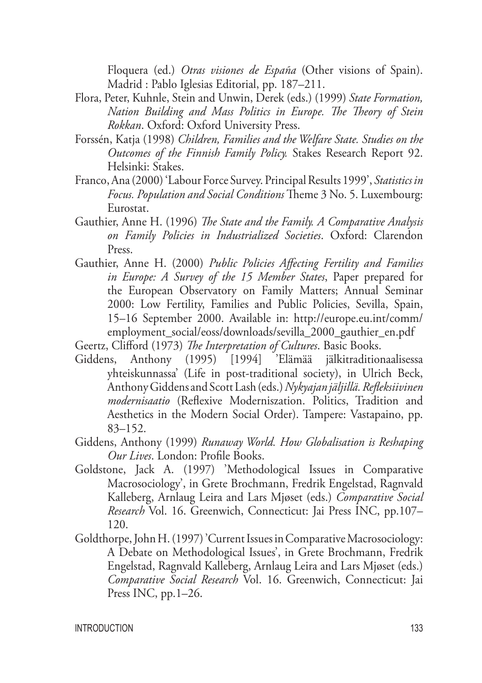Floquera (ed.) *Otras visiones de España* (Other visions of Spain). Madrid : Pablo Iglesias Editorial, pp. 187–211.

- Flora, Peter, Kuhnle, Stein and Unwin, Derek (eds.) (1999) *State Formation, Nation Building and Mass Politics in Europe. The Theory of Stein Rokkan*. Oxford: Oxford University Press.
- Forssén, Katja (1998) *Children, Families and the Welfare State. Studies on the Outcomes of the Finnish Family Policy.* Stakes Research Report 92. Helsinki: Stakes.
- Franco, Ana (2000) 'Labour Force Survey. Principal Results 1999', *Statistics in Focus. Population and Social Conditions* Theme 3 No. 5. Luxembourg: Eurostat.
- Gauthier, Anne H. (1996) *The State and the Family. A Comparative Analysis on Family Policies in Industrialized Societies*. Oxford: Clarendon Press.
- Gauthier, Anne H. (2000) *Public Policies Affecting Fertility and Families in Europe: A Survey of the 15 Member States*, Paper prepared for the European Observatory on Family Matters; Annual Seminar 2000: Low Fertility, Families and Public Policies, Sevilla, Spain, 15–16 September 2000. Available in: http://europe.eu.int/comm/ employment\_social/eoss/downloads/sevilla\_2000\_gauthier\_en.pdf

Geertz, Clifford (1973) *The Interpretation of Cultures*. Basic Books.

- Giddens, Anthony (1995) [1994] 'Elämää jälkitraditionaalisessa yhteiskunnassa' (Life in post-traditional society), in Ulrich Beck, Anthony Giddens and Scott Lash (eds.) *Nykyajan jäljillä. Refleksiivinen modernisaatio* (Reflexive Moderniszation, Politics, Tradition and Aesthetics in the Modern Social Order). Tampere: Vastapaino, pp. 83–152.
- Giddens, Anthony (1999) *Runaway World. How Globalisation is Reshaping Our Lives*. London: Profile Books.
- Goldstone, Jack A. (1997) 'Methodological Issues in Comparative Macrosociology', in Grete Brochmann, Fredrik Engelstad, Ragnvald Kalleberg, Arnlaug Leira and Lars Mjøset (eds.) *Comparative Social Research* Vol. 16. Greenwich, Connecticut: Jai Press INC, pp.107– 120.
- Goldthorpe, John H. (1997) 'Current Issues in Comparative Macrosociology: A Debate on Methodological Issues', in Grete Brochmann, Fredrik Engelstad, Ragnvald Kalleberg, Arnlaug Leira and Lars Mjøset (eds.) *Comparative Social Research* Vol. 16. Greenwich, Connecticut: Jai Press INC, pp.1–26.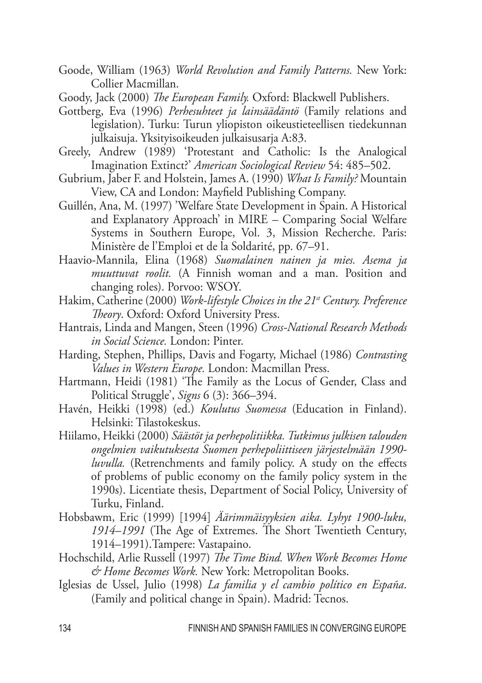- Goode, William (1963) *World Revolution and Family Patterns.* New York: Collier Macmillan.
- Goody, Jack (2000) *The European Family*. Oxford: Blackwell Publishers.
- Gottberg, Eva (1996) *Perhesuhteet ja lainsäädäntö* (Family relations and legislation). Turku: Turun yliopiston oikeustieteellisen tiedekunnan julkaisuja. Yksityisoikeuden julkaisusarja A:83.
- Greely, Andrew (1989) 'Protestant and Catholic: Is the Analogical Imagination Extinct?' *American Sociological Review* 54: 485–502.
- Gubrium, Jaber F. and Holstein, James A. (1990) *What Is Family?* Mountain View, CA and London: Mayfield Publishing Company.
- Guillén, Ana, M. (1997) 'Welfare State Development in Spain. A Historical and Explanatory Approach' in MIRE – Comparing Social Welfare Systems in Southern Europe, Vol. 3, Mission Recherche. Paris: Ministère de l'Emploi et de la Soldarité, pp. 67–91.
- Haavio-Mannila, Elina (1968) *Suomalainen nainen ja mies. Asema ja muuttuvat roolit.* (A Finnish woman and a man. Position and changing roles). Porvoo: WSOY.
- Hakim, Catherine (2000) *Work-lifestyle Choices in the 21st Century. Preference Theory*. Oxford: Oxford University Press.
- Hantrais, Linda and Mangen, Steen (1996) *Cross-National Research Methods in Social Science.* London: Pinter.
- Harding, Stephen, Phillips, Davis and Fogarty, Michael (1986) *Contrasting Values in Western Europe.* London: Macmillan Press.
- Hartmann, Heidi (1981) 'The Family as the Locus of Gender, Class and Political Struggle', *Signs* 6 (3): 366–394.
- Havén, Heikki (1998) (ed.) *Koulutus Suomessa* (Education in Finland). Helsinki: Tilastokeskus.
- Hiilamo, Heikki (2000) *Säästöt ja perhepolitiikka. Tutkimus julkisen talouden ongelmien vaikutuksesta Suomen perhepoliittiseen järjestelmään 1990 luvulla.* (Retrenchments and family policy. A study on the effects of problems of public economy on the family policy system in the 1990s). Licentiate thesis, Department of Social Policy, University of Turku, Finland.
- Hobsbawm, Eric (1999) [1994] *Äärimmäisyyksien aika. Lyhyt 1900-luku,*  1914–1991 (The Age of Extremes. The Short Twentieth Century, 1914–1991).Tampere: Vastapaino.
- Hochschild, Arlie Russell (1997) *The Time Bind. When Work Becomes Home & Home Becomes Work.* New York: Metropolitan Books.
- Iglesias de Ussel, Julio (1998) *La familia y el cambio político en España*. (Family and political change in Spain). Madrid: Tecnos.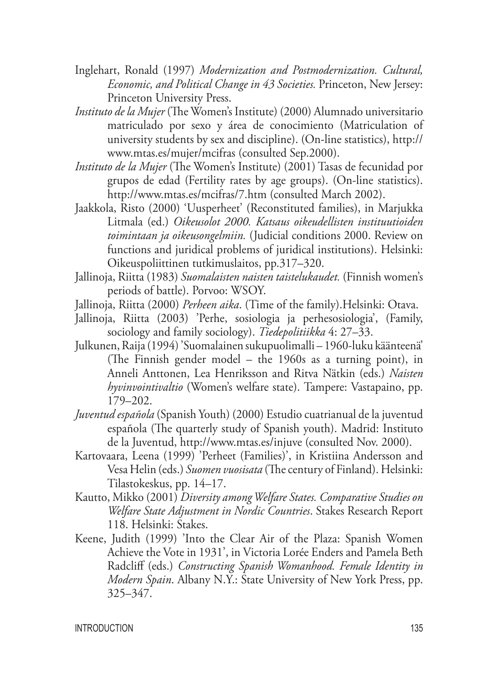- Inglehart, Ronald (1997) *Modernization and Postmodernization. Cultural, Economic, and Political Change in 43 Societies.* Princeton, New Jersey: Princeton University Press.
- *Instituto de la Mujer* (The Women's Institute) (2000) Alumnado universitario matriculado por sexo y área de conocimiento (Matriculation of university students by sex and discipline). (On-line statistics), http:// www.mtas.es/mujer/mcifras (consulted Sep.2000).
- *Instituto de la Mujer* (The Women's Institute) (2001) Tasas de fecunidad por grupos de edad (Fertility rates by age groups). (On-line statistics). http://www.mtas.es/mcifras/7.htm (consulted March 2002).
- Jaakkola, Risto (2000) 'Uusperheet' (Reconstituted families), in Marjukka Litmala (ed.) *Oikeusolot 2000. Katsaus oikeudellisten instituutioiden toimintaan ja oikeusongelmiin.* (Judicial conditions 2000. Review on functions and juridical problems of juridical institutions). Helsinki: Oikeuspoliittinen tutkimuslaitos, pp.317–320.
- Jallinoja, Riitta (1983) *Suomalaisten naisten taistelukaudet.* (Finnish women's periods of battle). Porvoo: WSOY.
- Jallinoja, Riitta (2000) *Perheen aika*. (Time of the family).Helsinki: Otava.
- Jallinoja, Riitta (2003) 'Perhe, sosiologia ja perhesosiologia', (Family, sociology and family sociology). *Tiedepolitiikka* 4: 27–33.
- Julkunen, Raija (1994) 'Suomalainen sukupuolimalli 1960-luku käänteenä' (The Finnish gender model – the  $1960s$  as a turning point), in Anneli Anttonen, Lea Henriksson and Ritva Nätkin (eds.) *Naisten hyvinvointivaltio* (Women's welfare state). Tampere: Vastapaino, pp. 179–202.
- *Juventud española* (Spanish Youth) (2000) Estudio cuatrianual de la juventud española (The quarterly study of Spanish youth). Madrid: Instituto de la Juventud, http://www.mtas.es/injuve (consulted Nov. 2000).
- Kartovaara, Leena (1999) 'Perheet (Families)', in Kristiina Andersson and Vesa Helin (eds.) *Suomen vuosisata* (The century of Finland). Helsinki: Tilastokeskus, pp. 14–17.
- Kautto, Mikko (2001) *Diversity among Welfare States. Comparative Studies on Welfare State Adjustment in Nordic Countries*. Stakes Research Report 118. Helsinki: Stakes.
- Keene, Judith (1999) 'Into the Clear Air of the Plaza: Spanish Women Achieve the Vote in 1931', in Victoria Lorée Enders and Pamela Beth Radcliff (eds.) *Constructing Spanish Womanhood. Female Identity in Modern Spain*. Albany N.Y.: State University of New York Press, pp. 325–347.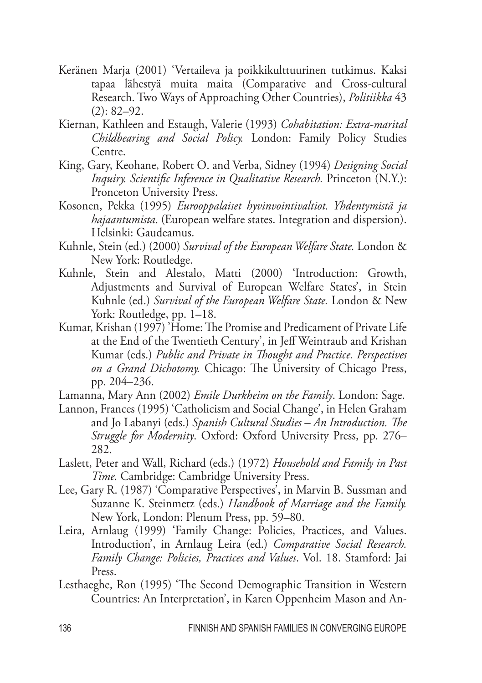- Keränen Marja (2001) 'Vertaileva ja poikkikulttuurinen tutkimus. Kaksi tapaa lähestyä muita maita (Comparative and Cross-cultural Research. Two Ways of Approaching Other Countries), *Politiikka* 43  $(2): 82 - 92.$
- Kiernan, Kathleen and Estaugh, Valerie (1993) *Cohabitation: Extra-marital Childbearing and Social Policy.* London: Family Policy Studies Centre.
- King, Gary, Keohane, Robert O. and Verba, Sidney (1994) *Designing Social Inquiry. Scientific Inference in Qualitative Research. Princeton* (N.Y.): Pronceton University Press.
- Kosonen, Pekka (1995) *Eurooppalaiset hyvinvointivaltiot. Yhdentymistä ja hajaantumista*. (European welfare states. Integration and dispersion). Helsinki: Gaudeamus.
- Kuhnle, Stein (ed.) (2000) *Survival of the European Welfare State.* London & New York: Routledge.
- Kuhnle, Stein and Alestalo, Matti (2000) 'Introduction: Growth, Adjustments and Survival of European Welfare States', in Stein Kuhnle (ed.) *Survival of the European Welfare State.* London & New York: Routledge, pp. 1–18.
- Kumar, Krishan (1997) 'Home: The Promise and Predicament of Private Life at the End of the Twentieth Century', in Jeff Weintraub and Krishan Kumar (eds.) *Public and Private in Thought and Practice. Perspectives on a Grand Dichotomy.* Chicago: The University of Chicago Press, pp. 204–236.

Lamanna, Mary Ann (2002) *Emile Durkheim on the Family*. London: Sage.

- Lannon, Frances (1995) 'Catholicism and Social Change', in Helen Graham and Io Labanyi (eds.) *Spanish Cultural Studies – An Introduction. The Struggle for Modernity*. Oxford: Oxford University Press, pp. 276– 282.
- Laslett, Peter and Wall, Richard (eds.) (1972) *Household and Family in Past Time.* Cambridge: Cambridge University Press.
- Lee, Gary R. (1987) 'Comparative Perspectives', in Marvin B. Sussman and Suzanne K. Steinmetz (eds.) *Handbook of Marriage and the Family.*  New York, London: Plenum Press, pp. 59–80.
- Leira, Arnlaug (1999) 'Family Change: Policies, Practices, and Values. Introduction', in Arnlaug Leira (ed.) *Comparative Social Research. Family Change: Policies, Practices and Values*. Vol. 18. Stamford: Jai Press.
- Lesthaeghe, Ron (1995) 'The Second Demographic Transition in Western Countries: An Interpretation', in Karen Oppenheim Mason and An-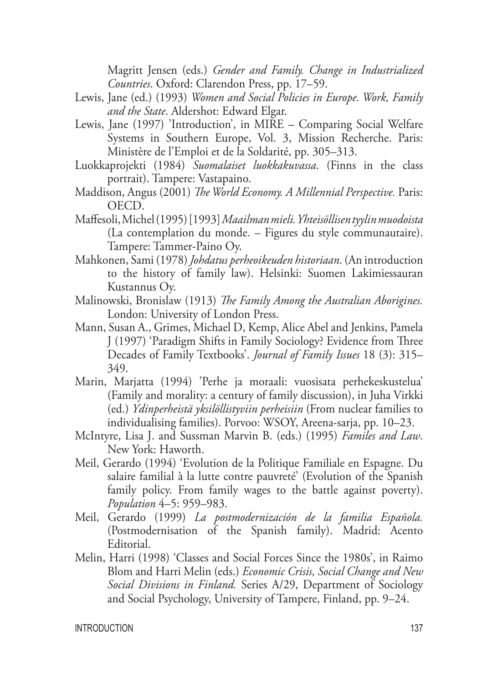Magritt Jensen (eds.) *Gender and Family. Change in Industrialized Countries*. Oxford: Clarendon Press, pp. 17–59.

- Lewis, Jane (ed.) (1993) *Women and Social Policies in Europe. Work, Family and the State*. Aldershot: Edward Elgar.
- Lewis, Jane (1997) 'Introduction', in MIRE Comparing Social Welfare Systems in Southern Europe, Vol. 3, Mission Recherche. Paris: Ministère de l'Emploi et de la Soldarité, pp. 305–313.
- Luokkaprojekti (1984) *Suomalaiset luokkakuvassa*. (Finns in the class portrait). Tampere: Vastapaino.
- Maddison, Angus (2001) *The World Economy. A Millennial Perspective*. Paris: OECD.
- Maff esoli, Michel (1995) [1993] *Maailman mieli. Yhteisöllisen tyylin muodoista*  (La contemplation du monde. – Figures du style communautaire). Tampere: Tammer-Paino Oy.
- Mahkonen, Sami (1978) *Johdatus perheoikeuden historiaan*. (An introduction to the history of family law). Helsinki: Suomen Lakimiessauran Kustannus Oy.
- Malinowski, Bronislaw (1913) *The Family Among the Australian Aborigines.* London: University of London Press.
- Mann, Susan A., Grimes, Michael D, Kemp, Alice Abel and Jenkins, Pamela J (1997) 'Paradigm Shifts in Family Sociology? Evidence from Th ree Decades of Family Textbooks'. *Journal of Family Issues* 18 (3): 315– 349.
- Marin, Marjatta (1994) 'Perhe ja moraali: vuosisata perhekeskustelua' (Family and morality: a century of family discussion), in Juha Virkki (ed.) *Ydinperheistä yksilöllistyviin perheisiin* (From nuclear families to individualising families). Porvoo: WSOY, Areena-sarja, pp. 10–23.
- McIntyre, Lisa J. and Sussman Marvin B. (eds.) (1995) *Familes and Law*. New York: Haworth.
- Meil, Gerardo (1994) 'Evolution de la Politique Familiale en Espagne. Du salaire familial à la lutte contre pauvreté' (Evolution of the Spanish family policy. From family wages to the battle against poverty). *Population* 4–5: 959–983.
- Meil, Gerardo (1999) *La postmodernización de la familia Española.* (Postmodernisation of the Spanish family). Madrid: Acento Editorial.
- Melin, Harri (1998) 'Classes and Social Forces Since the 1980s', in Raimo Blom and Harri Melin (eds.) *Economic Crisis, Social Change and New Social Divisions in Finland.* Series A/29, Department of Sociology and Social Psychology, University of Tampere, Finland, pp. 9–24.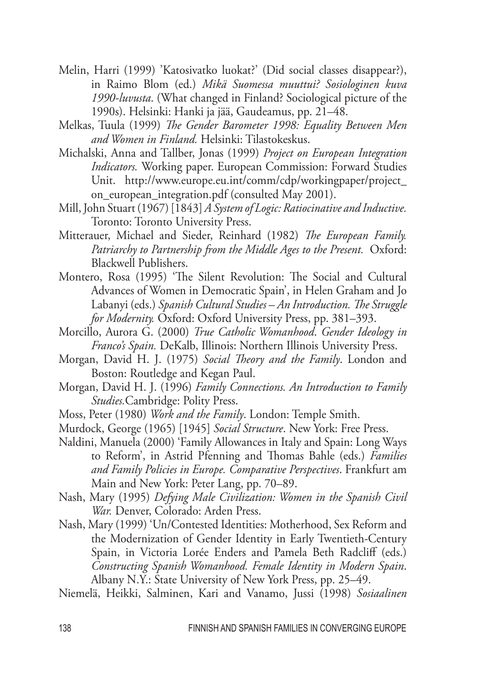- Melin, Harri (1999) 'Katosivatko luokat?' (Did social classes disappear?), in Raimo Blom (ed.) *Mikä Suomessa muuttui? Sosiologinen kuva 1990-luvusta*. (What changed in Finland? Sociological picture of the 1990s). Helsinki: Hanki ja jää, Gaudeamus, pp. 21–48.
- Melkas, Tuula (1999) *The Gender Barometer 1998: Equality Between Men and Women in Finland.* Helsinki: Tilastokeskus.
- Michalski, Anna and Tallber, Jonas (1999) *Project on European Integration Indicators.* Working paper. European Commission: Forward Studies Unit. http://www.europe.eu.int/comm/cdp/workingpaper/project\_ on european integration.pdf (consulted May 2001).
- Mill, John Stuart (1967) [1843] *A System of Logic: Ratiocinative and Inductive.*  Toronto: Toronto University Press.
- Mitterauer, Michael and Sieder, Reinhard (1982) *The European Family. Patriarchy to Partnership from the Middle Ages to the Present.* Oxford: Blackwell Publishers.
- Montero, Rosa (1995) 'The Silent Revolution: The Social and Cultural Advances of Women in Democratic Spain', in Helen Graham and Jo Labanyi (eds.) *Spanish Cultural Studies – An Introduction. The Struggle for Modernity.* Oxford: Oxford University Press, pp. 381–393.
- Morcillo, Aurora G. (2000) *True Catholic Womanhood*. *Gender Ideology in Franco's Spain.* DeKalb, Illinois: Northern Illinois University Press.
- Morgan, David H. J. (1975) *Social Theory and the Family*. London and Boston: Routledge and Kegan Paul.
- Morgan, David H. J. (1996) *Family Connections. An Introduction to Family Studies.*Cambridge: Polity Press.
- Moss, Peter (1980) *Work and the Family*. London: Temple Smith.
- Murdock, George (1965) [1945] *Social Structure*. New York: Free Press.
- Naldini, Manuela (2000) 'Family Allowances in Italy and Spain: Long Ways to Reform', in Astrid Pfenning and Thomas Bahle (eds.) *Families and Family Policies in Europe. Comparative Perspectives*. Frankfurt am Main and New York: Peter Lang, pp. 70–89.
- Nash, Mary (1995) *Defying Male Civilization: Women in the Spanish Civil War.* Denver, Colorado: Arden Press.
- Nash, Mary (1999) 'Un/Contested Identities: Motherhood, Sex Reform and the Modernization of Gender Identity in Early Twentieth-Century Spain, in Victoria Lorée Enders and Pamela Beth Radcliff (eds.) *Constructing Spanish Womanhood. Female Identity in Modern Spain*. Albany N.Y.: State University of New York Press, pp. 25–49.
- Niemelä, Heikki, Salminen, Kari and Vanamo, Jussi (1998) *Sosiaalinen*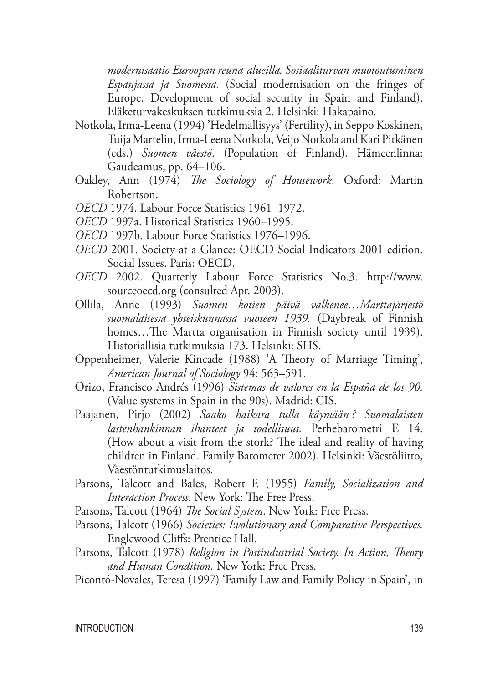*modernisaatio Euroopan reuna-alueilla. Sosiaaliturvan muotoutuminen Espanjassa ja Suomessa*. (Social modernisation on the fringes of Europe. Development of social security in Spain and Finland). Eläketurvakeskuksen tutkimuksia 2. Helsinki: Hakapaino.

- Notkola, Irma-Leena (1994) 'Hedelmällisyys' (Fertility), in Seppo Koskinen, Tuija Martelin, Irma-Leena Notkola, Veijo Notkola and Kari Pitkänen (eds.) *Suomen väestö*. (Population of Finland). Hämeenlinna: Gaudeamus, pp. 64–106.
- Oakley, Ann (1974) *The Sociology of Housework*. Oxford: Martin Robertson.
- *OECD* 1974. Labour Force Statistics 1961–1972.
- *OECD* 1997a. Historical Statistics 1960–1995.
- *OECD* 1997b. Labour Force Statistics 1976–1996.
- *OECD* 2001. Society at a Glance: OECD Social Indicators 2001 edition. Social Issues. Paris: OECD.
- *OECD* 2002. Quarterly Labour Force Statistics No.3. http://www. sourceoecd.org (consulted Apr. 2003).
- Ollila, Anne (1993) *Suomen kotien päivä valkenee…Marttajärjestö suomalaisessa yhteiskunnassa vuoteen 1939.* (Daybreak of Finnish homes...The Martta organisation in Finnish society until 1939). Historiallisia tutkimuksia 173. Helsinki: SHS.
- Oppenheimer, Valerie Kincade (1988) 'A Theory of Marriage Timing', *American Journal of Sociology* 94: 563–591.
- Orizo, Francisco Andrés (1996) *Sistemas de valores en la España de los 90.* (Value systems in Spain in the 90s). Madrid: CIS.
- Paajanen, Pirjo (2002) *Saako haikara tulla käymään ? Suomalaisten lastenhankinnan ihanteet ja todellisuus.* Perhebarometri E 14. (How about a visit from the stork? The ideal and reality of having children in Finland. Family Barometer 2002). Helsinki: Väestöliitto, Väestöntutkimuslaitos.
- Parsons, Talcott and Bales, Robert F. (1955) *Family, Socialization and Interaction Process.* New York: The Free Press.
- Parsons, Talcott (1964) *The Social System*. New York: Free Press.
- Parsons, Talcott (1966) *Societies: Evolutionary and Comparative Perspectives.* Englewood Cliffs: Prentice Hall.
- Parsons, Talcott (1978) *Religion in Postindustrial Society. In Action, Theory and Human Condition.* New York: Free Press.
- Picontó-Novales, Teresa (1997) 'Family Law and Family Policy in Spain', in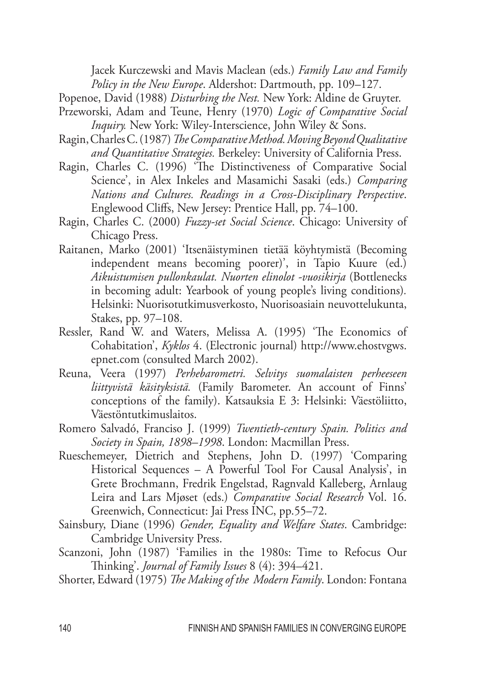Jacek Kurczewski and Mavis Maclean (eds.) *Family Law and Family Policy in the New Europe*. Aldershot: Dartmouth, pp. 109–127.

Popenoe, David (1988) *Disturbing the Nest.* New York: Aldine de Gruyter.

- Przeworski, Adam and Teune, Henry (1970) *Logic of Comparative Social Inquiry.* New York: Wiley-Interscience, John Wiley & Sons.
- Ragin, Charles C. (1987) *The Comparative Method. Moving Beyond Qualitative and Quantitative Strategies.* Berkeley: University of California Press.
- Ragin, Charles C. (1996) 'The Distinctiveness of Comparative Social Science', in Alex Inkeles and Masamichi Sasaki (eds.) *Comparing Nations and Cultures. Readings in a Cross-Disciplinary Perspective*. Englewood Cliffs, New Jersey: Prentice Hall, pp. 74–100.
- Ragin, Charles C. (2000) *Fuzzy-set Social Science*. Chicago: University of Chicago Press.
- Raitanen, Marko (2001) 'Itsenäistyminen tietää köyhtymistä (Becoming independent means becoming poorer)', in Tapio Kuure (ed.) *Aikuistumisen pullonkaulat. Nuorten elinolot -vuosikirja* (Bottlenecks in becoming adult: Yearbook of young people's living conditions)*.* Helsinki: Nuorisotutkimusverkosto, Nuorisoasiain neuvottelukunta, Stakes, pp. 97–108.
- Ressler, Rand W. and Waters, Melissa A. (1995) 'The Economics of Cohabitation', *Kyklos* 4. (Electronic journal) http://www.ehostvgws. epnet.com (consulted March 2002).
- Reuna, Veera (1997) *Perhebarometri. Selvitys suomalaisten perheeseen liittyvistä käsityksistä.* (Family Barometer. An account of Finns' conceptions of the family). Katsauksia E 3: Helsinki: Väestöliitto, Väestöntutkimuslaitos.
- Romero Salvadó, Franciso J. (1999) *Twentieth-century Spain. Politics and Society in Spain, 1898–1998*. London: Macmillan Press.
- Rueschemeyer, Dietrich and Stephens, John D. (1997) 'Comparing Historical Sequences – A Powerful Tool For Causal Analysis', in Grete Brochmann, Fredrik Engelstad, Ragnvald Kalleberg, Arnlaug Leira and Lars Mjøset (eds.) *Comparative Social Research* Vol. 16. Greenwich, Connecticut: Jai Press INC, pp.55–72.
- Sainsbury, Diane (1996) *Gender, Equality and Welfare States*. Cambridge: Cambridge University Press.
- Scanzoni, John (1987) 'Families in the 1980s: Time to Refocus Our Th inking'. *Journal of Family Issues* 8 (4): 394–421.
- Shorter, Edward (1975) *The Making of the Modern Family*. London: Fontana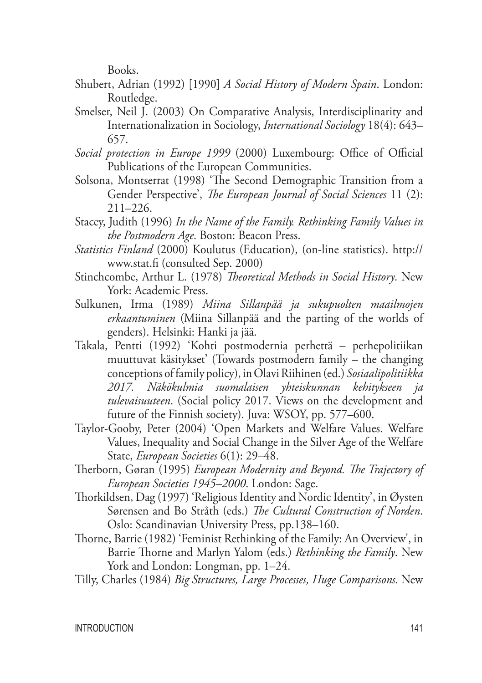Books.

- Shubert, Adrian (1992) [1990] *A Social History of Modern Spain*. London: Routledge.
- Smelser, Neil J. (2003) On Comparative Analysis, Interdisciplinarity and Internationalization in Sociology, *International Sociology* 18(4): 643– 657.
- *Social protection in Europe 1999 (2000)* Luxembourg: Office of Official Publications of the European Communities.
- Solsona, Montserrat (1998) 'The Second Demographic Transition from a Gender Perspective', *The European Journal of Social Sciences* 11 (2): 211–226.
- Stacey, Judith (1996) *In the Name of the Family. Rethinking Family Values in the Postmodern Age*. Boston: Beacon Press.
- *Statistics Finland* (2000) Koulutus (Education), (on-line statistics). http:// www.stat.fi (consulted Sep. 2000)
- Stinchcombe, Arthur L. (1978) *Theoretical Methods in Social History*. New York: Academic Press.
- Sulkunen, Irma (1989) *Miina Sillanpää ja sukupuolten maailmojen erkaantuminen* (Miina Sillanpää and the parting of the worlds of genders). Helsinki: Hanki ja jää.
- Takala, Pentti (1992) 'Kohti postmodernia perhettä perhepolitiikan muuttuvat käsitykset' (Towards postmodern family – the changing conceptions of family policy), in Olavi Riihinen (ed.) *Sosiaalipolitiikka 2017. Näkökulmia suomalaisen yhteiskunnan kehitykseen ja tulevaisuuteen*. (Social policy 2017. Views on the development and future of the Finnish society). Juva: WSOY, pp. 577–600.
- Taylor-Gooby, Peter (2004) 'Open Markets and Welfare Values. Welfare Values, Inequality and Social Change in the Silver Age of the Welfare State, *European Societies* 6(1): 29–48.
- Therborn, Gøran (1995) *European Modernity and Bevond. The Trajectory of European Societies 1945–2000*. London: Sage.
- Thorkildsen, Dag (1997) 'Religious Identity and Nordic Identity', in Øysten Sørensen and Bo Stråth (eds.) *The Cultural Construction of Norden*. Oslo: Scandinavian University Press, pp.138–160.
- Thorne, Barrie (1982) 'Feminist Rethinking of the Family: An Overview', in Barrie Thorne and Marlyn Yalom (eds.) *Rethinking the Family*. New York and London: Longman, pp. 1–24.
- Tilly, Charles (1984) *Big Structures, Large Processes, Huge Comparisons.* New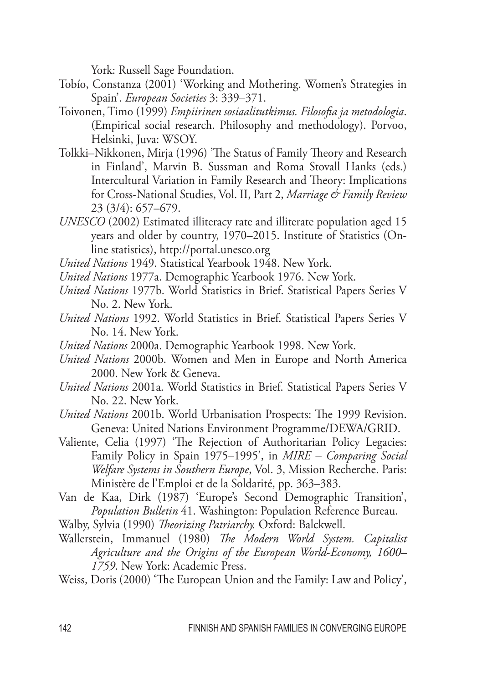York: Russell Sage Foundation.

- Tobío, Constanza (2001) 'Working and Mothering. Women's Strategies in Spain'. *European Societies* 3: 339–371.
- Toivonen, Timo (1999) *Empiirinen sosiaalitutkimus. Filosofi a ja metodologia*. (Empirical social research. Philosophy and methodology). Porvoo, Helsinki, Juva: WSOY.
- Tolkki–Nikkonen, Mirja (1996) 'The Status of Family Theory and Research in Finland', Marvin B. Sussman and Roma Stovall Hanks (eds.) Intercultural Variation in Family Research and Theory: Implications for Cross-National Studies, Vol. II, Part 2, *Marriage & Family Review* 23 (3/4): 657–679.
- *UNESCO* (2002) Estimated illiteracy rate and illiterate population aged 15 years and older by country, 1970–2015. Institute of Statistics (Online statistics), http://portal.unesco.org
- *United Nations* 1949. Statistical Yearbook 1948. New York.
- *United Nations* 1977a. Demographic Yearbook 1976. New York.
- *United Nations* 1977b. World Statistics in Brief. Statistical Papers Series V No. 2. New York.
- *United Nations* 1992. World Statistics in Brief. Statistical Papers Series V No. 14. New York.
- *United Nations* 2000a. Demographic Yearbook 1998. New York.
- *United Nations* 2000b. Women and Men in Europe and North America 2000. New York & Geneva.
- *United Nations* 2001a. World Statistics in Brief. Statistical Papers Series V No. 22. New York.
- *United Nations* 2001b. World Urbanisation Prospects: The 1999 Revision. Geneva: United Nations Environment Programme/DEWA/GRID.
- Valiente, Celia (1997) 'The Rejection of Authoritarian Policy Legacies: Family Policy in Spain 1975–1995', in *MIRE – Comparing Social Welfare Systems in Southern Europe*, Vol. 3, Mission Recherche. Paris: Ministère de l'Emploi et de la Soldarité, pp. 363–383.
- Van de Kaa, Dirk (1987) 'Europe's Second Demographic Transition', *Population Bulletin* 41. Washington: Population Reference Bureau.
- Walby, Sylvia (1990) *Theorizing Patriarchy*. Oxford: Balckwell.
- Wallerstein, Immanuel (1980) *The Modern World System. Capitalist Agriculture and the Origins of the European World-Economy, 1600– 1759*. New York: Academic Press.
- Weiss, Doris (2000) 'The European Union and the Family: Law and Policy',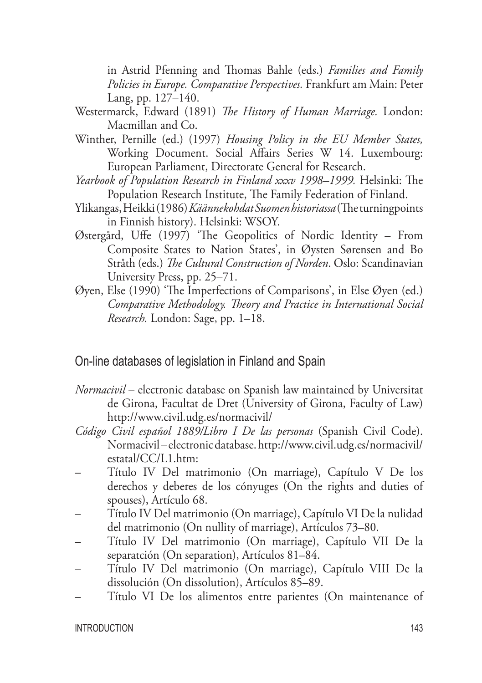in Astrid Pfenning and Thomas Bahle (eds.) *Families and Family Policies in Europe. Comparative Perspectives.* Frankfurt am Main: Peter Lang, pp. 127–140.

- Westermarck, Edward (1891) *The History of Human Marriage*. London: Macmillan and Co.
- Winther, Pernille (ed.) (1997) *Housing Policy in the EU Member States,*  Working Document. Social Affairs Series W 14. Luxembourg: European Parliament, Directorate General for Research.
- *Yearbook of Population Research in Finland xxxv 1998–1999.* Helsinki: The Population Research Institute, The Family Federation of Finland.
- Ylikangas, Heikki (1986) *Käännekohdat Suomen historiassa* (The turning points in Finnish history). Helsinki: WSOY.
- Østergård, Uffe (1997) 'The Geopolitics of Nordic Identity From Composite States to Nation States', in Øysten Sørensen and Bo Stråth (eds.) *The Cultural Construction of Norden*. Oslo: Scandinavian University Press, pp. 25–71.
- $Q$ yen, Else (1990) 'The Imperfections of Comparisons', in Else  $Q$ yen (ed.) *Comparative Methodology. Th eory and Practice in International Social Research.* London: Sage, pp. 1–18.

### On-line databases of legislation in Finland and Spain

- *Normacivil* electronic database on Spanish law maintained by Universitat de Girona, Facultat de Dret (University of Girona, Faculty of Law) http://www.civil.udg.es/normacivil/
- *Código Civil español 1889/Libro I De las personas* (Spanish Civil Code). Normacivil – electronic database. http://www.civil.udg.es/normacivil/ estatal/CC/L1.htm:
- Título IV Del matrimonio (On marriage), Capítulo V De los derechos y deberes de los cónyuges (On the rights and duties of spouses), Artículo 68.
- Título IV Del matrimonio (On marriage), Capítulo VI De la nulidad del matrimonio (On nullity of marriage), Artículos 73–80.
- Título IV Del matrimonio (On marriage), Capítulo VII De la separatción (On separation), Artículos 81–84.
- Título IV Del matrimonio (On marriage), Capítulo VIII De la dissolución (On dissolution), Artículos 85–89.
- Título VI De los alimentos entre parientes (On maintenance of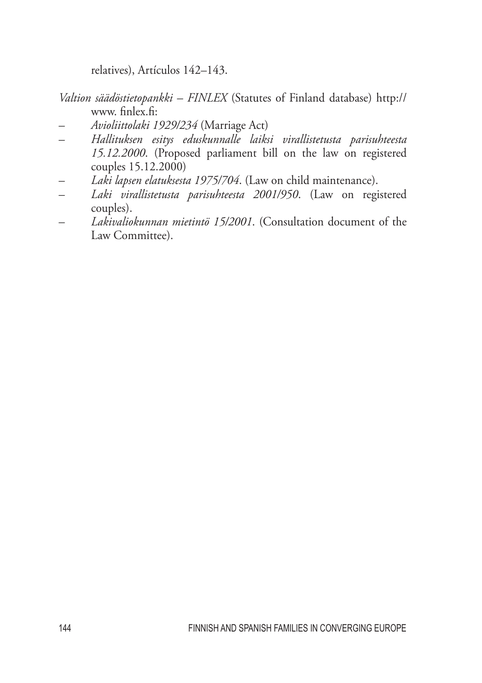relatives), Artículos 142–143.

- *Valtion säädöstietopankki FINLEX* (Statutes of Finland database) http:// www. finley  $f_1$ .
- *Avioliittolaki 1929/234* (Marriage Act)
- *Hallituksen esitys eduskunnalle laiksi virallistetusta parisuhteesta 15.12.2000*. (Proposed parliament bill on the law on registered couples 15.12.2000)
- *Laki lapsen elatuksesta 1975/704*. (Law on child maintenance).
- *Laki virallistetusta parisuhteesta 2001/950*. (Law on registered couples).
- *Lakivaliokunnan mietintö 15/2001*. (Consultation document of the Law Committee).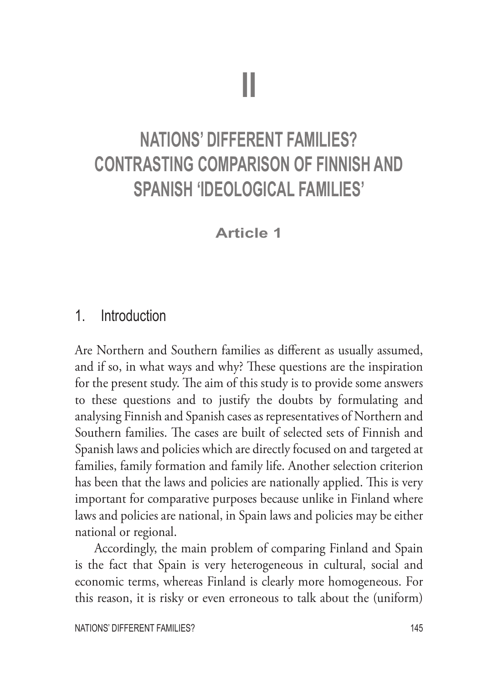# **II**

# **NATIONS' DIFFERENT FAMILIES? CONTRASTING COMPARISON OF FINNISH AND SPANISH 'IDEOLOGICAL FAMILIES'**

## **Article 1**

# 1. Introduction

Are Northern and Southern families as different as usually assumed, and if so, in what ways and why? These questions are the inspiration for the present study. The aim of this study is to provide some answers to these questions and to justify the doubts by formulating and analysing Finnish and Spanish cases as representatives of Northern and Southern families. The cases are built of selected sets of Finnish and Spanish laws and policies which are directly focused on and targeted at families, family formation and family life. Another selection criterion has been that the laws and policies are nationally applied. This is very important for comparative purposes because unlike in Finland where laws and policies are national, in Spain laws and policies may be either national or regional.

Accordingly, the main problem of comparing Finland and Spain is the fact that Spain is very heterogeneous in cultural, social and economic terms, whereas Finland is clearly more homogeneous. For this reason, it is risky or even erroneous to talk about the (uniform)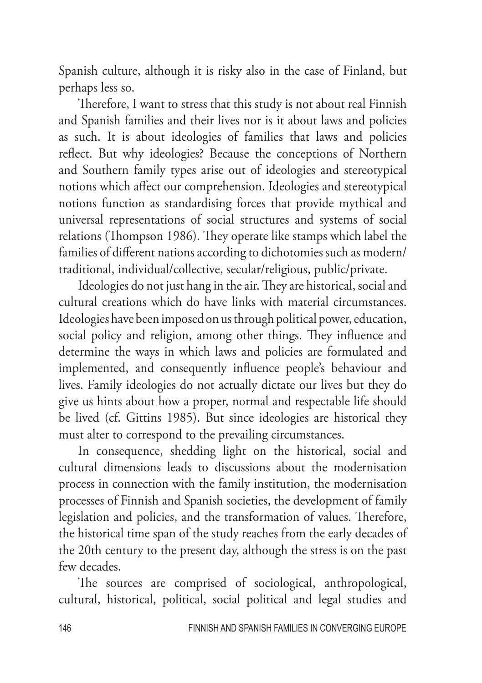Spanish culture, although it is risky also in the case of Finland, but perhaps less so.

Therefore, I want to stress that this study is not about real Finnish and Spanish families and their lives nor is it about laws and policies as such. It is about ideologies of families that laws and policies reflect. But why ideologies? Because the conceptions of Northern and Southern family types arise out of ideologies and stereotypical notions which affect our comprehension. Ideologies and stereotypical notions function as standardising forces that provide mythical and universal representations of social structures and systems of social relations (Thompson 1986). They operate like stamps which label the families of different nations according to dichotomies such as modern/ traditional, individual/collective, secular/religious, public/private.

Ideologies do not just hang in the air. They are historical, social and cultural creations which do have links with material circumstances. Ideologies have been imposed on us through political power, education, social policy and religion, among other things. They influence and determine the ways in which laws and policies are formulated and implemented, and consequently influence people's behaviour and lives. Family ideologies do not actually dictate our lives but they do give us hints about how a proper, normal and respectable life should be lived (cf. Gittins 1985). But since ideologies are historical they must alter to correspond to the prevailing circumstances.

In consequence, shedding light on the historical, social and cultural dimensions leads to discussions about the modernisation process in connection with the family institution, the modernisation processes of Finnish and Spanish societies, the development of family legislation and policies, and the transformation of values. Therefore, the historical time span of the study reaches from the early decades of the 20th century to the present day, although the stress is on the past few decades.

The sources are comprised of sociological, anthropological, cultural, historical, political, social political and legal studies and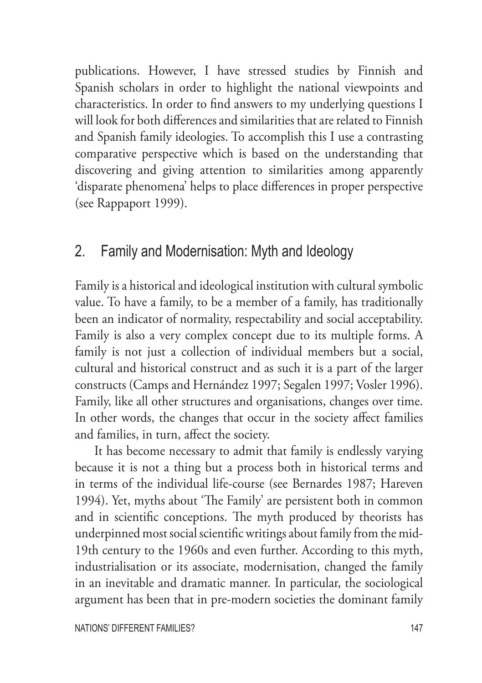publications. However, I have stressed studies by Finnish and Spanish scholars in order to highlight the national viewpoints and characteristics. In order to find answers to my underlying questions I will look for both differences and similarities that are related to Finnish and Spanish family ideologies. To accomplish this I use a contrasting comparative perspective which is based on the understanding that discovering and giving attention to similarities among apparently 'disparate phenomena' helps to place differences in proper perspective (see Rappaport 1999).

# 2. Family and Modernisation: Myth and Ideology

Family is a historical and ideological institution with cultural symbolic value. To have a family, to be a member of a family, has traditionally been an indicator of normality, respectability and social acceptability. Family is also a very complex concept due to its multiple forms. A family is not just a collection of individual members but a social, cultural and historical construct and as such it is a part of the larger constructs (Camps and Hernández 1997; Segalen 1997; Vosler 1996). Family, like all other structures and organisations, changes over time. In other words, the changes that occur in the society affect families and families, in turn, affect the society.

It has become necessary to admit that family is endlessly varying because it is not a thing but a process both in historical terms and in terms of the individual life-course (see Bernardes 1987; Hareven 1994). Yet, myths about 'The Family' are persistent both in common and in scientific conceptions. The myth produced by theorists has underpinned most social scientific writings about family from the mid-19th century to the 1960s and even further. According to this myth, industrialisation or its associate, modernisation, changed the family in an inevitable and dramatic manner. In particular, the sociological argument has been that in pre-modern societies the dominant family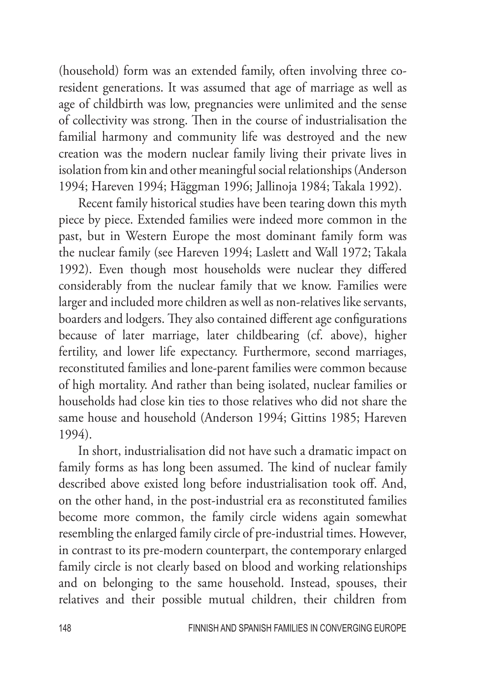(household) form was an extended family, often involving three coresident generations. It was assumed that age of marriage as well as age of childbirth was low, pregnancies were unlimited and the sense of collectivity was strong. Then in the course of industrialisation the familial harmony and community life was destroyed and the new creation was the modern nuclear family living their private lives in isolation from kin and other meaningful social relationships (Anderson 1994; Hareven 1994; Häggman 1996; Jallinoja 1984; Takala 1992).

Recent family historical studies have been tearing down this myth piece by piece. Extended families were indeed more common in the past, but in Western Europe the most dominant family form was the nuclear family (see Hareven 1994; Laslett and Wall 1972; Takala 1992). Even though most households were nuclear they differed considerably from the nuclear family that we know. Families were larger and included more children as well as non-relatives like servants, boarders and lodgers. They also contained different age configurations because of later marriage, later childbearing (cf. above), higher fertility, and lower life expectancy. Furthermore, second marriages, reconstituted families and lone-parent families were common because of high mortality. And rather than being isolated, nuclear families or households had close kin ties to those relatives who did not share the same house and household (Anderson 1994; Gittins 1985; Hareven 1994).

In short, industrialisation did not have such a dramatic impact on family forms as has long been assumed. The kind of nuclear family described above existed long before industrialisation took off. And, on the other hand, in the post-industrial era as reconstituted families become more common, the family circle widens again somewhat resembling the enlarged family circle of pre-industrial times. However, in contrast to its pre-modern counterpart, the contemporary enlarged family circle is not clearly based on blood and working relationships and on belonging to the same household. Instead, spouses, their relatives and their possible mutual children, their children from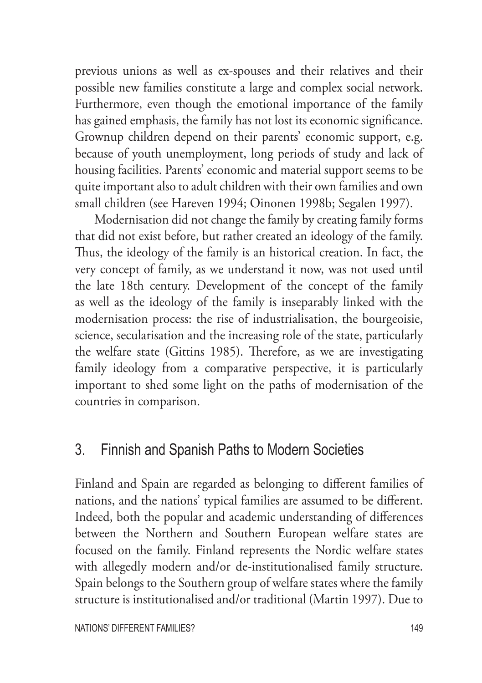previous unions as well as ex-spouses and their relatives and their possible new families constitute a large and complex social network. Furthermore, even though the emotional importance of the family has gained emphasis, the family has not lost its economic significance. Grownup children depend on their parents' economic support, e.g. because of youth unemployment, long periods of study and lack of housing facilities. Parents' economic and material support seems to be quite important also to adult children with their own families and own small children (see Hareven 1994; Oinonen 1998b; Segalen 1997).

Modernisation did not change the family by creating family forms that did not exist before, but rather created an ideology of the family. Thus, the ideology of the family is an historical creation. In fact, the very concept of family, as we understand it now, was not used until the late 18th century. Development of the concept of the family as well as the ideology of the family is inseparably linked with the modernisation process: the rise of industrialisation, the bourgeoisie, science, secularisation and the increasing role of the state, particularly the welfare state (Gittins 1985). Therefore, as we are investigating family ideology from a comparative perspective, it is particularly important to shed some light on the paths of modernisation of the countries in comparison.

# 3. Finnish and Spanish Paths to Modern Societies

Finland and Spain are regarded as belonging to different families of nations, and the nations' typical families are assumed to be different. Indeed, both the popular and academic understanding of differences between the Northern and Southern European welfare states are focused on the family. Finland represents the Nordic welfare states with allegedly modern and/or de-institutionalised family structure. Spain belongs to the Southern group of welfare states where the family structure is institutionalised and/or traditional (Martin 1997). Due to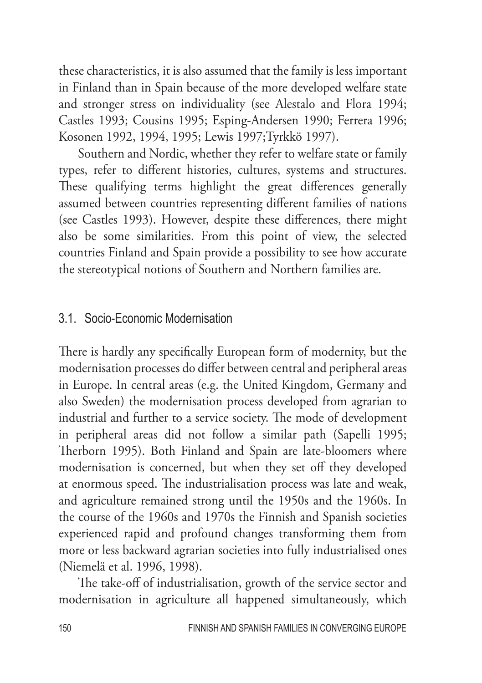these characteristics, it is also assumed that the family is less important in Finland than in Spain because of the more developed welfare state and stronger stress on individuality (see Alestalo and Flora 1994; Castles 1993; Cousins 1995; Esping-Andersen 1990; Ferrera 1996; Kosonen 1992, 1994, 1995; Lewis 1997;Tyrkkö 1997).

Southern and Nordic, whether they refer to welfare state or family types, refer to different histories, cultures, systems and structures. These qualifying terms highlight the great differences generally assumed between countries representing different families of nations (see Castles 1993). However, despite these differences, there might also be some similarities. From this point of view, the selected countries Finland and Spain provide a possibility to see how accurate the stereotypical notions of Southern and Northern families are.

#### 3.1. Socio-Economic Modernisation

There is hardly any specifically European form of modernity, but the modernisation processes do differ between central and peripheral areas in Europe. In central areas (e.g. the United Kingdom, Germany and also Sweden) the modernisation process developed from agrarian to industrial and further to a service society. The mode of development in peripheral areas did not follow a similar path (Sapelli 1995; Therborn 1995). Both Finland and Spain are late-bloomers where modernisation is concerned, but when they set off they developed at enormous speed. The industrialisation process was late and weak, and agriculture remained strong until the 1950s and the 1960s. In the course of the 1960s and 1970s the Finnish and Spanish societies experienced rapid and profound changes transforming them from more or less backward agrarian societies into fully industrialised ones (Niemelä et al. 1996, 1998).

The take-off of industrialisation, growth of the service sector and modernisation in agriculture all happened simultaneously, which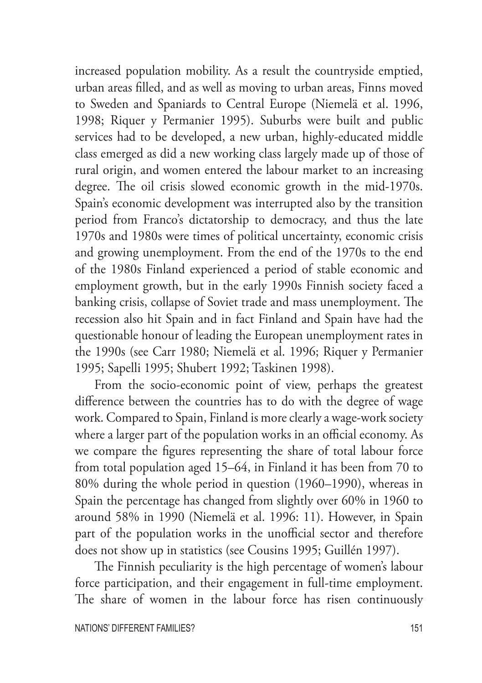increased population mobility. As a result the countryside emptied, urban areas filled, and as well as moving to urban areas, Finns moved to Sweden and Spaniards to Central Europe (Niemelä et al. 1996, 1998; Riquer y Permanier 1995). Suburbs were built and public services had to be developed, a new urban, highly-educated middle class emerged as did a new working class largely made up of those of rural origin, and women entered the labour market to an increasing degree. The oil crisis slowed economic growth in the mid-1970s. Spain's economic development was interrupted also by the transition period from Franco's dictatorship to democracy, and thus the late 1970s and 1980s were times of political uncertainty, economic crisis and growing unemployment. From the end of the 1970s to the end of the 1980s Finland experienced a period of stable economic and employment growth, but in the early 1990s Finnish society faced a banking crisis, collapse of Soviet trade and mass unemployment. The recession also hit Spain and in fact Finland and Spain have had the questionable honour of leading the European unemployment rates in the 1990s (see Carr 1980; Niemelä et al. 1996; Riquer y Permanier 1995; Sapelli 1995; Shubert 1992; Taskinen 1998).

From the socio-economic point of view, perhaps the greatest difference between the countries has to do with the degree of wage work. Compared to Spain, Finland is more clearly a wage-work society where a larger part of the population works in an official economy. As we compare the figures representing the share of total labour force from total population aged 15–64, in Finland it has been from 70 to 80% during the whole period in question (1960–1990), whereas in Spain the percentage has changed from slightly over 60% in 1960 to around 58% in 1990 (Niemelä et al. 1996: 11). However, in Spain part of the population works in the unofficial sector and therefore does not show up in statistics (see Cousins 1995; Guillén 1997).

The Finnish peculiarity is the high percentage of women's labour force participation, and their engagement in full-time employment. The share of women in the labour force has risen continuously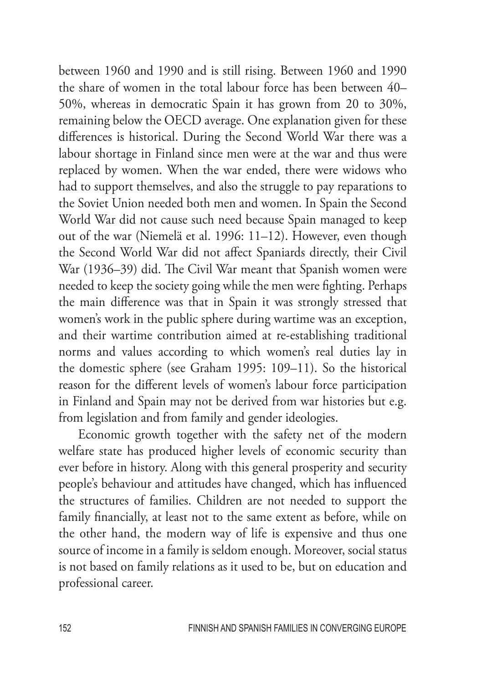between 1960 and 1990 and is still rising. Between 1960 and 1990 the share of women in the total labour force has been between 40– 50%, whereas in democratic Spain it has grown from 20 to 30%, remaining below the OECD average. One explanation given for these differences is historical. During the Second World War there was a labour shortage in Finland since men were at the war and thus were replaced by women. When the war ended, there were widows who had to support themselves, and also the struggle to pay reparations to the Soviet Union needed both men and women. In Spain the Second World War did not cause such need because Spain managed to keep out of the war (Niemelä et al. 1996: 11–12). However, even though the Second World War did not affect Spaniards directly, their Civil War (1936–39) did. The Civil War meant that Spanish women were needed to keep the society going while the men were fighting. Perhaps the main difference was that in Spain it was strongly stressed that women's work in the public sphere during wartime was an exception, and their wartime contribution aimed at re-establishing traditional norms and values according to which women's real duties lay in the domestic sphere (see Graham 1995: 109–11). So the historical reason for the different levels of women's labour force participation in Finland and Spain may not be derived from war histories but e.g. from legislation and from family and gender ideologies.

Economic growth together with the safety net of the modern welfare state has produced higher levels of economic security than ever before in history. Along with this general prosperity and security people's behaviour and attitudes have changed, which has influenced the structures of families. Children are not needed to support the family financially, at least not to the same extent as before, while on the other hand, the modern way of life is expensive and thus one source of income in a family is seldom enough. Moreover, social status is not based on family relations as it used to be, but on education and professional career.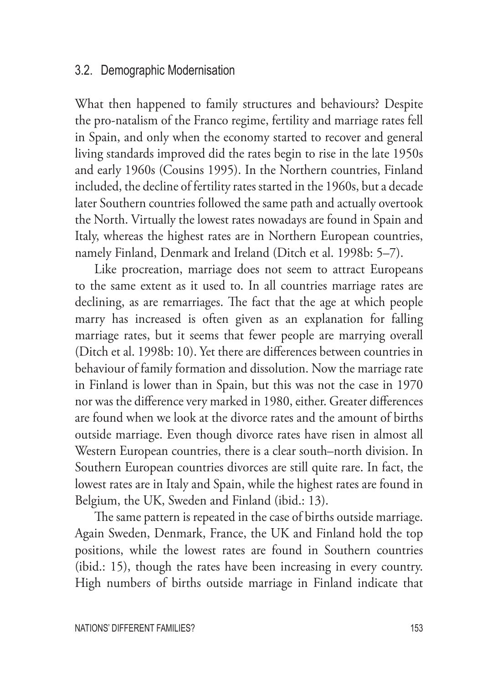#### 3.2. Demographic Modernisation

What then happened to family structures and behaviours? Despite the pro-natalism of the Franco regime, fertility and marriage rates fell in Spain, and only when the economy started to recover and general living standards improved did the rates begin to rise in the late 1950s and early 1960s (Cousins 1995). In the Northern countries, Finland included, the decline of fertility rates started in the 1960s, but a decade later Southern countries followed the same path and actually overtook the North. Virtually the lowest rates nowadays are found in Spain and Italy, whereas the highest rates are in Northern European countries, namely Finland, Denmark and Ireland (Ditch et al. 1998b: 5–7).

Like procreation, marriage does not seem to attract Europeans to the same extent as it used to. In all countries marriage rates are declining, as are remarriages. The fact that the age at which people marry has increased is often given as an explanation for falling marriage rates, but it seems that fewer people are marrying overall (Ditch et al. 1998b: 10). Yet there are differences between countries in behaviour of family formation and dissolution. Now the marriage rate in Finland is lower than in Spain, but this was not the case in 1970 nor was the difference very marked in 1980, either. Greater differences are found when we look at the divorce rates and the amount of births outside marriage. Even though divorce rates have risen in almost all Western European countries, there is a clear south–north division. In Southern European countries divorces are still quite rare. In fact, the lowest rates are in Italy and Spain, while the highest rates are found in Belgium, the UK, Sweden and Finland (ibid.: 13).

The same pattern is repeated in the case of births outside marriage. Again Sweden, Denmark, France, the UK and Finland hold the top positions, while the lowest rates are found in Southern countries (ibid.: 15), though the rates have been increasing in every country. High numbers of births outside marriage in Finland indicate that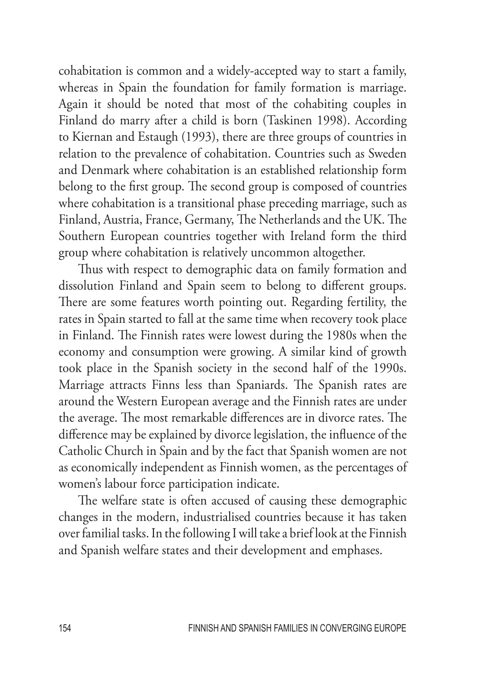cohabitation is common and a widely-accepted way to start a family, whereas in Spain the foundation for family formation is marriage. Again it should be noted that most of the cohabiting couples in Finland do marry after a child is born (Taskinen 1998). According to Kiernan and Estaugh (1993), there are three groups of countries in relation to the prevalence of cohabitation. Countries such as Sweden and Denmark where cohabitation is an established relationship form belong to the first group. The second group is composed of countries where cohabitation is a transitional phase preceding marriage, such as Finland, Austria, France, Germany, The Netherlands and the UK. The Southern European countries together with Ireland form the third group where cohabitation is relatively uncommon altogether.

Thus with respect to demographic data on family formation and dissolution Finland and Spain seem to belong to different groups. There are some features worth pointing out. Regarding fertility, the rates in Spain started to fall at the same time when recovery took place in Finland. The Finnish rates were lowest during the 1980s when the economy and consumption were growing. A similar kind of growth took place in the Spanish society in the second half of the 1990s. Marriage attracts Finns less than Spaniards. The Spanish rates are around the Western European average and the Finnish rates are under the average. The most remarkable differences are in divorce rates. The difference may be explained by divorce legislation, the influence of the Catholic Church in Spain and by the fact that Spanish women are not as economically independent as Finnish women, as the percentages of women's labour force participation indicate.

The welfare state is often accused of causing these demographic changes in the modern, industrialised countries because it has taken over familial tasks. In the following I will take a brief look at the Finnish and Spanish welfare states and their development and emphases.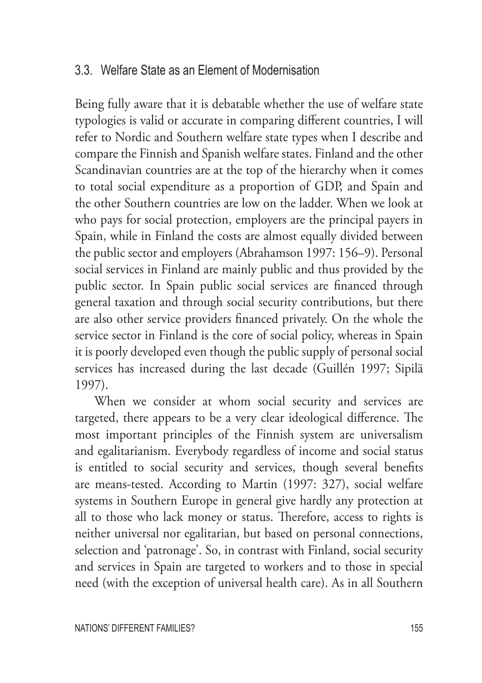#### 3.3. Welfare State as an Element of Modernisation

Being fully aware that it is debatable whether the use of welfare state typologies is valid or accurate in comparing different countries, I will refer to Nordic and Southern welfare state types when I describe and compare the Finnish and Spanish welfare states. Finland and the other Scandinavian countries are at the top of the hierarchy when it comes to total social expenditure as a proportion of GDP, and Spain and the other Southern countries are low on the ladder. When we look at who pays for social protection, employers are the principal payers in Spain, while in Finland the costs are almost equally divided between the public sector and employers (Abrahamson 1997: 156–9). Personal social services in Finland are mainly public and thus provided by the public sector. In Spain public social services are financed through general taxation and through social security contributions, but there are also other service providers financed privately. On the whole the service sector in Finland is the core of social policy, whereas in Spain it is poorly developed even though the public supply of personal social services has increased during the last decade (Guillén 1997; Sipilä 1997).

When we consider at whom social security and services are targeted, there appears to be a very clear ideological difference. The most important principles of the Finnish system are universalism and egalitarianism. Everybody regardless of income and social status is entitled to social security and services, though several benefits are means-tested. According to Martin (1997: 327), social welfare systems in Southern Europe in general give hardly any protection at all to those who lack money or status. Therefore, access to rights is neither universal nor egalitarian, but based on personal connections, selection and 'patronage'. So, in contrast with Finland, social security and services in Spain are targeted to workers and to those in special need (with the exception of universal health care). As in all Southern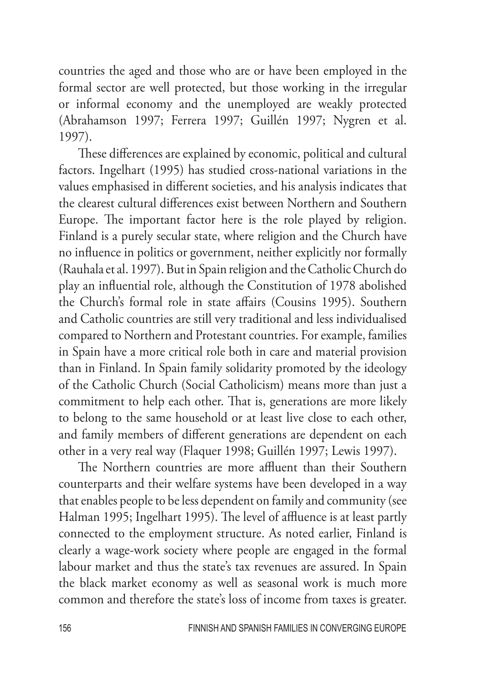countries the aged and those who are or have been employed in the formal sector are well protected, but those working in the irregular or informal economy and the unemployed are weakly protected (Abrahamson 1997; Ferrera 1997; Guillén 1997; Nygren et al. 1997).

These differences are explained by economic, political and cultural factors. Ingelhart (1995) has studied cross-national variations in the values emphasised in different societies, and his analysis indicates that the clearest cultural differences exist between Northern and Southern Europe. The important factor here is the role played by religion. Finland is a purely secular state, where religion and the Church have no influence in politics or government, neither explicitly nor formally (Rauhala et al. 1997). But in Spain religion and the Catholic Church do play an influential role, although the Constitution of 1978 abolished the Church's formal role in state affairs (Cousins 1995). Southern and Catholic countries are still very traditional and less individualised compared to Northern and Protestant countries. For example, families in Spain have a more critical role both in care and material provision than in Finland. In Spain family solidarity promoted by the ideology of the Catholic Church (Social Catholicism) means more than just a commitment to help each other. That is, generations are more likely to belong to the same household or at least live close to each other, and family members of different generations are dependent on each other in a very real way (Flaquer 1998; Guillén 1997; Lewis 1997).

The Northern countries are more affluent than their Southern counterparts and their welfare systems have been developed in a way that enables people to be less dependent on family and community (see Halman 1995; Ingelhart 1995). The level of affluence is at least partly connected to the employment structure. As noted earlier, Finland is clearly a wage-work society where people are engaged in the formal labour market and thus the state's tax revenues are assured. In Spain the black market economy as well as seasonal work is much more common and therefore the state's loss of income from taxes is greater.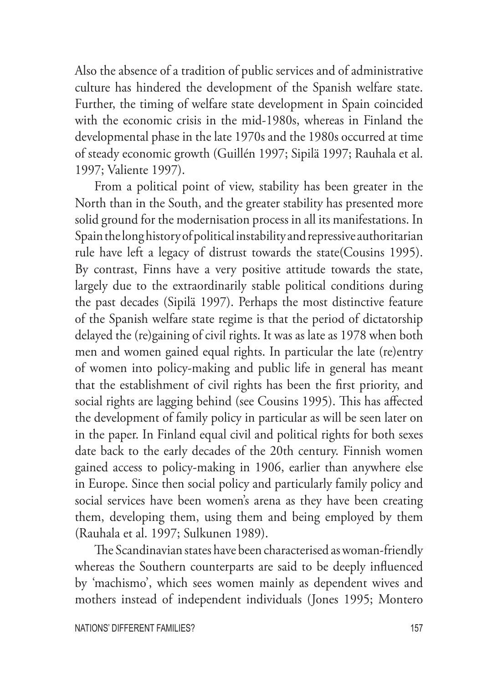Also the absence of a tradition of public services and of administrative culture has hindered the development of the Spanish welfare state. Further, the timing of welfare state development in Spain coincided with the economic crisis in the mid-1980s, whereas in Finland the developmental phase in the late 1970s and the 1980s occurred at time of steady economic growth (Guillén 1997; Sipilä 1997; Rauhala et al. 1997; Valiente 1997).

From a political point of view, stability has been greater in the North than in the South, and the greater stability has presented more solid ground for the modernisation process in all its manifestations. In Spain the long history of political instability and repressive authoritarian rule have left a legacy of distrust towards the state(Cousins 1995). By contrast, Finns have a very positive attitude towards the state, largely due to the extraordinarily stable political conditions during the past decades (Sipilä 1997). Perhaps the most distinctive feature of the Spanish welfare state regime is that the period of dictatorship delayed the (re)gaining of civil rights. It was as late as 1978 when both men and women gained equal rights. In particular the late (re)entry of women into policy-making and public life in general has meant that the establishment of civil rights has been the first priority, and social rights are lagging behind (see Cousins 1995). This has affected the development of family policy in particular as will be seen later on in the paper. In Finland equal civil and political rights for both sexes date back to the early decades of the 20th century. Finnish women gained access to policy-making in 1906, earlier than anywhere else in Europe. Since then social policy and particularly family policy and social services have been women's arena as they have been creating them, developing them, using them and being employed by them (Rauhala et al. 1997; Sulkunen 1989).

The Scandinavian states have been characterised as woman-friendly whereas the Southern counterparts are said to be deeply influenced by 'machismo', which sees women mainly as dependent wives and mothers instead of independent individuals (Jones 1995; Montero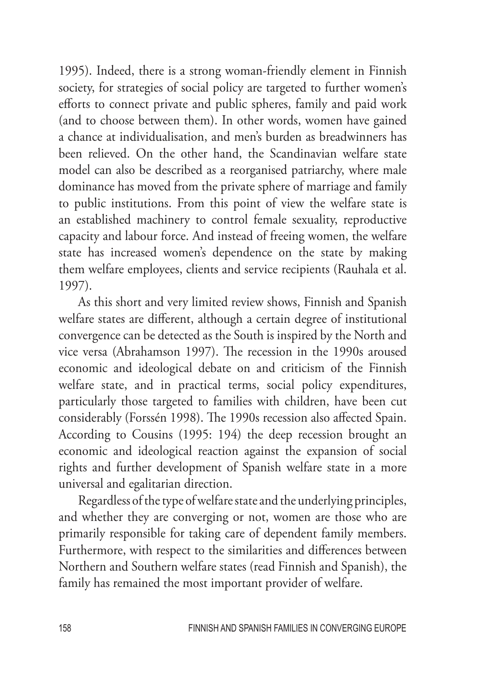1995). Indeed, there is a strong woman-friendly element in Finnish society, for strategies of social policy are targeted to further women's efforts to connect private and public spheres, family and paid work (and to choose between them). In other words, women have gained a chance at individualisation, and men's burden as breadwinners has been relieved. On the other hand, the Scandinavian welfare state model can also be described as a reorganised patriarchy, where male dominance has moved from the private sphere of marriage and family to public institutions. From this point of view the welfare state is an established machinery to control female sexuality, reproductive capacity and labour force. And instead of freeing women, the welfare state has increased women's dependence on the state by making them welfare employees, clients and service recipients (Rauhala et al. 1997).

As this short and very limited review shows, Finnish and Spanish welfare states are different, although a certain degree of institutional convergence can be detected as the South is inspired by the North and vice versa (Abrahamson 1997). The recession in the 1990s aroused economic and ideological debate on and criticism of the Finnish welfare state, and in practical terms, social policy expenditures, particularly those targeted to families with children, have been cut considerably (Forssén 1998). The 1990s recession also affected Spain. According to Cousins (1995: 194) the deep recession brought an economic and ideological reaction against the expansion of social rights and further development of Spanish welfare state in a more universal and egalitarian direction.

Regardless of the type of welfare state and the underlying principles, and whether they are converging or not, women are those who are primarily responsible for taking care of dependent family members. Furthermore, with respect to the similarities and differences between Northern and Southern welfare states (read Finnish and Spanish), the family has remained the most important provider of welfare.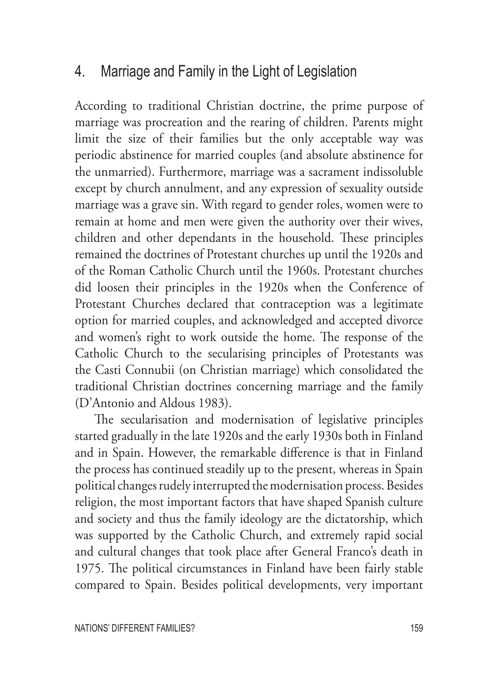# 4. Marriage and Family in the Light of Legislation

According to traditional Christian doctrine, the prime purpose of marriage was procreation and the rearing of children. Parents might limit the size of their families but the only acceptable way was periodic abstinence for married couples (and absolute abstinence for the unmarried). Furthermore, marriage was a sacrament indissoluble except by church annulment, and any expression of sexuality outside marriage was a grave sin. With regard to gender roles, women were to remain at home and men were given the authority over their wives, children and other dependants in the household. These principles remained the doctrines of Protestant churches up until the 1920s and of the Roman Catholic Church until the 1960s. Protestant churches did loosen their principles in the 1920s when the Conference of Protestant Churches declared that contraception was a legitimate option for married couples, and acknowledged and accepted divorce and women's right to work outside the home. The response of the Catholic Church to the secularising principles of Protestants was the Casti Connubii (on Christian marriage) which consolidated the traditional Christian doctrines concerning marriage and the family (D'Antonio and Aldous 1983).

The secularisation and modernisation of legislative principles started gradually in the late 1920s and the early 1930s both in Finland and in Spain. However, the remarkable difference is that in Finland the process has continued steadily up to the present, whereas in Spain political changes rudely interrupted the modernisation process. Besides religion, the most important factors that have shaped Spanish culture and society and thus the family ideology are the dictatorship, which was supported by the Catholic Church, and extremely rapid social and cultural changes that took place after General Franco's death in 1975. The political circumstances in Finland have been fairly stable compared to Spain. Besides political developments, very important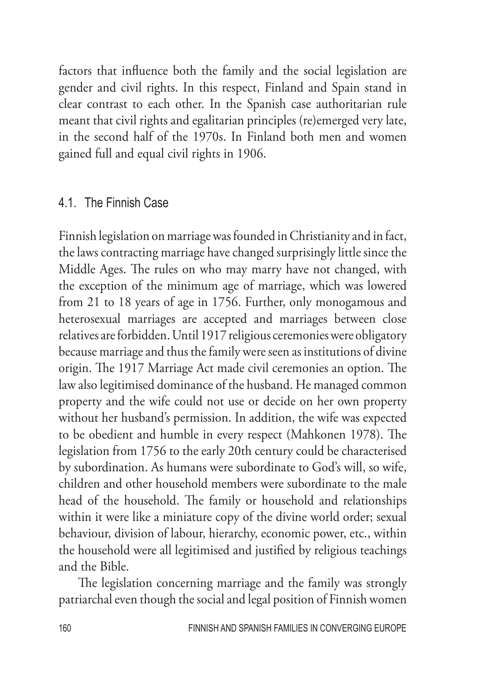factors that influence both the family and the social legislation are gender and civil rights. In this respect, Finland and Spain stand in clear contrast to each other. In the Spanish case authoritarian rule meant that civil rights and egalitarian principles (re)emerged very late, in the second half of the 1970s. In Finland both men and women gained full and equal civil rights in 1906.

#### 4.1. The Finnish Case

Finnish legislation on marriage was founded in Christianity and in fact, the laws contracting marriage have changed surprisingly little since the Middle Ages. The rules on who may marry have not changed, with the exception of the minimum age of marriage, which was lowered from 21 to 18 years of age in 1756. Further, only monogamous and heterosexual marriages are accepted and marriages between close relatives are forbidden. Until 1917 religious ceremonies were obligatory because marriage and thus the family were seen as institutions of divine origin. The 1917 Marriage Act made civil ceremonies an option. The law also legitimised dominance of the husband. He managed common property and the wife could not use or decide on her own property without her husband's permission. In addition, the wife was expected to be obedient and humble in every respect (Mahkonen 1978). The legislation from 1756 to the early 20th century could be characterised by subordination. As humans were subordinate to God's will, so wife, children and other household members were subordinate to the male head of the household. The family or household and relationships within it were like a miniature copy of the divine world order; sexual behaviour, division of labour, hierarchy, economic power, etc., within the household were all legitimised and justified by religious teachings and the Bible.

The legislation concerning marriage and the family was strongly patriarchal even though the social and legal position of Finnish women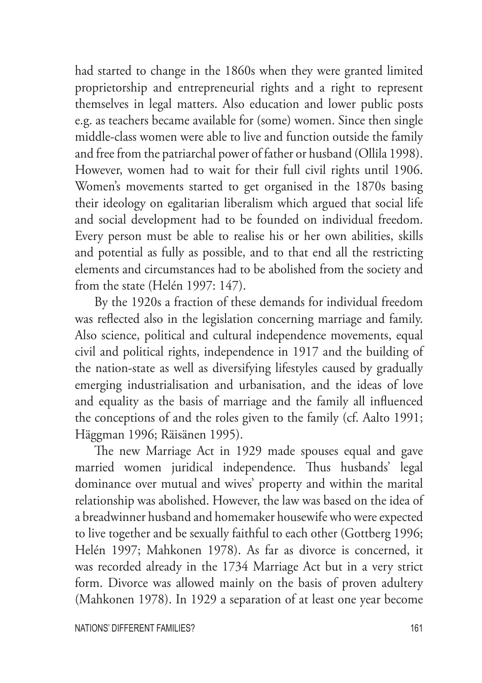had started to change in the 1860s when they were granted limited proprietorship and entrepreneurial rights and a right to represent themselves in legal matters. Also education and lower public posts e.g. as teachers became available for (some) women. Since then single middle-class women were able to live and function outside the family and free from the patriarchal power of father or husband (Ollila 1998). However, women had to wait for their full civil rights until 1906. Women's movements started to get organised in the 1870s basing their ideology on egalitarian liberalism which argued that social life and social development had to be founded on individual freedom. Every person must be able to realise his or her own abilities, skills and potential as fully as possible, and to that end all the restricting elements and circumstances had to be abolished from the society and from the state (Helén 1997: 147).

By the 1920s a fraction of these demands for individual freedom was reflected also in the legislation concerning marriage and family. Also science, political and cultural independence movements, equal civil and political rights, independence in 1917 and the building of the nation-state as well as diversifying lifestyles caused by gradually emerging industrialisation and urbanisation, and the ideas of love and equality as the basis of marriage and the family all influenced the conceptions of and the roles given to the family (cf. Aalto 1991; Häggman 1996; Räisänen 1995).

The new Marriage Act in 1929 made spouses equal and gave married women juridical independence. Thus husbands' legal dominance over mutual and wives' property and within the marital relationship was abolished. However, the law was based on the idea of a breadwinner husband and homemaker housewife who were expected to live together and be sexually faithful to each other (Gottberg 1996; Helén 1997; Mahkonen 1978). As far as divorce is concerned, it was recorded already in the 1734 Marriage Act but in a very strict form. Divorce was allowed mainly on the basis of proven adultery (Mahkonen 1978). In 1929 a separation of at least one year become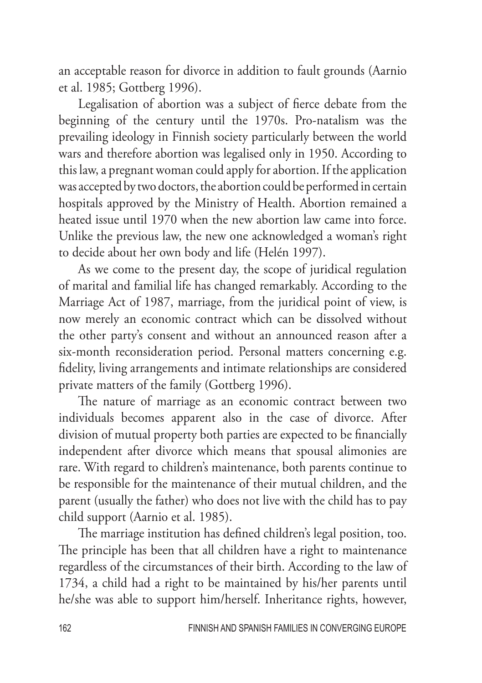an acceptable reason for divorce in addition to fault grounds (Aarnio et al. 1985; Gottberg 1996).

Legalisation of abortion was a subject of fierce debate from the beginning of the century until the 1970s. Pro-natalism was the prevailing ideology in Finnish society particularly between the world wars and therefore abortion was legalised only in 1950. According to this law, a pregnant woman could apply for abortion. If the application was accepted by two doctors, the abortion could be performed in certain hospitals approved by the Ministry of Health. Abortion remained a heated issue until 1970 when the new abortion law came into force. Unlike the previous law, the new one acknowledged a woman's right to decide about her own body and life (Helén 1997).

As we come to the present day, the scope of juridical regulation of marital and familial life has changed remarkably. According to the Marriage Act of 1987, marriage, from the juridical point of view, is now merely an economic contract which can be dissolved without the other party's consent and without an announced reason after a six-month reconsideration period. Personal matters concerning e.g. fidelity, living arrangements and intimate relationships are considered private matters of the family (Gottberg 1996).

The nature of marriage as an economic contract between two individuals becomes apparent also in the case of divorce. After division of mutual property both parties are expected to be financially independent after divorce which means that spousal alimonies are rare. With regard to children's maintenance, both parents continue to be responsible for the maintenance of their mutual children, and the parent (usually the father) who does not live with the child has to pay child support (Aarnio et al. 1985).

The marriage institution has defined children's legal position, too. The principle has been that all children have a right to maintenance regardless of the circumstances of their birth. According to the law of 1734, a child had a right to be maintained by his/her parents until he/she was able to support him/herself. Inheritance rights, however,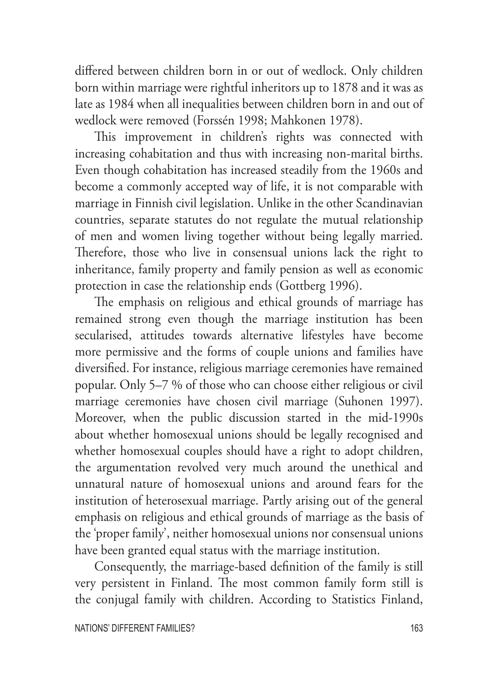differed between children born in or out of wedlock. Only children born within marriage were rightful inheritors up to 1878 and it was as late as 1984 when all inequalities between children born in and out of wedlock were removed (Forssén 1998; Mahkonen 1978).

This improvement in children's rights was connected with increasing cohabitation and thus with increasing non-marital births. Even though cohabitation has increased steadily from the 1960s and become a commonly accepted way of life, it is not comparable with marriage in Finnish civil legislation. Unlike in the other Scandinavian countries, separate statutes do not regulate the mutual relationship of men and women living together without being legally married. Therefore, those who live in consensual unions lack the right to inheritance, family property and family pension as well as economic protection in case the relationship ends (Gottberg 1996).

The emphasis on religious and ethical grounds of marriage has remained strong even though the marriage institution has been secularised, attitudes towards alternative lifestyles have become more permissive and the forms of couple unions and families have diversified. For instance, religious marriage ceremonies have remained popular. Only 5–7 % of those who can choose either religious or civil marriage ceremonies have chosen civil marriage (Suhonen 1997). Moreover, when the public discussion started in the mid-1990s about whether homosexual unions should be legally recognised and whether homosexual couples should have a right to adopt children, the argumentation revolved very much around the unethical and unnatural nature of homosexual unions and around fears for the institution of heterosexual marriage. Partly arising out of the general emphasis on religious and ethical grounds of marriage as the basis of the 'proper family', neither homosexual unions nor consensual unions have been granted equal status with the marriage institution.

Consequently, the marriage-based definition of the family is still very persistent in Finland. The most common family form still is the conjugal family with children. According to Statistics Finland,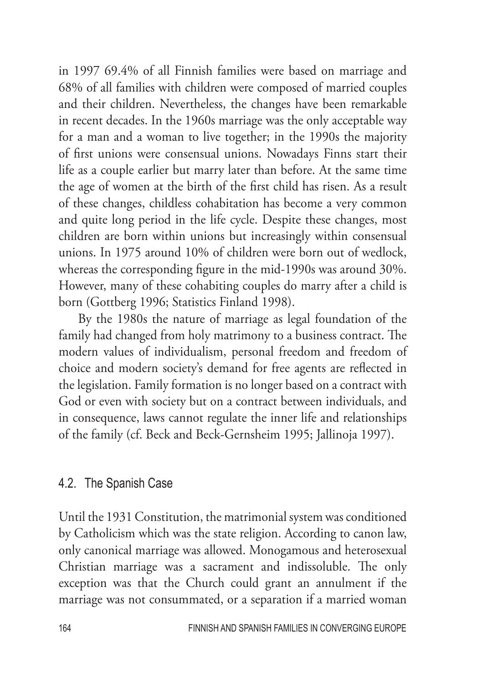in 1997 69.4% of all Finnish families were based on marriage and 68% of all families with children were composed of married couples and their children. Nevertheless, the changes have been remarkable in recent decades. In the 1960s marriage was the only acceptable way for a man and a woman to live together; in the 1990s the majority of first unions were consensual unions. Nowadays Finns start their life as a couple earlier but marry later than before. At the same time the age of women at the birth of the first child has risen. As a result of these changes, childless cohabitation has become a very common and quite long period in the life cycle. Despite these changes, most children are born within unions but increasingly within consensual unions. In 1975 around 10% of children were born out of wedlock, whereas the corresponding figure in the mid-1990s was around 30%. However, many of these cohabiting couples do marry after a child is born (Gottberg 1996; Statistics Finland 1998).

By the 1980s the nature of marriage as legal foundation of the family had changed from holy matrimony to a business contract. The modern values of individualism, personal freedom and freedom of choice and modern society's demand for free agents are reflected in the legislation. Family formation is no longer based on a contract with God or even with society but on a contract between individuals, and in consequence, laws cannot regulate the inner life and relationships of the family (cf. Beck and Beck-Gernsheim 1995; Jallinoja 1997).

#### 4.2. The Spanish Case

Until the 1931 Constitution, the matrimonial system was conditioned by Catholicism which was the state religion. According to canon law, only canonical marriage was allowed. Monogamous and heterosexual Christian marriage was a sacrament and indissoluble. The only exception was that the Church could grant an annulment if the marriage was not consummated, or a separation if a married woman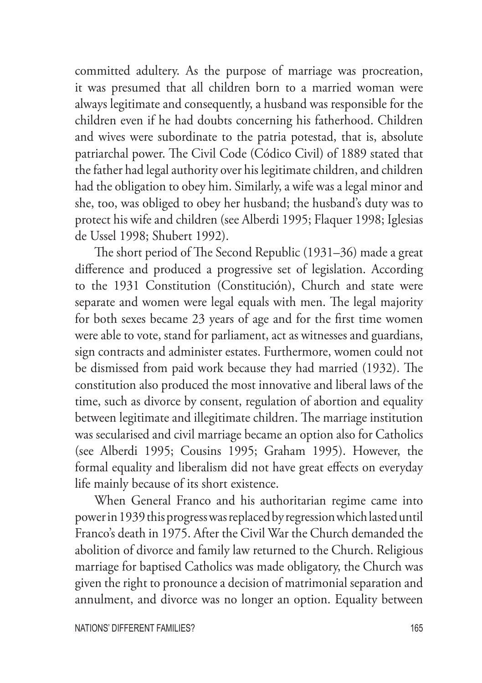committed adultery. As the purpose of marriage was procreation, it was presumed that all children born to a married woman were always legitimate and consequently, a husband was responsible for the children even if he had doubts concerning his fatherhood. Children and wives were subordinate to the patria potestad, that is, absolute patriarchal power. The Civil Code (Códico Civil) of 1889 stated that the father had legal authority over his legitimate children, and children had the obligation to obey him. Similarly, a wife was a legal minor and she, too, was obliged to obey her husband; the husband's duty was to protect his wife and children (see Alberdi 1995; Flaquer 1998; Iglesias de Ussel 1998; Shubert 1992).

The short period of The Second Republic (1931–36) made a great difference and produced a progressive set of legislation. According to the 1931 Constitution (Constitución), Church and state were separate and women were legal equals with men. The legal majority for both sexes became 23 years of age and for the first time women were able to vote, stand for parliament, act as witnesses and guardians, sign contracts and administer estates. Furthermore, women could not be dismissed from paid work because they had married (1932). The constitution also produced the most innovative and liberal laws of the time, such as divorce by consent, regulation of abortion and equality between legitimate and illegitimate children. The marriage institution was secularised and civil marriage became an option also for Catholics (see Alberdi 1995; Cousins 1995; Graham 1995). However, the formal equality and liberalism did not have great effects on everyday life mainly because of its short existence.

When General Franco and his authoritarian regime came into power in 1939 this progress was replaced by regression which lasted until Franco's death in 1975. After the Civil War the Church demanded the abolition of divorce and family law returned to the Church. Religious marriage for baptised Catholics was made obligatory, the Church was given the right to pronounce a decision of matrimonial separation and annulment, and divorce was no longer an option. Equality between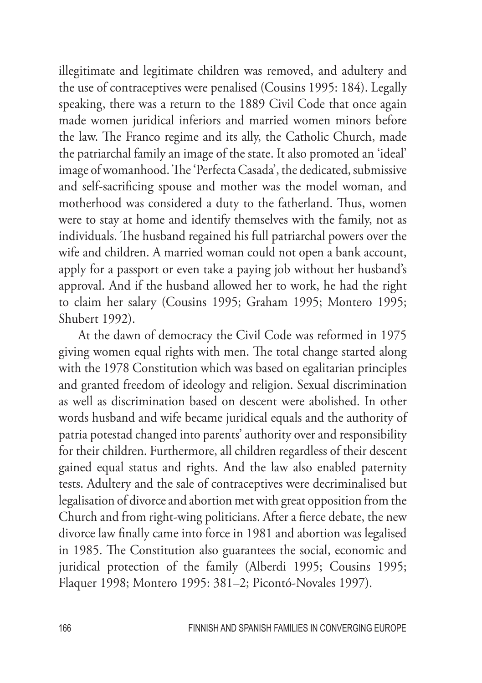illegitimate and legitimate children was removed, and adultery and the use of contraceptives were penalised (Cousins 1995: 184). Legally speaking, there was a return to the 1889 Civil Code that once again made women juridical inferiors and married women minors before the law. The Franco regime and its ally, the Catholic Church, made the patriarchal family an image of the state. It also promoted an 'ideal' image of womanhood. The 'Perfecta Casada', the dedicated, submissive and self-sacrificing spouse and mother was the model woman, and motherhood was considered a duty to the fatherland. Thus, women were to stay at home and identify themselves with the family, not as individuals. The husband regained his full patriarchal powers over the wife and children. A married woman could not open a bank account, apply for a passport or even take a paying job without her husband's approval. And if the husband allowed her to work, he had the right to claim her salary (Cousins 1995; Graham 1995; Montero 1995; Shubert 1992).

At the dawn of democracy the Civil Code was reformed in 1975 giving women equal rights with men. The total change started along with the 1978 Constitution which was based on egalitarian principles and granted freedom of ideology and religion. Sexual discrimination as well as discrimination based on descent were abolished. In other words husband and wife became juridical equals and the authority of patria potestad changed into parents' authority over and responsibility for their children. Furthermore, all children regardless of their descent gained equal status and rights. And the law also enabled paternity tests. Adultery and the sale of contraceptives were decriminalised but legalisation of divorce and abortion met with great opposition from the Church and from right-wing politicians. After a fierce debate, the new divorce law finally came into force in 1981 and abortion was legalised in 1985. The Constitution also guarantees the social, economic and juridical protection of the family (Alberdi 1995; Cousins 1995; Flaquer 1998; Montero 1995: 381–2; Picontó-Novales 1997).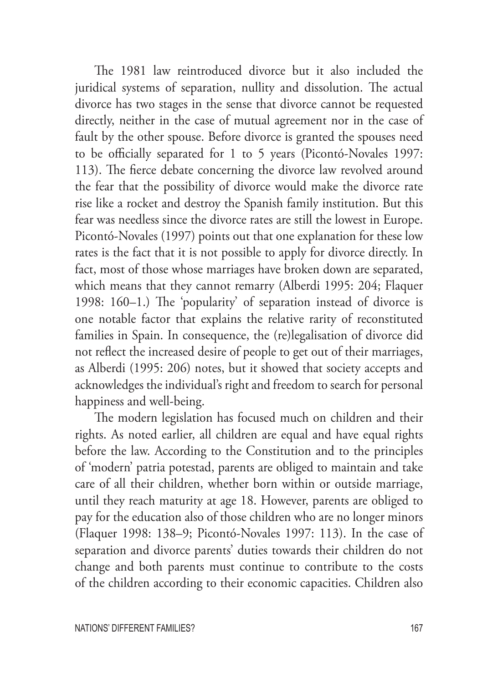The 1981 law reintroduced divorce but it also included the juridical systems of separation, nullity and dissolution. The actual divorce has two stages in the sense that divorce cannot be requested directly, neither in the case of mutual agreement nor in the case of fault by the other spouse. Before divorce is granted the spouses need to be officially separated for 1 to 5 years (Picontó-Novales 1997: 113). The fierce debate concerning the divorce law revolved around the fear that the possibility of divorce would make the divorce rate rise like a rocket and destroy the Spanish family institution. But this fear was needless since the divorce rates are still the lowest in Europe. Picontó-Novales (1997) points out that one explanation for these low rates is the fact that it is not possible to apply for divorce directly. In fact, most of those whose marriages have broken down are separated, which means that they cannot remarry (Alberdi 1995: 204; Flaquer 1998:  $160-1$ .) The 'popularity' of separation instead of divorce is one notable factor that explains the relative rarity of reconstituted families in Spain. In consequence, the (re)legalisation of divorce did not reflect the increased desire of people to get out of their marriages, as Alberdi (1995: 206) notes, but it showed that society accepts and acknowledges the individual's right and freedom to search for personal happiness and well-being.

The modern legislation has focused much on children and their rights. As noted earlier, all children are equal and have equal rights before the law. According to the Constitution and to the principles of 'modern' patria potestad, parents are obliged to maintain and take care of all their children, whether born within or outside marriage, until they reach maturity at age 18. However, parents are obliged to pay for the education also of those children who are no longer minors (Flaquer 1998: 138–9; Picontó-Novales 1997: 113). In the case of separation and divorce parents' duties towards their children do not change and both parents must continue to contribute to the costs of the children according to their economic capacities. Children also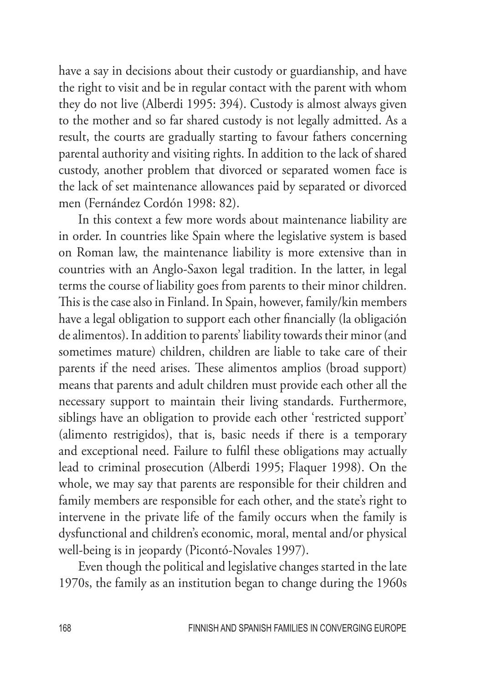have a say in decisions about their custody or guardianship, and have the right to visit and be in regular contact with the parent with whom they do not live (Alberdi 1995: 394). Custody is almost always given to the mother and so far shared custody is not legally admitted. As a result, the courts are gradually starting to favour fathers concerning parental authority and visiting rights. In addition to the lack of shared custody, another problem that divorced or separated women face is the lack of set maintenance allowances paid by separated or divorced men (Fernández Cordón 1998: 82).

In this context a few more words about maintenance liability are in order. In countries like Spain where the legislative system is based on Roman law, the maintenance liability is more extensive than in countries with an Anglo-Saxon legal tradition. In the latter, in legal terms the course of liability goes from parents to their minor children. This is the case also in Finland. In Spain, however, family/kin members have a legal obligation to support each other financially (la obligación de alimentos). In addition to parents' liability towards their minor (and sometimes mature) children, children are liable to take care of their parents if the need arises. These alimentos amplios (broad support) means that parents and adult children must provide each other all the necessary support to maintain their living standards. Furthermore, siblings have an obligation to provide each other 'restricted support' (alimento restrigidos), that is, basic needs if there is a temporary and exceptional need. Failure to fulfil these obligations may actually lead to criminal prosecution (Alberdi 1995; Flaquer 1998). On the whole, we may say that parents are responsible for their children and family members are responsible for each other, and the state's right to intervene in the private life of the family occurs when the family is dysfunctional and children's economic, moral, mental and/or physical well-being is in jeopardy (Picontó-Novales 1997).

Even though the political and legislative changes started in the late 1970s, the family as an institution began to change during the 1960s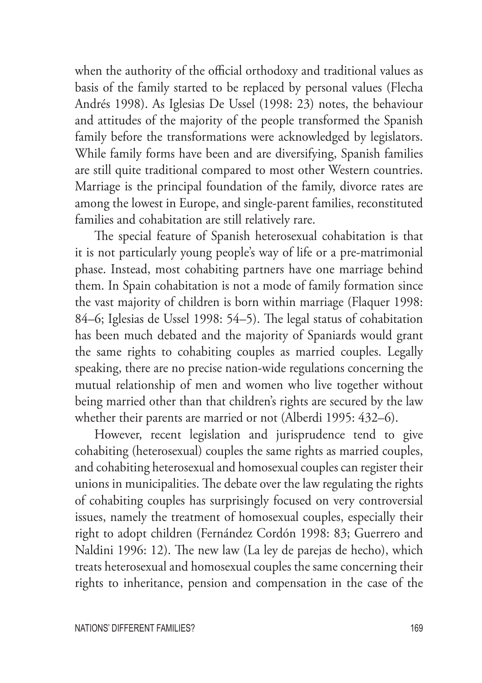when the authority of the official orthodoxy and traditional values as basis of the family started to be replaced by personal values (Flecha Andrés 1998). As Iglesias De Ussel (1998: 23) notes, the behaviour and attitudes of the majority of the people transformed the Spanish family before the transformations were acknowledged by legislators. While family forms have been and are diversifying, Spanish families are still quite traditional compared to most other Western countries. Marriage is the principal foundation of the family, divorce rates are among the lowest in Europe, and single-parent families, reconstituted families and cohabitation are still relatively rare.

The special feature of Spanish heterosexual cohabitation is that it is not particularly young people's way of life or a pre-matrimonial phase. Instead, most cohabiting partners have one marriage behind them. In Spain cohabitation is not a mode of family formation since the vast majority of children is born within marriage (Flaquer 1998: 84–6; Iglesias de Ussel 1998: 54–5). The legal status of cohabitation has been much debated and the majority of Spaniards would grant the same rights to cohabiting couples as married couples. Legally speaking, there are no precise nation-wide regulations concerning the mutual relationship of men and women who live together without being married other than that children's rights are secured by the law whether their parents are married or not (Alberdi 1995: 432–6).

However, recent legislation and jurisprudence tend to give cohabiting (heterosexual) couples the same rights as married couples, and cohabiting heterosexual and homosexual couples can register their unions in municipalities. The debate over the law regulating the rights of cohabiting couples has surprisingly focused on very controversial issues, namely the treatment of homosexual couples, especially their right to adopt children (Fernández Cordón 1998: 83; Guerrero and Naldini 1996: 12). The new law (La ley de parejas de hecho), which treats heterosexual and homosexual couples the same concerning their rights to inheritance, pension and compensation in the case of the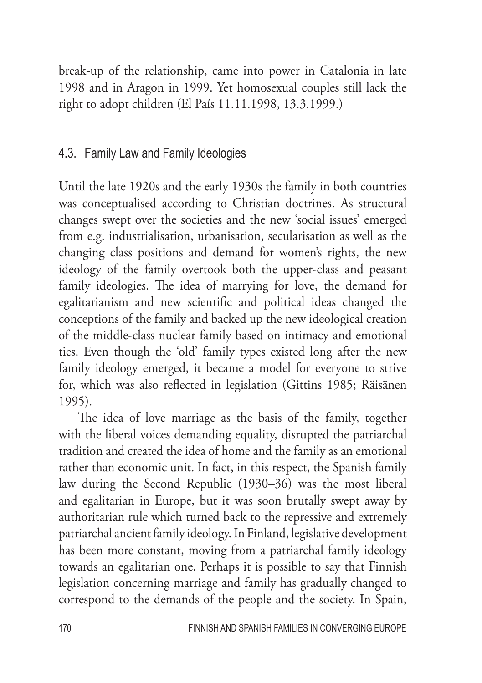break-up of the relationship, came into power in Catalonia in late 1998 and in Aragon in 1999. Yet homosexual couples still lack the right to adopt children (El País 11.11.1998, 13.3.1999.)

#### 4.3. Family Law and Family Ideologies

Until the late 1920s and the early 1930s the family in both countries was conceptualised according to Christian doctrines. As structural changes swept over the societies and the new 'social issues' emerged from e.g. industrialisation, urbanisation, secularisation as well as the changing class positions and demand for women's rights, the new ideology of the family overtook both the upper-class and peasant family ideologies. The idea of marrying for love, the demand for egalitarianism and new scientific and political ideas changed the conceptions of the family and backed up the new ideological creation of the middle-class nuclear family based on intimacy and emotional ties. Even though the 'old' family types existed long after the new family ideology emerged, it became a model for everyone to strive for, which was also reflected in legislation (Gittins 1985; Räisänen 1995).

The idea of love marriage as the basis of the family, together with the liberal voices demanding equality, disrupted the patriarchal tradition and created the idea of home and the family as an emotional rather than economic unit. In fact, in this respect, the Spanish family law during the Second Republic (1930–36) was the most liberal and egalitarian in Europe, but it was soon brutally swept away by authoritarian rule which turned back to the repressive and extremely patriarchal ancient family ideology. In Finland, legislative development has been more constant, moving from a patriarchal family ideology towards an egalitarian one. Perhaps it is possible to say that Finnish legislation concerning marriage and family has gradually changed to correspond to the demands of the people and the society. In Spain,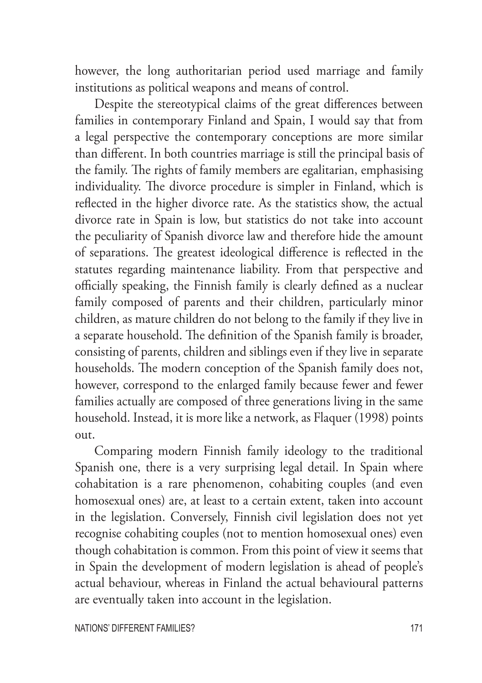however, the long authoritarian period used marriage and family institutions as political weapons and means of control.

Despite the stereotypical claims of the great differences between families in contemporary Finland and Spain, I would say that from a legal perspective the contemporary conceptions are more similar than different. In both countries marriage is still the principal basis of the family. The rights of family members are egalitarian, emphasising individuality. The divorce procedure is simpler in Finland, which is reflected in the higher divorce rate. As the statistics show, the actual divorce rate in Spain is low, but statistics do not take into account the peculiarity of Spanish divorce law and therefore hide the amount of separations. The greatest ideological difference is reflected in the statutes regarding maintenance liability. From that perspective and officially speaking, the Finnish family is clearly defined as a nuclear family composed of parents and their children, particularly minor children, as mature children do not belong to the family if they live in a separate household. The definition of the Spanish family is broader, consisting of parents, children and siblings even if they live in separate households. The modern conception of the Spanish family does not, however, correspond to the enlarged family because fewer and fewer families actually are composed of three generations living in the same household. Instead, it is more like a network, as Flaquer (1998) points out.

Comparing modern Finnish family ideology to the traditional Spanish one, there is a very surprising legal detail. In Spain where cohabitation is a rare phenomenon, cohabiting couples (and even homosexual ones) are, at least to a certain extent, taken into account in the legislation. Conversely, Finnish civil legislation does not yet recognise cohabiting couples (not to mention homosexual ones) even though cohabitation is common. From this point of view it seems that in Spain the development of modern legislation is ahead of people's actual behaviour, whereas in Finland the actual behavioural patterns are eventually taken into account in the legislation.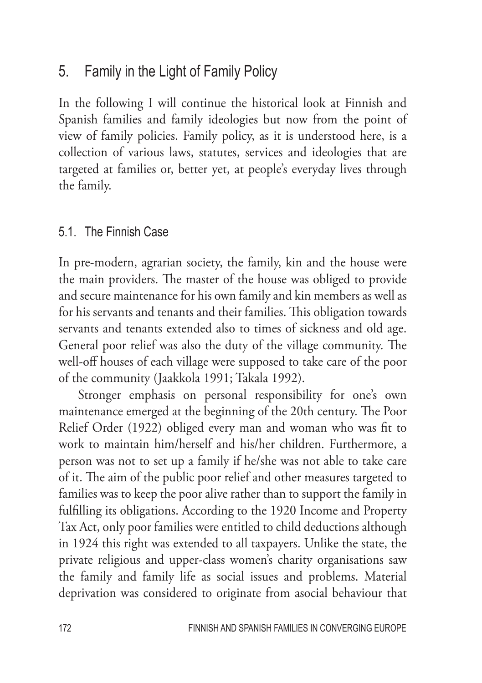# 5. Family in the Light of Family Policy

In the following I will continue the historical look at Finnish and Spanish families and family ideologies but now from the point of view of family policies. Family policy, as it is understood here, is a collection of various laws, statutes, services and ideologies that are targeted at families or, better yet, at people's everyday lives through the family.

## 5.1. The Finnish Case

In pre-modern, agrarian society, the family, kin and the house were the main providers. The master of the house was obliged to provide and secure maintenance for his own family and kin members as well as for his servants and tenants and their families. This obligation towards servants and tenants extended also to times of sickness and old age. General poor relief was also the duty of the village community. The well-off houses of each village were supposed to take care of the poor of the community (Jaakkola 1991; Takala 1992).

Stronger emphasis on personal responsibility for one's own maintenance emerged at the beginning of the 20th century. The Poor Relief Order (1922) obliged every man and woman who was fit to work to maintain him/herself and his/her children. Furthermore, a person was not to set up a family if he/she was not able to take care of it. The aim of the public poor relief and other measures targeted to families was to keep the poor alive rather than to support the family in fulfilling its obligations. According to the 1920 Income and Property Tax Act, only poor families were entitled to child deductions although in 1924 this right was extended to all taxpayers. Unlike the state, the private religious and upper-class women's charity organisations saw the family and family life as social issues and problems. Material deprivation was considered to originate from asocial behaviour that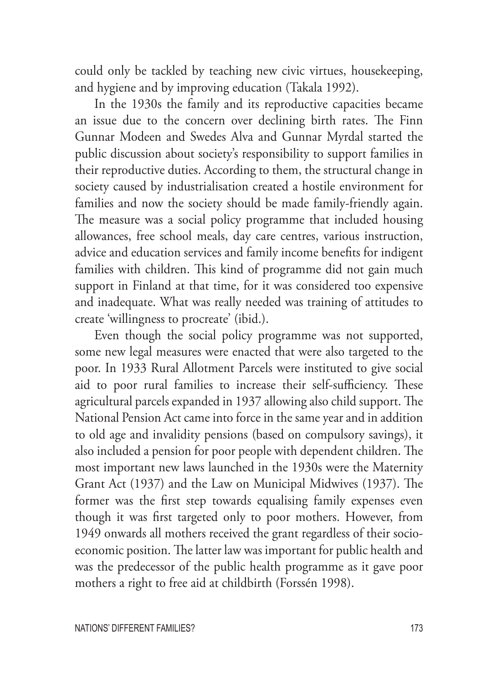could only be tackled by teaching new civic virtues, housekeeping, and hygiene and by improving education (Takala 1992).

In the 1930s the family and its reproductive capacities became an issue due to the concern over declining birth rates. The Finn Gunnar Modeen and Swedes Alva and Gunnar Myrdal started the public discussion about society's responsibility to support families in their reproductive duties. According to them, the structural change in society caused by industrialisation created a hostile environment for families and now the society should be made family-friendly again. The measure was a social policy programme that included housing allowances, free school meals, day care centres, various instruction, advice and education services and family income benefits for indigent families with children. This kind of programme did not gain much support in Finland at that time, for it was considered too expensive and inadequate. What was really needed was training of attitudes to create 'willingness to procreate' (ibid.).

Even though the social policy programme was not supported, some new legal measures were enacted that were also targeted to the poor. In 1933 Rural Allotment Parcels were instituted to give social aid to poor rural families to increase their self-sufficiency. These agricultural parcels expanded in 1937 allowing also child support. The National Pension Act came into force in the same year and in addition to old age and invalidity pensions (based on compulsory savings), it also included a pension for poor people with dependent children. The most important new laws launched in the 1930s were the Maternity Grant Act (1937) and the Law on Municipal Midwives (1937). The former was the first step towards equalising family expenses even though it was first targeted only to poor mothers. However, from 1949 onwards all mothers received the grant regardless of their socioeconomic position. The latter law was important for public health and was the predecessor of the public health programme as it gave poor mothers a right to free aid at childbirth (Forssén 1998).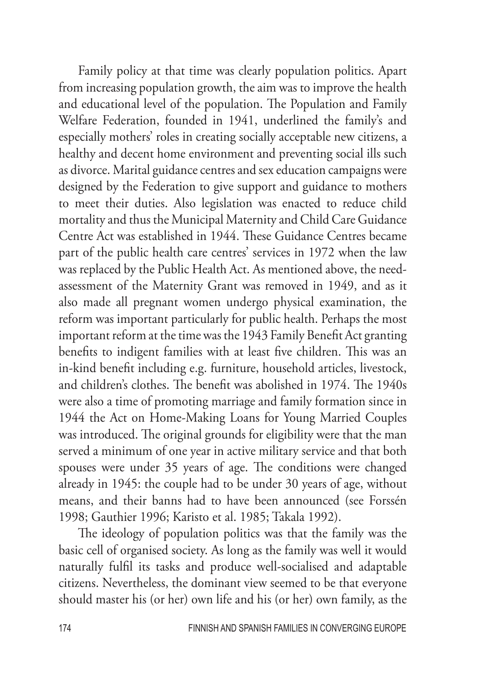Family policy at that time was clearly population politics. Apart from increasing population growth, the aim was to improve the health and educational level of the population. The Population and Family Welfare Federation, founded in 1941, underlined the family's and especially mothers' roles in creating socially acceptable new citizens, a healthy and decent home environment and preventing social ills such as divorce. Marital guidance centres and sex education campaigns were designed by the Federation to give support and guidance to mothers to meet their duties. Also legislation was enacted to reduce child mortality and thus the Municipal Maternity and Child Care Guidance Centre Act was established in 1944. These Guidance Centres became part of the public health care centres' services in 1972 when the law was replaced by the Public Health Act. As mentioned above, the needassessment of the Maternity Grant was removed in 1949, and as it also made all pregnant women undergo physical examination, the reform was important particularly for public health. Perhaps the most important reform at the time was the 1943 Family Benefit Act granting benefits to indigent families with at least five children. This was an in-kind benefit including e.g. furniture, household articles, livestock, and children's clothes. The benefit was abolished in 1974. The 1940s were also a time of promoting marriage and family formation since in 1944 the Act on Home-Making Loans for Young Married Couples was introduced. The original grounds for eligibility were that the man served a minimum of one year in active military service and that both spouses were under 35 years of age. The conditions were changed already in 1945: the couple had to be under 30 years of age, without means, and their banns had to have been announced (see Forssén 1998; Gauthier 1996; Karisto et al. 1985; Takala 1992).

The ideology of population politics was that the family was the basic cell of organised society. As long as the family was well it would naturally fulfil its tasks and produce well-socialised and adaptable citizens. Nevertheless, the dominant view seemed to be that everyone should master his (or her) own life and his (or her) own family, as the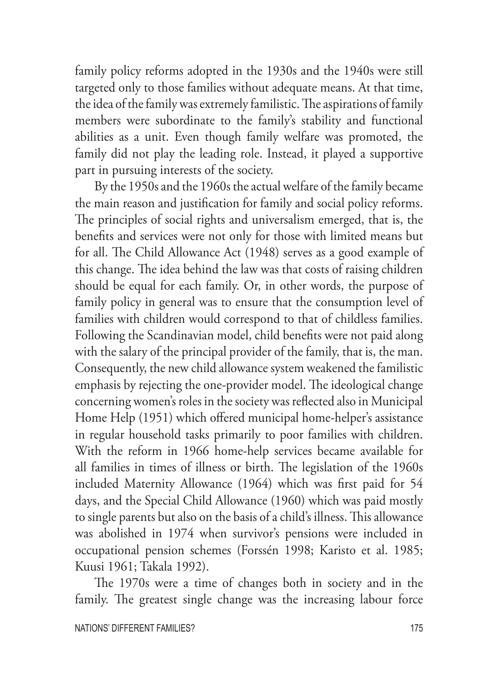family policy reforms adopted in the 1930s and the 1940s were still targeted only to those families without adequate means. At that time, the idea of the family was extremely familistic. The aspirations of family members were subordinate to the family's stability and functional abilities as a unit. Even though family welfare was promoted, the family did not play the leading role. Instead, it played a supportive part in pursuing interests of the society.

By the 1950s and the 1960s the actual welfare of the family became the main reason and justification for family and social policy reforms. The principles of social rights and universalism emerged, that is, the benefits and services were not only for those with limited means but for all. The Child Allowance Act (1948) serves as a good example of this change. The idea behind the law was that costs of raising children should be equal for each family. Or, in other words, the purpose of family policy in general was to ensure that the consumption level of families with children would correspond to that of childless families. Following the Scandinavian model, child benefits were not paid along with the salary of the principal provider of the family, that is, the man. Consequently, the new child allowance system weakened the familistic emphasis by rejecting the one-provider model. The ideological change concerning women's roles in the society was reflected also in Municipal Home Help (1951) which offered municipal home-helper's assistance in regular household tasks primarily to poor families with children. With the reform in 1966 home-help services became available for all families in times of illness or birth. The legislation of the 1960s included Maternity Allowance (1964) which was first paid for 54 days, and the Special Child Allowance (1960) which was paid mostly to single parents but also on the basis of a child's illness. This allowance was abolished in 1974 when survivor's pensions were included in occupational pension schemes (Forssén 1998; Karisto et al. 1985; Kuusi 1961; Takala 1992).

The 1970s were a time of changes both in society and in the family. The greatest single change was the increasing labour force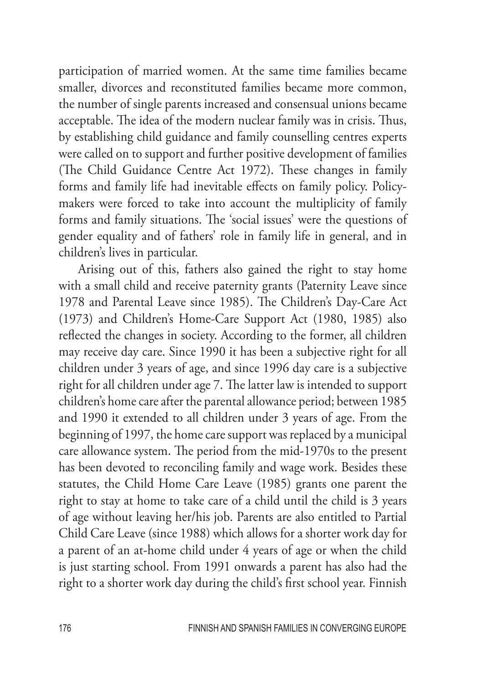participation of married women. At the same time families became smaller, divorces and reconstituted families became more common, the number of single parents increased and consensual unions became acceptable. The idea of the modern nuclear family was in crisis. Thus, by establishing child guidance and family counselling centres experts were called on to support and further positive development of families (The Child Guidance Centre Act 1972). These changes in family forms and family life had inevitable effects on family policy. Policymakers were forced to take into account the multiplicity of family forms and family situations. The 'social issues' were the questions of gender equality and of fathers' role in family life in general, and in children's lives in particular.

Arising out of this, fathers also gained the right to stay home with a small child and receive paternity grants (Paternity Leave since 1978 and Parental Leave since 1985). The Children's Day-Care Act (1973) and Children's Home-Care Support Act (1980, 1985) also reflected the changes in society. According to the former, all children may receive day care. Since 1990 it has been a subjective right for all children under 3 years of age, and since 1996 day care is a subjective right for all children under age 7. The latter law is intended to support children's home care after the parental allowance period; between 1985 and 1990 it extended to all children under 3 years of age. From the beginning of 1997, the home care support was replaced by a municipal care allowance system. The period from the mid-1970s to the present has been devoted to reconciling family and wage work. Besides these statutes, the Child Home Care Leave (1985) grants one parent the right to stay at home to take care of a child until the child is 3 years of age without leaving her/his job. Parents are also entitled to Partial Child Care Leave (since 1988) which allows for a shorter work day for a parent of an at-home child under 4 years of age or when the child is just starting school. From 1991 onwards a parent has also had the right to a shorter work day during the child's first school year. Finnish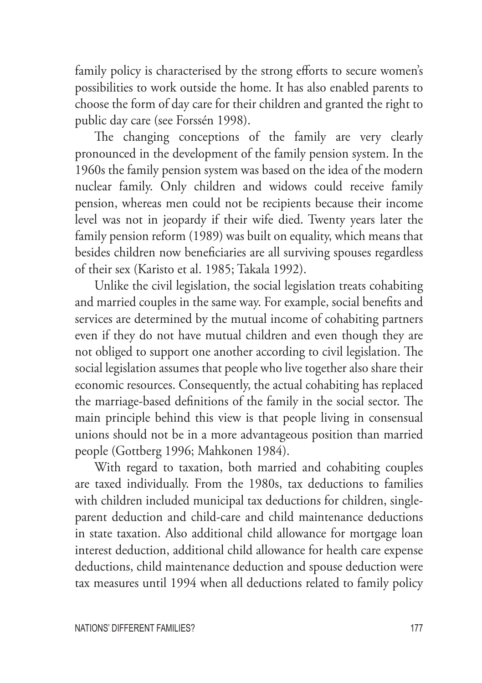family policy is characterised by the strong efforts to secure women's possibilities to work outside the home. It has also enabled parents to choose the form of day care for their children and granted the right to public day care (see Forssén 1998).

The changing conceptions of the family are very clearly pronounced in the development of the family pension system. In the 1960s the family pension system was based on the idea of the modern nuclear family. Only children and widows could receive family pension, whereas men could not be recipients because their income level was not in jeopardy if their wife died. Twenty years later the family pension reform (1989) was built on equality, which means that besides children now beneficiaries are all surviving spouses regardless of their sex (Karisto et al. 1985; Takala 1992).

Unlike the civil legislation, the social legislation treats cohabiting and married couples in the same way. For example, social benefits and services are determined by the mutual income of cohabiting partners even if they do not have mutual children and even though they are not obliged to support one another according to civil legislation. The social legislation assumes that people who live together also share their economic resources. Consequently, the actual cohabiting has replaced the marriage-based definitions of the family in the social sector. The main principle behind this view is that people living in consensual unions should not be in a more advantageous position than married people (Gottberg 1996; Mahkonen 1984).

With regard to taxation, both married and cohabiting couples are taxed individually. From the 1980s, tax deductions to families with children included municipal tax deductions for children, singleparent deduction and child-care and child maintenance deductions in state taxation. Also additional child allowance for mortgage loan interest deduction, additional child allowance for health care expense deductions, child maintenance deduction and spouse deduction were tax measures until 1994 when all deductions related to family policy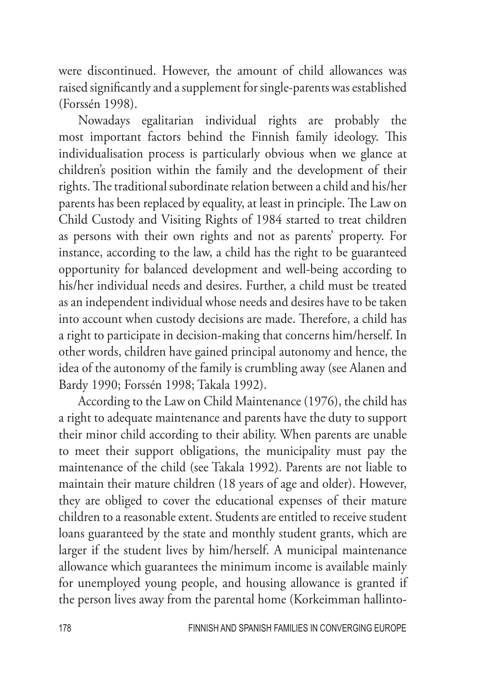were discontinued. However, the amount of child allowances was raised significantly and a supplement for single-parents was established (Forssén 1998).

Nowadays egalitarian individual rights are probably the most important factors behind the Finnish family ideology. This individualisation process is particularly obvious when we glance at children's position within the family and the development of their rights. The traditional subordinate relation between a child and his/her parents has been replaced by equality, at least in principle. The Law on Child Custody and Visiting Rights of 1984 started to treat children as persons with their own rights and not as parents' property. For instance, according to the law, a child has the right to be guaranteed opportunity for balanced development and well-being according to his/her individual needs and desires. Further, a child must be treated as an independent individual whose needs and desires have to be taken into account when custody decisions are made. Therefore, a child has a right to participate in decision-making that concerns him/herself. In other words, children have gained principal autonomy and hence, the idea of the autonomy of the family is crumbling away (see Alanen and Bardy 1990; Forssén 1998; Takala 1992).

According to the Law on Child Maintenance (1976), the child has a right to adequate maintenance and parents have the duty to support their minor child according to their ability. When parents are unable to meet their support obligations, the municipality must pay the maintenance of the child (see Takala 1992). Parents are not liable to maintain their mature children (18 years of age and older). However, they are obliged to cover the educational expenses of their mature children to a reasonable extent. Students are entitled to receive student loans guaranteed by the state and monthly student grants, which are larger if the student lives by him/herself. A municipal maintenance allowance which guarantees the minimum income is available mainly for unemployed young people, and housing allowance is granted if the person lives away from the parental home (Korkeimman hallinto-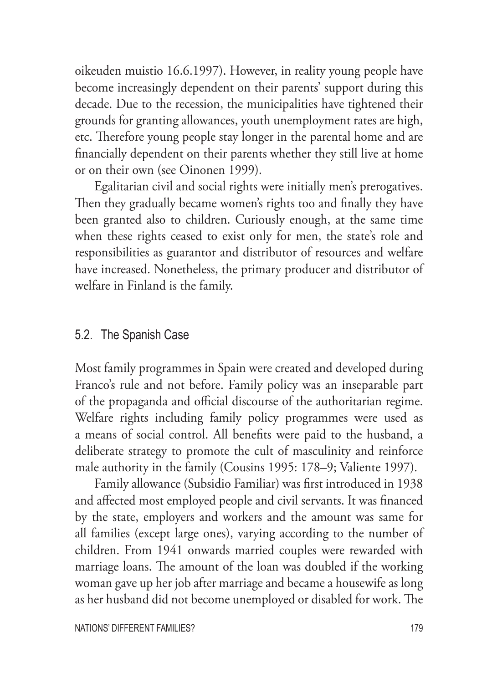oikeuden muistio 16.6.1997). However, in reality young people have become increasingly dependent on their parents' support during this decade. Due to the recession, the municipalities have tightened their grounds for granting allowances, youth unemployment rates are high, etc. Therefore young people stay longer in the parental home and are financially dependent on their parents whether they still live at home or on their own (see Oinonen 1999).

Egalitarian civil and social rights were initially men's prerogatives. Then they gradually became women's rights too and finally they have been granted also to children. Curiously enough, at the same time when these rights ceased to exist only for men, the state's role and responsibilities as guarantor and distributor of resources and welfare have increased. Nonetheless, the primary producer and distributor of welfare in Finland is the family.

#### 5.2. The Spanish Case

Most family programmes in Spain were created and developed during Franco's rule and not before. Family policy was an inseparable part of the propaganda and official discourse of the authoritarian regime. Welfare rights including family policy programmes were used as a means of social control. All benefits were paid to the husband, a deliberate strategy to promote the cult of masculinity and reinforce male authority in the family (Cousins 1995: 178–9; Valiente 1997).

Family allowance (Subsidio Familiar) was first introduced in 1938 and affected most employed people and civil servants. It was financed by the state, employers and workers and the amount was same for all families (except large ones), varying according to the number of children. From 1941 onwards married couples were rewarded with marriage loans. The amount of the loan was doubled if the working woman gave up her job after marriage and became a housewife as long as her husband did not become unemployed or disabled for work. The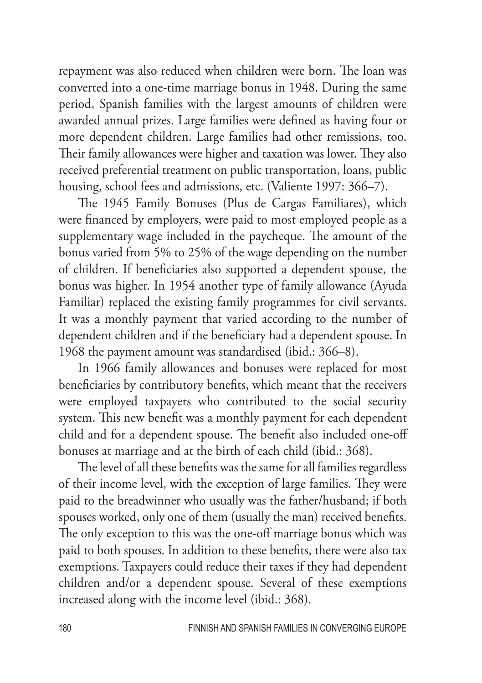repayment was also reduced when children were born. The loan was converted into a one-time marriage bonus in 1948. During the same period, Spanish families with the largest amounts of children were awarded annual prizes. Large families were defined as having four or more dependent children. Large families had other remissions, too. Their family allowances were higher and taxation was lower. They also received preferential treatment on public transportation, loans, public housing, school fees and admissions, etc. (Valiente 1997: 366–7).

The 1945 Family Bonuses (Plus de Cargas Familiares), which were financed by employers, were paid to most employed people as a supplementary wage included in the paycheque. The amount of the bonus varied from 5% to 25% of the wage depending on the number of children. If beneficiaries also supported a dependent spouse, the bonus was higher. In 1954 another type of family allowance (Ayuda Familiar) replaced the existing family programmes for civil servants. It was a monthly payment that varied according to the number of dependent children and if the beneficiary had a dependent spouse. In 1968 the payment amount was standardised (ibid.: 366–8).

In 1966 family allowances and bonuses were replaced for most beneficiaries by contributory benefits, which meant that the receivers were employed taxpayers who contributed to the social security system. This new benefit was a monthly payment for each dependent child and for a dependent spouse. The benefit also included one-off bonuses at marriage and at the birth of each child (ibid.: 368).

The level of all these benefits was the same for all families regardless of their income level, with the exception of large families. They were paid to the breadwinner who usually was the father/husband; if both spouses worked, only one of them (usually the man) received benefits. The only exception to this was the one-off marriage bonus which was paid to both spouses. In addition to these benefits, there were also tax exemptions. Taxpayers could reduce their taxes if they had dependent children and/or a dependent spouse. Several of these exemptions increased along with the income level (ibid.: 368).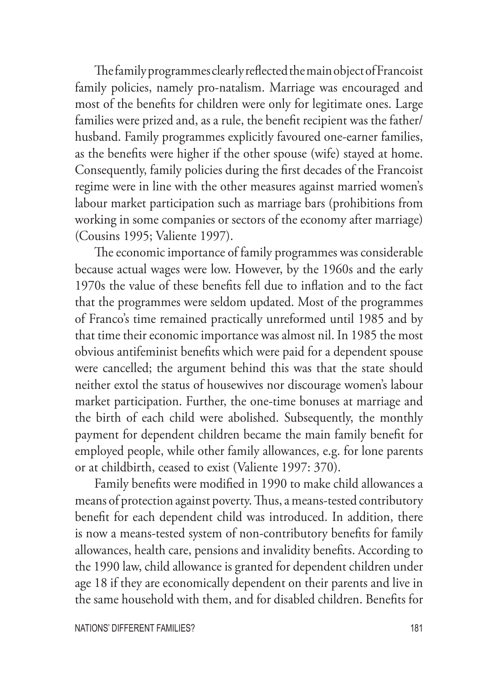The family programmes clearly reflected the main object of Francoist family policies, namely pro-natalism. Marriage was encouraged and most of the benefits for children were only for legitimate ones. Large families were prized and, as a rule, the benefit recipient was the father/ husband. Family programmes explicitly favoured one-earner families, as the benefits were higher if the other spouse (wife) stayed at home. Consequently, family policies during the first decades of the Francoist regime were in line with the other measures against married women's labour market participation such as marriage bars (prohibitions from working in some companies or sectors of the economy after marriage) (Cousins 1995; Valiente 1997).

The economic importance of family programmes was considerable because actual wages were low. However, by the 1960s and the early 1970s the value of these benefits fell due to inflation and to the fact that the programmes were seldom updated. Most of the programmes of Franco's time remained practically unreformed until 1985 and by that time their economic importance was almost nil. In 1985 the most obvious antifeminist benefits which were paid for a dependent spouse were cancelled; the argument behind this was that the state should neither extol the status of housewives nor discourage women's labour market participation. Further, the one-time bonuses at marriage and the birth of each child were abolished. Subsequently, the monthly payment for dependent children became the main family benefit for employed people, while other family allowances, e.g. for lone parents or at childbirth, ceased to exist (Valiente 1997: 370).

Family benefits were modified in 1990 to make child allowances a means of protection against poverty. Thus, a means-tested contributory benefit for each dependent child was introduced. In addition, there is now a means-tested system of non-contributory benefits for family allowances, health care, pensions and invalidity benefits. According to the 1990 law, child allowance is granted for dependent children under age 18 if they are economically dependent on their parents and live in the same household with them, and for disabled children. Benefits for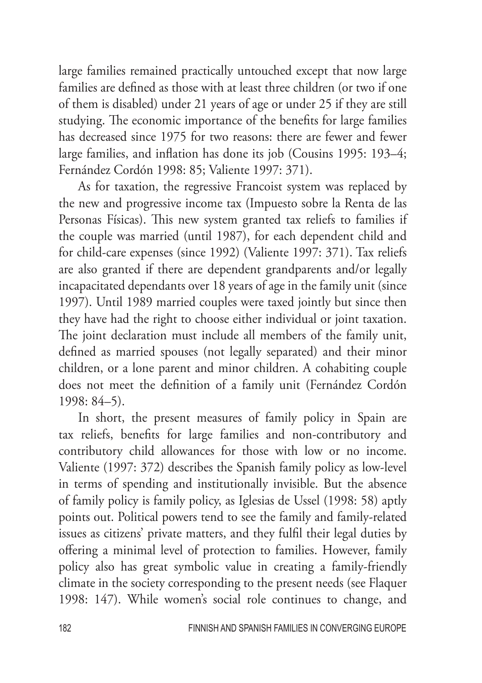large families remained practically untouched except that now large families are defined as those with at least three children (or two if one of them is disabled) under 21 years of age or under 25 if they are still studying. The economic importance of the benefits for large families has decreased since 1975 for two reasons: there are fewer and fewer large families, and inflation has done its job (Cousins 1995: 193–4; Fernández Cordón 1998: 85; Valiente 1997: 371).

As for taxation, the regressive Francoist system was replaced by the new and progressive income tax (Impuesto sobre la Renta de las Personas Físicas). This new system granted tax reliefs to families if the couple was married (until 1987), for each dependent child and for child-care expenses (since 1992) (Valiente 1997: 371). Tax reliefs are also granted if there are dependent grandparents and/or legally incapacitated dependants over 18 years of age in the family unit (since 1997). Until 1989 married couples were taxed jointly but since then they have had the right to choose either individual or joint taxation. The joint declaration must include all members of the family unit, defined as married spouses (not legally separated) and their minor children, or a lone parent and minor children. A cohabiting couple does not meet the definition of a family unit (Fernández Cordón 1998: 84–5).

In short, the present measures of family policy in Spain are tax reliefs, benefits for large families and non-contributory and contributory child allowances for those with low or no income. Valiente (1997: 372) describes the Spanish family policy as low-level in terms of spending and institutionally invisible. But the absence of family policy is family policy, as Iglesias de Ussel (1998: 58) aptly points out. Political powers tend to see the family and family-related issues as citizens' private matters, and they fulfil their legal duties by offering a minimal level of protection to families. However, family policy also has great symbolic value in creating a family-friendly climate in the society corresponding to the present needs (see Flaquer 1998: 147). While women's social role continues to change, and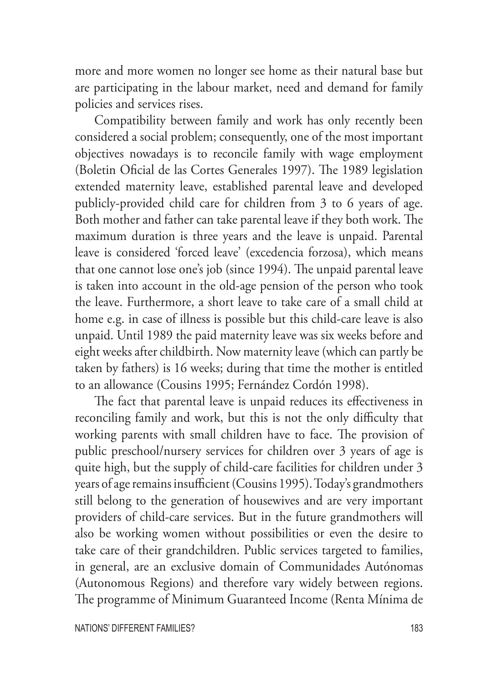more and more women no longer see home as their natural base but are participating in the labour market, need and demand for family policies and services rises.

Compatibility between family and work has only recently been considered a social problem; consequently, one of the most important objectives nowadays is to reconcile family with wage employment (Boletin Oficial de las Cortes Generales 1997). The 1989 legislation extended maternity leave, established parental leave and developed publicly-provided child care for children from 3 to 6 years of age. Both mother and father can take parental leave if they both work. The maximum duration is three years and the leave is unpaid. Parental leave is considered 'forced leave' (excedencia forzosa), which means that one cannot lose one's job (since 1994). The unpaid parental leave is taken into account in the old-age pension of the person who took the leave. Furthermore, a short leave to take care of a small child at home e.g. in case of illness is possible but this child-care leave is also unpaid. Until 1989 the paid maternity leave was six weeks before and eight weeks after childbirth. Now maternity leave (which can partly be taken by fathers) is 16 weeks; during that time the mother is entitled to an allowance (Cousins 1995; Fernández Cordón 1998).

The fact that parental leave is unpaid reduces its effectiveness in reconciling family and work, but this is not the only difficulty that working parents with small children have to face. The provision of public preschool/nursery services for children over 3 years of age is quite high, but the supply of child-care facilities for children under 3 years of age remains insufficient (Cousins 1995). Today's grandmothers still belong to the generation of housewives and are very important providers of child-care services. But in the future grandmothers will also be working women without possibilities or even the desire to take care of their grandchildren. Public services targeted to families, in general, are an exclusive domain of Communidades Autónomas (Autonomous Regions) and therefore vary widely between regions. The programme of Minimum Guaranteed Income (Renta Mínima de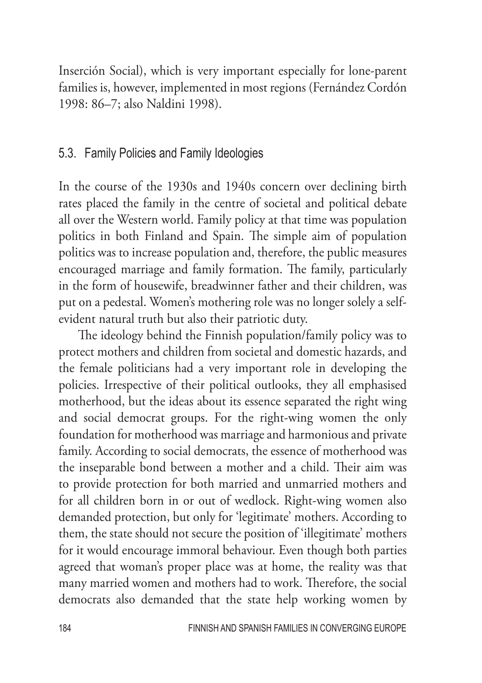Inserción Social), which is very important especially for lone-parent families is, however, implemented in most regions (Fernández Cordón 1998: 86–7; also Naldini 1998).

#### 5.3. Family Policies and Family Ideologies

In the course of the 1930s and 1940s concern over declining birth rates placed the family in the centre of societal and political debate all over the Western world. Family policy at that time was population politics in both Finland and Spain. The simple aim of population politics was to increase population and, therefore, the public measures encouraged marriage and family formation. The family, particularly in the form of housewife, breadwinner father and their children, was put on a pedestal. Women's mothering role was no longer solely a selfevident natural truth but also their patriotic duty.

The ideology behind the Finnish population/family policy was to protect mothers and children from societal and domestic hazards, and the female politicians had a very important role in developing the policies. Irrespective of their political outlooks, they all emphasised motherhood, but the ideas about its essence separated the right wing and social democrat groups. For the right-wing women the only foundation for motherhood was marriage and harmonious and private family. According to social democrats, the essence of motherhood was the inseparable bond between a mother and a child. Their aim was to provide protection for both married and unmarried mothers and for all children born in or out of wedlock. Right-wing women also demanded protection, but only for 'legitimate' mothers. According to them, the state should not secure the position of 'illegitimate' mothers for it would encourage immoral behaviour. Even though both parties agreed that woman's proper place was at home, the reality was that many married women and mothers had to work. Therefore, the social democrats also demanded that the state help working women by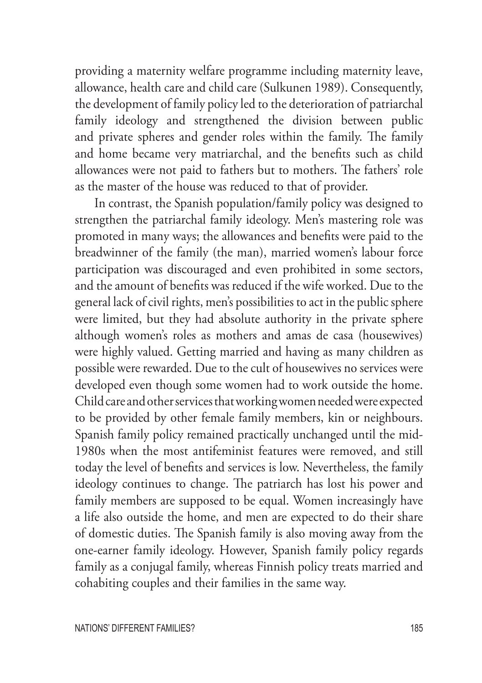providing a maternity welfare programme including maternity leave, allowance, health care and child care (Sulkunen 1989). Consequently, the development of family policy led to the deterioration of patriarchal family ideology and strengthened the division between public and private spheres and gender roles within the family. The family and home became very matriarchal, and the benefits such as child allowances were not paid to fathers but to mothers. The fathers' role as the master of the house was reduced to that of provider.

In contrast, the Spanish population/family policy was designed to strengthen the patriarchal family ideology. Men's mastering role was promoted in many ways; the allowances and benefits were paid to the breadwinner of the family (the man), married women's labour force participation was discouraged and even prohibited in some sectors, and the amount of benefits was reduced if the wife worked. Due to the general lack of civil rights, men's possibilities to act in the public sphere were limited, but they had absolute authority in the private sphere although women's roles as mothers and amas de casa (housewives) were highly valued. Getting married and having as many children as possible were rewarded. Due to the cult of housewives no services were developed even though some women had to work outside the home. Child care and other services that working women needed were expected to be provided by other female family members, kin or neighbours. Spanish family policy remained practically unchanged until the mid-1980s when the most antifeminist features were removed, and still today the level of benefits and services is low. Nevertheless, the family ideology continues to change. The patriarch has lost his power and family members are supposed to be equal. Women increasingly have a life also outside the home, and men are expected to do their share of domestic duties. The Spanish family is also moving away from the one-earner family ideology. However, Spanish family policy regards family as a conjugal family, whereas Finnish policy treats married and cohabiting couples and their families in the same way.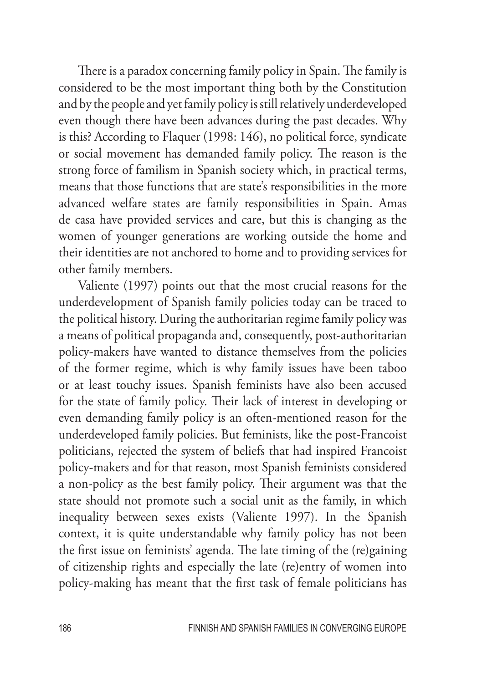There is a paradox concerning family policy in Spain. The family is considered to be the most important thing both by the Constitution and by the people and yet family policy is still relatively underdeveloped even though there have been advances during the past decades. Why is this? According to Flaquer (1998: 146), no political force, syndicate or social movement has demanded family policy. The reason is the strong force of familism in Spanish society which, in practical terms, means that those functions that are state's responsibilities in the more advanced welfare states are family responsibilities in Spain. Amas de casa have provided services and care, but this is changing as the women of younger generations are working outside the home and their identities are not anchored to home and to providing services for other family members.

Valiente (1997) points out that the most crucial reasons for the underdevelopment of Spanish family policies today can be traced to the political history. During the authoritarian regime family policy was a means of political propaganda and, consequently, post-authoritarian policy-makers have wanted to distance themselves from the policies of the former regime, which is why family issues have been taboo or at least touchy issues. Spanish feminists have also been accused for the state of family policy. Their lack of interest in developing or even demanding family policy is an often-mentioned reason for the underdeveloped family policies. But feminists, like the post-Francoist politicians, rejected the system of beliefs that had inspired Francoist policy-makers and for that reason, most Spanish feminists considered a non-policy as the best family policy. Their argument was that the state should not promote such a social unit as the family, in which inequality between sexes exists (Valiente 1997). In the Spanish context, it is quite understandable why family policy has not been the first issue on feminists' agenda. The late timing of the (re)gaining of citizenship rights and especially the late (re)entry of women into policy-making has meant that the first task of female politicians has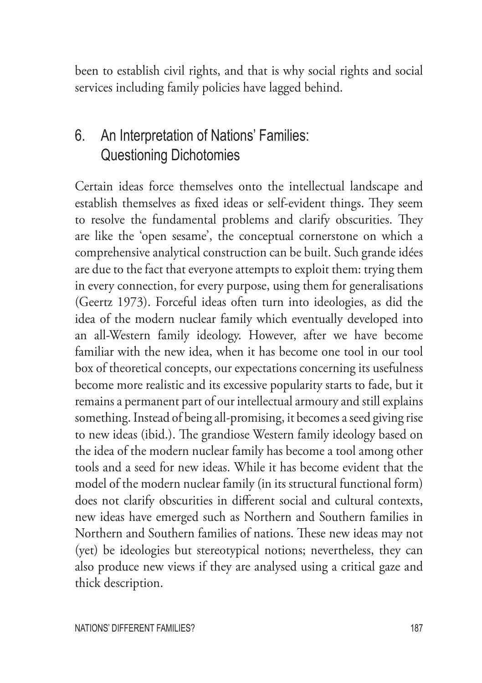been to establish civil rights, and that is why social rights and social services including family policies have lagged behind.

# 6. An Interpretation of Nations' Families: Questioning Dichotomies

Certain ideas force themselves onto the intellectual landscape and establish themselves as fixed ideas or self-evident things. They seem to resolve the fundamental problems and clarify obscurities. They are like the 'open sesame', the conceptual cornerstone on which a comprehensive analytical construction can be built. Such grande idées are due to the fact that everyone attempts to exploit them: trying them in every connection, for every purpose, using them for generalisations (Geertz 1973). Forceful ideas often turn into ideologies, as did the idea of the modern nuclear family which eventually developed into an all-Western family ideology. However, after we have become familiar with the new idea, when it has become one tool in our tool box of theoretical concepts, our expectations concerning its usefulness become more realistic and its excessive popularity starts to fade, but it remains a permanent part of our intellectual armoury and still explains something. Instead of being all-promising, it becomes a seed giving rise to new ideas (ibid.). The grandiose Western family ideology based on the idea of the modern nuclear family has become a tool among other tools and a seed for new ideas. While it has become evident that the model of the modern nuclear family (in its structural functional form) does not clarify obscurities in different social and cultural contexts, new ideas have emerged such as Northern and Southern families in Northern and Southern families of nations. These new ideas may not (yet) be ideologies but stereotypical notions; nevertheless, they can also produce new views if they are analysed using a critical gaze and thick description.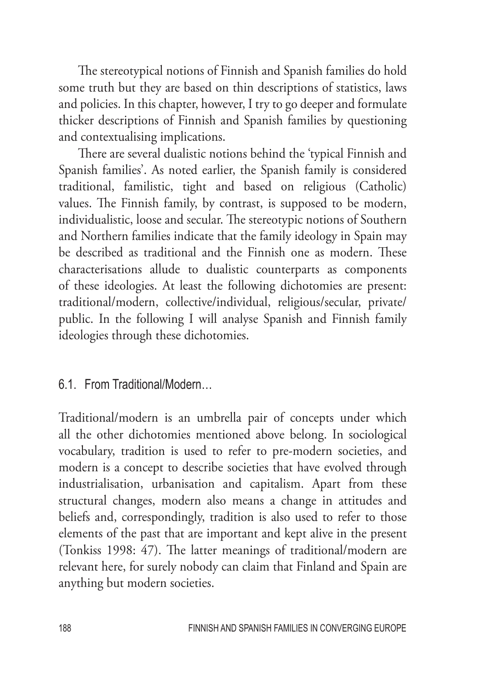The stereotypical notions of Finnish and Spanish families do hold some truth but they are based on thin descriptions of statistics, laws and policies. In this chapter, however, I try to go deeper and formulate thicker descriptions of Finnish and Spanish families by questioning and contextualising implications.

There are several dualistic notions behind the 'typical Finnish and Spanish families'. As noted earlier, the Spanish family is considered traditional, familistic, tight and based on religious (Catholic) values. The Finnish family, by contrast, is supposed to be modern, individualistic, loose and secular. The stereotypic notions of Southern and Northern families indicate that the family ideology in Spain may be described as traditional and the Finnish one as modern. These characterisations allude to dualistic counterparts as components of these ideologies. At least the following dichotomies are present: traditional/modern, collective/individual, religious/secular, private/ public. In the following I will analyse Spanish and Finnish family ideologies through these dichotomies.

#### 6.1. From Traditional/Modern…

Traditional/modern is an umbrella pair of concepts under which all the other dichotomies mentioned above belong. In sociological vocabulary, tradition is used to refer to pre-modern societies, and modern is a concept to describe societies that have evolved through industrialisation, urbanisation and capitalism. Apart from these structural changes, modern also means a change in attitudes and beliefs and, correspondingly, tradition is also used to refer to those elements of the past that are important and kept alive in the present (Tonkiss 1998: 47). The latter meanings of traditional/modern are relevant here, for surely nobody can claim that Finland and Spain are anything but modern societies.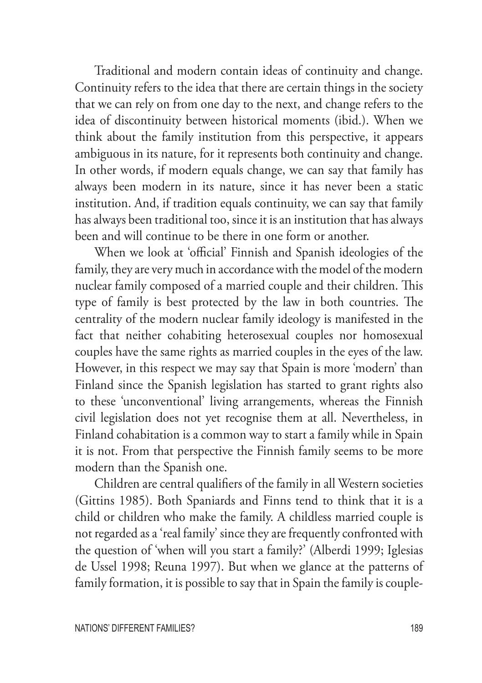Traditional and modern contain ideas of continuity and change. Continuity refers to the idea that there are certain things in the society that we can rely on from one day to the next, and change refers to the idea of discontinuity between historical moments (ibid.). When we think about the family institution from this perspective, it appears ambiguous in its nature, for it represents both continuity and change. In other words, if modern equals change, we can say that family has always been modern in its nature, since it has never been a static institution. And, if tradition equals continuity, we can say that family has always been traditional too, since it is an institution that has always been and will continue to be there in one form or another.

When we look at 'official' Finnish and Spanish ideologies of the family, they are very much in accordance with the model of the modern nuclear family composed of a married couple and their children. This type of family is best protected by the law in both countries. The centrality of the modern nuclear family ideology is manifested in the fact that neither cohabiting heterosexual couples nor homosexual couples have the same rights as married couples in the eyes of the law. However, in this respect we may say that Spain is more 'modern' than Finland since the Spanish legislation has started to grant rights also to these 'unconventional' living arrangements, whereas the Finnish civil legislation does not yet recognise them at all. Nevertheless, in Finland cohabitation is a common way to start a family while in Spain it is not. From that perspective the Finnish family seems to be more modern than the Spanish one.

Children are central qualifiers of the family in all Western societies (Gittins 1985). Both Spaniards and Finns tend to think that it is a child or children who make the family. A childless married couple is not regarded as a 'real family' since they are frequently confronted with the question of 'when will you start a family?' (Alberdi 1999; Iglesias de Ussel 1998; Reuna 1997). But when we glance at the patterns of family formation, it is possible to say that in Spain the family is couple-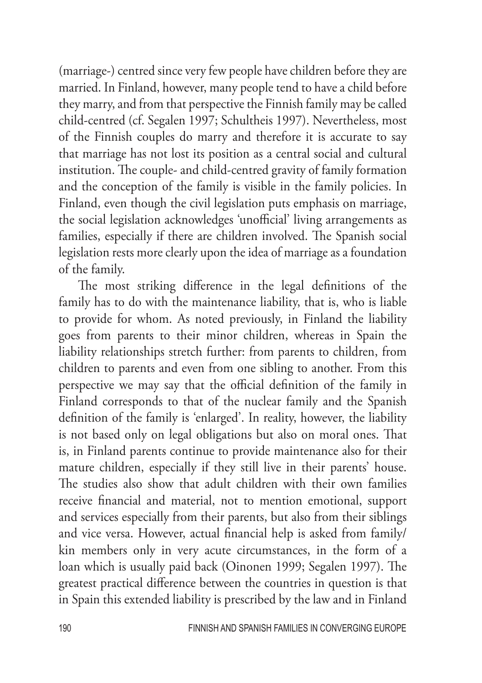(marriage-) centred since very few people have children before they are married. In Finland, however, many people tend to have a child before they marry, and from that perspective the Finnish family may be called child-centred (cf. Segalen 1997; Schultheis 1997). Nevertheless, most of the Finnish couples do marry and therefore it is accurate to say that marriage has not lost its position as a central social and cultural institution. The couple- and child-centred gravity of family formation and the conception of the family is visible in the family policies. In Finland, even though the civil legislation puts emphasis on marriage, the social legislation acknowledges 'unofficial' living arrangements as families, especially if there are children involved. The Spanish social legislation rests more clearly upon the idea of marriage as a foundation of the family.

The most striking difference in the legal definitions of the family has to do with the maintenance liability, that is, who is liable to provide for whom. As noted previously, in Finland the liability goes from parents to their minor children, whereas in Spain the liability relationships stretch further: from parents to children, from children to parents and even from one sibling to another. From this perspective we may say that the official definition of the family in Finland corresponds to that of the nuclear family and the Spanish definition of the family is 'enlarged'. In reality, however, the liability is not based only on legal obligations but also on moral ones. That is, in Finland parents continue to provide maintenance also for their mature children, especially if they still live in their parents' house. The studies also show that adult children with their own families receive financial and material, not to mention emotional, support and services especially from their parents, but also from their siblings and vice versa. However, actual financial help is asked from family/ kin members only in very acute circumstances, in the form of a loan which is usually paid back (Oinonen 1999; Segalen 1997). The greatest practical difference between the countries in question is that in Spain this extended liability is prescribed by the law and in Finland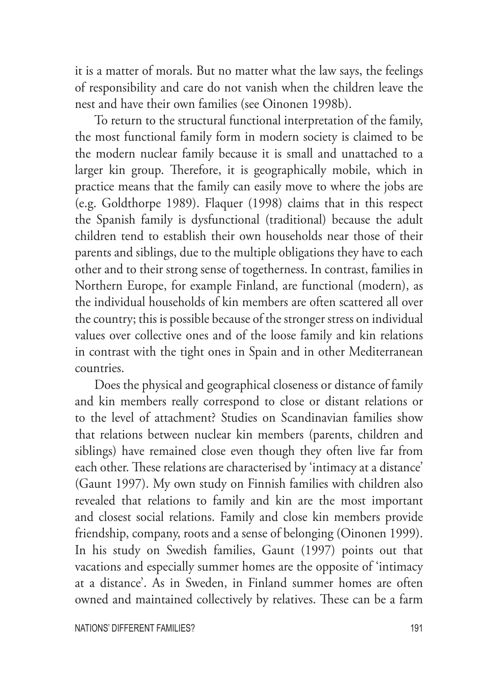it is a matter of morals. But no matter what the law says, the feelings of responsibility and care do not vanish when the children leave the nest and have their own families (see Oinonen 1998b).

To return to the structural functional interpretation of the family, the most functional family form in modern society is claimed to be the modern nuclear family because it is small and unattached to a larger kin group. Therefore, it is geographically mobile, which in practice means that the family can easily move to where the jobs are (e.g. Goldthorpe 1989). Flaquer (1998) claims that in this respect the Spanish family is dysfunctional (traditional) because the adult children tend to establish their own households near those of their parents and siblings, due to the multiple obligations they have to each other and to their strong sense of togetherness. In contrast, families in Northern Europe, for example Finland, are functional (modern), as the individual households of kin members are often scattered all over the country; this is possible because of the stronger stress on individual values over collective ones and of the loose family and kin relations in contrast with the tight ones in Spain and in other Mediterranean countries.

Does the physical and geographical closeness or distance of family and kin members really correspond to close or distant relations or to the level of attachment? Studies on Scandinavian families show that relations between nuclear kin members (parents, children and siblings) have remained close even though they often live far from each other. These relations are characterised by 'intimacy at a distance' (Gaunt 1997). My own study on Finnish families with children also revealed that relations to family and kin are the most important and closest social relations. Family and close kin members provide friendship, company, roots and a sense of belonging (Oinonen 1999). In his study on Swedish families, Gaunt (1997) points out that vacations and especially summer homes are the opposite of 'intimacy at a distance'. As in Sweden, in Finland summer homes are often owned and maintained collectively by relatives. These can be a farm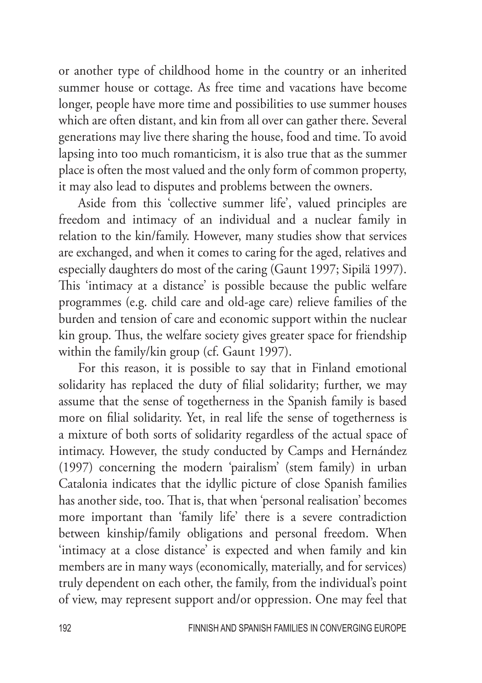or another type of childhood home in the country or an inherited summer house or cottage. As free time and vacations have become longer, people have more time and possibilities to use summer houses which are often distant, and kin from all over can gather there. Several generations may live there sharing the house, food and time. To avoid lapsing into too much romanticism, it is also true that as the summer place is often the most valued and the only form of common property, it may also lead to disputes and problems between the owners.

Aside from this 'collective summer life', valued principles are freedom and intimacy of an individual and a nuclear family in relation to the kin/family. However, many studies show that services are exchanged, and when it comes to caring for the aged, relatives and especially daughters do most of the caring (Gaunt 1997; Sipilä 1997). This 'intimacy at a distance' is possible because the public welfare programmes (e.g. child care and old-age care) relieve families of the burden and tension of care and economic support within the nuclear kin group. Thus, the welfare society gives greater space for friendship within the family/kin group (cf. Gaunt 1997).

For this reason, it is possible to say that in Finland emotional solidarity has replaced the duty of filial solidarity; further, we may assume that the sense of togetherness in the Spanish family is based more on filial solidarity. Yet, in real life the sense of togetherness is a mixture of both sorts of solidarity regardless of the actual space of intimacy. However, the study conducted by Camps and Hernández (1997) concerning the modern 'pairalism' (stem family) in urban Catalonia indicates that the idyllic picture of close Spanish families has another side, too. That is, that when 'personal realisation' becomes more important than 'family life' there is a severe contradiction between kinship/family obligations and personal freedom. When 'intimacy at a close distance' is expected and when family and kin members are in many ways (economically, materially, and for services) truly dependent on each other, the family, from the individual's point of view, may represent support and/or oppression. One may feel that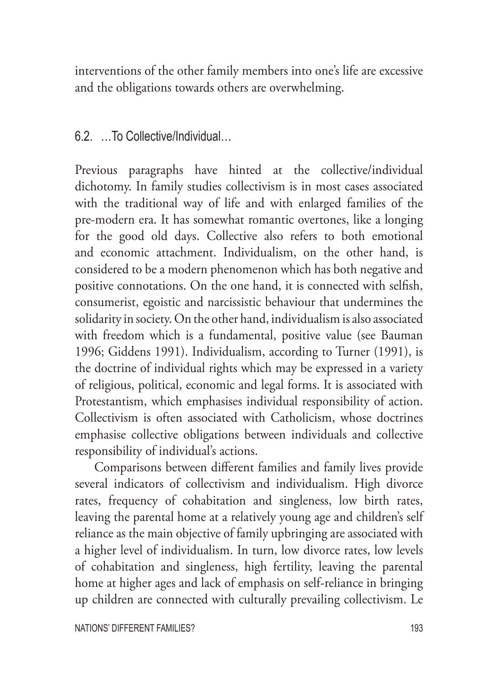interventions of the other family members into one's life are excessive and the obligations towards others are overwhelming.

### 6.2. …To Collective/Individual…

Previous paragraphs have hinted at the collective/individual dichotomy. In family studies collectivism is in most cases associated with the traditional way of life and with enlarged families of the pre-modern era. It has somewhat romantic overtones, like a longing for the good old days. Collective also refers to both emotional and economic attachment. Individualism, on the other hand, is considered to be a modern phenomenon which has both negative and positive connotations. On the one hand, it is connected with selfish, consumerist, egoistic and narcissistic behaviour that undermines the solidarity in society. On the other hand, individualism is also associated with freedom which is a fundamental, positive value (see Bauman 1996; Giddens 1991). Individualism, according to Turner (1991), is the doctrine of individual rights which may be expressed in a variety of religious, political, economic and legal forms. It is associated with Protestantism, which emphasises individual responsibility of action. Collectivism is often associated with Catholicism, whose doctrines emphasise collective obligations between individuals and collective responsibility of individual's actions.

Comparisons between different families and family lives provide several indicators of collectivism and individualism. High divorce rates, frequency of cohabitation and singleness, low birth rates, leaving the parental home at a relatively young age and children's self reliance as the main objective of family upbringing are associated with a higher level of individualism. In turn, low divorce rates, low levels of cohabitation and singleness, high fertility, leaving the parental home at higher ages and lack of emphasis on self-reliance in bringing up children are connected with culturally prevailing collectivism. Le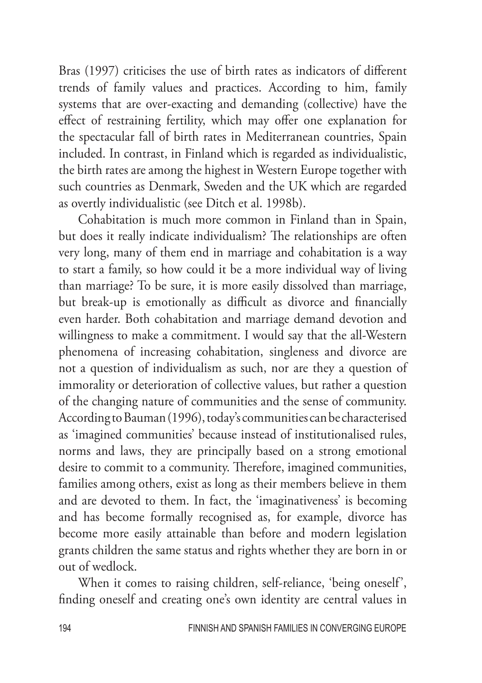Bras (1997) criticises the use of birth rates as indicators of different trends of family values and practices. According to him, family systems that are over-exacting and demanding (collective) have the effect of restraining fertility, which may offer one explanation for the spectacular fall of birth rates in Mediterranean countries, Spain included. In contrast, in Finland which is regarded as individualistic, the birth rates are among the highest in Western Europe together with such countries as Denmark, Sweden and the UK which are regarded as overtly individualistic (see Ditch et al. 1998b).

Cohabitation is much more common in Finland than in Spain, but does it really indicate individualism? The relationships are often very long, many of them end in marriage and cohabitation is a way to start a family, so how could it be a more individual way of living than marriage? To be sure, it is more easily dissolved than marriage, but break-up is emotionally as difficult as divorce and financially even harder. Both cohabitation and marriage demand devotion and willingness to make a commitment. I would say that the all-Western phenomena of increasing cohabitation, singleness and divorce are not a question of individualism as such, nor are they a question of immorality or deterioration of collective values, but rather a question of the changing nature of communities and the sense of community. According to Bauman (1996), today's communities can be characterised as 'imagined communities' because instead of institutionalised rules, norms and laws, they are principally based on a strong emotional desire to commit to a community. Therefore, imagined communities, families among others, exist as long as their members believe in them and are devoted to them. In fact, the 'imaginativeness' is becoming and has become formally recognised as, for example, divorce has become more easily attainable than before and modern legislation grants children the same status and rights whether they are born in or out of wedlock.

When it comes to raising children, self-reliance, 'being oneself', finding oneself and creating one's own identity are central values in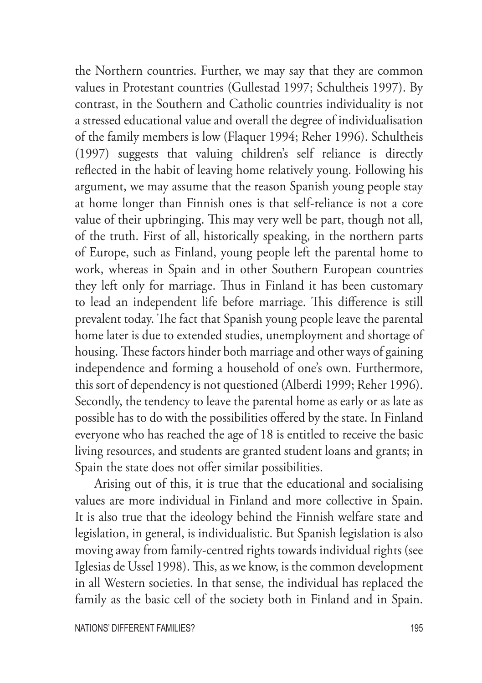the Northern countries. Further, we may say that they are common values in Protestant countries (Gullestad 1997; Schultheis 1997). By contrast, in the Southern and Catholic countries individuality is not a stressed educational value and overall the degree of individualisation of the family members is low (Flaquer 1994; Reher 1996). Schultheis (1997) suggests that valuing children's self reliance is directly reflected in the habit of leaving home relatively young. Following his argument, we may assume that the reason Spanish young people stay at home longer than Finnish ones is that self-reliance is not a core value of their upbringing. This may very well be part, though not all, of the truth. First of all, historically speaking, in the northern parts of Europe, such as Finland, young people left the parental home to work, whereas in Spain and in other Southern European countries they left only for marriage. Thus in Finland it has been customary to lead an independent life before marriage. This difference is still prevalent today. The fact that Spanish young people leave the parental home later is due to extended studies, unemployment and shortage of housing. These factors hinder both marriage and other ways of gaining independence and forming a household of one's own. Furthermore, this sort of dependency is not questioned (Alberdi 1999; Reher 1996). Secondly, the tendency to leave the parental home as early or as late as possible has to do with the possibilities offered by the state. In Finland everyone who has reached the age of 18 is entitled to receive the basic living resources, and students are granted student loans and grants; in Spain the state does not offer similar possibilities.

Arising out of this, it is true that the educational and socialising values are more individual in Finland and more collective in Spain. It is also true that the ideology behind the Finnish welfare state and legislation, in general, is individualistic. But Spanish legislation is also moving away from family-centred rights towards individual rights (see Iglesias de Ussel 1998). This, as we know, is the common development in all Western societies. In that sense, the individual has replaced the family as the basic cell of the society both in Finland and in Spain.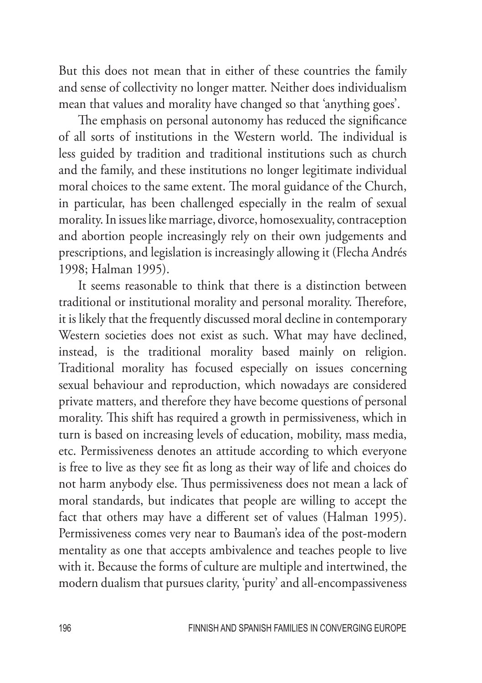But this does not mean that in either of these countries the family and sense of collectivity no longer matter. Neither does individualism mean that values and morality have changed so that 'anything goes'.

The emphasis on personal autonomy has reduced the significance of all sorts of institutions in the Western world. The individual is less guided by tradition and traditional institutions such as church and the family, and these institutions no longer legitimate individual moral choices to the same extent. The moral guidance of the Church, in particular, has been challenged especially in the realm of sexual morality. In issues like marriage, divorce, homosexuality, contraception and abortion people increasingly rely on their own judgements and prescriptions, and legislation is increasingly allowing it (Flecha Andrés 1998; Halman 1995).

It seems reasonable to think that there is a distinction between traditional or institutional morality and personal morality. Therefore, it is likely that the frequently discussed moral decline in contemporary Western societies does not exist as such. What may have declined, instead, is the traditional morality based mainly on religion. Traditional morality has focused especially on issues concerning sexual behaviour and reproduction, which nowadays are considered private matters, and therefore they have become questions of personal morality. This shift has required a growth in permissiveness, which in turn is based on increasing levels of education, mobility, mass media, etc. Permissiveness denotes an attitude according to which everyone is free to live as they see fit as long as their way of life and choices do not harm anybody else. Thus permissiveness does not mean a lack of moral standards, but indicates that people are willing to accept the fact that others may have a different set of values (Halman 1995). Permissiveness comes very near to Bauman's idea of the post-modern mentality as one that accepts ambivalence and teaches people to live with it. Because the forms of culture are multiple and intertwined, the modern dualism that pursues clarity, 'purity' and all-encompassiveness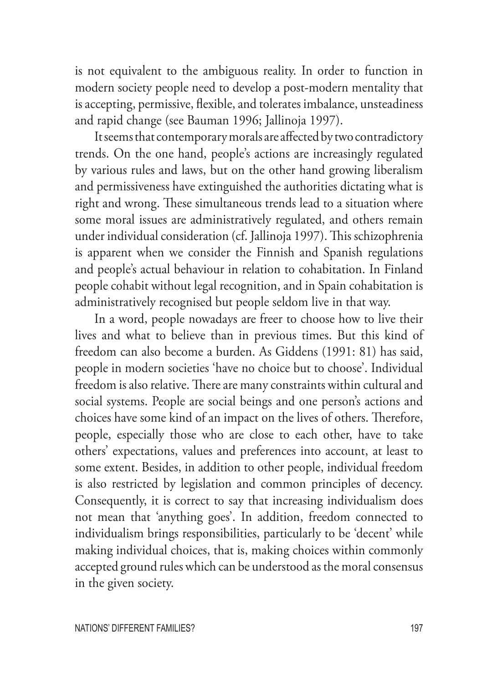is not equivalent to the ambiguous reality. In order to function in modern society people need to develop a post-modern mentality that is accepting, permissive, flexible, and tolerates imbalance, unsteadiness and rapid change (see Bauman 1996; Jallinoja 1997).

It seems that contemporary morals are affected by two contradictory trends. On the one hand, people's actions are increasingly regulated by various rules and laws, but on the other hand growing liberalism and permissiveness have extinguished the authorities dictating what is right and wrong. These simultaneous trends lead to a situation where some moral issues are administratively regulated, and others remain under individual consideration (cf. Jallinoja 1997). This schizophrenia is apparent when we consider the Finnish and Spanish regulations and people's actual behaviour in relation to cohabitation. In Finland people cohabit without legal recognition, and in Spain cohabitation is administratively recognised but people seldom live in that way.

In a word, people nowadays are freer to choose how to live their lives and what to believe than in previous times. But this kind of freedom can also become a burden. As Giddens (1991: 81) has said, people in modern societies 'have no choice but to choose'. Individual freedom is also relative. There are many constraints within cultural and social systems. People are social beings and one person's actions and choices have some kind of an impact on the lives of others. Therefore, people, especially those who are close to each other, have to take others' expectations, values and preferences into account, at least to some extent. Besides, in addition to other people, individual freedom is also restricted by legislation and common principles of decency. Consequently, it is correct to say that increasing individualism does not mean that 'anything goes'. In addition, freedom connected to individualism brings responsibilities, particularly to be 'decent' while making individual choices, that is, making choices within commonly accepted ground rules which can be understood as the moral consensus in the given society.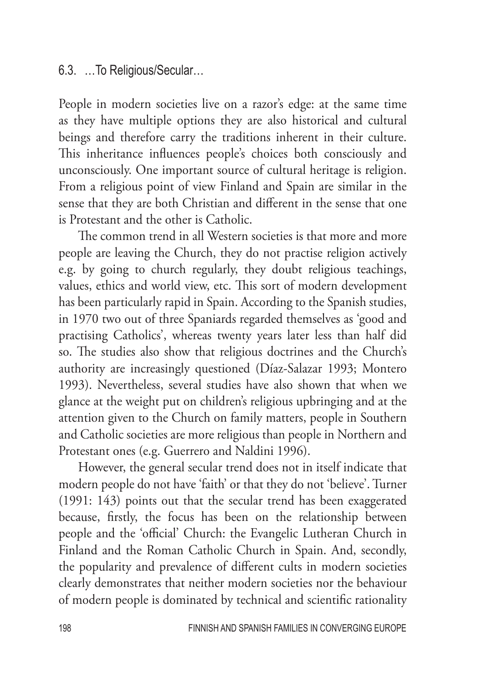#### 6.3. …To Religious/Secular…

People in modern societies live on a razor's edge: at the same time as they have multiple options they are also historical and cultural beings and therefore carry the traditions inherent in their culture. This inheritance influences people's choices both consciously and unconsciously. One important source of cultural heritage is religion. From a religious point of view Finland and Spain are similar in the sense that they are both Christian and different in the sense that one is Protestant and the other is Catholic.

The common trend in all Western societies is that more and more people are leaving the Church, they do not practise religion actively e.g. by going to church regularly, they doubt religious teachings, values, ethics and world view, etc. This sort of modern development has been particularly rapid in Spain. According to the Spanish studies, in 1970 two out of three Spaniards regarded themselves as 'good and practising Catholics', whereas twenty years later less than half did so. The studies also show that religious doctrines and the Church's authority are increasingly questioned (Díaz-Salazar 1993; Montero 1993). Nevertheless, several studies have also shown that when we glance at the weight put on children's religious upbringing and at the attention given to the Church on family matters, people in Southern and Catholic societies are more religious than people in Northern and Protestant ones (e.g. Guerrero and Naldini 1996).

However, the general secular trend does not in itself indicate that modern people do not have 'faith' or that they do not 'believe'. Turner (1991: 143) points out that the secular trend has been exaggerated because, firstly, the focus has been on the relationship between people and the 'official' Church: the Evangelic Lutheran Church in Finland and the Roman Catholic Church in Spain. And, secondly, the popularity and prevalence of different cults in modern societies clearly demonstrates that neither modern societies nor the behaviour of modern people is dominated by technical and scientific rationality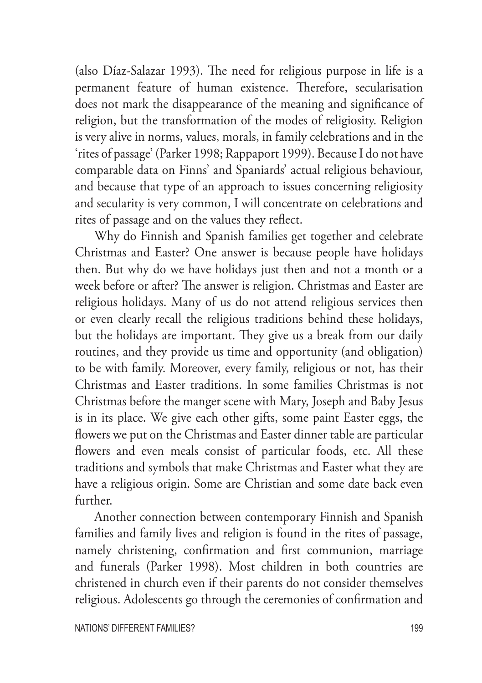(also Díaz-Salazar 1993). The need for religious purpose in life is a permanent feature of human existence. Therefore, secularisation does not mark the disappearance of the meaning and significance of religion, but the transformation of the modes of religiosity. Religion is very alive in norms, values, morals, in family celebrations and in the 'rites of passage' (Parker 1998; Rappaport 1999). Because I do not have comparable data on Finns' and Spaniards' actual religious behaviour, and because that type of an approach to issues concerning religiosity and secularity is very common, I will concentrate on celebrations and rites of passage and on the values they reflect.

Why do Finnish and Spanish families get together and celebrate Christmas and Easter? One answer is because people have holidays then. But why do we have holidays just then and not a month or a week before or after? The answer is religion. Christmas and Easter are religious holidays. Many of us do not attend religious services then or even clearly recall the religious traditions behind these holidays, but the holidays are important. They give us a break from our daily routines, and they provide us time and opportunity (and obligation) to be with family. Moreover, every family, religious or not, has their Christmas and Easter traditions. In some families Christmas is not Christmas before the manger scene with Mary, Joseph and Baby Jesus is in its place. We give each other gifts, some paint Easter eggs, the flowers we put on the Christmas and Easter dinner table are particular flowers and even meals consist of particular foods, etc. All these traditions and symbols that make Christmas and Easter what they are have a religious origin. Some are Christian and some date back even further.

Another connection between contemporary Finnish and Spanish families and family lives and religion is found in the rites of passage, namely christening, confirmation and first communion, marriage and funerals (Parker 1998). Most children in both countries are christened in church even if their parents do not consider themselves religious. Adolescents go through the ceremonies of confirmation and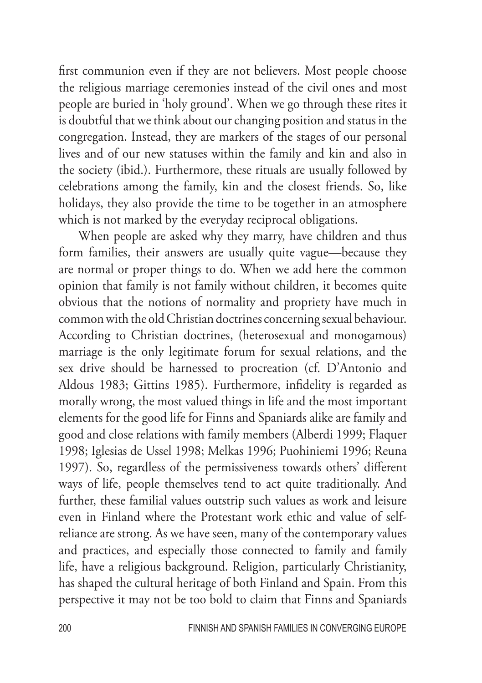first communion even if they are not believers. Most people choose the religious marriage ceremonies instead of the civil ones and most people are buried in 'holy ground'. When we go through these rites it is doubtful that we think about our changing position and status in the congregation. Instead, they are markers of the stages of our personal lives and of our new statuses within the family and kin and also in the society (ibid.). Furthermore, these rituals are usually followed by celebrations among the family, kin and the closest friends. So, like holidays, they also provide the time to be together in an atmosphere which is not marked by the everyday reciprocal obligations.

When people are asked why they marry, have children and thus form families, their answers are usually quite vague—because they are normal or proper things to do. When we add here the common opinion that family is not family without children, it becomes quite obvious that the notions of normality and propriety have much in common with the old Christian doctrines concerning sexual behaviour. According to Christian doctrines, (heterosexual and monogamous) marriage is the only legitimate forum for sexual relations, and the sex drive should be harnessed to procreation (cf. D'Antonio and Aldous 1983; Gittins 1985). Furthermore, infidelity is regarded as morally wrong, the most valued things in life and the most important elements for the good life for Finns and Spaniards alike are family and good and close relations with family members (Alberdi 1999; Flaquer 1998; Iglesias de Ussel 1998; Melkas 1996; Puohiniemi 1996; Reuna 1997). So, regardless of the permissiveness towards others' different ways of life, people themselves tend to act quite traditionally. And further, these familial values outstrip such values as work and leisure even in Finland where the Protestant work ethic and value of selfreliance are strong. As we have seen, many of the contemporary values and practices, and especially those connected to family and family life, have a religious background. Religion, particularly Christianity, has shaped the cultural heritage of both Finland and Spain. From this perspective it may not be too bold to claim that Finns and Spaniards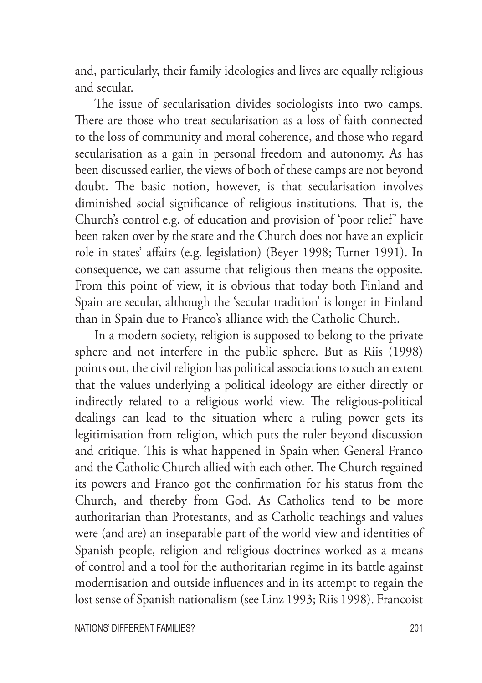and, particularly, their family ideologies and lives are equally religious and secular.

The issue of secularisation divides sociologists into two camps. There are those who treat secularisation as a loss of faith connected to the loss of community and moral coherence, and those who regard secularisation as a gain in personal freedom and autonomy. As has been discussed earlier, the views of both of these camps are not beyond doubt. The basic notion, however, is that secularisation involves diminished social significance of religious institutions. That is, the Church's control e.g. of education and provision of 'poor relief' have been taken over by the state and the Church does not have an explicit role in states' affairs (e.g. legislation) (Beyer 1998; Turner 1991). In consequence, we can assume that religious then means the opposite. From this point of view, it is obvious that today both Finland and Spain are secular, although the 'secular tradition' is longer in Finland than in Spain due to Franco's alliance with the Catholic Church.

In a modern society, religion is supposed to belong to the private sphere and not interfere in the public sphere. But as Riis (1998) points out, the civil religion has political associations to such an extent that the values underlying a political ideology are either directly or indirectly related to a religious world view. The religious-political dealings can lead to the situation where a ruling power gets its legitimisation from religion, which puts the ruler beyond discussion and critique. This is what happened in Spain when General Franco and the Catholic Church allied with each other. The Church regained its powers and Franco got the confirmation for his status from the Church, and thereby from God. As Catholics tend to be more authoritarian than Protestants, and as Catholic teachings and values were (and are) an inseparable part of the world view and identities of Spanish people, religion and religious doctrines worked as a means of control and a tool for the authoritarian regime in its battle against modernisation and outside influences and in its attempt to regain the lost sense of Spanish nationalism (see Linz 1993; Riis 1998). Francoist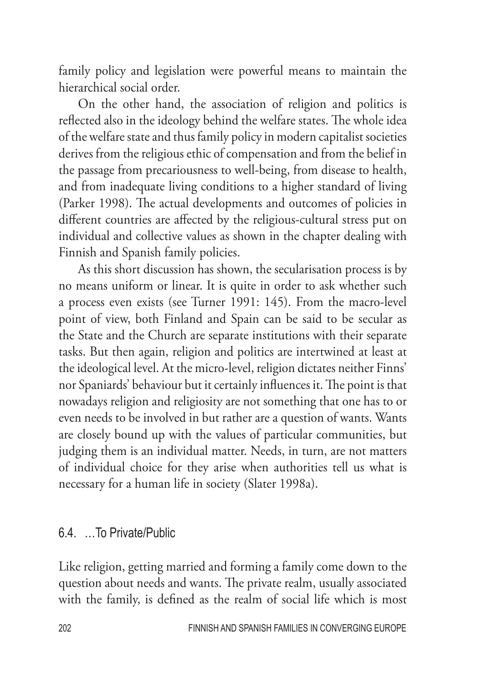family policy and legislation were powerful means to maintain the hierarchical social order.

On the other hand, the association of religion and politics is reflected also in the ideology behind the welfare states. The whole idea of the welfare state and thus family policy in modern capitalist societies derives from the religious ethic of compensation and from the belief in the passage from precariousness to well-being, from disease to health, and from inadequate living conditions to a higher standard of living (Parker 1998). The actual developments and outcomes of policies in different countries are affected by the religious-cultural stress put on individual and collective values as shown in the chapter dealing with Finnish and Spanish family policies.

As this short discussion has shown, the secularisation process is by no means uniform or linear. It is quite in order to ask whether such a process even exists (see Turner 1991: 145). From the macro-level point of view, both Finland and Spain can be said to be secular as the State and the Church are separate institutions with their separate tasks. But then again, religion and politics are intertwined at least at the ideological level. At the micro-level, religion dictates neither Finns' nor Spaniards' behaviour but it certainly influences it. The point is that nowadays religion and religiosity are not something that one has to or even needs to be involved in but rather are a question of wants. Wants are closely bound up with the values of particular communities, but judging them is an individual matter. Needs, in turn, are not matters of individual choice for they arise when authorities tell us what is necessary for a human life in society (Slater 1998a).

#### 6.4 To Private/Public

Like religion, getting married and forming a family come down to the question about needs and wants. The private realm, usually associated with the family, is defined as the realm of social life which is most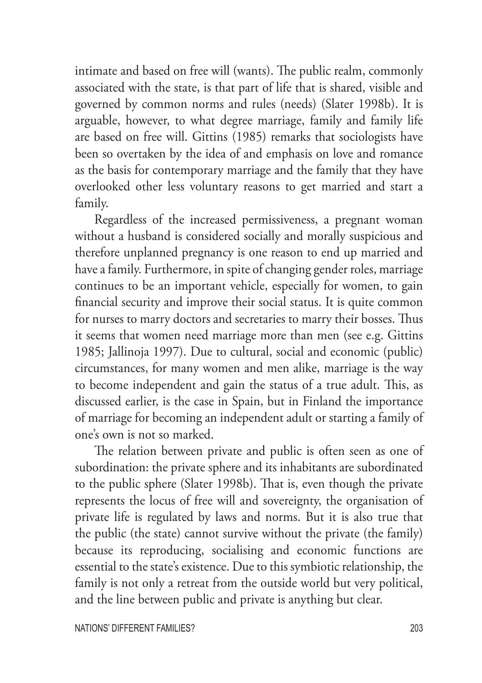intimate and based on free will (wants). The public realm, commonly associated with the state, is that part of life that is shared, visible and governed by common norms and rules (needs) (Slater 1998b). It is arguable, however, to what degree marriage, family and family life are based on free will. Gittins (1985) remarks that sociologists have been so overtaken by the idea of and emphasis on love and romance as the basis for contemporary marriage and the family that they have overlooked other less voluntary reasons to get married and start a family.

Regardless of the increased permissiveness, a pregnant woman without a husband is considered socially and morally suspicious and therefore unplanned pregnancy is one reason to end up married and have a family. Furthermore, in spite of changing gender roles, marriage continues to be an important vehicle, especially for women, to gain financial security and improve their social status. It is quite common for nurses to marry doctors and secretaries to marry their bosses. Thus it seems that women need marriage more than men (see e.g. Gittins 1985; Jallinoja 1997). Due to cultural, social and economic (public) circumstances, for many women and men alike, marriage is the way to become independent and gain the status of a true adult. This, as discussed earlier, is the case in Spain, but in Finland the importance of marriage for becoming an independent adult or starting a family of one's own is not so marked.

The relation between private and public is often seen as one of subordination: the private sphere and its inhabitants are subordinated to the public sphere (Slater 1998b). That is, even though the private represents the locus of free will and sovereignty, the organisation of private life is regulated by laws and norms. But it is also true that the public (the state) cannot survive without the private (the family) because its reproducing, socialising and economic functions are essential to the state's existence. Due to this symbiotic relationship, the family is not only a retreat from the outside world but very political, and the line between public and private is anything but clear.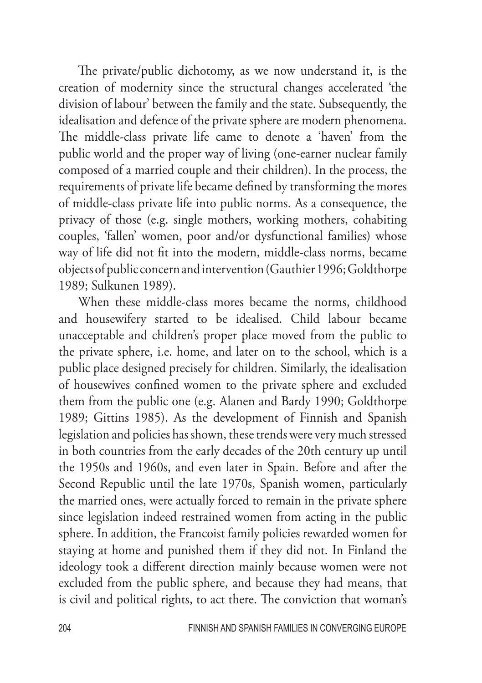The private/public dichotomy, as we now understand it, is the creation of modernity since the structural changes accelerated 'the division of labour' between the family and the state. Subsequently, the idealisation and defence of the private sphere are modern phenomena. The middle-class private life came to denote a 'haven' from the public world and the proper way of living (one-earner nuclear family composed of a married couple and their children). In the process, the requirements of private life became defined by transforming the mores of middle-class private life into public norms. As a consequence, the privacy of those (e.g. single mothers, working mothers, cohabiting couples, 'fallen' women, poor and/or dysfunctional families) whose way of life did not fit into the modern, middle-class norms, became objects of public concern and intervention (Gauthier 1996; Goldthorpe 1989; Sulkunen 1989).

When these middle-class mores became the norms, childhood and housewifery started to be idealised. Child labour became unacceptable and children's proper place moved from the public to the private sphere, i.e. home, and later on to the school, which is a public place designed precisely for children. Similarly, the idealisation of housewives confined women to the private sphere and excluded them from the public one (e.g. Alanen and Bardy 1990; Goldthorpe 1989; Gittins 1985). As the development of Finnish and Spanish legislation and policies has shown, these trends were very much stressed in both countries from the early decades of the 20th century up until the 1950s and 1960s, and even later in Spain. Before and after the Second Republic until the late 1970s, Spanish women, particularly the married ones, were actually forced to remain in the private sphere since legislation indeed restrained women from acting in the public sphere. In addition, the Francoist family policies rewarded women for staying at home and punished them if they did not. In Finland the ideology took a different direction mainly because women were not excluded from the public sphere, and because they had means, that is civil and political rights, to act there. The conviction that woman's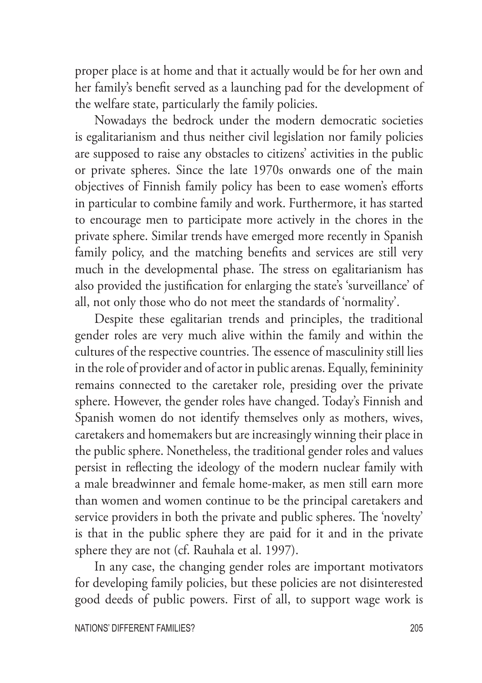proper place is at home and that it actually would be for her own and her family's benefit served as a launching pad for the development of the welfare state, particularly the family policies.

Nowadays the bedrock under the modern democratic societies is egalitarianism and thus neither civil legislation nor family policies are supposed to raise any obstacles to citizens' activities in the public or private spheres. Since the late 1970s onwards one of the main objectives of Finnish family policy has been to ease women's efforts in particular to combine family and work. Furthermore, it has started to encourage men to participate more actively in the chores in the private sphere. Similar trends have emerged more recently in Spanish family policy, and the matching benefits and services are still very much in the developmental phase. The stress on egalitarianism has also provided the justification for enlarging the state's 'surveillance' of all, not only those who do not meet the standards of 'normality'.

Despite these egalitarian trends and principles, the traditional gender roles are very much alive within the family and within the cultures of the respective countries. The essence of masculinity still lies in the role of provider and of actor in public arenas. Equally, femininity remains connected to the caretaker role, presiding over the private sphere. However, the gender roles have changed. Today's Finnish and Spanish women do not identify themselves only as mothers, wives, caretakers and homemakers but are increasingly winning their place in the public sphere. Nonetheless, the traditional gender roles and values persist in reflecting the ideology of the modern nuclear family with a male breadwinner and female home-maker, as men still earn more than women and women continue to be the principal caretakers and service providers in both the private and public spheres. The 'novelty' is that in the public sphere they are paid for it and in the private sphere they are not (cf. Rauhala et al. 1997).

In any case, the changing gender roles are important motivators for developing family policies, but these policies are not disinterested good deeds of public powers. First of all, to support wage work is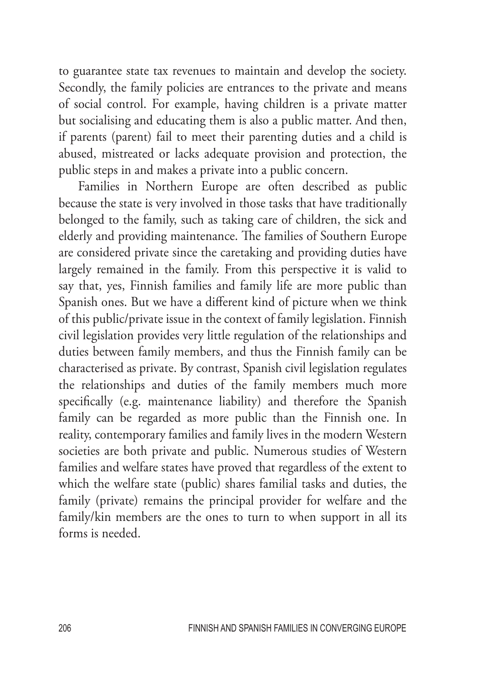to guarantee state tax revenues to maintain and develop the society. Secondly, the family policies are entrances to the private and means of social control. For example, having children is a private matter but socialising and educating them is also a public matter. And then, if parents (parent) fail to meet their parenting duties and a child is abused, mistreated or lacks adequate provision and protection, the public steps in and makes a private into a public concern.

Families in Northern Europe are often described as public because the state is very involved in those tasks that have traditionally belonged to the family, such as taking care of children, the sick and elderly and providing maintenance. The families of Southern Europe are considered private since the caretaking and providing duties have largely remained in the family. From this perspective it is valid to say that, yes, Finnish families and family life are more public than Spanish ones. But we have a different kind of picture when we think of this public/private issue in the context of family legislation. Finnish civil legislation provides very little regulation of the relationships and duties between family members, and thus the Finnish family can be characterised as private. By contrast, Spanish civil legislation regulates the relationships and duties of the family members much more specifically (e.g. maintenance liability) and therefore the Spanish family can be regarded as more public than the Finnish one. In reality, contemporary families and family lives in the modern Western societies are both private and public. Numerous studies of Western families and welfare states have proved that regardless of the extent to which the welfare state (public) shares familial tasks and duties, the family (private) remains the principal provider for welfare and the family/kin members are the ones to turn to when support in all its forms is needed.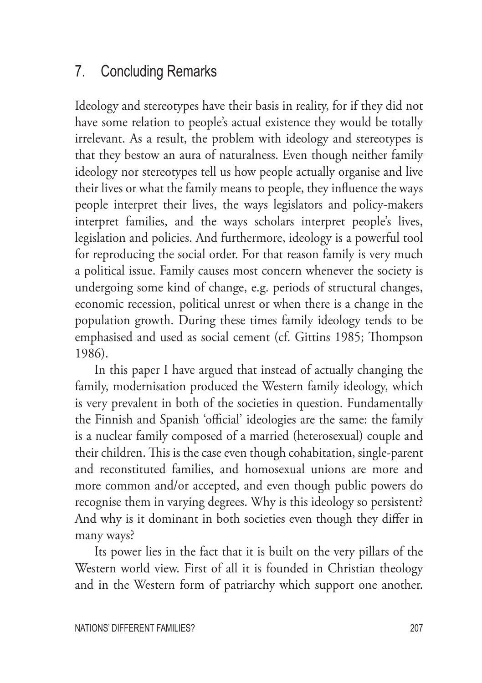## 7. Concluding Remarks

Ideology and stereotypes have their basis in reality, for if they did not have some relation to people's actual existence they would be totally irrelevant. As a result, the problem with ideology and stereotypes is that they bestow an aura of naturalness. Even though neither family ideology nor stereotypes tell us how people actually organise and live their lives or what the family means to people, they influence the ways people interpret their lives, the ways legislators and policy-makers interpret families, and the ways scholars interpret people's lives, legislation and policies. And furthermore, ideology is a powerful tool for reproducing the social order. For that reason family is very much a political issue. Family causes most concern whenever the society is undergoing some kind of change, e.g. periods of structural changes, economic recession, political unrest or when there is a change in the population growth. During these times family ideology tends to be emphasised and used as social cement (cf. Gittins 1985; Thompson 1986).

In this paper I have argued that instead of actually changing the family, modernisation produced the Western family ideology, which is very prevalent in both of the societies in question. Fundamentally the Finnish and Spanish 'official' ideologies are the same: the family is a nuclear family composed of a married (heterosexual) couple and their children. This is the case even though cohabitation, single-parent and reconstituted families, and homosexual unions are more and more common and/or accepted, and even though public powers do recognise them in varying degrees. Why is this ideology so persistent? And why is it dominant in both societies even though they differ in many ways?

Its power lies in the fact that it is built on the very pillars of the Western world view. First of all it is founded in Christian theology and in the Western form of patriarchy which support one another.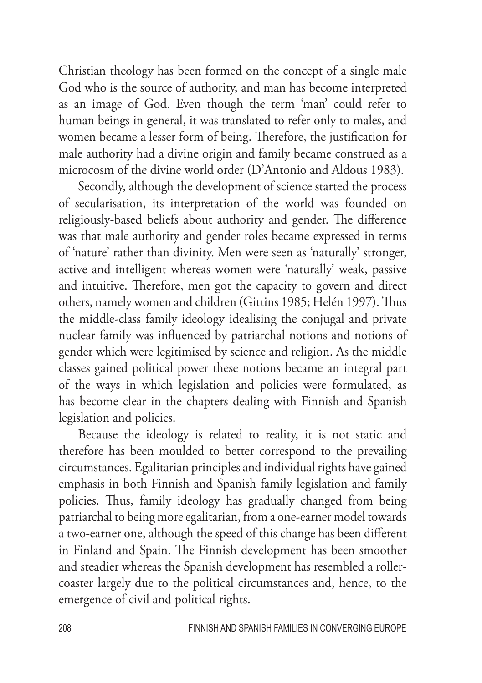Christian theology has been formed on the concept of a single male God who is the source of authority, and man has become interpreted as an image of God. Even though the term 'man' could refer to human beings in general, it was translated to refer only to males, and women became a lesser form of being. Therefore, the justification for male authority had a divine origin and family became construed as a microcosm of the divine world order (D'Antonio and Aldous 1983).

Secondly, although the development of science started the process of secularisation, its interpretation of the world was founded on religiously-based beliefs about authority and gender. The difference was that male authority and gender roles became expressed in terms of 'nature' rather than divinity. Men were seen as 'naturally' stronger, active and intelligent whereas women were 'naturally' weak, passive and intuitive. Therefore, men got the capacity to govern and direct others, namely women and children (Gittins 1985; Helén 1997). Thus the middle-class family ideology idealising the conjugal and private nuclear family was influenced by patriarchal notions and notions of gender which were legitimised by science and religion. As the middle classes gained political power these notions became an integral part of the ways in which legislation and policies were formulated, as has become clear in the chapters dealing with Finnish and Spanish legislation and policies.

Because the ideology is related to reality, it is not static and therefore has been moulded to better correspond to the prevailing circumstances. Egalitarian principles and individual rights have gained emphasis in both Finnish and Spanish family legislation and family policies. Thus, family ideology has gradually changed from being patriarchal to being more egalitarian, from a one-earner model towards a two-earner one, although the speed of this change has been different in Finland and Spain. The Finnish development has been smoother and steadier whereas the Spanish development has resembled a rollercoaster largely due to the political circumstances and, hence, to the emergence of civil and political rights.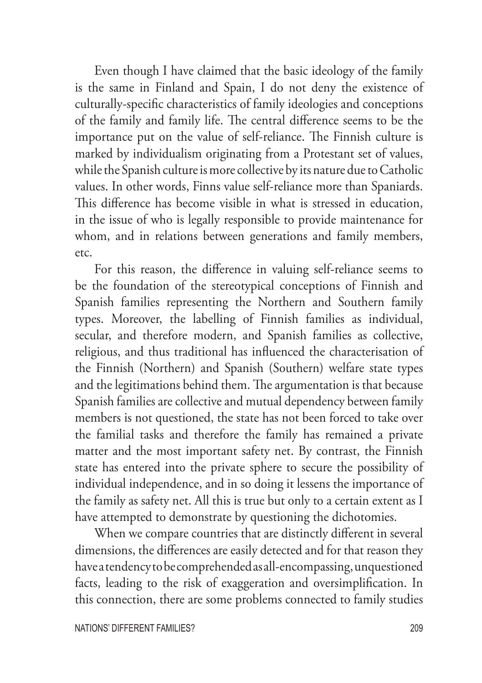Even though I have claimed that the basic ideology of the family is the same in Finland and Spain, I do not deny the existence of culturally-specific characteristics of family ideologies and conceptions of the family and family life. The central difference seems to be the importance put on the value of self-reliance. The Finnish culture is marked by individualism originating from a Protestant set of values, while the Spanish culture is more collective by its nature due to Catholic values. In other words, Finns value self-reliance more than Spaniards. This difference has become visible in what is stressed in education, in the issue of who is legally responsible to provide maintenance for whom, and in relations between generations and family members, etc.

For this reason, the difference in valuing self-reliance seems to be the foundation of the stereotypical conceptions of Finnish and Spanish families representing the Northern and Southern family types. Moreover, the labelling of Finnish families as individual, secular, and therefore modern, and Spanish families as collective, religious, and thus traditional has influenced the characterisation of the Finnish (Northern) and Spanish (Southern) welfare state types and the legitimations behind them. The argumentation is that because Spanish families are collective and mutual dependency between family members is not questioned, the state has not been forced to take over the familial tasks and therefore the family has remained a private matter and the most important safety net. By contrast, the Finnish state has entered into the private sphere to secure the possibility of individual independence, and in so doing it lessens the importance of the family as safety net. All this is true but only to a certain extent as I have attempted to demonstrate by questioning the dichotomies.

When we compare countries that are distinctly different in several dimensions, the differences are easily detected and for that reason they have a tendency to be comprehended as all-encompassing, unquestioned facts, leading to the risk of exaggeration and oversimplification. In this connection, there are some problems connected to family studies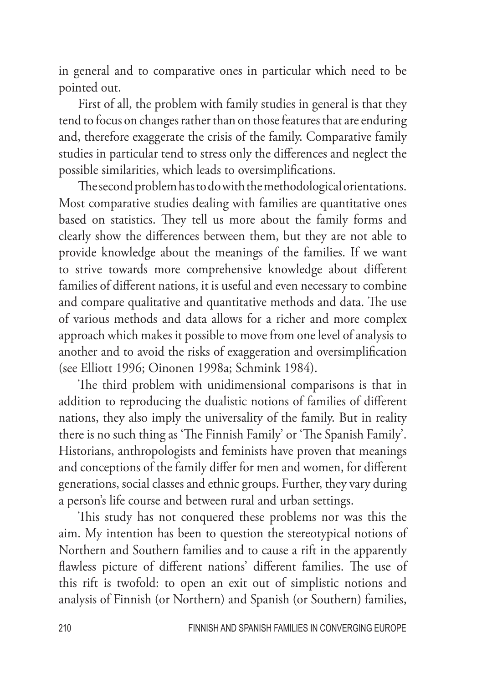in general and to comparative ones in particular which need to be pointed out.

First of all, the problem with family studies in general is that they tend to focus on changes rather than on those features that are enduring and, therefore exaggerate the crisis of the family. Comparative family studies in particular tend to stress only the differences and neglect the possible similarities, which leads to oversimplifications.

The second problem has to do with the methodological orientations. Most comparative studies dealing with families are quantitative ones based on statistics. They tell us more about the family forms and clearly show the differences between them, but they are not able to provide knowledge about the meanings of the families. If we want to strive towards more comprehensive knowledge about different families of different nations, it is useful and even necessary to combine and compare qualitative and quantitative methods and data. The use of various methods and data allows for a richer and more complex approach which makes it possible to move from one level of analysis to another and to avoid the risks of exaggeration and oversimplification (see Elliott 1996; Oinonen 1998a; Schmink 1984).

The third problem with unidimensional comparisons is that in addition to reproducing the dualistic notions of families of different nations, they also imply the universality of the family. But in reality there is no such thing as 'The Finnish Family' or 'The Spanish Family'. Historians, anthropologists and feminists have proven that meanings and conceptions of the family differ for men and women, for different generations, social classes and ethnic groups. Further, they vary during a person's life course and between rural and urban settings.

This study has not conquered these problems nor was this the aim. My intention has been to question the stereotypical notions of Northern and Southern families and to cause a rift in the apparently flawless picture of different nations' different families. The use of this rift is twofold: to open an exit out of simplistic notions and analysis of Finnish (or Northern) and Spanish (or Southern) families,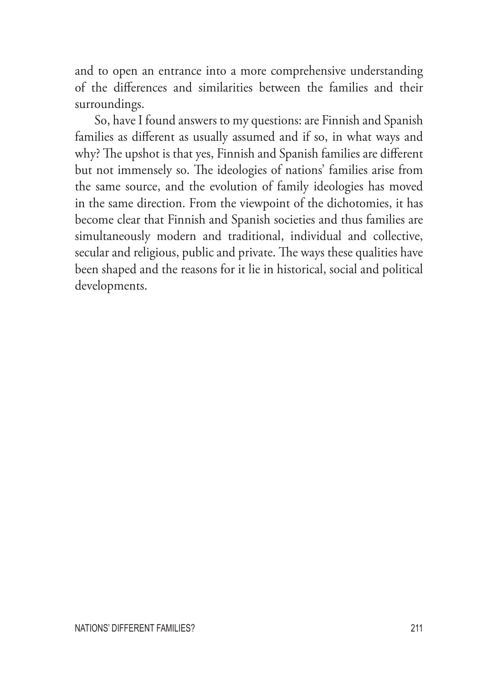and to open an entrance into a more comprehensive understanding of the differences and similarities between the families and their surroundings.

So, have I found answers to my questions: are Finnish and Spanish families as different as usually assumed and if so, in what ways and why? The upshot is that yes, Finnish and Spanish families are different but not immensely so. The ideologies of nations' families arise from the same source, and the evolution of family ideologies has moved in the same direction. From the viewpoint of the dichotomies, it has become clear that Finnish and Spanish societies and thus families are simultaneously modern and traditional, individual and collective, secular and religious, public and private. The ways these qualities have been shaped and the reasons for it lie in historical, social and political developments.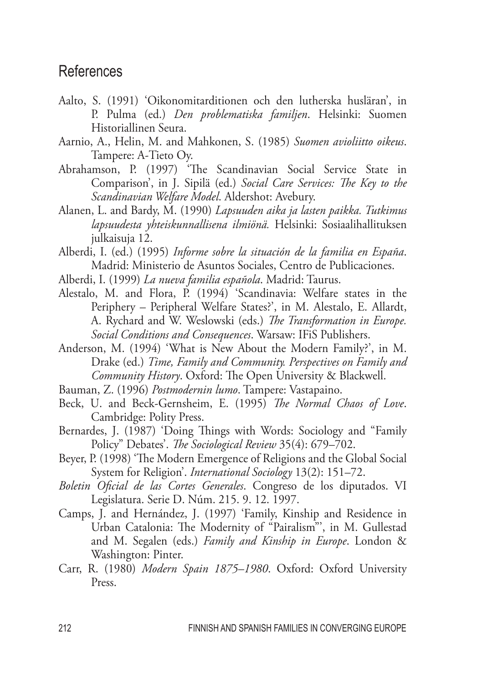## References

- Aalto, S. (1991) 'Oikonomitarditionen och den lutherska husläran', in P. Pulma (ed.) *Den problematiska familjen*. Helsinki: Suomen Historiallinen Seura.
- Aarnio, A., Helin, M. and Mahkonen, S. (1985) *Suomen avioliitto oikeus*. Tampere: A-Tieto Oy.
- Abrahamson, P. (1997) 'The Scandinavian Social Service State in Comparison', in J. Sipilä (ed.) Social Care Services: The Key to the *Scandinavian Welfare Model*. Aldershot: Avebury.
- Alanen, L. and Bardy, M. (1990) *Lapsuuden aika ja lasten paikka. Tutkimus lapsuudesta yhteiskunnallisena ilmiönä.* Helsinki: Sosiaalihallituksen julkaisuja 12.
- Alberdi, I. (ed.) (1995) *Informe sobre la situación de la familia en España*. Madrid: Ministerio de Asuntos Sociales, Centro de Publicaciones.
- Alberdi, I. (1999) *La nueva familia española*. Madrid: Taurus.
- Alestalo, M. and Flora, P. (1994) 'Scandinavia: Welfare states in the Periphery – Peripheral Welfare States?', in M. Alestalo, E. Allardt, A. Rychard and W. Weslowski (eds.) *The Transformation in Europe*. *Social Conditions and Consequences*. Warsaw: IFiS Publishers.
- Anderson, M. (1994) 'What is New About the Modern Family?', in M. Drake (ed.) *Time, Family and Community. Perspectives on Family and Community History*. Oxford: The Open University & Blackwell.
- Bauman, Z. (1996) *Postmodernin lumo*. Tampere: Vastapaino.
- Beck, U. and Beck-Gernsheim, E. (1995) *The Normal Chaos of Love*. Cambridge: Polity Press.
- Bernardes, J. (1987) 'Doing Things with Words: Sociology and "Family Policy" Debates'. *The Sociological Review* 35(4): 679–702.
- Beyer, P. (1998) 'The Modern Emergence of Religions and the Global Social System for Religion'. *International Sociology* 13(2): 151–72.
- *Boletin Ofi cial de las Cortes Generales*. Congreso de los diputados. VI Legislatura. Serie D. Núm. 215. 9. 12. 1997.
- Camps, J. and Hernández, J. (1997) 'Family, Kinship and Residence in Urban Catalonia: The Modernity of "Pairalism"', in M. Gullestad and M. Segalen (eds.) *Family and Kinship in Europe*. London & Washington: Pinter.
- Carr, R. (1980) *Modern Spain 1875–1980*. Oxford: Oxford University Press.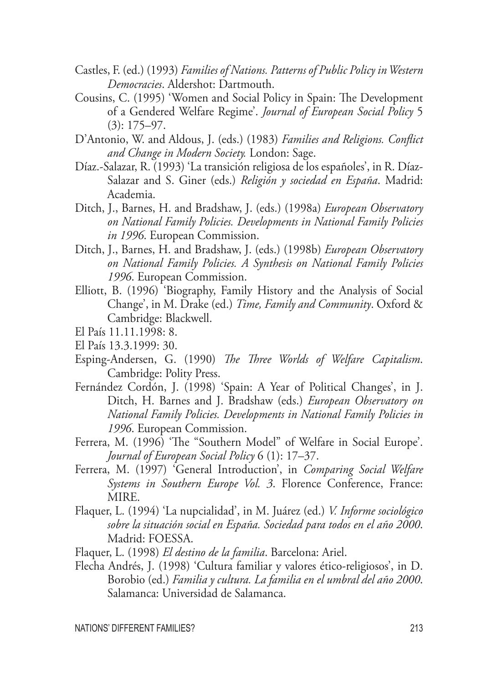- Castles, F. (ed.) (1993) *Families of Nations. Patterns of Public Policy in Western Democracies*. Aldershot: Dartmouth.
- Cousins, C. (1995) 'Women and Social Policy in Spain: The Development of a Gendered Welfare Regime'. *Journal of European Social Policy* 5 (3): 175–97.
- D'Antonio, W. and Aldous, J. (eds.) (1983) *Families and Religions. Conflict and Change in Modern Society.* London: Sage.
- Díaz.-Salazar, R. (1993) 'La transición religiosa de los españoles', in R. Díaz-Salazar and S. Giner (eds.) *Religión y sociedad en España*. Madrid: Academia.
- Ditch, J., Barnes, H. and Bradshaw, J. (eds.) (1998a) *European Observatory on National Family Policies. Developments in National Family Policies in 1996*. European Commission.
- Ditch, J., Barnes, H. and Bradshaw, J. (eds.) (1998b) *European Observatory on National Family Policies. A Synthesis on National Family Policies 1996*. European Commission.
- Elliott, B. (1996) 'Biography, Family History and the Analysis of Social Change', in M. Drake (ed.) *Time, Family and Community*. Oxford & Cambridge: Blackwell.

- El País 13.3.1999: 30.
- Esping-Andersen, G. (1990) *The Three Worlds of Welfare Capitalism*. Cambridge: Polity Press.
- Fernández Cordón, J. (1998) 'Spain: A Year of Political Changes', in J. Ditch, H. Barnes and J. Bradshaw (eds.) *European Observatory on National Family Policies. Developments in National Family Policies in 1996*. European Commission.
- Ferrera, M. (1996) 'The "Southern Model" of Welfare in Social Europe'. *Journal of European Social Policy* 6 (1): 17–37.
- Ferrera, M. (1997) 'General Introduction', in *Comparing Social Welfare Systems in Southern Europe Vol. 3*. Florence Conference, France: MIRE.
- Flaquer, L. (1994) 'La nupcialidad', in M. Juárez (ed.) *V. Informe sociológico sobre la situación social en España. Sociedad para todos en el año 2000*. Madrid: FOESSA.
- Flaquer, L. (1998) *El destino de la familia*. Barcelona: Ariel.
- Flecha Andrés, J. (1998) 'Cultura familiar y valores ético-religiosos', in D. Borobio (ed.) *Familia y cultura. La familia en el umbral del año 2000*. Salamanca: Universidad de Salamanca.

El País 11.11.1998: 8.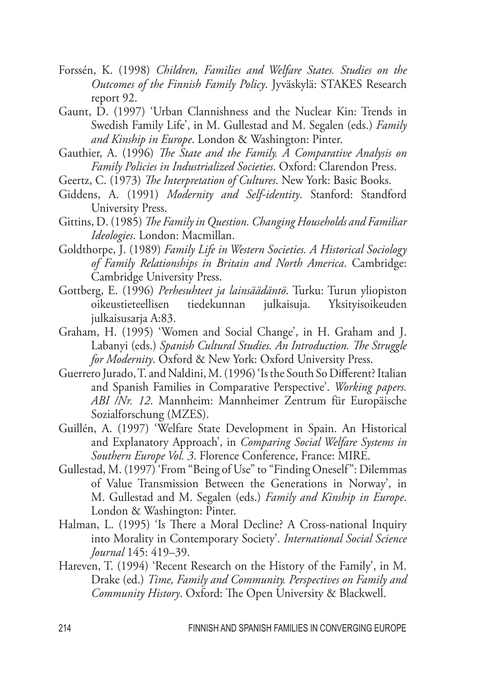- Forssén, K. (1998) *Children, Families and Welfare States. Studies on the Outcomes of the Finnish Family Policy*. Jyväskylä: STAKES Research report 92.
- Gaunt, D. (1997) 'Urban Clannishness and the Nuclear Kin: Trends in Swedish Family Life', in M. Gullestad and M. Segalen (eds.) *Family and Kinship in Europe*. London & Washington: Pinter.
- Gauthier, A. (1996) *The State and the Family. A Comparative Analysis on Family Policies in Industrialized Societies*. Oxford: Clarendon Press.

Geertz, C. (1973) *The Interpretation of Cultures*. New York: Basic Books.

- Giddens, A. (1991) *Modernity and Self-identity*. Stanford: Standford University Press.
- Gittins, D. (1985) *The Family in Question. Changing Households and Familiar Ideologies*. London: Macmillan.
- Goldthorpe, J. (1989) *Family Life in Western Societies. A Historical Sociology of Family Relationships in Britain and North America*. Cambridge: Cambridge University Press.
- Gottberg, E. (1996) *Perhesuhteet ja lainsäädäntö*. Turku: Turun yliopiston oikeustieteellisen tiedekunnan julkaisuja. Yksityisoikeuden julkaisusarja A:83.
- Graham, H. (1995) 'Women and Social Change', in H. Graham and J. Labanyi (eds.) *Spanish Cultural Studies. An Introduction. The Struggle for Modernity*. Oxford & New York: Oxford University Press.
- Guerrero Jurado, T. and Naldini, M. (1996) 'Is the South So Different? Italian and Spanish Families in Comparative Perspective'. *Working papers. ABI /Nr. 12*. Mannheim: Mannheimer Zentrum für Europäische Sozialforschung (MZES).
- Guillén, A. (1997) 'Welfare State Development in Spain. An Historical and Explanatory Approach', in *Comparing Social Welfare Systems in Southern Europe Vol. 3*. Florence Conference, France: MIRE.
- Gullestad, M. (1997) 'From "Being of Use" to "Finding Oneself": Dilemmas of Value Transmission Between the Generations in Norway', in M. Gullestad and M. Segalen (eds.) *Family and Kinship in Europe*. London & Washington: Pinter.
- Halman, L. (1995) 'Is There a Moral Decline? A Cross-national Inquiry into Morality in Contemporary Society'. *International Social Science Journal* 145: 419–39.
- Hareven, T. (1994) 'Recent Research on the History of the Family', in M. Drake (ed.) *Time, Family and Community. Perspectives on Family and Community History*. Oxford: The Open University & Blackwell.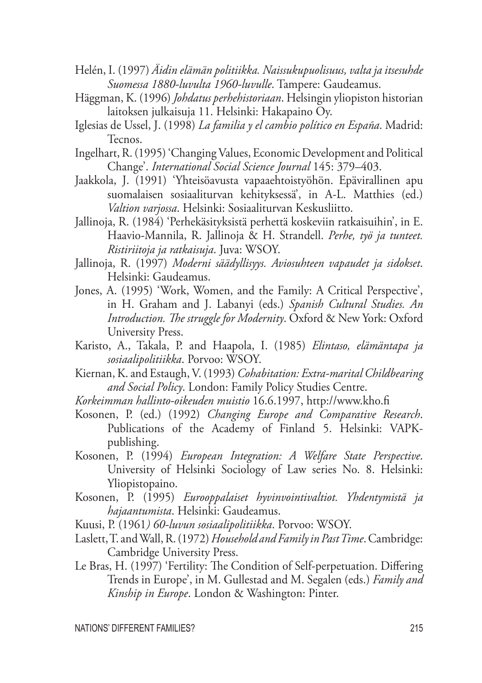- Helén, I. (1997) *Äidin elämän politiikka. Naissukupuolisuus, valta ja itsesuhde Suomessa 1880-luvulta 1960-luvulle*. Tampere: Gaudeamus.
- Häggman, K. (1996) *Johdatus perhehistoriaan*. Helsingin yliopiston historian laitoksen julkaisuja 11. Helsinki: Hakapaino Oy.
- Iglesias de Ussel, J. (1998) *La familia y el cambio político en España*. Madrid: Tecnos.
- Ingelhart, R. (1995) 'Changing Values, Economic Development and Political Change'. *International Social Science Journal* 145: 379–403.
- Jaakkola, J. (1991) 'Yhteisöavusta vapaaehtoistyöhön. Epävirallinen apu suomalaisen sosiaaliturvan kehityksessä', in A-L. Matthies (ed.) *Valtion varjossa*. Helsinki: Sosiaaliturvan Keskusliitto.
- Jallinoja, R. (1984) 'Perhekäsityksistä perhettä koskeviin ratkaisuihin', in E. Haavio-Mannila, R. Jallinoja & H. Strandell. *Perhe, työ ja tunteet. Ristiriitoja ja ratkaisuja*. Juva: WSOY.
- Jallinoja, R. (1997) *Moderni säädyllisyys. Aviosuhteen vapaudet ja sidokset*. Helsinki: Gaudeamus.
- Jones, A. (1995) 'Work, Women, and the Family: A Critical Perspective', in H. Graham and J. Labanyi (eds.) *Spanish Cultural Studies. An Introduction. The struggle for Modernity*. Oxford & New York: Oxford University Press.
- Karisto, A., Takala, P. and Haapola, I. (1985) *Elintaso, elämäntapa ja sosiaalipolitiikka*. Porvoo: WSOY.
- Kiernan, K. and Estaugh, V. (1993) *Cohabitation: Extra-marital Childbearing and Social Policy*. London: Family Policy Studies Centre.
- *Korkeimman hallinto-oikeuden muistio* 16.6.1997, http://www.kho.fi
- Kosonen, P. (ed.) (1992) *Changing Europe and Comparative Research*. Publications of the Academy of Finland 5. Helsinki: VAPKpublishing.
- Kosonen, P. (1994) *European Integration: A Welfare State Perspective*. University of Helsinki Sociology of Law series No. 8. Helsinki: Yliopistopaino.
- Kosonen, P. (1995) *Eurooppalaiset hyvinvointivaltiot. Yhdentymistä ja hajaantumista*. Helsinki: Gaudeamus.
- Kuusi, P. (1961*) 60-luvun sosiaalipolitiikka*. Porvoo: WSOY.
- Laslett, T. and Wall, R. (1972) *Household and Family in Past Time*. Cambridge: Cambridge University Press.
- Le Bras, H. (1997) 'Fertility: The Condition of Self-perpetuation. Differing Trends in Europe', in M. Gullestad and M. Segalen (eds.) *Family and Kinship in Europe*. London & Washington: Pinter.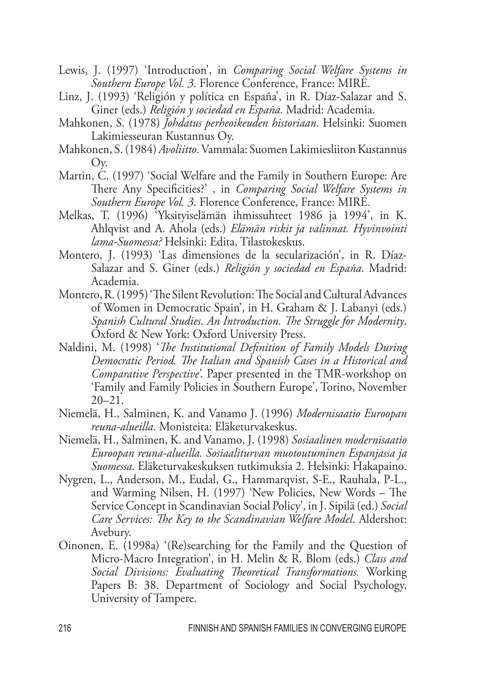- Lewis, J. (1997) 'Introduction', in *Comparing Social Welfare Systems in Southern Europe Vol. 3*. Florence Conference, France: MIRE.
- Linz, J. (1993) 'Religión y política en España', in R. Díaz-Salazar and S. Giner (eds.) *Religión y sociedad en España*. Madrid: Academia.
- Mahkonen, S. (1978) *Johdatus perheoikeuden historiaan*. Helsinki: Suomen Lakimiesseuran Kustannus Oy.
- Mahkonen, S. (1984) *Avoliitto*. Vammala: Suomen Lakimiesliiton Kustannus Oy.
- Martin, C. (1997) 'Social Welfare and the Family in Southern Europe: Are There Any Specificities?', in *Comparing Social Welfare Systems in Southern Europe Vol. 3*. Florence Conference, France: MIRE.
- Melkas, T. (1996) 'Yksityiselämän ihmissuhteet 1986 ja 1994', in K. Ahlqvist and A. Ahola (eds.) *Elämän riskit ja valinnat. Hyvinvointi lama-Suomessa?* Helsinki: Edita, Tilastokeskus.
- Montero, J. (1993) 'Las dimensiones de la secularización', in R. Díaz-Salazar and S. Giner (eds.) *Religión y sociedad en España*. Madrid: Academia.
- Montero,  $R_{\rm o}$  (1995) 'The Silent Revolution: The Social and Cultural Advances of Women in Democratic Spain', in H. Graham & J. Labanyi (eds.) *Spanish Cultural Studies. An Introduction. The Struggle for Modernity.* Oxford & New York: Oxford University Press.
- Naldini, M. (1998) '*The Institutional Definition of Family Models During Democratic Period. The Italian and Spanish Cases in a Historical and Comparative Perspective'*. Paper presented in the TMR-workshop on 'Family and Family Policies in Southern Europe', Torino, November 20–21.
- Niemelä, H., Salminen, K. and Vanamo J. (1996) *Modernisaatio Euroopan reuna-alueilla*. Monisteita: Eläketurvakeskus.
- Niemelä, H., Salminen, K. and Vanamo, J. (1998) *Sosiaalinen modernisaatio Euroopan reuna-alueilla. Sosiaaliturvan muotoutuminen Espanjassa ja Suomessa*. Eläketurvakeskuksen tutkimuksia 2. Helsinki: Hakapaino.
- Nygren, L., Anderson, M., Eudal, G., Hammarqvist, S-E., Rauhala, P-L., and Warming Nilsen, H.  $(1997)$  'New Policies, New Words – The Service Concept in Scandinavian Social Policy', in J. Sipilä (ed.) *Social Care Services: The Key to the Scandinavian Welfare Model. Aldershot:* Avebury.
- Oinonen, E. (1998a) '(Re)searching for the Family and the Question of Micro-Macro Integration', in H. Melin & R. Blom (eds.) *Class and Social Divisions: Evaluating Theoretical Transformations.* Working Papers B: 38. Department of Sociology and Social Psychology, University of Tampere.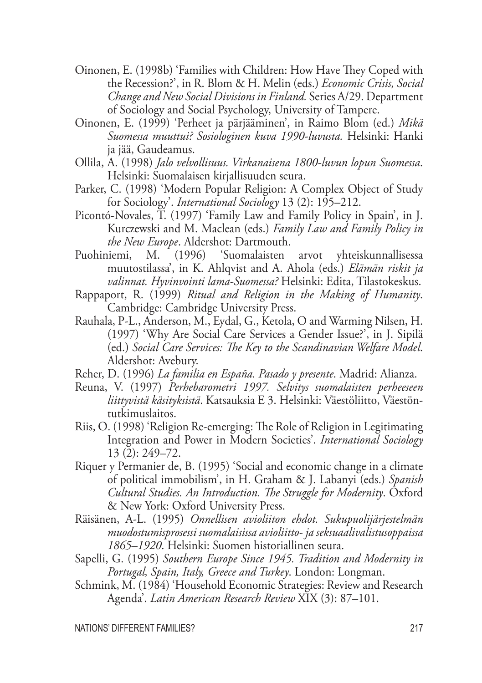- Oinonen, E. (1998b) 'Families with Children: How Have They Coped with the Recession?', in R. Blom & H. Melin (eds.) *Economic Crisis, Social Change and New Social Divisions in Finland.* Series A/29. Department of Sociology and Social Psychology, University of Tampere.
- Oinonen, E. (1999) 'Perheet ja pärjääminen', in Raimo Blom (ed.) *Mikä Suomessa muuttui? Sosiologinen kuva 1990-luvusta.* Helsinki: Hanki ja jää, Gaudeamus.
- Ollila, A. (1998) *Jalo velvollisuus. Virkanaisena 1800-luvun lopun Suomessa*. Helsinki: Suomalaisen kirjallisuuden seura.
- Parker, C. (1998) 'Modern Popular Religion: A Complex Object of Study for Sociology'. *International Sociology* 13 (2): 195–212.
- Picontó-Novales, T. (1997) 'Family Law and Family Policy in Spain', in J. Kurczewski and M. Maclean (eds.) *Family Law and Family Policy in the New Europe*. Aldershot: Dartmouth.
- Puohiniemi, M. (1996) 'Suomalaisten arvot yhteiskunnallisessa muutostilassa', in K. Ahlqvist and A. Ahola (eds.) *Elämän riskit ja valinnat. Hyvinvointi lama-Suomessa?* Helsinki: Edita, Tilastokeskus.
- Rappaport, R. (1999) *Ritual and Religion in the Making of Humanity*. Cambridge: Cambridge University Press.
- Rauhala, P-L., Anderson, M., Eydal, G., Ketola, O and Warming Nilsen, H. (1997) 'Why Are Social Care Services a Gender Issue?', in J. Sipilä (ed.) Social Care Services: The Key to the Scandinavian Welfare Model. Aldershot: Avebury.
- Reher, D. (1996) *La familia en España. Pasado y presente*. Madrid: Alianza.
- Reuna, V. (1997) *Perhebarometri 1997. Selvitys suomalaisten perheeseen liittyvistä käsityksis tä*. Katsauksia E 3. Helsinki: Väestöliitto, Väestöntutkimuslaitos.
- Riis, O. (1998) 'Religion Re-emerging: The Role of Religion in Legitimating Integration and Power in Modern Societies'. *International Sociology* 13 (2): 249–72.
- Riquer y Permanier de, B. (1995) 'Social and economic change in a climate of political immobilism', in H. Graham & J. Labanyi (eds.) *Spanish Cultural Studies. An Introduction. The Struggle for Modernity.* Oxford & New York: Oxford University Press.
- Räisänen, A-L. (1995) *Onnellisen avioliiton ehdot. Sukupuolijärjestelmän muodostumisprosessi suomalaisissa avioliitto- ja seksuaalivalistusoppaissa 1865–1920*. Helsinki: Suomen historiallinen seura.
- Sapelli, G. (1995) *Southern Europe Since 1945. Tradition and Modernity in Portugal, Spain, Italy, Greece and Turkey*. London: Longman.
- Schmink, M. (1984) 'Household Economic Strategies: Review and Research Agenda'. *Latin American Research Review* XIX (3): 87–101.

NATIONS' DIFFERENT FAMILIES? 217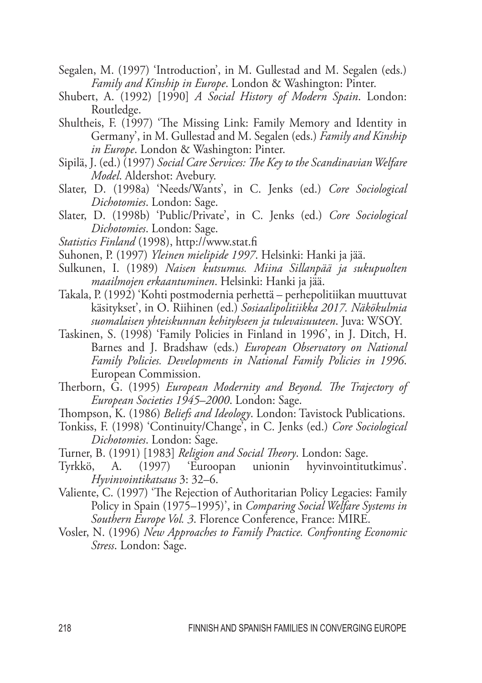- Segalen, M. (1997) 'Introduction', in M. Gullestad and M. Segalen (eds.) *Family and Kinship in Europe*. London & Washington: Pinter.
- Shubert, A. (1992) [1990] *A Social History of Modern Spain*. London: Routledge.
- Shultheis, F. (1997) 'The Missing Link: Family Memory and Identity in Germany', in M. Gullestad and M. Segalen (eds.) *Family and Kinship in Europe*. London & Washington: Pinter.
- Sipilä, J. (ed.) (1997) *Social Care Services: The Key to the Scandinavian Welfare Model*. Aldershot: Avebury.
- Slater, D. (1998a) 'Needs/Wants', in C. Jenks (ed.) *Core Sociological Dichotomies*. London: Sage.
- Slater, D. (1998b) 'Public/Private', in C. Jenks (ed.) *Core Sociological Dichotomies*. London: Sage.
- *Statistics Finland* (1998), http://www.stat.fi
- Suhonen, P. (1997) *Yleinen mielipide 1997*. Helsinki: Hanki ja jää.
- Sulkunen, I. (1989) *Naisen kutsumus. Miina Sillanpää ja sukupuolten maailmojen erkaantuminen*. Helsinki: Hanki ja jää.
- Takala, P. (1992) 'Kohti postmodernia perhettä perhepolitiikan muuttuvat käsitykset', in O. Riihinen (ed.) *Sosiaalipolitiikka 2017. Näkökulmia suomalaisen yhteiskunnan kehitykseen ja tulevaisuuteen*. Juva: WSOY.
- Taskinen, S. (1998) 'Family Policies in Finland in 1996', in J. Ditch, H. Barnes and J. Bradshaw (eds.) *European Observatory on National Family Policies. Developments in National Family Policies in 1996*. European Commission.
- Therborn, G. (1995) *European Modernity and Beyond. The Trajectory of European Societies 1945–2000*. London: Sage.
- Thompson, K. (1986) *Beliefs and Ideology*. London: Tavistock Publications.
- Tonkiss, F. (1998) 'Continuity/Change', in C. Jenks (ed.) *Core Sociological Dichotomies*. London: Sage.
- Turner, B. (1991) [1983] *Religion and Social Theory*. London: Sage.
- Tyrkkö, A. (1997) 'Euroopan unionin hyvinvointitutkimus'. *Hyvinvointikatsaus* 3: 32–6.
- Valiente, C. (1997) 'The Rejection of Authoritarian Policy Legacies: Family Policy in Spain (1975–1995)', in *Comparing Social Welfare Systems in Southern Europe Vol. 3*. Florence Conference, France: MIRE.
- Vosler, N. (1996) *New Approaches to Family Practice. Confronting Economic Stress*. London: Sage.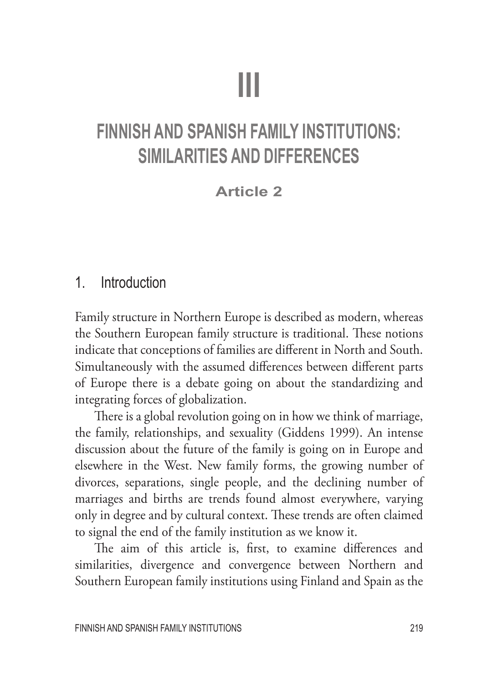# **III**

# **FINNISH AND SPANISH FAMILY INSTITUTIONS: SIMILARITIES AND DIFFERENCES**

## **Article 2**

# 1. Introduction

Family structure in Northern Europe is described as modern, whereas the Southern European family structure is traditional. These notions indicate that conceptions of families are different in North and South. Simultaneously with the assumed differences between different parts of Europe there is a debate going on about the standardizing and integrating forces of globalization.

There is a global revolution going on in how we think of marriage, the family, relationships, and sexuality (Giddens 1999). An intense discussion about the future of the family is going on in Europe and elsewhere in the West. New family forms, the growing number of divorces, separations, single people, and the declining number of marriages and births are trends found almost everywhere, varying only in degree and by cultural context. These trends are often claimed to signal the end of the family institution as we know it.

The aim of this article is, first, to examine differences and similarities, divergence and convergence between Northern and Southern European family institutions using Finland and Spain as the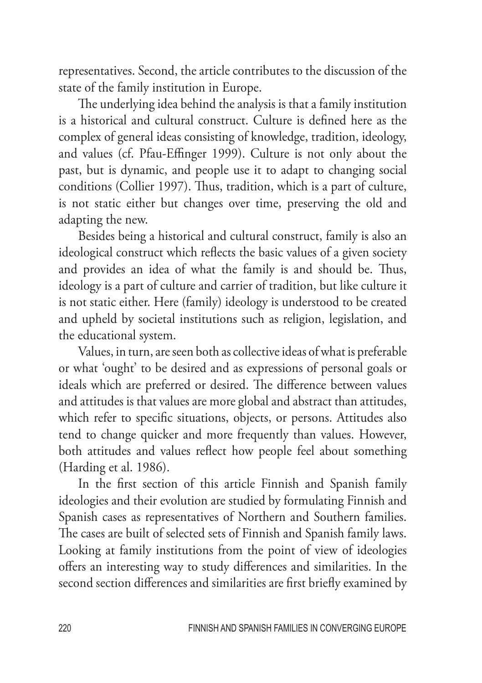representatives. Second, the article contributes to the discussion of the state of the family institution in Europe.

The underlying idea behind the analysis is that a family institution is a historical and cultural construct. Culture is defined here as the complex of general ideas consisting of knowledge, tradition, ideology, and values (cf. Pfau-Effinger 1999). Culture is not only about the past, but is dynamic, and people use it to adapt to changing social conditions (Collier 1997). Thus, tradition, which is a part of culture, is not static either but changes over time, preserving the old and adapting the new.

Besides being a historical and cultural construct, family is also an ideological construct which reflects the basic values of a given society and provides an idea of what the family is and should be. Thus, ideology is a part of culture and carrier of tradition, but like culture it is not static either. Here (family) ideology is understood to be created and upheld by societal institutions such as religion, legislation, and the educational system.

Values, in turn, are seen both as collective ideas of what is preferable or what 'ought' to be desired and as expressions of personal goals or ideals which are preferred or desired. The difference between values and attitudes is that values are more global and abstract than attitudes, which refer to specific situations, objects, or persons. Attitudes also tend to change quicker and more frequently than values. However, both attitudes and values reflect how people feel about something (Harding et al. 1986).

In the first section of this article Finnish and Spanish family ideologies and their evolution are studied by formulating Finnish and Spanish cases as representatives of Northern and Southern families. The cases are built of selected sets of Finnish and Spanish family laws. Looking at family institutions from the point of view of ideologies offers an interesting way to study differences and similarities. In the second section differences and similarities are first briefly examined by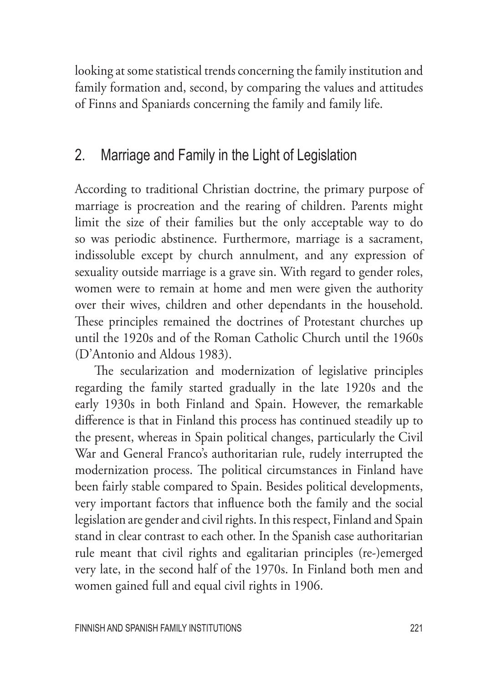looking at some statistical trends concerning the family institution and family formation and, second, by comparing the values and attitudes of Finns and Spaniards concerning the family and family life.

## 2. Marriage and Family in the Light of Legislation

According to traditional Christian doctrine, the primary purpose of marriage is procreation and the rearing of children. Parents might limit the size of their families but the only acceptable way to do so was periodic abstinence. Furthermore, marriage is a sacrament, indissoluble except by church annulment, and any expression of sexuality outside marriage is a grave sin. With regard to gender roles, women were to remain at home and men were given the authority over their wives, children and other dependants in the household. These principles remained the doctrines of Protestant churches up until the 1920s and of the Roman Catholic Church until the 1960s (D'Antonio and Aldous 1983).

The secularization and modernization of legislative principles regarding the family started gradually in the late 1920s and the early 1930s in both Finland and Spain. However, the remarkable difference is that in Finland this process has continued steadily up to the present, whereas in Spain political changes, particularly the Civil War and General Franco's authoritarian rule, rudely interrupted the modernization process. The political circumstances in Finland have been fairly stable compared to Spain. Besides political developments, very important factors that influence both the family and the social legislation are gender and civil rights. In this respect, Finland and Spain stand in clear contrast to each other. In the Spanish case authoritarian rule meant that civil rights and egalitarian principles (re-)emerged very late, in the second half of the 1970s. In Finland both men and women gained full and equal civil rights in 1906.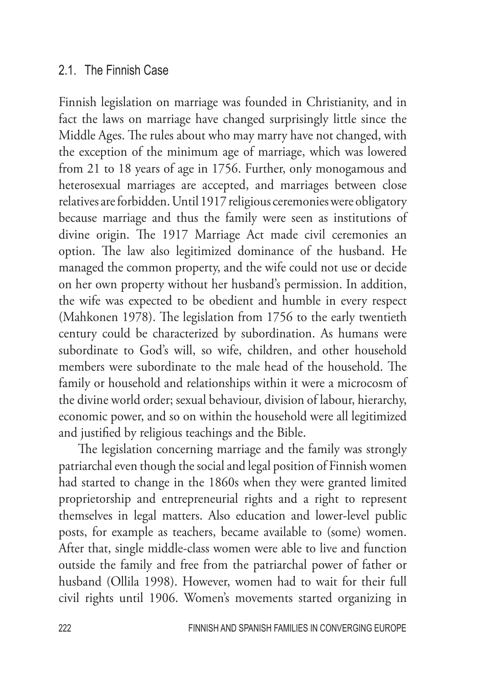#### 2.1. The Finnish Case

Finnish legislation on marriage was founded in Christianity, and in fact the laws on marriage have changed surprisingly little since the Middle Ages. The rules about who may marry have not changed, with the exception of the minimum age of marriage, which was lowered from 21 to 18 years of age in 1756. Further, only monogamous and heterosexual marriages are accepted, and marriages between close relatives are forbidden. Until 1917 religious ceremonies were obligatory because marriage and thus the family were seen as institutions of divine origin. The 1917 Marriage Act made civil ceremonies an option. The law also legitimized dominance of the husband. He managed the common property, and the wife could not use or decide on her own property without her husband's permission. In addition, the wife was expected to be obedient and humble in every respect (Mahkonen 1978). The legislation from 1756 to the early twentieth century could be characterized by subordination. As humans were subordinate to God's will, so wife, children, and other household members were subordinate to the male head of the household. The family or household and relationships within it were a microcosm of the divine world order; sexual behaviour, division of labour, hierarchy, economic power, and so on within the household were all legitimized and justified by religious teachings and the Bible.

The legislation concerning marriage and the family was strongly patriarchal even though the social and legal position of Finnish women had started to change in the 1860s when they were granted limited proprietorship and entrepreneurial rights and a right to represent themselves in legal matters. Also education and lower-level public posts, for example as teachers, became available to (some) women. After that, single middle-class women were able to live and function outside the family and free from the patriarchal power of father or husband (Ollila 1998). However, women had to wait for their full civil rights until 1906. Women's movements started organizing in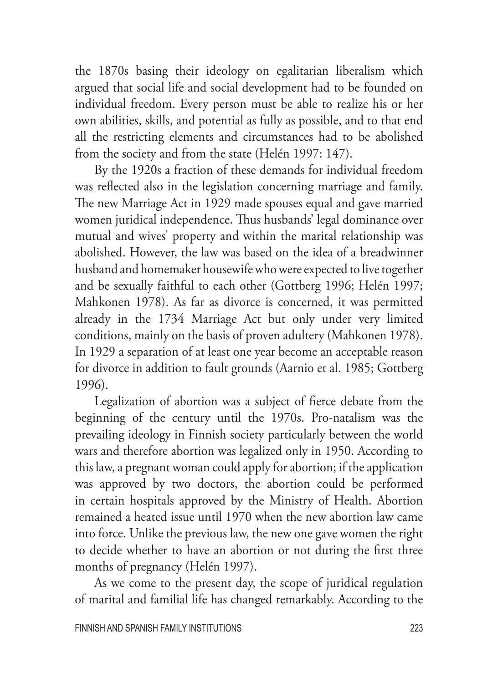the 1870s basing their ideology on egalitarian liberalism which argued that social life and social development had to be founded on individual freedom. Every person must be able to realize his or her own abilities, skills, and potential as fully as possible, and to that end all the restricting elements and circumstances had to be abolished from the society and from the state (Helén 1997: 147).

By the 1920s a fraction of these demands for individual freedom was reflected also in the legislation concerning marriage and family. The new Marriage Act in 1929 made spouses equal and gave married women juridical independence. Thus husbands' legal dominance over mutual and wives' property and within the marital relationship was abolished. However, the law was based on the idea of a breadwinner husband and homemaker housewife who were expected to live together and be sexually faithful to each other (Gottberg 1996; Helén 1997; Mahkonen 1978). As far as divorce is concerned, it was permitted already in the 1734 Marriage Act but only under very limited conditions, mainly on the basis of proven adultery (Mahkonen 1978). In 1929 a separation of at least one year become an acceptable reason for divorce in addition to fault grounds (Aarnio et al. 1985; Gottberg 1996).

Legalization of abortion was a subject of fierce debate from the beginning of the century until the 1970s. Pro-natalism was the prevailing ideology in Finnish society particularly between the world wars and therefore abortion was legalized only in 1950. According to this law, a pregnant woman could apply for abortion; if the application was approved by two doctors, the abortion could be performed in certain hospitals approved by the Ministry of Health. Abortion remained a heated issue until 1970 when the new abortion law came into force. Unlike the previous law, the new one gave women the right to decide whether to have an abortion or not during the first three months of pregnancy (Helén 1997).

As we come to the present day, the scope of juridical regulation of marital and familial life has changed remarkably. According to the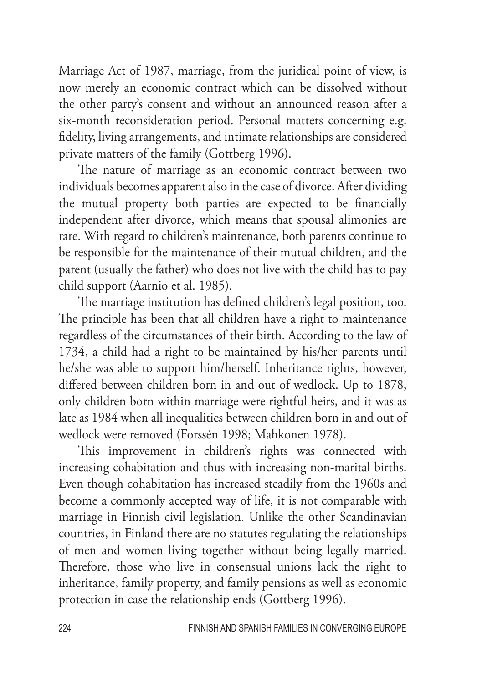Marriage Act of 1987, marriage, from the juridical point of view, is now merely an economic contract which can be dissolved without the other party's consent and without an announced reason after a six-month reconsideration period. Personal matters concerning e.g. fidelity, living arrangements, and intimate relationships are considered private matters of the family (Gottberg 1996).

The nature of marriage as an economic contract between two individuals becomes apparent also in the case of divorce. After dividing the mutual property both parties are expected to be financially independent after divorce, which means that spousal alimonies are rare. With regard to children's maintenance, both parents continue to be responsible for the maintenance of their mutual children, and the parent (usually the father) who does not live with the child has to pay child support (Aarnio et al. 1985).

The marriage institution has defined children's legal position, too. The principle has been that all children have a right to maintenance regardless of the circumstances of their birth. According to the law of 1734, a child had a right to be maintained by his/her parents until he/she was able to support him/herself. Inheritance rights, however, differed between children born in and out of wedlock. Up to 1878, only children born within marriage were rightful heirs, and it was as late as 1984 when all inequalities between children born in and out of wedlock were removed (Forssén 1998; Mahkonen 1978).

This improvement in children's rights was connected with increasing cohabitation and thus with increasing non-marital births. Even though cohabitation has increased steadily from the 1960s and become a commonly accepted way of life, it is not comparable with marriage in Finnish civil legislation. Unlike the other Scandinavian countries, in Finland there are no statutes regulating the relationships of men and women living together without being legally married. Therefore, those who live in consensual unions lack the right to inheritance, family property, and family pensions as well as economic protection in case the relationship ends (Gottberg 1996).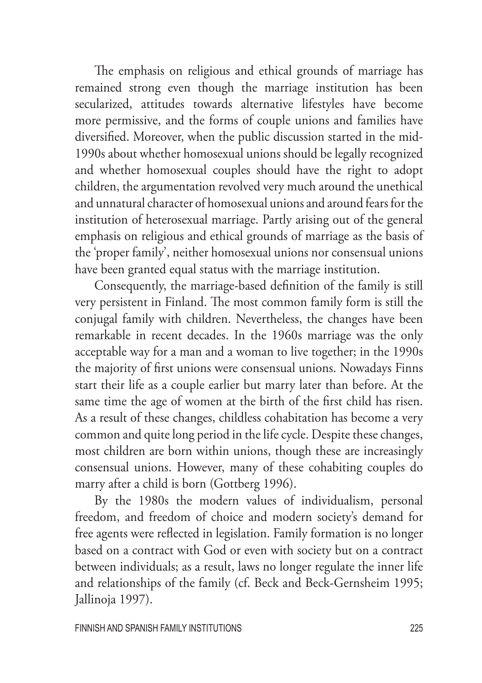The emphasis on religious and ethical grounds of marriage has remained strong even though the marriage institution has been secularized, attitudes towards alternative lifestyles have become more permissive, and the forms of couple unions and families have diversified. Moreover, when the public discussion started in the mid-1990s about whether homosexual unions should be legally recognized and whether homosexual couples should have the right to adopt children, the argumentation revolved very much around the unethical and unnatural character of homosexual unions and around fears for the institution of heterosexual marriage. Partly arising out of the general emphasis on religious and ethical grounds of marriage as the basis of the 'proper family', neither homosexual unions nor consensual unions have been granted equal status with the marriage institution.

Consequently, the marriage-based definition of the family is still very persistent in Finland. The most common family form is still the conjugal family with children. Nevertheless, the changes have been remarkable in recent decades. In the 1960s marriage was the only acceptable way for a man and a woman to live together; in the 1990s the majority of first unions were consensual unions. Nowadays Finns start their life as a couple earlier but marry later than before. At the same time the age of women at the birth of the first child has risen. As a result of these changes, childless cohabitation has become a very common and quite long period in the life cycle. Despite these changes, most children are born within unions, though these are increasingly consensual unions. However, many of these cohabiting couples do marry after a child is born (Gottberg 1996).

By the 1980s the modern values of individualism, personal freedom, and freedom of choice and modern society's demand for free agents were reflected in legislation. Family formation is no longer based on a contract with God or even with society but on a contract between individuals; as a result, laws no longer regulate the inner life and relationships of the family (cf. Beck and Beck-Gernsheim 1995; Jallinoja 1997).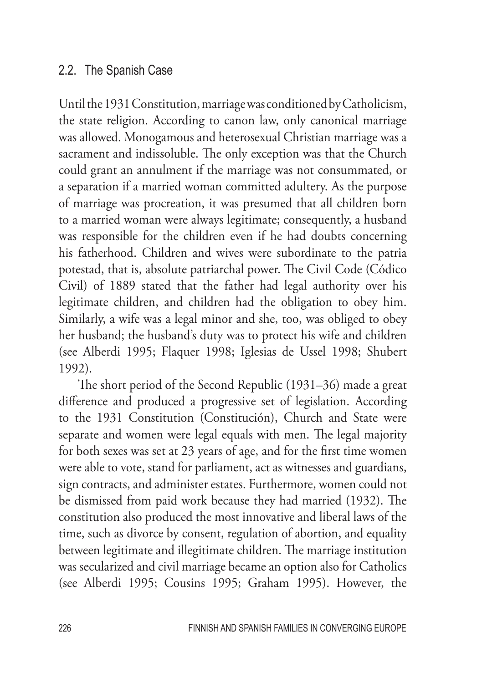#### 2.2. The Spanish Case

Until the 1931 Constitution, marriage was conditioned by Catholicism, the state religion. According to canon law, only canonical marriage was allowed. Monogamous and heterosexual Christian marriage was a sacrament and indissoluble. The only exception was that the Church could grant an annulment if the marriage was not consummated, or a separation if a married woman committed adultery. As the purpose of marriage was procreation, it was presumed that all children born to a married woman were always legitimate; consequently, a husband was responsible for the children even if he had doubts concerning his fatherhood. Children and wives were subordinate to the patria potestad, that is, absolute patriarchal power. The Civil Code (Códico Civil) of 1889 stated that the father had legal authority over his legitimate children, and children had the obligation to obey him. Similarly, a wife was a legal minor and she, too, was obliged to obey her husband; the husband's duty was to protect his wife and children (see Alberdi 1995; Flaquer 1998; Iglesias de Ussel 1998; Shubert 1992).

The short period of the Second Republic (1931–36) made a great difference and produced a progressive set of legislation. According to the 1931 Constitution (Constitución), Church and State were separate and women were legal equals with men. The legal majority for both sexes was set at 23 years of age, and for the first time women were able to vote, stand for parliament, act as witnesses and guardians, sign contracts, and administer estates. Furthermore, women could not be dismissed from paid work because they had married (1932). The constitution also produced the most innovative and liberal laws of the time, such as divorce by consent, regulation of abortion, and equality between legitimate and illegitimate children. The marriage institution was secularized and civil marriage became an option also for Catholics (see Alberdi 1995; Cousins 1995; Graham 1995). However, the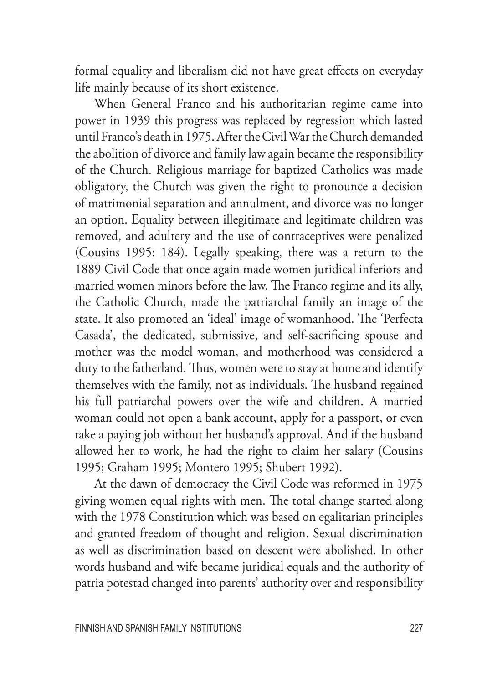formal equality and liberalism did not have great effects on everyday life mainly because of its short existence.

When General Franco and his authoritarian regime came into power in 1939 this progress was replaced by regression which lasted until Franco's death in 1975. After the Civil War the Church demanded the abolition of divorce and family law again became the responsibility of the Church. Religious marriage for baptized Catholics was made obligatory, the Church was given the right to pronounce a decision of matrimonial separation and annulment, and divorce was no longer an option. Equality between illegitimate and legitimate children was removed, and adultery and the use of contraceptives were penalized (Cousins 1995: 184). Legally speaking, there was a return to the 1889 Civil Code that once again made women juridical inferiors and married women minors before the law. The Franco regime and its ally, the Catholic Church, made the patriarchal family an image of the state. It also promoted an 'ideal' image of womanhood. The 'Perfecta Casada', the dedicated, submissive, and self-sacrificing spouse and mother was the model woman, and motherhood was considered a duty to the fatherland. Thus, women were to stay at home and identify themselves with the family, not as individuals. The husband regained his full patriarchal powers over the wife and children. A married woman could not open a bank account, apply for a passport, or even take a paying job without her husband's approval. And if the husband allowed her to work, he had the right to claim her salary (Cousins 1995; Graham 1995; Montero 1995; Shubert 1992).

At the dawn of democracy the Civil Code was reformed in 1975 giving women equal rights with men. The total change started along with the 1978 Constitution which was based on egalitarian principles and granted freedom of thought and religion. Sexual discrimination as well as discrimination based on descent were abolished. In other words husband and wife became juridical equals and the authority of patria potestad changed into parents' authority over and responsibility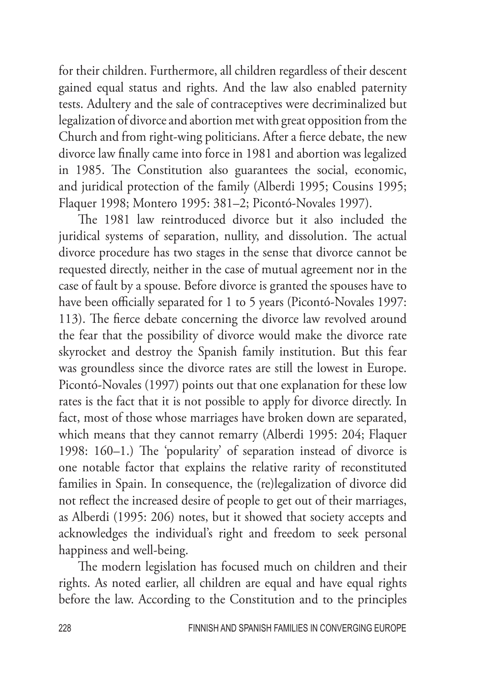for their children. Furthermore, all children regardless of their descent gained equal status and rights. And the law also enabled paternity tests. Adultery and the sale of contraceptives were decriminalized but legalization of divorce and abortion met with great opposition from the Church and from right-wing politicians. After a fierce debate, the new divorce law finally came into force in 1981 and abortion was legalized in 1985. The Constitution also guarantees the social, economic, and juridical protection of the family (Alberdi 1995; Cousins 1995; Flaquer 1998; Montero 1995: 381–2; Picontó-Novales 1997).

The 1981 law reintroduced divorce but it also included the juridical systems of separation, nullity, and dissolution. The actual divorce procedure has two stages in the sense that divorce cannot be requested directly, neither in the case of mutual agreement nor in the case of fault by a spouse. Before divorce is granted the spouses have to have been officially separated for 1 to 5 years (Picontó-Novales 1997: 113). The fierce debate concerning the divorce law revolved around the fear that the possibility of divorce would make the divorce rate skyrocket and destroy the Spanish family institution. But this fear was groundless since the divorce rates are still the lowest in Europe. Picontó-Novales (1997) points out that one explanation for these low rates is the fact that it is not possible to apply for divorce directly. In fact, most of those whose marriages have broken down are separated, which means that they cannot remarry (Alberdi 1995: 204; Flaquer 1998:  $160-1$ .) The 'popularity' of separation instead of divorce is one notable factor that explains the relative rarity of reconstituted families in Spain. In consequence, the (re)legalization of divorce did not reflect the increased desire of people to get out of their marriages, as Alberdi (1995: 206) notes, but it showed that society accepts and acknowledges the individual's right and freedom to seek personal happiness and well-being.

The modern legislation has focused much on children and their rights. As noted earlier, all children are equal and have equal rights before the law. According to the Constitution and to the principles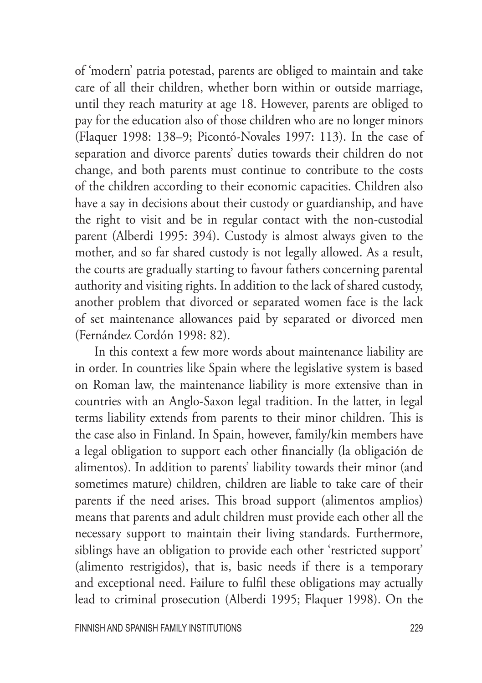of 'modern' patria potestad, parents are obliged to maintain and take care of all their children, whether born within or outside marriage, until they reach maturity at age 18. However, parents are obliged to pay for the education also of those children who are no longer minors (Flaquer 1998: 138–9; Picontó-Novales 1997: 113). In the case of separation and divorce parents' duties towards their children do not change, and both parents must continue to contribute to the costs of the children according to their economic capacities. Children also have a say in decisions about their custody or guardianship, and have the right to visit and be in regular contact with the non-custodial parent (Alberdi 1995: 394). Custody is almost always given to the mother, and so far shared custody is not legally allowed. As a result, the courts are gradually starting to favour fathers concerning parental authority and visiting rights. In addition to the lack of shared custody, another problem that divorced or separated women face is the lack of set maintenance allowances paid by separated or divorced men (Fernández Cordón 1998: 82).

In this context a few more words about maintenance liability are in order. In countries like Spain where the legislative system is based on Roman law, the maintenance liability is more extensive than in countries with an Anglo-Saxon legal tradition. In the latter, in legal terms liability extends from parents to their minor children. This is the case also in Finland. In Spain, however, family/kin members have a legal obligation to support each other financially (la obligación de alimentos). In addition to parents' liability towards their minor (and sometimes mature) children, children are liable to take care of their parents if the need arises. This broad support (alimentos amplios) means that parents and adult children must provide each other all the necessary support to maintain their living standards. Furthermore, siblings have an obligation to provide each other 'restricted support' (alimento restrigidos), that is, basic needs if there is a temporary and exceptional need. Failure to fulfil these obligations may actually lead to criminal prosecution (Alberdi 1995; Flaquer 1998). On the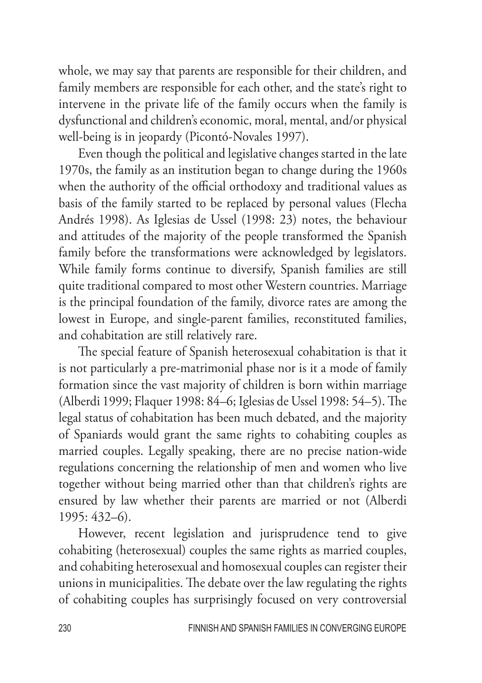whole, we may say that parents are responsible for their children, and family members are responsible for each other, and the state's right to intervene in the private life of the family occurs when the family is dysfunctional and children's economic, moral, mental, and/or physical well-being is in jeopardy (Picontó-Novales 1997).

Even though the political and legislative changes started in the late 1970s, the family as an institution began to change during the 1960s when the authority of the official orthodoxy and traditional values as basis of the family started to be replaced by personal values (Flecha Andrés 1998). As Iglesias de Ussel (1998: 23) notes, the behaviour and attitudes of the majority of the people transformed the Spanish family before the transformations were acknowledged by legislators. While family forms continue to diversify, Spanish families are still quite traditional compared to most other Western countries. Marriage is the principal foundation of the family, divorce rates are among the lowest in Europe, and single-parent families, reconstituted families, and cohabitation are still relatively rare.

The special feature of Spanish heterosexual cohabitation is that it is not particularly a pre-matrimonial phase nor is it a mode of family formation since the vast majority of children is born within marriage (Alberdi 1999; Flaquer 1998: 84–6; Iglesias de Ussel 1998: 54–5). The legal status of cohabitation has been much debated, and the majority of Spaniards would grant the same rights to cohabiting couples as married couples. Legally speaking, there are no precise nation-wide regulations concerning the relationship of men and women who live together without being married other than that children's rights are ensured by law whether their parents are married or not (Alberdi 1995: 432–6).

However, recent legislation and jurisprudence tend to give cohabiting (heterosexual) couples the same rights as married couples, and cohabiting heterosexual and homosexual couples can register their unions in municipalities. The debate over the law regulating the rights of cohabiting couples has surprisingly focused on very controversial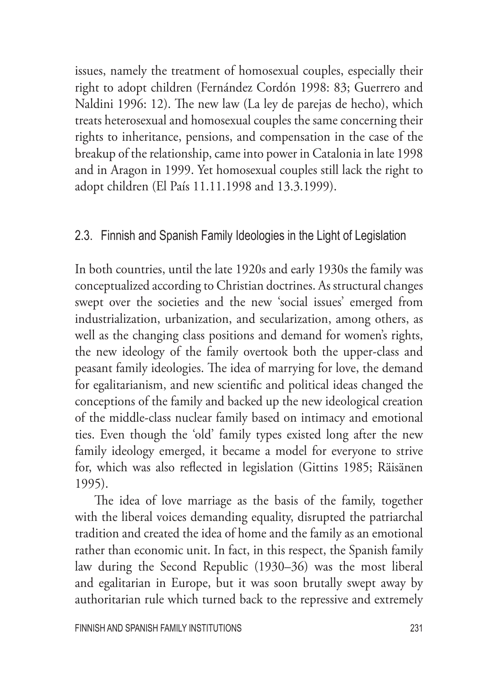issues, namely the treatment of homosexual couples, especially their right to adopt children (Fernández Cordón 1998: 83; Guerrero and Naldini 1996: 12). The new law (La ley de parejas de hecho), which treats heterosexual and homosexual couples the same concerning their rights to inheritance, pensions, and compensation in the case of the breakup of the relationship, came into power in Catalonia in late 1998 and in Aragon in 1999. Yet homosexual couples still lack the right to adopt children (El País 11.11.1998 and 13.3.1999).

#### 2.3. Finnish and Spanish Family Ideologies in the Light of Legislation

In both countries, until the late 1920s and early 1930s the family was conceptualized according to Christian doctrines. As structural changes swept over the societies and the new 'social issues' emerged from industrialization, urbanization, and secularization, among others, as well as the changing class positions and demand for women's rights, the new ideology of the family overtook both the upper-class and peasant family ideologies. The idea of marrying for love, the demand for egalitarianism, and new scientific and political ideas changed the conceptions of the family and backed up the new ideological creation of the middle-class nuclear family based on intimacy and emotional ties. Even though the 'old' family types existed long after the new family ideology emerged, it became a model for everyone to strive for, which was also reflected in legislation (Gittins 1985; Räisänen 1995).

The idea of love marriage as the basis of the family, together with the liberal voices demanding equality, disrupted the patriarchal tradition and created the idea of home and the family as an emotional rather than economic unit. In fact, in this respect, the Spanish family law during the Second Republic (1930–36) was the most liberal and egalitarian in Europe, but it was soon brutally swept away by authoritarian rule which turned back to the repressive and extremely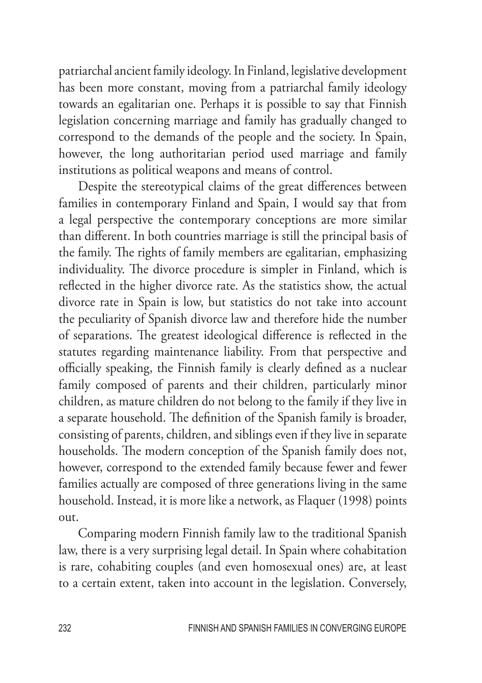patriarchal ancient family ideology. In Finland, legislative development has been more constant, moving from a patriarchal family ideology towards an egalitarian one. Perhaps it is possible to say that Finnish legislation concerning marriage and family has gradually changed to correspond to the demands of the people and the society. In Spain, however, the long authoritarian period used marriage and family institutions as political weapons and means of control.

Despite the stereotypical claims of the great differences between families in contemporary Finland and Spain, I would say that from a legal perspective the contemporary conceptions are more similar than different. In both countries marriage is still the principal basis of the family. The rights of family members are egalitarian, emphasizing individuality. The divorce procedure is simpler in Finland, which is reflected in the higher divorce rate. As the statistics show, the actual divorce rate in Spain is low, but statistics do not take into account the peculiarity of Spanish divorce law and therefore hide the number of separations. The greatest ideological difference is reflected in the statutes regarding maintenance liability. From that perspective and officially speaking, the Finnish family is clearly defined as a nuclear family composed of parents and their children, particularly minor children, as mature children do not belong to the family if they live in a separate household. The definition of the Spanish family is broader, consisting of parents, children, and siblings even if they live in separate households. The modern conception of the Spanish family does not, however, correspond to the extended family because fewer and fewer families actually are composed of three generations living in the same household. Instead, it is more like a network, as Flaquer (1998) points out.

Comparing modern Finnish family law to the traditional Spanish law, there is a very surprising legal detail. In Spain where cohabitation is rare, cohabiting couples (and even homosexual ones) are, at least to a certain extent, taken into account in the legislation. Conversely,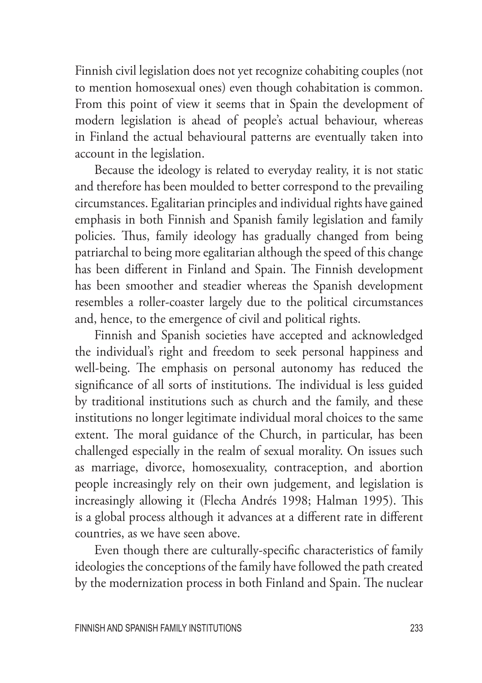Finnish civil legislation does not yet recognize cohabiting couples (not to mention homosexual ones) even though cohabitation is common. From this point of view it seems that in Spain the development of modern legislation is ahead of people's actual behaviour, whereas in Finland the actual behavioural patterns are eventually taken into account in the legislation.

Because the ideology is related to everyday reality, it is not static and therefore has been moulded to better correspond to the prevailing circumstances. Egalitarian principles and individual rights have gained emphasis in both Finnish and Spanish family legislation and family policies. Thus, family ideology has gradually changed from being patriarchal to being more egalitarian although the speed of this change has been different in Finland and Spain. The Finnish development has been smoother and steadier whereas the Spanish development resembles a roller-coaster largely due to the political circumstances and, hence, to the emergence of civil and political rights.

Finnish and Spanish societies have accepted and acknowledged the individual's right and freedom to seek personal happiness and well-being. The emphasis on personal autonomy has reduced the significance of all sorts of institutions. The individual is less guided by traditional institutions such as church and the family, and these institutions no longer legitimate individual moral choices to the same extent. The moral guidance of the Church, in particular, has been challenged especially in the realm of sexual morality. On issues such as marriage, divorce, homosexuality, contraception, and abortion people increasingly rely on their own judgement, and legislation is increasingly allowing it (Flecha Andrés 1998; Halman 1995). This is a global process although it advances at a different rate in different countries, as we have seen above.

Even though there are culturally-specific characteristics of family ideologies the conceptions of the family have followed the path created by the modernization process in both Finland and Spain. The nuclear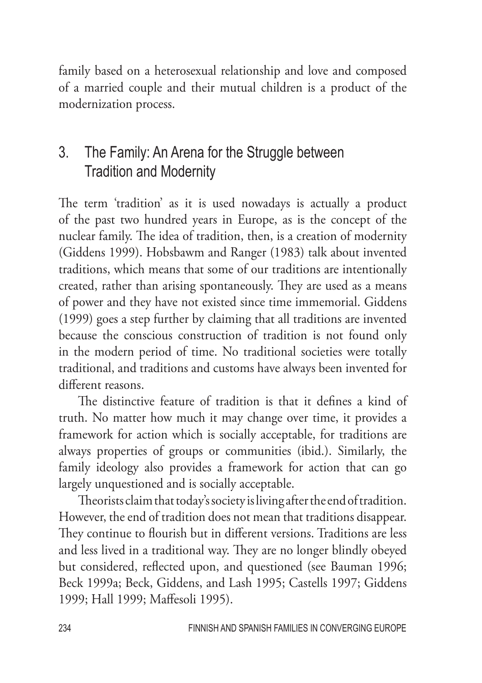family based on a heterosexual relationship and love and composed of a married couple and their mutual children is a product of the modernization process.

# 3. The Family: An Arena for the Struggle between Tradition and Modernity

The term 'tradition' as it is used nowadays is actually a product of the past two hundred years in Europe, as is the concept of the nuclear family. The idea of tradition, then, is a creation of modernity (Giddens 1999). Hobsbawm and Ranger (1983) talk about invented traditions, which means that some of our traditions are intentionally created, rather than arising spontaneously. They are used as a means of power and they have not existed since time immemorial. Giddens (1999) goes a step further by claiming that all traditions are invented because the conscious construction of tradition is not found only in the modern period of time. No traditional societies were totally traditional, and traditions and customs have always been invented for different reasons.

The distinctive feature of tradition is that it defines a kind of truth. No matter how much it may change over time, it provides a framework for action which is socially acceptable, for traditions are always properties of groups or communities (ibid.). Similarly, the family ideology also provides a framework for action that can go largely unquestioned and is socially acceptable.

Theorists claim that today's society is living after the end of tradition. However, the end of tradition does not mean that traditions disappear. They continue to flourish but in different versions. Traditions are less and less lived in a traditional way. They are no longer blindly obeyed but considered, reflected upon, and questioned (see Bauman 1996; Beck 1999a; Beck, Giddens, and Lash 1995; Castells 1997; Giddens 1999; Hall 1999; Maffesoli 1995).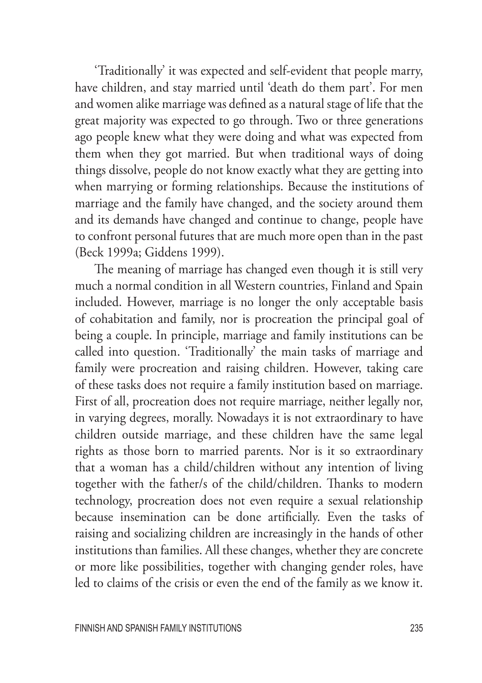'Traditionally' it was expected and self-evident that people marry, have children, and stay married until 'death do them part'. For men and women alike marriage was defined as a natural stage of life that the great majority was expected to go through. Two or three generations ago people knew what they were doing and what was expected from them when they got married. But when traditional ways of doing things dissolve, people do not know exactly what they are getting into when marrying or forming relationships. Because the institutions of marriage and the family have changed, and the society around them and its demands have changed and continue to change, people have to confront personal futures that are much more open than in the past (Beck 1999a; Giddens 1999).

The meaning of marriage has changed even though it is still very much a normal condition in all Western countries, Finland and Spain included. However, marriage is no longer the only acceptable basis of cohabitation and family, nor is procreation the principal goal of being a couple. In principle, marriage and family institutions can be called into question. 'Traditionally' the main tasks of marriage and family were procreation and raising children. However, taking care of these tasks does not require a family institution based on marriage. First of all, procreation does not require marriage, neither legally nor, in varying degrees, morally. Nowadays it is not extraordinary to have children outside marriage, and these children have the same legal rights as those born to married parents. Nor is it so extraordinary that a woman has a child/children without any intention of living together with the father/s of the child/children. Thanks to modern technology, procreation does not even require a sexual relationship because insemination can be done artificially. Even the tasks of raising and socializing children are increasingly in the hands of other institutions than families. All these changes, whether they are concrete or more like possibilities, together with changing gender roles, have led to claims of the crisis or even the end of the family as we know it.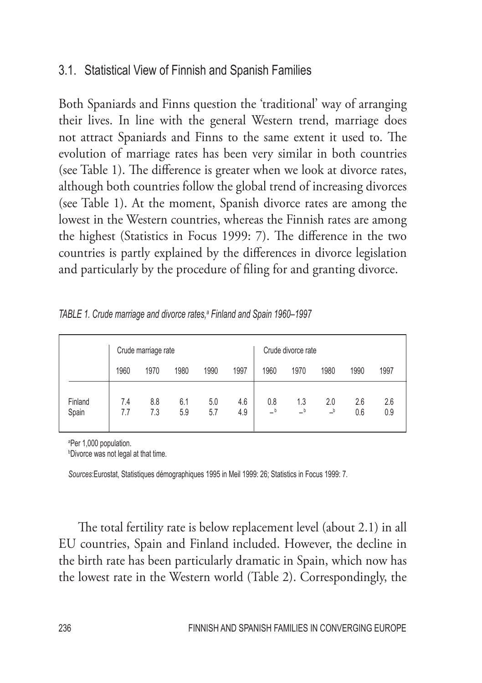#### 3.1. Statistical View of Finnish and Spanish Families

Both Spaniards and Finns question the 'traditional' way of arranging their lives. In line with the general Western trend, marriage does not attract Spaniards and Finns to the same extent it used to. The evolution of marriage rates has been very similar in both countries (see Table 1). The difference is greater when we look at divorce rates, although both countries follow the global trend of increasing divorces (see Table 1). At the moment, Spanish divorce rates are among the lowest in the Western countries, whereas the Finnish rates are among the highest (Statistics in Focus 1999: 7). The difference in the two countries is partly explained by the differences in divorce legislation and particularly by the procedure of filing for and granting divorce.

|                  | Crude marriage rate |            |            |            | Crude divorce rate |                         |                         |                                                |            |            |
|------------------|---------------------|------------|------------|------------|--------------------|-------------------------|-------------------------|------------------------------------------------|------------|------------|
|                  | 1960                | 1970       | 1980       | 1990       | 1997               | 1960                    | 1970                    | 1980                                           | 1990       | 1997       |
| Finland<br>Spain | 7.4<br>7.7          | 8.8<br>7.3 | 6.1<br>5.9 | 5.0<br>5.7 | 4.6<br>4.9         | 0.8<br>$-^{\mathsf{b}}$ | 1.3<br>$-^{\mathsf{b}}$ | 2.0<br>$\overline{\phantom{0}}^{\,\mathrm{b}}$ | 2.6<br>0.6 | 2.6<br>0.9 |

TABLE 1. Crude marriage and divorce rates,<sup>a</sup> Finland and Spain 1960–1997

a Per 1,000 population.

b Divorce was not legal at that time.

*Sources*:Eurostat, Statistiques démographiques 1995 in Meil 1999: 26; Statistics in Focus 1999: 7.

The total fertility rate is below replacement level (about 2.1) in all EU countries, Spain and Finland included. However, the decline in the birth rate has been particularly dramatic in Spain, which now has the lowest rate in the Western world (Table 2). Correspondingly, the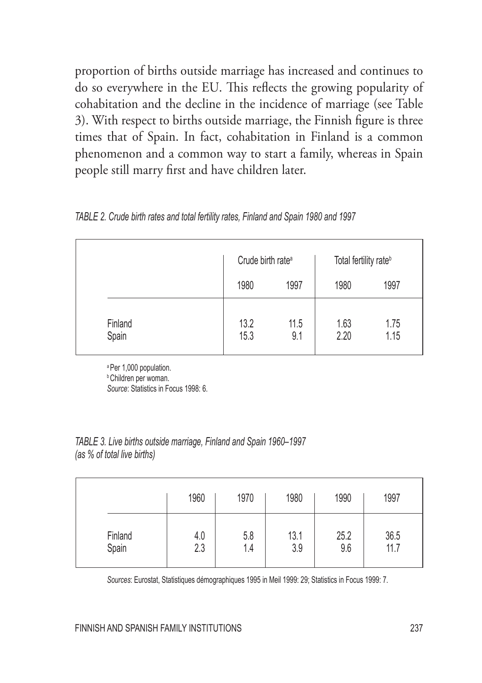proportion of births outside marriage has increased and continues to do so everywhere in the EU. This reflects the growing popularity of cohabitation and the decline in the incidence of marriage (see Table 3). With respect to births outside marriage, the Finnish figure is three times that of Spain. In fact, cohabitation in Finland is a common phenomenon and a common way to start a family, whereas in Spain people still marry first and have children later.

#### *TABLE 2. Crude birth rates and total fertility rates, Finland and Spain 1980 and 1997*

|                  | Crude birth rate <sup>a</sup> |             | Total fertility rate <sup>b</sup> |              |
|------------------|-------------------------------|-------------|-----------------------------------|--------------|
|                  | 1980                          | 1997        | 1980                              | 1997         |
| Finland<br>Spain | 13.2<br>15.3                  | 11.5<br>9.1 | 1.63<br>2.20                      | 1.75<br>1.15 |

a Per 1,000 population. b Children per woman. **Source: Statistics in Focus 1998: 6.** 

| TABLE 3. Live births outside marriage, Finland and Spain 1960–1997 |  |  |
|--------------------------------------------------------------------|--|--|
| (as % of total live births)                                        |  |  |

|         | 1960 | 1970 | 1980 | 1990 | 1997 |
|---------|------|------|------|------|------|
| Finland | 4.0  | 5.8  | 13.1 | 25.2 | 36.5 |
| Spain   | 2.3  | 1.4  | 3.9  | 9.6  | 11.7 |

*Sources*: Eurostat, Statistiques démographiques 1995 in Meil 1999: 29; Statistics in Focus 1999: 7.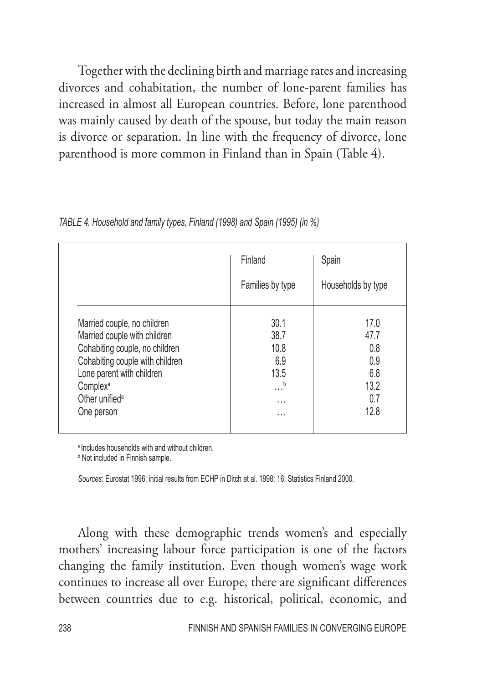Together with the declining birth and marriage rates and increasing divorces and cohabitation, the number of lone-parent families has increased in almost all European countries. Before, lone parenthood was mainly caused by death of the spouse, but today the main reason is divorce or separation. In line with the frequency of divorce, lone parenthood is more common in Finland than in Spain (Table 4).

|                                 | Finland          | Spain              |
|---------------------------------|------------------|--------------------|
|                                 | Families by type | Households by type |
| Married couple, no children     | 30.1             | 17.0               |
| Married couple with children    | 38.7             | 47.7               |
| Cohabiting couple, no children  | 10.8             | 0.8                |
| Cohabiting couple with children | 6.9              | 0.9                |
| Lone parent with children       | 13.5             | 6.8                |
| Complex <sup>a</sup>            | b<br>.           | 13.2               |
| Other unified <sup>a</sup>      | $\cdots$         | 0.7                |
| One person                      | $\cdots$         | 12.8               |

*TABLE 4. Household and family types, Finland (1998) and Spain (1995) (in %)*

a Includes households with and without children.

**D** Not included in Finnish sample.

*Sources*: Eurostat 1996; initial results from ECHP in Ditch et al. 1998: 16; Statistics Finland 2000.

Along with these demographic trends women's and especially mothers' increasing labour force participation is one of the factors changing the family institution. Even though women's wage work continues to increase all over Europe, there are significant differences between countries due to e.g. historical, political, economic, and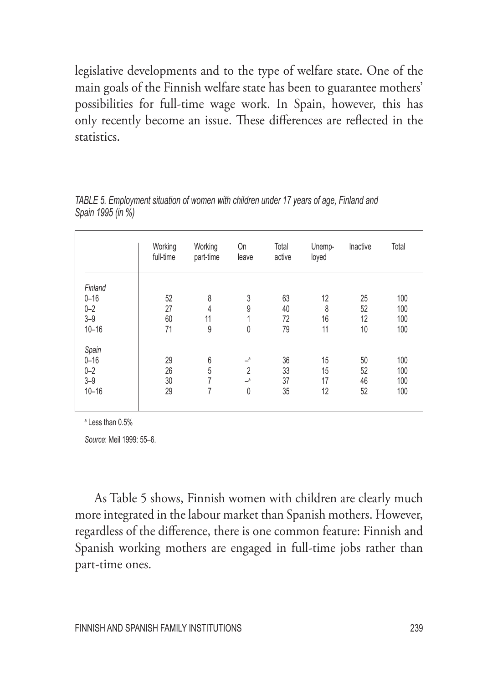legislative developments and to the type of welfare state. One of the main goals of the Finnish welfare state has been to guarantee mothers' possibilities for full-time wage work. In Spain, however, this has only recently become an issue. These differences are reflected in the statistics.

|           | Working<br>full-time | Working<br>part-time | On<br>leave           | Total<br>active | Unemp-<br>loyed | Inactive | Total |
|-----------|----------------------|----------------------|-----------------------|-----------------|-----------------|----------|-------|
| Finland   |                      |                      |                       |                 |                 |          |       |
| $0 - 16$  | 52                   | 8                    | 3                     | 63              | 12              | 25       | 100   |
| $0 - 2$   | 27                   | 4                    | 9                     | 40              | 8               | 52       | 100   |
| $3 - 9$   | 60                   | 11                   | 4                     | 72              | 16              | 12       | 100   |
| $10 - 16$ | 71                   | 9                    | 0                     | 79              | 11              | 10       | 100   |
| Spain     |                      |                      |                       |                 |                 |          |       |
| $0 - 16$  | 29                   | 6                    | $-{}^a$               | 36              | 15              | 50       | 100   |
| $0 - 2$   | 26                   | 5                    | $\overline{2}$        | 33              | 15              | 52       | 100   |
| $3 - 9$   | 30                   | 7                    | $\equiv$ <sup>a</sup> | 37              | 17              | 46       | 100   |
| $10 - 16$ | 29                   | 7                    | 0                     | 35              | 12              | 52       | 100   |
|           |                      |                      |                       |                 |                 |          |       |

*TABLE 5. Employment situation of women with children under 17 years of age, Finland and Spain 1995 (in %)*

a Less than 0.5%

*Source*: Meil 1999: 55–6.

As Table 5 shows, Finnish women with children are clearly much more integrated in the labour market than Spanish mothers. However, regardless of the difference, there is one common feature: Finnish and Spanish working mothers are engaged in full-time jobs rather than part-time ones.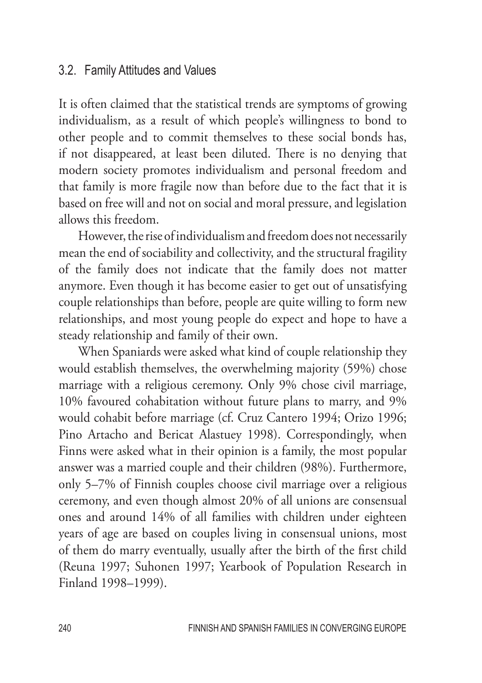#### 3.2. Family Attitudes and Values

It is often claimed that the statistical trends are symptoms of growing individualism, as a result of which people's willingness to bond to other people and to commit themselves to these social bonds has, if not disappeared, at least been diluted. There is no denying that modern society promotes individualism and personal freedom and that family is more fragile now than before due to the fact that it is based on free will and not on social and moral pressure, and legislation allows this freedom.

However, the rise of individualism and freedom does not necessarily mean the end of sociability and collectivity, and the structural fragility of the family does not indicate that the family does not matter anymore. Even though it has become easier to get out of unsatisfying couple relationships than before, people are quite willing to form new relationships, and most young people do expect and hope to have a steady relationship and family of their own.

When Spaniards were asked what kind of couple relationship they would establish themselves, the overwhelming majority (59%) chose marriage with a religious ceremony. Only 9% chose civil marriage, 10% favoured cohabitation without future plans to marry, and 9% would cohabit before marriage (cf. Cruz Cantero 1994; Orizo 1996; Pino Artacho and Bericat Alastuey 1998). Correspondingly, when Finns were asked what in their opinion is a family, the most popular answer was a married couple and their children (98%). Furthermore, only 5–7% of Finnish couples choose civil marriage over a religious ceremony, and even though almost 20% of all unions are consensual ones and around 14% of all families with children under eighteen years of age are based on couples living in consensual unions, most of them do marry eventually, usually after the birth of the first child (Reuna 1997; Suhonen 1997; Yearbook of Population Research in Finland 1998–1999).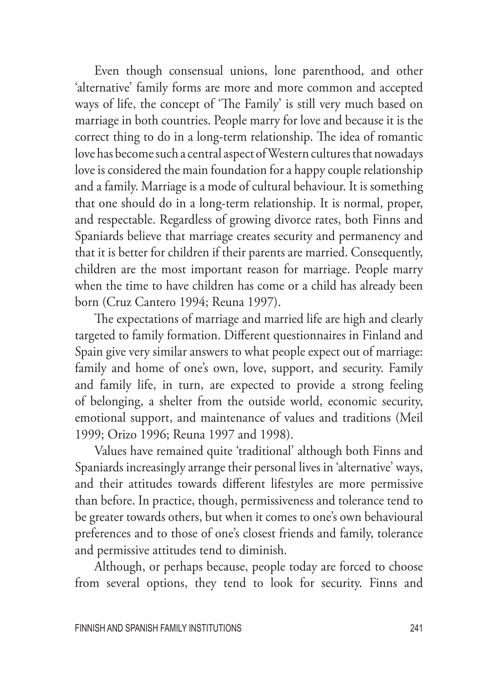Even though consensual unions, lone parenthood, and other 'alternative' family forms are more and more common and accepted ways of life, the concept of 'The Family' is still very much based on marriage in both countries. People marry for love and because it is the correct thing to do in a long-term relationship. The idea of romantic love has become such a central aspect of Western cultures that nowadays love is considered the main foundation for a happy couple relationship and a family. Marriage is a mode of cultural behaviour. It is something that one should do in a long-term relationship. It is normal, proper, and respectable. Regardless of growing divorce rates, both Finns and Spaniards believe that marriage creates security and permanency and that it is better for children if their parents are married. Consequently, children are the most important reason for marriage. People marry when the time to have children has come or a child has already been born (Cruz Cantero 1994; Reuna 1997).

The expectations of marriage and married life are high and clearly targeted to family formation. Different questionnaires in Finland and Spain give very similar answers to what people expect out of marriage: family and home of one's own, love, support, and security. Family and family life, in turn, are expected to provide a strong feeling of belonging, a shelter from the outside world, economic security, emotional support, and maintenance of values and traditions (Meil 1999; Orizo 1996; Reuna 1997 and 1998).

Values have remained quite 'traditional' although both Finns and Spaniards increasingly arrange their personal lives in 'alternative' ways, and their attitudes towards different lifestyles are more permissive than before. In practice, though, permissiveness and tolerance tend to be greater towards others, but when it comes to one's own behavioural preferences and to those of one's closest friends and family, tolerance and permissive attitudes tend to diminish.

Although, or perhaps because, people today are forced to choose from several options, they tend to look for security. Finns and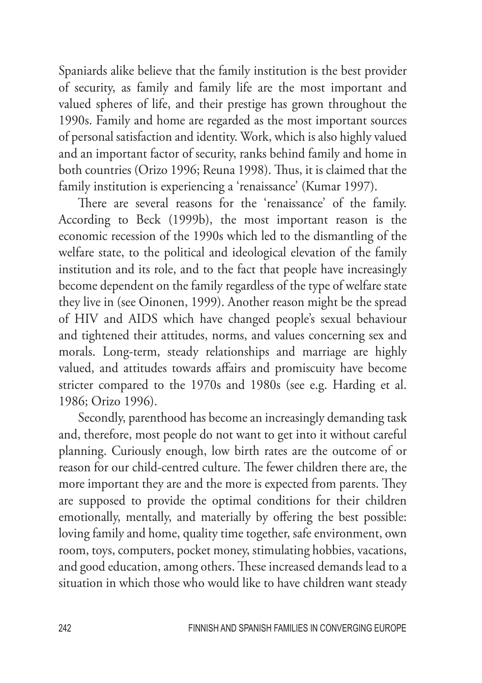Spaniards alike believe that the family institution is the best provider of security, as family and family life are the most important and valued spheres of life, and their prestige has grown throughout the 1990s. Family and home are regarded as the most important sources of personal satisfaction and identity. Work, which is also highly valued and an important factor of security, ranks behind family and home in both countries (Orizo 1996; Reuna 1998). Thus, it is claimed that the family institution is experiencing a 'renaissance' (Kumar 1997).

There are several reasons for the 'renaissance' of the family. According to Beck (1999b), the most important reason is the economic recession of the 1990s which led to the dismantling of the welfare state, to the political and ideological elevation of the family institution and its role, and to the fact that people have increasingly become dependent on the family regardless of the type of welfare state they live in (see Oinonen, 1999). Another reason might be the spread of HIV and AIDS which have changed people's sexual behaviour and tightened their attitudes, norms, and values concerning sex and morals. Long-term, steady relationships and marriage are highly valued, and attitudes towards affairs and promiscuity have become stricter compared to the 1970s and 1980s (see e.g. Harding et al. 1986; Orizo 1996).

Secondly, parenthood has become an increasingly demanding task and, therefore, most people do not want to get into it without careful planning. Curiously enough, low birth rates are the outcome of or reason for our child-centred culture. The fewer children there are, the more important they are and the more is expected from parents. They are supposed to provide the optimal conditions for their children emotionally, mentally, and materially by offering the best possible: loving family and home, quality time together, safe environment, own room, toys, computers, pocket money, stimulating hobbies, vacations, and good education, among others. These increased demands lead to a situation in which those who would like to have children want steady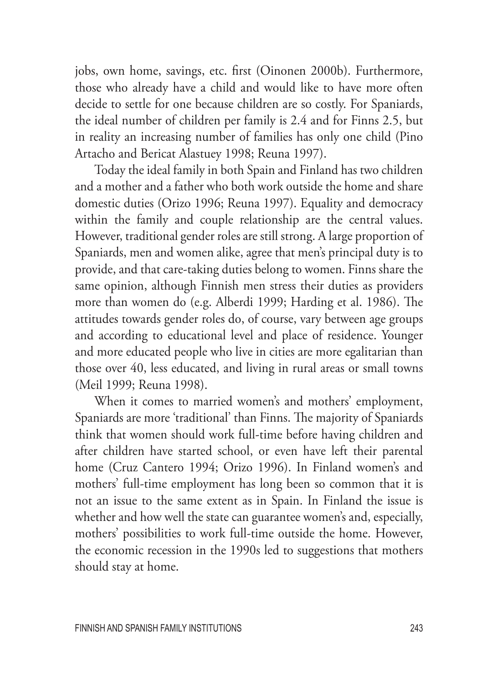jobs, own home, savings, etc. first (Oinonen 2000b). Furthermore, those who already have a child and would like to have more often decide to settle for one because children are so costly. For Spaniards, the ideal number of children per family is 2.4 and for Finns 2.5, but in reality an increasing number of families has only one child (Pino Artacho and Bericat Alastuey 1998; Reuna 1997).

Today the ideal family in both Spain and Finland has two children and a mother and a father who both work outside the home and share domestic duties (Orizo 1996; Reuna 1997). Equality and democracy within the family and couple relationship are the central values. However, traditional gender roles are still strong. A large proportion of Spaniards, men and women alike, agree that men's principal duty is to provide, and that care-taking duties belong to women. Finns share the same opinion, although Finnish men stress their duties as providers more than women do (e.g. Alberdi 1999; Harding et al. 1986). The attitudes towards gender roles do, of course, vary between age groups and according to educational level and place of residence. Younger and more educated people who live in cities are more egalitarian than those over 40, less educated, and living in rural areas or small towns (Meil 1999; Reuna 1998).

When it comes to married women's and mothers' employment, Spaniards are more 'traditional' than Finns. The majority of Spaniards think that women should work full-time before having children and after children have started school, or even have left their parental home (Cruz Cantero 1994; Orizo 1996). In Finland women's and mothers' full-time employment has long been so common that it is not an issue to the same extent as in Spain. In Finland the issue is whether and how well the state can guarantee women's and, especially, mothers' possibilities to work full-time outside the home. However, the economic recession in the 1990s led to suggestions that mothers should stay at home.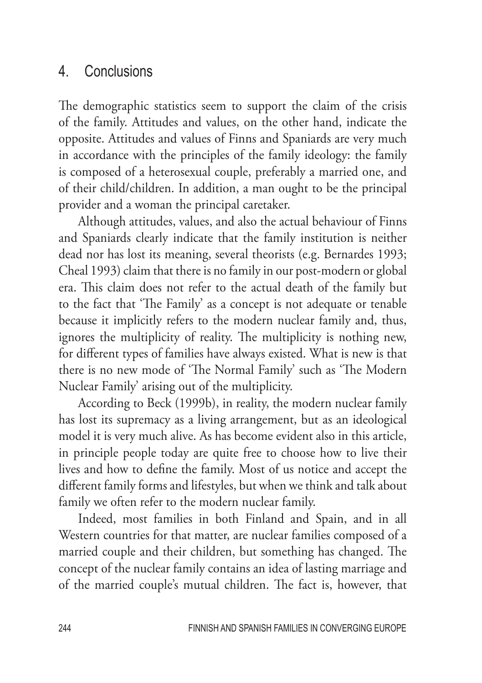## 4. Conclusions

The demographic statistics seem to support the claim of the crisis of the family. Attitudes and values, on the other hand, indicate the opposite. Attitudes and values of Finns and Spaniards are very much in accordance with the principles of the family ideology: the family is composed of a heterosexual couple, preferably a married one, and of their child/children. In addition, a man ought to be the principal provider and a woman the principal caretaker.

Although attitudes, values, and also the actual behaviour of Finns and Spaniards clearly indicate that the family institution is neither dead nor has lost its meaning, several theorists (e.g. Bernardes 1993; Cheal 1993) claim that there is no family in our post-modern or global era. This claim does not refer to the actual death of the family but to the fact that 'The Family' as a concept is not adequate or tenable because it implicitly refers to the modern nuclear family and, thus, ignores the multiplicity of reality. The multiplicity is nothing new, for different types of families have always existed. What is new is that there is no new mode of 'The Normal Family' such as 'The Modern Nuclear Family' arising out of the multiplicity.

According to Beck (1999b), in reality, the modern nuclear family has lost its supremacy as a living arrangement, but as an ideological model it is very much alive. As has become evident also in this article, in principle people today are quite free to choose how to live their lives and how to define the family. Most of us notice and accept the different family forms and lifestyles, but when we think and talk about family we often refer to the modern nuclear family.

Indeed, most families in both Finland and Spain, and in all Western countries for that matter, are nuclear families composed of a married couple and their children, but something has changed. The concept of the nuclear family contains an idea of lasting marriage and of the married couple's mutual children. The fact is, however, that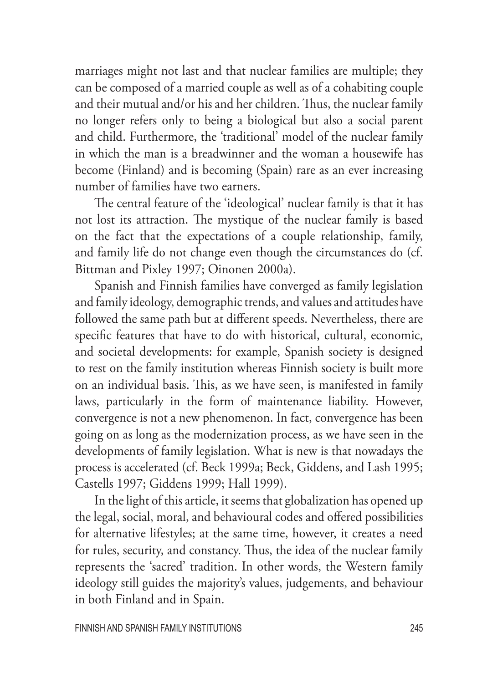marriages might not last and that nuclear families are multiple; they can be composed of a married couple as well as of a cohabiting couple and their mutual and/or his and her children. Thus, the nuclear family no longer refers only to being a biological but also a social parent and child. Furthermore, the 'traditional' model of the nuclear family in which the man is a breadwinner and the woman a housewife has become (Finland) and is becoming (Spain) rare as an ever increasing number of families have two earners.

The central feature of the 'ideological' nuclear family is that it has not lost its attraction. The mystique of the nuclear family is based on the fact that the expectations of a couple relationship, family, and family life do not change even though the circumstances do (cf. Bittman and Pixley 1997; Oinonen 2000a).

Spanish and Finnish families have converged as family legislation and family ideology, demographic trends, and values and attitudes have followed the same path but at different speeds. Nevertheless, there are specific features that have to do with historical, cultural, economic, and societal developments: for example, Spanish society is designed to rest on the family institution whereas Finnish society is built more on an individual basis. This, as we have seen, is manifested in family laws, particularly in the form of maintenance liability. However, convergence is not a new phenomenon. In fact, convergence has been going on as long as the modernization process, as we have seen in the developments of family legislation. What is new is that nowadays the process is accelerated (cf. Beck 1999a; Beck, Giddens, and Lash 1995; Castells 1997; Giddens 1999; Hall 1999).

In the light of this article, it seems that globalization has opened up the legal, social, moral, and behavioural codes and offered possibilities for alternative lifestyles; at the same time, however, it creates a need for rules, security, and constancy. Thus, the idea of the nuclear family represents the 'sacred' tradition. In other words, the Western family ideology still guides the majority's values, judgements, and behaviour in both Finland and in Spain.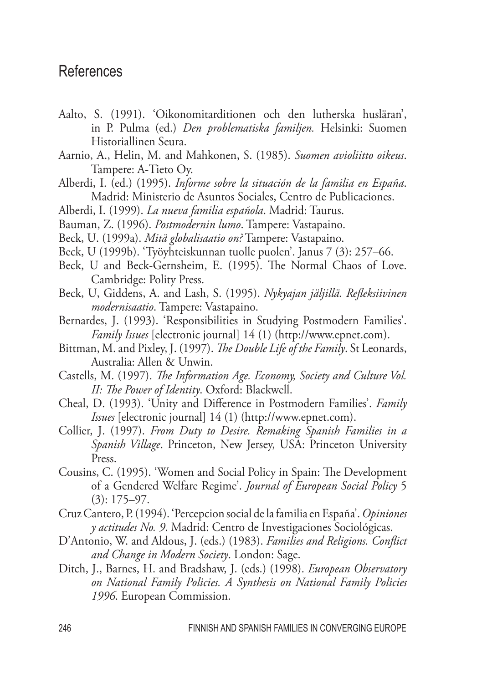#### References

- Aalto, S. (1991). 'Oikonomitarditionen och den lutherska husläran', in P. Pulma (ed.) *Den problematiska familjen.* Helsinki: Suomen Historiallinen Seura.
- Aarnio, A., Helin, M. and Mahkonen, S. (1985). *Suomen avioliitto oikeus*. Tampere: A-Tieto Oy.
- Alberdi, I. (ed.) (1995). *Informe sobre la situación de la familia en España*. Madrid: Ministerio de Asuntos Sociales, Centro de Publicaciones.
- Alberdi, I. (1999). *La nueva familia española*. Madrid: Taurus.
- Bauman, Z. (1996). *Postmodernin lumo*. Tampere: Vastapaino.
- Beck, U. (1999a). *Mitä globalisaatio on?* Tampere: Vastapaino.
- Beck, U (1999b). 'Työyhteiskunnan tuolle puolen'. Janus 7 (3): 257–66.
- Beck, U and Beck-Gernsheim, E. (1995). The Normal Chaos of Love. Cambridge: Polity Press.
- Beck, U, Giddens, A. and Lash, S. (1995). *Nykyajan jäljillä. Refleksiivinen modernisaatio*. Tampere: Vastapaino.
- Bernardes, J. (1993). 'Responsibilities in Studying Postmodern Families'. *Family Issues* [electronic journal] 14 (1) (http://www.epnet.com).
- Bittman, M. and Pixley, J. (1997). *The Double Life of the Family*. St Leonards, Australia: Allen & Unwin.
- Castells, M. (1997). *The Information Age. Economy, Society and Culture Vol. II: The Power of Identity*. Oxford: Blackwell.
- Cheal, D. (1993). 'Unity and Difference in Postmodern Families'. *Family Issues* [electronic journal] 14 (1) (http://www.epnet.com).
- Collier, J. (1997). *From Duty to Desire. Remaking Spanish Families in a Spanish Village*. Princeton, New Jersey, USA: Princeton University Press.
- Cousins, C. (1995). 'Women and Social Policy in Spain: The Development of a Gendered Welfare Regime'. *Journal of European Social Policy* 5 (3): 175–97.
- Cruz Cantero, P. (1994). 'Percepcion social de la familia en España'. *Opiniones y actitudes No. 9*. Madrid: Centro de Investigaciones Sociológicas.
- D'Antonio, W. and Aldous, J. (eds.) (1983). *Families and Religions. Conflict and Change in Modern Society*. London: Sage.
- Ditch, J., Barnes, H. and Bradshaw, J. (eds.) (1998). *European Observatory on National Family Policies. A Synthesis on National Family Policies 1996*. European Commission.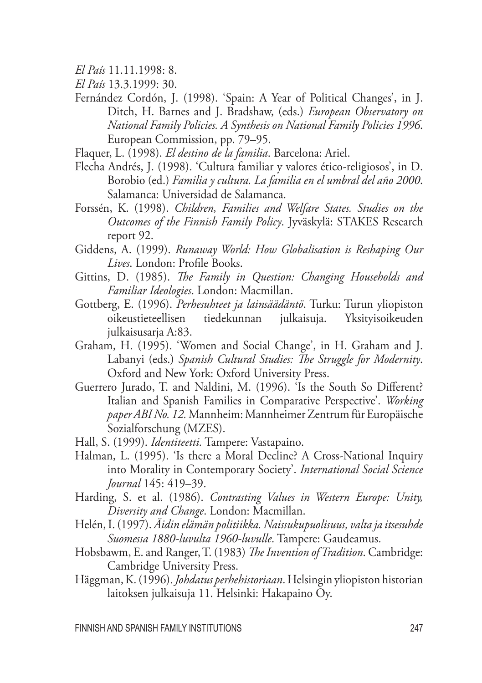*El País* 11.11.1998: 8.

- *El País* 13.3.1999: 30.
- Fernández Cordón, J. (1998). 'Spain: A Year of Political Changes', in J. Ditch, H. Barnes and J. Bradshaw, (eds.) *European Observatory on National Family Policies. A Synthesis on National Family Policies 1996*. European Commission, pp. 79–95.

Flaquer, L. (1998). *El destino de la familia*. Barcelona: Ariel.

- Flecha Andrés, J. (1998). 'Cultura familiar y valores ético-religiosos', in D. Borobio (ed.) *Familia y cultura. La familia en el umbral del año 2000*. Salamanca: Universidad de Salamanca.
- Forssén, K. (1998). *Children, Families and Welfare States. Studies on the Outcomes of the Finnish Family Policy*. Jyväskylä: STAKES Research report 92.
- Giddens, A. (1999). *Runaway World: How Globalisation is Reshaping Our Lives*. London: Profile Books.
- Gittins, D. (1985). *The Family in Question: Changing Households and Familiar Ideologies*. London: Macmillan.
- Gottberg, E. (1996). *Perhesuhteet ja lainsäädäntö*. Turku: Turun yliopiston oikeustieteellisen tiedekunnan julkaisuja. Yksityisoikeuden julkaisusarja A:83.
- Graham, H. (1995). 'Women and Social Change', in H. Graham and J. Labanyi (eds.) *Spanish Cultural Studies: The Struggle for Modernity*. Oxford and New York: Oxford University Press.
- Guerrero Jurado, T. and Naldini, M. (1996). 'Is the South So Different? Italian and Spanish Families in Comparative Perspective'. *Working paper ABI No. 12.* Mannheim: Mannheimer Zentrum für Europäische Sozialforschung (MZES).

Hall, S. (1999). *Identiteetti.* Tampere: Vastapaino.

- Halman, L. (1995). 'Is there a Moral Decline? A Cross-National Inquiry into Morality in Contemporary Society'. *International Social Science Journal* 145: 419–39.
- Harding, S. et al. (1986). *Contrasting Values in Western Europe: Unity, Diversity and Change*. London: Macmillan.
- Helén, I. (1997). *Äidin elämän politiikka. Naissukupuolisuus, valta ja itsesuhde Suomessa 1880-luvulta 1960-luvulle*. Tampere: Gaudeamus.
- Hobsbawm, E. and Ranger, T. (1983) *The Invention of Tradition*. Cambridge: Cambridge University Press.
- Häggman, K. (1996). *Johdatus perhehistoriaan*. Helsingin yliopiston historian laitoksen julkaisuja 11. Helsinki: Hakapaino Oy.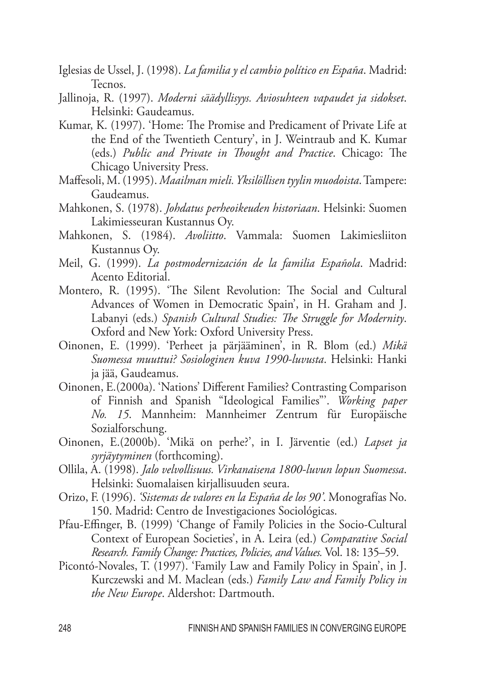- Iglesias de Ussel, J. (1998). *La familia y el cambio político en España*. Madrid: Tecnos.
- Jallinoja, R. (1997). *Moderni säädyllisyys. Aviosuhteen vapaudet ja sidokset*. Helsinki: Gaudeamus.
- Kumar, K. (1997). 'Home: The Promise and Predicament of Private Life at the End of the Twentieth Century', in J. Weintraub and K. Kumar (eds.) *Public and Private in Thought and Practice*. Chicago: The Chicago University Press.
- Maff esoli, M. (1995). *Maailman mieli. Yksilöllisen tyylin muodoista*. Tampere: Gaudeamus.
- Mahkonen, S. (1978). *Johdatus perheoikeuden historiaan*. Helsinki: Suomen Lakimiesseuran Kustannus Oy.
- Mahkonen, S. (1984). *Avoliitto*. Vammala: Suomen Lakimiesliiton Kustannus Oy.
- Meil, G. (1999). *La postmodernización de la familia Española*. Madrid: Acento Editorial.
- Montero, R. (1995). 'The Silent Revolution: The Social and Cultural Advances of Women in Democratic Spain', in H. Graham and J. Labanyi (eds.) *Spanish Cultural Studies: The Struggle for Modernity*. Oxford and New York: Oxford University Press.
- Oinonen, E. (1999). 'Perheet ja pärjääminen', in R. Blom (ed.) *Mikä Suomessa muuttui? Sosiologinen kuva 1990-luvusta*. Helsinki: Hanki ja jää, Gaudeamus.
- Oinonen, E.(2000a). 'Nations' Different Families? Contrasting Comparison of Finnish and Spanish "Ideological Families"'. *Working paper No. 15*. Mannheim: Mannheimer Zentrum für Europäische Sozialforschung.
- Oinonen, E.(2000b). 'Mikä on perhe?', in I. Järventie (ed.) *Lapset ja syrjäytyminen* (forthcoming).
- Ollila, A. (1998). *Jalo velvollisuus. Virkanaisena 1800-luvun lopun Suomessa*. Helsinki: Suomalaisen kirjallisuuden seura.
- Orizo, F. (1996). *'Sistemas de valores en la España de los 90'*. Monografías No. 150. Madrid: Centro de Investigaciones Sociológicas.
- Pfau-Effinger, B. (1999) 'Change of Family Policies in the Socio-Cultural Context of European Societies', in A. Leira (ed.) *Comparative Social Research. Family Change: Practices, Policies, and Values.* Vol. 18: 135–59.
- Picontó-Novales, T. (1997). 'Family Law and Family Policy in Spain', in J. Kurczewski and M. Maclean (eds.) *Family Law and Family Policy in the New Europe*. Aldershot: Dartmouth.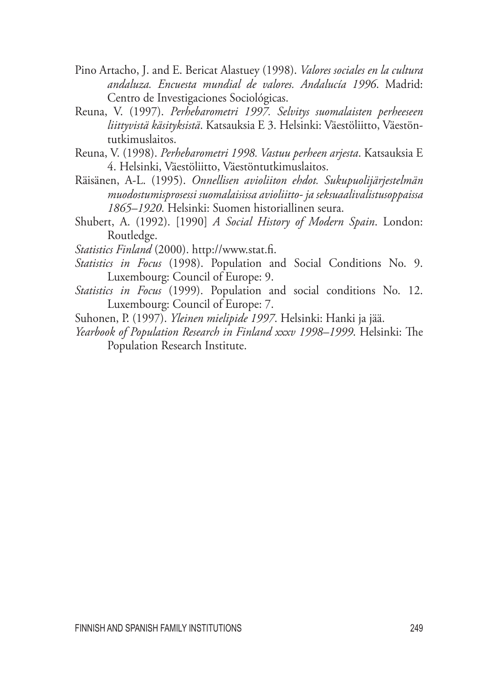- Pino Artacho, J. and E. Bericat Alastuey (1998). *Valores sociales en la cultura andaluza. Encuesta mundial de valores. Andalucía 1996*. Madrid: Centro de Investigaciones Sociológicas.
- Reuna, V. (1997). *Perhebarometri 1997. Selvitys suomalaisten perheeseen liittyvistä käsityksistä*. Katsauksia E 3. Helsinki: Väestöliitto, Väestöntutkimuslaitos.
- Reuna, V. (1998). *Perhebarometri 1998. Vastuu perheen arjesta*. Katsauksia E 4. Helsinki, Väestöliitto, Väestöntutkimuslaitos.
- Räisänen, A-L. (1995). *Onnellisen avioliiton ehdot. Sukupuolijärjestelmän muodostumisprosessi suomalaisissa avioliitto- ja seksuaalivalistusoppaissa 1865–1920*. Helsinki: Suomen historiallinen seura.
- Shubert, A. (1992). [1990] *A Social History of Modern Spain*. London: Routledge.
- *Statistics Finland* (2000). http://www.stat.fi.
- *Statistics in Focus* (1998). Population and Social Conditions No. 9. Luxembourg: Council of Europe: 9.
- *Statistics in Focus* (1999). Population and social conditions No. 12. Luxembourg: Council of Europe: 7.
- Suhonen, P. (1997). *Yleinen mielipide 1997*. Helsinki: Hanki ja jää.
- *Yearbook of Population Research in Finland xxxv 1998–1999*. Helsinki: The Population Research Institute.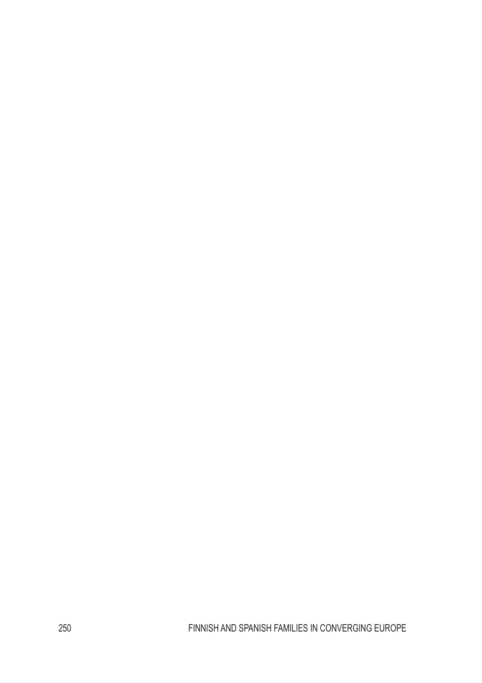250 FINNISH AND SPANISH FAMILIES IN CONVERGING EUROPE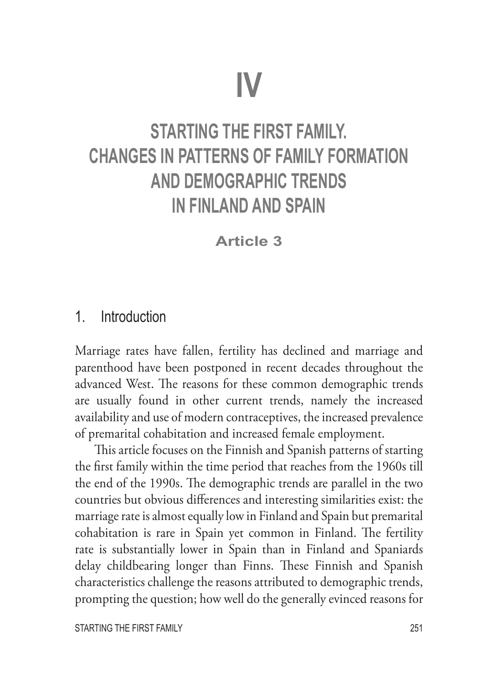# **IV**

# **STARTING THE FIRST FAMILY. CHANGES IN PATTERNS OF FAMILY FORMATION AND DEMOGRAPHIC TRENDS IN FINLAND AND SPAIN**

**Article 3**

## 1. Introduction

Marriage rates have fallen, fertility has declined and marriage and parenthood have been postponed in recent decades throughout the advanced West. The reasons for these common demographic trends are usually found in other current trends, namely the increased availability and use of modern contraceptives, the increased prevalence of premarital cohabitation and increased female employment.

This article focuses on the Finnish and Spanish patterns of starting the first family within the time period that reaches from the 1960s till the end of the 1990s. The demographic trends are parallel in the two countries but obvious differences and interesting similarities exist: the marriage rate is almost equally low in Finland and Spain but premarital cohabitation is rare in Spain yet common in Finland. The fertility rate is substantially lower in Spain than in Finland and Spaniards delay childbearing longer than Finns. These Finnish and Spanish characteristics challenge the reasons attributed to demographic trends, prompting the question; how well do the generally evinced reasons for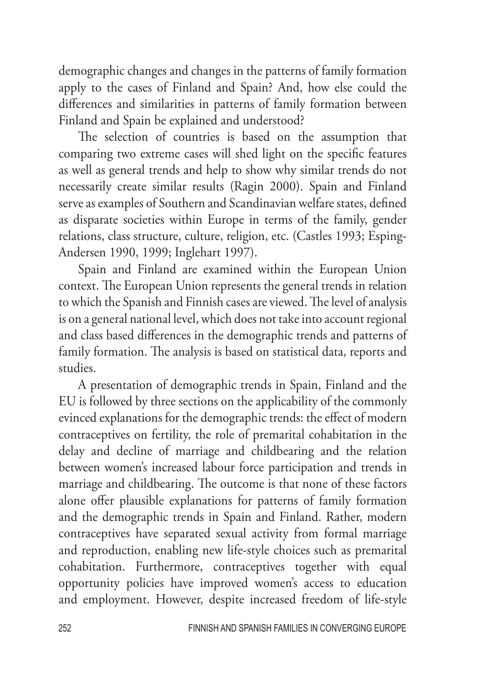demographic changes and changes in the patterns of family formation apply to the cases of Finland and Spain? And, how else could the differences and similarities in patterns of family formation between Finland and Spain be explained and understood?

The selection of countries is based on the assumption that comparing two extreme cases will shed light on the specific features as well as general trends and help to show why similar trends do not necessarily create similar results (Ragin 2000). Spain and Finland serve as examples of Southern and Scandinavian welfare states, defined as disparate societies within Europe in terms of the family, gender relations, class structure, culture, religion, etc. (Castles 1993; Esping-Andersen 1990, 1999; Inglehart 1997).

Spain and Finland are examined within the European Union context. The European Union represents the general trends in relation to which the Spanish and Finnish cases are viewed. The level of analysis is on a general national level, which does not take into account regional and class based differences in the demographic trends and patterns of family formation. The analysis is based on statistical data, reports and studies.

A presentation of demographic trends in Spain, Finland and the EU is followed by three sections on the applicability of the commonly evinced explanations for the demographic trends: the effect of modern contraceptives on fertility, the role of premarital cohabitation in the delay and decline of marriage and childbearing and the relation between women's increased labour force participation and trends in marriage and childbearing. The outcome is that none of these factors alone offer plausible explanations for patterns of family formation and the demographic trends in Spain and Finland. Rather, modern contraceptives have separated sexual activity from formal marriage and reproduction, enabling new life-style choices such as premarital cohabitation. Furthermore, contraceptives together with equal opportunity policies have improved women's access to education and employment. However, despite increased freedom of life-style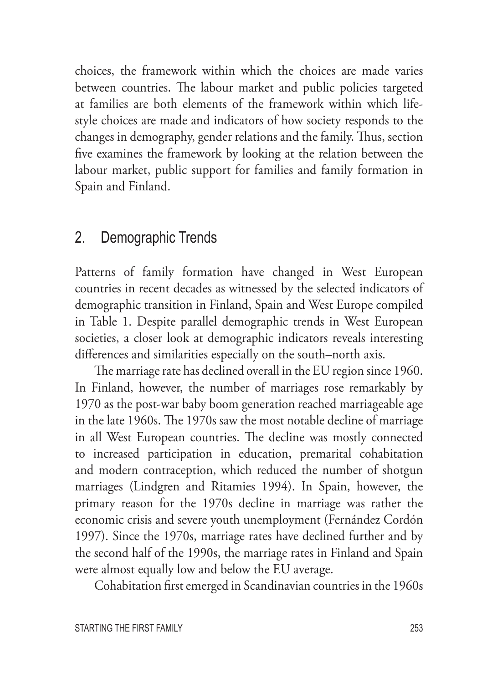choices, the framework within which the choices are made varies between countries. The labour market and public policies targeted at families are both elements of the framework within which lifestyle choices are made and indicators of how society responds to the changes in demography, gender relations and the family. Thus, section five examines the framework by looking at the relation between the labour market, public support for families and family formation in Spain and Finland.

# 2. Demographic Trends

Patterns of family formation have changed in West European countries in recent decades as witnessed by the selected indicators of demographic transition in Finland, Spain and West Europe compiled in Table 1. Despite parallel demographic trends in West European societies, a closer look at demographic indicators reveals interesting differences and similarities especially on the south–north axis.

The marriage rate has declined overall in the EU region since 1960. In Finland, however, the number of marriages rose remarkably by 1970 as the post-war baby boom generation reached marriageable age in the late 1960s. The 1970s saw the most notable decline of marriage in all West European countries. The decline was mostly connected to increased participation in education, premarital cohabitation and modern contraception, which reduced the number of shotgun marriages (Lindgren and Ritamies 1994). In Spain, however, the primary reason for the 1970s decline in marriage was rather the economic crisis and severe youth unemployment (Fernández Cordón 1997). Since the 1970s, marriage rates have declined further and by the second half of the 1990s, the marriage rates in Finland and Spain were almost equally low and below the EU average.

Cohabitation first emerged in Scandinavian countries in the 1960s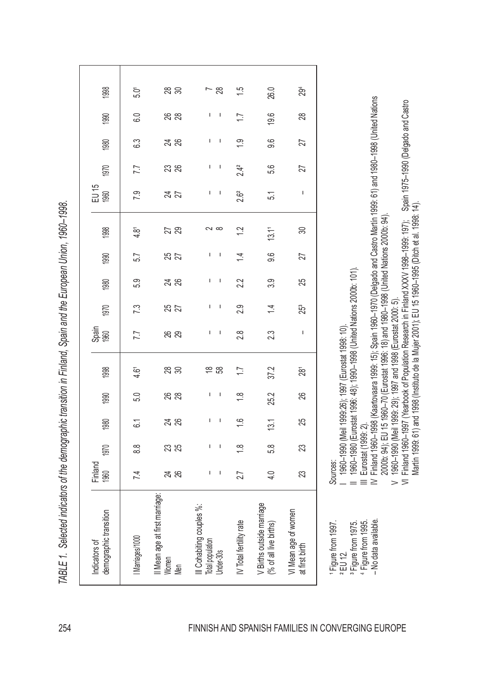*TABLE 1. Selected indicators of the demographic transition in Finland, Spain and the European Union, 1960–1998.*

 $\overline{a}$  $\frac{8}{20}$  $N$ Total fertility rate 2.7 1.8 1.8 1.7 1.2 2.2 1.4 1.4 1.2 2.2 2.2 2.4 1.9 1.7 1.5 1.5 at first birth 12.3 2.3 2.5 2.6 2.6 2.6 2.6 2.5 2.7 2.9 2.2.7 2.2.4 2.2.4 2.2.4 2.2.4 2.2.4 2.2.4 2.2.4 2.2.4 2.2.4 2.2.4 2.2.4 2.2.4 2.2.4 2.2.4 2.2.4 2.2.4 2.2.4 2.2.4 2.2.4 2.2.4 2.2.4 2.2.4 2.2.4 2.2.4 2.2.4 2.2.4 2.2. demographic transition 1960 1970 1980 1990 1998 1960 1970 1980 1990 1998 1960 1970 1980 1990 1998 IMariages/1000 7.7 7.3 8.8 8.8 4.61 7.7 7.3 5.9 4.61 5.0 4.81 1 7.3 6.3 6.0 5.00 5.00 5.00 5.00 5.00 5.00 5.00 Women 24 23 24 24 26 26 26 26 25 24 25 27 24 23 24 26 26 28 Men 26 26 26 26 28 30 1 29 27 28 27 29 27 27 28 28 30 Total population – – – – 18 – – – – 2 – – – – 7 Under-30s – – – – 58 – – – – 8 – – – – 28 % of allive births) | 4.0 5.8 13.1 2.3 1.4 3.3 9.3.9 9.3 9.6 13.1' | 5.1 5.6 9.6 19.6 2.60 254 FINNISH AND SPANISH FAMILIES IN CONVERGING EUROPE *Sources*: I 1960–1990 (Meil 1999:26); 1997 (Eurostat 1998: 10). II 1960–1980 (Eurostat 1996: 48); 1990–1998 (United Nations 2000b: 101). III Eurostat (1999: 2). IV Finland 1960–1998 (Kaartovaara 1999: 15); Spain 1960–1970 (Delgado and Castro Martín 1999: 61) and 1980–1998 (United Nations 2000b: 94); EU 15 1960–70 (Eurostat 1996: 18) and 1980–1998 (United Nations 2000b: 94). V 1960–1990 (Meil 1999: 29); 1997 and 1998 (Eurostat 2000: 5). VI Finland 1960–1997 (Yearbook of Population Research in Finland XXXV 1998–1999: 197); Spain 1975–1990 (Delgado and Castro Indicators of Finland Spain EU 15 II Mean age at first marriage: V Births outside marriage III Cohabiting couples %: VI Mean age of women 4 Figure from 1995. ¹ Figure from 1997. ³ Figure from 1975. ² EU 12.

Martín 1999: 61) and 1998 (Instituto de la Mujer 2001); EU 15 1960–1995 (Ditch et al. 1998: 14).

– No data available.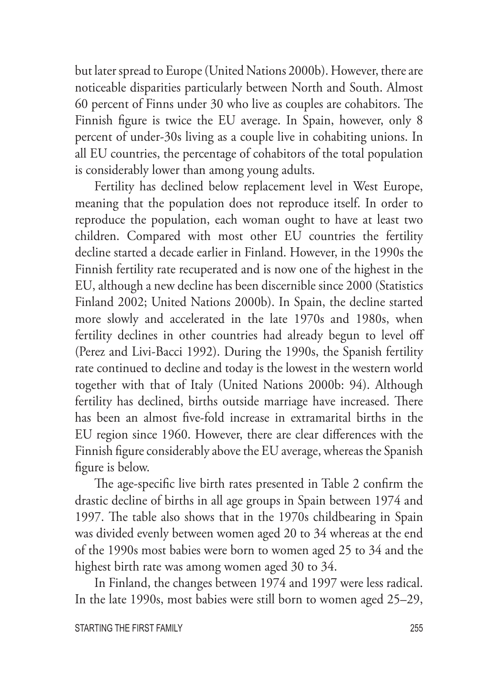but later spread to Europe (United Nations 2000b). However, there are noticeable disparities particularly between North and South. Almost 60 percent of Finns under 30 who live as couples are cohabitors. The Finnish figure is twice the EU average. In Spain, however, only 8 percent of under-30s living as a couple live in cohabiting unions. In all EU countries, the percentage of cohabitors of the total population is considerably lower than among young adults.

Fertility has declined below replacement level in West Europe, meaning that the population does not reproduce itself. In order to reproduce the population, each woman ought to have at least two children. Compared with most other EU countries the fertility decline started a decade earlier in Finland. However, in the 1990s the Finnish fertility rate recuperated and is now one of the highest in the EU, although a new decline has been discernible since 2000 (Statistics Finland 2002; United Nations 2000b). In Spain, the decline started more slowly and accelerated in the late 1970s and 1980s, when fertility declines in other countries had already begun to level off (Perez and Livi-Bacci 1992). During the 1990s, the Spanish fertility rate continued to decline and today is the lowest in the western world together with that of Italy (United Nations 2000b: 94). Although fertility has declined, births outside marriage have increased. There has been an almost five-fold increase in extramarital births in the EU region since 1960. However, there are clear differences with the Finnish figure considerably above the EU average, whereas the Spanish figure is below.

The age-specific live birth rates presented in Table 2 confirm the drastic decline of births in all age groups in Spain between 1974 and 1997. The table also shows that in the 1970s childbearing in Spain was divided evenly between women aged 20 to 34 whereas at the end of the 1990s most babies were born to women aged 25 to 34 and the highest birth rate was among women aged 30 to 34.

In Finland, the changes between 1974 and 1997 were less radical. In the late 1990s, most babies were still born to women aged 25–29,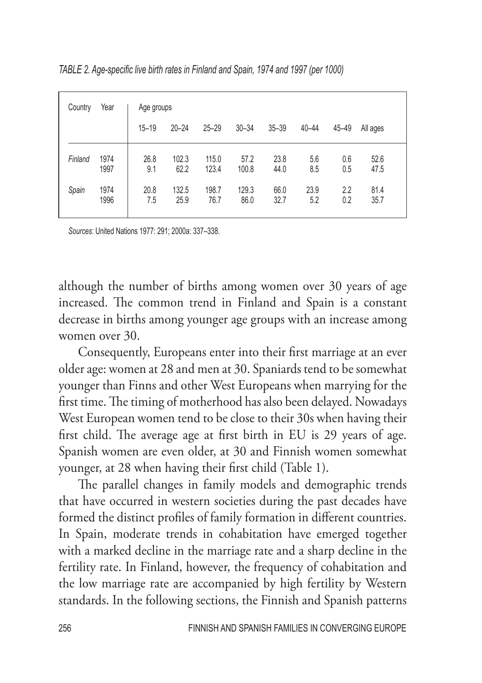| Country | Year         | Age groups  |               |                |               |              |             |            |              |  |
|---------|--------------|-------------|---------------|----------------|---------------|--------------|-------------|------------|--------------|--|
|         |              | $15 - 19$   | $20 - 24$     | $25 - 29$      | $30 - 34$     | $35 - 39$    | $40 - 44$   | 45-49      | All ages     |  |
| Finland | 1974<br>1997 | 26.8<br>9.1 | 102.3<br>62.2 | 115.0<br>123.4 | 57.2<br>100.8 | 23.8<br>44.0 | 5.6<br>8.5  | 0.6<br>0.5 | 52.6<br>47.5 |  |
| Spain   | 1974<br>1996 | 20.8<br>7.5 | 132.5<br>25.9 | 198.7<br>76.7  | 129.3<br>86.0 | 66.0<br>32.7 | 23.9<br>5.2 | 2.2<br>0.2 | 81.4<br>35.7 |  |

*TABLE 2. Age-specific live birth rates in Finland and Spain, 1974 and 1997 (per 1000)*

*Sources*: United Nations 1977: 291; 2000a: 337–338.

although the number of births among women over 30 years of age increased. The common trend in Finland and Spain is a constant decrease in births among younger age groups with an increase among women over 30.

Consequently, Europeans enter into their first marriage at an ever older age: women at 28 and men at 30. Spaniards tend to be somewhat younger than Finns and other West Europeans when marrying for the first time. The timing of motherhood has also been delayed. Nowadays West European women tend to be close to their 30s when having their first child. The average age at first birth in EU is 29 years of age. Spanish women are even older, at 30 and Finnish women somewhat younger, at 28 when having their first child (Table 1).

The parallel changes in family models and demographic trends that have occurred in western societies during the past decades have formed the distinct profiles of family formation in different countries. In Spain, moderate trends in cohabitation have emerged together with a marked decline in the marriage rate and a sharp decline in the fertility rate. In Finland, however, the frequency of cohabitation and the low marriage rate are accompanied by high fertility by Western standards. In the following sections, the Finnish and Spanish patterns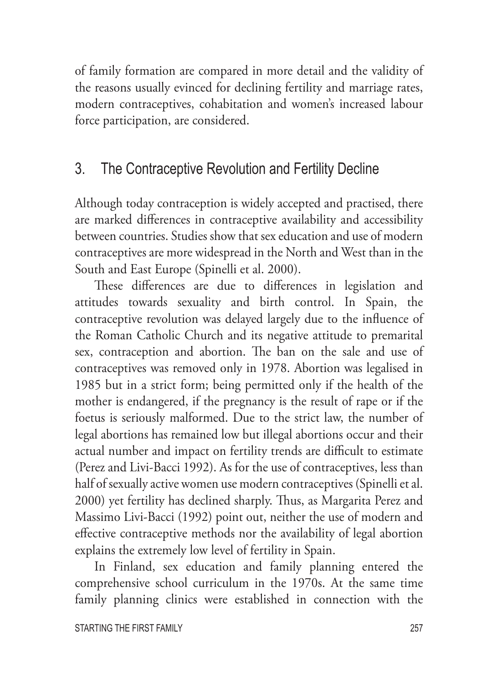of family formation are compared in more detail and the validity of the reasons usually evinced for declining fertility and marriage rates, modern contraceptives, cohabitation and women's increased labour force participation, are considered.

# 3. The Contraceptive Revolution and Fertility Decline

Although today contraception is widely accepted and practised, there are marked differences in contraceptive availability and accessibility between countries. Studies show that sex education and use of modern contraceptives are more widespread in the North and West than in the South and East Europe (Spinelli et al. 2000).

These differences are due to differences in legislation and attitudes towards sexuality and birth control. In Spain, the contraceptive revolution was delayed largely due to the influence of the Roman Catholic Church and its negative attitude to premarital sex, contraception and abortion. The ban on the sale and use of contraceptives was removed only in 1978. Abortion was legalised in 1985 but in a strict form; being permitted only if the health of the mother is endangered, if the pregnancy is the result of rape or if the foetus is seriously malformed. Due to the strict law, the number of legal abortions has remained low but illegal abortions occur and their actual number and impact on fertility trends are difficult to estimate (Perez and Livi-Bacci 1992). As for the use of contraceptives, less than half of sexually active women use modern contraceptives (Spinelli et al. 2000) yet fertility has declined sharply. Thus, as Margarita Perez and Massimo Livi-Bacci (1992) point out, neither the use of modern and effective contraceptive methods nor the availability of legal abortion explains the extremely low level of fertility in Spain.

In Finland, sex education and family planning entered the comprehensive school curriculum in the 1970s. At the same time family planning clinics were established in connection with the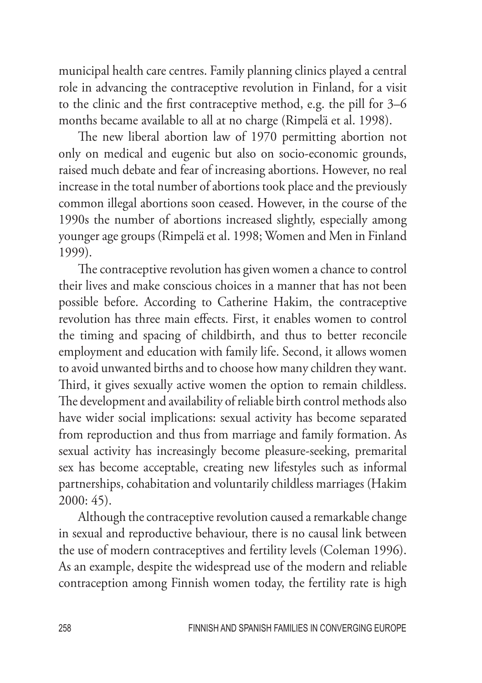municipal health care centres. Family planning clinics played a central role in advancing the contraceptive revolution in Finland, for a visit to the clinic and the first contraceptive method, e.g. the pill for 3–6 months became available to all at no charge (Rimpelä et al. 1998).

The new liberal abortion law of 1970 permitting abortion not only on medical and eugenic but also on socio-economic grounds, raised much debate and fear of increasing abortions. However, no real increase in the total number of abortions took place and the previously common illegal abortions soon ceased. However, in the course of the 1990s the number of abortions increased slightly, especially among younger age groups (Rimpelä et al. 1998; Women and Men in Finland 1999).

The contraceptive revolution has given women a chance to control their lives and make conscious choices in a manner that has not been possible before. According to Catherine Hakim, the contraceptive revolution has three main effects. First, it enables women to control the timing and spacing of childbirth, and thus to better reconcile employment and education with family life. Second, it allows women to avoid unwanted births and to choose how many children they want. Third, it gives sexually active women the option to remain childless. The development and availability of reliable birth control methods also have wider social implications: sexual activity has become separated from reproduction and thus from marriage and family formation. As sexual activity has increasingly become pleasure-seeking, premarital sex has become acceptable, creating new lifestyles such as informal partnerships, cohabitation and voluntarily childless marriages (Hakim 2000: 45).

Although the contraceptive revolution caused a remarkable change in sexual and reproductive behaviour, there is no causal link between the use of modern contraceptives and fertility levels (Coleman 1996). As an example, despite the widespread use of the modern and reliable contraception among Finnish women today, the fertility rate is high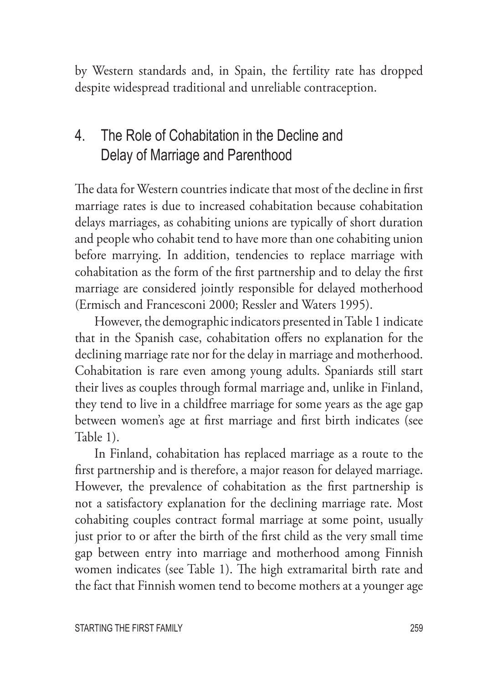by Western standards and, in Spain, the fertility rate has dropped despite widespread traditional and unreliable contraception.

# 4. The Role of Cohabitation in the Decline and Delay of Marriage and Parenthood

The data for Western countries indicate that most of the decline in first marriage rates is due to increased cohabitation because cohabitation delays marriages, as cohabiting unions are typically of short duration and people who cohabit tend to have more than one cohabiting union before marrying. In addition, tendencies to replace marriage with cohabitation as the form of the first partnership and to delay the first marriage are considered jointly responsible for delayed motherhood (Ermisch and Francesconi 2000; Ressler and Waters 1995).

However, the demographic indicators presented in Table 1 indicate that in the Spanish case, cohabitation offers no explanation for the declining marriage rate nor for the delay in marriage and motherhood. Cohabitation is rare even among young adults. Spaniards still start their lives as couples through formal marriage and, unlike in Finland, they tend to live in a childfree marriage for some years as the age gap between women's age at first marriage and first birth indicates (see Table 1).

In Finland, cohabitation has replaced marriage as a route to the first partnership and is therefore, a major reason for delayed marriage. However, the prevalence of cohabitation as the first partnership is not a satisfactory explanation for the declining marriage rate. Most cohabiting couples contract formal marriage at some point, usually just prior to or after the birth of the first child as the very small time gap between entry into marriage and motherhood among Finnish women indicates (see Table 1). The high extramarital birth rate and the fact that Finnish women tend to become mothers at a younger age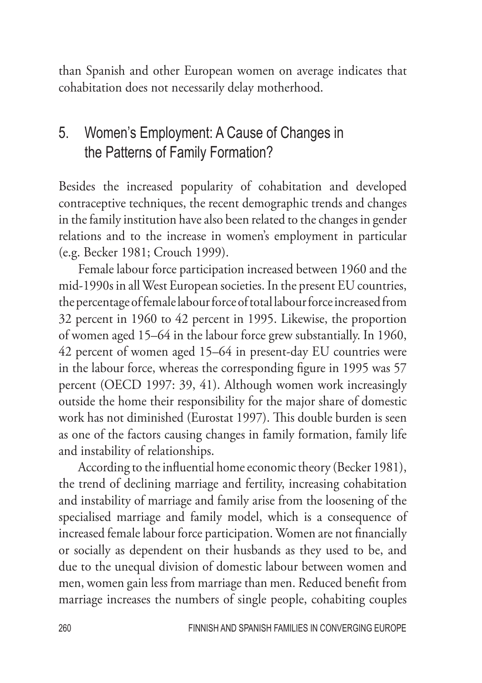than Spanish and other European women on average indicates that cohabitation does not necessarily delay motherhood.

# 5. Women's Employment: A Cause of Changes in the Patterns of Family Formation?

Besides the increased popularity of cohabitation and developed contraceptive techniques, the recent demographic trends and changes in the family institution have also been related to the changes in gender relations and to the increase in women's employment in particular (e.g. Becker 1981; Crouch 1999).

Female labour force participation increased between 1960 and the mid-1990s in all West European societies. In the present EU countries, the percentage of female labour force of total labour force increased from 32 percent in 1960 to 42 percent in 1995. Likewise, the proportion of women aged 15–64 in the labour force grew substantially. In 1960, 42 percent of women aged 15–64 in present-day EU countries were in the labour force, whereas the corresponding figure in 1995 was 57 percent (OECD 1997: 39, 41). Although women work increasingly outside the home their responsibility for the major share of domestic work has not diminished (Eurostat 1997). This double burden is seen as one of the factors causing changes in family formation, family life and instability of relationships.

According to the influential home economic theory (Becker 1981), the trend of declining marriage and fertility, increasing cohabitation and instability of marriage and family arise from the loosening of the specialised marriage and family model, which is a consequence of increased female labour force participation. Women are not financially or socially as dependent on their husbands as they used to be, and due to the unequal division of domestic labour between women and men, women gain less from marriage than men. Reduced benefit from marriage increases the numbers of single people, cohabiting couples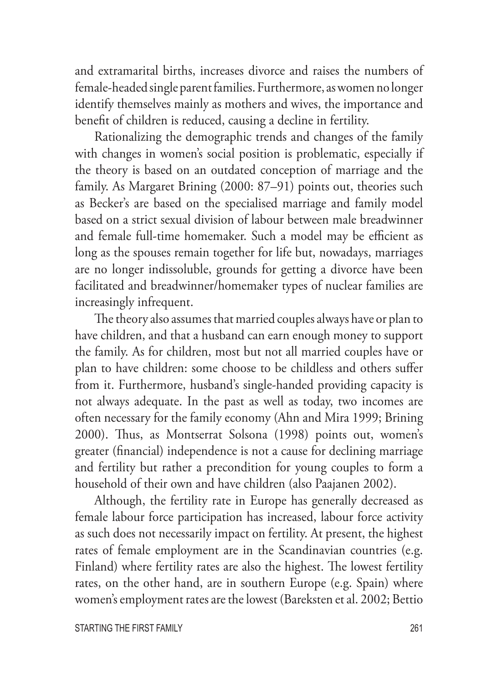and extramarital births, increases divorce and raises the numbers of female-headed single parent families. Furthermore, as women no longer identify themselves mainly as mothers and wives, the importance and benefit of children is reduced, causing a decline in fertility.

Rationalizing the demographic trends and changes of the family with changes in women's social position is problematic, especially if the theory is based on an outdated conception of marriage and the family. As Margaret Brining (2000: 87–91) points out, theories such as Becker's are based on the specialised marriage and family model based on a strict sexual division of labour between male breadwinner and female full-time homemaker. Such a model may be efficient as long as the spouses remain together for life but, nowadays, marriages are no longer indissoluble, grounds for getting a divorce have been facilitated and breadwinner/homemaker types of nuclear families are increasingly infrequent.

The theory also assumes that married couples always have or plan to have children, and that a husband can earn enough money to support the family. As for children, most but not all married couples have or plan to have children: some choose to be childless and others suffer from it. Furthermore, husband's single-handed providing capacity is not always adequate. In the past as well as today, two incomes are often necessary for the family economy (Ahn and Mira 1999; Brining 2000). Thus, as Montserrat Solsona (1998) points out, women's greater (financial) independence is not a cause for declining marriage and fertility but rather a precondition for young couples to form a household of their own and have children (also Paajanen 2002).

Although, the fertility rate in Europe has generally decreased as female labour force participation has increased, labour force activity as such does not necessarily impact on fertility. At present, the highest rates of female employment are in the Scandinavian countries (e.g. Finland) where fertility rates are also the highest. The lowest fertility rates, on the other hand, are in southern Europe (e.g. Spain) where women's employment rates are the lowest (Bareksten et al. 2002; Bettio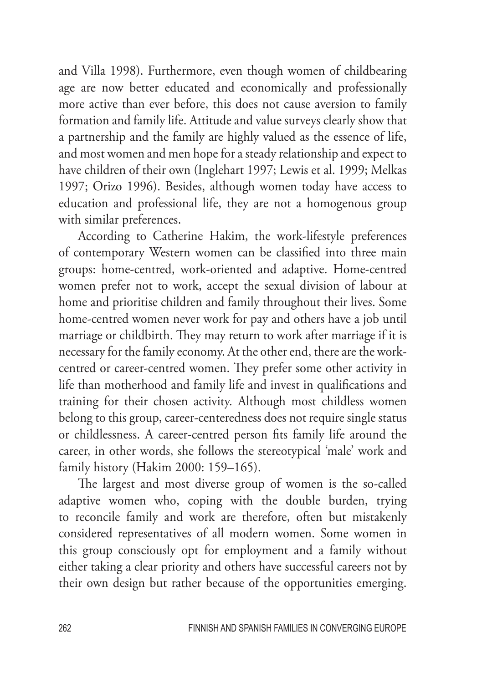and Villa 1998). Furthermore, even though women of childbearing age are now better educated and economically and professionally more active than ever before, this does not cause aversion to family formation and family life. Attitude and value surveys clearly show that a partnership and the family are highly valued as the essence of life, and most women and men hope for a steady relationship and expect to have children of their own (Inglehart 1997; Lewis et al. 1999; Melkas 1997; Orizo 1996). Besides, although women today have access to education and professional life, they are not a homogenous group with similar preferences.

According to Catherine Hakim, the work-lifestyle preferences of contemporary Western women can be classified into three main groups: home-centred, work-oriented and adaptive. Home-centred women prefer not to work, accept the sexual division of labour at home and prioritise children and family throughout their lives. Some home-centred women never work for pay and others have a job until marriage or childbirth. They may return to work after marriage if it is necessary for the family economy. At the other end, there are the workcentred or career-centred women. They prefer some other activity in life than motherhood and family life and invest in qualifications and training for their chosen activity. Although most childless women belong to this group, career-centeredness does not require single status or childlessness. A career-centred person fits family life around the career, in other words, she follows the stereotypical 'male' work and family history (Hakim 2000: 159–165).

The largest and most diverse group of women is the so-called adaptive women who, coping with the double burden, trying to reconcile family and work are therefore, often but mistakenly considered representatives of all modern women. Some women in this group consciously opt for employment and a family without either taking a clear priority and others have successful careers not by their own design but rather because of the opportunities emerging.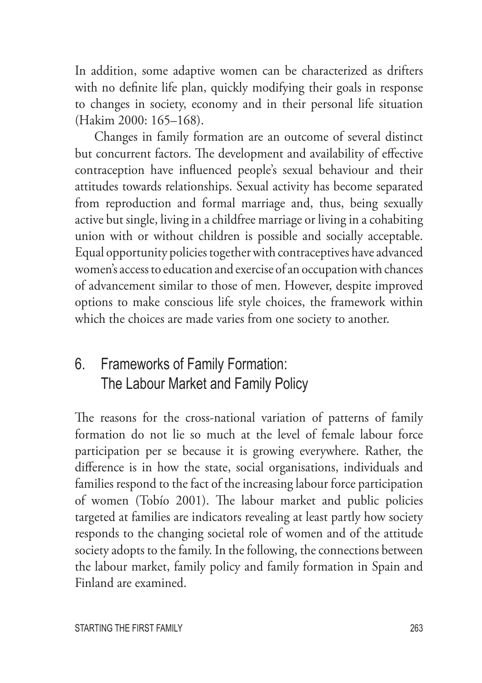In addition, some adaptive women can be characterized as drifters with no definite life plan, quickly modifying their goals in response to changes in society, economy and in their personal life situation (Hakim 2000: 165–168).

Changes in family formation are an outcome of several distinct but concurrent factors. The development and availability of effective contraception have influenced people's sexual behaviour and their attitudes towards relationships. Sexual activity has become separated from reproduction and formal marriage and, thus, being sexually active but single, living in a childfree marriage or living in a cohabiting union with or without children is possible and socially acceptable. Equal opportunity policies together with contraceptives have advanced women's access to education and exercise of an occupation with chances of advancement similar to those of men. However, despite improved options to make conscious life style choices, the framework within which the choices are made varies from one society to another.

# 6. Frameworks of Family Formation: The Labour Market and Family Policy

The reasons for the cross-national variation of patterns of family formation do not lie so much at the level of female labour force participation per se because it is growing everywhere. Rather, the difference is in how the state, social organisations, individuals and families respond to the fact of the increasing labour force participation of women (Tobío 2001). The labour market and public policies targeted at families are indicators revealing at least partly how society responds to the changing societal role of women and of the attitude society adopts to the family. In the following, the connections between the labour market, family policy and family formation in Spain and Finland are examined.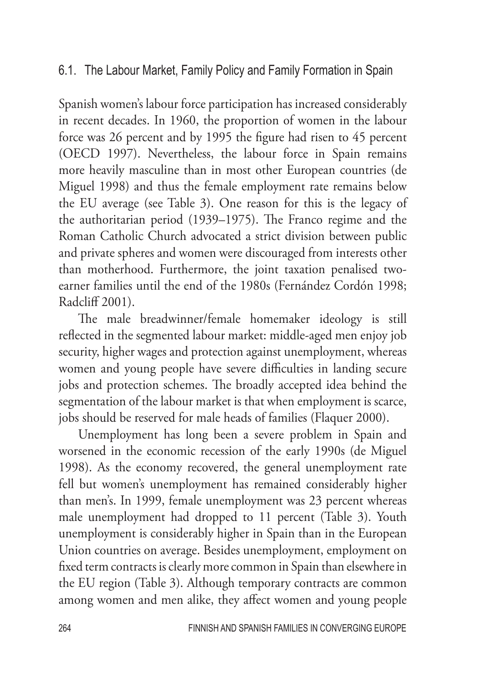#### 6.1. The Labour Market, Family Policy and Family Formation in Spain

Spanish women's labour force participation has increased considerably in recent decades. In 1960, the proportion of women in the labour force was 26 percent and by 1995 the figure had risen to 45 percent (OECD 1997). Nevertheless, the labour force in Spain remains more heavily masculine than in most other European countries (de Miguel 1998) and thus the female employment rate remains below the EU average (see Table 3). One reason for this is the legacy of the authoritarian period  $(1939-1975)$ . The Franco regime and the Roman Catholic Church advocated a strict division between public and private spheres and women were discouraged from interests other than motherhood. Furthermore, the joint taxation penalised twoearner families until the end of the 1980s (Fernández Cordón 1998; Radcliff 2001).

The male breadwinner/female homemaker ideology is still reflected in the segmented labour market: middle-aged men enjoy job security, higher wages and protection against unemployment, whereas women and young people have severe difficulties in landing secure jobs and protection schemes. The broadly accepted idea behind the segmentation of the labour market is that when employment is scarce, jobs should be reserved for male heads of families (Flaquer 2000).

Unemployment has long been a severe problem in Spain and worsened in the economic recession of the early 1990s (de Miguel 1998). As the economy recovered, the general unemployment rate fell but women's unemployment has remained considerably higher than men's. In 1999, female unemployment was 23 percent whereas male unemployment had dropped to 11 percent (Table 3). Youth unemployment is considerably higher in Spain than in the European Union countries on average. Besides unemployment, employment on fixed term contracts is clearly more common in Spain than elsewhere in the EU region (Table 3). Although temporary contracts are common among women and men alike, they affect women and young people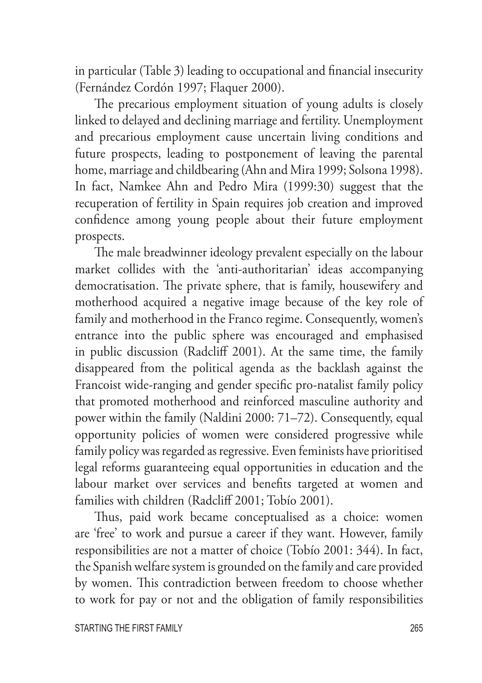in particular (Table 3) leading to occupational and financial insecurity (Fernández Cordón 1997; Flaquer 2000).

The precarious employment situation of young adults is closely linked to delayed and declining marriage and fertility. Unemployment and precarious employment cause uncertain living conditions and future prospects, leading to postponement of leaving the parental home, marriage and childbearing (Ahn and Mira 1999; Solsona 1998). In fact, Namkee Ahn and Pedro Mira (1999:30) suggest that the recuperation of fertility in Spain requires job creation and improved confidence among young people about their future employment prospects.

The male breadwinner ideology prevalent especially on the labour market collides with the 'anti-authoritarian' ideas accompanying democratisation. The private sphere, that is family, housewifery and motherhood acquired a negative image because of the key role of family and motherhood in the Franco regime. Consequently, women's entrance into the public sphere was encouraged and emphasised in public discussion (Radcliff 2001). At the same time, the family disappeared from the political agenda as the backlash against the Francoist wide-ranging and gender specific pro-natalist family policy that promoted motherhood and reinforced masculine authority and power within the family (Naldini 2000: 71–72). Consequently, equal opportunity policies of women were considered progressive while family policy was regarded as regressive. Even feminists have prioritised legal reforms guaranteeing equal opportunities in education and the labour market over services and benefits targeted at women and families with children (Radcliff 2001; Tobío 2001).

Thus, paid work became conceptualised as a choice: women are 'free' to work and pursue a career if they want. However, family responsibilities are not a matter of choice (Tobío 2001: 344). In fact, the Spanish welfare system is grounded on the family and care provided by women. This contradiction between freedom to choose whether to work for pay or not and the obligation of family responsibilities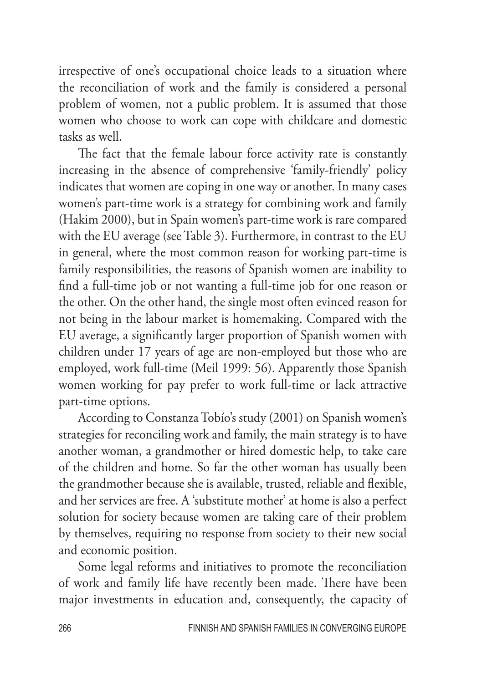irrespective of one's occupational choice leads to a situation where the reconciliation of work and the family is considered a personal problem of women, not a public problem. It is assumed that those women who choose to work can cope with childcare and domestic tasks as well.

The fact that the female labour force activity rate is constantly increasing in the absence of comprehensive 'family-friendly' policy indicates that women are coping in one way or another. In many cases women's part-time work is a strategy for combining work and family (Hakim 2000), but in Spain women's part-time work is rare compared with the EU average (see Table 3). Furthermore, in contrast to the EU in general, where the most common reason for working part-time is family responsibilities, the reasons of Spanish women are inability to find a full-time job or not wanting a full-time job for one reason or the other. On the other hand, the single most often evinced reason for not being in the labour market is homemaking. Compared with the EU average, a significantly larger proportion of Spanish women with children under 17 years of age are non-employed but those who are employed, work full-time (Meil 1999: 56). Apparently those Spanish women working for pay prefer to work full-time or lack attractive part-time options.

According to Constanza Tobío's study (2001) on Spanish women's strategies for reconciling work and family, the main strategy is to have another woman, a grandmother or hired domestic help, to take care of the children and home. So far the other woman has usually been the grandmother because she is available, trusted, reliable and flexible, and her services are free. A 'substitute mother' at home is also a perfect solution for society because women are taking care of their problem by themselves, requiring no response from society to their new social and economic position.

Some legal reforms and initiatives to promote the reconciliation of work and family life have recently been made. There have been major investments in education and, consequently, the capacity of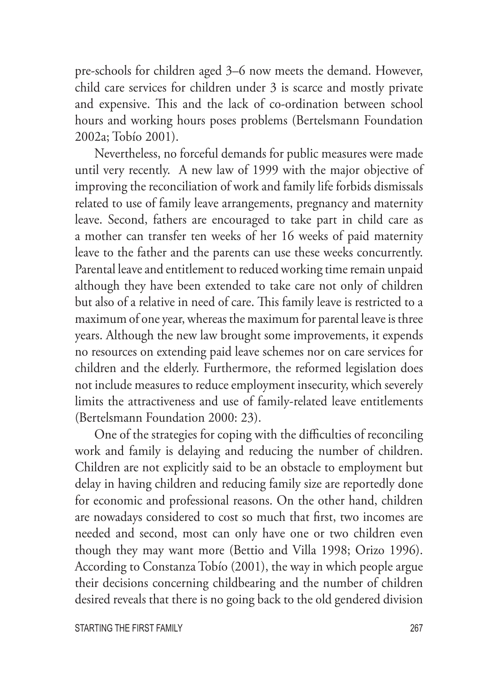pre-schools for children aged 3–6 now meets the demand. However, child care services for children under 3 is scarce and mostly private and expensive. This and the lack of co-ordination between school hours and working hours poses problems (Bertelsmann Foundation 2002a; Tobío 2001).

Nevertheless, no forceful demands for public measures were made until very recently. A new law of 1999 with the major objective of improving the reconciliation of work and family life forbids dismissals related to use of family leave arrangements, pregnancy and maternity leave. Second, fathers are encouraged to take part in child care as a mother can transfer ten weeks of her 16 weeks of paid maternity leave to the father and the parents can use these weeks concurrently. Parental leave and entitlement to reduced working time remain unpaid although they have been extended to take care not only of children but also of a relative in need of care. This family leave is restricted to a maximum of one year, whereas the maximum for parental leave is three years. Although the new law brought some improvements, it expends no resources on extending paid leave schemes nor on care services for children and the elderly. Furthermore, the reformed legislation does not include measures to reduce employment insecurity, which severely limits the attractiveness and use of family-related leave entitlements (Bertelsmann Foundation 2000: 23).

One of the strategies for coping with the difficulties of reconciling work and family is delaying and reducing the number of children. Children are not explicitly said to be an obstacle to employment but delay in having children and reducing family size are reportedly done for economic and professional reasons. On the other hand, children are nowadays considered to cost so much that first, two incomes are needed and second, most can only have one or two children even though they may want more (Bettio and Villa 1998; Orizo 1996). According to Constanza Tobío (2001), the way in which people argue their decisions concerning childbearing and the number of children desired reveals that there is no going back to the old gendered division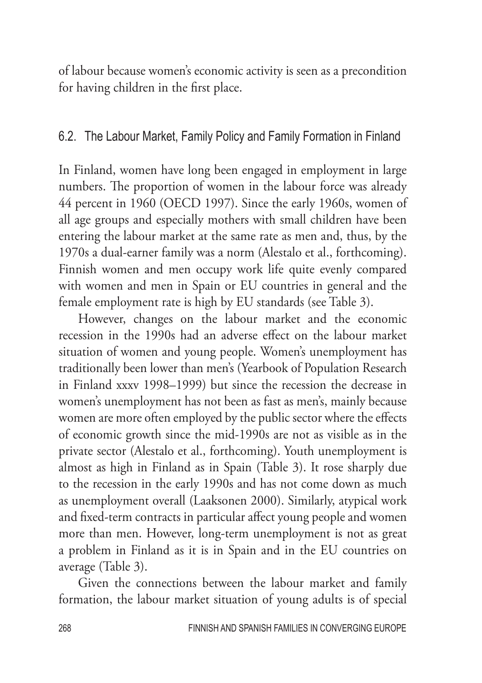of labour because women's economic activity is seen as a precondition for having children in the first place.

#### 6.2. The Labour Market, Family Policy and Family Formation in Finland

In Finland, women have long been engaged in employment in large numbers. The proportion of women in the labour force was already 44 percent in 1960 (OECD 1997). Since the early 1960s, women of all age groups and especially mothers with small children have been entering the labour market at the same rate as men and, thus, by the 1970s a dual-earner family was a norm (Alestalo et al., forthcoming). Finnish women and men occupy work life quite evenly compared with women and men in Spain or EU countries in general and the female employment rate is high by EU standards (see Table 3).

However, changes on the labour market and the economic recession in the 1990s had an adverse effect on the labour market situation of women and young people. Women's unemployment has traditionally been lower than men's (Yearbook of Population Research in Finland xxxv 1998–1999) but since the recession the decrease in women's unemployment has not been as fast as men's, mainly because women are more often employed by the public sector where the effects of economic growth since the mid-1990s are not as visible as in the private sector (Alestalo et al., forthcoming). Youth unemployment is almost as high in Finland as in Spain (Table 3). It rose sharply due to the recession in the early 1990s and has not come down as much as unemployment overall (Laaksonen 2000). Similarly, atypical work and fixed-term contracts in particular affect young people and women more than men. However, long-term unemployment is not as great a problem in Finland as it is in Spain and in the EU countries on average (Table 3).

Given the connections between the labour market and family formation, the labour market situation of young adults is of special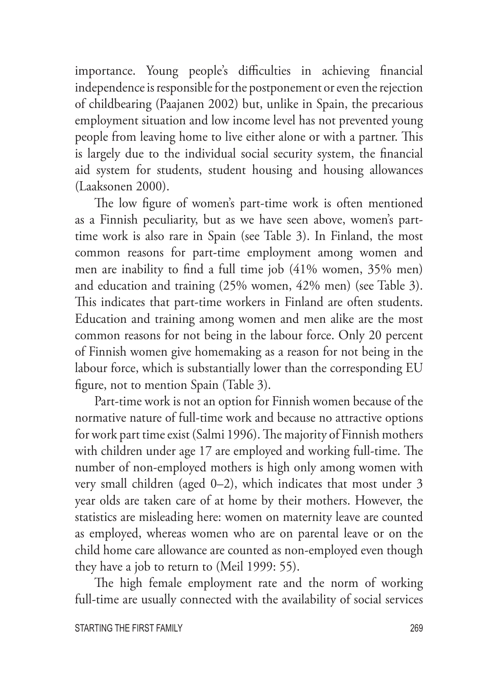importance. Young people's difficulties in achieving financial independence is responsible for the postponement or even the rejection of childbearing (Paajanen 2002) but, unlike in Spain, the precarious employment situation and low income level has not prevented young people from leaving home to live either alone or with a partner. This is largely due to the individual social security system, the financial aid system for students, student housing and housing allowances (Laaksonen 2000).

The low figure of women's part-time work is often mentioned as a Finnish peculiarity, but as we have seen above, women's parttime work is also rare in Spain (see Table 3). In Finland, the most common reasons for part-time employment among women and men are inability to find a full time job (41% women, 35% men) and education and training (25% women, 42% men) (see Table 3). This indicates that part-time workers in Finland are often students. Education and training among women and men alike are the most common reasons for not being in the labour force. Only 20 percent of Finnish women give homemaking as a reason for not being in the labour force, which is substantially lower than the corresponding EU figure, not to mention Spain (Table 3).

Part-time work is not an option for Finnish women because of the normative nature of full-time work and because no attractive options for work part time exist (Salmi 1996). The majority of Finnish mothers with children under age 17 are employed and working full-time. The number of non-employed mothers is high only among women with very small children (aged 0–2), which indicates that most under 3 year olds are taken care of at home by their mothers. However, the statistics are misleading here: women on maternity leave are counted as employed, whereas women who are on parental leave or on the child home care allowance are counted as non-employed even though they have a job to return to (Meil 1999: 55).

The high female employment rate and the norm of working full-time are usually connected with the availability of social services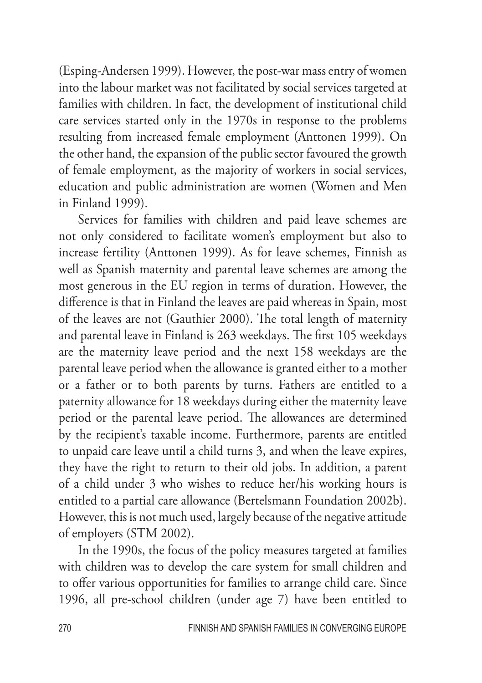(Esping-Andersen 1999). However, the post-war mass entry of women into the labour market was not facilitated by social services targeted at families with children. In fact, the development of institutional child care services started only in the 1970s in response to the problems resulting from increased female employment (Anttonen 1999). On the other hand, the expansion of the public sector favoured the growth of female employment, as the majority of workers in social services, education and public administration are women (Women and Men in Finland 1999).

Services for families with children and paid leave schemes are not only considered to facilitate women's employment but also to increase fertility (Anttonen 1999). As for leave schemes, Finnish as well as Spanish maternity and parental leave schemes are among the most generous in the EU region in terms of duration. However, the difference is that in Finland the leaves are paid whereas in Spain, most of the leaves are not (Gauthier 2000). The total length of maternity and parental leave in Finland is 263 weekdays. The first 105 weekdays are the maternity leave period and the next 158 weekdays are the parental leave period when the allowance is granted either to a mother or a father or to both parents by turns. Fathers are entitled to a paternity allowance for 18 weekdays during either the maternity leave period or the parental leave period. The allowances are determined by the recipient's taxable income. Furthermore, parents are entitled to unpaid care leave until a child turns 3, and when the leave expires, they have the right to return to their old jobs. In addition, a parent of a child under 3 who wishes to reduce her/his working hours is entitled to a partial care allowance (Bertelsmann Foundation 2002b). However, this is not much used, largely because of the negative attitude of employers (STM 2002).

In the 1990s, the focus of the policy measures targeted at families with children was to develop the care system for small children and to offer various opportunities for families to arrange child care. Since 1996, all pre-school children (under age 7) have been entitled to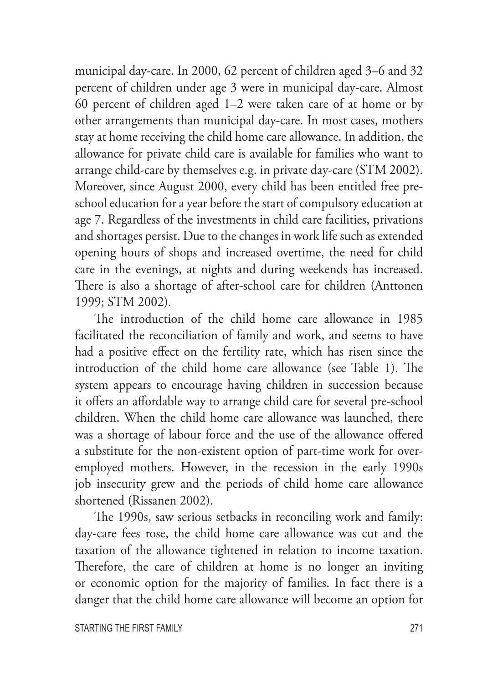municipal day-care. In 2000, 62 percent of children aged 3–6 and 32 percent of children under age 3 were in municipal day-care. Almost 60 percent of children aged 1–2 were taken care of at home or by other arrangements than municipal day-care. In most cases, mothers stay at home receiving the child home care allowance. In addition, the allowance for private child care is available for families who want to arrange child-care by themselves e.g. in private day-care (STM 2002). Moreover, since August 2000, every child has been entitled free preschool education for a year before the start of compulsory education at age 7. Regardless of the investments in child care facilities, privations and shortages persist. Due to the changes in work life such as extended opening hours of shops and increased overtime, the need for child care in the evenings, at nights and during weekends has increased. There is also a shortage of after-school care for children (Anttonen 1999; STM 2002).

The introduction of the child home care allowance in 1985 facilitated the reconciliation of family and work, and seems to have had a positive effect on the fertility rate, which has risen since the introduction of the child home care allowance (see Table 1). The system appears to encourage having children in succession because it offers an affordable way to arrange child care for several pre-school children. When the child home care allowance was launched, there was a shortage of labour force and the use of the allowance offered a substitute for the non-existent option of part-time work for overemployed mothers. However, in the recession in the early 1990s job insecurity grew and the periods of child home care allowance shortened (Rissanen 2002).

The 1990s, saw serious setbacks in reconciling work and family: day-care fees rose, the child home care allowance was cut and the taxation of the allowance tightened in relation to income taxation. Therefore, the care of children at home is no longer an inviting or economic option for the majority of families. In fact there is a danger that the child home care allowance will become an option for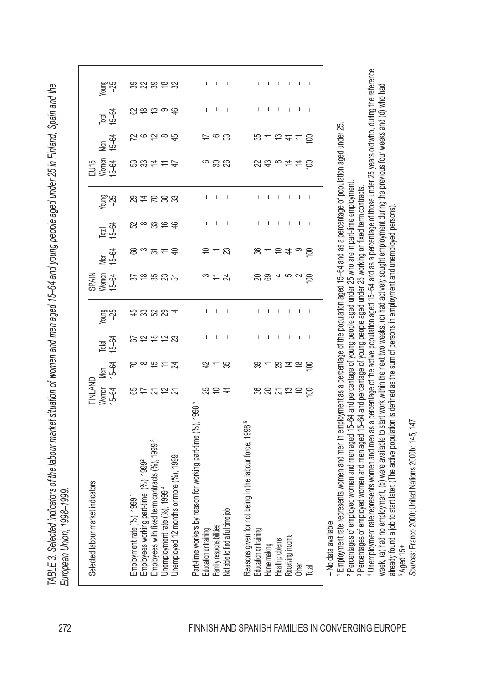TABLE 3. Selected indicators of the labour market situation of women and men aged 15-64 and young people aged under 25 in Finland, Spain and the *TABLE 3. Selected indicators of the labour market situation of women and men aged 15–64 and young people aged under 25 in Finland, Spain and the*  European Union, 1998-1999. *European Union, 1998–1999.*

| Selected labour market indicators                             | FINLAND<br>Women | Men              | Tdal<br>15-64 | Young<br>-25 | SPAIN<br>Women<br>15-64                                 | Men                  | Total                 | Young<br>-25 | EU15<br>Women                                | Men   | Total                 | Young<br>-25 |
|---------------------------------------------------------------|------------------|------------------|---------------|--------------|---------------------------------------------------------|----------------------|-----------------------|--------------|----------------------------------------------|-------|-----------------------|--------------|
|                                                               | 15-64            | 15-64            |               |              |                                                         | 15-64                | 15-64                 |              | 5-64                                         | 15-64 | 15-64                 |              |
| Employment rate (%), 1999                                     |                  |                  |               |              |                                                         |                      |                       |              |                                              |       |                       |              |
| Employees working part-time (%), 1999 <sup>2</sup>            |                  |                  |               |              |                                                         |                      |                       |              |                                              |       |                       |              |
| Employees with fixed term contracts (%), 1999 <sup>3</sup>    | នគ្គ ម្ពុង       | ξ∞ ホ ≍ ¼         | 62828         |              |                                                         | $8a \approx 25$      | ది <sub>∞</sub> జ ఉ ఉ | 87はある        | 8 8 <del>2</del> = 4                         |       | <u>တ္ထိ ဓာ သ</u> ာ ထိ | នងន្ទ្រីន    |
| Unemployment rate (%), 1999 <sup>4</sup>                      |                  |                  |               |              |                                                         |                      |                       |              |                                              |       |                       |              |
| Jnemployed 12 months or more (%), 1999                        |                  |                  |               |              |                                                         |                      |                       |              |                                              |       |                       |              |
| Part-time workers by reason for working part-time (%), 1998 5 |                  |                  |               |              |                                                         |                      |                       |              |                                              |       |                       |              |
| Education or training                                         |                  |                  | ı             | ı            |                                                         |                      | ı                     | ı            |                                              |       | I                     | I            |
| Family responsibilities                                       | <b>2542</b>      | <del>ಭ</del> − ೫ | I             | I            | $\omega \simeq 2$                                       | = – ಇ                | I                     | I            | $^{\circ}$ $\approx$ $^{\circ}$              | 7 ల బ | Ţ                     |              |
| Not able to find a full time job                              |                  |                  | $\mathbf{I}$  | I            |                                                         |                      | I                     | I            |                                              |       | Ţ                     |              |
|                                                               |                  |                  |               |              |                                                         |                      |                       |              |                                              |       |                       |              |
| Reasons given for not being in the labour force, 1998         |                  |                  |               |              |                                                         |                      |                       |              |                                              |       |                       |              |
| Education or training                                         |                  |                  | I             | I,           |                                                         | ఇ -                  | ı                     | I,           |                                              |       | I,                    |              |
| Home making                                                   |                  |                  | I             | ı            | <b>R</b> &                                              |                      | I,                    | I,           | 23                                           | స్ –  | ı                     |              |
| Health problems                                               |                  |                  | I             | I            |                                                         |                      | I                     | I            | $\infty$                                     |       | I,                    |              |
| Receiving income                                              | ននគ្នេទ 5        | $B - B = 5$      | I             | ı            | $\begin{array}{c}\n4 & 6 & 6 \\ 6 & 6 & 6\n\end{array}$ | 54                   | I                     | I,           | $\overline{z}$ $\overline{z}$ $\overline{z}$ | おお    | I,                    |              |
| Other                                                         |                  |                  | I             | ı            |                                                         | $^{\circ}$ $\approx$ | I                     | ı            |                                              | 두올    | I                     |              |
| Total                                                         |                  |                  | ı             | I            |                                                         |                      |                       | ı            |                                              |       |                       |              |
| - No data available.                                          |                  |                  |               |              |                                                         |                      |                       |              |                                              |       |                       |              |

Employment rate represents women and men in employment as a percentage of the population aged 15-64 and as a percentage of population aged under 25. ¹ Employment rate represents women and men in employment as a percentage of the population aged 15–64 and as a percentage of population aged under 25.

Percentages of employed women and men aged 15-64 and percentage of young people aged under 25 who are in part-time employment.

Percentages of employed women and men aged 15-64 and percentage of young people aged under 25 working on fixed term contradts.

Unemployment rate represents women and men as a percentage of the active population aged 15-64 and as a percentage of those under 25 years old who, during the reference ° Percentages of employed women and men aged 15–64 and percentage of young people aged under 25 who are in part-time employment.<br>≀ Percentages of employed women and men aged 15–64 and percentage of young people aged unde week, (a) had no employment, (b) were available to start work within the next two weeks, (c) had actively sought employment during the previous four weeks and (d) who had week, (a) had no employment, (b) were available to start work within the next two weeks, (c) had actively sought employment during the previous four weeks and (d) who had already found a job to start later. (The active population is defined as the sum of persons in employment and unemployed persons). already found a job to start later. (The active population is defined as the sum of persons in employment and unemployed persons)<br>Aged 15+

Sources: Franco 2000; United Nations 2000b: 145, 147. *Sources*: Franco 2000; United Nations 2000b: 145, 147.<sup>5</sup>Aged 15+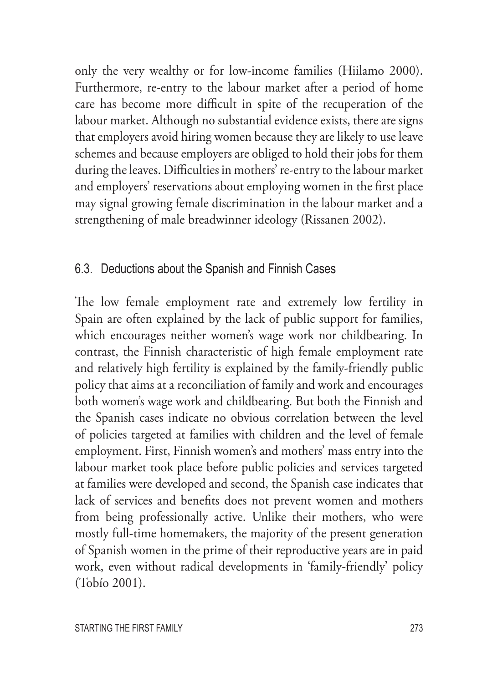only the very wealthy or for low-income families (Hiilamo 2000). Furthermore, re-entry to the labour market after a period of home care has become more difficult in spite of the recuperation of the labour market. Although no substantial evidence exists, there are signs that employers avoid hiring women because they are likely to use leave schemes and because employers are obliged to hold their jobs for them during the leaves. Difficulties in mothers' re-entry to the labour market and employers' reservations about employing women in the first place may signal growing female discrimination in the labour market and a strengthening of male breadwinner ideology (Rissanen 2002).

#### 6.3. Deductions about the Spanish and Finnish Cases

The low female employment rate and extremely low fertility in Spain are often explained by the lack of public support for families, which encourages neither women's wage work nor childbearing. In contrast, the Finnish characteristic of high female employment rate and relatively high fertility is explained by the family-friendly public policy that aims at a reconciliation of family and work and encourages both women's wage work and childbearing. But both the Finnish and the Spanish cases indicate no obvious correlation between the level of policies targeted at families with children and the level of female employment. First, Finnish women's and mothers' mass entry into the labour market took place before public policies and services targeted at families were developed and second, the Spanish case indicates that lack of services and benefits does not prevent women and mothers from being professionally active. Unlike their mothers, who were mostly full-time homemakers, the majority of the present generation of Spanish women in the prime of their reproductive years are in paid work, even without radical developments in 'family-friendly' policy (Tobío 2001).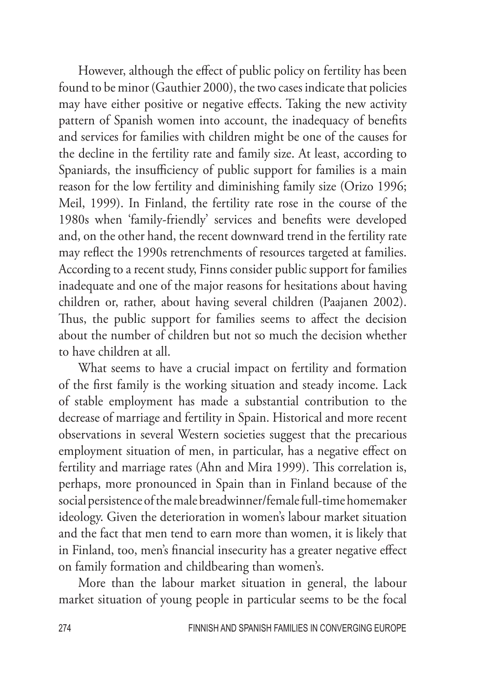However, although the effect of public policy on fertility has been found to be minor (Gauthier 2000), the two cases indicate that policies may have either positive or negative effects. Taking the new activity pattern of Spanish women into account, the inadequacy of benefits and services for families with children might be one of the causes for the decline in the fertility rate and family size. At least, according to Spaniards, the insufficiency of public support for families is a main reason for the low fertility and diminishing family size (Orizo 1996; Meil, 1999). In Finland, the fertility rate rose in the course of the 1980s when 'family-friendly' services and benefits were developed and, on the other hand, the recent downward trend in the fertility rate may reflect the 1990s retrenchments of resources targeted at families. According to a recent study, Finns consider public support for families inadequate and one of the major reasons for hesitations about having children or, rather, about having several children (Paajanen 2002). Thus, the public support for families seems to affect the decision about the number of children but not so much the decision whether to have children at all.

What seems to have a crucial impact on fertility and formation of the first family is the working situation and steady income. Lack of stable employment has made a substantial contribution to the decrease of marriage and fertility in Spain. Historical and more recent observations in several Western societies suggest that the precarious employment situation of men, in particular, has a negative effect on fertility and marriage rates (Ahn and Mira 1999). This correlation is, perhaps, more pronounced in Spain than in Finland because of the social persistence of the male breadwinner/female full-time homemaker ideology. Given the deterioration in women's labour market situation and the fact that men tend to earn more than women, it is likely that in Finland, too, men's financial insecurity has a greater negative effect on family formation and childbearing than women's.

More than the labour market situation in general, the labour market situation of young people in particular seems to be the focal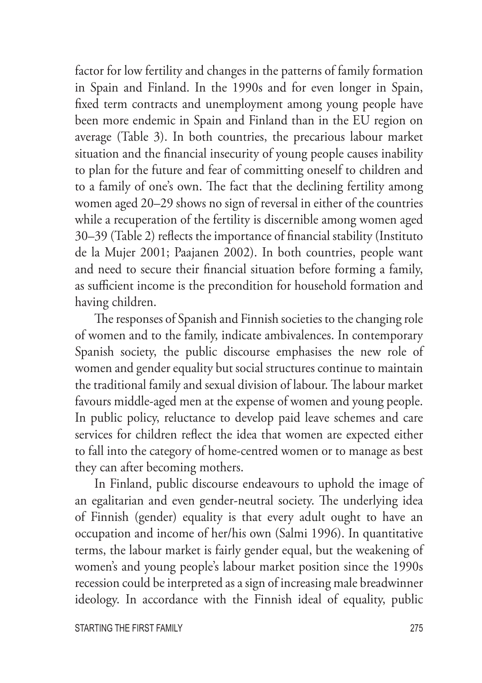factor for low fertility and changes in the patterns of family formation in Spain and Finland. In the 1990s and for even longer in Spain, fixed term contracts and unemployment among young people have been more endemic in Spain and Finland than in the EU region on average (Table 3). In both countries, the precarious labour market situation and the financial insecurity of young people causes inability to plan for the future and fear of committing oneself to children and to a family of one's own. The fact that the declining fertility among women aged 20–29 shows no sign of reversal in either of the countries while a recuperation of the fertility is discernible among women aged 30–39 (Table 2) reflects the importance of financial stability (Instituto de la Mujer 2001; Paajanen 2002). In both countries, people want and need to secure their financial situation before forming a family, as sufficient income is the precondition for household formation and having children.

The responses of Spanish and Finnish societies to the changing role of women and to the family, indicate ambivalences. In contemporary Spanish society, the public discourse emphasises the new role of women and gender equality but social structures continue to maintain the traditional family and sexual division of labour. The labour market favours middle-aged men at the expense of women and young people. In public policy, reluctance to develop paid leave schemes and care services for children reflect the idea that women are expected either to fall into the category of home-centred women or to manage as best they can after becoming mothers.

In Finland, public discourse endeavours to uphold the image of an egalitarian and even gender-neutral society. The underlying idea of Finnish (gender) equality is that every adult ought to have an occupation and income of her/his own (Salmi 1996). In quantitative terms, the labour market is fairly gender equal, but the weakening of women's and young people's labour market position since the 1990s recession could be interpreted as a sign of increasing male breadwinner ideology. In accordance with the Finnish ideal of equality, public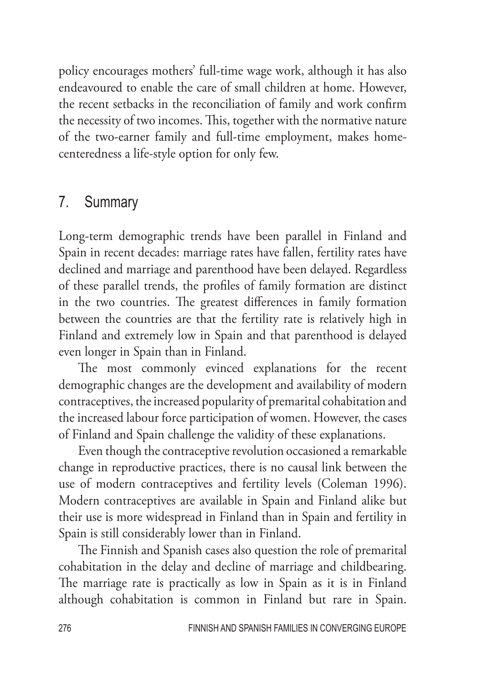policy encourages mothers' full-time wage work, although it has also endeavoured to enable the care of small children at home. However, the recent setbacks in the reconciliation of family and work confirm the necessity of two incomes. This, together with the normative nature of the two-earner family and full-time employment, makes homecenteredness a life-style option for only few.

# 7. Summary

Long-term demographic trends have been parallel in Finland and Spain in recent decades: marriage rates have fallen, fertility rates have declined and marriage and parenthood have been delayed. Regardless of these parallel trends, the profiles of family formation are distinct in the two countries. The greatest differences in family formation between the countries are that the fertility rate is relatively high in Finland and extremely low in Spain and that parenthood is delayed even longer in Spain than in Finland.

The most commonly evinced explanations for the recent demographic changes are the development and availability of modern contraceptives, the increased popularity of premarital cohabitation and the increased labour force participation of women. However, the cases of Finland and Spain challenge the validity of these explanations.

Even though the contraceptive revolution occasioned a remarkable change in reproductive practices, there is no causal link between the use of modern contraceptives and fertility levels (Coleman 1996). Modern contraceptives are available in Spain and Finland alike but their use is more widespread in Finland than in Spain and fertility in Spain is still considerably lower than in Finland.

The Finnish and Spanish cases also question the role of premarital cohabitation in the delay and decline of marriage and childbearing. The marriage rate is practically as low in Spain as it is in Finland although cohabitation is common in Finland but rare in Spain.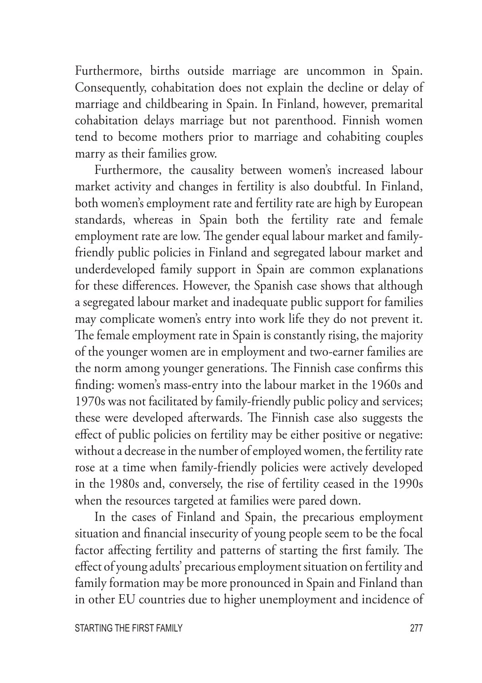Furthermore, births outside marriage are uncommon in Spain. Consequently, cohabitation does not explain the decline or delay of marriage and childbearing in Spain. In Finland, however, premarital cohabitation delays marriage but not parenthood. Finnish women tend to become mothers prior to marriage and cohabiting couples marry as their families grow.

Furthermore, the causality between women's increased labour market activity and changes in fertility is also doubtful. In Finland, both women's employment rate and fertility rate are high by European standards, whereas in Spain both the fertility rate and female employment rate are low. The gender equal labour market and familyfriendly public policies in Finland and segregated labour market and underdeveloped family support in Spain are common explanations for these differences. However, the Spanish case shows that although a segregated labour market and inadequate public support for families may complicate women's entry into work life they do not prevent it. The female employment rate in Spain is constantly rising, the majority of the younger women are in employment and two-earner families are the norm among younger generations. The Finnish case confirms this finding: women's mass-entry into the labour market in the 1960s and 1970s was not facilitated by family-friendly public policy and services; these were developed afterwards. The Finnish case also suggests the effect of public policies on fertility may be either positive or negative: without a decrease in the number of employed women, the fertility rate rose at a time when family-friendly policies were actively developed in the 1980s and, conversely, the rise of fertility ceased in the 1990s when the resources targeted at families were pared down.

In the cases of Finland and Spain, the precarious employment situation and financial insecurity of young people seem to be the focal factor affecting fertility and patterns of starting the first family. The effect of young adults' precarious employment situation on fertility and family formation may be more pronounced in Spain and Finland than in other EU countries due to higher unemployment and incidence of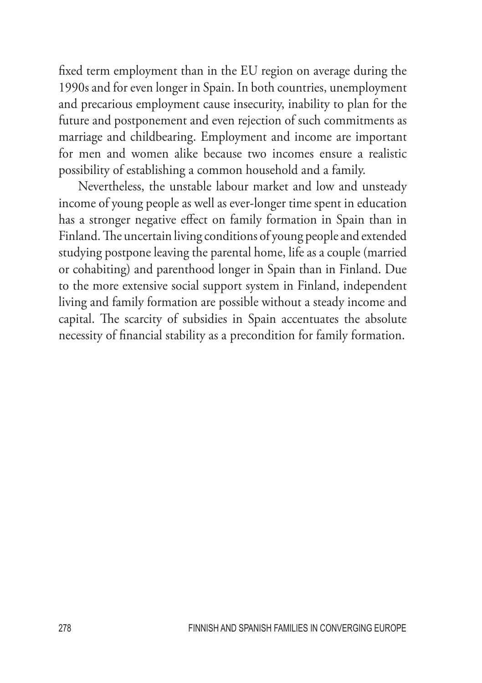fixed term employment than in the EU region on average during the 1990s and for even longer in Spain. In both countries, unemployment and precarious employment cause insecurity, inability to plan for the future and postponement and even rejection of such commitments as marriage and childbearing. Employment and income are important for men and women alike because two incomes ensure a realistic possibility of establishing a common household and a family.

Nevertheless, the unstable labour market and low and unsteady income of young people as well as ever-longer time spent in education has a stronger negative effect on family formation in Spain than in Finland. The uncertain living conditions of young people and extended studying postpone leaving the parental home, life as a couple (married or cohabiting) and parenthood longer in Spain than in Finland. Due to the more extensive social support system in Finland, independent living and family formation are possible without a steady income and capital. The scarcity of subsidies in Spain accentuates the absolute necessity of financial stability as a precondition for family formation.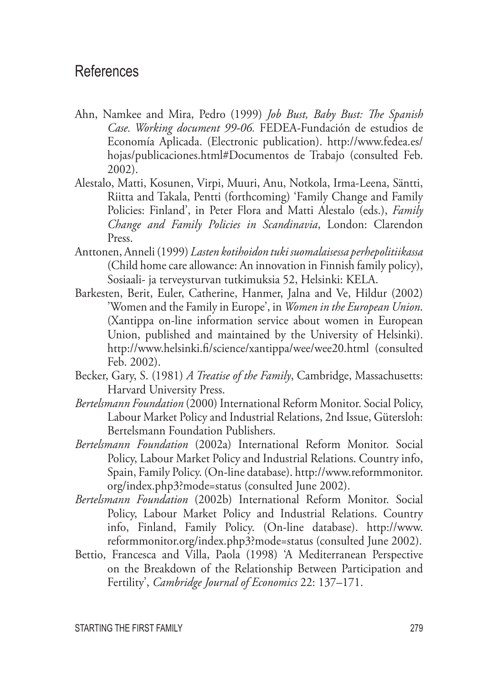# References

- Ahn, Namkee and Mira, Pedro (1999) *Job Bust, Baby Bust: The Spanish Case. Working document 99-06.* FEDEA-Fundación de estudios de Economía Aplicada. (Electronic publication). http://www.fedea.es/ hojas/publicaciones.html#Documentos de Trabajo (consulted Feb. 2002).
- Alestalo, Matti, Kosunen, Virpi, Muuri, Anu, Notkola, Irma-Leena, Säntti, Riitta and Takala, Pentti (forthcoming) 'Family Change and Family Policies: Finland', in Peter Flora and Matti Alestalo (eds.), *Family Change and Family Policies in Scandinavia*, London: Clarendon Press.
- Anttonen, Anneli (1999) *Lasten kotihoidon tuki suomalaisessa perhepolitiikassa* (Child home care allowance: An innovation in Finnish family policy), Sosiaali- ja terveysturvan tutkimuksia 52, Helsinki: KELA.
- Barkesten, Berit, Euler, Catherine, Hanmer, Jalna and Ve, Hildur (2002) 'Women and the Family in Europe', in *Women in the European Union*. (Xantippa on-line information service about women in European Union, published and maintained by the University of Helsinki). http://www.helsinki.fi/science/xantippa/wee/wee20.html (consulted Feb. 2002).
- Becker, Gary, S. (1981) *A Treatise of the Family*, Cambridge, Massachusetts: Harvard University Press.
- *Bertelsmann Foundation* (2000) International Reform Monitor. Social Policy, Labour Market Policy and Industrial Relations, 2nd Issue, Gütersloh: Bertelsmann Foundation Publishers.
- *Bertelsmann Foundation* (2002a) International Reform Monitor. Social Policy, Labour Market Policy and Industrial Relations. Country info, Spain, Family Policy. (On-line database). http://www.reformmonitor. org/index.php3?mode=status (consulted June 2002).
- *Bertelsmann Foundation* (2002b) International Reform Monitor. Social Policy, Labour Market Policy and Industrial Relations. Country info, Finland, Family Policy. (On-line database). http://www. reformmonitor.org/index.php3?mode=status (consulted June 2002).
- Bettio, Francesca and Villa, Paola (1998) 'A Mediterranean Perspective on the Breakdown of the Relationship Between Participation and Fertility', *Cambridge Journal of Economics* 22: 137–171.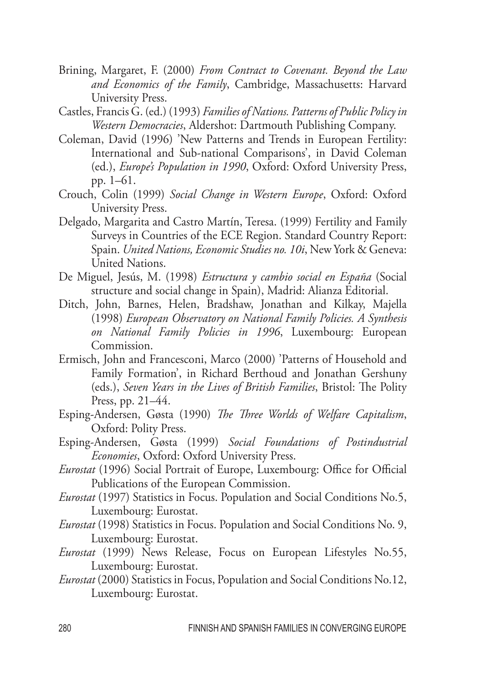- Brining, Margaret, F. (2000) *From Contract to Covenant. Beyond the Law and Economics of the Family*, Cambridge, Massachusetts: Harvard University Press.
- Castles, Francis G. (ed.) (1993) *Families of Nations. Patterns of Public Policy in Western Democracies*, Aldershot: Dartmouth Publishing Company.
- Coleman, David (1996) 'New Patterns and Trends in European Fertility: International and Sub-national Comparisons', in David Coleman (ed.), *Europe's Population in 1990*, Oxford: Oxford University Press, pp. 1–61.
- Crouch, Colin (1999) *Social Change in Western Europe*, Oxford: Oxford University Press.
- Delgado, Margarita and Castro Martín, Teresa. (1999) Fertility and Family Surveys in Countries of the ECE Region. Standard Country Report: Spain. *United Nations, Economic Studies no. 10i*, New York & Geneva: United Nations.
- De Miguel, Jesús, M. (1998) *Estructura y cambio social en España* (Social structure and social change in Spain), Madrid: Alianza Editorial.
- Ditch, John, Barnes, Helen, Bradshaw, Jonathan and Kilkay, Majella (1998) *European Observatory on National Family Policies. A Synthesis on National Family Policies in 1996*, Luxembourg: European Commission.
- Ermisch, John and Francesconi, Marco (2000) 'Patterns of Household and Family Formation', in Richard Berthoud and Jonathan Gershuny (eds.), *Seven Years in the Lives of British Families*, Bristol: The Polity Press, pp. 21–44.
- Esping-Andersen, Gøsta (1990) *The Three Worlds of Welfare Capitalism*, Oxford: Polity Press.
- Esping-Andersen, Gøsta (1999) *Social Foundations of Postindustrial Economies*, Oxford: Oxford University Press.
- *Eurostat* (1996) Social Portrait of Europe, Luxembourg: Office for Official Publications of the European Commission.
- *Eurostat* (1997) Statistics in Focus. Population and Social Conditions No.5, Luxembourg: Eurostat.
- *Eurostat* (1998) Statistics in Focus. Population and Social Conditions No. 9, Luxembourg: Eurostat.
- *Eurostat* (1999) News Release, Focus on European Lifestyles No.55, Luxembourg: Eurostat.
- *Eurostat* (2000) Statistics in Focus, Population and Social Conditions No.12, Luxembourg: Eurostat.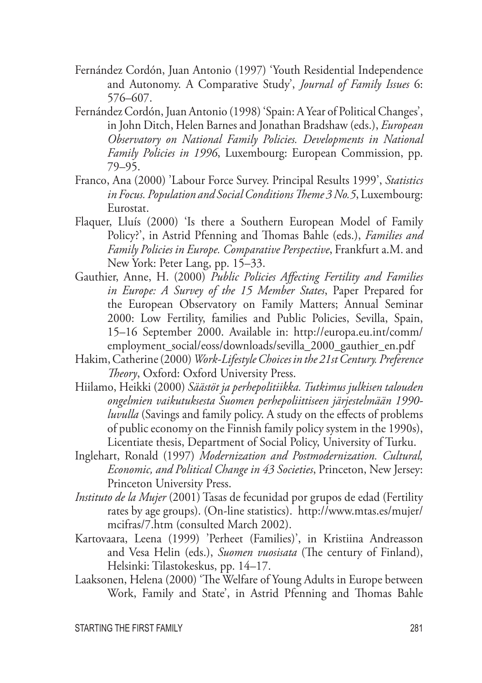- Fernández Cordón, Juan Antonio (1997) 'Youth Residential Independence and Autonomy. A Comparative Study', *Journal of Family Issues* 6: 576–607.
- Fernández Cordón, Juan Antonio (1998) 'Spain: A Year of Political Changes', in John Ditch, Helen Barnes and Jonathan Bradshaw (eds.), *European Observatory on National Family Policies. Developments in National Family Policies in 1996*, Luxembourg: European Commission, pp. 79–95.
- Franco, Ana (2000) 'Labour Force Survey. Principal Results 1999', *Statistics in Focus. Population and Social Conditions Theme 3 No.5*, Luxembourg: Eurostat.
- Flaquer, Lluís (2000) 'Is there a Southern European Model of Family Policy?', in Astrid Pfenning and Thomas Bahle (eds.), *Families and Family Policies in Europe. Comparative Perspective*, Frankfurt a.M. and New York: Peter Lang, pp. 15–33.
- Gauthier, Anne, H. (2000) *Public Policies Affecting Fertility and Families in Europe: A Survey of the 15 Member States*, Paper Prepared for the European Observatory on Family Matters; Annual Seminar 2000: Low Fertility, families and Public Policies, Sevilla, Spain, 15–16 September 2000. Available in: http://europa.eu.int/comm/ employment\_social/eoss/downloads/sevilla\_2000\_gauthier\_en.pdf
- Hakim, Catherine (2000) *Work-Lifestyle Choices in the 21st Century. Preference*  Theory, Oxford: Oxford University Press.
- Hiilamo, Heikki (2000) *Säästöt ja perhepolitiikka. Tutkimus julkisen talouden ongelmien vaikutuksesta Suomen perhepoliittiseen järjestelmään 1990 luvulla* (Savings and family policy. A study on the effects of problems of public economy on the Finnish family policy system in the 1990s), Licentiate thesis, Department of Social Policy, University of Turku.
- Inglehart, Ronald (1997) *Modernization and Postmodernization. Cultural, Economic, and Political Change in 43 Societies*, Princeton, New Jersey: Princeton University Press.
- *Instituto de la Mujer* (2001) Tasas de fecunidad por grupos de edad (Fertility rates by age groups). (On-line statistics). http://www.mtas.es/mujer/ mcifras/7.htm (consulted March 2002).
- Kartovaara, Leena (1999) 'Perheet (Families)', in Kristiina Andreasson and Vesa Helin (eds.), *Suomen vuosisata* (The century of Finland), Helsinki: Tilastokeskus, pp. 14–17.
- Laaksonen, Helena (2000) 'The Welfare of Young Adults in Europe between Work, Family and State', in Astrid Pfenning and Thomas Bahle

STARTING THE FIRST FAMILY **EXECUTE 1281** 281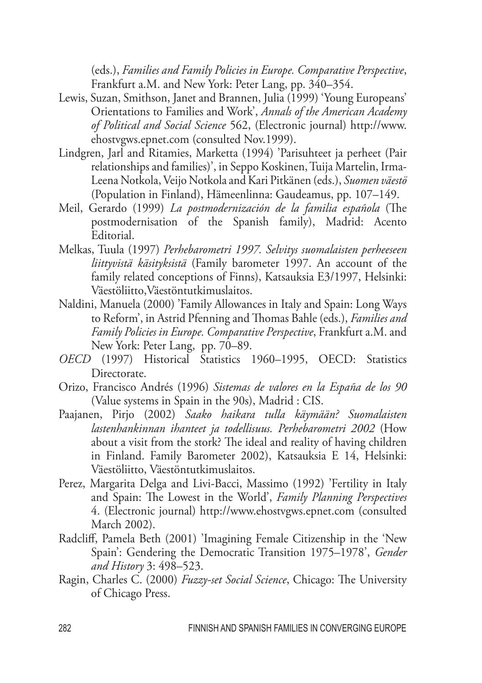(eds.), *Families and Family Policies in Europe. Comparative Perspective*, Frankfurt a.M. and New York: Peter Lang, pp. 340–354.

- Lewis, Suzan, Smithson, Janet and Brannen, Julia (1999) 'Young Europeans' Orientations to Families and Work', *Annals of the American Academy of Political and Social Science* 562, (Electronic journal) http://www. ehostvgws.epnet.com (consulted Nov.1999).
- Lindgren, Jarl and Ritamies, Marketta (1994) 'Parisuhteet ja perheet (Pair relationships and families)', in Seppo Koskinen, Tuija Martelin, Irma-Leena Notkola, Veijo Notkola and Kari Pitkänen (eds.), *Suomen väestö* (Population in Finland), Hämeenlinna: Gaudeamus, pp. 107–149.
- Meil, Gerardo (1999) *La postmodernización de la familia española* (The postmodernisation of the Spanish family), Madrid: Acento Editorial.
- Melkas, Tuula (1997) *Perhebarometri 1997. Selvitys suomalaisten perheeseen liittyvistä käsityksistä* (Family barometer 1997. An account of the family related conceptions of Finns), Katsauksia E3/1997, Helsinki: Väestöliitto,Väestöntutkimuslaitos.
- Naldini, Manuela (2000) 'Family Allowances in Italy and Spain: Long Ways to Reform', in Astrid Pfenning and Thomas Bahle (eds.), *Families and Family Policies in Europe. Comparative Perspective*, Frankfurt a.M. and New York: Peter Lang, pp. 70–89.
- *OECD* (1997) Historical Statistics 1960–1995, OECD: Statistics Directorate.
- Orizo, Francisco Andrés (1996) *Sistemas de valores en la España de los 90* (Value systems in Spain in the 90s), Madrid : CIS.
- Paajanen, Pirjo (2002) *Saako haikara tulla käymään? Suomalaisten lastenhankinnan ihanteet ja todellisuus. Perhebarometri 2002* (How about a visit from the stork? The ideal and reality of having children in Finland. Family Barometer 2002), Katsauksia E 14, Helsinki: Väestöliitto, Väestöntutkimuslaitos.
- Perez, Margarita Delga and Livi-Bacci, Massimo (1992) 'Fertility in Italy and Spain: The Lowest in the World', *Family Planning Perspectives* 4. (Electronic journal) http://www.ehostvgws.epnet.com (consulted March 2002).
- Radcliff, Pamela Beth (2001) 'Imagining Female Citizenship in the 'New Spain': Gendering the Democratic Transition 1975–1978', *Gender and History* 3: 498–523.
- Ragin, Charles C. (2000) *Fuzzy-set Social Science*, Chicago: The University of Chicago Press.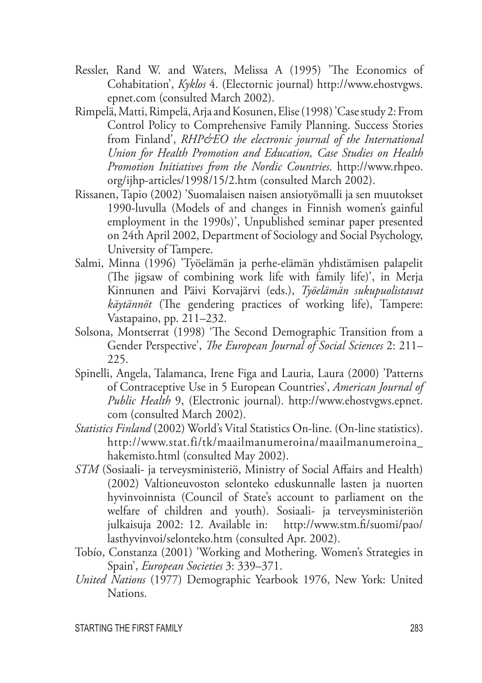- Ressler, Rand W. and Waters, Melissa A (1995) 'The Economics of Cohabitation', *Kyklos* 4. (Electornic journal) http://www.ehostvgws. epnet.com (consulted March 2002).
- Rimpelä, Matti, Rimpelä, Arja and Kosunen, Elise (1998) 'Case study 2: From Control Policy to Comprehensive Family Planning. Success Stories from Finland<sup>'</sup>, *RHP&EO the electronic journal of the International Union for Health Promotion and Education, Case Studies on Health Promotion Initiatives from the Nordic Countries*. http://www.rhpeo. org/ijhp-articles/1998/15/2.htm (consulted March 2002).
- Rissanen, Tapio (2002) 'Suomalaisen naisen ansiotyömalli ja sen muutokset 1990-luvulla (Models of and changes in Finnish women's gainful employment in the 1990s)', Unpublished seminar paper presented on 24th April 2002, Department of Sociology and Social Psychology, University of Tampere.
- Salmi, Minna (1996) 'Työelämän ja perhe-elämän yhdistämisen palapelit (The jigsaw of combining work life with family life)', in Merja Kinnunen and Päivi Korvajärvi (eds.), *Työelämän sukupuolistavat käytännöt* (The gendering practices of working life), Tampere: Vastapaino, pp. 211–232.
- Solsona, Montserrat (1998) 'The Second Demographic Transition from a Gender Perspective', *The European Journal of Social Sciences* 2: 211– 225.
- Spinelli, Angela, Talamanca, Irene Figa and Lauria, Laura (2000) 'Patterns of Contraceptive Use in 5 European Countries', *American Journal of Public Health* 9, (Electronic journal). http://www.ehostvgws.epnet. com (consulted March 2002).
- *Statistics Finland* (2002) World's Vital Statistics On-line. (On-line statistics). http://www.stat.fi/tk/maailmanumeroina/maailmanumeroina\_ hakemisto.html (consulted May 2002).
- *STM* (Sosiaali- ja terveysministeriö, Ministry of Social Affairs and Health) (2002) Valtioneuvoston selonteko eduskunnalle lasten ja nuorten hyvinvoinnista (Council of State's account to parliament on the welfare of children and youth). Sosiaali- ja terveysministeriön julkaisuja 2002: 12. Available in: http://www.stm.fi/suomi/pao/ lasthyvinvoi/selonteko.htm (consulted Apr. 2002).
- Tobío, Constanza (2001) 'Working and Mothering. Women's Strategies in Spain', *European Societies* 3: 339–371.
- *United Nations* (1977) Demographic Yearbook 1976, New York: United Nations.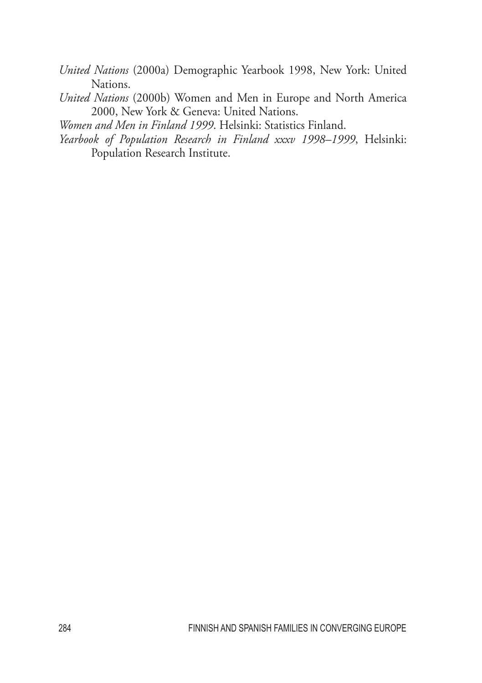- *United Nations* (2000a) Demographic Yearbook 1998, New York: United Nations.
- *United Nations* (2000b) Women and Men in Europe and North America 2000, New York & Geneva: United Nations.

*Women and Men in Finland 1999*. Helsinki: Statistics Finland.

*Yearbook of Population Research in Finland xxxv 1998–1999*, Helsinki: Population Research Institute.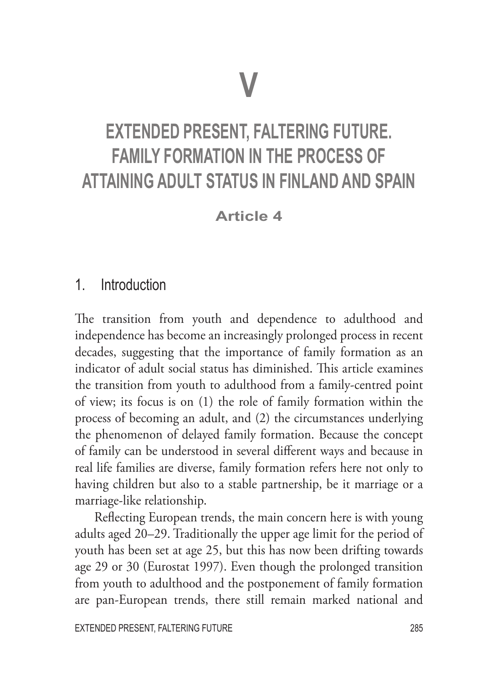# **V**

# **EXTENDED PRESENT, FALTERING FUTURE. FAMILY FORMATION IN THE PROCESS OF ATTAINING ADULT STATUS IN FINLAND AND SPAIN**

**Article 4**

# 1. Introduction

The transition from youth and dependence to adulthood and independence has become an increasingly prolonged process in recent decades, suggesting that the importance of family formation as an indicator of adult social status has diminished. This article examines the transition from youth to adulthood from a family-centred point of view; its focus is on (1) the role of family formation within the process of becoming an adult, and (2) the circumstances underlying the phenomenon of delayed family formation. Because the concept of family can be understood in several different ways and because in real life families are diverse, family formation refers here not only to having children but also to a stable partnership, be it marriage or a marriage-like relationship.

Reflecting European trends, the main concern here is with young adults aged 20–29. Traditionally the upper age limit for the period of youth has been set at age 25, but this has now been drifting towards age 29 or 30 (Eurostat 1997). Even though the prolonged transition from youth to adulthood and the postponement of family formation are pan-European trends, there still remain marked national and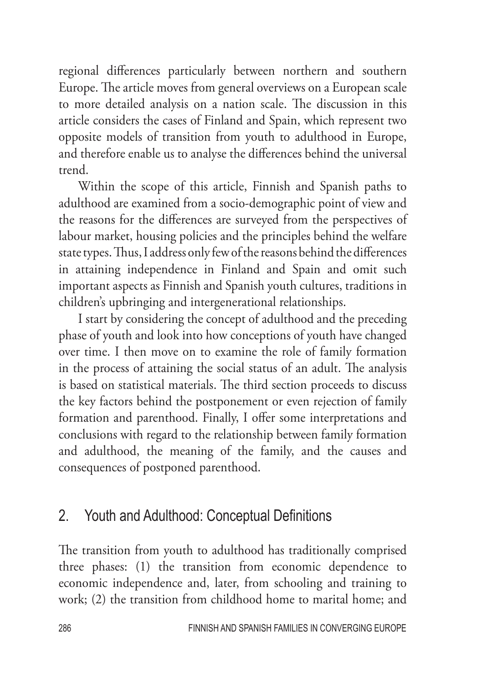regional differences particularly between northern and southern Europe. The article moves from general overviews on a European scale to more detailed analysis on a nation scale. The discussion in this article considers the cases of Finland and Spain, which represent two opposite models of transition from youth to adulthood in Europe, and therefore enable us to analyse the differences behind the universal trend.

Within the scope of this article, Finnish and Spanish paths to adulthood are examined from a socio-demographic point of view and the reasons for the differences are surveyed from the perspectives of labour market, housing policies and the principles behind the welfare state types. Thus, I address only few of the reasons behind the differences in attaining independence in Finland and Spain and omit such important aspects as Finnish and Spanish youth cultures, traditions in children's upbringing and intergenerational relationships.

I start by considering the concept of adulthood and the preceding phase of youth and look into how conceptions of youth have changed over time. I then move on to examine the role of family formation in the process of attaining the social status of an adult. The analysis is based on statistical materials. The third section proceeds to discuss the key factors behind the postponement or even rejection of family formation and parenthood. Finally, I offer some interpretations and conclusions with regard to the relationship between family formation and adulthood, the meaning of the family, and the causes and consequences of postponed parenthood.

# 2. Youth and Adulthood: Conceptual Definitions

The transition from youth to adulthood has traditionally comprised three phases: (1) the transition from economic dependence to economic independence and, later, from schooling and training to work; (2) the transition from childhood home to marital home; and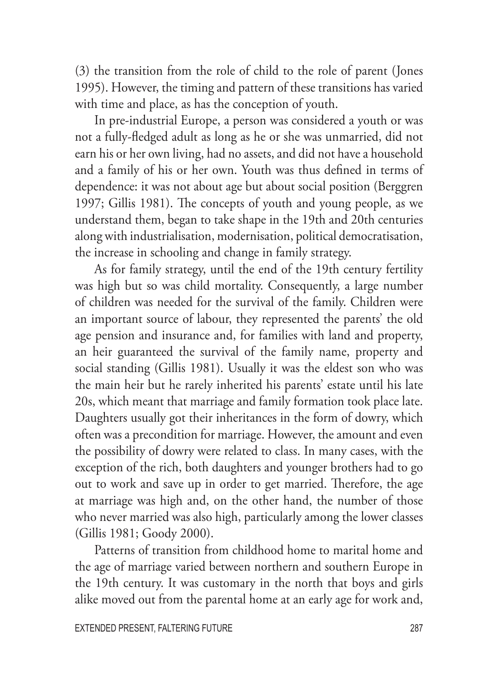(3) the transition from the role of child to the role of parent (Jones 1995). However, the timing and pattern of these transitions has varied with time and place, as has the conception of youth.

In pre-industrial Europe, a person was considered a youth or was not a fully-fledged adult as long as he or she was unmarried, did not earn his or her own living, had no assets, and did not have a household and a family of his or her own. Youth was thus defined in terms of dependence: it was not about age but about social position (Berggren 1997; Gillis 1981). The concepts of youth and young people, as we understand them, began to take shape in the 19th and 20th centuries along with industrialisation, modernisation, political democratisation, the increase in schooling and change in family strategy.

As for family strategy, until the end of the 19th century fertility was high but so was child mortality. Consequently, a large number of children was needed for the survival of the family. Children were an important source of labour, they represented the parents' the old age pension and insurance and, for families with land and property, an heir guaranteed the survival of the family name, property and social standing (Gillis 1981). Usually it was the eldest son who was the main heir but he rarely inherited his parents' estate until his late 20s, which meant that marriage and family formation took place late. Daughters usually got their inheritances in the form of dowry, which often was a precondition for marriage. However, the amount and even the possibility of dowry were related to class. In many cases, with the exception of the rich, both daughters and younger brothers had to go out to work and save up in order to get married. Therefore, the age at marriage was high and, on the other hand, the number of those who never married was also high, particularly among the lower classes (Gillis 1981; Goody 2000).

Patterns of transition from childhood home to marital home and the age of marriage varied between northern and southern Europe in the 19th century. It was customary in the north that boys and girls alike moved out from the parental home at an early age for work and,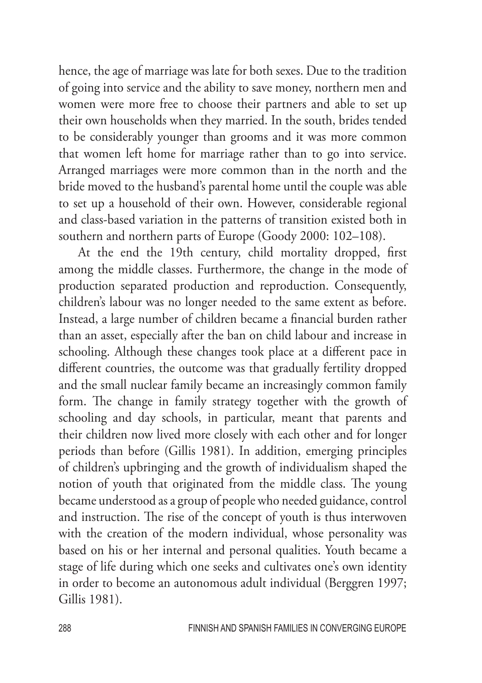hence, the age of marriage was late for both sexes. Due to the tradition of going into service and the ability to save money, northern men and women were more free to choose their partners and able to set up their own households when they married. In the south, brides tended to be considerably younger than grooms and it was more common that women left home for marriage rather than to go into service. Arranged marriages were more common than in the north and the bride moved to the husband's parental home until the couple was able to set up a household of their own. However, considerable regional and class-based variation in the patterns of transition existed both in southern and northern parts of Europe (Goody 2000: 102–108).

At the end the 19th century, child mortality dropped, first among the middle classes. Furthermore, the change in the mode of production separated production and reproduction. Consequently, children's labour was no longer needed to the same extent as before. Instead, a large number of children became a financial burden rather than an asset, especially after the ban on child labour and increase in schooling. Although these changes took place at a different pace in different countries, the outcome was that gradually fertility dropped and the small nuclear family became an increasingly common family form. The change in family strategy together with the growth of schooling and day schools, in particular, meant that parents and their children now lived more closely with each other and for longer periods than before (Gillis 1981). In addition, emerging principles of children's upbringing and the growth of individualism shaped the notion of youth that originated from the middle class. The young became understood as a group of people who needed guidance, control and instruction. The rise of the concept of youth is thus interwoven with the creation of the modern individual, whose personality was based on his or her internal and personal qualities. Youth became a stage of life during which one seeks and cultivates one's own identity in order to become an autonomous adult individual (Berggren 1997; Gillis 1981).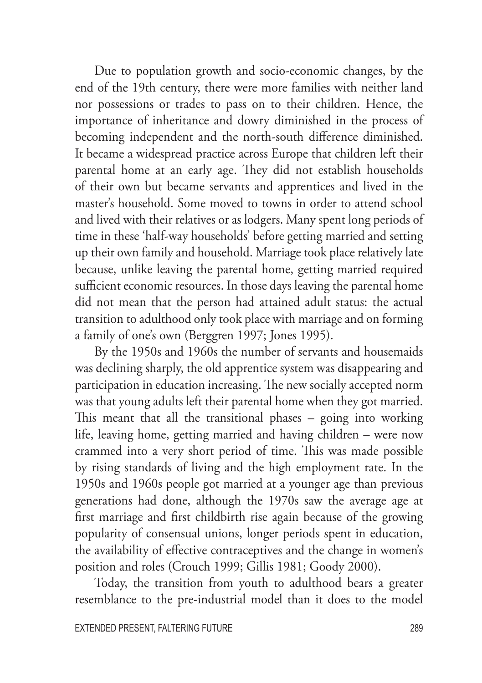Due to population growth and socio-economic changes, by the end of the 19th century, there were more families with neither land nor possessions or trades to pass on to their children. Hence, the importance of inheritance and dowry diminished in the process of becoming independent and the north-south difference diminished. It became a widespread practice across Europe that children left their parental home at an early age. They did not establish households of their own but became servants and apprentices and lived in the master's household. Some moved to towns in order to attend school and lived with their relatives or as lodgers. Many spent long periods of time in these 'half-way households' before getting married and setting up their own family and household. Marriage took place relatively late because, unlike leaving the parental home, getting married required sufficient economic resources. In those days leaving the parental home did not mean that the person had attained adult status: the actual transition to adulthood only took place with marriage and on forming a family of one's own (Berggren 1997; Jones 1995).

By the 1950s and 1960s the number of servants and housemaids was declining sharply, the old apprentice system was disappearing and participation in education increasing. The new socially accepted norm was that young adults left their parental home when they got married. This meant that all the transitional phases  $-$  going into working life, leaving home, getting married and having children – were now crammed into a very short period of time. This was made possible by rising standards of living and the high employment rate. In the 1950s and 1960s people got married at a younger age than previous generations had done, although the 1970s saw the average age at first marriage and first childbirth rise again because of the growing popularity of consensual unions, longer periods spent in education, the availability of effective contraceptives and the change in women's position and roles (Crouch 1999; Gillis 1981; Goody 2000).

Today, the transition from youth to adulthood bears a greater resemblance to the pre-industrial model than it does to the model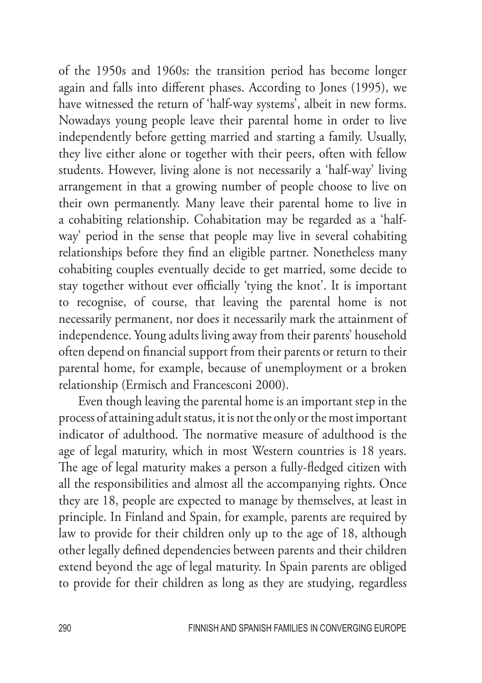of the 1950s and 1960s: the transition period has become longer again and falls into different phases. According to Jones (1995), we have witnessed the return of 'half-way systems', albeit in new forms. Nowadays young people leave their parental home in order to live independently before getting married and starting a family. Usually, they live either alone or together with their peers, often with fellow students. However, living alone is not necessarily a 'half-way' living arrangement in that a growing number of people choose to live on their own permanently. Many leave their parental home to live in a cohabiting relationship. Cohabitation may be regarded as a 'halfway' period in the sense that people may live in several cohabiting relationships before they find an eligible partner. Nonetheless many cohabiting couples eventually decide to get married, some decide to stay together without ever officially 'tying the knot'. It is important to recognise, of course, that leaving the parental home is not necessarily permanent, nor does it necessarily mark the attainment of independence. Young adults living away from their parents' household often depend on financial support from their parents or return to their parental home, for example, because of unemployment or a broken relationship (Ermisch and Francesconi 2000).

Even though leaving the parental home is an important step in the process of attaining adult status, it is not the only or the most important indicator of adulthood. The normative measure of adulthood is the age of legal maturity, which in most Western countries is 18 years. The age of legal maturity makes a person a fully-fledged citizen with all the responsibilities and almost all the accompanying rights. Once they are 18, people are expected to manage by themselves, at least in principle. In Finland and Spain, for example, parents are required by law to provide for their children only up to the age of 18, although other legally defined dependencies between parents and their children extend beyond the age of legal maturity. In Spain parents are obliged to provide for their children as long as they are studying, regardless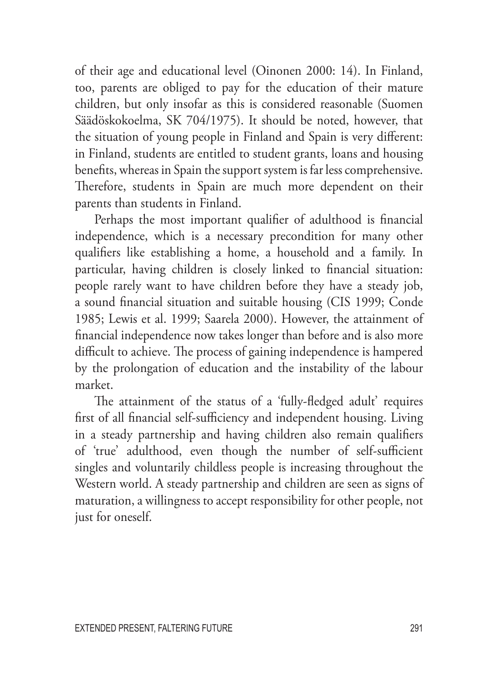of their age and educational level (Oinonen 2000: 14). In Finland, too, parents are obliged to pay for the education of their mature children, but only insofar as this is considered reasonable (Suomen Säädöskokoelma, SK 704/1975). It should be noted, however, that the situation of young people in Finland and Spain is very different: in Finland, students are entitled to student grants, loans and housing benefits, whereas in Spain the support system is far less comprehensive. Therefore, students in Spain are much more dependent on their parents than students in Finland.

Perhaps the most important qualifier of adulthood is financial independence, which is a necessary precondition for many other qualifiers like establishing a home, a household and a family. In particular, having children is closely linked to financial situation: people rarely want to have children before they have a steady job, a sound financial situation and suitable housing (CIS 1999; Conde 1985; Lewis et al. 1999; Saarela 2000). However, the attainment of financial independence now takes longer than before and is also more difficult to achieve. The process of gaining independence is hampered by the prolongation of education and the instability of the labour market.

The attainment of the status of a 'fully-fledged adult' requires first of all financial self-sufficiency and independent housing. Living in a steady partnership and having children also remain qualifiers of 'true' adulthood, even though the number of self-sufficient singles and voluntarily childless people is increasing throughout the Western world. A steady partnership and children are seen as signs of maturation, a willingness to accept responsibility for other people, not just for oneself.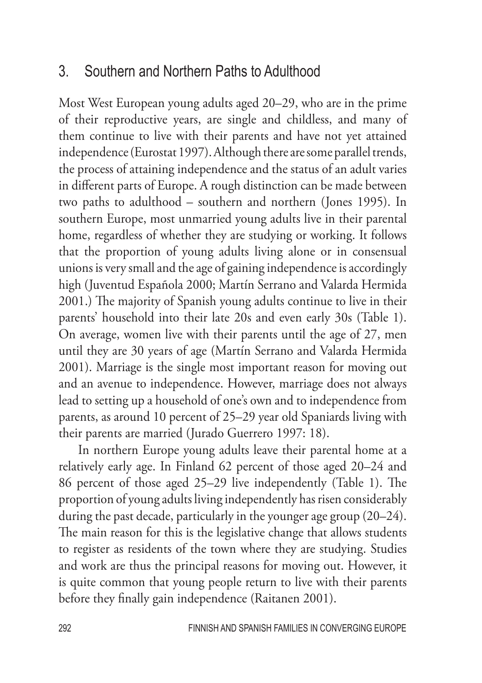# 3. Southern and Northern Paths to Adulthood

Most West European young adults aged 20–29, who are in the prime of their reproductive years, are single and childless, and many of them continue to live with their parents and have not yet attained independence (Eurostat 1997). Although there are some parallel trends, the process of attaining independence and the status of an adult varies in different parts of Europe. A rough distinction can be made between two paths to adulthood – southern and northern (Jones 1995). In southern Europe, most unmarried young adults live in their parental home, regardless of whether they are studying or working. It follows that the proportion of young adults living alone or in consensual unions is very small and the age of gaining independence is accordingly high (Juventud Española 2000; Martín Serrano and Valarda Hermida 2001.) The majority of Spanish young adults continue to live in their parents' household into their late 20s and even early 30s (Table 1). On average, women live with their parents until the age of 27, men until they are 30 years of age (Martín Serrano and Valarda Hermida 2001). Marriage is the single most important reason for moving out and an avenue to independence. However, marriage does not always lead to setting up a household of one's own and to independence from parents, as around 10 percent of 25–29 year old Spaniards living with their parents are married (Jurado Guerrero 1997: 18).

In northern Europe young adults leave their parental home at a relatively early age. In Finland 62 percent of those aged 20–24 and 86 percent of those aged 25–29 live independently (Table 1). The proportion of young adults living independently has risen considerably during the past decade, particularly in the younger age group (20–24). The main reason for this is the legislative change that allows students to register as residents of the town where they are studying. Studies and work are thus the principal reasons for moving out. However, it is quite common that young people return to live with their parents before they finally gain independence (Raitanen 2001).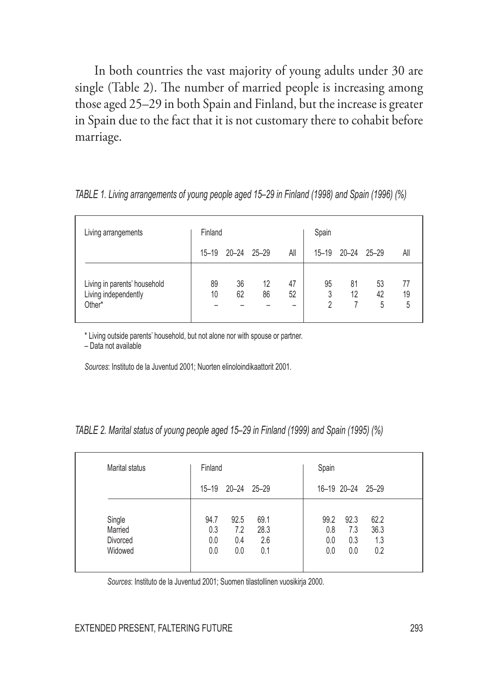In both countries the vast majority of young adults under 30 are single (Table 2). The number of married people is increasing among those aged 25–29 in both Spain and Finland, but the increase is greater in Spain due to the fact that it is not customary there to cohabit before marriage.

#### *TABLE 1. Living arrangements of young people aged 15–29 in Finland (1998) and Spain (1996) (%)*

| Living arrangements                                            | Finland  |                   |          |          | Spain        |                   |               |               |
|----------------------------------------------------------------|----------|-------------------|----------|----------|--------------|-------------------|---------------|---------------|
|                                                                |          | 15-19 20-24 25-29 |          | All      |              | 15-19 20-24 25-29 |               | All           |
| Living in parents' household<br>Living independently<br>Other* | 89<br>10 | 36<br>62          | 12<br>86 | 47<br>52 | 95<br>3<br>2 | 81<br>12          | 53<br>42<br>5 | 77<br>19<br>5 |

\* Living outside parents' household, but not alone nor with spouse or partner.

– Data not available

*Sources*: Instituto de la Juventud 2001; Nuorten elinoloindikaattorit 2001.

| TABLE 2. Marital status of young people aged 15-29 in Finland (1999) and Spain (1995) (%) |  |  |  |
|-------------------------------------------------------------------------------------------|--|--|--|
|-------------------------------------------------------------------------------------------|--|--|--|

| Marital status | Finland |                   |      | Spain             |      |      |  |
|----------------|---------|-------------------|------|-------------------|------|------|--|
|                |         | 15-19 20-24 25-29 |      | 16-19 20-24 25-29 |      |      |  |
| Single         | 94.7    | 92.5              | 69.1 | 99.2              | 92.3 | 62.2 |  |
| Married        | 0.3     | 7.2               | 28.3 | 0.8               | 7.3  | 36.3 |  |
| Divorced       | 0.0     | 0.4               | 2.6  | 0.0               | 0.3  | 1.3  |  |
| Widowed        | 0.0     | 0.0               | 0.1  | 0.0               | 0.0  | 0.2  |  |

*Sources*: Instituto de la Juventud 2001; Suomen tilastollinen vuosikirja 2000.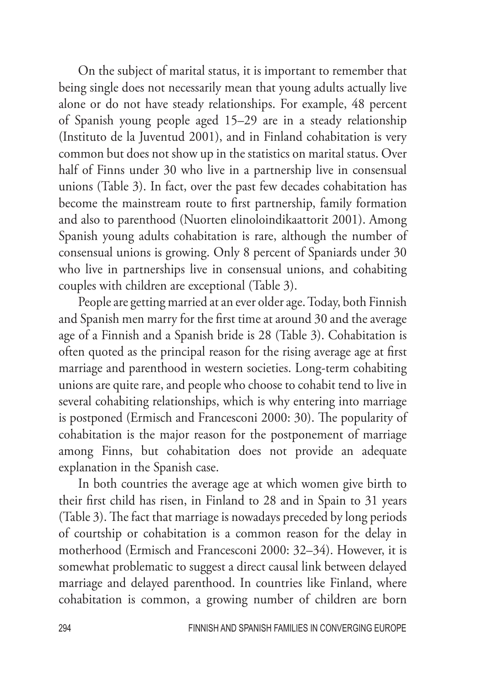On the subject of marital status, it is important to remember that being single does not necessarily mean that young adults actually live alone or do not have steady relationships. For example, 48 percent of Spanish young people aged 15–29 are in a steady relationship (Instituto de la Juventud 2001), and in Finland cohabitation is very common but does not show up in the statistics on marital status. Over half of Finns under 30 who live in a partnership live in consensual unions (Table 3). In fact, over the past few decades cohabitation has become the mainstream route to first partnership, family formation and also to parenthood (Nuorten elinoloindikaattorit 2001). Among Spanish young adults cohabitation is rare, although the number of consensual unions is growing. Only 8 percent of Spaniards under 30 who live in partnerships live in consensual unions, and cohabiting couples with children are exceptional (Table 3).

People are getting married at an ever older age. Today, both Finnish and Spanish men marry for the first time at around 30 and the average age of a Finnish and a Spanish bride is 28 (Table 3). Cohabitation is often quoted as the principal reason for the rising average age at first marriage and parenthood in western societies. Long-term cohabiting unions are quite rare, and people who choose to cohabit tend to live in several cohabiting relationships, which is why entering into marriage is postponed (Ermisch and Francesconi 2000: 30). The popularity of cohabitation is the major reason for the postponement of marriage among Finns, but cohabitation does not provide an adequate explanation in the Spanish case.

In both countries the average age at which women give birth to their first child has risen, in Finland to 28 and in Spain to 31 years (Table 3). The fact that marriage is nowadays preceded by long periods of courtship or cohabitation is a common reason for the delay in motherhood (Ermisch and Francesconi 2000: 32–34). However, it is somewhat problematic to suggest a direct causal link between delayed marriage and delayed parenthood. In countries like Finland, where cohabitation is common, a growing number of children are born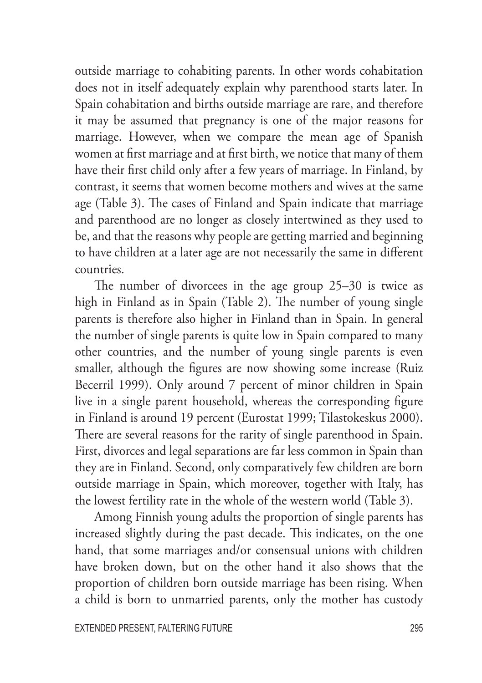outside marriage to cohabiting parents. In other words cohabitation does not in itself adequately explain why parenthood starts later. In Spain cohabitation and births outside marriage are rare, and therefore it may be assumed that pregnancy is one of the major reasons for marriage. However, when we compare the mean age of Spanish women at first marriage and at first birth, we notice that many of them have their first child only after a few years of marriage. In Finland, by contrast, it seems that women become mothers and wives at the same age (Table 3). The cases of Finland and Spain indicate that marriage and parenthood are no longer as closely intertwined as they used to be, and that the reasons why people are getting married and beginning to have children at a later age are not necessarily the same in different countries.

The number of divorcees in the age group  $25-30$  is twice as high in Finland as in Spain (Table 2). The number of young single parents is therefore also higher in Finland than in Spain. In general the number of single parents is quite low in Spain compared to many other countries, and the number of young single parents is even smaller, although the figures are now showing some increase (Ruiz Becerril 1999). Only around 7 percent of minor children in Spain live in a single parent household, whereas the corresponding figure in Finland is around 19 percent (Eurostat 1999; Tilastokeskus 2000). There are several reasons for the rarity of single parenthood in Spain. First, divorces and legal separations are far less common in Spain than they are in Finland. Second, only comparatively few children are born outside marriage in Spain, which moreover, together with Italy, has the lowest fertility rate in the whole of the western world (Table 3).

Among Finnish young adults the proportion of single parents has increased slightly during the past decade. This indicates, on the one hand, that some marriages and/or consensual unions with children have broken down, but on the other hand it also shows that the proportion of children born outside marriage has been rising. When a child is born to unmarried parents, only the mother has custody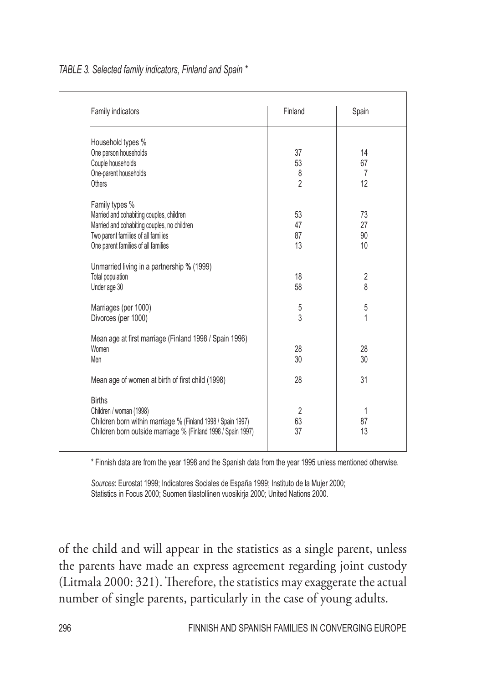| TABLE 3. Selected family indicators, Finland and Spain * |
|----------------------------------------------------------|
|----------------------------------------------------------|

| Family indicators                                                                                                                                                                       | Finland                         | Spain                |
|-----------------------------------------------------------------------------------------------------------------------------------------------------------------------------------------|---------------------------------|----------------------|
| Household types %<br>One person households<br>Couple households<br>One-parent households<br>Others                                                                                      | 37<br>53<br>8<br>$\mathfrak{p}$ | 14<br>67<br>7<br>12  |
| Family types %<br>Married and cohabiting couples, children<br>Married and cohabiting couples, no children<br>Two parent families of all families<br>One parent families of all families | 53<br>47<br>87<br>13            | 73<br>27<br>90<br>10 |
| Unmarried living in a partnership % (1999)<br>Total population<br>Under age 30                                                                                                          | 18<br>58                        | 2<br>8               |
| Marriages (per 1000)<br>Divorces (per 1000)                                                                                                                                             | 5<br>3                          | 5<br>1               |
| Mean age at first marriage (Finland 1998 / Spain 1996)<br>Women<br>Men                                                                                                                  | 28<br>30                        | 28<br>30             |
| Mean age of women at birth of first child (1998)                                                                                                                                        | 28                              | 31                   |
| <b>Births</b><br>Children / woman (1998)<br>Children born within marriage % (Finland 1998 / Spain 1997)<br>Children born outside marriage % (Finland 1998 / Spain 1997)                 | $\overline{2}$<br>63<br>37      | 1<br>87<br>13        |

\* Finnish data are from the year 1998 and the Spanish data from the year 1995 unless mentioned otherwise.

*Sources*: Eurostat 1999; Indicatores Sociales de España 1999; Instituto de la Mujer 2000; Statistics in Focus 2000; Suomen tilastollinen vuosikirja 2000; United Nations 2000.

of the child and will appear in the statistics as a single parent, unless the parents have made an express agreement regarding joint custody (Litmala 2000: 321). Therefore, the statistics may exaggerate the actual number of single parents, particularly in the case of young adults.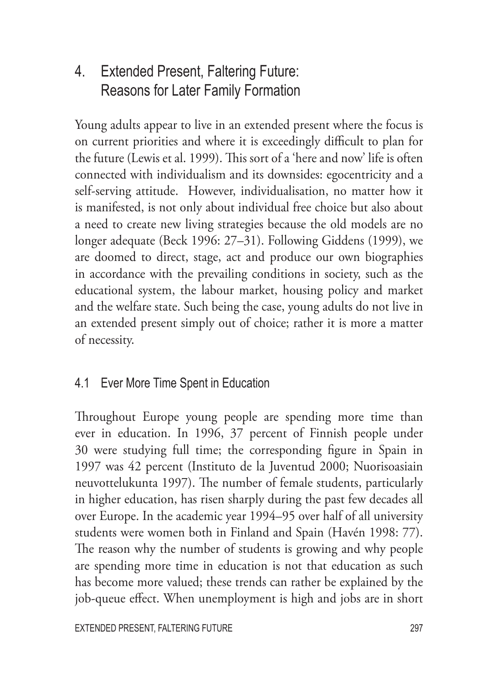# 4. Extended Present, Faltering Future: Reasons for Later Family Formation

Young adults appear to live in an extended present where the focus is on current priorities and where it is exceedingly difficult to plan for the future (Lewis et al. 1999). This sort of a 'here and now' life is often connected with individualism and its downsides: egocentricity and a self-serving attitude. However, individualisation, no matter how it is manifested, is not only about individual free choice but also about a need to create new living strategies because the old models are no longer adequate (Beck 1996: 27–31). Following Giddens (1999), we are doomed to direct, stage, act and produce our own biographies in accordance with the prevailing conditions in society, such as the educational system, the labour market, housing policy and market and the welfare state. Such being the case, young adults do not live in an extended present simply out of choice; rather it is more a matter of necessity.

# 4.1 Ever More Time Spent in Education

Throughout Europe young people are spending more time than ever in education. In 1996, 37 percent of Finnish people under 30 were studying full time; the corresponding figure in Spain in 1997 was 42 percent (Instituto de la Juventud 2000; Nuorisoasiain neuvottelukunta 1997). The number of female students, particularly in higher education, has risen sharply during the past few decades all over Europe. In the academic year 1994–95 over half of all university students were women both in Finland and Spain (Havén 1998: 77). The reason why the number of students is growing and why people are spending more time in education is not that education as such has become more valued; these trends can rather be explained by the job-queue effect. When unemployment is high and jobs are in short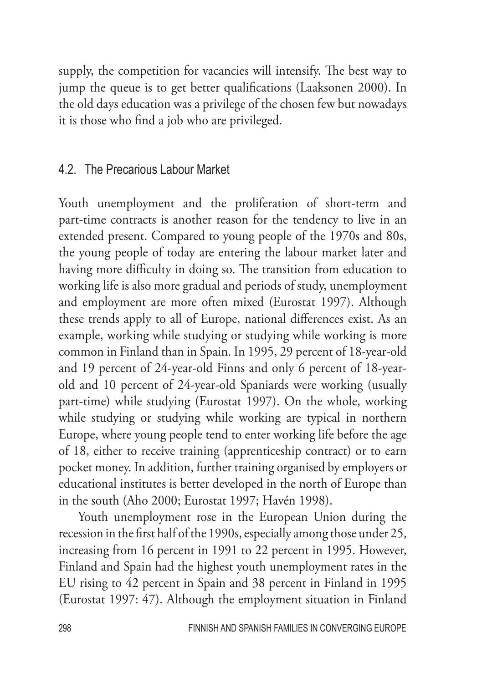supply, the competition for vacancies will intensify. The best way to jump the queue is to get better qualifications (Laaksonen 2000). In the old days education was a privilege of the chosen few but nowadays it is those who find a job who are privileged.

#### 4.2. The Precarious Labour Market

Youth unemployment and the proliferation of short-term and part-time contracts is another reason for the tendency to live in an extended present. Compared to young people of the 1970s and 80s, the young people of today are entering the labour market later and having more difficulty in doing so. The transition from education to working life is also more gradual and periods of study, unemployment and employment are more often mixed (Eurostat 1997). Although these trends apply to all of Europe, national differences exist. As an example, working while studying or studying while working is more common in Finland than in Spain. In 1995, 29 percent of 18-year-old and 19 percent of 24-year-old Finns and only 6 percent of 18-yearold and 10 percent of 24-year-old Spaniards were working (usually part-time) while studying (Eurostat 1997). On the whole, working while studying or studying while working are typical in northern Europe, where young people tend to enter working life before the age of 18, either to receive training (apprenticeship contract) or to earn pocket money. In addition, further training organised by employers or educational institutes is better developed in the north of Europe than in the south (Aho 2000; Eurostat 1997; Havén 1998).

Youth unemployment rose in the European Union during the recession in the first half of the 1990s, especially among those under 25, increasing from 16 percent in 1991 to 22 percent in 1995. However, Finland and Spain had the highest youth unemployment rates in the EU rising to 42 percent in Spain and 38 percent in Finland in 1995 (Eurostat 1997: 47). Although the employment situation in Finland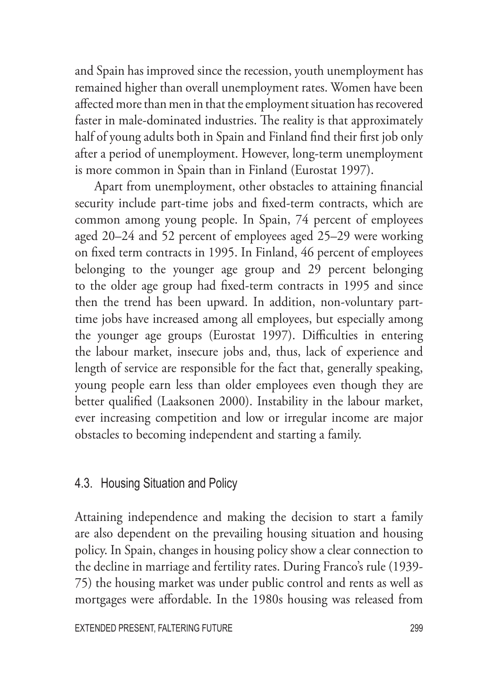and Spain has improved since the recession, youth unemployment has remained higher than overall unemployment rates. Women have been affected more than men in that the employment situation has recovered faster in male-dominated industries. The reality is that approximately half of young adults both in Spain and Finland find their first job only after a period of unemployment. However, long-term unemployment is more common in Spain than in Finland (Eurostat 1997).

Apart from unemployment, other obstacles to attaining financial security include part-time jobs and fixed-term contracts, which are common among young people. In Spain, 74 percent of employees aged 20–24 and 52 percent of employees aged 25–29 were working on fixed term contracts in 1995. In Finland, 46 percent of employees belonging to the younger age group and 29 percent belonging to the older age group had fixed-term contracts in 1995 and since then the trend has been upward. In addition, non-voluntary parttime jobs have increased among all employees, but especially among the younger age groups (Eurostat 1997). Difficulties in entering the labour market, insecure jobs and, thus, lack of experience and length of service are responsible for the fact that, generally speaking, young people earn less than older employees even though they are better qualified (Laaksonen 2000). Instability in the labour market, ever increasing competition and low or irregular income are major obstacles to becoming independent and starting a family.

## 4.3. Housing Situation and Policy

Attaining independence and making the decision to start a family are also dependent on the prevailing housing situation and housing policy. In Spain, changes in housing policy show a clear connection to the decline in marriage and fertility rates. During Franco's rule (1939- 75) the housing market was under public control and rents as well as mortgages were affordable. In the 1980s housing was released from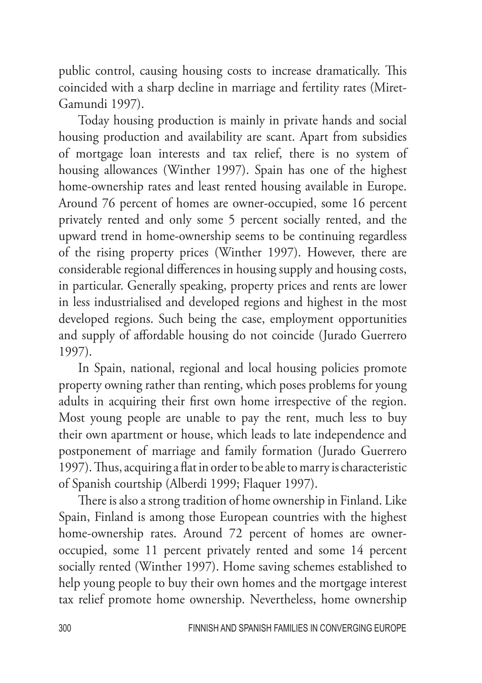public control, causing housing costs to increase dramatically. This coincided with a sharp decline in marriage and fertility rates (Miret-Gamundi 1997).

Today housing production is mainly in private hands and social housing production and availability are scant. Apart from subsidies of mortgage loan interests and tax relief, there is no system of housing allowances (Winther 1997). Spain has one of the highest home-ownership rates and least rented housing available in Europe. Around 76 percent of homes are owner-occupied, some 16 percent privately rented and only some 5 percent socially rented, and the upward trend in home-ownership seems to be continuing regardless of the rising property prices (Winther 1997). However, there are considerable regional differences in housing supply and housing costs, in particular. Generally speaking, property prices and rents are lower in less industrialised and developed regions and highest in the most developed regions. Such being the case, employment opportunities and supply of affordable housing do not coincide (Jurado Guerrero 1997).

In Spain, national, regional and local housing policies promote property owning rather than renting, which poses problems for young adults in acquiring their first own home irrespective of the region. Most young people are unable to pay the rent, much less to buy their own apartment or house, which leads to late independence and postponement of marriage and family formation (Jurado Guerrero 1997). Thus, acquiring a flat in order to be able to marry is characteristic of Spanish courtship (Alberdi 1999; Flaquer 1997).

There is also a strong tradition of home ownership in Finland. Like Spain, Finland is among those European countries with the highest home-ownership rates. Around 72 percent of homes are owneroccupied, some 11 percent privately rented and some 14 percent socially rented (Winther 1997). Home saving schemes established to help young people to buy their own homes and the mortgage interest tax relief promote home ownership. Nevertheless, home ownership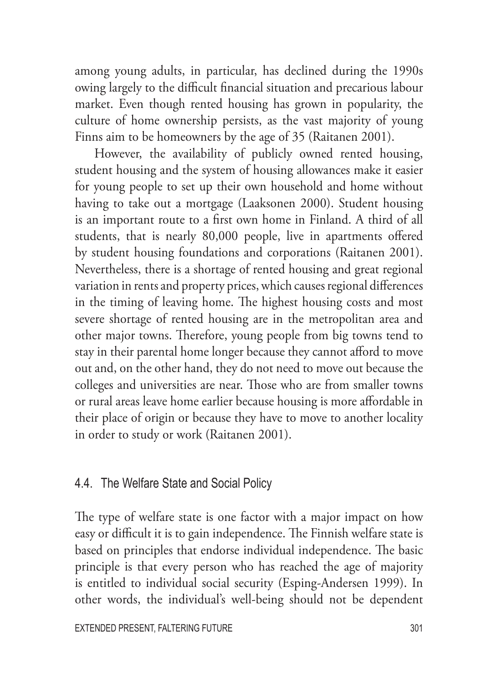among young adults, in particular, has declined during the 1990s owing largely to the difficult financial situation and precarious labour market. Even though rented housing has grown in popularity, the culture of home ownership persists, as the vast majority of young Finns aim to be homeowners by the age of 35 (Raitanen 2001).

However, the availability of publicly owned rented housing, student housing and the system of housing allowances make it easier for young people to set up their own household and home without having to take out a mortgage (Laaksonen 2000). Student housing is an important route to a first own home in Finland. A third of all students, that is nearly 80,000 people, live in apartments offered by student housing foundations and corporations (Raitanen 2001). Nevertheless, there is a shortage of rented housing and great regional variation in rents and property prices, which causes regional differences in the timing of leaving home. The highest housing costs and most severe shortage of rented housing are in the metropolitan area and other major towns. Therefore, young people from big towns tend to stay in their parental home longer because they cannot afford to move out and, on the other hand, they do not need to move out because the colleges and universities are near. Those who are from smaller towns or rural areas leave home earlier because housing is more affordable in their place of origin or because they have to move to another locality in order to study or work (Raitanen 2001).

## 4.4. The Welfare State and Social Policy

The type of welfare state is one factor with a major impact on how easy or difficult it is to gain independence. The Finnish welfare state is based on principles that endorse individual independence. The basic principle is that every person who has reached the age of majority is entitled to individual social security (Esping-Andersen 1999). In other words, the individual's well-being should not be dependent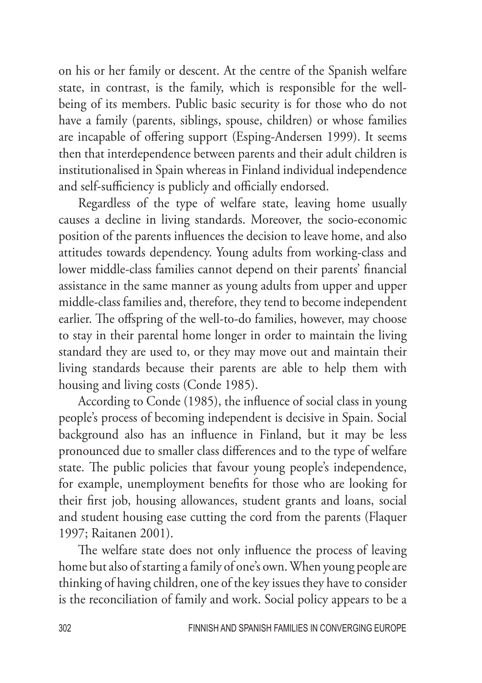on his or her family or descent. At the centre of the Spanish welfare state, in contrast, is the family, which is responsible for the wellbeing of its members. Public basic security is for those who do not have a family (parents, siblings, spouse, children) or whose families are incapable of offering support (Esping-Andersen 1999). It seems then that interdependence between parents and their adult children is institutionalised in Spain whereas in Finland individual independence and self-sufficiency is publicly and officially endorsed.

Regardless of the type of welfare state, leaving home usually causes a decline in living standards. Moreover, the socio-economic position of the parents influences the decision to leave home, and also attitudes towards dependency. Young adults from working-class and lower middle-class families cannot depend on their parents' financial assistance in the same manner as young adults from upper and upper middle-class families and, therefore, they tend to become independent earlier. The offspring of the well-to-do families, however, may choose to stay in their parental home longer in order to maintain the living standard they are used to, or they may move out and maintain their living standards because their parents are able to help them with housing and living costs (Conde 1985).

According to Conde (1985), the influence of social class in young people's process of becoming independent is decisive in Spain. Social background also has an influence in Finland, but it may be less pronounced due to smaller class differences and to the type of welfare state. The public policies that favour young people's independence, for example, unemployment benefits for those who are looking for their first job, housing allowances, student grants and loans, social and student housing ease cutting the cord from the parents (Flaquer 1997; Raitanen 2001).

The welfare state does not only influence the process of leaving home but also of starting a family of one's own. When young people are thinking of having children, one of the key issues they have to consider is the reconciliation of family and work. Social policy appears to be a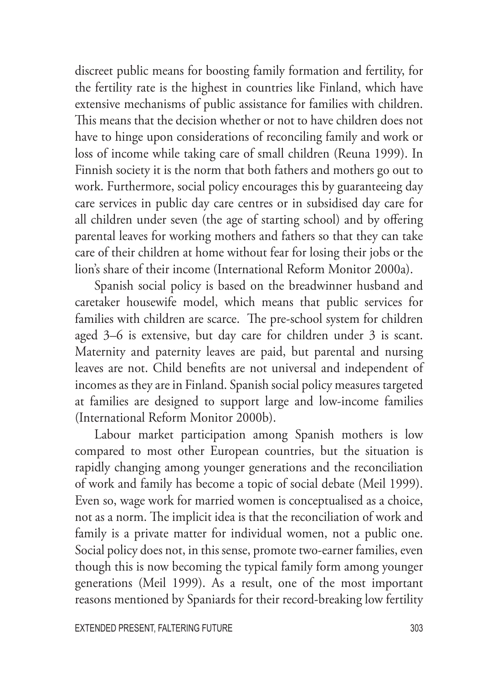discreet public means for boosting family formation and fertility, for the fertility rate is the highest in countries like Finland, which have extensive mechanisms of public assistance for families with children. This means that the decision whether or not to have children does not have to hinge upon considerations of reconciling family and work or loss of income while taking care of small children (Reuna 1999). In Finnish society it is the norm that both fathers and mothers go out to work. Furthermore, social policy encourages this by guaranteeing day care services in public day care centres or in subsidised day care for all children under seven (the age of starting school) and by offering parental leaves for working mothers and fathers so that they can take care of their children at home without fear for losing their jobs or the lion's share of their income (International Reform Monitor 2000a).

Spanish social policy is based on the breadwinner husband and caretaker housewife model, which means that public services for families with children are scarce. The pre-school system for children aged 3–6 is extensive, but day care for children under 3 is scant. Maternity and paternity leaves are paid, but parental and nursing leaves are not. Child benefits are not universal and independent of incomes as they are in Finland. Spanish social policy measures targeted at families are designed to support large and low-income families (International Reform Monitor 2000b).

Labour market participation among Spanish mothers is low compared to most other European countries, but the situation is rapidly changing among younger generations and the reconciliation of work and family has become a topic of social debate (Meil 1999). Even so, wage work for married women is conceptualised as a choice, not as a norm. The implicit idea is that the reconciliation of work and family is a private matter for individual women, not a public one. Social policy does not, in this sense, promote two-earner families, even though this is now becoming the typical family form among younger generations (Meil 1999). As a result, one of the most important reasons mentioned by Spaniards for their record-breaking low fertility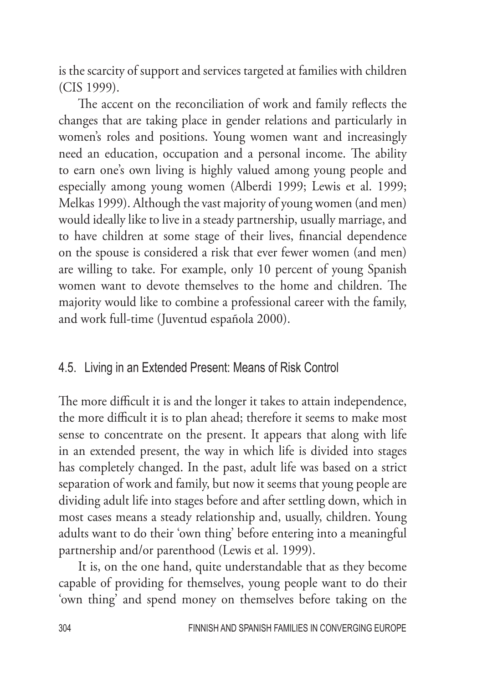is the scarcity of support and services targeted at families with children (CIS 1999).

The accent on the reconciliation of work and family reflects the changes that are taking place in gender relations and particularly in women's roles and positions. Young women want and increasingly need an education, occupation and a personal income. The ability to earn one's own living is highly valued among young people and especially among young women (Alberdi 1999; Lewis et al. 1999; Melkas 1999). Although the vast majority of young women (and men) would ideally like to live in a steady partnership, usually marriage, and to have children at some stage of their lives, financial dependence on the spouse is considered a risk that ever fewer women (and men) are willing to take. For example, only 10 percent of young Spanish women want to devote themselves to the home and children. The majority would like to combine a professional career with the family, and work full-time (Juventud española 2000).

#### 4.5. Living in an Extended Present: Means of Risk Control

The more difficult it is and the longer it takes to attain independence, the more difficult it is to plan ahead; therefore it seems to make most sense to concentrate on the present. It appears that along with life in an extended present, the way in which life is divided into stages has completely changed. In the past, adult life was based on a strict separation of work and family, but now it seems that young people are dividing adult life into stages before and after settling down, which in most cases means a steady relationship and, usually, children. Young adults want to do their 'own thing' before entering into a meaningful partnership and/or parenthood (Lewis et al. 1999).

It is, on the one hand, quite understandable that as they become capable of providing for themselves, young people want to do their 'own thing' and spend money on themselves before taking on the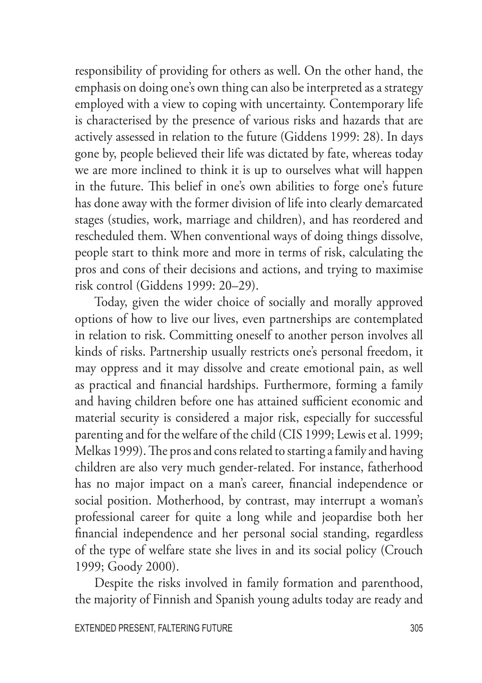responsibility of providing for others as well. On the other hand, the emphasis on doing one's own thing can also be interpreted as a strategy employed with a view to coping with uncertainty. Contemporary life is characterised by the presence of various risks and hazards that are actively assessed in relation to the future (Giddens 1999: 28). In days gone by, people believed their life was dictated by fate, whereas today we are more inclined to think it is up to ourselves what will happen in the future. This belief in one's own abilities to forge one's future has done away with the former division of life into clearly demarcated stages (studies, work, marriage and children), and has reordered and rescheduled them. When conventional ways of doing things dissolve, people start to think more and more in terms of risk, calculating the pros and cons of their decisions and actions, and trying to maximise risk control (Giddens 1999: 20–29).

Today, given the wider choice of socially and morally approved options of how to live our lives, even partnerships are contemplated in relation to risk. Committing oneself to another person involves all kinds of risks. Partnership usually restricts one's personal freedom, it may oppress and it may dissolve and create emotional pain, as well as practical and financial hardships. Furthermore, forming a family and having children before one has attained sufficient economic and material security is considered a major risk, especially for successful parenting and for the welfare of the child (CIS 1999; Lewis et al. 1999; Melkas 1999). The pros and cons related to starting a family and having children are also very much gender-related. For instance, fatherhood has no major impact on a man's career, financial independence or social position. Motherhood, by contrast, may interrupt a woman's professional career for quite a long while and jeopardise both her financial independence and her personal social standing, regardless of the type of welfare state she lives in and its social policy (Crouch 1999; Goody 2000).

Despite the risks involved in family formation and parenthood, the majority of Finnish and Spanish young adults today are ready and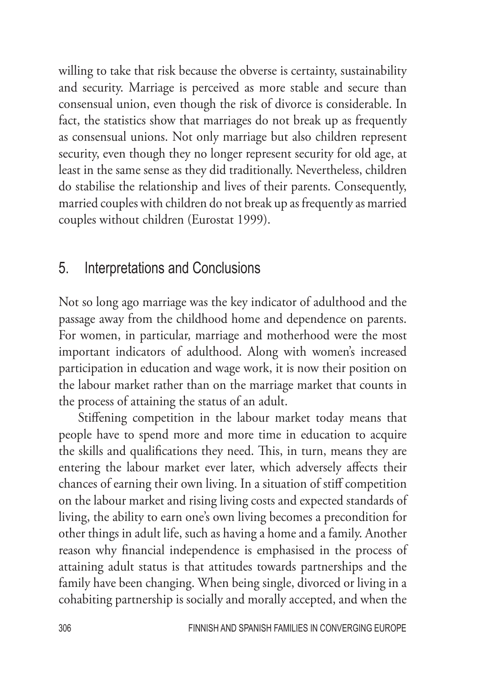willing to take that risk because the obverse is certainty, sustainability and security. Marriage is perceived as more stable and secure than consensual union, even though the risk of divorce is considerable. In fact, the statistics show that marriages do not break up as frequently as consensual unions. Not only marriage but also children represent security, even though they no longer represent security for old age, at least in the same sense as they did traditionally. Nevertheless, children do stabilise the relationship and lives of their parents. Consequently, married couples with children do not break up as frequently as married couples without children (Eurostat 1999).

## 5. Interpretations and Conclusions

Not so long ago marriage was the key indicator of adulthood and the passage away from the childhood home and dependence on parents. For women, in particular, marriage and motherhood were the most important indicators of adulthood. Along with women's increased participation in education and wage work, it is now their position on the labour market rather than on the marriage market that counts in the process of attaining the status of an adult.

Stiffening competition in the labour market today means that people have to spend more and more time in education to acquire the skills and qualifications they need. This, in turn, means they are entering the labour market ever later, which adversely affects their chances of earning their own living. In a situation of stiff competition on the labour market and rising living costs and expected standards of living, the ability to earn one's own living becomes a precondition for other things in adult life, such as having a home and a family. Another reason why financial independence is emphasised in the process of attaining adult status is that attitudes towards partnerships and the family have been changing. When being single, divorced or living in a cohabiting partnership is socially and morally accepted, and when the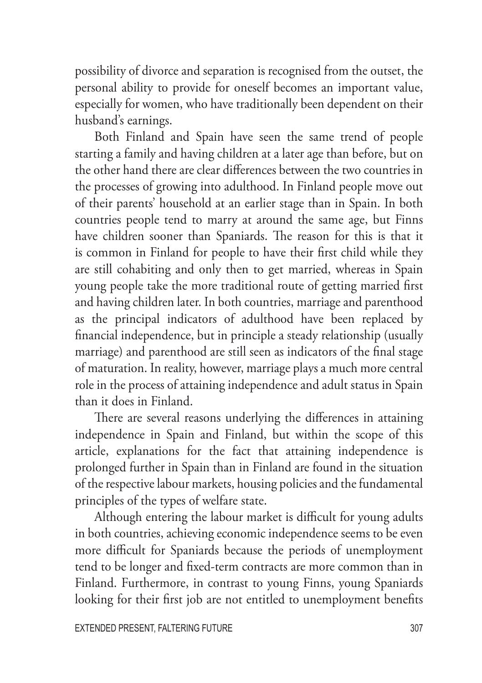possibility of divorce and separation is recognised from the outset, the personal ability to provide for oneself becomes an important value, especially for women, who have traditionally been dependent on their husband's earnings.

Both Finland and Spain have seen the same trend of people starting a family and having children at a later age than before, but on the other hand there are clear differences between the two countries in the processes of growing into adulthood. In Finland people move out of their parents' household at an earlier stage than in Spain. In both countries people tend to marry at around the same age, but Finns have children sooner than Spaniards. The reason for this is that it is common in Finland for people to have their first child while they are still cohabiting and only then to get married, whereas in Spain young people take the more traditional route of getting married first and having children later. In both countries, marriage and parenthood as the principal indicators of adulthood have been replaced by financial independence, but in principle a steady relationship (usually marriage) and parenthood are still seen as indicators of the final stage of maturation. In reality, however, marriage plays a much more central role in the process of attaining independence and adult status in Spain than it does in Finland.

There are several reasons underlying the differences in attaining independence in Spain and Finland, but within the scope of this article, explanations for the fact that attaining independence is prolonged further in Spain than in Finland are found in the situation of the respective labour markets, housing policies and the fundamental principles of the types of welfare state.

Although entering the labour market is difficult for young adults in both countries, achieving economic independence seems to be even more difficult for Spaniards because the periods of unemployment tend to be longer and fixed-term contracts are more common than in Finland. Furthermore, in contrast to young Finns, young Spaniards looking for their first job are not entitled to unemployment benefits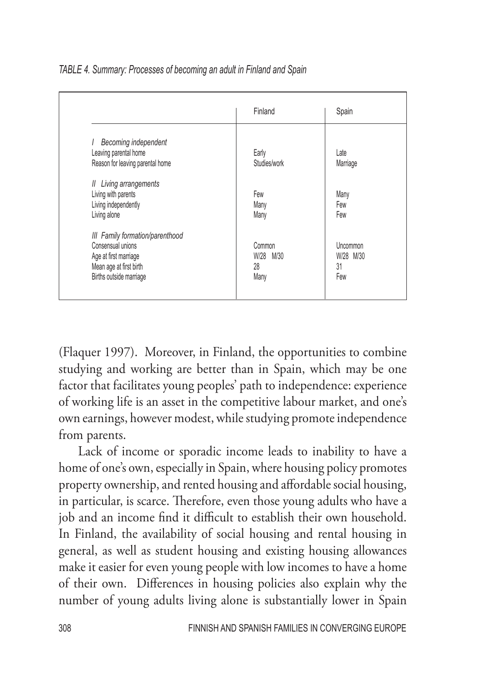*TABLE 4. Summary: Processes of becoming an adult in Finland and Spain*

|                                               | Finland      | Spain     |
|-----------------------------------------------|--------------|-----------|
| Becoming independent<br>Leaving parental home | Early        | Late      |
| Reason for leaving parental home              | Studies/work | Marriage  |
| Il Living arrangements                        |              |           |
| Living with parents                           | Few          | Many      |
| Living independently                          | Many         | Few       |
| Living alone                                  | Many         | Few       |
| III Family formation/parenthood               |              |           |
| Consensual unions                             | Common       | Uncommon  |
| Age at first marriage                         | W/28 M/30    | W/28 M/30 |
| Mean age at first birth                       | 28           | 31        |
| Births outside marriage                       | Many         | Few       |
|                                               |              |           |

(Flaquer 1997). Moreover, in Finland, the opportunities to combine studying and working are better than in Spain, which may be one factor that facilitates young peoples' path to independence: experience of working life is an asset in the competitive labour market, and one's own earnings, however modest, while studying promote independence from parents.

Lack of income or sporadic income leads to inability to have a home of one's own, especially in Spain, where housing policy promotes property ownership, and rented housing and affordable social housing, in particular, is scarce. Therefore, even those young adults who have a job and an income find it difficult to establish their own household. In Finland, the availability of social housing and rental housing in general, as well as student housing and existing housing allowances make it easier for even young people with low incomes to have a home of their own. Differences in housing policies also explain why the number of young adults living alone is substantially lower in Spain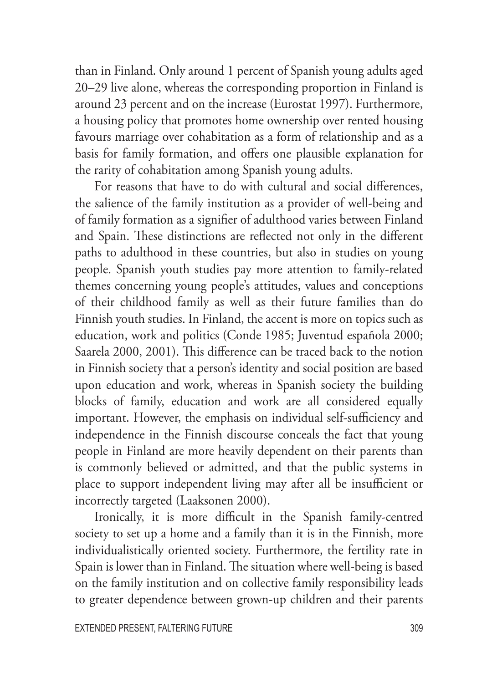than in Finland. Only around 1 percent of Spanish young adults aged 20–29 live alone, whereas the corresponding proportion in Finland is around 23 percent and on the increase (Eurostat 1997). Furthermore, a housing policy that promotes home ownership over rented housing favours marriage over cohabitation as a form of relationship and as a basis for family formation, and offers one plausible explanation for the rarity of cohabitation among Spanish young adults.

For reasons that have to do with cultural and social differences, the salience of the family institution as a provider of well-being and of family formation as a signifier of adulthood varies between Finland and Spain. These distinctions are reflected not only in the different paths to adulthood in these countries, but also in studies on young people. Spanish youth studies pay more attention to family-related themes concerning young people's attitudes, values and conceptions of their childhood family as well as their future families than do Finnish youth studies. In Finland, the accent is more on topics such as education, work and politics (Conde 1985; Juventud española 2000; Saarela 2000, 2001). This difference can be traced back to the notion in Finnish society that a person's identity and social position are based upon education and work, whereas in Spanish society the building blocks of family, education and work are all considered equally important. However, the emphasis on individual self-sufficiency and independence in the Finnish discourse conceals the fact that young people in Finland are more heavily dependent on their parents than is commonly believed or admitted, and that the public systems in place to support independent living may after all be insufficient or incorrectly targeted (Laaksonen 2000).

Ironically, it is more difficult in the Spanish family-centred society to set up a home and a family than it is in the Finnish, more individualistically oriented society. Furthermore, the fertility rate in Spain is lower than in Finland. The situation where well-being is based on the family institution and on collective family responsibility leads to greater dependence between grown-up children and their parents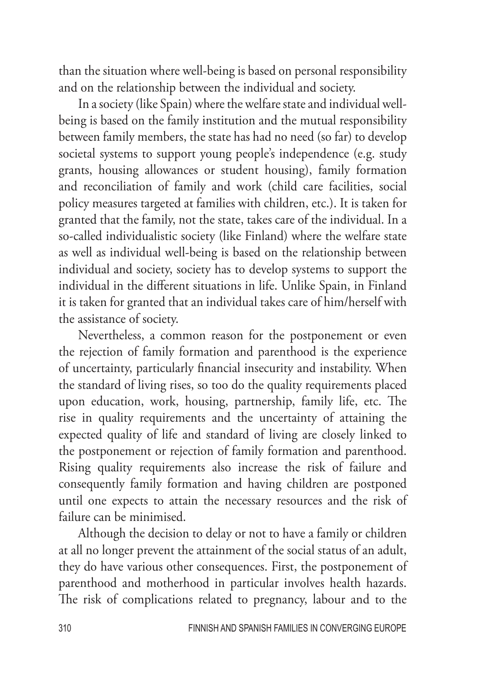than the situation where well-being is based on personal responsibility and on the relationship between the individual and society.

In a society (like Spain) where the welfare state and individual wellbeing is based on the family institution and the mutual responsibility between family members, the state has had no need (so far) to develop societal systems to support young people's independence (e.g. study grants, housing allowances or student housing), family formation and reconciliation of family and work (child care facilities, social policy measures targeted at families with children, etc.). It is taken for granted that the family, not the state, takes care of the individual. In a so-called individualistic society (like Finland) where the welfare state as well as individual well-being is based on the relationship between individual and society, society has to develop systems to support the individual in the different situations in life. Unlike Spain, in Finland it is taken for granted that an individual takes care of him/herself with the assistance of society.

Nevertheless, a common reason for the postponement or even the rejection of family formation and parenthood is the experience of uncertainty, particularly financial insecurity and instability. When the standard of living rises, so too do the quality requirements placed upon education, work, housing, partnership, family life, etc. The rise in quality requirements and the uncertainty of attaining the expected quality of life and standard of living are closely linked to the postponement or rejection of family formation and parenthood. Rising quality requirements also increase the risk of failure and consequently family formation and having children are postponed until one expects to attain the necessary resources and the risk of failure can be minimised.

Although the decision to delay or not to have a family or children at all no longer prevent the attainment of the social status of an adult, they do have various other consequences. First, the postponement of parenthood and motherhood in particular involves health hazards. The risk of complications related to pregnancy, labour and to the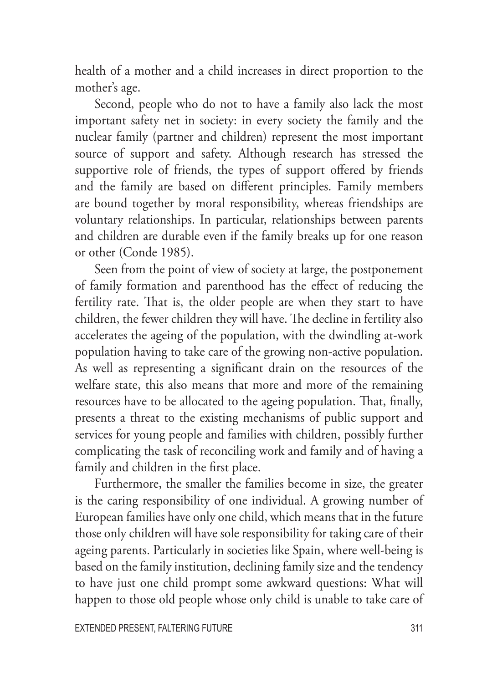health of a mother and a child increases in direct proportion to the mother's age.

Second, people who do not to have a family also lack the most important safety net in society: in every society the family and the nuclear family (partner and children) represent the most important source of support and safety. Although research has stressed the supportive role of friends, the types of support offered by friends and the family are based on different principles. Family members are bound together by moral responsibility, whereas friendships are voluntary relationships. In particular, relationships between parents and children are durable even if the family breaks up for one reason or other (Conde 1985).

Seen from the point of view of society at large, the postponement of family formation and parenthood has the effect of reducing the fertility rate. That is, the older people are when they start to have children, the fewer children they will have. The decline in fertility also accelerates the ageing of the population, with the dwindling at-work population having to take care of the growing non-active population. As well as representing a significant drain on the resources of the welfare state, this also means that more and more of the remaining resources have to be allocated to the ageing population. That, finally, presents a threat to the existing mechanisms of public support and services for young people and families with children, possibly further complicating the task of reconciling work and family and of having a family and children in the first place.

Furthermore, the smaller the families become in size, the greater is the caring responsibility of one individual. A growing number of European families have only one child, which means that in the future those only children will have sole responsibility for taking care of their ageing parents. Particularly in societies like Spain, where well-being is based on the family institution, declining family size and the tendency to have just one child prompt some awkward questions: What will happen to those old people whose only child is unable to take care of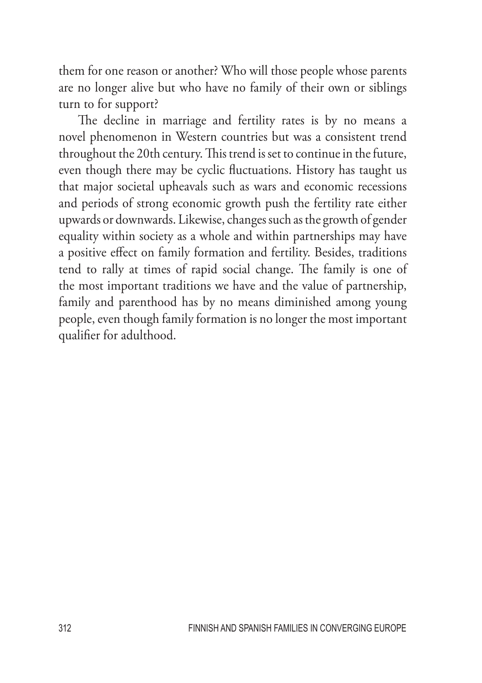them for one reason or another? Who will those people whose parents are no longer alive but who have no family of their own or siblings turn to for support?

The decline in marriage and fertility rates is by no means a novel phenomenon in Western countries but was a consistent trend throughout the 20th century. This trend is set to continue in the future, even though there may be cyclic fluctuations. History has taught us that major societal upheavals such as wars and economic recessions and periods of strong economic growth push the fertility rate either upwards or downwards. Likewise, changes such as the growth of gender equality within society as a whole and within partnerships may have a positive effect on family formation and fertility. Besides, traditions tend to rally at times of rapid social change. The family is one of the most important traditions we have and the value of partnership, family and parenthood has by no means diminished among young people, even though family formation is no longer the most important qualifier for adulthood.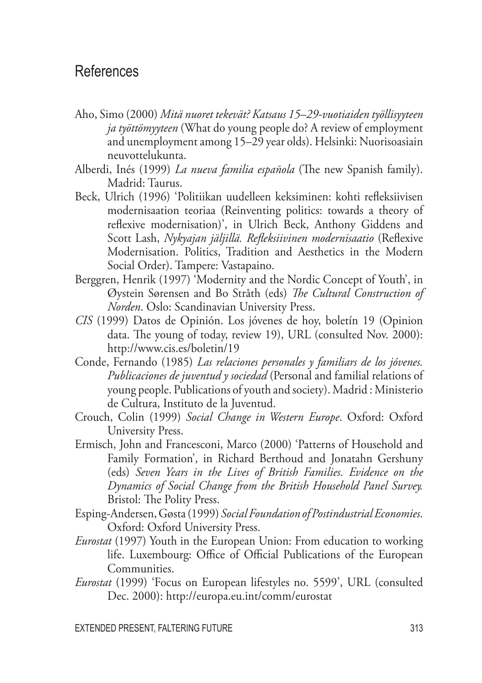# References

- Aho, Simo (2000) *Mitä nuoret tekevät? Katsaus 15–29-vuotiaiden työllisyyteen ja työttömyyteen* (What do young people do? A review of employment and unemployment among 15–29 year olds). Helsinki: Nuorisoasiain neuvottelukunta.
- Alberdi, Inés (1999) *La nueva familia española* (The new Spanish family). Madrid: Taurus.
- Beck, Ulrich (1996) 'Politiikan uudelleen keksiminen: kohti refleksiivisen modernisaation teoriaa (Reinventing politics: towards a theory of reflexive modernisation)', in Ulrich Beck, Anthony Giddens and Scott Lash, *Nykyajan jäljillä. Refleksiivinen modernisaatio* (Reflexive Modernisation. Politics, Tradition and Aesthetics in the Modern Social Order). Tampere: Vastapaino.
- Berggren, Henrik (1997) 'Modernity and the Nordic Concept of Youth', in Øystein Sørensen and Bo Stråth (eds) *The Cultural Construction of Norden*. Oslo: Scandinavian University Press.
- *CIS* (1999) Datos de Opinión. Los jóvenes de hoy, boletín 19 (Opinion data. The young of today, review 19), URL (consulted Nov. 2000): http://www.cis.es/boletin/19
- Conde, Fernando (1985) *Las relaciones personales y familiars de los jóvenes. Publicaciones de juventud y sociedad* (Personal and familial relations of young people. Publications of youth and society). Madrid : Ministerio de Cultura, Instituto de la Juventud.
- Crouch, Colin (1999) *Social Change in Western Europe*. Oxford: Oxford University Press.
- Ermisch, John and Francesconi, Marco (2000) 'Patterns of Household and Family Formation', in Richard Berthoud and Jonatahn Gershuny (eds) *Seven Years in the Lives of British Families. Evidence on the Dynamics of Social Change from the British Household Panel Survey.* Bristol: The Polity Press.
- Esping-Andersen, Gøsta (1999) *Social Foundation of Postindustrial Economies*. Oxford: Oxford University Press.
- *Eurostat* (1997) Youth in the European Union: From education to working life. Luxembourg: Office of Official Publications of the European Communities.
- *Eurostat* (1999) 'Focus on European lifestyles no. 5599', URL (consulted Dec. 2000): http://europa.eu.int/comm/eurostat

EXTENDED PRESENT, FALTERING FUTURE 313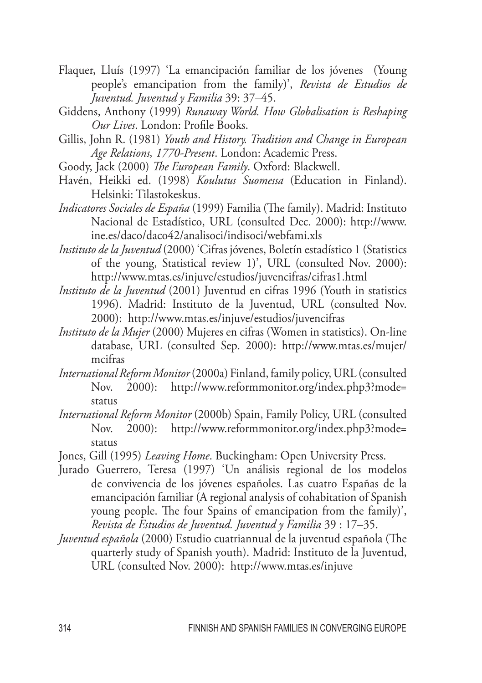- Flaquer, Lluís (1997) 'La emancipación familiar de los jóvenes (Young people's emancipation from the family)', *Revista de Estudios de Juventud. Juventud y Familia* 39: 37–45.
- Giddens, Anthony (1999) *Runaway World. How Globalisation is Reshaping Our Lives*. London: Profile Books.
- Gillis, John R. (1981) *Youth and History. Tradition and Change in European Age Relations, 1770-Present*. London: Academic Press.
- Goody, Jack (2000) *The European Family*. Oxford: Blackwell.
- Havén, Heikki ed. (1998) *Koulutus Suomessa* (Education in Finland). Helsinki: Tilastokeskus.
- *Indicatores Sociales de España* (1999) Familia (The family). Madrid: Instituto Nacional de Estadístico, URL (consulted Dec. 2000): http://www. ine.es/daco/daco42/analisoci/indisoci/webfami.xls
- *Instituto de la Juventud* (2000) 'Cifras jóvenes, Boletín estadístico 1 (Statistics of the young, Statistical review 1)', URL (consulted Nov. 2000): http://www.mtas.es/injuve/estudios/juvencifras/cifras1.html
- *Instituto de la Juventud* (2001) Juventud en cifras 1996 (Youth in statistics 1996). Madrid: Instituto de la Juventud, URL (consulted Nov. 2000): http://www.mtas.es/injuve/estudios/juvencifras
- *Instituto de la Mujer* (2000) Mujeres en cifras (Women in statistics). On-line database, URL (consulted Sep. 2000): http://www.mtas.es/mujer/ mcifras
- *International Reform Monitor* (2000a) Finland, family policy, URL (consulted Nov. 2000): http://www.reformmonitor.org/index.php3?mode= status
- *International Reform Monitor* (2000b) Spain, Family Policy, URL (consulted Nov. 2000): http://www.reformmonitor.org/index.php3?mode= status
- Jones, Gill (1995) *Leaving Home*. Buckingham: Open University Press.
- Jurado Guerrero, Teresa (1997) 'Un análisis regional de los modelos de convivencia de los jóvenes españoles. Las cuatro Españas de la emancipación familiar (A regional analysis of cohabitation of Spanish young people. The four Spains of emancipation from the family)', *Revista de Estudios de Juventud. Juventud y Familia* 39 : 17–35.
- *Juventud española* (2000) Estudio cuatriannual de la juventud española (The quarterly study of Spanish youth). Madrid: Instituto de la Juventud, URL (consulted Nov. 2000): http://www.mtas.es/injuve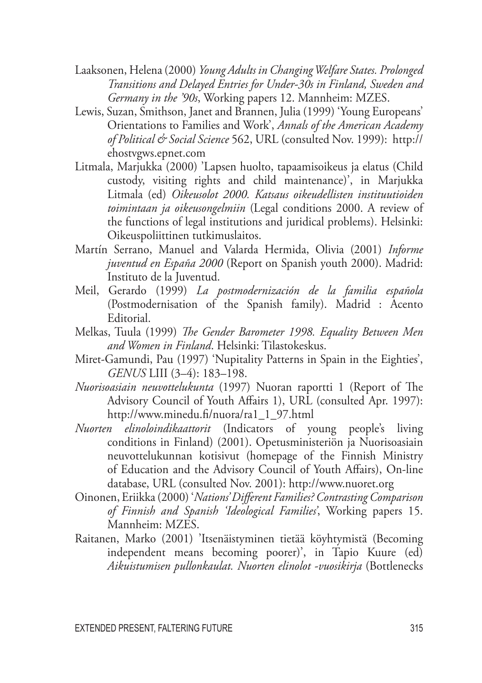- Laaksonen, Helena (2000) *Young Adults in Changing Welfare States. Prolonged Transitions and Delayed Entries for Under-30s in Finland, Sweden and Germany in the '90s*, Working papers 12. Mannheim: MZES.
- Lewis, Suzan, Smithson, Janet and Brannen, Julia (1999) 'Young Europeans' Orientations to Families and Work', *Annals of the American Academy of Political & Social Science* 562, URL (consulted Nov. 1999): http:// ehostvgws.epnet.com
- Litmala, Marjukka (2000) 'Lapsen huolto, tapaamisoikeus ja elatus (Child custody, visiting rights and child maintenance)', in Marjukka Litmala (ed) *Oikeusolot 2000. Katsaus oikeudellisten instituutioiden toimintaan ja oikeusongelmiin* (Legal conditions 2000. A review of the functions of legal institutions and juridical problems). Helsinki: Oikeuspoliittinen tutkimuslaitos.
- Martín Serrano, Manuel and Valarda Hermida, Olivia (2001) *Informe juventud en España 2000* (Report on Spanish youth 2000). Madrid: Instituto de la Juventud.
- Meil, Gerardo (1999) *La postmodernización de la familia española* (Postmodernisation of the Spanish family). Madrid : Acento Editorial.
- Melkas, Tuula (1999) *The Gender Barometer 1998. Equality Between Men and Women in Finland*. Helsinki: Tilastokeskus.
- Miret-Gamundi, Pau (1997) 'Nupitality Patterns in Spain in the Eighties', *GENUS* LIII (3–4): 183–198.
- *Nuorisoasiain neuvottelukunta* (1997) Nuoran raportti 1 (Report of The Advisory Council of Youth Affairs 1), URL (consulted Apr. 1997): http://www.minedu.fi/nuora/ra1\_1\_97.html
- *Nuorten elinoloindikaattorit* (Indicators of young people's living conditions in Finland) (2001). Opetusministeriön ja Nuorisoasiain neuvottelukunnan kotisivut (homepage of the Finnish Ministry of Education and the Advisory Council of Youth Affairs), On-line database, URL (consulted Nov. 2001): http://www.nuoret.org
- Oinonen, Eriikka (2000) '*Nations' Different Families? Contrasting Comparison of Finnish and Spanish 'Ideological Families'*, Working papers 15. Mannheim: MZES.
- Raitanen, Marko (2001) 'Itsenäistyminen tietää köyhtymistä (Becoming independent means becoming poorer)', in Tapio Kuure (ed) *Aikuistumisen pullonkaulat. Nuorten elinolot -vuosikirja* (Bottlenecks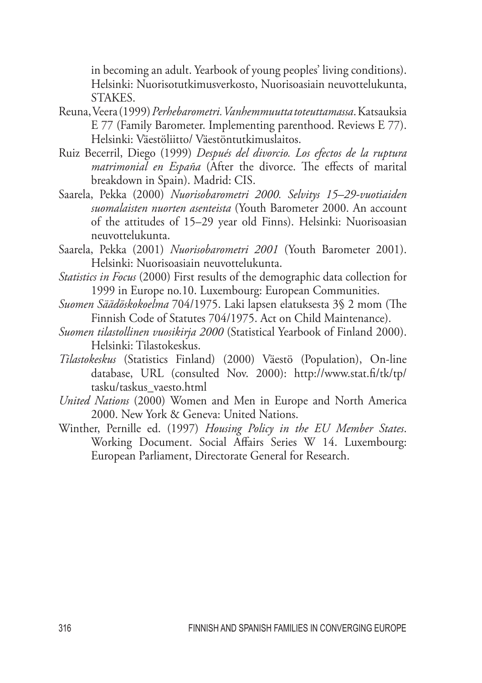in becoming an adult. Yearbook of young peoples' living conditions). Helsinki: Nuorisotutkimusverkosto, Nuorisoasiain neuvottelukunta, **STAKES** 

- Reuna, Veera (1999) *Perhebarometri. Vanhemmuutta toteuttamassa*. Katsauksia E 77 (Family Barometer. Implementing parenthood. Reviews E 77). Helsinki: Väestöliitto/ Väestöntutkimuslaitos.
- Ruiz Becerril, Diego (1999) *Después del divorcio. Los efectos de la ruptura matrimonial en España* (After the divorce. The effects of marital breakdown in Spain). Madrid: CIS.
- Saarela, Pekka (2000) *Nuorisobarometri 2000. Selvitys 15–29-vuotiaiden suomalaisten nuorten asenteista* (Youth Barometer 2000. An account of the attitudes of 15–29 year old Finns). Helsinki: Nuorisoasian neuvottelukunta.
- Saarela, Pekka (2001) *Nuorisobarometri 2001* (Youth Barometer 2001). Helsinki: Nuorisoasiain neuvottelukunta.
- *Statistics in Focus* (2000) First results of the demographic data collection for 1999 in Europe no.10. Luxembourg: European Communities.
- *Suomen Säädöskokoelma* 704/1975. Laki lapsen elatuksesta 3§ 2 mom (The Finnish Code of Statutes 704/1975. Act on Child Maintenance).
- *Suomen tilastollinen vuosikirja 2000* (Statistical Yearbook of Finland 2000). Helsinki: Tilastokeskus.
- *Tilastokeskus* (Statistics Finland) (2000) Väestö (Population), On-line database, URL (consulted Nov. 2000): http://www.stat.fi/tk/tp/ tasku/taskus\_vaesto.html
- *United Nations* (2000) Women and Men in Europe and North America 2000. New York & Geneva: United Nations.
- Winther, Pernille ed. (1997) *Housing Policy in the EU Member States*. Working Document. Social Affairs Series W 14. Luxembourg: European Parliament, Directorate General for Research.